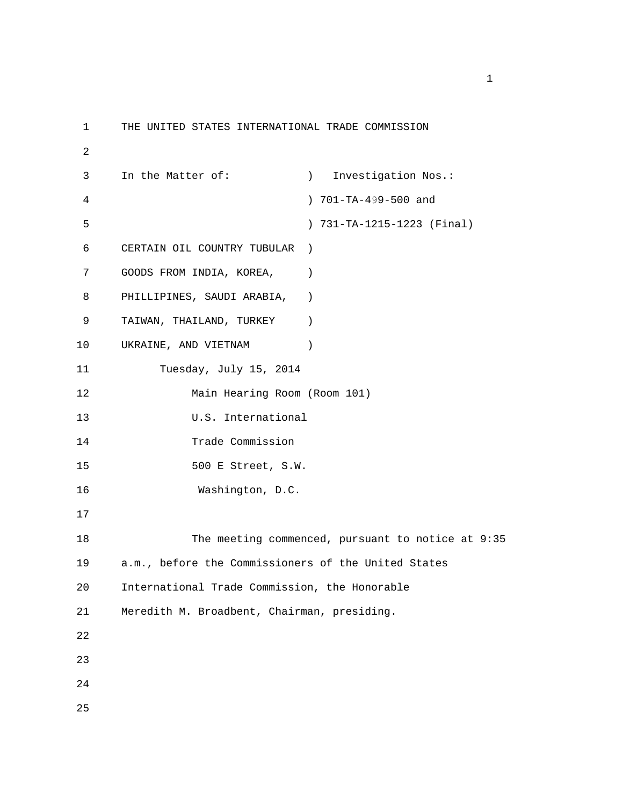```
1 THE UNITED STATES INTERNATIONAL TRADE COMMISSION 
2 
3 In the Matter of: ) Investigation Nos.: 
4 ) 701-TA-499-500 and
5 ) 731-TA-1215-1223 (Final) 
6 CERTAIN OIL COUNTRY TUBULAR ) 
7 GOODS FROM INDIA, KOREA, (1)
8 PHILLIPINES, SAUDI ARABIA, ) 
9 TAIWAN, THAILAND, TURKEY ) 
10 UKRAINE, AND VIETNAM ) 
11 Tuesday, July 15, 2014 
12 Main Hearing Room (Room 101) 
13 U.S. International 
14 Trade Commission 
15 500 E Street, S.W. 
16 Washington, D.C. 
17 
18 The meeting commenced, pursuant to notice at 9:35 
19 a.m., before the Commissioners of the United States 
20 International Trade Commission, the Honorable 
21 Meredith M. Broadbent, Chairman, presiding. 
22 
23 
24 
25
```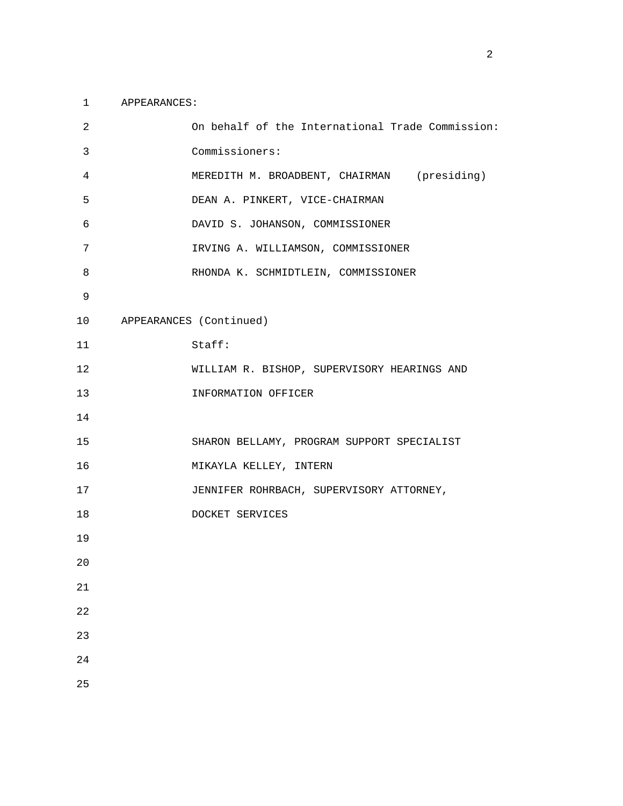## 1 APPEARANCES:

| 2               | On behalf of the International Trade Commission: |
|-----------------|--------------------------------------------------|
| 3               | Commissioners:                                   |
| $\overline{4}$  | MEREDITH M. BROADBENT, CHAIRMAN (presiding)      |
| 5               | DEAN A. PINKERT, VICE-CHAIRMAN                   |
| 6               | DAVID S. JOHANSON, COMMISSIONER                  |
| 7               | IRVING A. WILLIAMSON, COMMISSIONER               |
| 8               | RHONDA K. SCHMIDTLEIN, COMMISSIONER              |
| 9               |                                                  |
| 10 <sup>°</sup> | APPEARANCES (Continued)                          |
| 11              | Staff:                                           |
| 12              | WILLIAM R. BISHOP, SUPERVISORY HEARINGS AND      |
| 13              | INFORMATION OFFICER                              |
| 14              |                                                  |
| 15              | SHARON BELLAMY, PROGRAM SUPPORT SPECIALIST       |
| 16              | MIKAYLA KELLEY, INTERN                           |
| 17              | JENNIFER ROHRBACH, SUPERVISORY ATTORNEY,         |
| 18              | DOCKET SERVICES                                  |
| 19              |                                                  |
| 20              |                                                  |
| $21\,$          |                                                  |
| 22              |                                                  |
| 23              |                                                  |
| 24              |                                                  |
| 25              |                                                  |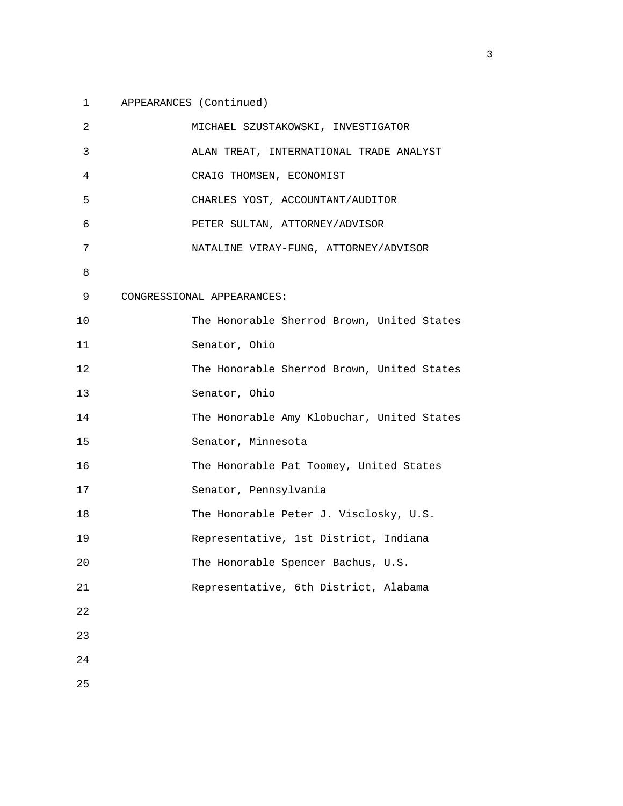## 1 APPEARANCES (Continued)

| 2  | MICHAEL SZUSTAKOWSKI, INVESTIGATOR         |
|----|--------------------------------------------|
| 3  | ALAN TREAT, INTERNATIONAL TRADE ANALYST    |
| 4  | CRAIG THOMSEN, ECONOMIST                   |
| 5  | CHARLES YOST, ACCOUNTANT/AUDITOR           |
| 6  | PETER SULTAN, ATTORNEY/ADVISOR             |
| 7  | NATALINE VIRAY-FUNG, ATTORNEY/ADVISOR      |
| 8  |                                            |
| 9  | CONGRESSIONAL APPEARANCES:                 |
| 10 | The Honorable Sherrod Brown, United States |
| 11 | Senator, Ohio                              |
| 12 | The Honorable Sherrod Brown, United States |
| 13 | Senator, Ohio                              |
| 14 | The Honorable Amy Klobuchar, United States |
| 15 | Senator, Minnesota                         |
| 16 | The Honorable Pat Toomey, United States    |
| 17 | Senator, Pennsylvania                      |
| 18 | The Honorable Peter J. Visclosky, U.S.     |
| 19 | Representative, 1st District, Indiana      |
| 20 | The Honorable Spencer Bachus, U.S.         |
| 21 | Representative, 6th District, Alabama      |
| 22 |                                            |
| 23 |                                            |
| 24 |                                            |
| 25 |                                            |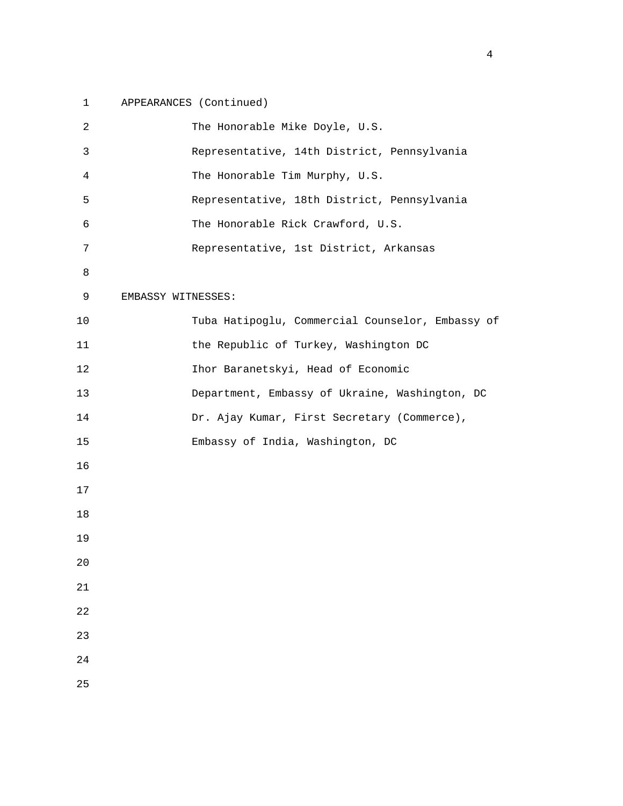## 1 APPEARANCES (Continued)

| 2              | The Honorable Mike Doyle, U.S.                   |
|----------------|--------------------------------------------------|
| 3              | Representative, 14th District, Pennsylvania      |
| $\overline{4}$ | The Honorable Tim Murphy, U.S.                   |
| 5              | Representative, 18th District, Pennsylvania      |
| 6              | The Honorable Rick Crawford, U.S.                |
| 7              | Representative, 1st District, Arkansas           |
| 8              |                                                  |
| 9              | EMBASSY WITNESSES:                               |
| 10             | Tuba Hatipoglu, Commercial Counselor, Embassy of |
| 11             | the Republic of Turkey, Washington DC            |
| 12             | Ihor Baranetskyi, Head of Economic               |
| 13             | Department, Embassy of Ukraine, Washington, DC   |
| 14             | Dr. Ajay Kumar, First Secretary (Commerce),      |
| 15             | Embassy of India, Washington, DC                 |
| 16             |                                                  |
| 17             |                                                  |
| 18             |                                                  |
| 19             |                                                  |
| 20             |                                                  |
| $2\sqrt{1}$    |                                                  |
| 22             |                                                  |
| 23             |                                                  |
| $2\sqrt{4}$    |                                                  |
| 25             |                                                  |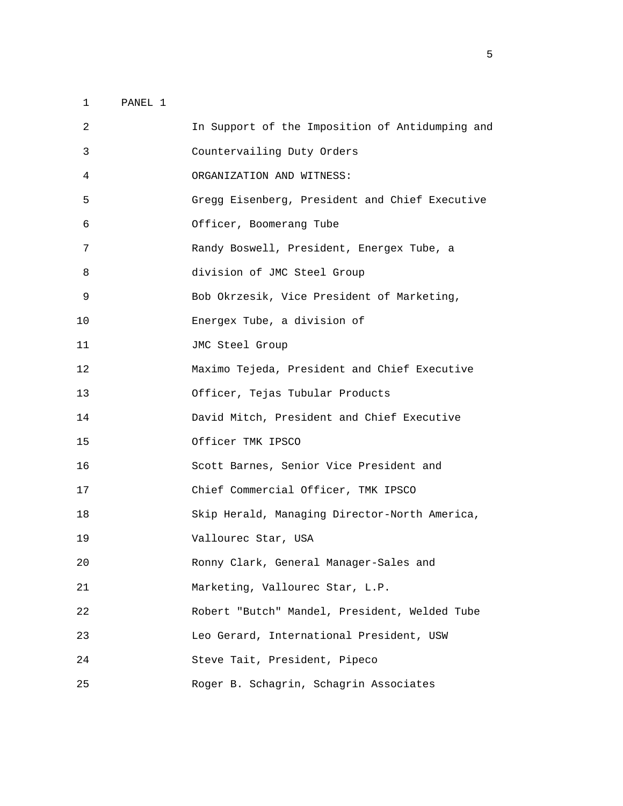| 2  | In Support of the Imposition of Antidumping and |
|----|-------------------------------------------------|
| 3  | Countervailing Duty Orders                      |
| 4  | ORGANIZATION AND WITNESS:                       |
| 5  | Gregg Eisenberg, President and Chief Executive  |
| 6  | Officer, Boomerang Tube                         |
| 7  | Randy Boswell, President, Energex Tube, a       |
| 8  | division of JMC Steel Group                     |
| 9  | Bob Okrzesik, Vice President of Marketing,      |
| 10 | Energex Tube, a division of                     |
| 11 | JMC Steel Group                                 |
| 12 | Maximo Tejeda, President and Chief Executive    |
| 13 | Officer, Tejas Tubular Products                 |
| 14 | David Mitch, President and Chief Executive      |
| 15 | Officer TMK IPSCO                               |
| 16 | Scott Barnes, Senior Vice President and         |
| 17 | Chief Commercial Officer, TMK IPSCO             |
| 18 | Skip Herald, Managing Director-North America,   |
| 19 | Vallourec Star, USA                             |
| 20 | Ronny Clark, General Manager-Sales and          |
| 21 | Marketing, Vallourec Star, L.P.                 |
| 22 | Robert "Butch" Mandel, President, Welded Tube   |
| 23 | Leo Gerard, International President, USW        |
| 24 | Steve Tait, President, Pipeco                   |
| 25 | Roger B. Schagrin, Schagrin Associates          |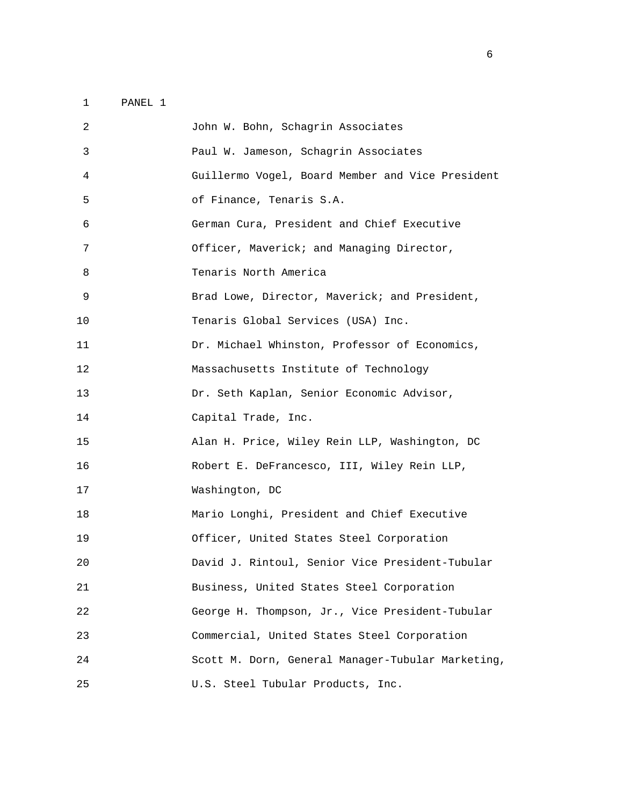| 2  | John W. Bohn, Schagrin Associates                 |
|----|---------------------------------------------------|
| 3  | Paul W. Jameson, Schagrin Associates              |
| 4  | Guillermo Vogel, Board Member and Vice President  |
| 5  | of Finance, Tenaris S.A.                          |
| 6  | German Cura, President and Chief Executive        |
| 7  | Officer, Maverick; and Managing Director,         |
| 8  | Tenaris North America                             |
| 9  | Brad Lowe, Director, Maverick; and President,     |
| 10 | Tenaris Global Services (USA) Inc.                |
| 11 | Dr. Michael Whinston, Professor of Economics,     |
| 12 | Massachusetts Institute of Technology             |
| 13 | Dr. Seth Kaplan, Senior Economic Advisor,         |
| 14 | Capital Trade, Inc.                               |
| 15 | Alan H. Price, Wiley Rein LLP, Washington, DC     |
| 16 | Robert E. DeFrancesco, III, Wiley Rein LLP,       |
| 17 | Washington, DC                                    |
| 18 | Mario Longhi, President and Chief Executive       |
| 19 | Officer, United States Steel Corporation          |
| 20 | David J. Rintoul, Senior Vice President-Tubular   |
| 21 | Business, United States Steel Corporation         |
| 22 | George H. Thompson, Jr., Vice President-Tubular   |
| 23 | Commercial, United States Steel Corporation       |
| 24 | Scott M. Dorn, General Manager-Tubular Marketing, |
| 25 | U.S. Steel Tubular Products, Inc.                 |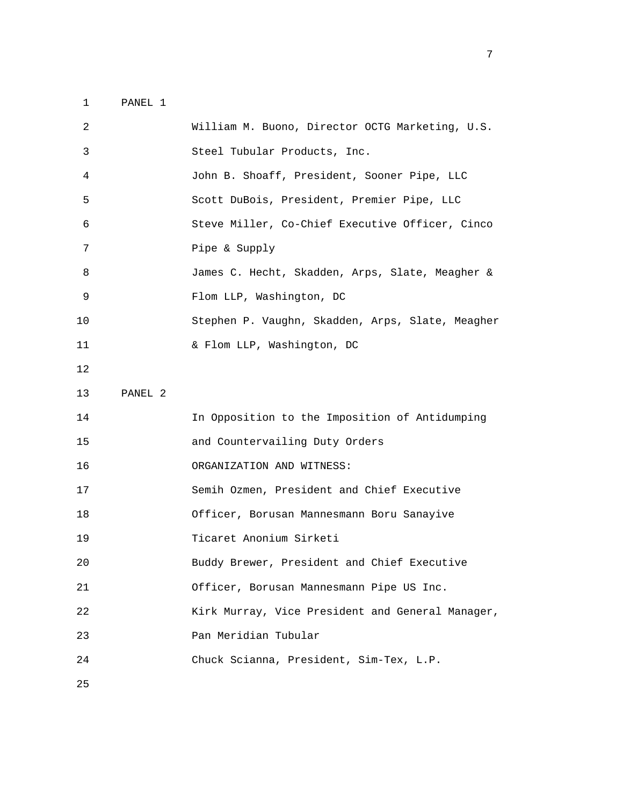| 2  |         | William M. Buono, Director OCTG Marketing, U.S.  |
|----|---------|--------------------------------------------------|
| 3  |         | Steel Tubular Products, Inc.                     |
| 4  |         | John B. Shoaff, President, Sooner Pipe, LLC      |
| 5  |         | Scott DuBois, President, Premier Pipe, LLC       |
| 6  |         | Steve Miller, Co-Chief Executive Officer, Cinco  |
| 7  |         | Pipe & Supply                                    |
| 8  |         | James C. Hecht, Skadden, Arps, Slate, Meagher &  |
| 9  |         | Flom LLP, Washington, DC                         |
| 10 |         | Stephen P. Vaughn, Skadden, Arps, Slate, Meagher |
| 11 |         | & Flom LLP, Washington, DC                       |
| 12 |         |                                                  |
| 13 | PANEL 2 |                                                  |
| 14 |         | In Opposition to the Imposition of Antidumping   |
| 15 |         | and Countervailing Duty Orders                   |
| 16 |         | ORGANIZATION AND WITNESS:                        |
| 17 |         | Semih Ozmen, President and Chief Executive       |
| 18 |         | Officer, Borusan Mannesmann Boru Sanayive        |
| 19 |         | Ticaret Anonium Sirketi                          |
| 20 |         | Buddy Brewer, President and Chief Executive      |
| 21 |         | Officer, Borusan Mannesmann Pipe US Inc.         |
| 22 |         | Kirk Murray, Vice President and General Manager, |
| 23 |         | Pan Meridian Tubular                             |
| 24 |         | Chuck Scianna, President, Sim-Tex, L.P.          |
|    |         |                                                  |

<u>2003: The contract of the contract of the contract of the contract of the contract of the contract of the con</u>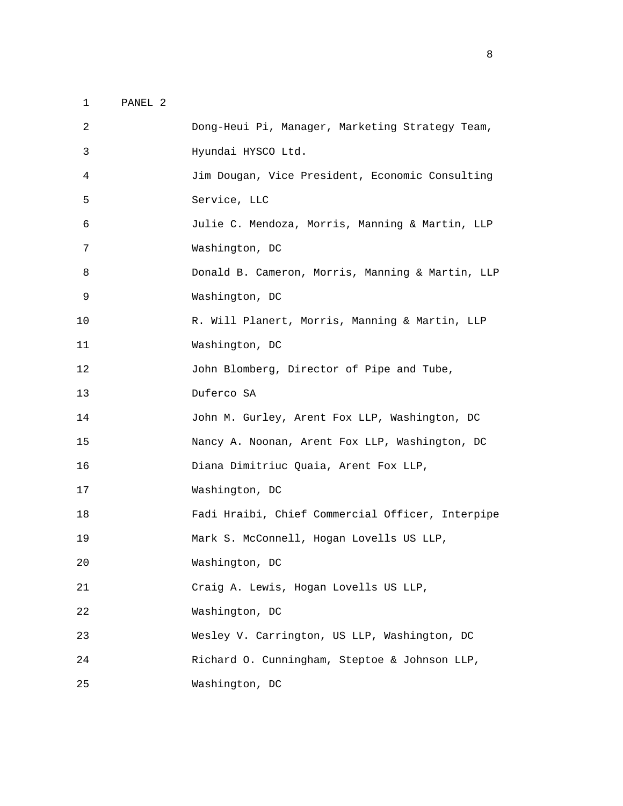| 2  | Dong-Heui Pi, Manager, Marketing Strategy Team,  |
|----|--------------------------------------------------|
| 3  | Hyundai HYSCO Ltd.                               |
| 4  | Jim Dougan, Vice President, Economic Consulting  |
| 5  | Service, LLC                                     |
| 6  | Julie C. Mendoza, Morris, Manning & Martin, LLP  |
| 7  | Washington, DC                                   |
| 8  | Donald B. Cameron, Morris, Manning & Martin, LLP |
| 9  | Washington, DC                                   |
| 10 | R. Will Planert, Morris, Manning & Martin, LLP   |
| 11 | Washington, DC                                   |
| 12 | John Blomberg, Director of Pipe and Tube,        |
| 13 | Duferco SA                                       |
| 14 | John M. Gurley, Arent Fox LLP, Washington, DC    |
| 15 | Nancy A. Noonan, Arent Fox LLP, Washington, DC   |
| 16 | Diana Dimitriuc Quaia, Arent Fox LLP,            |
|    |                                                  |
| 17 | Washington, DC                                   |
| 18 | Fadi Hraibi, Chief Commercial Officer, Interpipe |
| 19 | Mark S. McConnell, Hogan Lovells US LLP,         |
| 20 | Washington, DC                                   |
| 21 | Craig A. Lewis, Hogan Lovells US LLP,            |
| 22 | Washington, DC                                   |
| 23 | Wesley V. Carrington, US LLP, Washington, DC     |
| 24 | Richard O. Cunningham, Steptoe & Johnson LLP,    |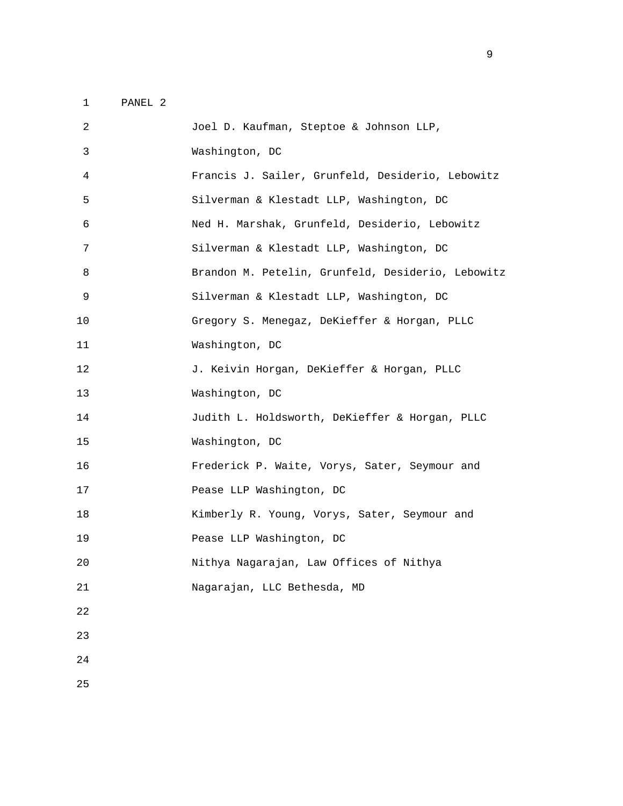| 2  | Joel D. Kaufman, Steptoe & Johnson LLP,           |
|----|---------------------------------------------------|
| 3  | Washington, DC                                    |
| 4  | Francis J. Sailer, Grunfeld, Desiderio, Lebowitz  |
| 5  | Silverman & Klestadt LLP, Washington, DC          |
| 6  | Ned H. Marshak, Grunfeld, Desiderio, Lebowitz     |
| 7  | Silverman & Klestadt LLP, Washington, DC          |
| 8  | Brandon M. Petelin, Grunfeld, Desiderio, Lebowitz |
| 9  | Silverman & Klestadt LLP, Washington, DC          |
| 10 | Gregory S. Menegaz, DeKieffer & Horgan, PLLC      |
| 11 | Washington, DC                                    |
| 12 | J. Keivin Horgan, DeKieffer & Horgan, PLLC        |
| 13 | Washington, DC                                    |
| 14 | Judith L. Holdsworth, DeKieffer & Horgan, PLLC    |
| 15 | Washington, DC                                    |
| 16 | Frederick P. Waite, Vorys, Sater, Seymour and     |
| 17 | Pease LLP Washington, DC                          |
| 18 | Kimberly R. Young, Vorys, Sater, Seymour and      |
| 19 | Pease LLP Washington, DC                          |
| 20 | Nithya Nagarajan, Law Offices of Nithya           |
| 21 | Nagarajan, LLC Bethesda, MD                       |
| 22 |                                                   |
| 23 |                                                   |
| 24 |                                                   |
|    |                                                   |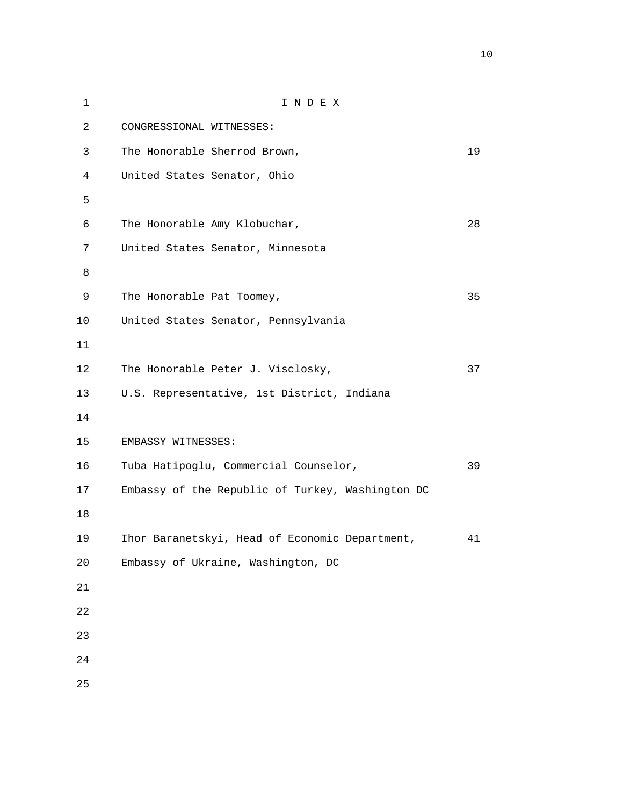| $\mathbf 1$    | INDEX                                            |    |
|----------------|--------------------------------------------------|----|
| $\overline{a}$ | CONGRESSIONAL WITNESSES:                         |    |
| $\mathsf{3}$   | The Honorable Sherrod Brown,                     | 19 |
| $\overline{4}$ | United States Senator, Ohio                      |    |
| 5              |                                                  |    |
| б              | The Honorable Amy Klobuchar,                     | 28 |
| 7              | United States Senator, Minnesota                 |    |
| 8              |                                                  |    |
| 9              | The Honorable Pat Toomey,                        | 35 |
| 10             | United States Senator, Pennsylvania              |    |
| 11             |                                                  |    |
| 12             | The Honorable Peter J. Visclosky,                | 37 |
| 13             | U.S. Representative, 1st District, Indiana       |    |
| 14             |                                                  |    |
| 15             | EMBASSY WITNESSES:                               |    |
| 16             | Tuba Hatipoglu, Commercial Counselor,            | 39 |
| 17             | Embassy of the Republic of Turkey, Washington DC |    |
| 18             |                                                  |    |
| 19             | Ihor Baranetskyi, Head of Economic Department,   | 41 |
| 20             | Embassy of Ukraine, Washington, DC               |    |
| $2\sqrt{1}$    |                                                  |    |
| 22             |                                                  |    |
| 23             |                                                  |    |
| 24             |                                                  |    |
| 25             |                                                  |    |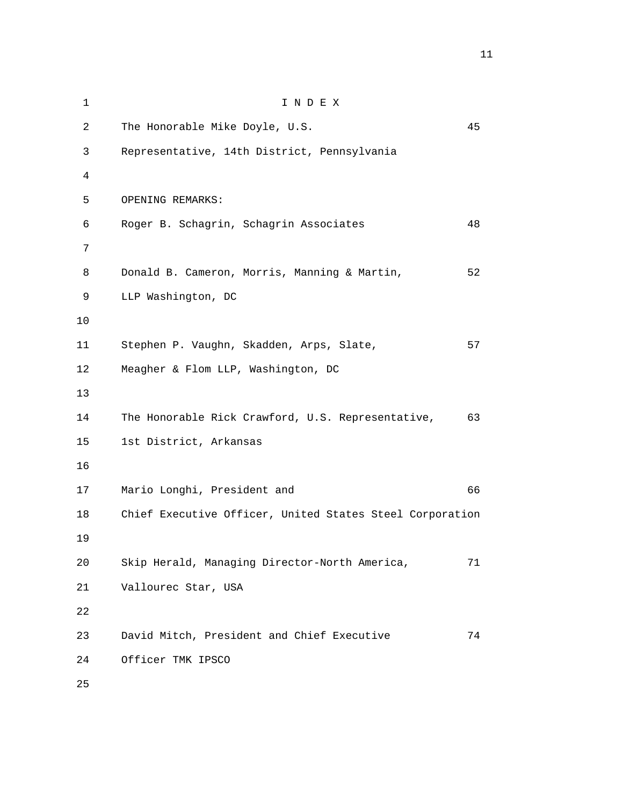1 I N D E X 2 The Honorable Mike Doyle, U.S. 45 3 Representative, 14th District, Pennsylvania 4 5 OPENING REMARKS: 6 Roger B. Schagrin, Schagrin Associates 48 7 8 Donald B. Cameron, Morris, Manning & Martin, 52 9 LLP Washington, DC 10 11 Stephen P. Vaughn, Skadden, Arps, Slate, 57 12 Meagher & Flom LLP, Washington, DC 13 14 The Honorable Rick Crawford, U.S. Representative, 63 15 1st District, Arkansas 16 17 Mario Longhi, President and 66 18 Chief Executive Officer, United States Steel Corporation 19 20 Skip Herald, Managing Director-North America, 71 21 Vallourec Star, USA 22 23 David Mitch, President and Chief Executive 74 24 Officer TMK IPSCO 25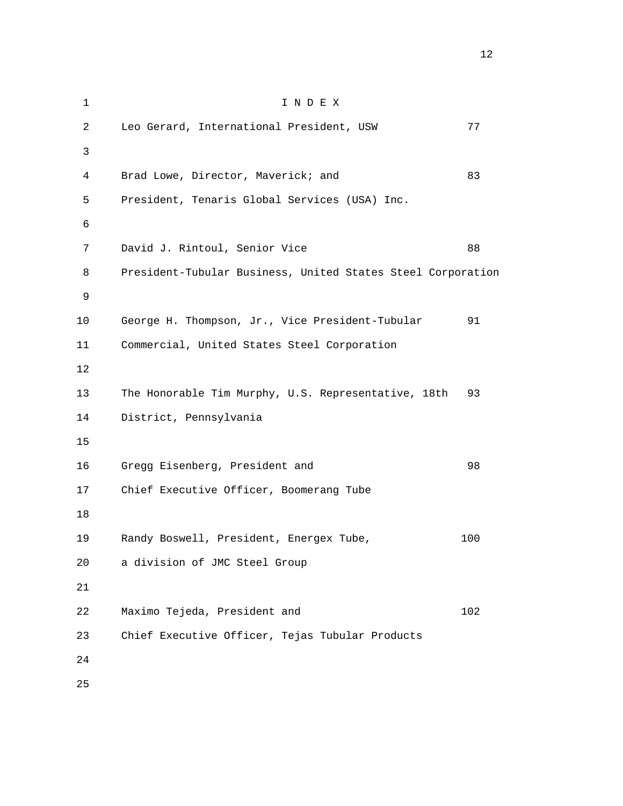1 I N D E X 2 Leo Gerard, International President, USW 77 3 4 Brad Lowe, Director, Maverick; and 83 5 President, Tenaris Global Services (USA) Inc. 6 7 David J. Rintoul, Senior Vice 88 8 President-Tubular Business, United States Steel Corporation 9 10 George H. Thompson, Jr., Vice President-Tubular 91 11 Commercial, United States Steel Corporation 12 13 The Honorable Tim Murphy, U.S. Representative, 18th 93 14 District, Pennsylvania 15 16 Gregg Eisenberg, President and 98 17 Chief Executive Officer, Boomerang Tube 18 19 Randy Boswell, President, Energex Tube, 100 20 a division of JMC Steel Group 21 22 Maximo Tejeda, President and 102 23 Chief Executive Officer, Tejas Tubular Products 24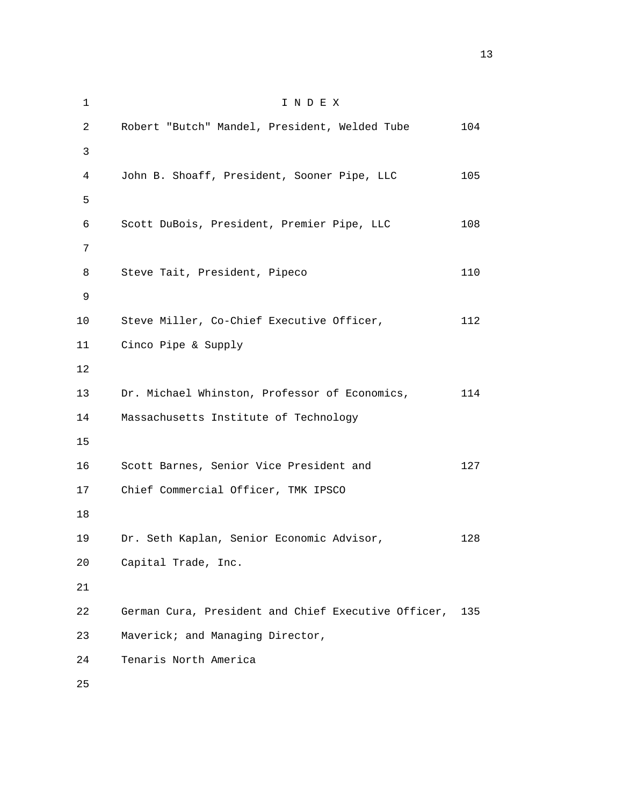1 I N D E X 2 Robert "Butch" Mandel, President, Welded Tube 104 3 4 John B. Shoaff, President, Sooner Pipe, LLC 105  $5<sub>5</sub>$  6 Scott DuBois, President, Premier Pipe, LLC 108 7 8 Steve Tait, President, Pipeco 110 9 10 Steve Miller, Co-Chief Executive Officer, 112 11 Cinco Pipe & Supply 12 13 Dr. Michael Whinston, Professor of Economics, 114 14 Massachusetts Institute of Technology 15 16 Scott Barnes, Senior Vice President and 127 17 Chief Commercial Officer, TMK IPSCO 18 19 Dr. Seth Kaplan, Senior Economic Advisor, 128 20 Capital Trade, Inc. 21 22 German Cura, President and Chief Executive Officer, 135 23 Maverick; and Managing Director, 24 Tenaris North America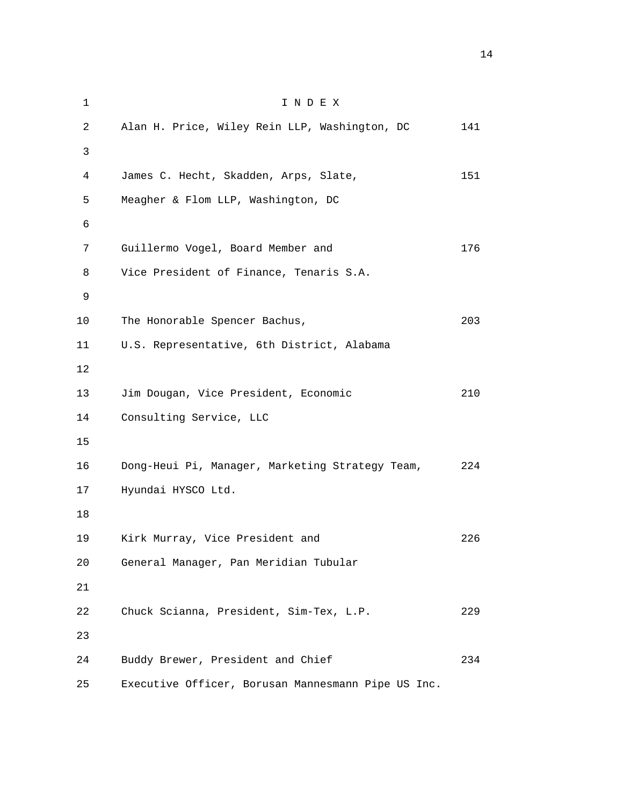1 I N D E X 2 Alan H. Price, Wiley Rein LLP, Washington, DC 141 3 4 James C. Hecht, Skadden, Arps, Slate, 151 5 Meagher & Flom LLP, Washington, DC 6 7 Guillermo Vogel, Board Member and 176 8 Vice President of Finance, Tenaris S.A. 9 10 The Honorable Spencer Bachus, 203 11 U.S. Representative, 6th District, Alabama 12 13 Jim Dougan, Vice President, Economic 210 14 Consulting Service, LLC 15 16 Dong-Heui Pi, Manager, Marketing Strategy Team, 224 17 Hyundai HYSCO Ltd. 18 19 Kirk Murray, Vice President and 226 20 General Manager, Pan Meridian Tubular 21 22 Chuck Scianna, President, Sim-Tex, L.P. 229 23 24 Buddy Brewer, President and Chief 234 25 Executive Officer, Borusan Mannesmann Pipe US Inc.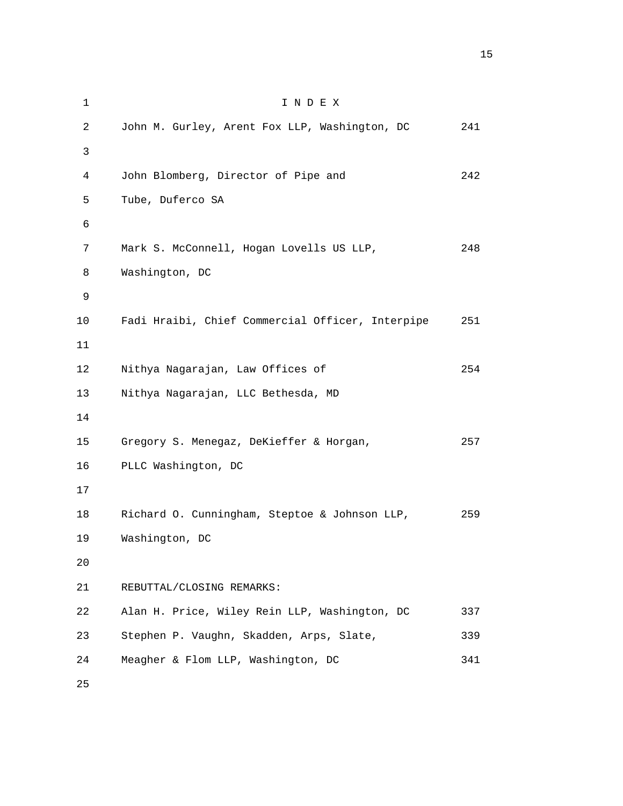1 I N D E X 2 John M. Gurley, Arent Fox LLP, Washington, DC 241 3 4 John Blomberg, Director of Pipe and 242 5 Tube, Duferco SA 6 7 Mark S. McConnell, Hogan Lovells US LLP, 248 8 Washington, DC 9 10 Fadi Hraibi, Chief Commercial Officer, Interpipe 251 11 12 Nithya Nagarajan, Law Offices of 254 13 Nithya Nagarajan, LLC Bethesda, MD 14 15 Gregory S. Menegaz, DeKieffer & Horgan, 257 16 PLLC Washington, DC 17 18 Richard O. Cunningham, Steptoe & Johnson LLP, 259 19 Washington, DC 20 21 REBUTTAL/CLOSING REMARKS: 22 Alan H. Price, Wiley Rein LLP, Washington, DC 337 23 Stephen P. Vaughn, Skadden, Arps, Slate, 339 24 Meagher & Flom LLP, Washington, DC 341 25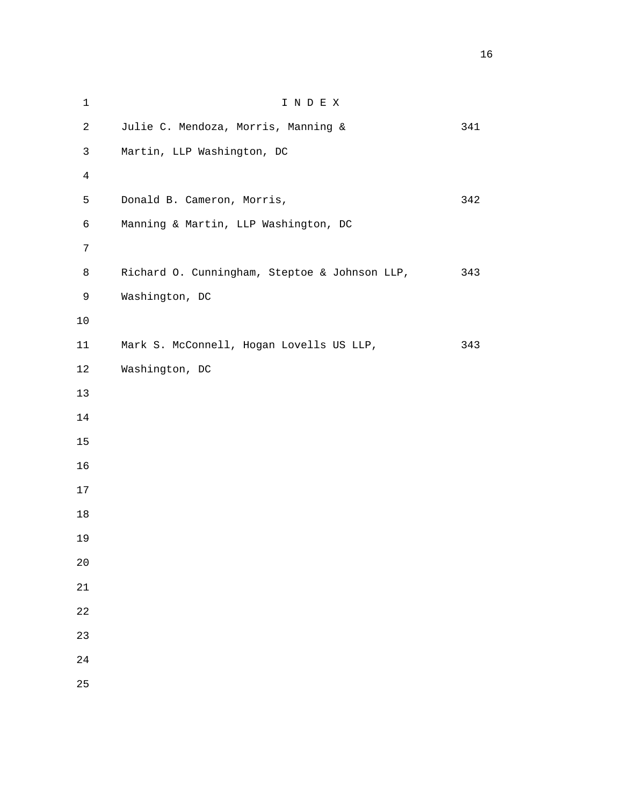| $\mathbf 1$    | INDEX                                         |     |
|----------------|-----------------------------------------------|-----|
| $\overline{c}$ | Julie C. Mendoza, Morris, Manning &           | 341 |
| $\mathbf{3}$   | Martin, LLP Washington, DC                    |     |
| $\overline{4}$ |                                               |     |
| 5              | Donald B. Cameron, Morris,                    | 342 |
| 6              | Manning & Martin, LLP Washington, DC          |     |
| 7              |                                               |     |
| 8              | Richard O. Cunningham, Steptoe & Johnson LLP, | 343 |
| $\mathsf 9$    | Washington, DC                                |     |
| $10$           |                                               |     |
| 11             | Mark S. McConnell, Hogan Lovells US LLP,      | 343 |
| 12             | Washington, DC                                |     |
| 13             |                                               |     |
| $14$           |                                               |     |
| $15$           |                                               |     |
| 16             |                                               |     |
| 17             |                                               |     |
| 18             |                                               |     |
| 19             |                                               |     |
| 20             |                                               |     |
| 21             |                                               |     |
| 22             |                                               |     |
| 23             |                                               |     |
| 24             |                                               |     |
| 25             |                                               |     |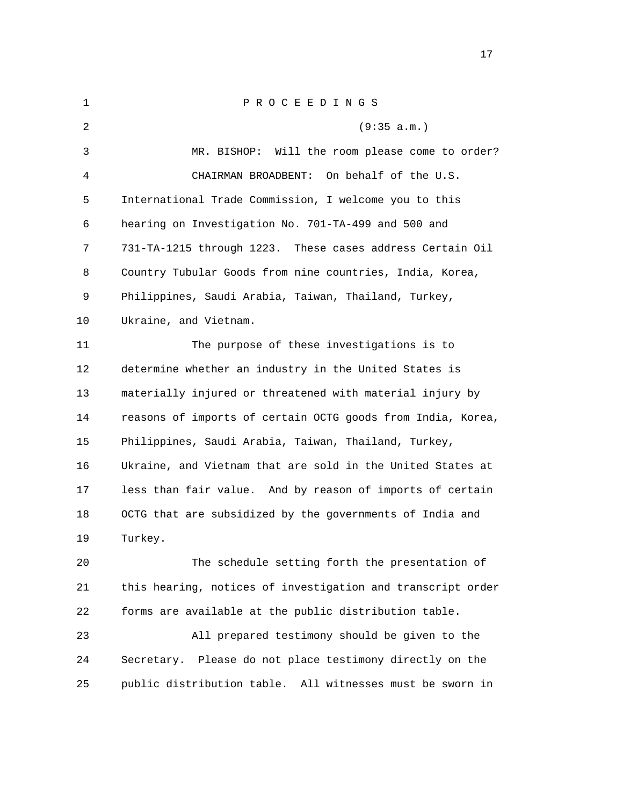| 1  | PROCEEDINGS                                                 |
|----|-------------------------------------------------------------|
| 2  | (9:35 a.m.)                                                 |
| 3  | MR. BISHOP: Will the room please come to order?             |
| 4  | CHAIRMAN BROADBENT:<br>On behalf of the U.S.                |
| 5  | International Trade Commission, I welcome you to this       |
| 6  | hearing on Investigation No. 701-TA-499 and 500 and         |
| 7  | 731-TA-1215 through 1223. These cases address Certain Oil   |
| 8  | Country Tubular Goods from nine countries, India, Korea,    |
| 9  | Philippines, Saudi Arabia, Taiwan, Thailand, Turkey,        |
| 10 | Ukraine, and Vietnam.                                       |
| 11 | The purpose of these investigations is to                   |
| 12 | determine whether an industry in the United States is       |
| 13 | materially injured or threatened with material injury by    |
| 14 | reasons of imports of certain OCTG goods from India, Korea, |
| 15 | Philippines, Saudi Arabia, Taiwan, Thailand, Turkey,        |
| 16 | Ukraine, and Vietnam that are sold in the United States at  |
| 17 | less than fair value. And by reason of imports of certain   |
| 18 | OCTG that are subsidized by the governments of India and    |
| 19 | Turkey.                                                     |
| 20 | The schedule setting forth the presentation of              |
| 21 | this hearing, notices of investigation and transcript order |
| 22 | forms are available at the public distribution table.       |
| 23 | All prepared testimony should be given to the               |

 24 Secretary. Please do not place testimony directly on the 25 public distribution table. All witnesses must be sworn in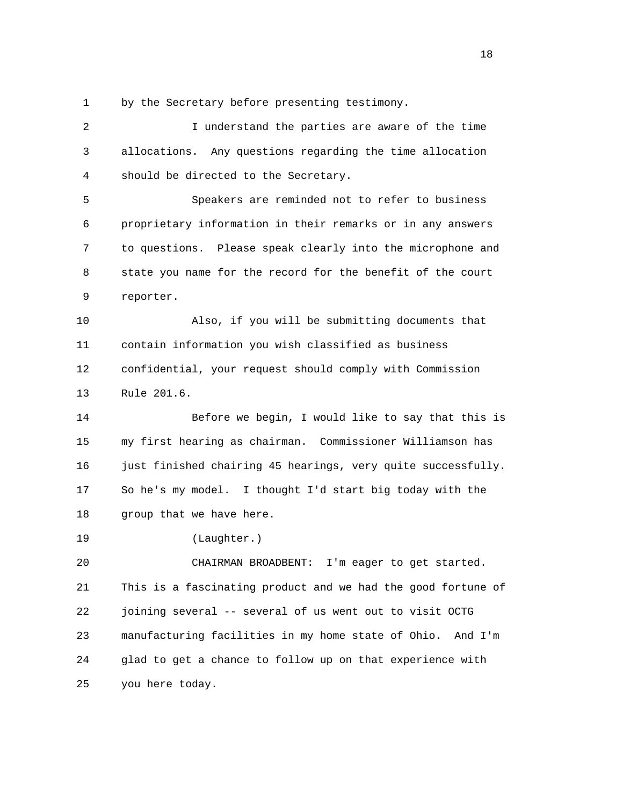1 by the Secretary before presenting testimony.

 2 I understand the parties are aware of the time 3 allocations. Any questions regarding the time allocation 4 should be directed to the Secretary. 5 Speakers are reminded not to refer to business 6 proprietary information in their remarks or in any answers 7 to questions. Please speak clearly into the microphone and 8 state you name for the record for the benefit of the court 9 reporter. 10 Also, if you will be submitting documents that 11 contain information you wish classified as business 12 confidential, your request should comply with Commission 13 Rule 201.6. 14 Before we begin, I would like to say that this is 15 my first hearing as chairman. Commissioner Williamson has 16 just finished chairing 45 hearings, very quite successfully. 17 So he's my model. I thought I'd start big today with the 18 group that we have here. 19 (Laughter.) 20 CHAIRMAN BROADBENT: I'm eager to get started. 21 This is a fascinating product and we had the good fortune of 22 joining several -- several of us went out to visit OCTG 23 manufacturing facilities in my home state of Ohio. And I'm 24 glad to get a chance to follow up on that experience with 25 you here today.

n 18 ann an 18 an t-Iomraid ann an 18 an t-Iomraid ann an 18 an t-Iomraid ann an 18 an t-Iomraid ann an 18 an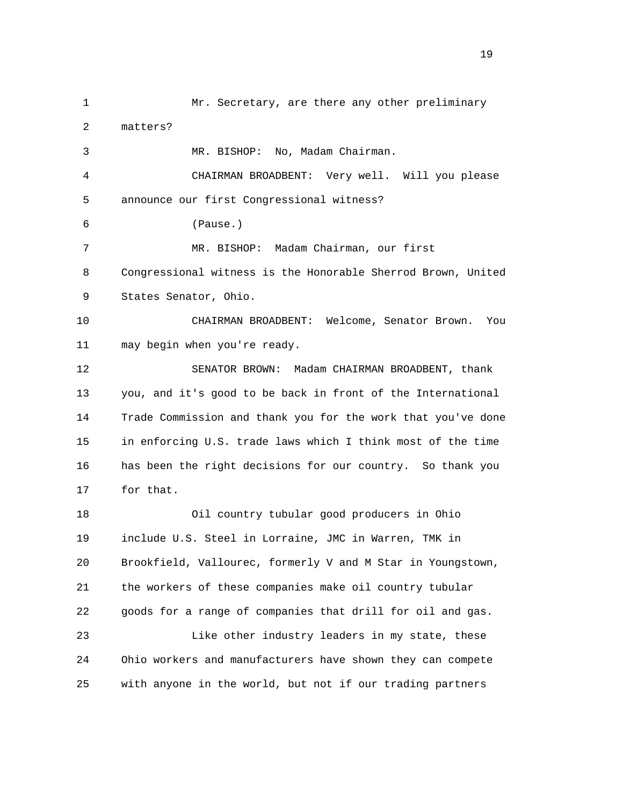1 Mr. Secretary, are there any other preliminary 2 matters? 3 MR. BISHOP: No, Madam Chairman. 4 CHAIRMAN BROADBENT: Very well. Will you please 5 announce our first Congressional witness? 6 (Pause.) 7 MR. BISHOP: Madam Chairman, our first 8 Congressional witness is the Honorable Sherrod Brown, United 9 States Senator, Ohio. 10 CHAIRMAN BROADBENT: Welcome, Senator Brown. You 11 may begin when you're ready. 12 SENATOR BROWN: Madam CHAIRMAN BROADBENT, thank 13 you, and it's good to be back in front of the International 14 Trade Commission and thank you for the work that you've done 15 in enforcing U.S. trade laws which I think most of the time 16 has been the right decisions for our country. So thank you 17 for that. 18 Oil country tubular good producers in Ohio 19 include U.S. Steel in Lorraine, JMC in Warren, TMK in 20 Brookfield, Vallourec, formerly V and M Star in Youngstown, 21 the workers of these companies make oil country tubular 22 goods for a range of companies that drill for oil and gas. 23 Like other industry leaders in my state, these 24 Ohio workers and manufacturers have shown they can compete 25 with anyone in the world, but not if our trading partners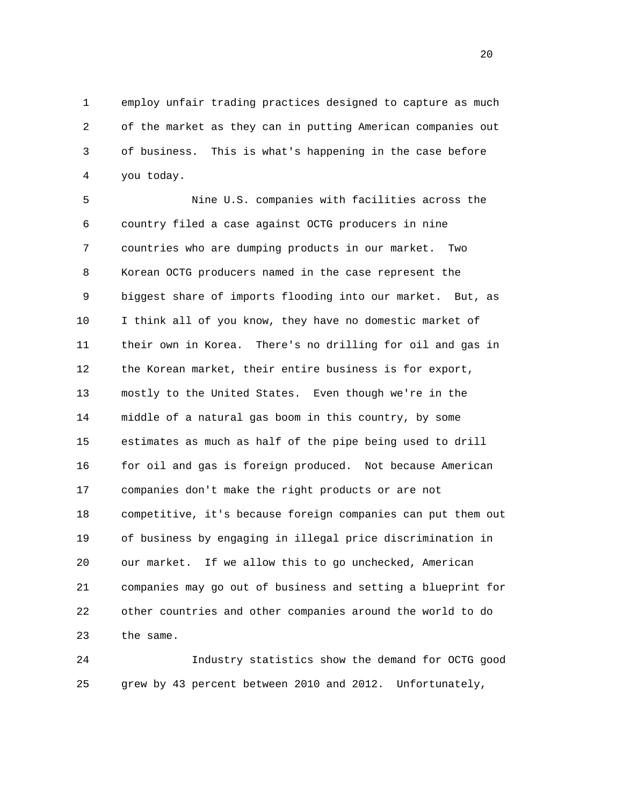1 employ unfair trading practices designed to capture as much 2 of the market as they can in putting American companies out 3 of business. This is what's happening in the case before 4 you today.

 5 Nine U.S. companies with facilities across the 6 country filed a case against OCTG producers in nine 7 countries who are dumping products in our market. Two 8 Korean OCTG producers named in the case represent the 9 biggest share of imports flooding into our market. But, as 10 I think all of you know, they have no domestic market of 11 their own in Korea. There's no drilling for oil and gas in 12 the Korean market, their entire business is for export, 13 mostly to the United States. Even though we're in the 14 middle of a natural gas boom in this country, by some 15 estimates as much as half of the pipe being used to drill 16 for oil and gas is foreign produced. Not because American 17 companies don't make the right products or are not 18 competitive, it's because foreign companies can put them out 19 of business by engaging in illegal price discrimination in 20 our market. If we allow this to go unchecked, American 21 companies may go out of business and setting a blueprint for 22 other countries and other companies around the world to do 23 the same.

 24 Industry statistics show the demand for OCTG good 25 grew by 43 percent between 2010 and 2012. Unfortunately,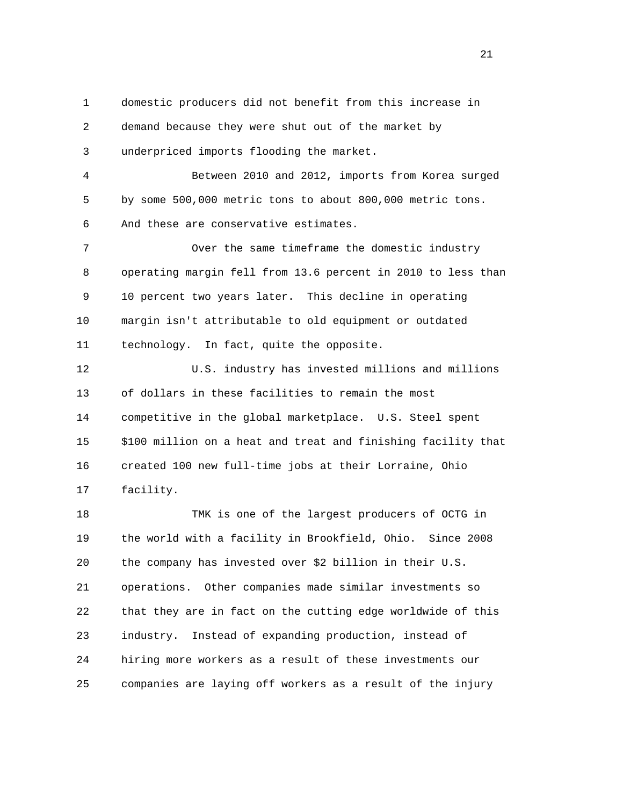1 domestic producers did not benefit from this increase in 2 demand because they were shut out of the market by 3 underpriced imports flooding the market. 4 Between 2010 and 2012, imports from Korea surged 5 by some 500,000 metric tons to about 800,000 metric tons. 6 And these are conservative estimates. 7 Over the same timeframe the domestic industry 8 operating margin fell from 13.6 percent in 2010 to less than 9 10 percent two years later. This decline in operating 10 margin isn't attributable to old equipment or outdated 11 technology. In fact, quite the opposite. 12 U.S. industry has invested millions and millions 13 of dollars in these facilities to remain the most 14 competitive in the global marketplace. U.S. Steel spent 15 \$100 million on a heat and treat and finishing facility that 16 created 100 new full-time jobs at their Lorraine, Ohio 17 facility. 18 TMK is one of the largest producers of OCTG in 19 the world with a facility in Brookfield, Ohio. Since 2008 20 the company has invested over \$2 billion in their U.S. 21 operations. Other companies made similar investments so 22 that they are in fact on the cutting edge worldwide of this 23 industry. Instead of expanding production, instead of 24 hiring more workers as a result of these investments our 25 companies are laying off workers as a result of the injury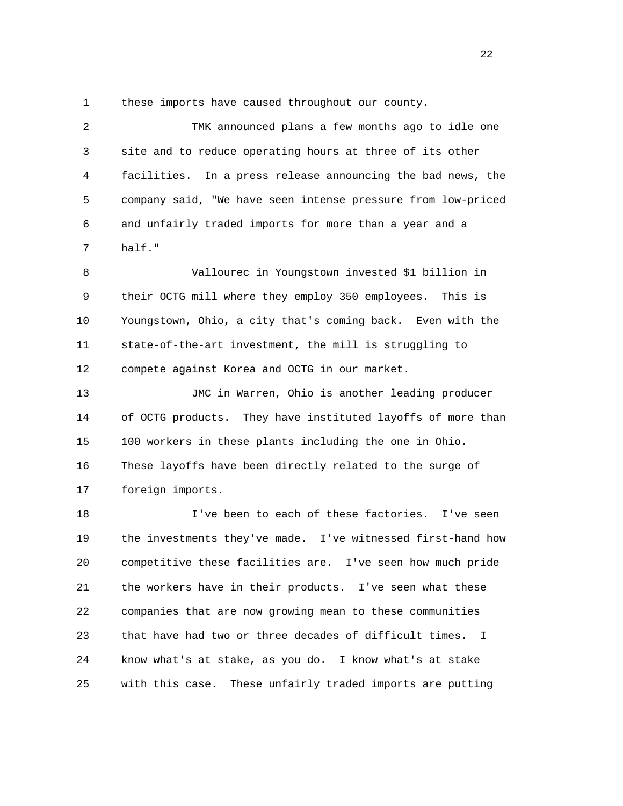1 these imports have caused throughout our county.

| $\overline{2}$ | TMK announced plans a few months ago to idle one                   |
|----------------|--------------------------------------------------------------------|
| 3              | site and to reduce operating hours at three of its other           |
| 4              | facilities. In a press release announcing the bad news, the        |
| 5              | company said, "We have seen intense pressure from low-priced       |
| 6              | and unfairly traded imports for more than a year and a             |
| 7              | half."                                                             |
| 8              | Vallourec in Youngstown invested \$1 billion in                    |
| 9              | their OCTG mill where they employ 350 employees. This is           |
| 10             | Youngstown, Ohio, a city that's coming back. Even with the         |
| 11             | state-of-the-art investment, the mill is struggling to             |
| 12             | compete against Korea and OCTG in our market.                      |
| 13             | JMC in Warren, Ohio is another leading producer                    |
| 14             | of OCTG products. They have instituted layoffs of more than        |
| 15             | 100 workers in these plants including the one in Ohio.             |
| 16             | These layoffs have been directly related to the surge of           |
| 17             | foreign imports.                                                   |
| 18             | I've been to each of these factories. I've seen                    |
| 19             | the investments they've made. I've witnessed first-hand how        |
| 20             | competitive these facilities are.<br>I've seen how much pride      |
| 21             | the workers have in their products. I've seen what these           |
| 22             | companies that are now growing mean to these communities           |
| 23             | that have had two or three decades of difficult times.<br><b>I</b> |
| 24             | know what's at stake, as you do. I know what's at stake            |
| 25             | with this case.<br>These unfairly traded imports are putting       |

22 a set of the state of the state of the state of the state of the state of the state of the state of the state of the state of the state of the state of the state of the state of the state of the state of the state of th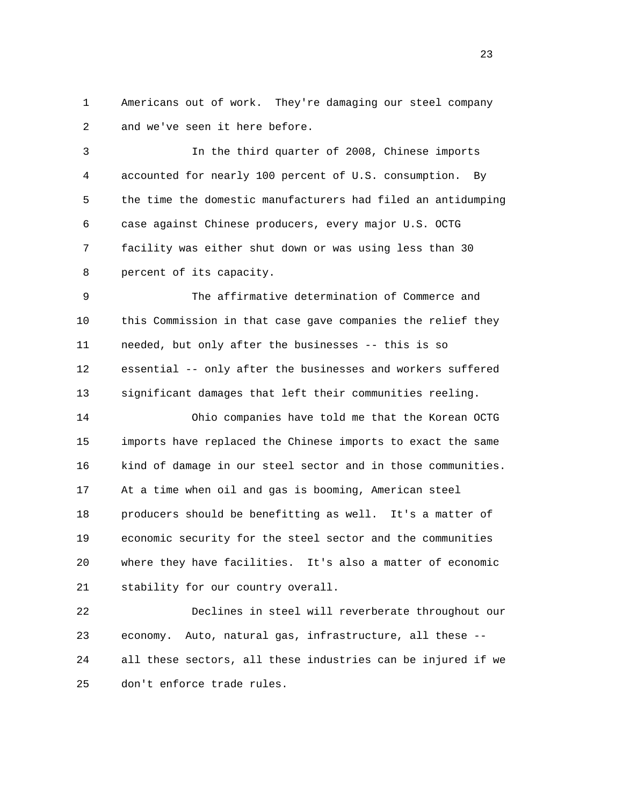1 Americans out of work. They're damaging our steel company 2 and we've seen it here before.

 3 In the third quarter of 2008, Chinese imports 4 accounted for nearly 100 percent of U.S. consumption. By 5 the time the domestic manufacturers had filed an antidumping 6 case against Chinese producers, every major U.S. OCTG 7 facility was either shut down or was using less than 30 8 percent of its capacity.

 9 The affirmative determination of Commerce and 10 this Commission in that case gave companies the relief they 11 needed, but only after the businesses -- this is so 12 essential -- only after the businesses and workers suffered 13 significant damages that left their communities reeling.

 14 Ohio companies have told me that the Korean OCTG 15 imports have replaced the Chinese imports to exact the same 16 kind of damage in our steel sector and in those communities. 17 At a time when oil and gas is booming, American steel 18 producers should be benefitting as well. It's a matter of 19 economic security for the steel sector and the communities 20 where they have facilities. It's also a matter of economic 21 stability for our country overall.

 22 Declines in steel will reverberate throughout our 23 economy. Auto, natural gas, infrastructure, all these -- 24 all these sectors, all these industries can be injured if we 25 don't enforce trade rules.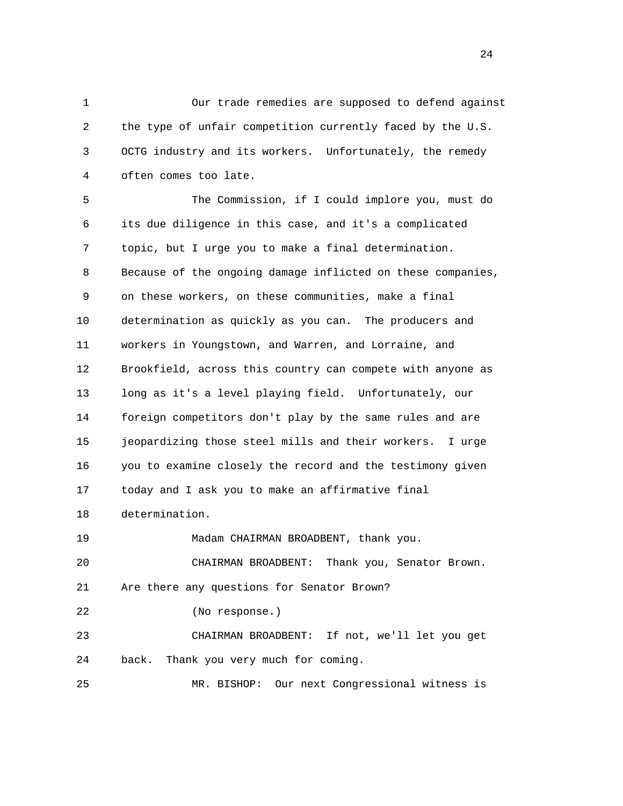1 Our trade remedies are supposed to defend against 2 the type of unfair competition currently faced by the U.S. 3 OCTG industry and its workers. Unfortunately, the remedy 4 often comes too late.

 5 The Commission, if I could implore you, must do 6 its due diligence in this case, and it's a complicated 7 topic, but I urge you to make a final determination. 8 Because of the ongoing damage inflicted on these companies, 9 on these workers, on these communities, make a final 10 determination as quickly as you can. The producers and 11 workers in Youngstown, and Warren, and Lorraine, and 12 Brookfield, across this country can compete with anyone as 13 long as it's a level playing field. Unfortunately, our 14 foreign competitors don't play by the same rules and are 15 jeopardizing those steel mills and their workers. I urge 16 you to examine closely the record and the testimony given 17 today and I ask you to make an affirmative final 18 determination. 19 Madam CHAIRMAN BROADBENT, thank you. 20 CHAIRMAN BROADBENT: Thank you, Senator Brown. 21 Are there any questions for Senator Brown? 22 (No response.) 23 CHAIRMAN BROADBENT: If not, we'll let you get 24 back. Thank you very much for coming. 25 MR. BISHOP: Our next Congressional witness is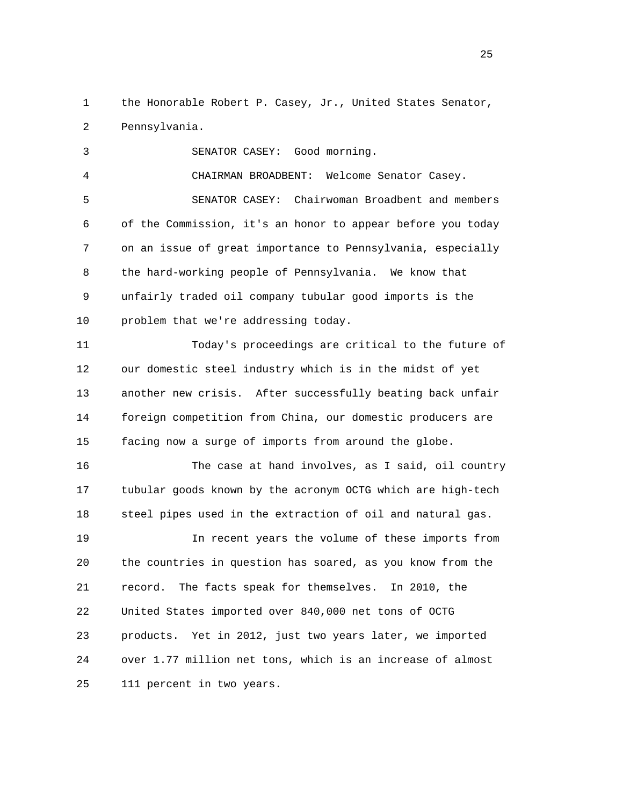1 the Honorable Robert P. Casey, Jr., United States Senator, 2 Pennsylvania.

 3 SENATOR CASEY: Good morning. 4 CHAIRMAN BROADBENT: Welcome Senator Casey. 5 SENATOR CASEY: Chairwoman Broadbent and members 6 of the Commission, it's an honor to appear before you today 7 on an issue of great importance to Pennsylvania, especially 8 the hard-working people of Pennsylvania. We know that 9 unfairly traded oil company tubular good imports is the 10 problem that we're addressing today.

 11 Today's proceedings are critical to the future of 12 our domestic steel industry which is in the midst of yet 13 another new crisis. After successfully beating back unfair 14 foreign competition from China, our domestic producers are 15 facing now a surge of imports from around the globe.

 16 The case at hand involves, as I said, oil country 17 tubular goods known by the acronym OCTG which are high-tech 18 steel pipes used in the extraction of oil and natural gas.

 19 In recent years the volume of these imports from 20 the countries in question has soared, as you know from the 21 record. The facts speak for themselves. In 2010, the 22 United States imported over 840,000 net tons of OCTG 23 products. Yet in 2012, just two years later, we imported 24 over 1.77 million net tons, which is an increase of almost 25 111 percent in two years.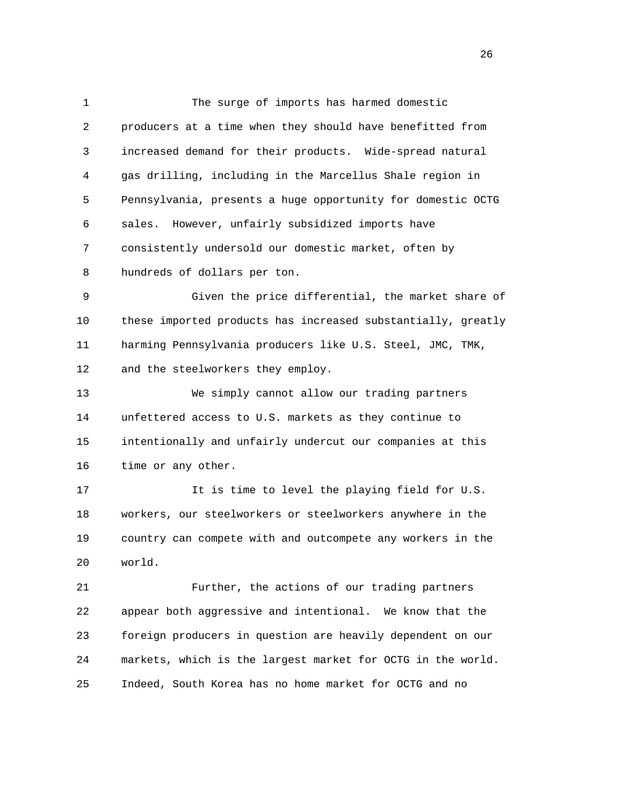1 The surge of imports has harmed domestic 2 producers at a time when they should have benefitted from 3 increased demand for their products. Wide-spread natural 4 gas drilling, including in the Marcellus Shale region in 5 Pennsylvania, presents a huge opportunity for domestic OCTG 6 sales. However, unfairly subsidized imports have 7 consistently undersold our domestic market, often by 8 hundreds of dollars per ton. 9 Given the price differential, the market share of

 10 these imported products has increased substantially, greatly 11 harming Pennsylvania producers like U.S. Steel, JMC, TMK, 12 and the steelworkers they employ.

 13 We simply cannot allow our trading partners 14 unfettered access to U.S. markets as they continue to 15 intentionally and unfairly undercut our companies at this 16 time or any other.

 17 It is time to level the playing field for U.S. 18 workers, our steelworkers or steelworkers anywhere in the 19 country can compete with and outcompete any workers in the 20 world.

 21 Further, the actions of our trading partners 22 appear both aggressive and intentional. We know that the 23 foreign producers in question are heavily dependent on our 24 markets, which is the largest market for OCTG in the world. 25 Indeed, South Korea has no home market for OCTG and no

<u>26</u>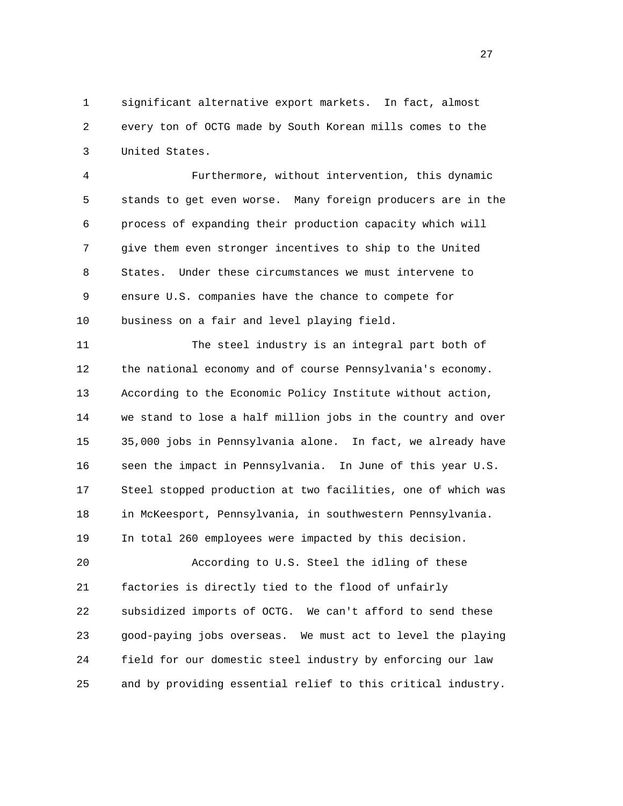1 significant alternative export markets. In fact, almost 2 every ton of OCTG made by South Korean mills comes to the 3 United States.

 4 Furthermore, without intervention, this dynamic 5 stands to get even worse. Many foreign producers are in the 6 process of expanding their production capacity which will 7 give them even stronger incentives to ship to the United 8 States. Under these circumstances we must intervene to 9 ensure U.S. companies have the chance to compete for 10 business on a fair and level playing field.

 11 The steel industry is an integral part both of 12 the national economy and of course Pennsylvania's economy. 13 According to the Economic Policy Institute without action, 14 we stand to lose a half million jobs in the country and over 15 35,000 jobs in Pennsylvania alone. In fact, we already have 16 seen the impact in Pennsylvania. In June of this year U.S. 17 Steel stopped production at two facilities, one of which was 18 in McKeesport, Pennsylvania, in southwestern Pennsylvania. 19 In total 260 employees were impacted by this decision.

 20 According to U.S. Steel the idling of these 21 factories is directly tied to the flood of unfairly 22 subsidized imports of OCTG. We can't afford to send these 23 good-paying jobs overseas. We must act to level the playing 24 field for our domestic steel industry by enforcing our law 25 and by providing essential relief to this critical industry.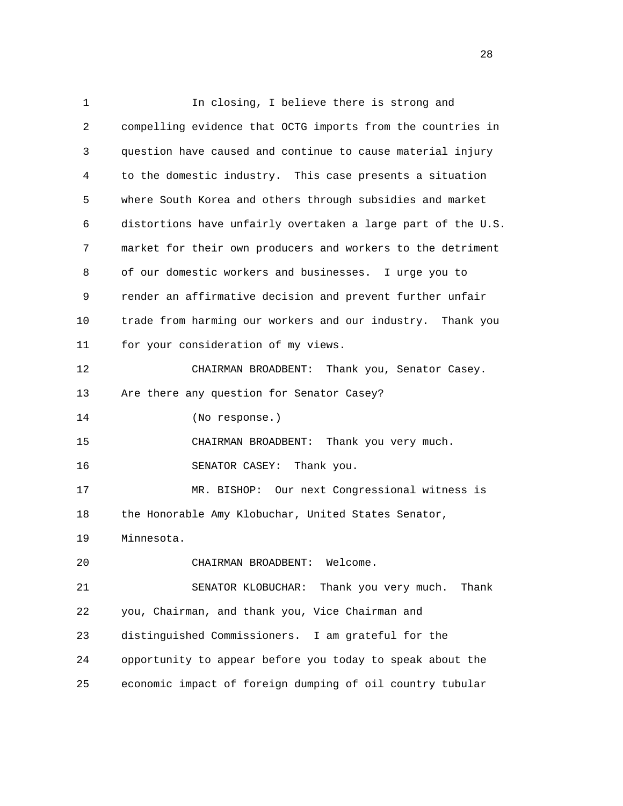| $\mathbf 1$ | In closing, I believe there is strong and                    |
|-------------|--------------------------------------------------------------|
| 2           | compelling evidence that OCTG imports from the countries in  |
| 3           | question have caused and continue to cause material injury   |
| 4           | to the domestic industry. This case presents a situation     |
| 5           | where South Korea and others through subsidies and market    |
| 6           | distortions have unfairly overtaken a large part of the U.S. |
| 7           | market for their own producers and workers to the detriment  |
| 8           | of our domestic workers and businesses. I urge you to        |
| 9           | render an affirmative decision and prevent further unfair    |
| 10          | trade from harming our workers and our industry. Thank you   |
| 11          | for your consideration of my views.                          |
| 12          | CHAIRMAN BROADBENT: Thank you, Senator Casey.                |
| 13          | Are there any question for Senator Casey?                    |
| 14          | (No response.)                                               |
| 15          | CHAIRMAN BROADBENT: Thank you very much.                     |
| 16          | SENATOR CASEY:<br>Thank you.                                 |
| 17          | MR. BISHOP: Our next Congressional witness is                |
| 18          | the Honorable Amy Klobuchar, United States Senator,          |
| 19          | Minnesota.                                                   |
| 20          | CHAIRMAN BROADBENT:<br>Welcome.                              |
| 21          | Thank you very much.<br>Thank<br>SENATOR KLOBUCHAR:          |
| 22          | you, Chairman, and thank you, Vice Chairman and              |
| 23          | distinguished Commissioners. I am grateful for the           |
| 24          | opportunity to appear before you today to speak about the    |
| 25          | economic impact of foreign dumping of oil country tubular    |

28 and 28 and 28 and 28 and 28 and 28 and 28 and 28 and 28 and 28 and 28 and 28 and 28 and 28 and 28 and 28 and 28 and 28 and 28 and 28 and 28 and 28 and 28 and 28 and 28 and 28 and 28 and 28 and 28 and 28 and 28 and 28 an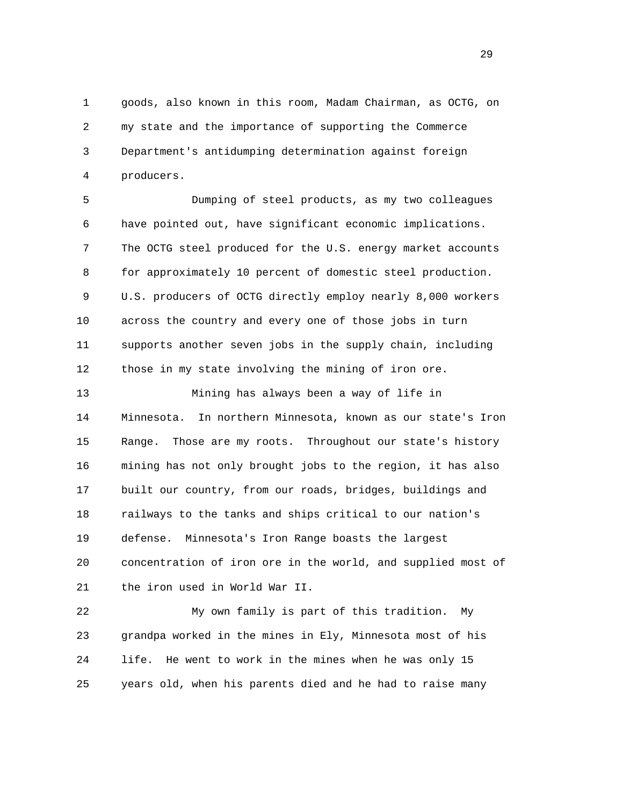1 goods, also known in this room, Madam Chairman, as OCTG, on 2 my state and the importance of supporting the Commerce 3 Department's antidumping determination against foreign 4 producers.

 5 Dumping of steel products, as my two colleagues 6 have pointed out, have significant economic implications. 7 The OCTG steel produced for the U.S. energy market accounts 8 for approximately 10 percent of domestic steel production. 9 U.S. producers of OCTG directly employ nearly 8,000 workers 10 across the country and every one of those jobs in turn 11 supports another seven jobs in the supply chain, including 12 those in my state involving the mining of iron ore.

 13 Mining has always been a way of life in 14 Minnesota. In northern Minnesota, known as our state's Iron 15 Range. Those are my roots. Throughout our state's history 16 mining has not only brought jobs to the region, it has also 17 built our country, from our roads, bridges, buildings and 18 railways to the tanks and ships critical to our nation's 19 defense. Minnesota's Iron Range boasts the largest 20 concentration of iron ore in the world, and supplied most of 21 the iron used in World War II.

 22 My own family is part of this tradition. My 23 grandpa worked in the mines in Ely, Minnesota most of his 24 life. He went to work in the mines when he was only 15 25 years old, when his parents died and he had to raise many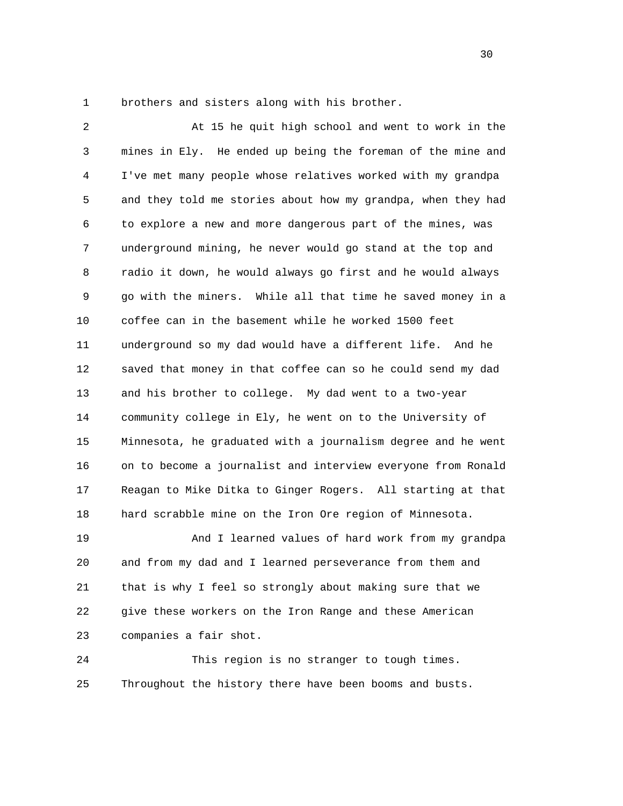1 brothers and sisters along with his brother.

 2 At 15 he quit high school and went to work in the 3 mines in Ely. He ended up being the foreman of the mine and 4 I've met many people whose relatives worked with my grandpa 5 and they told me stories about how my grandpa, when they had 6 to explore a new and more dangerous part of the mines, was 7 underground mining, he never would go stand at the top and 8 radio it down, he would always go first and he would always 9 go with the miners. While all that time he saved money in a 10 coffee can in the basement while he worked 1500 feet 11 underground so my dad would have a different life. And he 12 saved that money in that coffee can so he could send my dad 13 and his brother to college. My dad went to a two-year 14 community college in Ely, he went on to the University of 15 Minnesota, he graduated with a journalism degree and he went 16 on to become a journalist and interview everyone from Ronald 17 Reagan to Mike Ditka to Ginger Rogers. All starting at that 18 hard scrabble mine on the Iron Ore region of Minnesota. 19 And I learned values of hard work from my grandpa

 20 and from my dad and I learned perseverance from them and 21 that is why I feel so strongly about making sure that we 22 give these workers on the Iron Range and these American 23 companies a fair shot.

 24 This region is no stranger to tough times. 25 Throughout the history there have been booms and busts.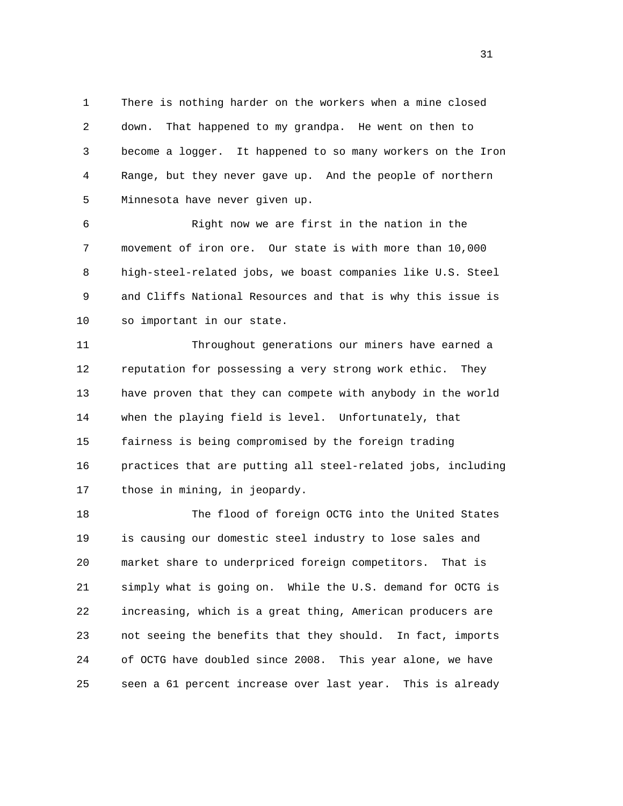1 There is nothing harder on the workers when a mine closed 2 down. That happened to my grandpa. He went on then to 3 become a logger. It happened to so many workers on the Iron 4 Range, but they never gave up. And the people of northern 5 Minnesota have never given up.

 6 Right now we are first in the nation in the 7 movement of iron ore. Our state is with more than 10,000 8 high-steel-related jobs, we boast companies like U.S. Steel 9 and Cliffs National Resources and that is why this issue is 10 so important in our state.

 11 Throughout generations our miners have earned a 12 reputation for possessing a very strong work ethic. They 13 have proven that they can compete with anybody in the world 14 when the playing field is level. Unfortunately, that 15 fairness is being compromised by the foreign trading 16 practices that are putting all steel-related jobs, including 17 those in mining, in jeopardy.

 18 The flood of foreign OCTG into the United States 19 is causing our domestic steel industry to lose sales and 20 market share to underpriced foreign competitors. That is 21 simply what is going on. While the U.S. demand for OCTG is 22 increasing, which is a great thing, American producers are 23 not seeing the benefits that they should. In fact, imports 24 of OCTG have doubled since 2008. This year alone, we have 25 seen a 61 percent increase over last year. This is already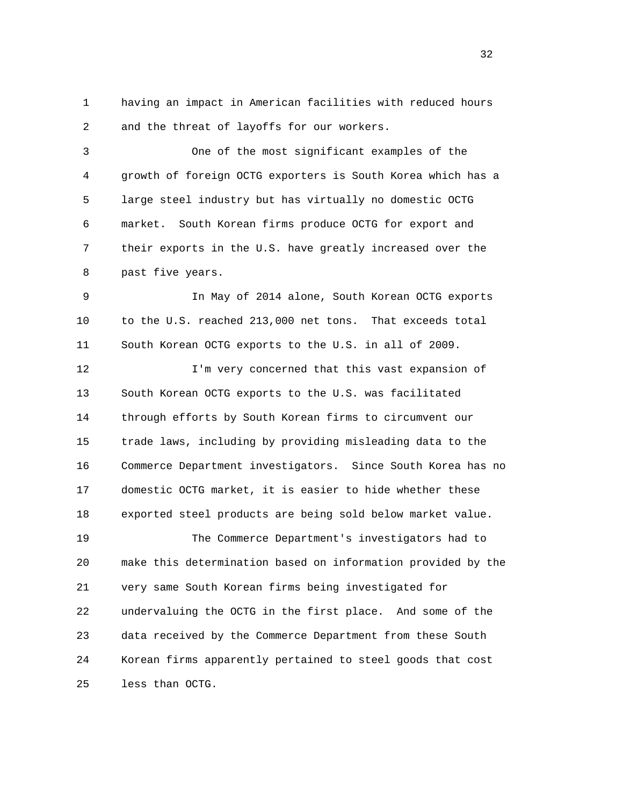1 having an impact in American facilities with reduced hours 2 and the threat of layoffs for our workers.

 3 One of the most significant examples of the 4 growth of foreign OCTG exporters is South Korea which has a 5 large steel industry but has virtually no domestic OCTG 6 market. South Korean firms produce OCTG for export and 7 their exports in the U.S. have greatly increased over the 8 past five years.

 9 In May of 2014 alone, South Korean OCTG exports 10 to the U.S. reached 213,000 net tons. That exceeds total 11 South Korean OCTG exports to the U.S. in all of 2009.

 12 I'm very concerned that this vast expansion of 13 South Korean OCTG exports to the U.S. was facilitated 14 through efforts by South Korean firms to circumvent our 15 trade laws, including by providing misleading data to the 16 Commerce Department investigators. Since South Korea has no 17 domestic OCTG market, it is easier to hide whether these 18 exported steel products are being sold below market value. 19 The Commerce Department's investigators had to

 20 make this determination based on information provided by the 21 very same South Korean firms being investigated for 22 undervaluing the OCTG in the first place. And some of the 23 data received by the Commerce Department from these South 24 Korean firms apparently pertained to steel goods that cost 25 less than OCTG.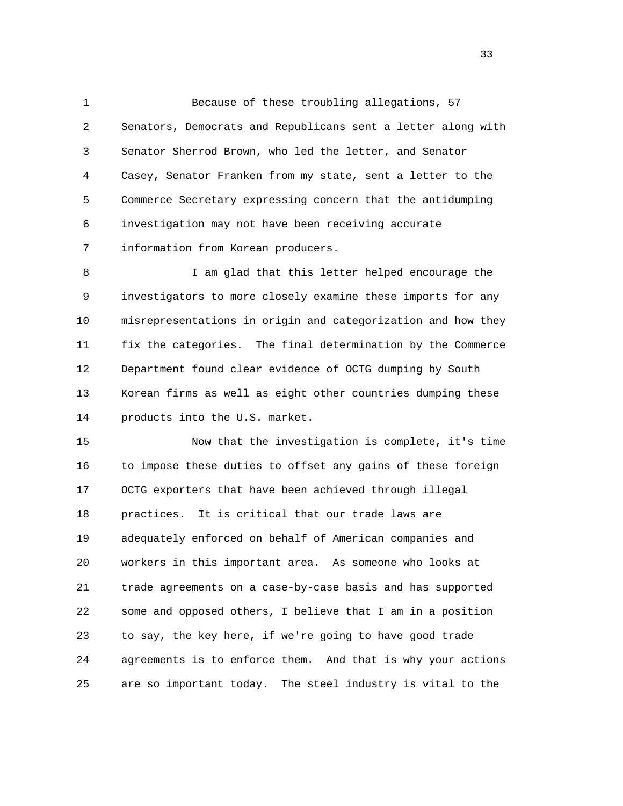1 Because of these troubling allegations, 57 2 Senators, Democrats and Republicans sent a letter along with 3 Senator Sherrod Brown, who led the letter, and Senator 4 Casey, Senator Franken from my state, sent a letter to the 5 Commerce Secretary expressing concern that the antidumping 6 investigation may not have been receiving accurate 7 information from Korean producers.

8 I am glad that this letter helped encourage the 9 investigators to more closely examine these imports for any 10 misrepresentations in origin and categorization and how they 11 fix the categories. The final determination by the Commerce 12 Department found clear evidence of OCTG dumping by South 13 Korean firms as well as eight other countries dumping these 14 products into the U.S. market.

 15 Now that the investigation is complete, it's time 16 to impose these duties to offset any gains of these foreign 17 OCTG exporters that have been achieved through illegal 18 practices. It is critical that our trade laws are 19 adequately enforced on behalf of American companies and 20 workers in this important area. As someone who looks at 21 trade agreements on a case-by-case basis and has supported 22 some and opposed others, I believe that I am in a position 23 to say, the key here, if we're going to have good trade 24 agreements is to enforce them. And that is why your actions 25 are so important today. The steel industry is vital to the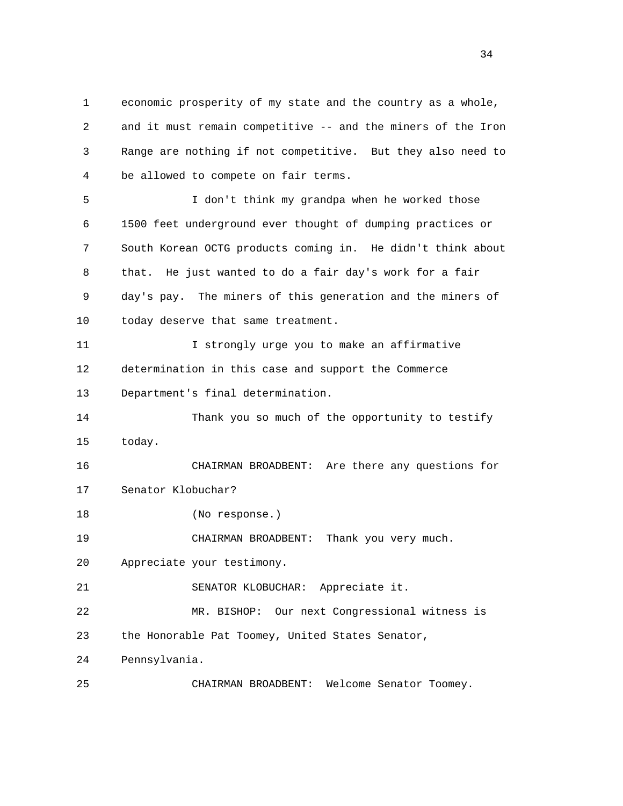1 economic prosperity of my state and the country as a whole, 2 and it must remain competitive -- and the miners of the Iron 3 Range are nothing if not competitive. But they also need to 4 be allowed to compete on fair terms.

 5 I don't think my grandpa when he worked those 6 1500 feet underground ever thought of dumping practices or 7 South Korean OCTG products coming in. He didn't think about 8 that. He just wanted to do a fair day's work for a fair 9 day's pay. The miners of this generation and the miners of 10 today deserve that same treatment.

 11 I strongly urge you to make an affirmative 12 determination in this case and support the Commerce 13 Department's final determination.

 14 Thank you so much of the opportunity to testify 15 today.

 16 CHAIRMAN BROADBENT: Are there any questions for 17 Senator Klobuchar? 18 (No response.) 19 CHAIRMAN BROADBENT: Thank you very much.

20 Appreciate your testimony.

21 SENATOR KLOBUCHAR: Appreciate it.

 22 MR. BISHOP: Our next Congressional witness is 23 the Honorable Pat Toomey, United States Senator,

24 Pennsylvania.

25 CHAIRMAN BROADBENT: Welcome Senator Toomey.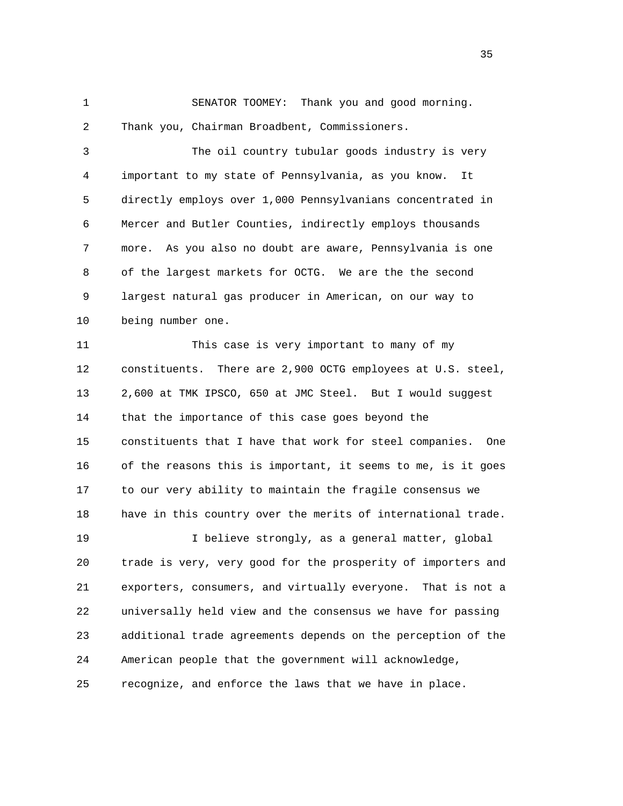1 SENATOR TOOMEY: Thank you and good morning. 2 Thank you, Chairman Broadbent, Commissioners.

 3 The oil country tubular goods industry is very 4 important to my state of Pennsylvania, as you know. It 5 directly employs over 1,000 Pennsylvanians concentrated in 6 Mercer and Butler Counties, indirectly employs thousands 7 more. As you also no doubt are aware, Pennsylvania is one 8 of the largest markets for OCTG. We are the the second 9 largest natural gas producer in American, on our way to 10 being number one.

11 This case is very important to many of my 12 constituents. There are 2,900 OCTG employees at U.S. steel, 13 2,600 at TMK IPSCO, 650 at JMC Steel. But I would suggest 14 that the importance of this case goes beyond the 15 constituents that I have that work for steel companies. One 16 of the reasons this is important, it seems to me, is it goes 17 to our very ability to maintain the fragile consensus we 18 have in this country over the merits of international trade. 19 I believe strongly, as a general matter, global 20 trade is very, very good for the prosperity of importers and 21 exporters, consumers, and virtually everyone. That is not a 22 universally held view and the consensus we have for passing 23 additional trade agreements depends on the perception of the

24 American people that the government will acknowledge,

25 recognize, and enforce the laws that we have in place.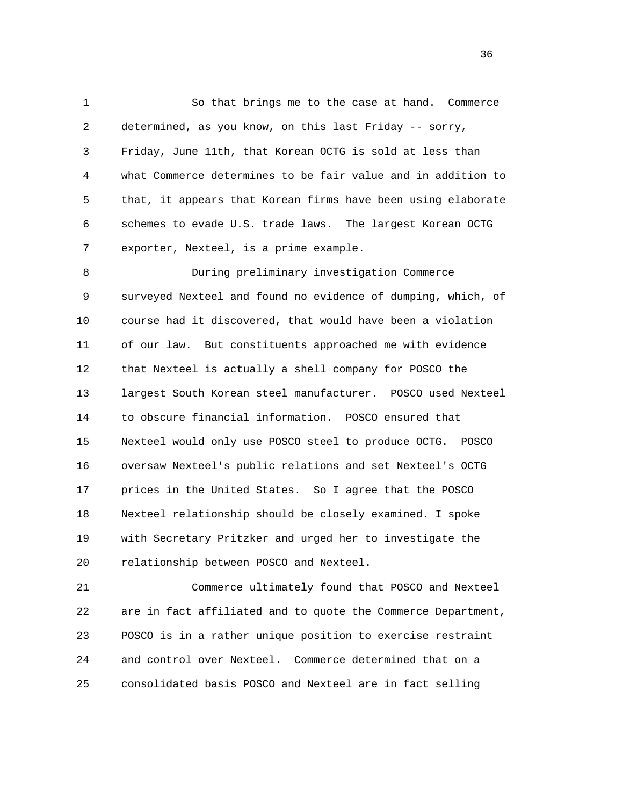1 So that brings me to the case at hand. Commerce 2 determined, as you know, on this last Friday -- sorry, 3 Friday, June 11th, that Korean OCTG is sold at less than 4 what Commerce determines to be fair value and in addition to 5 that, it appears that Korean firms have been using elaborate 6 schemes to evade U.S. trade laws. The largest Korean OCTG 7 exporter, Nexteel, is a prime example.

 8 During preliminary investigation Commerce 9 surveyed Nexteel and found no evidence of dumping, which, of 10 course had it discovered, that would have been a violation 11 of our law. But constituents approached me with evidence 12 that Nexteel is actually a shell company for POSCO the 13 largest South Korean steel manufacturer. POSCO used Nexteel 14 to obscure financial information. POSCO ensured that 15 Nexteel would only use POSCO steel to produce OCTG. POSCO 16 oversaw Nexteel's public relations and set Nexteel's OCTG 17 prices in the United States. So I agree that the POSCO 18 Nexteel relationship should be closely examined. I spoke 19 with Secretary Pritzker and urged her to investigate the 20 relationship between POSCO and Nexteel.

 21 Commerce ultimately found that POSCO and Nexteel 22 are in fact affiliated and to quote the Commerce Department, 23 POSCO is in a rather unique position to exercise restraint 24 and control over Nexteel. Commerce determined that on a 25 consolidated basis POSCO and Nexteel are in fact selling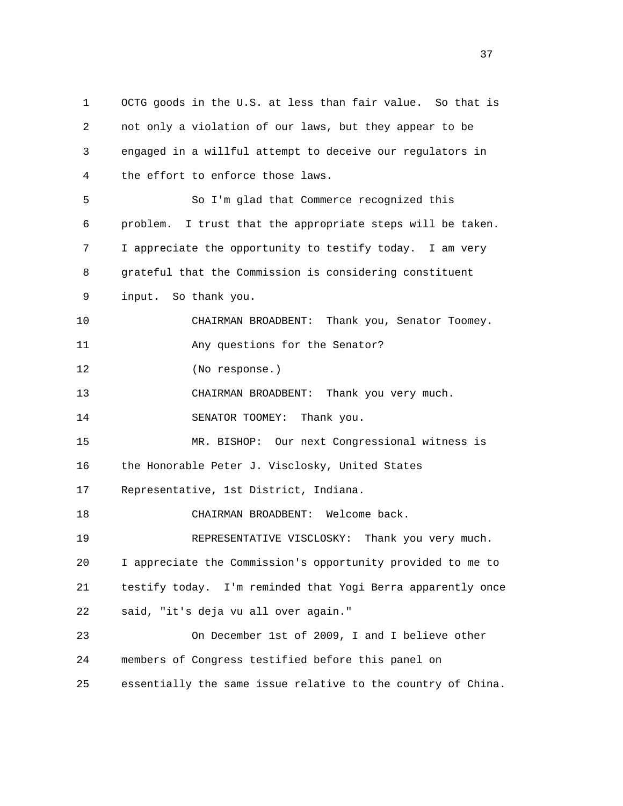1 OCTG goods in the U.S. at less than fair value. So that is 2 not only a violation of our laws, but they appear to be 3 engaged in a willful attempt to deceive our regulators in 4 the effort to enforce those laws. 5 So I'm glad that Commerce recognized this 6 problem. I trust that the appropriate steps will be taken. 7 I appreciate the opportunity to testify today. I am very 8 grateful that the Commission is considering constituent 9 input. So thank you. 10 CHAIRMAN BROADBENT: Thank you, Senator Toomey. 11 Any questions for the Senator? 12 (No response.) 13 CHAIRMAN BROADBENT: Thank you very much. 14 SENATOR TOOMEY: Thank you. 15 MR. BISHOP: Our next Congressional witness is 16 the Honorable Peter J. Visclosky, United States 17 Representative, 1st District, Indiana. 18 CHAIRMAN BROADBENT: Welcome back. 19 REPRESENTATIVE VISCLOSKY: Thank you very much. 20 I appreciate the Commission's opportunity provided to me to 21 testify today. I'm reminded that Yogi Berra apparently once 22 said, "it's deja vu all over again." 23 On December 1st of 2009, I and I believe other 24 members of Congress testified before this panel on 25 essentially the same issue relative to the country of China.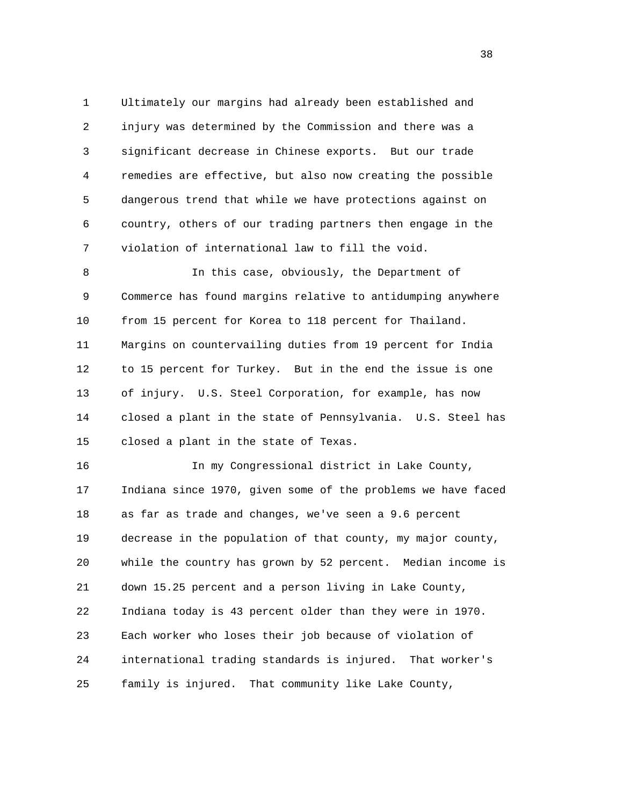1 Ultimately our margins had already been established and 2 injury was determined by the Commission and there was a 3 significant decrease in Chinese exports. But our trade 4 remedies are effective, but also now creating the possible 5 dangerous trend that while we have protections against on 6 country, others of our trading partners then engage in the 7 violation of international law to fill the void.

 8 In this case, obviously, the Department of 9 Commerce has found margins relative to antidumping anywhere 10 from 15 percent for Korea to 118 percent for Thailand. 11 Margins on countervailing duties from 19 percent for India 12 to 15 percent for Turkey. But in the end the issue is one 13 of injury. U.S. Steel Corporation, for example, has now 14 closed a plant in the state of Pennsylvania. U.S. Steel has 15 closed a plant in the state of Texas.

 16 In my Congressional district in Lake County, 17 Indiana since 1970, given some of the problems we have faced 18 as far as trade and changes, we've seen a 9.6 percent 19 decrease in the population of that county, my major county, 20 while the country has grown by 52 percent. Median income is 21 down 15.25 percent and a person living in Lake County, 22 Indiana today is 43 percent older than they were in 1970. 23 Each worker who loses their job because of violation of 24 international trading standards is injured. That worker's 25 family is injured. That community like Lake County,

and the state of the state of the state of the state of the state of the state of the state of the state of the state of the state of the state of the state of the state of the state of the state of the state of the state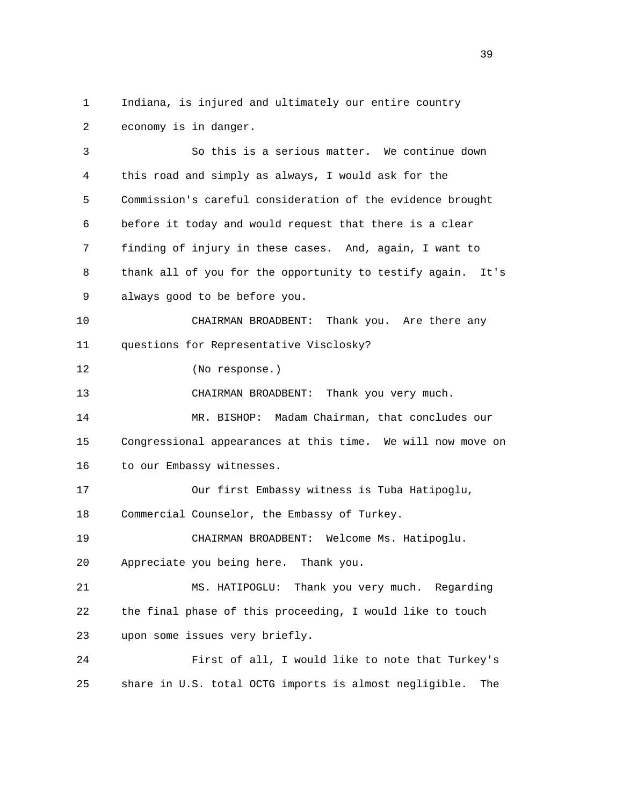1 Indiana, is injured and ultimately our entire country 2 economy is in danger.

 3 So this is a serious matter. We continue down 4 this road and simply as always, I would ask for the 5 Commission's careful consideration of the evidence brought 6 before it today and would request that there is a clear 7 finding of injury in these cases. And, again, I want to 8 thank all of you for the opportunity to testify again. It's 9 always good to be before you. 10 CHAIRMAN BROADBENT: Thank you. Are there any 11 questions for Representative Visclosky? 12 (No response.) 13 CHAIRMAN BROADBENT: Thank you very much. 14 MR. BISHOP: Madam Chairman, that concludes our 15 Congressional appearances at this time. We will now move on 16 to our Embassy witnesses. 17 Our first Embassy witness is Tuba Hatipoglu, 18 Commercial Counselor, the Embassy of Turkey. 19 CHAIRMAN BROADBENT: Welcome Ms. Hatipoglu. 20 Appreciate you being here. Thank you. 21 MS. HATIPOGLU: Thank you very much. Regarding 22 the final phase of this proceeding, I would like to touch 23 upon some issues very briefly. 24 First of all, I would like to note that Turkey's 25 share in U.S. total OCTG imports is almost negligible. The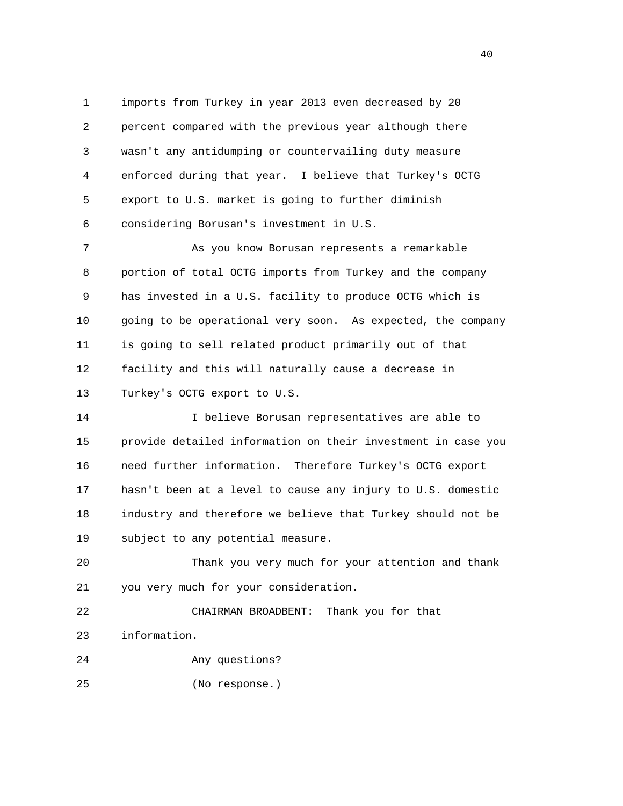1 imports from Turkey in year 2013 even decreased by 20 2 percent compared with the previous year although there 3 wasn't any antidumping or countervailing duty measure 4 enforced during that year. I believe that Turkey's OCTG 5 export to U.S. market is going to further diminish 6 considering Borusan's investment in U.S.

 7 As you know Borusan represents a remarkable 8 portion of total OCTG imports from Turkey and the company 9 has invested in a U.S. facility to produce OCTG which is 10 going to be operational very soon. As expected, the company 11 is going to sell related product primarily out of that 12 facility and this will naturally cause a decrease in 13 Turkey's OCTG export to U.S.

 14 I believe Borusan representatives are able to 15 provide detailed information on their investment in case you 16 need further information. Therefore Turkey's OCTG export 17 hasn't been at a level to cause any injury to U.S. domestic 18 industry and therefore we believe that Turkey should not be 19 subject to any potential measure.

 20 Thank you very much for your attention and thank 21 you very much for your consideration.

 22 CHAIRMAN BROADBENT: Thank you for that 23 information.

24 Any questions?

25 (No response.)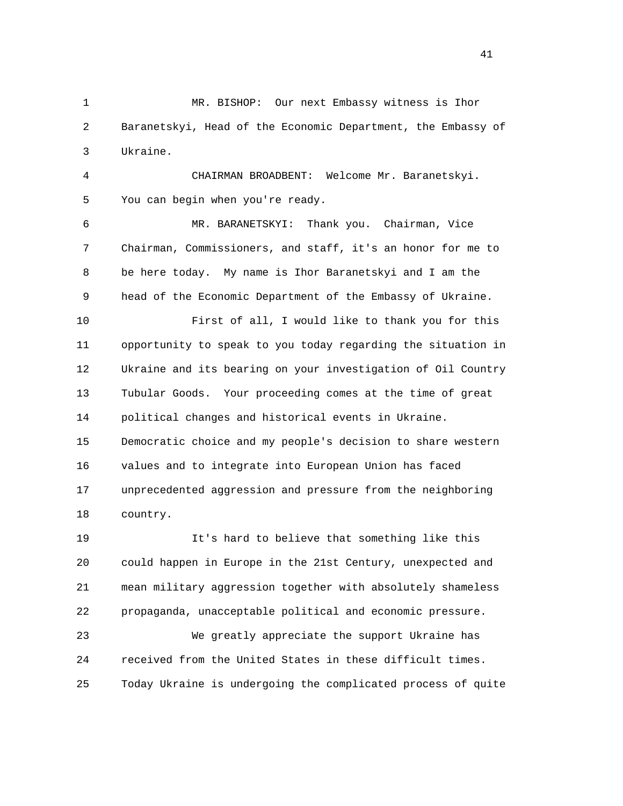1 MR. BISHOP: Our next Embassy witness is Ihor 2 Baranetskyi, Head of the Economic Department, the Embassy of 3 Ukraine.

 4 CHAIRMAN BROADBENT: Welcome Mr. Baranetskyi. 5 You can begin when you're ready.

 6 MR. BARANETSKYI: Thank you. Chairman, Vice 7 Chairman, Commissioners, and staff, it's an honor for me to 8 be here today. My name is Ihor Baranetskyi and I am the 9 head of the Economic Department of the Embassy of Ukraine.

 10 First of all, I would like to thank you for this 11 opportunity to speak to you today regarding the situation in 12 Ukraine and its bearing on your investigation of Oil Country 13 Tubular Goods. Your proceeding comes at the time of great 14 political changes and historical events in Ukraine. 15 Democratic choice and my people's decision to share western 16 values and to integrate into European Union has faced 17 unprecedented aggression and pressure from the neighboring 18 country.

 19 It's hard to believe that something like this 20 could happen in Europe in the 21st Century, unexpected and 21 mean military aggression together with absolutely shameless 22 propaganda, unacceptable political and economic pressure.

 23 We greatly appreciate the support Ukraine has 24 received from the United States in these difficult times. 25 Today Ukraine is undergoing the complicated process of quite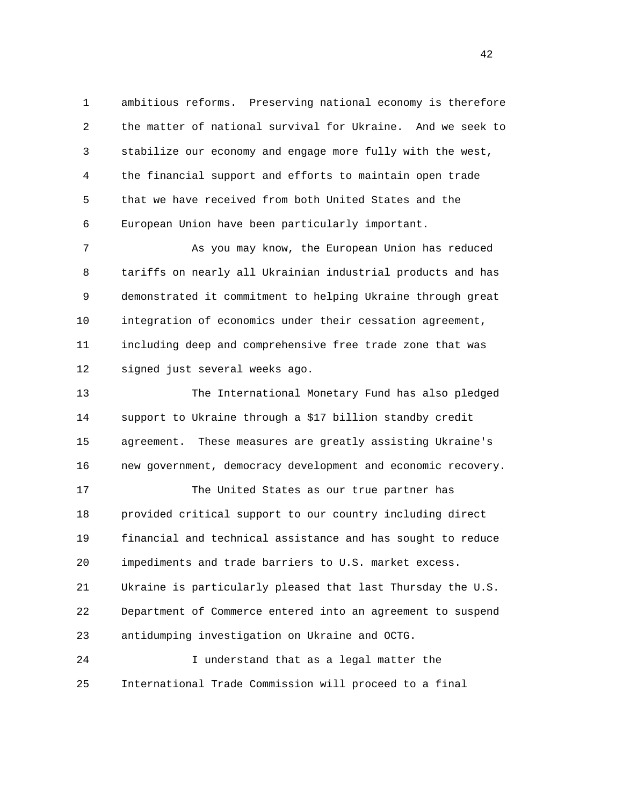1 ambitious reforms. Preserving national economy is therefore 2 the matter of national survival for Ukraine. And we seek to 3 stabilize our economy and engage more fully with the west, 4 the financial support and efforts to maintain open trade 5 that we have received from both United States and the 6 European Union have been particularly important.

 7 As you may know, the European Union has reduced 8 tariffs on nearly all Ukrainian industrial products and has 9 demonstrated it commitment to helping Ukraine through great 10 integration of economics under their cessation agreement, 11 including deep and comprehensive free trade zone that was 12 signed just several weeks ago.

 13 The International Monetary Fund has also pledged 14 support to Ukraine through a \$17 billion standby credit 15 agreement. These measures are greatly assisting Ukraine's 16 new government, democracy development and economic recovery.

 17 The United States as our true partner has 18 provided critical support to our country including direct 19 financial and technical assistance and has sought to reduce 20 impediments and trade barriers to U.S. market excess. 21 Ukraine is particularly pleased that last Thursday the U.S. 22 Department of Commerce entered into an agreement to suspend 23 antidumping investigation on Ukraine and OCTG.

 24 I understand that as a legal matter the 25 International Trade Commission will proceed to a final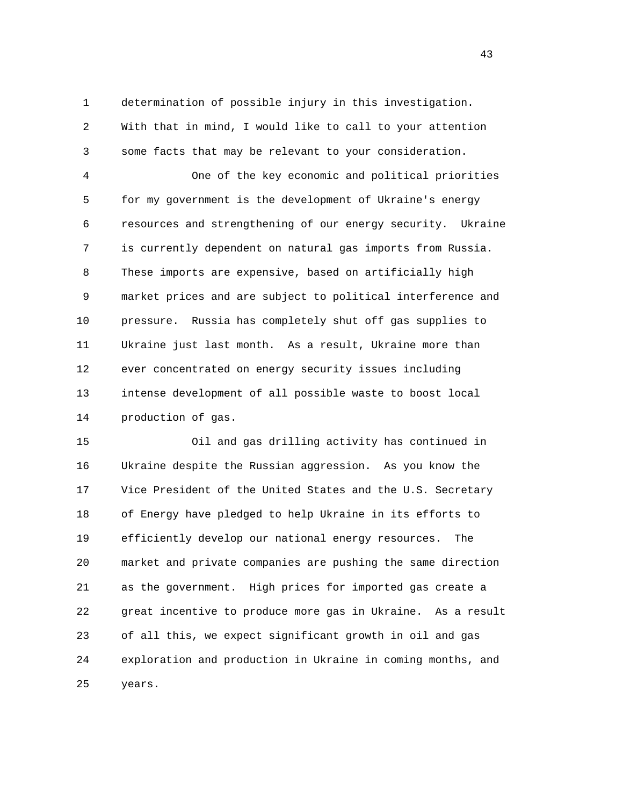1 determination of possible injury in this investigation. 2 With that in mind, I would like to call to your attention 3 some facts that may be relevant to your consideration.

 4 One of the key economic and political priorities 5 for my government is the development of Ukraine's energy 6 resources and strengthening of our energy security. Ukraine 7 is currently dependent on natural gas imports from Russia. 8 These imports are expensive, based on artificially high 9 market prices and are subject to political interference and 10 pressure. Russia has completely shut off gas supplies to 11 Ukraine just last month. As a result, Ukraine more than 12 ever concentrated on energy security issues including 13 intense development of all possible waste to boost local 14 production of gas.

 15 Oil and gas drilling activity has continued in 16 Ukraine despite the Russian aggression. As you know the 17 Vice President of the United States and the U.S. Secretary 18 of Energy have pledged to help Ukraine in its efforts to 19 efficiently develop our national energy resources. The 20 market and private companies are pushing the same direction 21 as the government. High prices for imported gas create a 22 great incentive to produce more gas in Ukraine. As a result 23 of all this, we expect significant growth in oil and gas 24 exploration and production in Ukraine in coming months, and 25 years.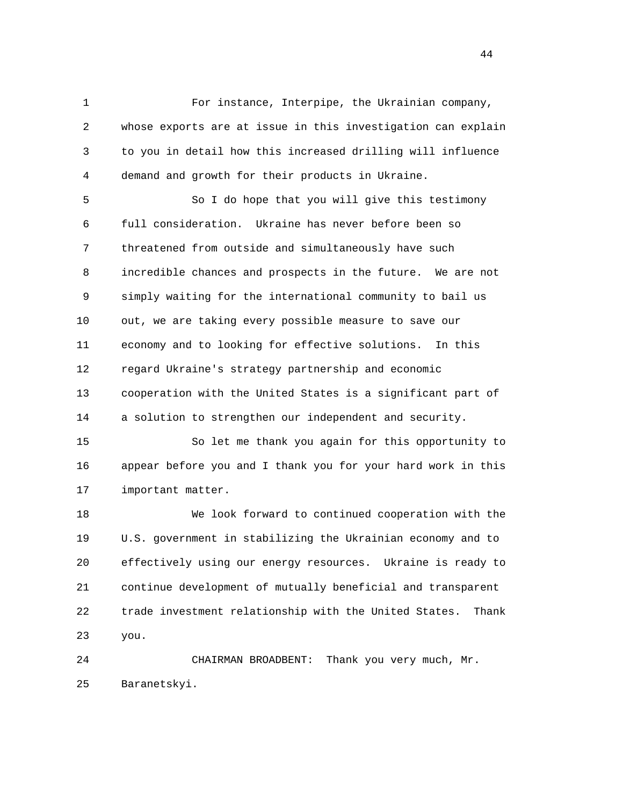1 For instance, Interpipe, the Ukrainian company, 2 whose exports are at issue in this investigation can explain 3 to you in detail how this increased drilling will influence 4 demand and growth for their products in Ukraine.

 5 So I do hope that you will give this testimony 6 full consideration. Ukraine has never before been so 7 threatened from outside and simultaneously have such 8 incredible chances and prospects in the future. We are not 9 simply waiting for the international community to bail us 10 out, we are taking every possible measure to save our 11 economy and to looking for effective solutions. In this 12 regard Ukraine's strategy partnership and economic 13 cooperation with the United States is a significant part of 14 a solution to strengthen our independent and security.

 15 So let me thank you again for this opportunity to 16 appear before you and I thank you for your hard work in this 17 important matter.

 18 We look forward to continued cooperation with the 19 U.S. government in stabilizing the Ukrainian economy and to 20 effectively using our energy resources. Ukraine is ready to 21 continue development of mutually beneficial and transparent 22 trade investment relationship with the United States. Thank 23 you.

 24 CHAIRMAN BROADBENT: Thank you very much, Mr. 25 Baranetskyi.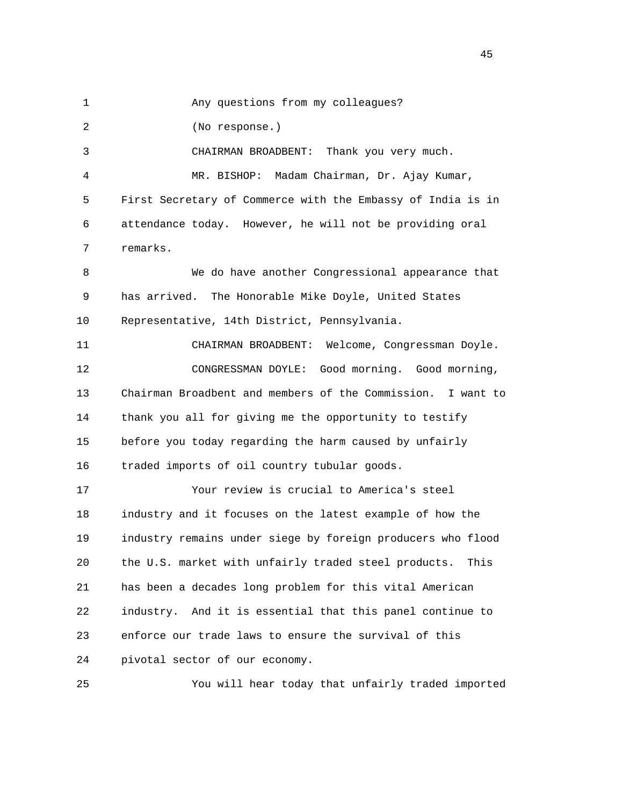1 Any questions from my colleagues? 2 (No response.) 3 CHAIRMAN BROADBENT: Thank you very much. 4 MR. BISHOP: Madam Chairman, Dr. Ajay Kumar, 5 First Secretary of Commerce with the Embassy of India is in 6 attendance today. However, he will not be providing oral 7 remarks. 8 We do have another Congressional appearance that 9 has arrived. The Honorable Mike Doyle, United States 10 Representative, 14th District, Pennsylvania. 11 CHAIRMAN BROADBENT: Welcome, Congressman Doyle. 12 CONGRESSMAN DOYLE: Good morning. Good morning, 13 Chairman Broadbent and members of the Commission. I want to 14 thank you all for giving me the opportunity to testify 15 before you today regarding the harm caused by unfairly 16 traded imports of oil country tubular goods. 17 Your review is crucial to America's steel 18 industry and it focuses on the latest example of how the 19 industry remains under siege by foreign producers who flood 20 the U.S. market with unfairly traded steel products. This 21 has been a decades long problem for this vital American 22 industry. And it is essential that this panel continue to 23 enforce our trade laws to ensure the survival of this 24 pivotal sector of our economy. 25 You will hear today that unfairly traded imported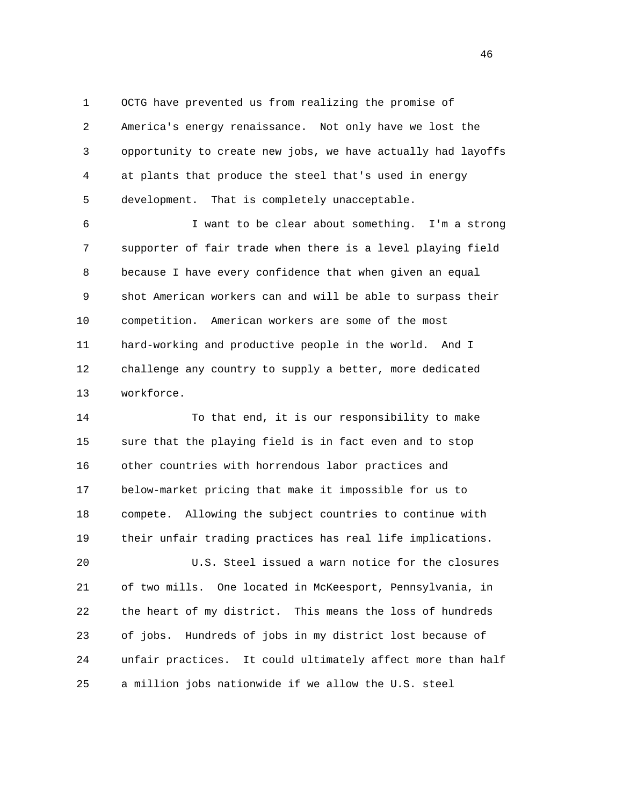1 OCTG have prevented us from realizing the promise of 2 America's energy renaissance. Not only have we lost the 3 opportunity to create new jobs, we have actually had layoffs 4 at plants that produce the steel that's used in energy 5 development. That is completely unacceptable.

 6 I want to be clear about something. I'm a strong 7 supporter of fair trade when there is a level playing field 8 because I have every confidence that when given an equal 9 shot American workers can and will be able to surpass their 10 competition. American workers are some of the most 11 hard-working and productive people in the world. And I 12 challenge any country to supply a better, more dedicated 13 workforce.

 14 To that end, it is our responsibility to make 15 sure that the playing field is in fact even and to stop 16 other countries with horrendous labor practices and 17 below-market pricing that make it impossible for us to 18 compete. Allowing the subject countries to continue with 19 their unfair trading practices has real life implications.

 20 U.S. Steel issued a warn notice for the closures 21 of two mills. One located in McKeesport, Pennsylvania, in 22 the heart of my district. This means the loss of hundreds 23 of jobs. Hundreds of jobs in my district lost because of 24 unfair practices. It could ultimately affect more than half 25 a million jobs nationwide if we allow the U.S. steel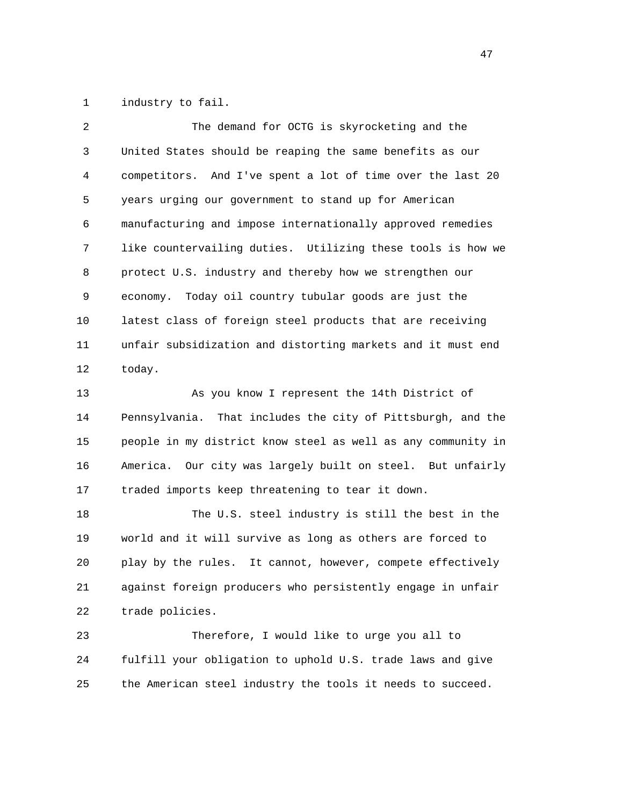1 industry to fail.

| $\overline{2}$ | The demand for OCTG is skyrocketing and the                                                                   |
|----------------|---------------------------------------------------------------------------------------------------------------|
| 3              | United States should be reaping the same benefits as our                                                      |
| 4              | competitors. And I've spent a lot of time over the last 20                                                    |
| 5              | years urging our government to stand up for American                                                          |
| 6              | manufacturing and impose internationally approved remedies                                                    |
| 7              | like countervailing duties. Utilizing these tools is how we                                                   |
| 8              | protect U.S. industry and thereby how we strengthen our                                                       |
| 9              | economy. Today oil country tubular goods are just the                                                         |
| 10             | latest class of foreign steel products that are receiving                                                     |
| 11             | unfair subsidization and distorting markets and it must end                                                   |
| 12             | today.                                                                                                        |
| 1 n            | The state of the second was the final to the state of the state of the state of the state of the state of the |

 13 As you know I represent the 14th District of 14 Pennsylvania. That includes the city of Pittsburgh, and the 15 people in my district know steel as well as any community in 16 America. Our city was largely built on steel. But unfairly 17 traded imports keep threatening to tear it down.

 18 The U.S. steel industry is still the best in the 19 world and it will survive as long as others are forced to 20 play by the rules. It cannot, however, compete effectively 21 against foreign producers who persistently engage in unfair 22 trade policies.

 23 Therefore, I would like to urge you all to 24 fulfill your obligation to uphold U.S. trade laws and give 25 the American steel industry the tools it needs to succeed.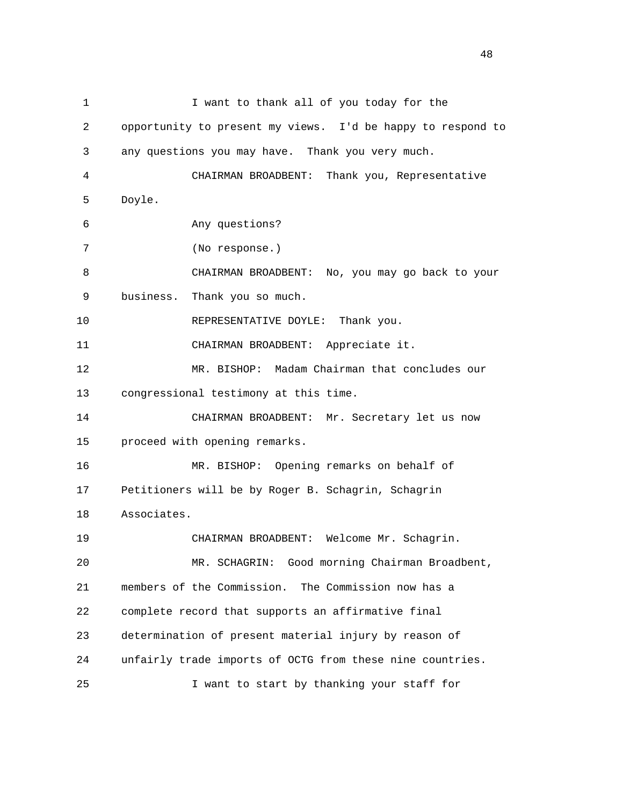| $\mathbf 1$ | I want to thank all of you today for the                    |
|-------------|-------------------------------------------------------------|
| 2           | opportunity to present my views. I'd be happy to respond to |
| 3           | any questions you may have. Thank you very much.            |
| 4           | CHAIRMAN BROADBENT: Thank you, Representative               |
| 5           | Doyle.                                                      |
| 6           | Any questions?                                              |
| 7           | (No response.)                                              |
| 8           | CHAIRMAN BROADBENT: No, you may go back to your             |
| 9           | Thank you so much.<br>business.                             |
| 10          | REPRESENTATIVE DOYLE: Thank you.                            |
| 11          | CHAIRMAN BROADBENT: Appreciate it.                          |
| 12          | MR. BISHOP: Madam Chairman that concludes our               |
| 13          | congressional testimony at this time.                       |
| 14          | CHAIRMAN BROADBENT: Mr. Secretary let us now                |
| 15          | proceed with opening remarks.                               |
| 16          | MR. BISHOP: Opening remarks on behalf of                    |
| 17          | Petitioners will be by Roger B. Schagrin, Schagrin          |
| 18          | Associates.                                                 |
| 19          | CHAIRMAN BROADBENT: Welcome Mr. Schagrin.                   |
| 20          | MR. SCHAGRIN: Good morning Chairman Broadbent,              |
| 21          | members of the Commission. The Commission now has a         |
| 22          | complete record that supports an affirmative final          |
| 23          | determination of present material injury by reason of       |
| 24          | unfairly trade imports of OCTG from these nine countries.   |
| 25          | I want to start by thanking your staff for                  |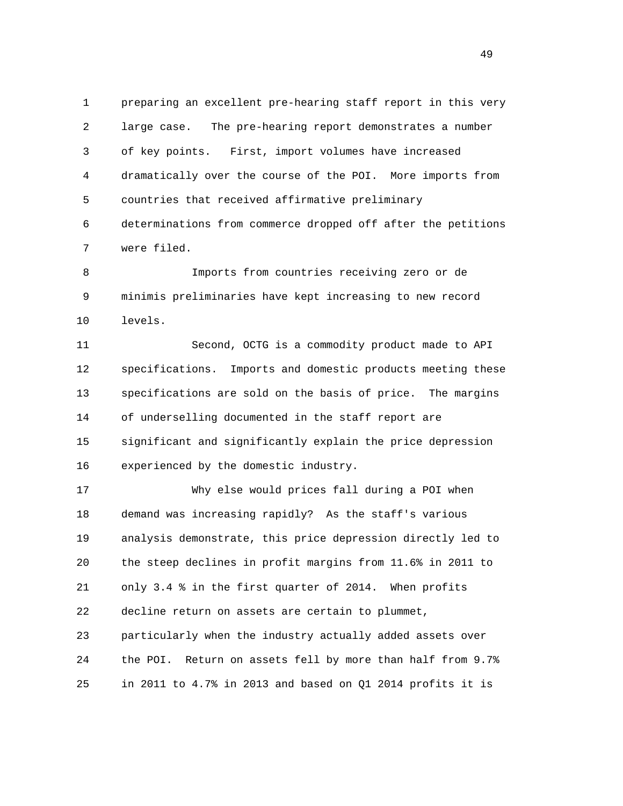1 preparing an excellent pre-hearing staff report in this very 2 large case. The pre-hearing report demonstrates a number 3 of key points. First, import volumes have increased 4 dramatically over the course of the POI. More imports from 5 countries that received affirmative preliminary 6 determinations from commerce dropped off after the petitions 7 were filed.

 8 Imports from countries receiving zero or de 9 minimis preliminaries have kept increasing to new record 10 levels.

 11 Second, OCTG is a commodity product made to API 12 specifications. Imports and domestic products meeting these 13 specifications are sold on the basis of price. The margins 14 of underselling documented in the staff report are 15 significant and significantly explain the price depression 16 experienced by the domestic industry.

 17 Why else would prices fall during a POI when 18 demand was increasing rapidly? As the staff's various 19 analysis demonstrate, this price depression directly led to 20 the steep declines in profit margins from 11.6% in 2011 to 21 only 3.4 % in the first quarter of 2014. When profits 22 decline return on assets are certain to plummet, 23 particularly when the industry actually added assets over 24 the POI. Return on assets fell by more than half from 9.7% 25 in 2011 to 4.7% in 2013 and based on Q1 2014 profits it is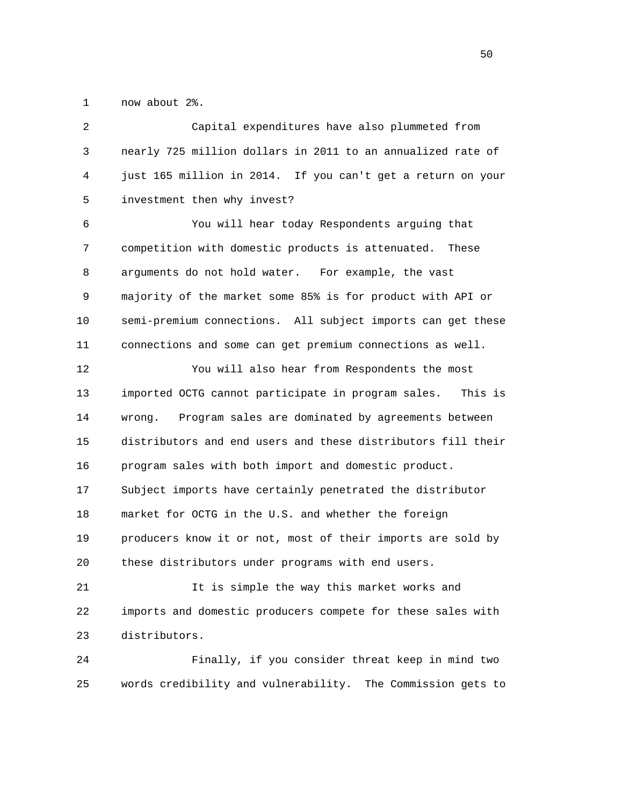1 now about 2%.

| 2  | Capital expenditures have also plummeted from                 |
|----|---------------------------------------------------------------|
| 3  | nearly 725 million dollars in 2011 to an annualized rate of   |
| 4  | just 165 million in 2014. If you can't get a return on your   |
| 5  | investment then why invest?                                   |
| 6  | You will hear today Respondents arguing that                  |
| 7  | competition with domestic products is attenuated.<br>These    |
| 8  | arguments do not hold water. For example, the vast            |
| 9  | majority of the market some 85% is for product with API or    |
| 10 | semi-premium connections. All subject imports can get these   |
| 11 | connections and some can get premium connections as well.     |
| 12 | You will also hear from Respondents the most                  |
|    |                                                               |
| 13 | imported OCTG cannot participate in program sales.<br>This is |
| 14 | Program sales are dominated by agreements between<br>wrong.   |
| 15 | distributors and end users and these distributors fill their  |
| 16 | program sales with both import and domestic product.          |
| 17 | Subject imports have certainly penetrated the distributor     |
| 18 | market for OCTG in the U.S. and whether the foreign           |
| 19 | producers know it or not, most of their imports are sold by   |
| 20 | these distributors under programs with end users.             |
| 21 | It is simple the way this market works and                    |
| 22 | imports and domestic producers compete for these sales with   |

 24 Finally, if you consider threat keep in mind two 25 words credibility and vulnerability. The Commission gets to

 $50<sub>50</sub>$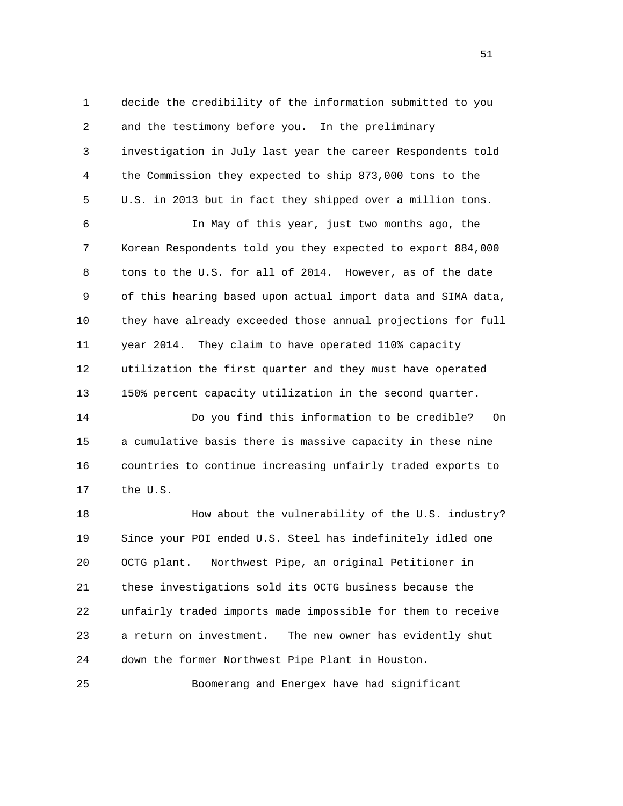1 decide the credibility of the information submitted to you 2 and the testimony before you. In the preliminary 3 investigation in July last year the career Respondents told 4 the Commission they expected to ship 873,000 tons to the 5 U.S. in 2013 but in fact they shipped over a million tons.

 6 In May of this year, just two months ago, the 7 Korean Respondents told you they expected to export 884,000 8 tons to the U.S. for all of 2014. However, as of the date 9 of this hearing based upon actual import data and SIMA data, 10 they have already exceeded those annual projections for full 11 year 2014. They claim to have operated 110% capacity 12 utilization the first quarter and they must have operated 13 150% percent capacity utilization in the second quarter.

 14 Do you find this information to be credible? On 15 a cumulative basis there is massive capacity in these nine 16 countries to continue increasing unfairly traded exports to 17 the U.S.

 18 How about the vulnerability of the U.S. industry? 19 Since your POI ended U.S. Steel has indefinitely idled one 20 OCTG plant. Northwest Pipe, an original Petitioner in 21 these investigations sold its OCTG business because the 22 unfairly traded imports made impossible for them to receive 23 a return on investment. The new owner has evidently shut 24 down the former Northwest Pipe Plant in Houston.

25 Boomerang and Energex have had significant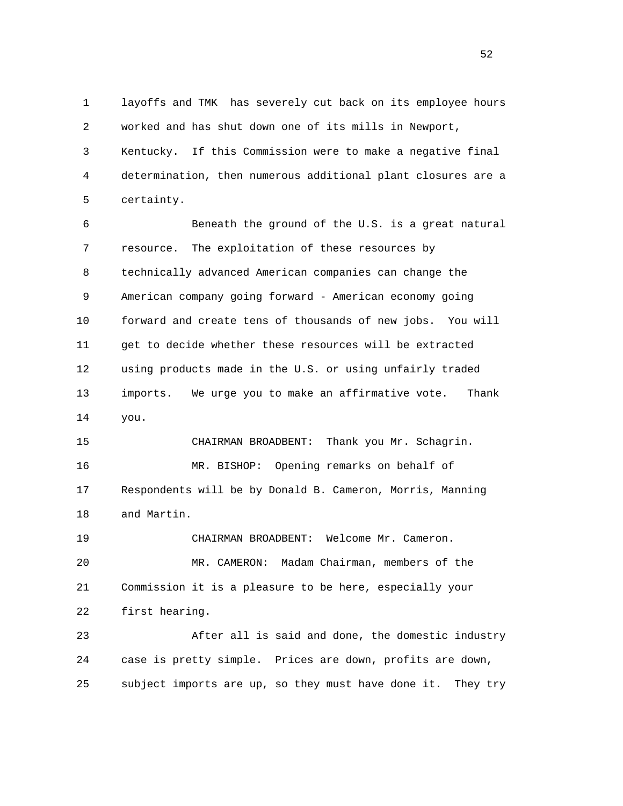1 layoffs and TMK has severely cut back on its employee hours 2 worked and has shut down one of its mills in Newport, 3 Kentucky. If this Commission were to make a negative final 4 determination, then numerous additional plant closures are a 5 certainty.

 6 Beneath the ground of the U.S. is a great natural 7 resource. The exploitation of these resources by 8 technically advanced American companies can change the 9 American company going forward - American economy going 10 forward and create tens of thousands of new jobs. You will 11 get to decide whether these resources will be extracted 12 using products made in the U.S. or using unfairly traded 13 imports. We urge you to make an affirmative vote. Thank 14 you.

 15 CHAIRMAN BROADBENT: Thank you Mr. Schagrin. 16 MR. BISHOP: Opening remarks on behalf of 17 Respondents will be by Donald B. Cameron, Morris, Manning 18 and Martin.

 19 CHAIRMAN BROADBENT: Welcome Mr. Cameron. 20 MR. CAMERON: Madam Chairman, members of the 21 Commission it is a pleasure to be here, especially your 22 first hearing.

 23 After all is said and done, the domestic industry 24 case is pretty simple. Prices are down, profits are down, 25 subject imports are up, so they must have done it. They try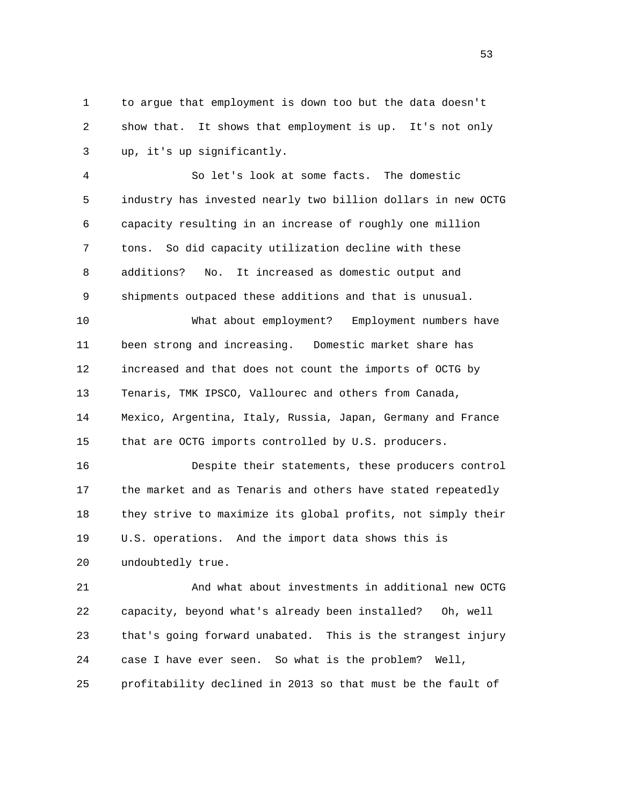1 to argue that employment is down too but the data doesn't 2 show that. It shows that employment is up. It's not only 3 up, it's up significantly.

 4 So let's look at some facts. The domestic 5 industry has invested nearly two billion dollars in new OCTG 6 capacity resulting in an increase of roughly one million 7 tons. So did capacity utilization decline with these 8 additions? No. It increased as domestic output and 9 shipments outpaced these additions and that is unusual.

 10 What about employment? Employment numbers have 11 been strong and increasing. Domestic market share has 12 increased and that does not count the imports of OCTG by 13 Tenaris, TMK IPSCO, Vallourec and others from Canada, 14 Mexico, Argentina, Italy, Russia, Japan, Germany and France 15 that are OCTG imports controlled by U.S. producers.

 16 Despite their statements, these producers control 17 the market and as Tenaris and others have stated repeatedly 18 they strive to maximize its global profits, not simply their 19 U.S. operations. And the import data shows this is 20 undoubtedly true.

 21 And what about investments in additional new OCTG 22 capacity, beyond what's already been installed? Oh, well 23 that's going forward unabated. This is the strangest injury 24 case I have ever seen. So what is the problem? Well, 25 profitability declined in 2013 so that must be the fault of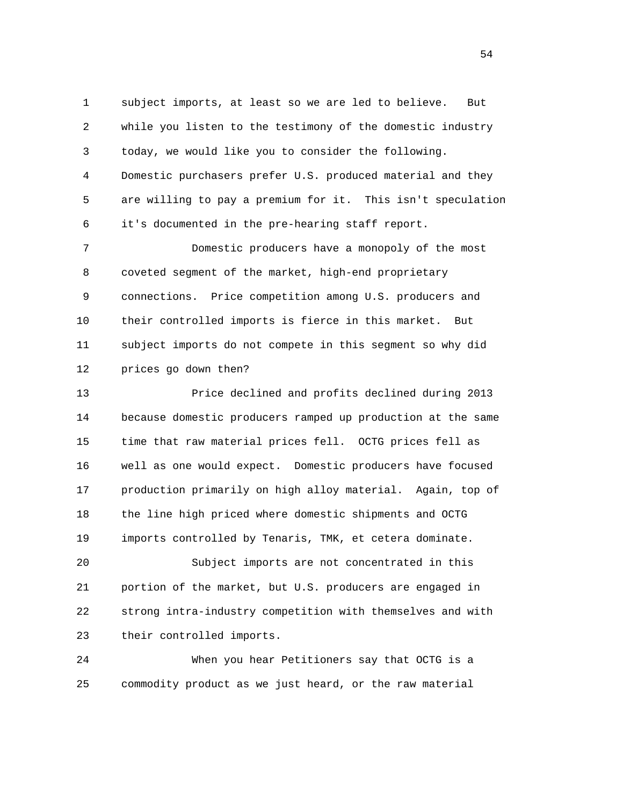1 subject imports, at least so we are led to believe. But 2 while you listen to the testimony of the domestic industry 3 today, we would like you to consider the following. 4 Domestic purchasers prefer U.S. produced material and they 5 are willing to pay a premium for it. This isn't speculation 6 it's documented in the pre-hearing staff report. 7 Domestic producers have a monopoly of the most

 8 coveted segment of the market, high-end proprietary 9 connections. Price competition among U.S. producers and 10 their controlled imports is fierce in this market. But 11 subject imports do not compete in this segment so why did 12 prices go down then?

 13 Price declined and profits declined during 2013 14 because domestic producers ramped up production at the same 15 time that raw material prices fell. OCTG prices fell as 16 well as one would expect. Domestic producers have focused 17 production primarily on high alloy material. Again, top of 18 the line high priced where domestic shipments and OCTG 19 imports controlled by Tenaris, TMK, et cetera dominate.

 20 Subject imports are not concentrated in this 21 portion of the market, but U.S. producers are engaged in 22 strong intra-industry competition with themselves and with 23 their controlled imports.

 24 When you hear Petitioners say that OCTG is a 25 commodity product as we just heard, or the raw material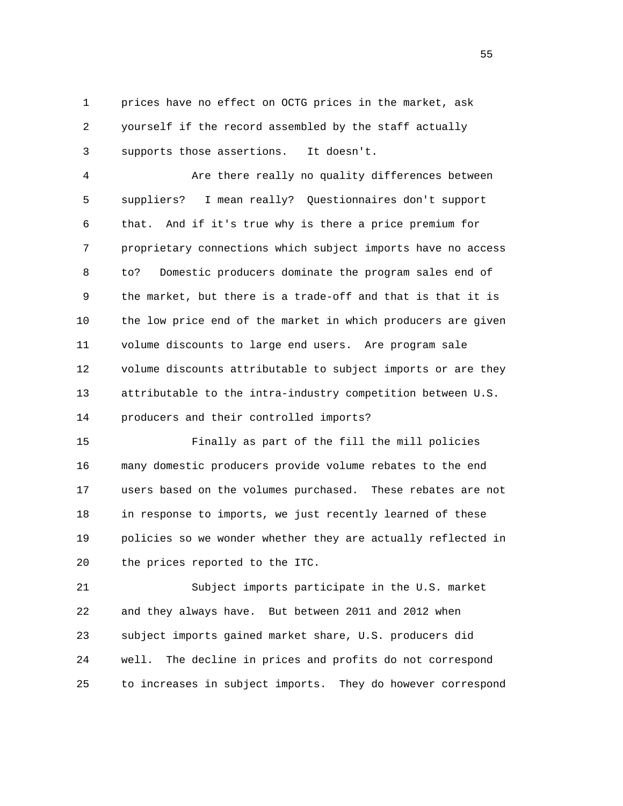1 prices have no effect on OCTG prices in the market, ask 2 yourself if the record assembled by the staff actually 3 supports those assertions. It doesn't.

 4 Are there really no quality differences between 5 suppliers? I mean really? Questionnaires don't support 6 that. And if it's true why is there a price premium for 7 proprietary connections which subject imports have no access 8 to? Domestic producers dominate the program sales end of 9 the market, but there is a trade-off and that is that it is 10 the low price end of the market in which producers are given 11 volume discounts to large end users. Are program sale 12 volume discounts attributable to subject imports or are they 13 attributable to the intra-industry competition between U.S. 14 producers and their controlled imports?

 15 Finally as part of the fill the mill policies 16 many domestic producers provide volume rebates to the end 17 users based on the volumes purchased. These rebates are not 18 in response to imports, we just recently learned of these 19 policies so we wonder whether they are actually reflected in 20 the prices reported to the ITC.

 21 Subject imports participate in the U.S. market 22 and they always have. But between 2011 and 2012 when 23 subject imports gained market share, U.S. producers did 24 well. The decline in prices and profits do not correspond 25 to increases in subject imports. They do however correspond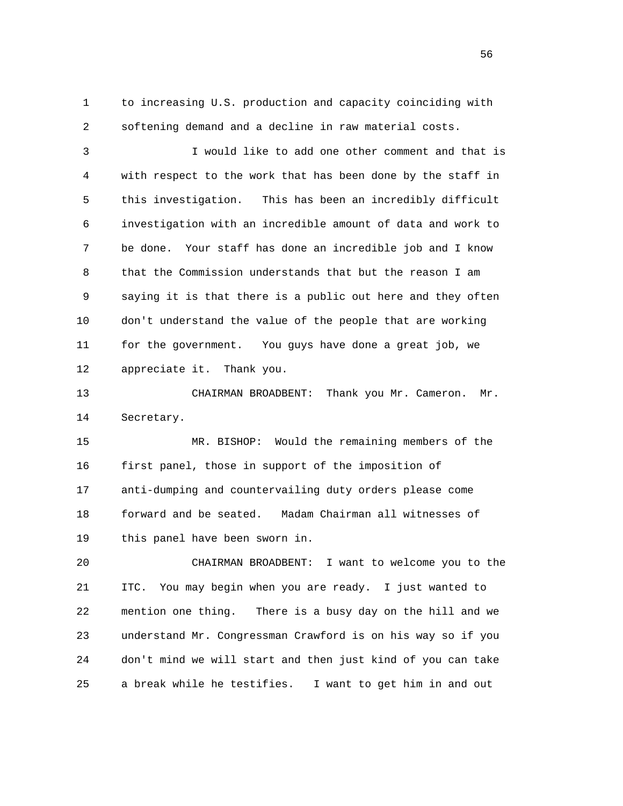1 to increasing U.S. production and capacity coinciding with 2 softening demand and a decline in raw material costs.

 3 I would like to add one other comment and that is 4 with respect to the work that has been done by the staff in 5 this investigation. This has been an incredibly difficult 6 investigation with an incredible amount of data and work to 7 be done. Your staff has done an incredible job and I know 8 that the Commission understands that but the reason I am 9 saying it is that there is a public out here and they often 10 don't understand the value of the people that are working 11 for the government. You guys have done a great job, we 12 appreciate it. Thank you.

 13 CHAIRMAN BROADBENT: Thank you Mr. Cameron. Mr. 14 Secretary.

 15 MR. BISHOP: Would the remaining members of the 16 first panel, those in support of the imposition of 17 anti-dumping and countervailing duty orders please come 18 forward and be seated. Madam Chairman all witnesses of 19 this panel have been sworn in.

 20 CHAIRMAN BROADBENT: I want to welcome you to the 21 ITC. You may begin when you are ready. I just wanted to 22 mention one thing. There is a busy day on the hill and we 23 understand Mr. Congressman Crawford is on his way so if you 24 don't mind we will start and then just kind of you can take 25 a break while he testifies. I want to get him in and out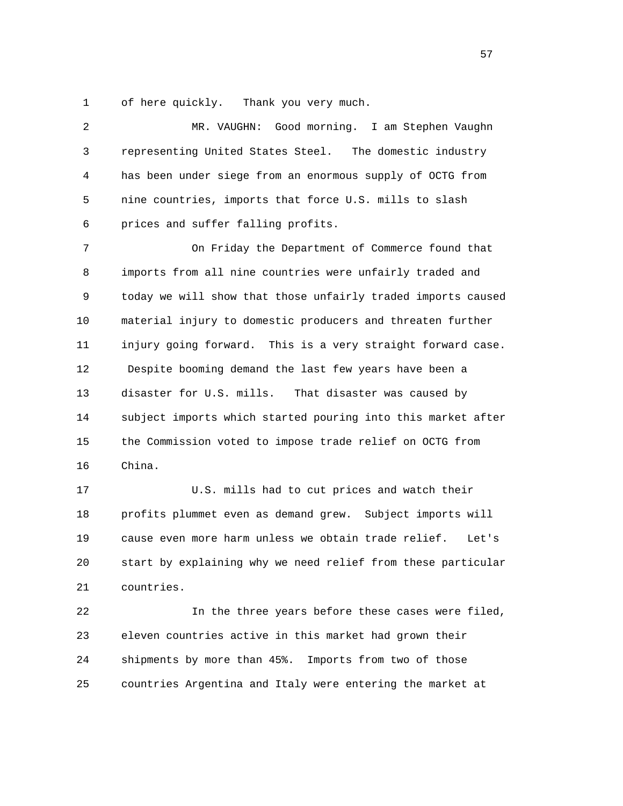1 of here quickly. Thank you very much.

 2 MR. VAUGHN: Good morning. I am Stephen Vaughn 3 representing United States Steel. The domestic industry 4 has been under siege from an enormous supply of OCTG from 5 nine countries, imports that force U.S. mills to slash 6 prices and suffer falling profits.

 7 On Friday the Department of Commerce found that 8 imports from all nine countries were unfairly traded and 9 today we will show that those unfairly traded imports caused 10 material injury to domestic producers and threaten further 11 injury going forward. This is a very straight forward case. 12 Despite booming demand the last few years have been a 13 disaster for U.S. mills. That disaster was caused by 14 subject imports which started pouring into this market after 15 the Commission voted to impose trade relief on OCTG from 16 China.

 17 U.S. mills had to cut prices and watch their 18 profits plummet even as demand grew. Subject imports will 19 cause even more harm unless we obtain trade relief. Let's 20 start by explaining why we need relief from these particular 21 countries.

 22 In the three years before these cases were filed, 23 eleven countries active in this market had grown their 24 shipments by more than 45%. Imports from two of those 25 countries Argentina and Italy were entering the market at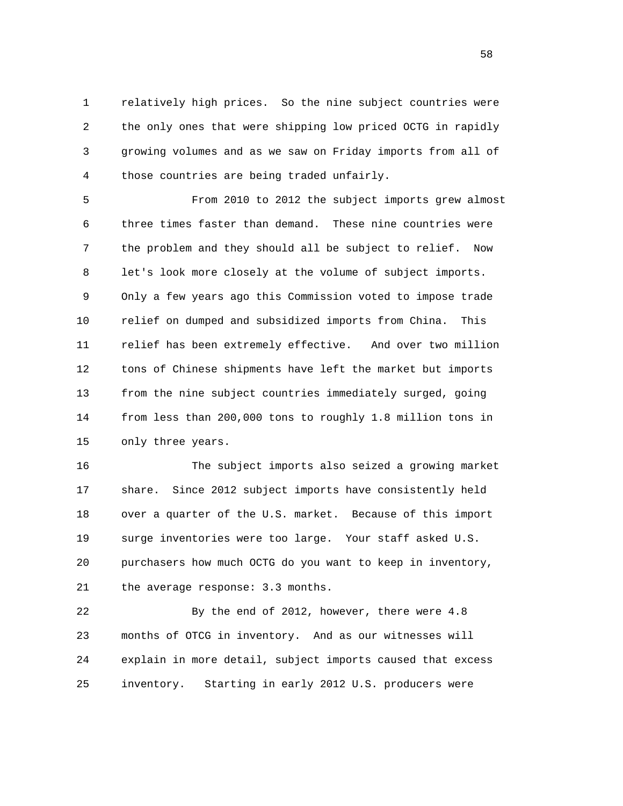1 relatively high prices. So the nine subject countries were 2 the only ones that were shipping low priced OCTG in rapidly 3 growing volumes and as we saw on Friday imports from all of 4 those countries are being traded unfairly.

 5 From 2010 to 2012 the subject imports grew almost 6 three times faster than demand. These nine countries were 7 the problem and they should all be subject to relief. Now 8 let's look more closely at the volume of subject imports. 9 Only a few years ago this Commission voted to impose trade 10 relief on dumped and subsidized imports from China. This 11 relief has been extremely effective. And over two million 12 tons of Chinese shipments have left the market but imports 13 from the nine subject countries immediately surged, going 14 from less than 200,000 tons to roughly 1.8 million tons in 15 only three years.

 16 The subject imports also seized a growing market 17 share. Since 2012 subject imports have consistently held 18 over a quarter of the U.S. market. Because of this import 19 surge inventories were too large. Your staff asked U.S. 20 purchasers how much OCTG do you want to keep in inventory, 21 the average response: 3.3 months.

 22 By the end of 2012, however, there were 4.8 23 months of OTCG in inventory. And as our witnesses will 24 explain in more detail, subject imports caused that excess 25 inventory. Starting in early 2012 U.S. producers were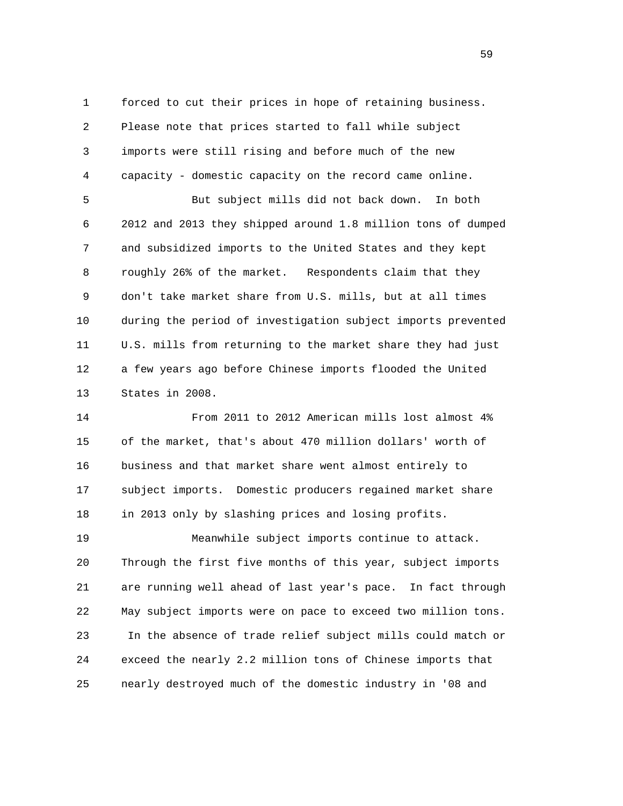1 forced to cut their prices in hope of retaining business. 2 Please note that prices started to fall while subject 3 imports were still rising and before much of the new 4 capacity - domestic capacity on the record came online. 5 But subject mills did not back down. In both 6 2012 and 2013 they shipped around 1.8 million tons of dumped 7 and subsidized imports to the United States and they kept 8 roughly 26% of the market. Respondents claim that they 9 don't take market share from U.S. mills, but at all times 10 during the period of investigation subject imports prevented 11 U.S. mills from returning to the market share they had just 12 a few years ago before Chinese imports flooded the United 13 States in 2008.

 14 From 2011 to 2012 American mills lost almost 4% 15 of the market, that's about 470 million dollars' worth of 16 business and that market share went almost entirely to 17 subject imports. Domestic producers regained market share 18 in 2013 only by slashing prices and losing profits.

 19 Meanwhile subject imports continue to attack. 20 Through the first five months of this year, subject imports 21 are running well ahead of last year's pace. In fact through 22 May subject imports were on pace to exceed two million tons. 23 In the absence of trade relief subject mills could match or 24 exceed the nearly 2.2 million tons of Chinese imports that 25 nearly destroyed much of the domestic industry in '08 and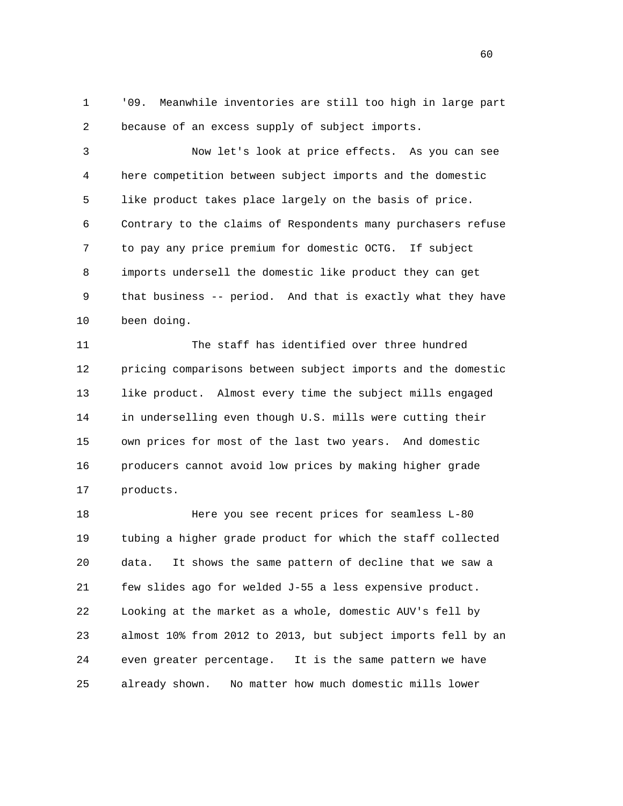1 '09. Meanwhile inventories are still too high in large part 2 because of an excess supply of subject imports.

 3 Now let's look at price effects. As you can see 4 here competition between subject imports and the domestic 5 like product takes place largely on the basis of price. 6 Contrary to the claims of Respondents many purchasers refuse 7 to pay any price premium for domestic OCTG. If subject 8 imports undersell the domestic like product they can get 9 that business -- period. And that is exactly what they have 10 been doing.

 11 The staff has identified over three hundred 12 pricing comparisons between subject imports and the domestic 13 like product. Almost every time the subject mills engaged 14 in underselling even though U.S. mills were cutting their 15 own prices for most of the last two years. And domestic 16 producers cannot avoid low prices by making higher grade 17 products.

 18 Here you see recent prices for seamless L-80 19 tubing a higher grade product for which the staff collected 20 data. It shows the same pattern of decline that we saw a 21 few slides ago for welded J-55 a less expensive product. 22 Looking at the market as a whole, domestic AUV's fell by 23 almost 10% from 2012 to 2013, but subject imports fell by an 24 even greater percentage. It is the same pattern we have 25 already shown. No matter how much domestic mills lower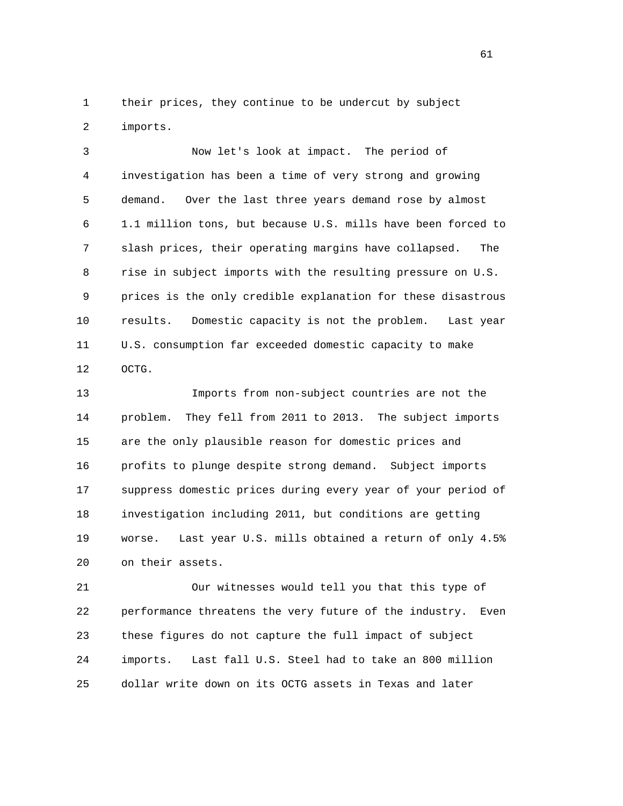1 their prices, they continue to be undercut by subject 2 imports.

 3 Now let's look at impact. The period of 4 investigation has been a time of very strong and growing 5 demand. Over the last three years demand rose by almost 6 1.1 million tons, but because U.S. mills have been forced to 7 slash prices, their operating margins have collapsed. The 8 rise in subject imports with the resulting pressure on U.S. 9 prices is the only credible explanation for these disastrous 10 results. Domestic capacity is not the problem. Last year 11 U.S. consumption far exceeded domestic capacity to make 12 OCTG.

 13 Imports from non-subject countries are not the 14 problem. They fell from 2011 to 2013. The subject imports 15 are the only plausible reason for domestic prices and 16 profits to plunge despite strong demand. Subject imports 17 suppress domestic prices during every year of your period of 18 investigation including 2011, but conditions are getting 19 worse. Last year U.S. mills obtained a return of only 4.5% 20 on their assets.

 21 Our witnesses would tell you that this type of 22 performance threatens the very future of the industry. Even 23 these figures do not capture the full impact of subject 24 imports. Last fall U.S. Steel had to take an 800 million 25 dollar write down on its OCTG assets in Texas and later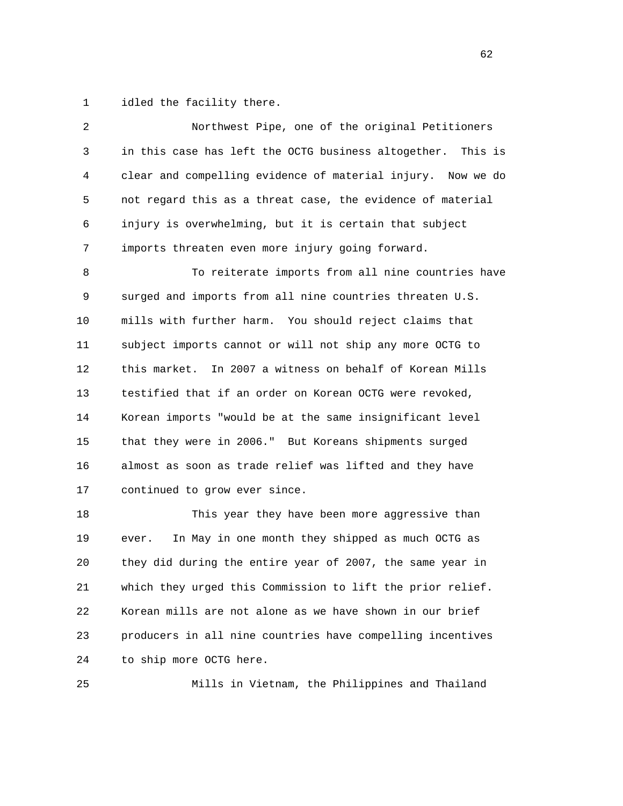1 idled the facility there.

| 2            | Northwest Pipe, one of the original Petitioners             |
|--------------|-------------------------------------------------------------|
| $\mathsf{3}$ | in this case has left the OCTG business altogether. This is |
| 4            | clear and compelling evidence of material injury. Now we do |
| 5            | not regard this as a threat case, the evidence of material  |
| 6            | injury is overwhelming, but it is certain that subject      |
| 7            | imports threaten even more injury going forward.            |
| 8            | To reiterate imports from all nine countries have           |
| 9            | surged and imports from all nine countries threaten U.S.    |
| 10           | mills with further harm. You should reject claims that      |
| 11           | subject imports cannot or will not ship any more OCTG to    |
| 12           | In 2007 a witness on behalf of Korean Mills<br>this market. |
| 13           | testified that if an order on Korean OCTG were revoked,     |
| 14           | Korean imports "would be at the same insignificant level    |
| 15           | that they were in 2006." But Koreans shipments surged       |
| 16           | almost as soon as trade relief was lifted and they have     |
| 17           | continued to grow ever since.                               |
| 18           | This year they have been more aggressive than               |
| 19           | In May in one month they shipped as much OCTG as<br>ever.   |
| 20           | they did during the entire year of 2007, the same year in   |
| 21           | which they urged this Commission to lift the prior relief.  |
| 22           | Korean mills are not alone as we have shown in our brief    |

 23 producers in all nine countries have compelling incentives 24 to ship more OCTG here.

25 Mills in Vietnam, the Philippines and Thailand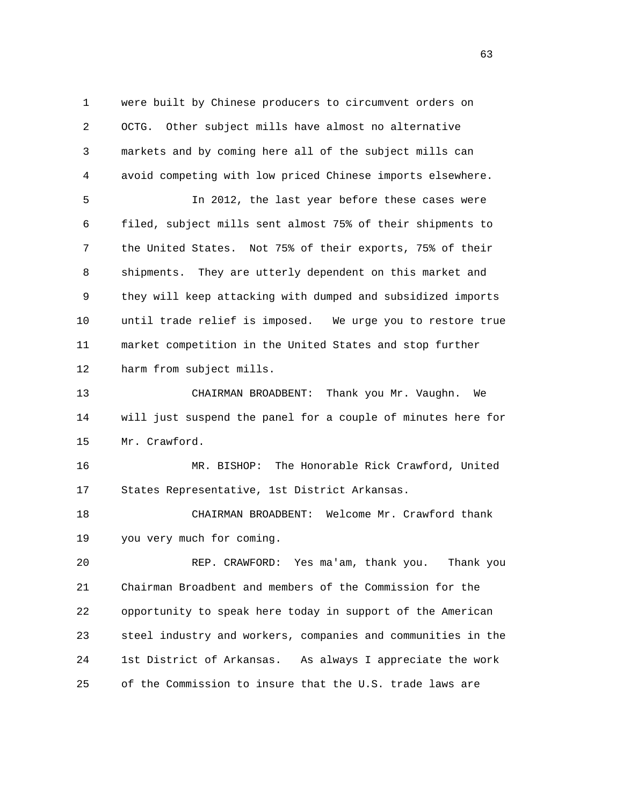1 were built by Chinese producers to circumvent orders on 2 OCTG. Other subject mills have almost no alternative 3 markets and by coming here all of the subject mills can 4 avoid competing with low priced Chinese imports elsewhere. 5 In 2012, the last year before these cases were 6 filed, subject mills sent almost 75% of their shipments to 7 the United States. Not 75% of their exports, 75% of their 8 shipments. They are utterly dependent on this market and 9 they will keep attacking with dumped and subsidized imports 10 until trade relief is imposed. We urge you to restore true 11 market competition in the United States and stop further 12 harm from subject mills. 13 CHAIRMAN BROADBENT: Thank you Mr. Vaughn. We 14 will just suspend the panel for a couple of minutes here for 15 Mr. Crawford. 16 MR. BISHOP: The Honorable Rick Crawford, United 17 States Representative, 1st District Arkansas. 18 CHAIRMAN BROADBENT: Welcome Mr. Crawford thank 19 you very much for coming. 20 REP. CRAWFORD: Yes ma'am, thank you. Thank you 21 Chairman Broadbent and members of the Commission for the 22 opportunity to speak here today in support of the American 23 steel industry and workers, companies and communities in the 24 1st District of Arkansas. As always I appreciate the work

25 of the Commission to insure that the U.S. trade laws are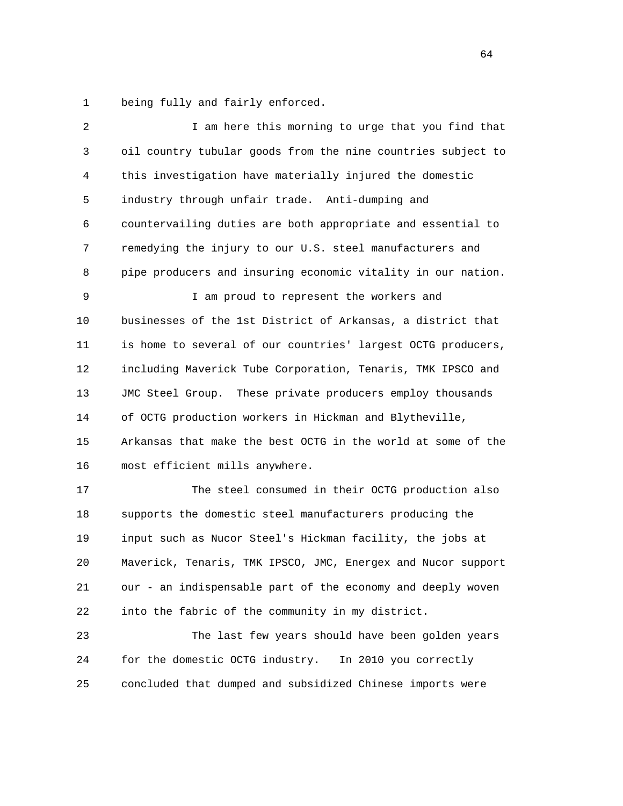1 being fully and fairly enforced.

| 2  | I am here this morning to urge that you find that            |
|----|--------------------------------------------------------------|
| 3  | oil country tubular goods from the nine countries subject to |
| 4  | this investigation have materially injured the domestic      |
| 5  | industry through unfair trade. Anti-dumping and              |
| 6  | countervailing duties are both appropriate and essential to  |
| 7  | remedying the injury to our U.S. steel manufacturers and     |
| 8  | pipe producers and insuring economic vitality in our nation. |
| 9  | I am proud to represent the workers and                      |
| 10 | businesses of the 1st District of Arkansas, a district that  |
| 11 | is home to several of our countries' largest OCTG producers, |
| 12 | including Maverick Tube Corporation, Tenaris, TMK IPSCO and  |
| 13 | JMC Steel Group. These private producers employ thousands    |
| 14 | of OCTG production workers in Hickman and Blytheville,       |
| 15 | Arkansas that make the best OCTG in the world at some of the |
| 16 | most efficient mills anywhere.                               |
| 17 | The steel consumed in their OCTG production also             |
| 18 | supports the domestic steel manufacturers producing the      |
| 19 | input such as Nucor Steel's Hickman facility, the jobs at    |
| 20 | Maverick, Tenaris, TMK IPSCO, JMC, Energex and Nucor support |
| 21 | our - an indispensable part of the economy and deeply woven  |
| 22 | into the fabric of the community in my district.             |
| 23 | The last few years should have been golden years             |
| 24 | for the domestic OCTG industry.<br>In 2010 you correctly     |

25 concluded that dumped and subsidized Chinese imports were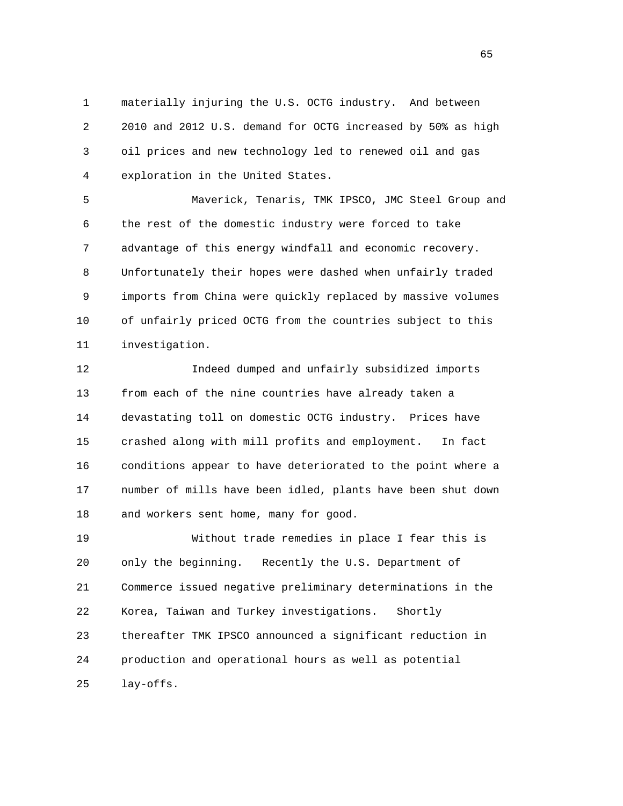1 materially injuring the U.S. OCTG industry. And between 2 2010 and 2012 U.S. demand for OCTG increased by 50% as high 3 oil prices and new technology led to renewed oil and gas 4 exploration in the United States.

 5 Maverick, Tenaris, TMK IPSCO, JMC Steel Group and 6 the rest of the domestic industry were forced to take 7 advantage of this energy windfall and economic recovery. 8 Unfortunately their hopes were dashed when unfairly traded 9 imports from China were quickly replaced by massive volumes 10 of unfairly priced OCTG from the countries subject to this 11 investigation.

 12 Indeed dumped and unfairly subsidized imports 13 from each of the nine countries have already taken a 14 devastating toll on domestic OCTG industry. Prices have 15 crashed along with mill profits and employment. In fact 16 conditions appear to have deteriorated to the point where a 17 number of mills have been idled, plants have been shut down 18 and workers sent home, many for good.

 19 Without trade remedies in place I fear this is 20 only the beginning. Recently the U.S. Department of 21 Commerce issued negative preliminary determinations in the 22 Korea, Taiwan and Turkey investigations. Shortly 23 thereafter TMK IPSCO announced a significant reduction in 24 production and operational hours as well as potential 25 lay-offs.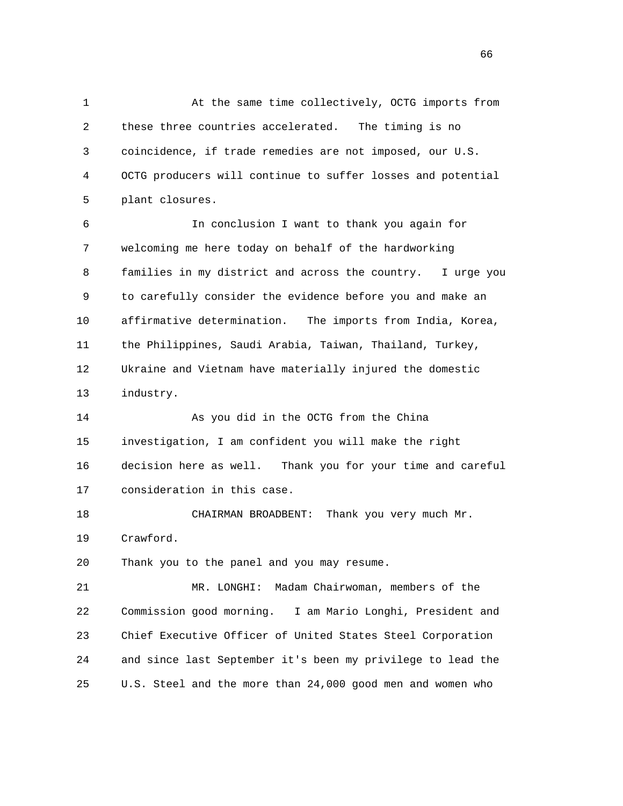1 At the same time collectively, OCTG imports from 2 these three countries accelerated. The timing is no 3 coincidence, if trade remedies are not imposed, our U.S. 4 OCTG producers will continue to suffer losses and potential 5 plant closures. 6 In conclusion I want to thank you again for 7 welcoming me here today on behalf of the hardworking 8 families in my district and across the country. I urge you 9 to carefully consider the evidence before you and make an 10 affirmative determination. The imports from India, Korea, 11 the Philippines, Saudi Arabia, Taiwan, Thailand, Turkey, 12 Ukraine and Vietnam have materially injured the domestic 13 industry. 14 As you did in the OCTG from the China 15 investigation, I am confident you will make the right 16 decision here as well. Thank you for your time and careful 17 consideration in this case. 18 CHAIRMAN BROADBENT: Thank you very much Mr. 19 Crawford. 20 Thank you to the panel and you may resume. 21 MR. LONGHI: Madam Chairwoman, members of the 22 Commission good morning. I am Mario Longhi, President and 23 Chief Executive Officer of United States Steel Corporation 24 and since last September it's been my privilege to lead the 25 U.S. Steel and the more than 24,000 good men and women who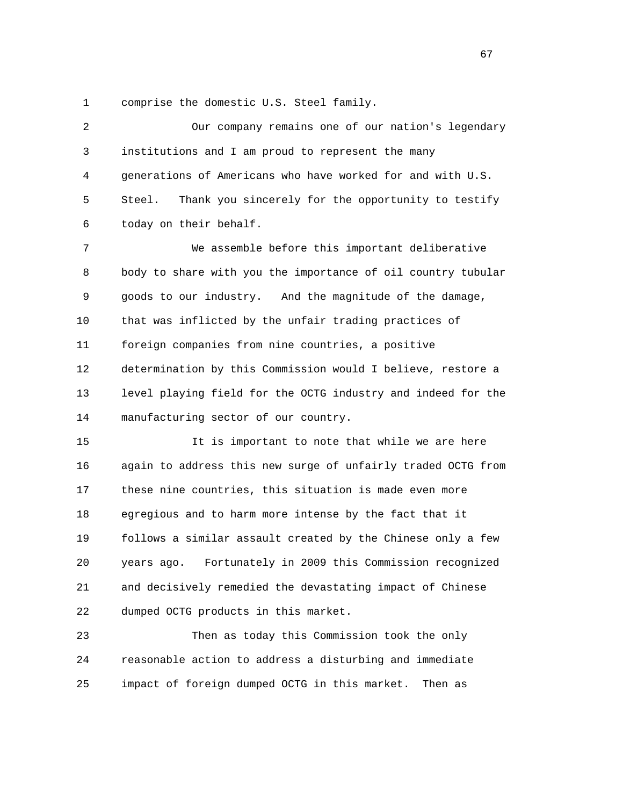1 comprise the domestic U.S. Steel family.

 2 Our company remains one of our nation's legendary 3 institutions and I am proud to represent the many 4 generations of Americans who have worked for and with U.S. 5 Steel. Thank you sincerely for the opportunity to testify 6 today on their behalf. 7 We assemble before this important deliberative 8 body to share with you the importance of oil country tubular 9 goods to our industry. And the magnitude of the damage, 10 that was inflicted by the unfair trading practices of 11 foreign companies from nine countries, a positive 12 determination by this Commission would I believe, restore a 13 level playing field for the OCTG industry and indeed for the 14 manufacturing sector of our country. 15 It is important to note that while we are here 16 again to address this new surge of unfairly traded OCTG from 17 these nine countries, this situation is made even more 18 egregious and to harm more intense by the fact that it 19 follows a similar assault created by the Chinese only a few 20 years ago. Fortunately in 2009 this Commission recognized 21 and decisively remedied the devastating impact of Chinese

22 dumped OCTG products in this market.

 23 Then as today this Commission took the only 24 reasonable action to address a disturbing and immediate 25 impact of foreign dumped OCTG in this market. Then as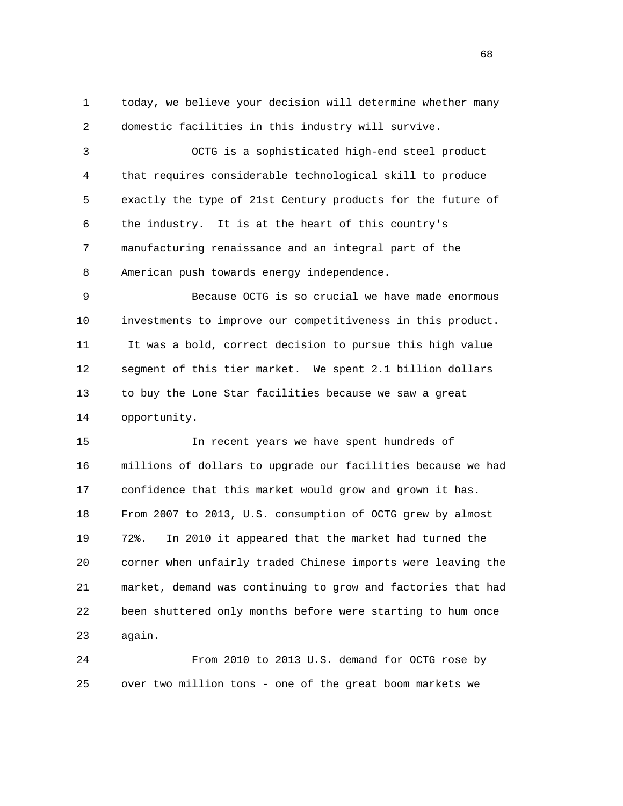1 today, we believe your decision will determine whether many 2 domestic facilities in this industry will survive.

 3 OCTG is a sophisticated high-end steel product 4 that requires considerable technological skill to produce 5 exactly the type of 21st Century products for the future of 6 the industry. It is at the heart of this country's 7 manufacturing renaissance and an integral part of the 8 American push towards energy independence.

 9 Because OCTG is so crucial we have made enormous 10 investments to improve our competitiveness in this product. 11 It was a bold, correct decision to pursue this high value 12 segment of this tier market. We spent 2.1 billion dollars 13 to buy the Lone Star facilities because we saw a great 14 opportunity.

 15 In recent years we have spent hundreds of 16 millions of dollars to upgrade our facilities because we had 17 confidence that this market would grow and grown it has. 18 From 2007 to 2013, U.S. consumption of OCTG grew by almost 19 72%. In 2010 it appeared that the market had turned the 20 corner when unfairly traded Chinese imports were leaving the 21 market, demand was continuing to grow and factories that had 22 been shuttered only months before were starting to hum once 23 again.

 24 From 2010 to 2013 U.S. demand for OCTG rose by 25 over two million tons - one of the great boom markets we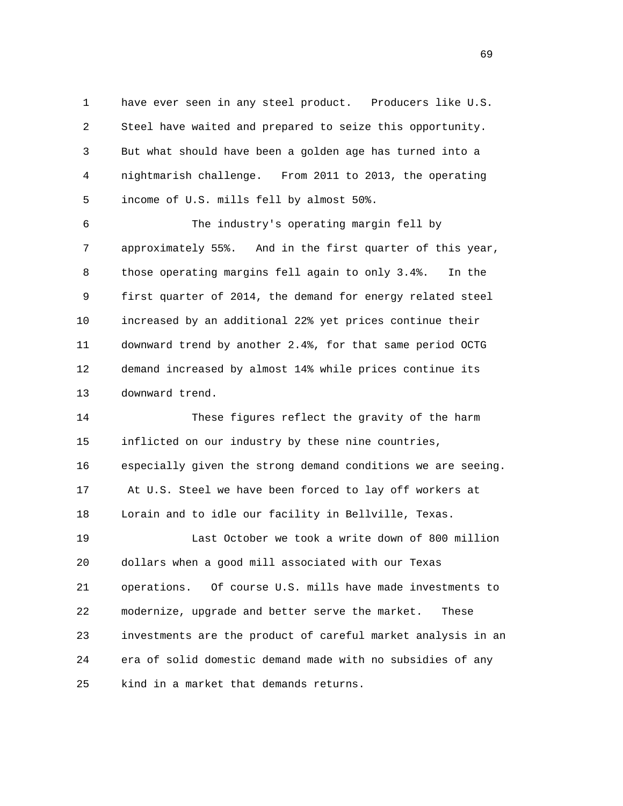1 have ever seen in any steel product. Producers like U.S. 2 Steel have waited and prepared to seize this opportunity. 3 But what should have been a golden age has turned into a 4 nightmarish challenge. From 2011 to 2013, the operating 5 income of U.S. mills fell by almost 50%.

 6 The industry's operating margin fell by 7 approximately 55%. And in the first quarter of this year, 8 those operating margins fell again to only 3.4%. In the 9 first quarter of 2014, the demand for energy related steel 10 increased by an additional 22% yet prices continue their 11 downward trend by another 2.4%, for that same period OCTG 12 demand increased by almost 14% while prices continue its 13 downward trend.

 14 These figures reflect the gravity of the harm 15 inflicted on our industry by these nine countries, 16 especially given the strong demand conditions we are seeing. 17 At U.S. Steel we have been forced to lay off workers at 18 Lorain and to idle our facility in Bellville, Texas. 19 Last October we took a write down of 800 million

 20 dollars when a good mill associated with our Texas 21 operations. Of course U.S. mills have made investments to 22 modernize, upgrade and better serve the market. These 23 investments are the product of careful market analysis in an 24 era of solid domestic demand made with no subsidies of any 25 kind in a market that demands returns.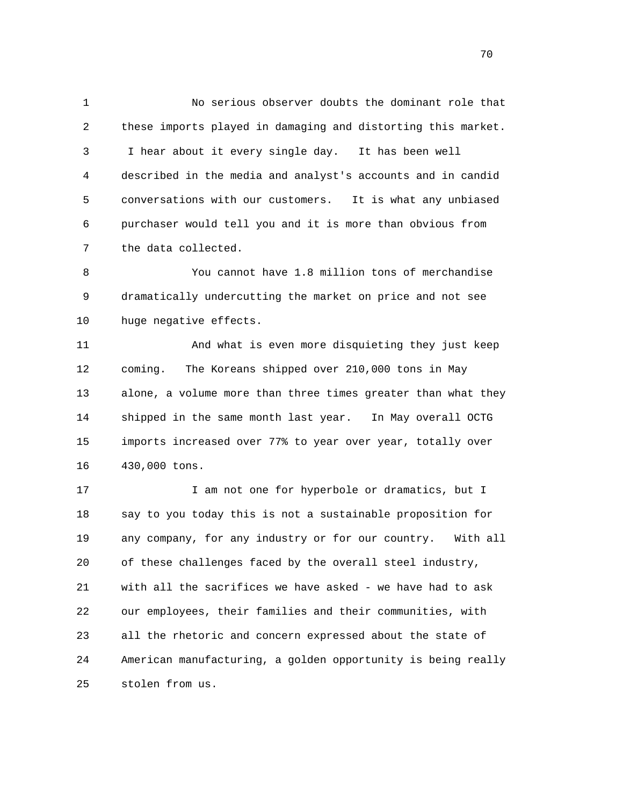1 No serious observer doubts the dominant role that 2 these imports played in damaging and distorting this market. 3 I hear about it every single day. It has been well 4 described in the media and analyst's accounts and in candid 5 conversations with our customers. It is what any unbiased 6 purchaser would tell you and it is more than obvious from 7 the data collected.

 8 You cannot have 1.8 million tons of merchandise 9 dramatically undercutting the market on price and not see 10 huge negative effects.

 11 And what is even more disquieting they just keep 12 coming. The Koreans shipped over 210,000 tons in May 13 alone, a volume more than three times greater than what they 14 shipped in the same month last year. In May overall OCTG 15 imports increased over 77% to year over year, totally over 16 430,000 tons.

17 17 I am not one for hyperbole or dramatics, but I 18 say to you today this is not a sustainable proposition for 19 any company, for any industry or for our country. With all 20 of these challenges faced by the overall steel industry, 21 with all the sacrifices we have asked - we have had to ask 22 our employees, their families and their communities, with 23 all the rhetoric and concern expressed about the state of 24 American manufacturing, a golden opportunity is being really 25 stolen from us.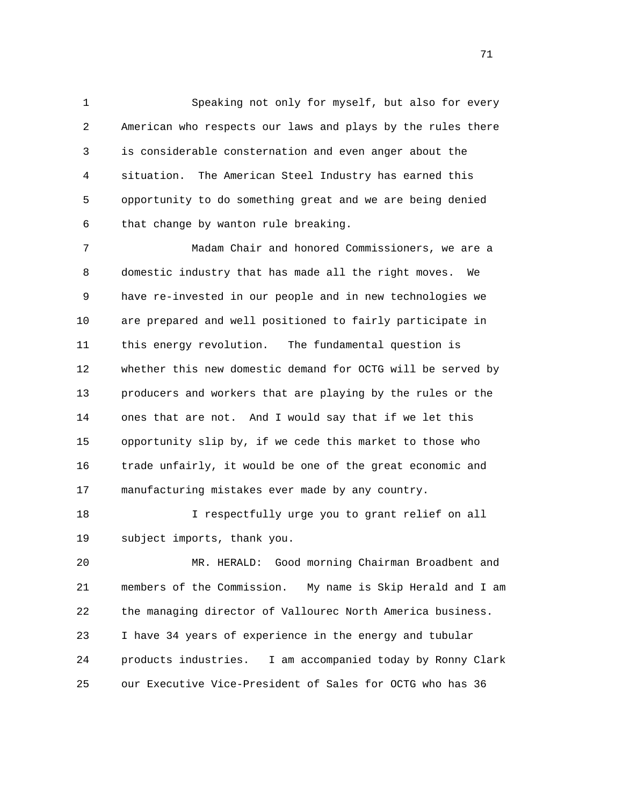1 Speaking not only for myself, but also for every 2 American who respects our laws and plays by the rules there 3 is considerable consternation and even anger about the 4 situation. The American Steel Industry has earned this 5 opportunity to do something great and we are being denied 6 that change by wanton rule breaking.

 7 Madam Chair and honored Commissioners, we are a 8 domestic industry that has made all the right moves. We 9 have re-invested in our people and in new technologies we 10 are prepared and well positioned to fairly participate in 11 this energy revolution. The fundamental question is 12 whether this new domestic demand for OCTG will be served by 13 producers and workers that are playing by the rules or the 14 ones that are not. And I would say that if we let this 15 opportunity slip by, if we cede this market to those who 16 trade unfairly, it would be one of the great economic and 17 manufacturing mistakes ever made by any country.

 18 I respectfully urge you to grant relief on all 19 subject imports, thank you.

 20 MR. HERALD: Good morning Chairman Broadbent and 21 members of the Commission. My name is Skip Herald and I am 22 the managing director of Vallourec North America business. 23 I have 34 years of experience in the energy and tubular 24 products industries. I am accompanied today by Ronny Clark 25 our Executive Vice-President of Sales for OCTG who has 36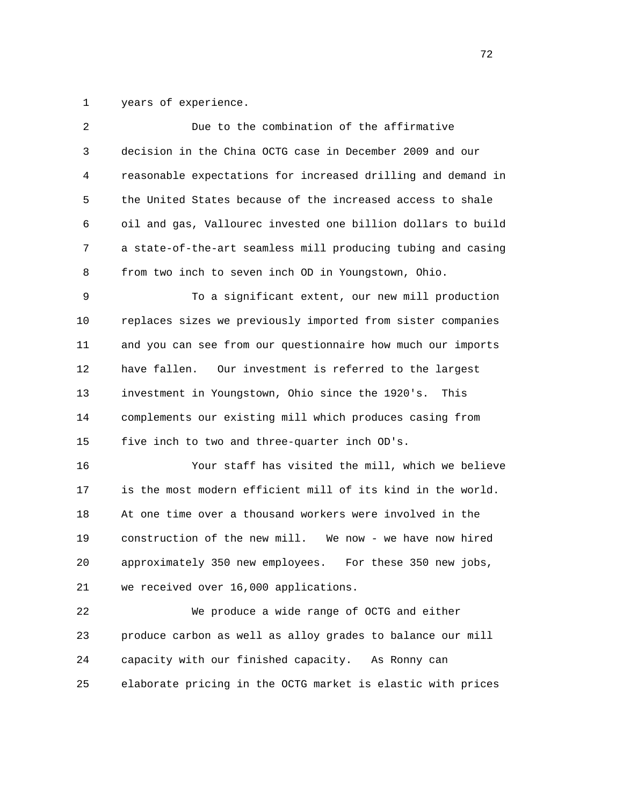1 years of experience.

| $\overline{a}$ | Due to the combination of the affirmative                    |
|----------------|--------------------------------------------------------------|
| 3              | decision in the China OCTG case in December 2009 and our     |
| 4              | reasonable expectations for increased drilling and demand in |
| 5              | the United States because of the increased access to shale   |
| 6              | oil and gas, Vallourec invested one billion dollars to build |
| 7              | a state-of-the-art seamless mill producing tubing and casing |
| 8              | from two inch to seven inch OD in Youngstown, Ohio.          |
| 9              | To a significant extent, our new mill production             |
| 10             | replaces sizes we previously imported from sister companies  |
| 11             | and you can see from our questionnaire how much our imports  |
| 12             | have fallen.<br>Our investment is referred to the largest    |
| 13             | investment in Youngstown, Ohio since the 1920's.<br>This     |
| 14             | complements our existing mill which produces casing from     |
| 15             | five inch to two and three-quarter inch OD's.                |
| 16             | Your staff has visited the mill, which we believe            |
| 17             | is the most modern efficient mill of its kind in the world.  |
| 18             | At one time over a thousand workers were involved in the     |
| 19             | construction of the new mill. We now - we have now hired     |
| 20             | approximately 350 new employees.<br>For these 350 new jobs,  |
| 21             | we received over 16,000 applications.                        |
| 22             | We produce a wide range of OCTG and either                   |
| 23             | produce carbon as well as alloy grades to balance our mill   |
| 24             | capacity with our finished capacity.<br>As Ronny can         |
| 25             | elaborate pricing in the OCTG market is elastic with prices  |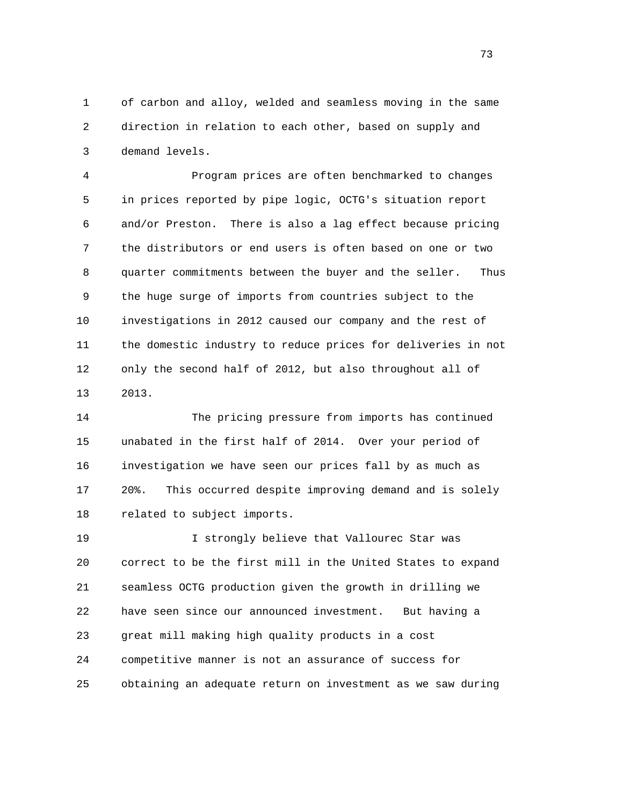1 of carbon and alloy, welded and seamless moving in the same 2 direction in relation to each other, based on supply and 3 demand levels.

 4 Program prices are often benchmarked to changes 5 in prices reported by pipe logic, OCTG's situation report 6 and/or Preston. There is also a lag effect because pricing 7 the distributors or end users is often based on one or two 8 quarter commitments between the buyer and the seller. Thus 9 the huge surge of imports from countries subject to the 10 investigations in 2012 caused our company and the rest of 11 the domestic industry to reduce prices for deliveries in not 12 only the second half of 2012, but also throughout all of 13 2013.

 14 The pricing pressure from imports has continued 15 unabated in the first half of 2014. Over your period of 16 investigation we have seen our prices fall by as much as 17 20%. This occurred despite improving demand and is solely 18 related to subject imports.

 19 I strongly believe that Vallourec Star was 20 correct to be the first mill in the United States to expand 21 seamless OCTG production given the growth in drilling we 22 have seen since our announced investment. But having a 23 great mill making high quality products in a cost 24 competitive manner is not an assurance of success for 25 obtaining an adequate return on investment as we saw during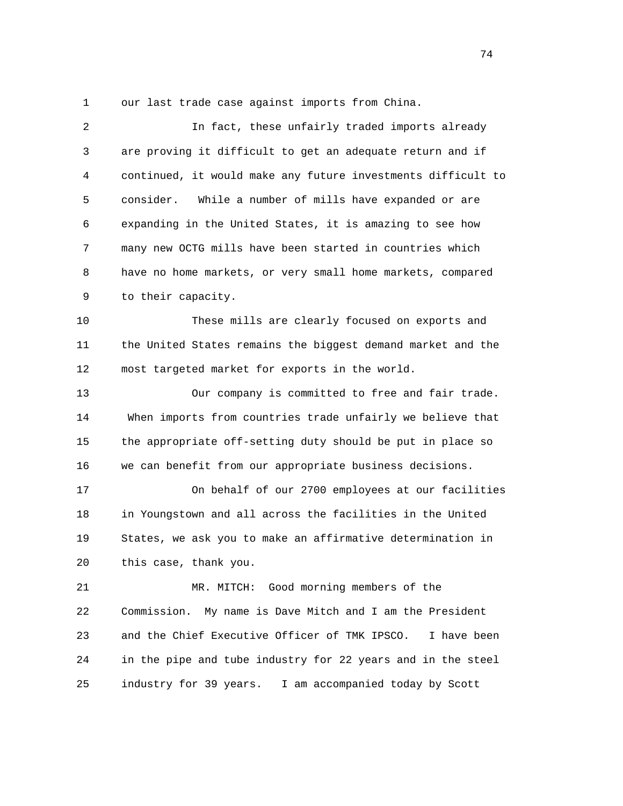1 our last trade case against imports from China.

| 2  | In fact, these unfairly traded imports already               |
|----|--------------------------------------------------------------|
| 3  | are proving it difficult to get an adequate return and if    |
| 4  | continued, it would make any future investments difficult to |
| 5  | consider.<br>While a number of mills have expanded or are    |
| 6  | expanding in the United States, it is amazing to see how     |
| 7  | many new OCTG mills have been started in countries which     |
| 8  | have no home markets, or very small home markets, compared   |
| 9  | to their capacity.                                           |
| 10 | These mills are clearly focused on exports and               |
| 11 | the United States remains the biggest demand market and the  |
| 12 | most targeted market for exports in the world.               |
| 13 | Our company is committed to free and fair trade.             |
| 14 | When imports from countries trade unfairly we believe that   |
| 15 | the appropriate off-setting duty should be put in place so   |
| 16 | we can benefit from our appropriate business decisions.      |
| 17 | On behalf of our 2700 employees at our facilities            |
| 18 | in Youngstown and all across the facilities in the United    |
| 19 | States, we ask you to make an affirmative determination in   |
| 20 | this case, thank you.                                        |
| 21 | MR. MITCH: Good morning members of the                       |
| 22 | Commission.<br>My name is Dave Mitch and I am the President  |
| 23 | and the Chief Executive Officer of TMK IPSCO.<br>I have been |
| 24 | in the pipe and tube industry for 22 years and in the steel  |
| 25 | industry for 39 years.<br>I am accompanied today by Scott    |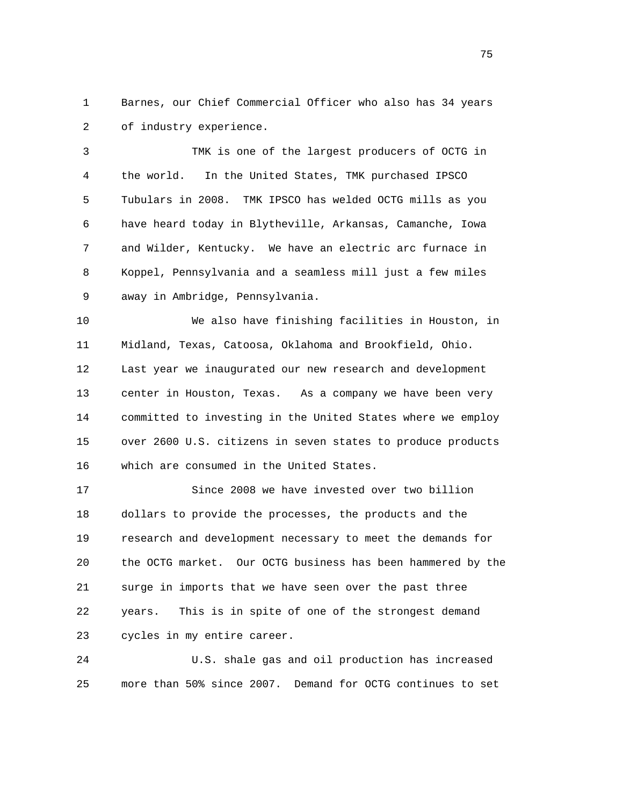1 Barnes, our Chief Commercial Officer who also has 34 years 2 of industry experience.

 3 TMK is one of the largest producers of OCTG in 4 the world. In the United States, TMK purchased IPSCO 5 Tubulars in 2008. TMK IPSCO has welded OCTG mills as you 6 have heard today in Blytheville, Arkansas, Camanche, Iowa 7 and Wilder, Kentucky. We have an electric arc furnace in 8 Koppel, Pennsylvania and a seamless mill just a few miles 9 away in Ambridge, Pennsylvania.

 10 We also have finishing facilities in Houston, in 11 Midland, Texas, Catoosa, Oklahoma and Brookfield, Ohio. 12 Last year we inaugurated our new research and development 13 center in Houston, Texas. As a company we have been very 14 committed to investing in the United States where we employ 15 over 2600 U.S. citizens in seven states to produce products 16 which are consumed in the United States.

 17 Since 2008 we have invested over two billion 18 dollars to provide the processes, the products and the 19 research and development necessary to meet the demands for 20 the OCTG market. Our OCTG business has been hammered by the 21 surge in imports that we have seen over the past three 22 years. This is in spite of one of the strongest demand 23 cycles in my entire career.

 24 U.S. shale gas and oil production has increased 25 more than 50% since 2007. Demand for OCTG continues to set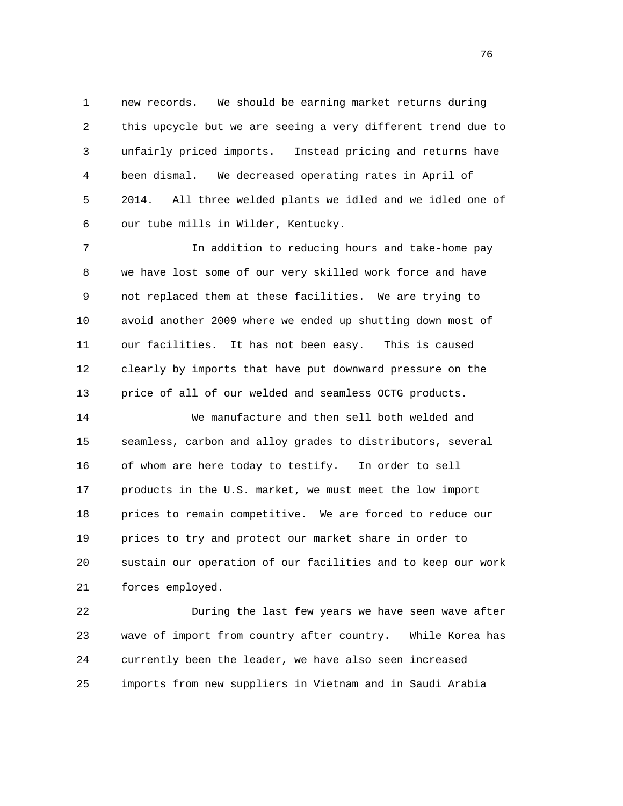1 new records. We should be earning market returns during 2 this upcycle but we are seeing a very different trend due to 3 unfairly priced imports. Instead pricing and returns have 4 been dismal. We decreased operating rates in April of 5 2014. All three welded plants we idled and we idled one of 6 our tube mills in Wilder, Kentucky.

 7 In addition to reducing hours and take-home pay 8 we have lost some of our very skilled work force and have 9 not replaced them at these facilities. We are trying to 10 avoid another 2009 where we ended up shutting down most of 11 our facilities. It has not been easy. This is caused 12 clearly by imports that have put downward pressure on the 13 price of all of our welded and seamless OCTG products.

 14 We manufacture and then sell both welded and 15 seamless, carbon and alloy grades to distributors, several 16 of whom are here today to testify. In order to sell 17 products in the U.S. market, we must meet the low import 18 prices to remain competitive. We are forced to reduce our 19 prices to try and protect our market share in order to 20 sustain our operation of our facilities and to keep our work 21 forces employed.

 22 During the last few years we have seen wave after 23 wave of import from country after country. While Korea has 24 currently been the leader, we have also seen increased 25 imports from new suppliers in Vietnam and in Saudi Arabia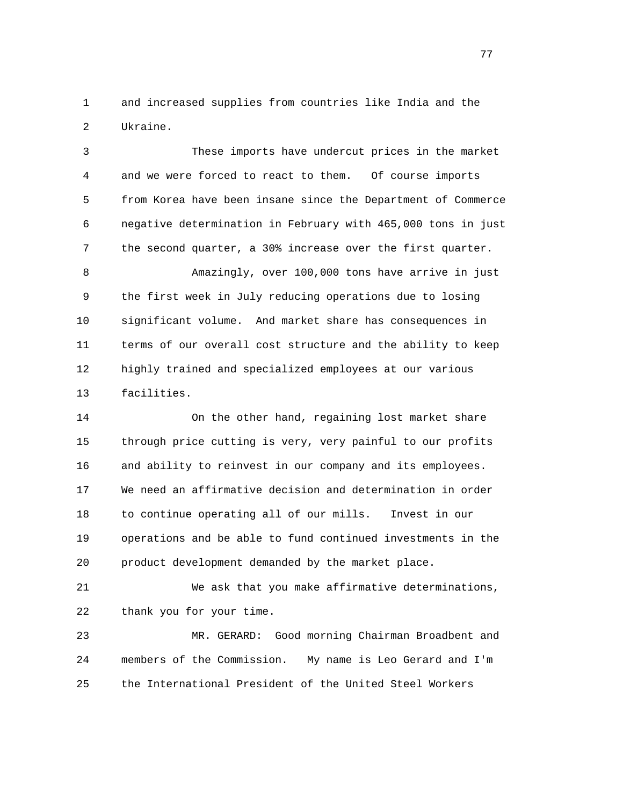1 and increased supplies from countries like India and the 2 Ukraine.

 3 These imports have undercut prices in the market 4 and we were forced to react to them. Of course imports 5 from Korea have been insane since the Department of Commerce 6 negative determination in February with 465,000 tons in just 7 the second quarter, a 30% increase over the first quarter. 8 Amazingly, over 100,000 tons have arrive in just 9 the first week in July reducing operations due to losing

 10 significant volume. And market share has consequences in 11 terms of our overall cost structure and the ability to keep 12 highly trained and specialized employees at our various 13 facilities.

 14 On the other hand, regaining lost market share 15 through price cutting is very, very painful to our profits 16 and ability to reinvest in our company and its employees. 17 We need an affirmative decision and determination in order 18 to continue operating all of our mills. Invest in our 19 operations and be able to fund continued investments in the 20 product development demanded by the market place.

 21 We ask that you make affirmative determinations, 22 thank you for your time.

 23 MR. GERARD: Good morning Chairman Broadbent and 24 members of the Commission. My name is Leo Gerard and I'm 25 the International President of the United Steel Workers

na na matsay na matsay na matsay na matsay na matsay na matsay na matsay na matsay na matsay na matsay na mats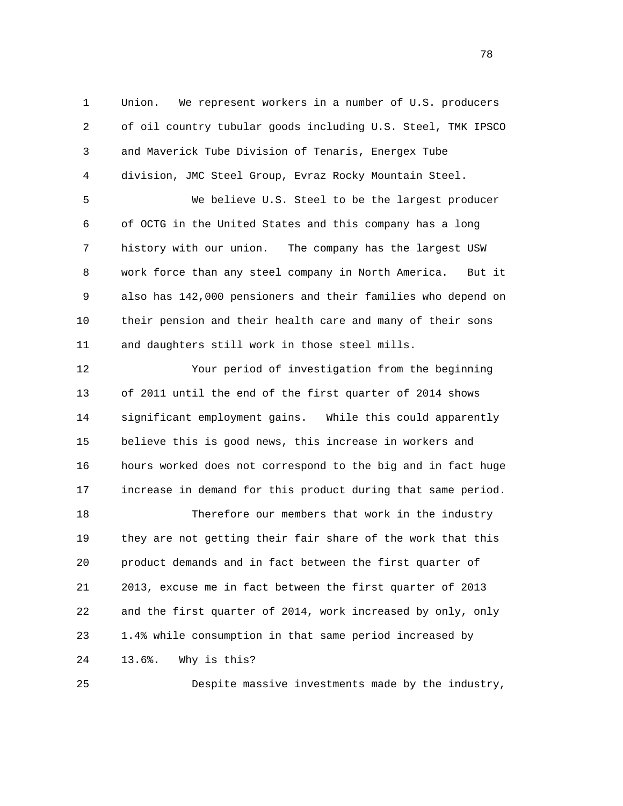1 Union. We represent workers in a number of U.S. producers 2 of oil country tubular goods including U.S. Steel, TMK IPSCO 3 and Maverick Tube Division of Tenaris, Energex Tube 4 division, JMC Steel Group, Evraz Rocky Mountain Steel.

 5 We believe U.S. Steel to be the largest producer 6 of OCTG in the United States and this company has a long 7 history with our union. The company has the largest USW 8 work force than any steel company in North America. But it 9 also has 142,000 pensioners and their families who depend on 10 their pension and their health care and many of their sons 11 and daughters still work in those steel mills.

 12 Your period of investigation from the beginning 13 of 2011 until the end of the first quarter of 2014 shows 14 significant employment gains. While this could apparently 15 believe this is good news, this increase in workers and 16 hours worked does not correspond to the big and in fact huge 17 increase in demand for this product during that same period.

 18 Therefore our members that work in the industry 19 they are not getting their fair share of the work that this 20 product demands and in fact between the first quarter of 21 2013, excuse me in fact between the first quarter of 2013 22 and the first quarter of 2014, work increased by only, only 23 1.4% while consumption in that same period increased by 24 13.6%. Why is this?

25 Despite massive investments made by the industry,

n and the state of the state of the state of the state of the state of the state of the state of the state of the state of the state of the state of the state of the state of the state of the state of the state of the stat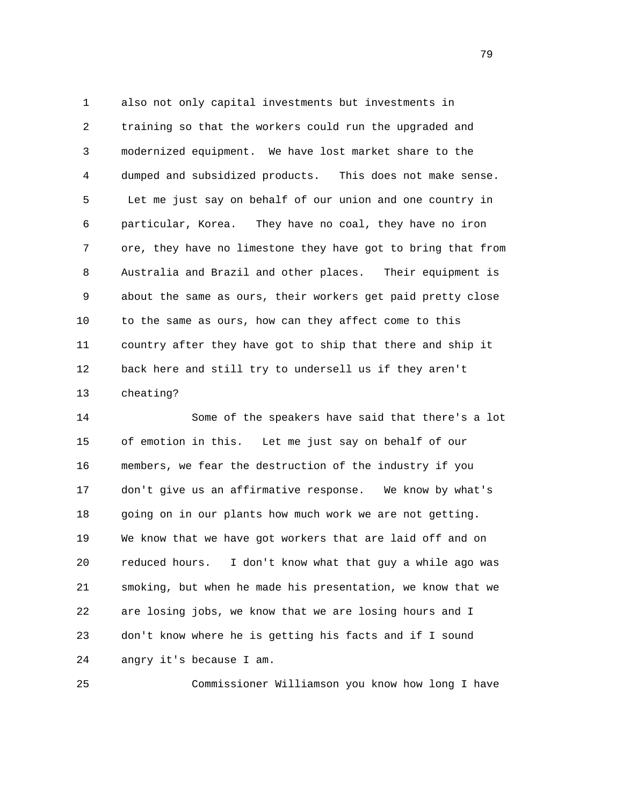1 also not only capital investments but investments in 2 training so that the workers could run the upgraded and 3 modernized equipment. We have lost market share to the 4 dumped and subsidized products. This does not make sense. 5 Let me just say on behalf of our union and one country in 6 particular, Korea. They have no coal, they have no iron 7 ore, they have no limestone they have got to bring that from 8 Australia and Brazil and other places. Their equipment is 9 about the same as ours, their workers get paid pretty close 10 to the same as ours, how can they affect come to this 11 country after they have got to ship that there and ship it 12 back here and still try to undersell us if they aren't 13 cheating?

 14 Some of the speakers have said that there's a lot 15 of emotion in this. Let me just say on behalf of our 16 members, we fear the destruction of the industry if you 17 don't give us an affirmative response. We know by what's 18 going on in our plants how much work we are not getting. 19 We know that we have got workers that are laid off and on 20 reduced hours. I don't know what that guy a while ago was 21 smoking, but when he made his presentation, we know that we 22 are losing jobs, we know that we are losing hours and I 23 don't know where he is getting his facts and if I sound 24 angry it's because I am.

25 Commissioner Williamson you know how long I have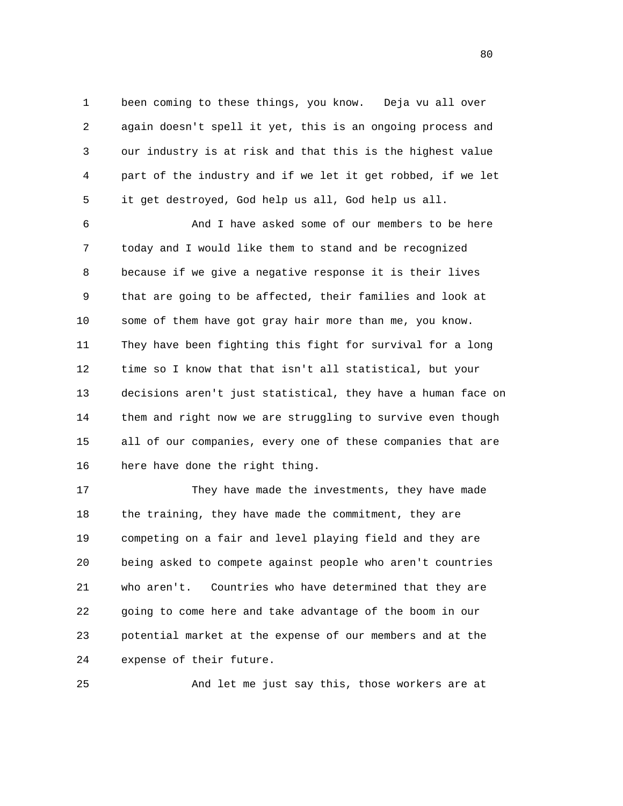1 been coming to these things, you know. Deja vu all over 2 again doesn't spell it yet, this is an ongoing process and 3 our industry is at risk and that this is the highest value 4 part of the industry and if we let it get robbed, if we let 5 it get destroyed, God help us all, God help us all.

 6 And I have asked some of our members to be here 7 today and I would like them to stand and be recognized 8 because if we give a negative response it is their lives 9 that are going to be affected, their families and look at 10 some of them have got gray hair more than me, you know. 11 They have been fighting this fight for survival for a long 12 time so I know that that isn't all statistical, but your 13 decisions aren't just statistical, they have a human face on 14 them and right now we are struggling to survive even though 15 all of our companies, every one of these companies that are 16 here have done the right thing.

 17 They have made the investments, they have made 18 the training, they have made the commitment, they are 19 competing on a fair and level playing field and they are 20 being asked to compete against people who aren't countries 21 who aren't. Countries who have determined that they are 22 going to come here and take advantage of the boom in our 23 potential market at the expense of our members and at the 24 expense of their future.

25 And let me just say this, those workers are at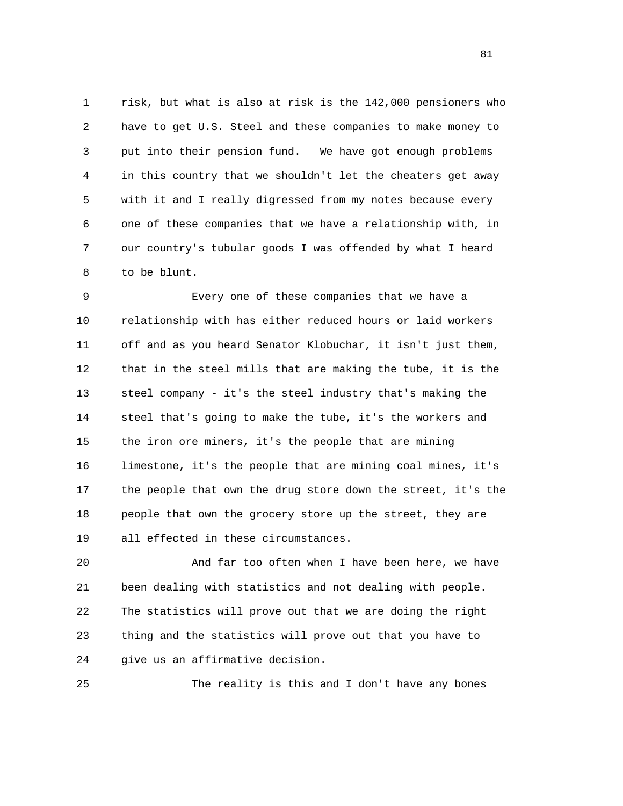1 risk, but what is also at risk is the 142,000 pensioners who 2 have to get U.S. Steel and these companies to make money to 3 put into their pension fund. We have got enough problems 4 in this country that we shouldn't let the cheaters get away 5 with it and I really digressed from my notes because every 6 one of these companies that we have a relationship with, in 7 our country's tubular goods I was offended by what I heard 8 to be blunt.

 9 Every one of these companies that we have a 10 relationship with has either reduced hours or laid workers 11 off and as you heard Senator Klobuchar, it isn't just them, 12 that in the steel mills that are making the tube, it is the 13 steel company - it's the steel industry that's making the 14 steel that's going to make the tube, it's the workers and 15 the iron ore miners, it's the people that are mining 16 limestone, it's the people that are mining coal mines, it's 17 the people that own the drug store down the street, it's the 18 people that own the grocery store up the street, they are 19 all effected in these circumstances.

 20 And far too often when I have been here, we have 21 been dealing with statistics and not dealing with people. 22 The statistics will prove out that we are doing the right 23 thing and the statistics will prove out that you have to 24 give us an affirmative decision.

25 The reality is this and I don't have any bones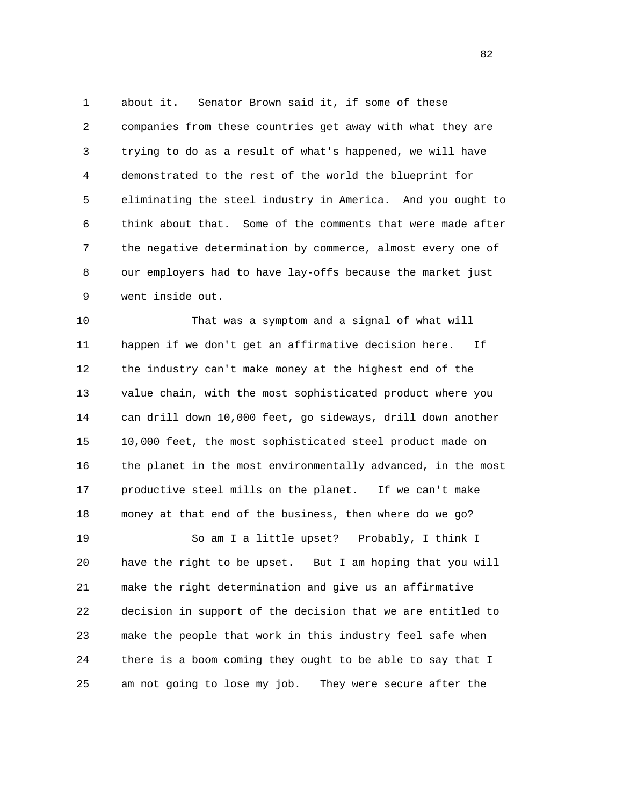1 about it. Senator Brown said it, if some of these 2 companies from these countries get away with what they are 3 trying to do as a result of what's happened, we will have 4 demonstrated to the rest of the world the blueprint for 5 eliminating the steel industry in America. And you ought to 6 think about that. Some of the comments that were made after 7 the negative determination by commerce, almost every one of 8 our employers had to have lay-offs because the market just 9 went inside out.

 10 That was a symptom and a signal of what will 11 happen if we don't get an affirmative decision here. If 12 the industry can't make money at the highest end of the 13 value chain, with the most sophisticated product where you 14 can drill down 10,000 feet, go sideways, drill down another 15 10,000 feet, the most sophisticated steel product made on 16 the planet in the most environmentally advanced, in the most 17 productive steel mills on the planet. If we can't make 18 money at that end of the business, then where do we go? 19 So am I a little upset? Probably, I think I

 20 have the right to be upset. But I am hoping that you will 21 make the right determination and give us an affirmative 22 decision in support of the decision that we are entitled to 23 make the people that work in this industry feel safe when 24 there is a boom coming they ought to be able to say that I 25 am not going to lose my job. They were secure after the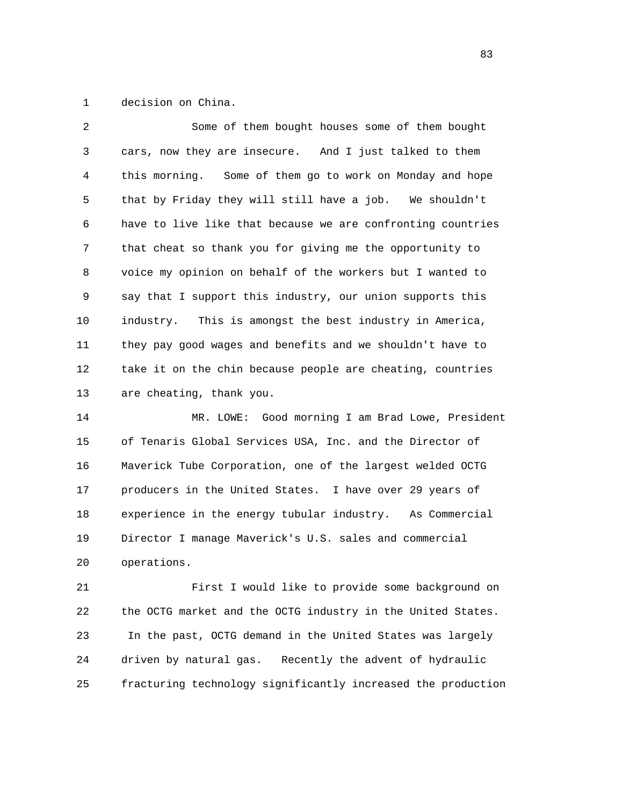1 decision on China.

| $\mathfrak{D}$    | Some of them bought houses some of them bought              |
|-------------------|-------------------------------------------------------------|
| 3                 | cars, now they are insecure. And I just talked to them      |
| 4                 | this morning. Some of them go to work on Monday and hope    |
| 5                 | that by Friday they will still have a job. We shouldn't     |
| 6                 | have to live like that because we are confronting countries |
| 7                 | that cheat so thank you for giving me the opportunity to    |
| 8                 | voice my opinion on behalf of the workers but I wanted to   |
| 9                 | say that I support this industry, our union supports this   |
| 10                | industry. This is amongst the best industry in America,     |
| 11                | they pay good wages and benefits and we shouldn't have to   |
| $12 \overline{ }$ | take it on the chin because people are cheating, countries  |
| 13                | are cheating, thank you.                                    |

 14 MR. LOWE: Good morning I am Brad Lowe, President 15 of Tenaris Global Services USA, Inc. and the Director of 16 Maverick Tube Corporation, one of the largest welded OCTG 17 producers in the United States. I have over 29 years of 18 experience in the energy tubular industry. As Commercial 19 Director I manage Maverick's U.S. sales and commercial 20 operations.

 21 First I would like to provide some background on 22 the OCTG market and the OCTG industry in the United States. 23 In the past, OCTG demand in the United States was largely 24 driven by natural gas. Recently the advent of hydraulic 25 fracturing technology significantly increased the production

<u>83</u>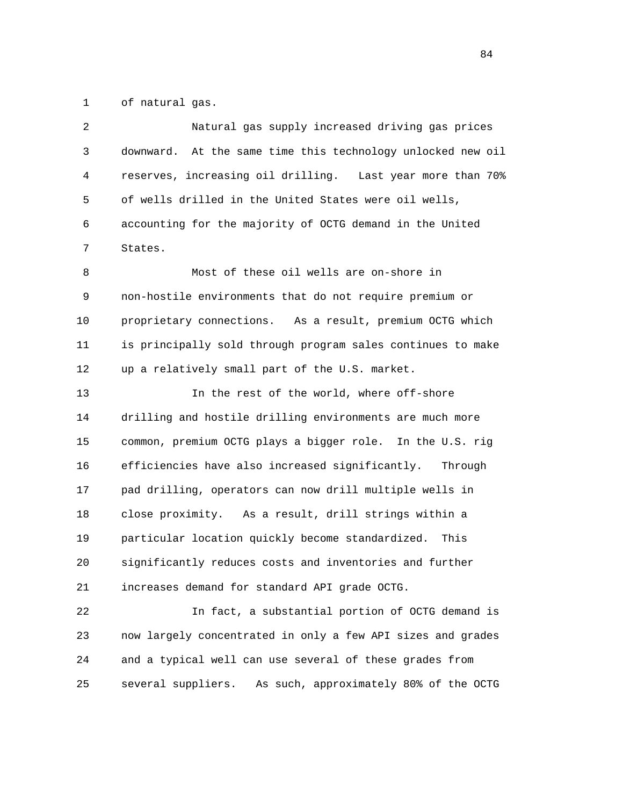1 of natural gas.

| 2  | Natural gas supply increased driving gas prices                |
|----|----------------------------------------------------------------|
| 3  | At the same time this technology unlocked new oil<br>downward. |
| 4  | reserves, increasing oil drilling. Last year more than 70%     |
| 5  | of wells drilled in the United States were oil wells,          |
| 6  | accounting for the majority of OCTG demand in the United       |
| 7  | States.                                                        |
| 8  | Most of these oil wells are on-shore in                        |
| 9  | non-hostile environments that do not require premium or        |
| 10 | proprietary connections. As a result, premium OCTG which       |
| 11 | is principally sold through program sales continues to make    |
| 12 | up a relatively small part of the U.S. market.                 |
| 13 | In the rest of the world, where off-shore                      |
| 14 | drilling and hostile drilling environments are much more       |
| 15 | common, premium OCTG plays a bigger role. In the U.S. rig      |
| 16 | efficiencies have also increased significantly.<br>Through     |
| 17 | pad drilling, operators can now drill multiple wells in        |
| 18 | close proximity. As a result, drill strings within a           |
| 19 | particular location quickly become standardized.<br>This       |
| 20 | significantly reduces costs and inventories and further        |
| 21 | increases demand for standard API grade OCTG.                  |
| 22 | In fact, a substantial portion of OCTG demand is               |
| 23 | now largely concentrated in only a few API sizes and grades    |
| 24 | and a typical well can use several of these grades from        |
| 25 | several suppliers.<br>As such, approximately 80% of the OCTG   |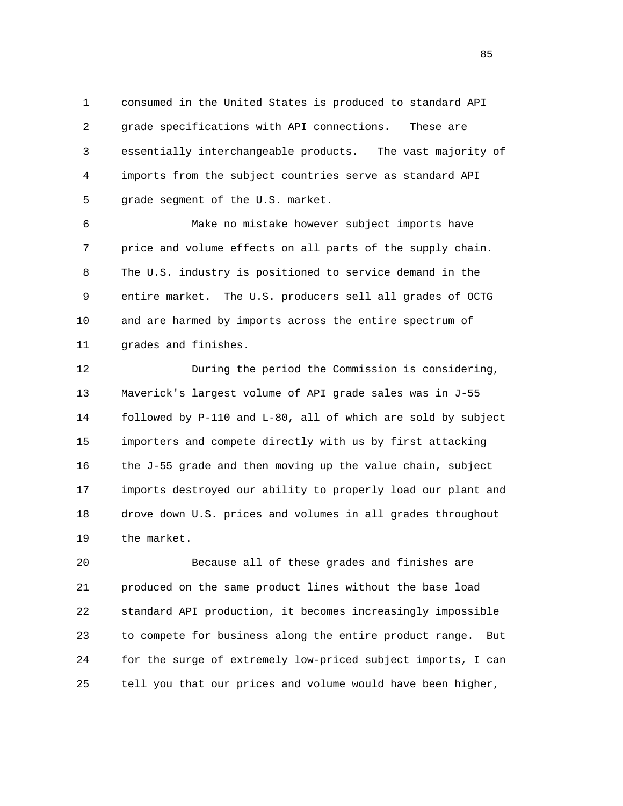1 consumed in the United States is produced to standard API 2 grade specifications with API connections. These are 3 essentially interchangeable products. The vast majority of 4 imports from the subject countries serve as standard API 5 grade segment of the U.S. market.

 6 Make no mistake however subject imports have 7 price and volume effects on all parts of the supply chain. 8 The U.S. industry is positioned to service demand in the 9 entire market. The U.S. producers sell all grades of OCTG 10 and are harmed by imports across the entire spectrum of 11 grades and finishes.

 12 During the period the Commission is considering, 13 Maverick's largest volume of API grade sales was in J-55 14 followed by P-110 and L-80, all of which are sold by subject 15 importers and compete directly with us by first attacking 16 the J-55 grade and then moving up the value chain, subject 17 imports destroyed our ability to properly load our plant and 18 drove down U.S. prices and volumes in all grades throughout 19 the market.

 20 Because all of these grades and finishes are 21 produced on the same product lines without the base load 22 standard API production, it becomes increasingly impossible 23 to compete for business along the entire product range. But 24 for the surge of extremely low-priced subject imports, I can 25 tell you that our prices and volume would have been higher,

<u>85</u>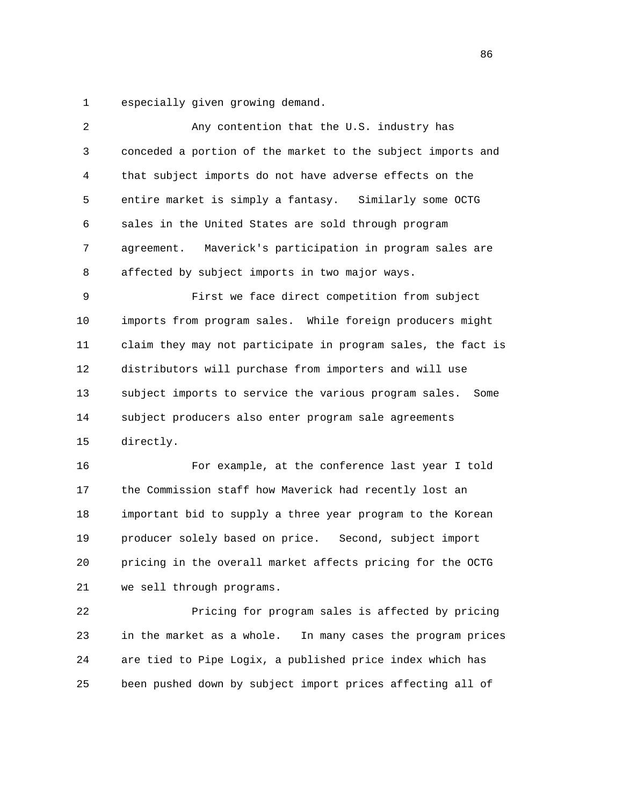1 especially given growing demand.

| $\overline{2}$ | Any contention that the U.S. industry has                     |
|----------------|---------------------------------------------------------------|
| $\mathsf{3}$   | conceded a portion of the market to the subject imports and   |
| 4              | that subject imports do not have adverse effects on the       |
| 5              | entire market is simply a fantasy. Similarly some OCTG        |
| 6              | sales in the United States are sold through program           |
| 7              | Maverick's participation in program sales are<br>agreement.   |
| 8              | affected by subject imports in two major ways.                |
| 9              | First we face direct competition from subject                 |
| 10             | imports from program sales. While foreign producers might     |
| 11             | claim they may not participate in program sales, the fact is  |
| 12             | distributors will purchase from importers and will use        |
| 13             | subject imports to service the various program sales.<br>Some |
| 14             | subject producers also enter program sale agreements          |
| 15             | directly.                                                     |
| 16             | For example, at the conference last year I told               |
| 17             | the Commission staff how Maverick had recently lost an        |
| 18             | important bid to supply a three year program to the Korean    |
| 19             | producer solely based on price. Second, subject import        |
| 20             | pricing in the overall market affects pricing for the OCTG    |
| 21             | we sell through programs.                                     |
| 22             | Pricing for program sales is affected by pricing              |
|                |                                                               |

 23 in the market as a whole. In many cases the program prices 24 are tied to Pipe Logix, a published price index which has 25 been pushed down by subject import prices affecting all of

<u>86 and 2001 and 2002 and 2003 and 2003 and 2003 and 2003 and 2003 and 2003 and 2003 and 2003 and 2003 and 200</u>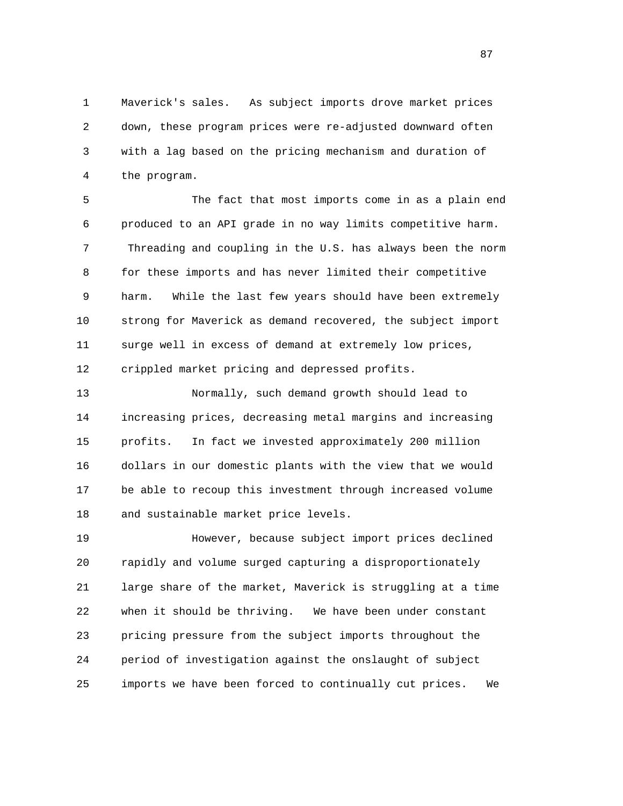1 Maverick's sales. As subject imports drove market prices 2 down, these program prices were re-adjusted downward often 3 with a lag based on the pricing mechanism and duration of 4 the program.

 5 The fact that most imports come in as a plain end 6 produced to an API grade in no way limits competitive harm. 7 Threading and coupling in the U.S. has always been the norm 8 for these imports and has never limited their competitive 9 harm. While the last few years should have been extremely 10 strong for Maverick as demand recovered, the subject import 11 surge well in excess of demand at extremely low prices, 12 crippled market pricing and depressed profits.

 13 Normally, such demand growth should lead to 14 increasing prices, decreasing metal margins and increasing 15 profits. In fact we invested approximately 200 million 16 dollars in our domestic plants with the view that we would 17 be able to recoup this investment through increased volume 18 and sustainable market price levels.

 19 However, because subject import prices declined 20 rapidly and volume surged capturing a disproportionately 21 large share of the market, Maverick is struggling at a time 22 when it should be thriving. We have been under constant 23 pricing pressure from the subject imports throughout the 24 period of investigation against the onslaught of subject 25 imports we have been forced to continually cut prices. We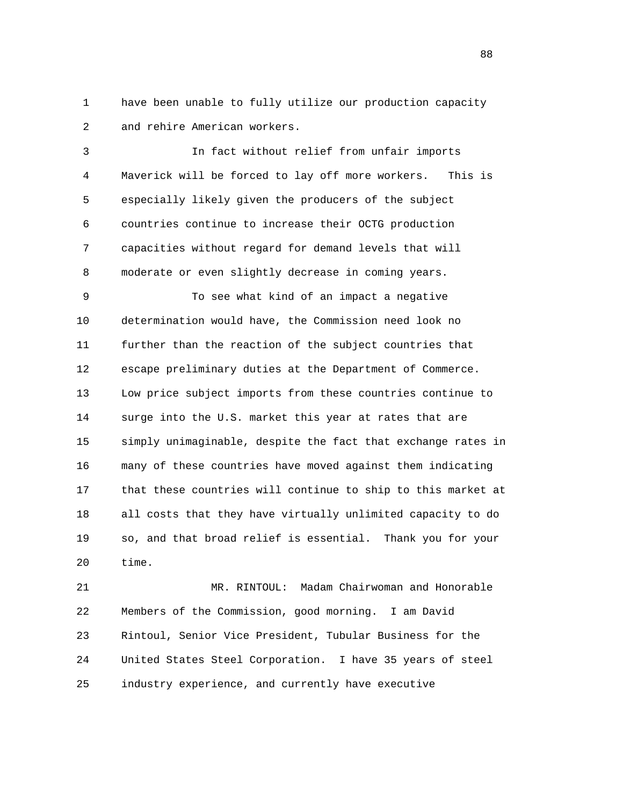1 have been unable to fully utilize our production capacity 2 and rehire American workers.

 3 In fact without relief from unfair imports 4 Maverick will be forced to lay off more workers. This is 5 especially likely given the producers of the subject 6 countries continue to increase their OCTG production 7 capacities without regard for demand levels that will 8 moderate or even slightly decrease in coming years.

 9 To see what kind of an impact a negative 10 determination would have, the Commission need look no 11 further than the reaction of the subject countries that 12 escape preliminary duties at the Department of Commerce. 13 Low price subject imports from these countries continue to 14 surge into the U.S. market this year at rates that are 15 simply unimaginable, despite the fact that exchange rates in 16 many of these countries have moved against them indicating 17 that these countries will continue to ship to this market at 18 all costs that they have virtually unlimited capacity to do 19 so, and that broad relief is essential. Thank you for your 20 time.

 21 MR. RINTOUL: Madam Chairwoman and Honorable 22 Members of the Commission, good morning. I am David 23 Rintoul, Senior Vice President, Tubular Business for the 24 United States Steel Corporation. I have 35 years of steel 25 industry experience, and currently have executive

en and the state of the state of the state of the state of the state of the state of the state of the state of the state of the state of the state of the state of the state of the state of the state of the state of the sta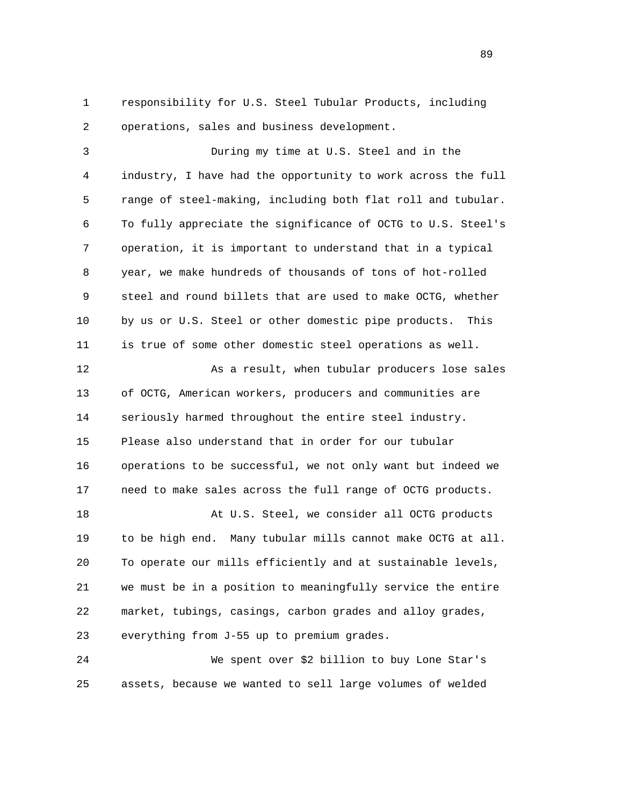1 responsibility for U.S. Steel Tubular Products, including 2 operations, sales and business development.

 3 During my time at U.S. Steel and in the 4 industry, I have had the opportunity to work across the full 5 range of steel-making, including both flat roll and tubular. 6 To fully appreciate the significance of OCTG to U.S. Steel's 7 operation, it is important to understand that in a typical 8 year, we make hundreds of thousands of tons of hot-rolled 9 steel and round billets that are used to make OCTG, whether 10 by us or U.S. Steel or other domestic pipe products. This 11 is true of some other domestic steel operations as well. 12 As a result, when tubular producers lose sales 13 of OCTG, American workers, producers and communities are 14 seriously harmed throughout the entire steel industry. 15 Please also understand that in order for our tubular 16 operations to be successful, we not only want but indeed we 17 need to make sales across the full range of OCTG products. 18 At U.S. Steel, we consider all OCTG products 19 to be high end. Many tubular mills cannot make OCTG at all. 20 To operate our mills efficiently and at sustainable levels, 21 we must be in a position to meaningfully service the entire 22 market, tubings, casings, carbon grades and alloy grades, 23 everything from J-55 up to premium grades.

 24 We spent over \$2 billion to buy Lone Star's 25 assets, because we wanted to sell large volumes of welded

89 and the state of the state of the state of the state of the state of the state of the state of the state of the state of the state of the state of the state of the state of the state of the state of the state of the sta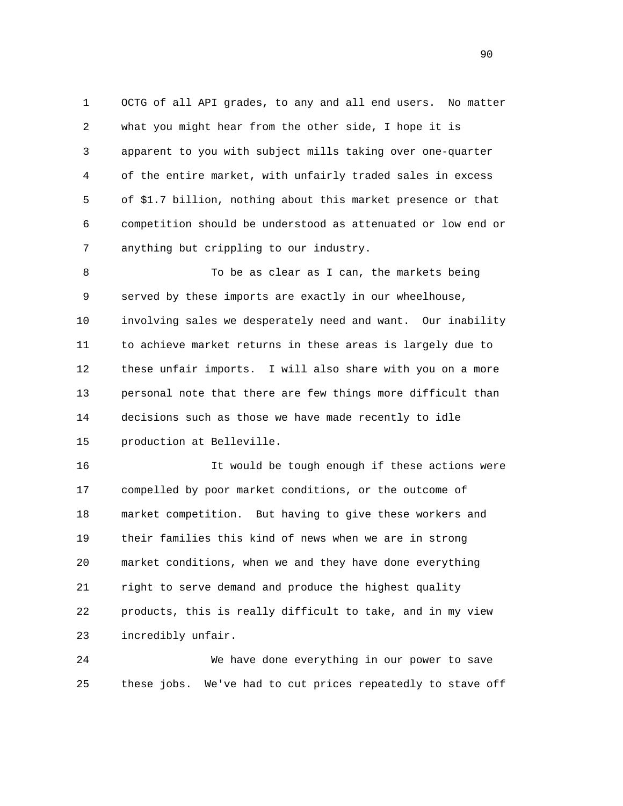1 OCTG of all API grades, to any and all end users. No matter 2 what you might hear from the other side, I hope it is 3 apparent to you with subject mills taking over one-quarter 4 of the entire market, with unfairly traded sales in excess 5 of \$1.7 billion, nothing about this market presence or that 6 competition should be understood as attenuated or low end or 7 anything but crippling to our industry.

 8 To be as clear as I can, the markets being 9 served by these imports are exactly in our wheelhouse, 10 involving sales we desperately need and want. Our inability 11 to achieve market returns in these areas is largely due to 12 these unfair imports. I will also share with you on a more 13 personal note that there are few things more difficult than 14 decisions such as those we have made recently to idle 15 production at Belleville.

 16 It would be tough enough if these actions were 17 compelled by poor market conditions, or the outcome of 18 market competition. But having to give these workers and 19 their families this kind of news when we are in strong 20 market conditions, when we and they have done everything 21 right to serve demand and produce the highest quality 22 products, this is really difficult to take, and in my view 23 incredibly unfair.

 24 We have done everything in our power to save 25 these jobs. We've had to cut prices repeatedly to stave off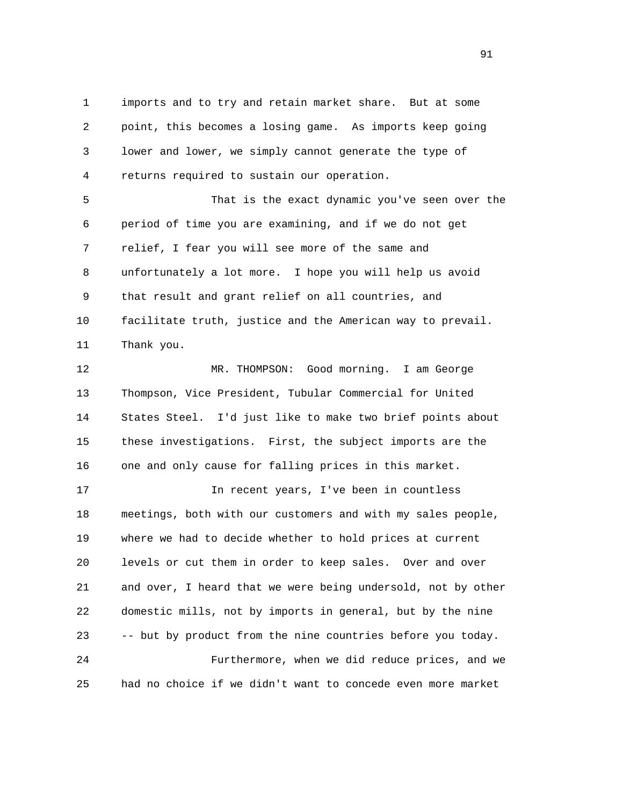1 imports and to try and retain market share. But at some 2 point, this becomes a losing game. As imports keep going 3 lower and lower, we simply cannot generate the type of 4 returns required to sustain our operation.

 5 That is the exact dynamic you've seen over the 6 period of time you are examining, and if we do not get 7 relief, I fear you will see more of the same and 8 unfortunately a lot more. I hope you will help us avoid 9 that result and grant relief on all countries, and 10 facilitate truth, justice and the American way to prevail. 11 Thank you.

 12 MR. THOMPSON: Good morning. I am George 13 Thompson, Vice President, Tubular Commercial for United 14 States Steel. I'd just like to make two brief points about 15 these investigations. First, the subject imports are the 16 one and only cause for falling prices in this market.

 17 In recent years, I've been in countless 18 meetings, both with our customers and with my sales people, 19 where we had to decide whether to hold prices at current 20 levels or cut them in order to keep sales. Over and over 21 and over, I heard that we were being undersold, not by other 22 domestic mills, not by imports in general, but by the nine 23 -- but by product from the nine countries before you today. 24 Furthermore, when we did reduce prices, and we 25 had no choice if we didn't want to concede even more market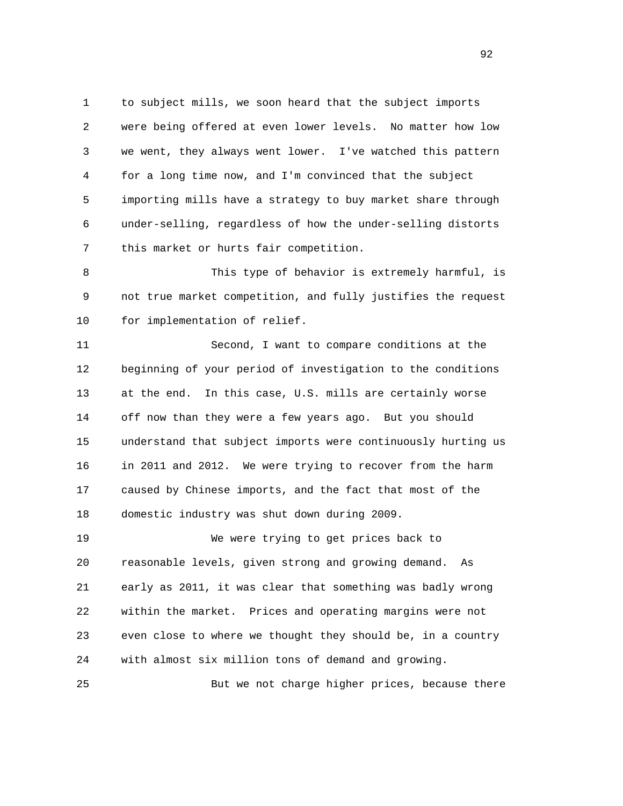1 to subject mills, we soon heard that the subject imports 2 were being offered at even lower levels. No matter how low 3 we went, they always went lower. I've watched this pattern 4 for a long time now, and I'm convinced that the subject 5 importing mills have a strategy to buy market share through 6 under-selling, regardless of how the under-selling distorts 7 this market or hurts fair competition.

 8 This type of behavior is extremely harmful, is 9 not true market competition, and fully justifies the request 10 for implementation of relief.

 11 Second, I want to compare conditions at the 12 beginning of your period of investigation to the conditions 13 at the end. In this case, U.S. mills are certainly worse 14 off now than they were a few years ago. But you should 15 understand that subject imports were continuously hurting us 16 in 2011 and 2012. We were trying to recover from the harm 17 caused by Chinese imports, and the fact that most of the 18 domestic industry was shut down during 2009.

 19 We were trying to get prices back to 20 reasonable levels, given strong and growing demand. As 21 early as 2011, it was clear that something was badly wrong 22 within the market. Prices and operating margins were not 23 even close to where we thought they should be, in a country 24 with almost six million tons of demand and growing.

25 But we not charge higher prices, because there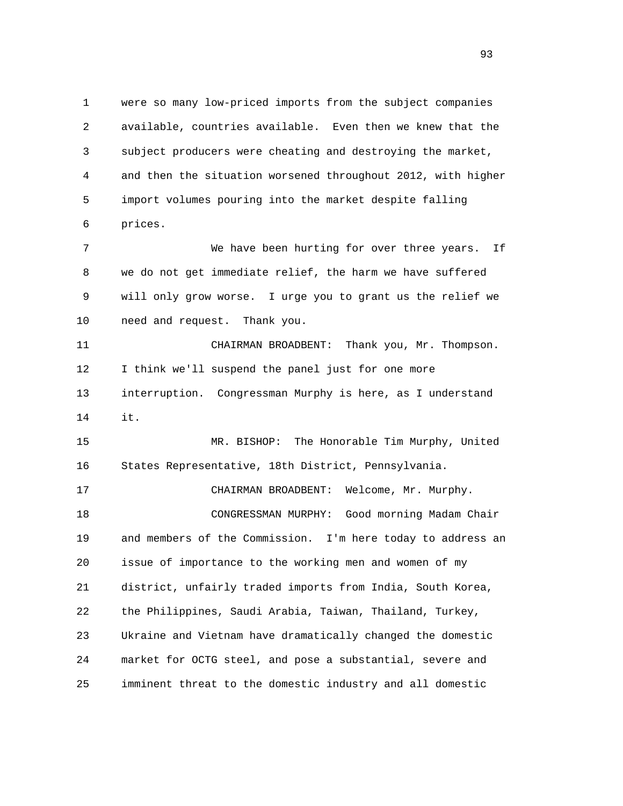1 were so many low-priced imports from the subject companies 2 available, countries available. Even then we knew that the 3 subject producers were cheating and destroying the market, 4 and then the situation worsened throughout 2012, with higher 5 import volumes pouring into the market despite falling 6 prices. 7 We have been hurting for over three years. If 8 we do not get immediate relief, the harm we have suffered 9 will only grow worse. I urge you to grant us the relief we 10 need and request. Thank you. 11 CHAIRMAN BROADBENT: Thank you, Mr. Thompson. 12 I think we'll suspend the panel just for one more 13 interruption. Congressman Murphy is here, as I understand 14 it. 15 MR. BISHOP: The Honorable Tim Murphy, United 16 States Representative, 18th District, Pennsylvania. 17 CHAIRMAN BROADBENT: Welcome, Mr. Murphy. 18 CONGRESSMAN MURPHY: Good morning Madam Chair 19 and members of the Commission. I'm here today to address an 20 issue of importance to the working men and women of my 21 district, unfairly traded imports from India, South Korea, 22 the Philippines, Saudi Arabia, Taiwan, Thailand, Turkey, 23 Ukraine and Vietnam have dramatically changed the domestic 24 market for OCTG steel, and pose a substantial, severe and

25 imminent threat to the domestic industry and all domestic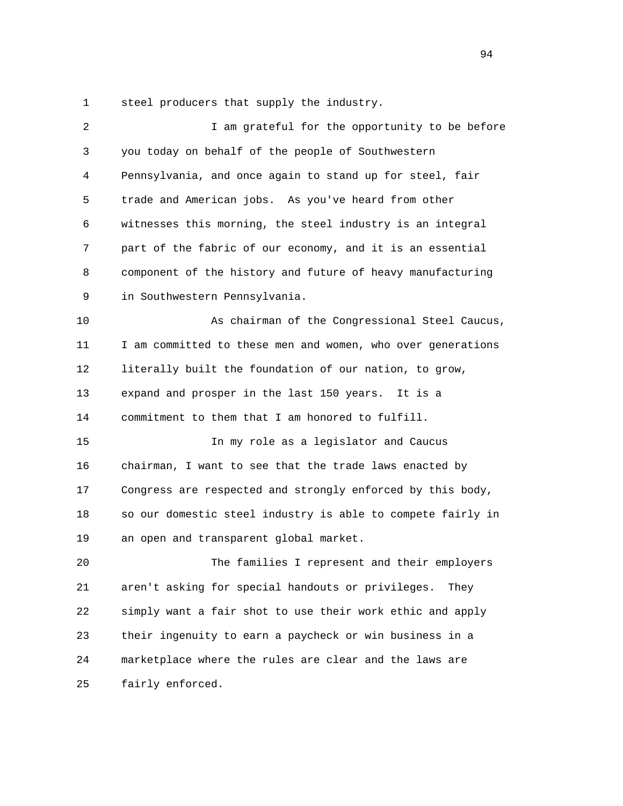1 steel producers that supply the industry.

| 2  | I am grateful for the opportunity to be before              |
|----|-------------------------------------------------------------|
| 3  | you today on behalf of the people of Southwestern           |
| 4  | Pennsylvania, and once again to stand up for steel, fair    |
| 5  | trade and American jobs. As you've heard from other         |
| 6  | witnesses this morning, the steel industry is an integral   |
| 7  | part of the fabric of our economy, and it is an essential   |
| 8  | component of the history and future of heavy manufacturing  |
| 9  | in Southwestern Pennsylvania.                               |
| 10 | As chairman of the Congressional Steel Caucus,              |
| 11 | I am committed to these men and women, who over generations |
| 12 | literally built the foundation of our nation, to grow,      |
| 13 | expand and prosper in the last 150 years.<br>It is a        |
| 14 | commitment to them that I am honored to fulfill.            |
| 15 | In my role as a legislator and Caucus                       |
| 16 | chairman, I want to see that the trade laws enacted by      |
| 17 | Congress are respected and strongly enforced by this body,  |
| 18 | so our domestic steel industry is able to compete fairly in |
| 19 | an open and transparent global market.                      |
| 20 | The families I represent and their employers                |
| 21 | aren't asking for special handouts or privileges.<br>They   |
| 22 | simply want a fair shot to use their work ethic and apply   |
| 23 | their ingenuity to earn a paycheck or win business in a     |
| 24 | marketplace where the rules are clear and the laws are      |
| 25 | fairly enforced.                                            |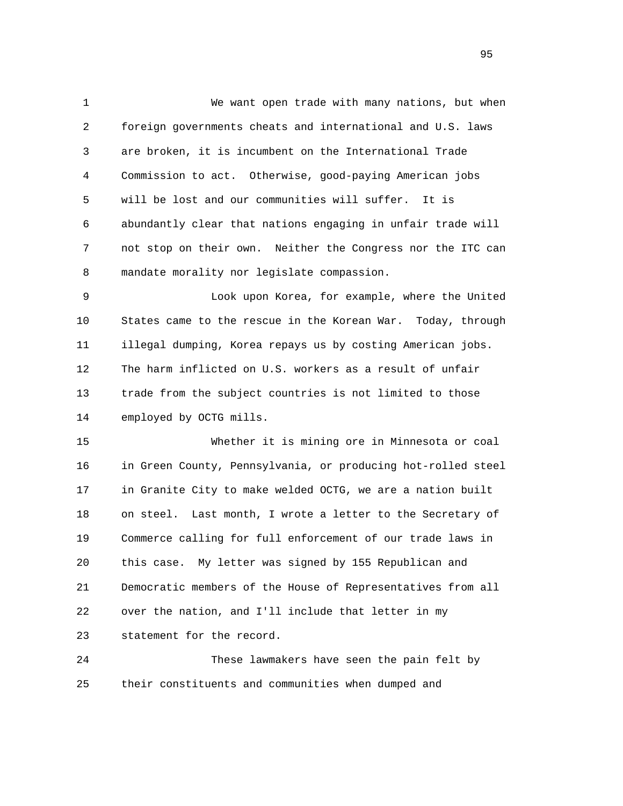1 We want open trade with many nations, but when 2 foreign governments cheats and international and U.S. laws 3 are broken, it is incumbent on the International Trade 4 Commission to act. Otherwise, good-paying American jobs 5 will be lost and our communities will suffer. It is 6 abundantly clear that nations engaging in unfair trade will 7 not stop on their own. Neither the Congress nor the ITC can 8 mandate morality nor legislate compassion.

 9 Look upon Korea, for example, where the United 10 States came to the rescue in the Korean War. Today, through 11 illegal dumping, Korea repays us by costing American jobs. 12 The harm inflicted on U.S. workers as a result of unfair 13 trade from the subject countries is not limited to those 14 employed by OCTG mills.

 15 Whether it is mining ore in Minnesota or coal 16 in Green County, Pennsylvania, or producing hot-rolled steel 17 in Granite City to make welded OCTG, we are a nation built 18 on steel. Last month, I wrote a letter to the Secretary of 19 Commerce calling for full enforcement of our trade laws in 20 this case. My letter was signed by 155 Republican and 21 Democratic members of the House of Representatives from all 22 over the nation, and I'll include that letter in my 23 statement for the record.

 24 These lawmakers have seen the pain felt by 25 their constituents and communities when dumped and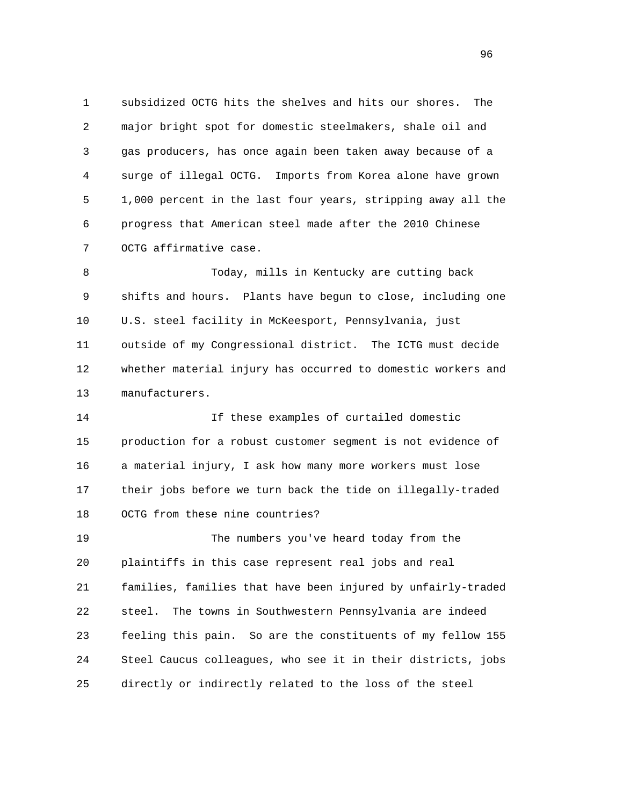1 subsidized OCTG hits the shelves and hits our shores. The 2 major bright spot for domestic steelmakers, shale oil and 3 gas producers, has once again been taken away because of a 4 surge of illegal OCTG. Imports from Korea alone have grown 5 1,000 percent in the last four years, stripping away all the 6 progress that American steel made after the 2010 Chinese 7 OCTG affirmative case.

 8 Today, mills in Kentucky are cutting back 9 shifts and hours. Plants have begun to close, including one 10 U.S. steel facility in McKeesport, Pennsylvania, just 11 outside of my Congressional district. The ICTG must decide 12 whether material injury has occurred to domestic workers and 13 manufacturers.

 14 If these examples of curtailed domestic 15 production for a robust customer segment is not evidence of 16 a material injury, I ask how many more workers must lose 17 their jobs before we turn back the tide on illegally-traded 18 OCTG from these nine countries?

 19 The numbers you've heard today from the 20 plaintiffs in this case represent real jobs and real 21 families, families that have been injured by unfairly-traded 22 steel. The towns in Southwestern Pennsylvania are indeed 23 feeling this pain. So are the constituents of my fellow 155 24 Steel Caucus colleagues, who see it in their districts, jobs 25 directly or indirectly related to the loss of the steel

<u>96</u>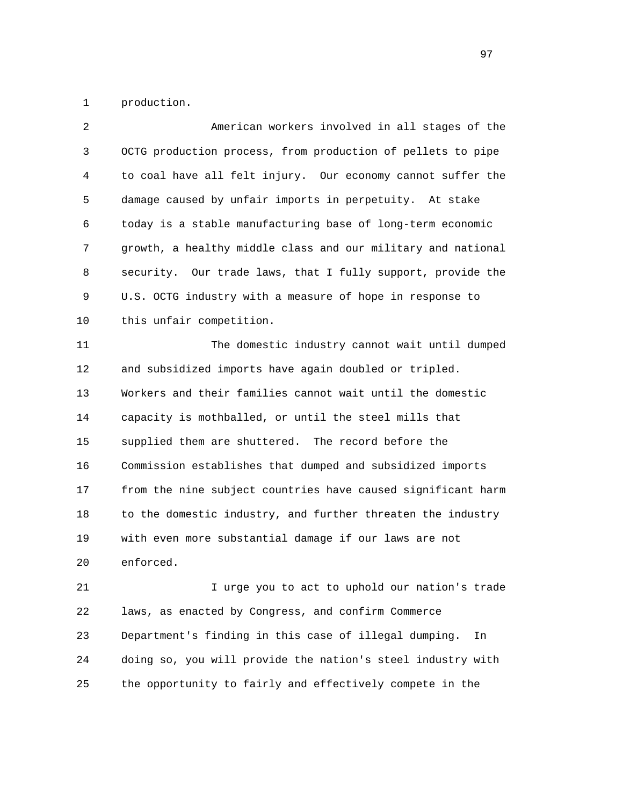1 production.

| $\overline{2}$ | American workers involved in all stages of the               |
|----------------|--------------------------------------------------------------|
| 3              | OCTG production process, from production of pellets to pipe  |
| 4              | to coal have all felt injury. Our economy cannot suffer the  |
| 5              | damage caused by unfair imports in perpetuity. At stake      |
| 6              | today is a stable manufacturing base of long-term economic   |
| 7              | growth, a healthy middle class and our military and national |
| 8              | security. Our trade laws, that I fully support, provide the  |
| 9              | U.S. OCTG industry with a measure of hope in response to     |
| 10             | this unfair competition.                                     |
| 11             | The domestic industry cannot wait until dumped               |
| 12             | and subsidized imports have again doubled or tripled.        |
| 13             | Workers and their families cannot wait until the domestic    |
| 14             | capacity is mothballed, or until the steel mills that        |
| 15             | supplied them are shuttered. The record before the           |
| 16             | Commission establishes that dumped and subsidized imports    |
| 17             | from the nine subject countries have caused significant harm |
| 18             | to the domestic industry, and further threaten the industry  |
| 19             | with even more substantial damage if our laws are not        |
| 20             | enforced.                                                    |
| 21             | I urge you to act to uphold our nation's trade               |
| 22             | laws, as enacted by Congress, and confirm Commerce           |
| 23             | Department's finding in this case of illegal dumping.<br>In  |
| 24             | doing so, you will provide the nation's steel industry with  |

25 the opportunity to fairly and effectively compete in the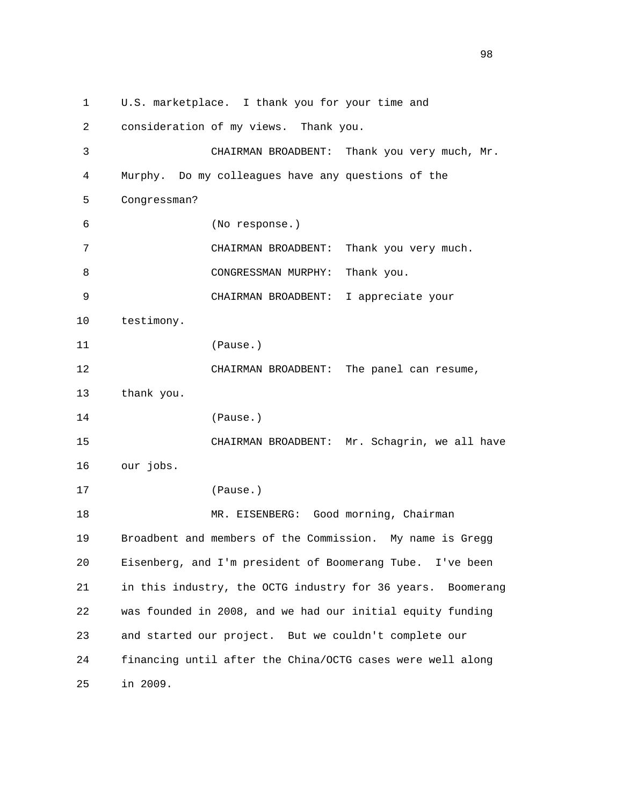1 U.S. marketplace. I thank you for your time and 2 consideration of my views. Thank you. 3 CHAIRMAN BROADBENT: Thank you very much, Mr. 4 Murphy. Do my colleagues have any questions of the 5 Congressman? 6 (No response.) 7 CHAIRMAN BROADBENT: Thank you very much. 8 CONGRESSMAN MURPHY: Thank you. 9 CHAIRMAN BROADBENT: I appreciate your 10 testimony. 11 (Pause.) 12 CHAIRMAN BROADBENT: The panel can resume, 13 thank you. 14 (Pause.) 15 CHAIRMAN BROADBENT: Mr. Schagrin, we all have 16 our jobs. 17 (Pause.) 18 MR. EISENBERG: Good morning, Chairman 19 Broadbent and members of the Commission. My name is Gregg 20 Eisenberg, and I'm president of Boomerang Tube. I've been 21 in this industry, the OCTG industry for 36 years. Boomerang 22 was founded in 2008, and we had our initial equity funding 23 and started our project. But we couldn't complete our 24 financing until after the China/OCTG cases were well along 25 in 2009.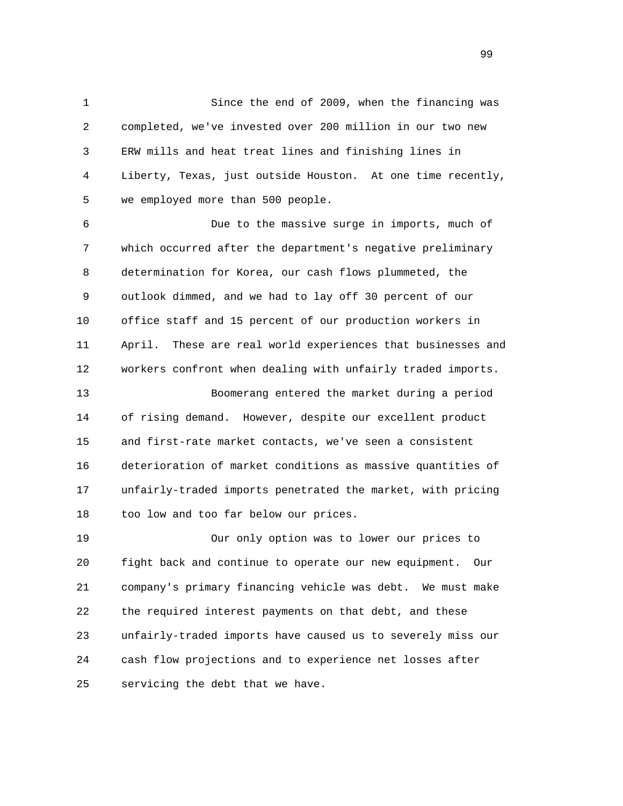1 Since the end of 2009, when the financing was 2 completed, we've invested over 200 million in our two new 3 ERW mills and heat treat lines and finishing lines in 4 Liberty, Texas, just outside Houston. At one time recently, 5 we employed more than 500 people.

 6 Due to the massive surge in imports, much of 7 which occurred after the department's negative preliminary 8 determination for Korea, our cash flows plummeted, the 9 outlook dimmed, and we had to lay off 30 percent of our 10 office staff and 15 percent of our production workers in 11 April. These are real world experiences that businesses and 12 workers confront when dealing with unfairly traded imports. 13 Boomerang entered the market during a period 14 of rising demand. However, despite our excellent product 15 and first-rate market contacts, we've seen a consistent 16 deterioration of market conditions as massive quantities of 17 unfairly-traded imports penetrated the market, with pricing

18 too low and too far below our prices.

 19 Our only option was to lower our prices to 20 fight back and continue to operate our new equipment. Our 21 company's primary financing vehicle was debt. We must make 22 the required interest payments on that debt, and these 23 unfairly-traded imports have caused us to severely miss our 24 cash flow projections and to experience net losses after 25 servicing the debt that we have.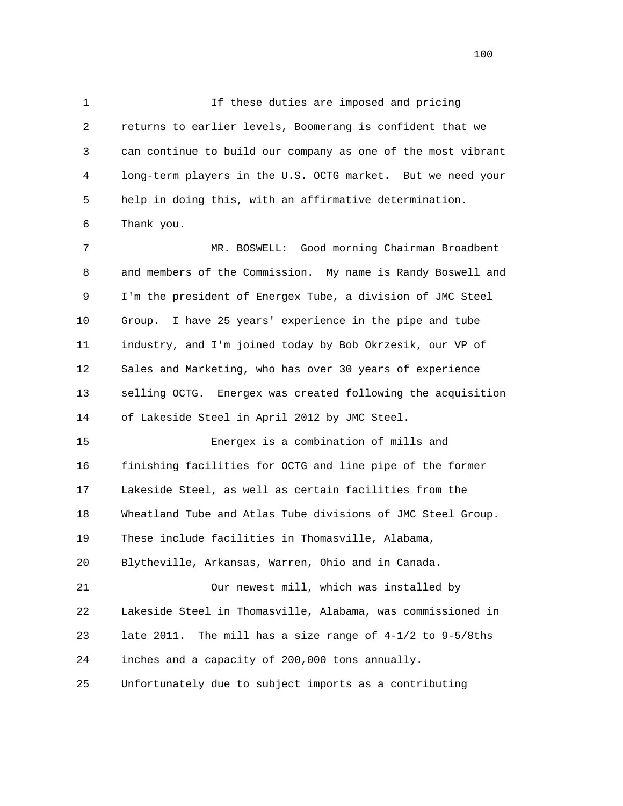1 If these duties are imposed and pricing 2 returns to earlier levels, Boomerang is confident that we 3 can continue to build our company as one of the most vibrant 4 long-term players in the U.S. OCTG market. But we need your 5 help in doing this, with an affirmative determination. 6 Thank you.

 7 MR. BOSWELL: Good morning Chairman Broadbent 8 and members of the Commission. My name is Randy Boswell and 9 I'm the president of Energex Tube, a division of JMC Steel 10 Group. I have 25 years' experience in the pipe and tube 11 industry, and I'm joined today by Bob Okrzesik, our VP of 12 Sales and Marketing, who has over 30 years of experience 13 selling OCTG. Energex was created following the acquisition 14 of Lakeside Steel in April 2012 by JMC Steel.

 15 Energex is a combination of mills and 16 finishing facilities for OCTG and line pipe of the former 17 Lakeside Steel, as well as certain facilities from the 18 Wheatland Tube and Atlas Tube divisions of JMC Steel Group. 19 These include facilities in Thomasville, Alabama, 20 Blytheville, Arkansas, Warren, Ohio and in Canada. 21 Our newest mill, which was installed by 22 Lakeside Steel in Thomasville, Alabama, was commissioned in

 23 late 2011. The mill has a size range of 4-1/2 to 9-5/8ths 24 inches and a capacity of 200,000 tons annually.

25 Unfortunately due to subject imports as a contributing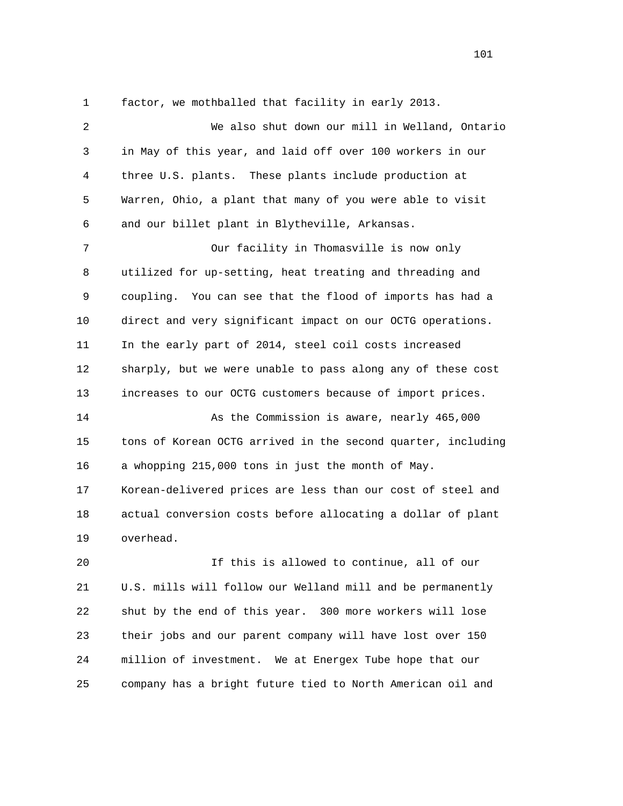1 factor, we mothballed that facility in early 2013.

 2 We also shut down our mill in Welland, Ontario 3 in May of this year, and laid off over 100 workers in our 4 three U.S. plants. These plants include production at 5 Warren, Ohio, a plant that many of you were able to visit 6 and our billet plant in Blytheville, Arkansas. 7 Our facility in Thomasville is now only 8 utilized for up-setting, heat treating and threading and 9 coupling. You can see that the flood of imports has had a 10 direct and very significant impact on our OCTG operations. 11 In the early part of 2014, steel coil costs increased 12 sharply, but we were unable to pass along any of these cost 13 increases to our OCTG customers because of import prices. 14 As the Commission is aware, nearly 465,000 15 tons of Korean OCTG arrived in the second quarter, including 16 a whopping 215,000 tons in just the month of May. 17 Korean-delivered prices are less than our cost of steel and 18 actual conversion costs before allocating a dollar of plant 19 overhead. 20 If this is allowed to continue, all of our

 21 U.S. mills will follow our Welland mill and be permanently 22 shut by the end of this year. 300 more workers will lose 23 their jobs and our parent company will have lost over 150 24 million of investment. We at Energex Tube hope that our 25 company has a bright future tied to North American oil and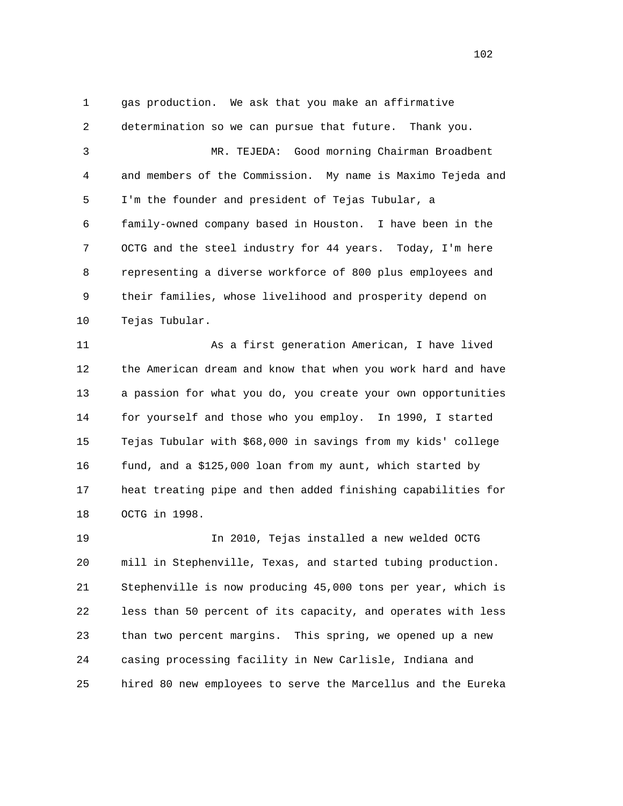1 gas production. We ask that you make an affirmative 2 determination so we can pursue that future. Thank you. 3 MR. TEJEDA: Good morning Chairman Broadbent 4 and members of the Commission. My name is Maximo Tejeda and 5 I'm the founder and president of Tejas Tubular, a 6 family-owned company based in Houston. I have been in the 7 OCTG and the steel industry for 44 years. Today, I'm here 8 representing a diverse workforce of 800 plus employees and 9 their families, whose livelihood and prosperity depend on 10 Tejas Tubular.

 11 As a first generation American, I have lived 12 the American dream and know that when you work hard and have 13 a passion for what you do, you create your own opportunities 14 for yourself and those who you employ. In 1990, I started 15 Tejas Tubular with \$68,000 in savings from my kids' college 16 fund, and a \$125,000 loan from my aunt, which started by 17 heat treating pipe and then added finishing capabilities for 18 OCTG in 1998.

 19 In 2010, Tejas installed a new welded OCTG 20 mill in Stephenville, Texas, and started tubing production. 21 Stephenville is now producing 45,000 tons per year, which is 22 less than 50 percent of its capacity, and operates with less 23 than two percent margins. This spring, we opened up a new 24 casing processing facility in New Carlisle, Indiana and 25 hired 80 new employees to serve the Marcellus and the Eureka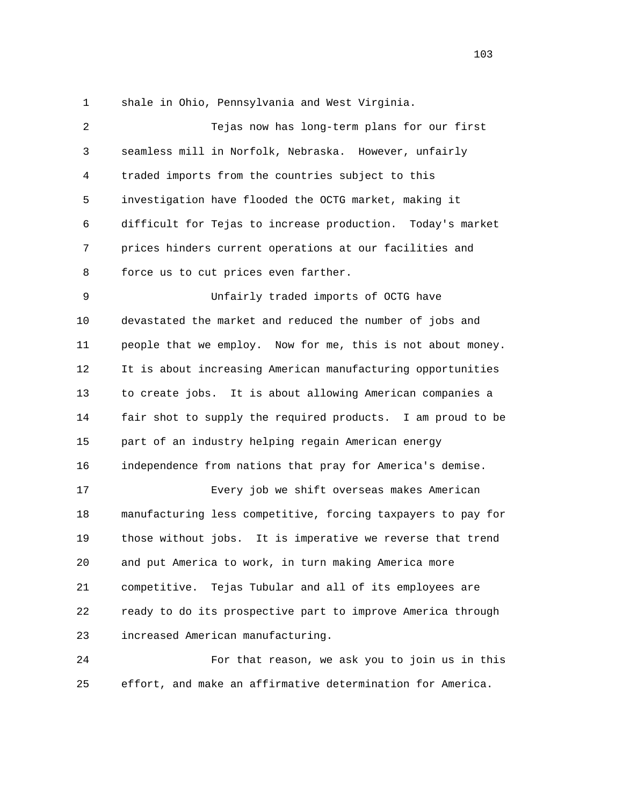1 shale in Ohio, Pennsylvania and West Virginia.

| $\overline{2}$ | Tejas now has long-term plans for our first                  |
|----------------|--------------------------------------------------------------|
| 3              | seamless mill in Norfolk, Nebraska. However, unfairly        |
| 4              | traded imports from the countries subject to this            |
| 5              | investigation have flooded the OCTG market, making it        |
| 6              | difficult for Tejas to increase production. Today's market   |
| 7              | prices hinders current operations at our facilities and      |
| 8              | force us to cut prices even farther.                         |
| 9              | Unfairly traded imports of OCTG have                         |
| 10             | devastated the market and reduced the number of jobs and     |
| 11             | people that we employ. Now for me, this is not about money.  |
| 12             | It is about increasing American manufacturing opportunities  |
| 13             | to create jobs. It is about allowing American companies a    |
| 14             | fair shot to supply the required products. I am proud to be  |
| 15             | part of an industry helping regain American energy           |
| 16             | independence from nations that pray for America's demise.    |
| 17             | Every job we shift overseas makes American                   |
| 18             | manufacturing less competitive, forcing taxpayers to pay for |
| 19             | those without jobs. It is imperative we reverse that trend   |
| 20             | and put America to work, in turn making America more         |
| 21             | competitive. Tejas Tubular and all of its employees are      |
| 22             | ready to do its prospective part to improve America through  |
| 23             | increased American manufacturing.                            |
| 24             | For that reason, we ask you to join us in this               |
| 25             | effort, and make an affirmative determination for America.   |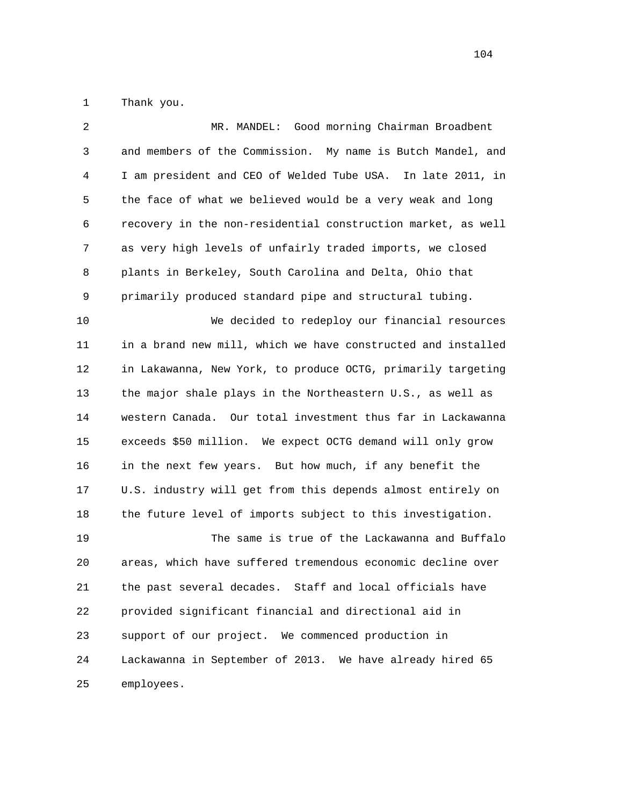1 Thank you.

| 2  | MR. MANDEL: Good morning Chairman Broadbent                  |
|----|--------------------------------------------------------------|
| 3  | and members of the Commission. My name is Butch Mandel, and  |
| 4  | I am president and CEO of Welded Tube USA. In late 2011, in  |
| 5  | the face of what we believed would be a very weak and long   |
| 6  | recovery in the non-residential construction market, as well |
| 7  | as very high levels of unfairly traded imports, we closed    |
| 8  | plants in Berkeley, South Carolina and Delta, Ohio that      |
| 9  | primarily produced standard pipe and structural tubing.      |
| 10 | We decided to redeploy our financial resources               |
| 11 | in a brand new mill, which we have constructed and installed |
| 12 | in Lakawanna, New York, to produce OCTG, primarily targeting |
| 13 | the major shale plays in the Northeastern U.S., as well as   |
| 14 | western Canada. Our total investment thus far in Lackawanna  |
| 15 | exceeds \$50 million. We expect OCTG demand will only grow   |
| 16 | in the next few years. But how much, if any benefit the      |
| 17 | U.S. industry will get from this depends almost entirely on  |
| 18 | the future level of imports subject to this investigation.   |
| 19 | The same is true of the Lackawanna and Buffalo               |
| 20 | areas, which have suffered tremendous economic decline over  |
| 21 | the past several decades. Staff and local officials have     |
| 22 | provided significant financial and directional aid in        |
| 23 | support of our project. We commenced production in           |
| 24 | Lackawanna in September of 2013. We have already hired 65    |
| 25 | employees.                                                   |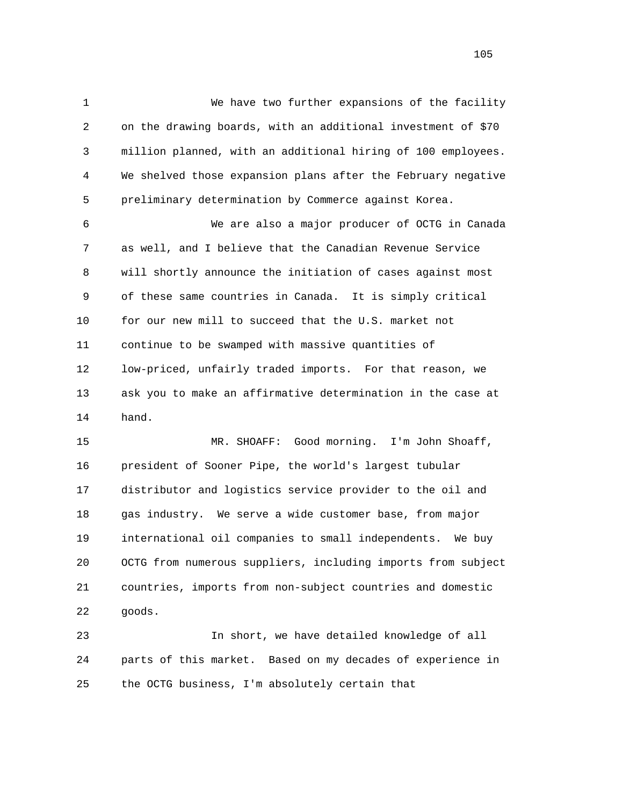1 We have two further expansions of the facility 2 on the drawing boards, with an additional investment of \$70 3 million planned, with an additional hiring of 100 employees. 4 We shelved those expansion plans after the February negative 5 preliminary determination by Commerce against Korea. 6 We are also a major producer of OCTG in Canada 7 as well, and I believe that the Canadian Revenue Service 8 will shortly announce the initiation of cases against most 9 of these same countries in Canada. It is simply critical 10 for our new mill to succeed that the U.S. market not 11 continue to be swamped with massive quantities of 12 low-priced, unfairly traded imports. For that reason, we 13 ask you to make an affirmative determination in the case at 14 hand. 15 MR. SHOAFF: Good morning. I'm John Shoaff, 16 president of Sooner Pipe, the world's largest tubular 17 distributor and logistics service provider to the oil and 18 gas industry. We serve a wide customer base, from major 19 international oil companies to small independents. We buy

 20 OCTG from numerous suppliers, including imports from subject 21 countries, imports from non-subject countries and domestic 22 goods.

 23 In short, we have detailed knowledge of all 24 parts of this market. Based on my decades of experience in 25 the OCTG business, I'm absolutely certain that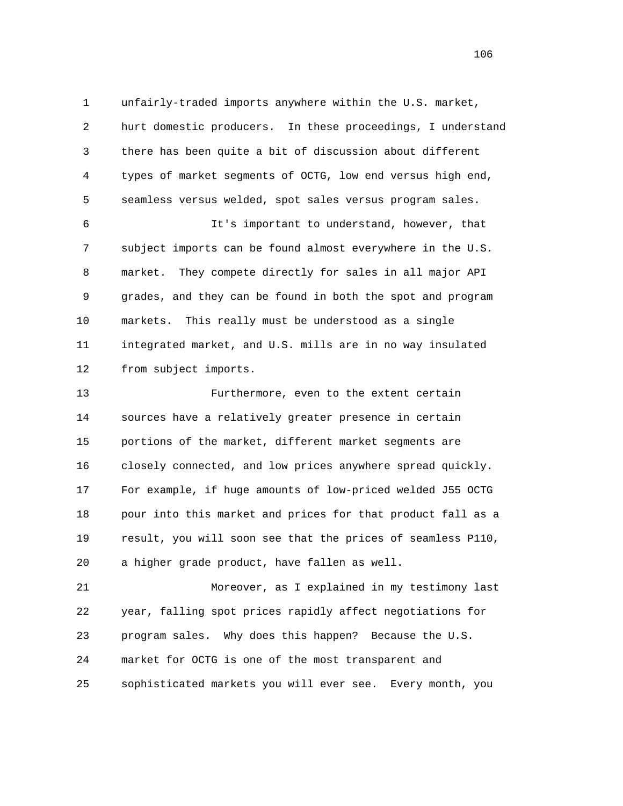1 unfairly-traded imports anywhere within the U.S. market, 2 hurt domestic producers. In these proceedings, I understand 3 there has been quite a bit of discussion about different 4 types of market segments of OCTG, low end versus high end, 5 seamless versus welded, spot sales versus program sales.

 6 It's important to understand, however, that 7 subject imports can be found almost everywhere in the U.S. 8 market. They compete directly for sales in all major API 9 grades, and they can be found in both the spot and program 10 markets. This really must be understood as a single 11 integrated market, and U.S. mills are in no way insulated 12 from subject imports.

 13 Furthermore, even to the extent certain 14 sources have a relatively greater presence in certain 15 portions of the market, different market segments are 16 closely connected, and low prices anywhere spread quickly. 17 For example, if huge amounts of low-priced welded J55 OCTG 18 pour into this market and prices for that product fall as a 19 result, you will soon see that the prices of seamless P110, 20 a higher grade product, have fallen as well.

 21 Moreover, as I explained in my testimony last 22 year, falling spot prices rapidly affect negotiations for 23 program sales. Why does this happen? Because the U.S. 24 market for OCTG is one of the most transparent and 25 sophisticated markets you will ever see. Every month, you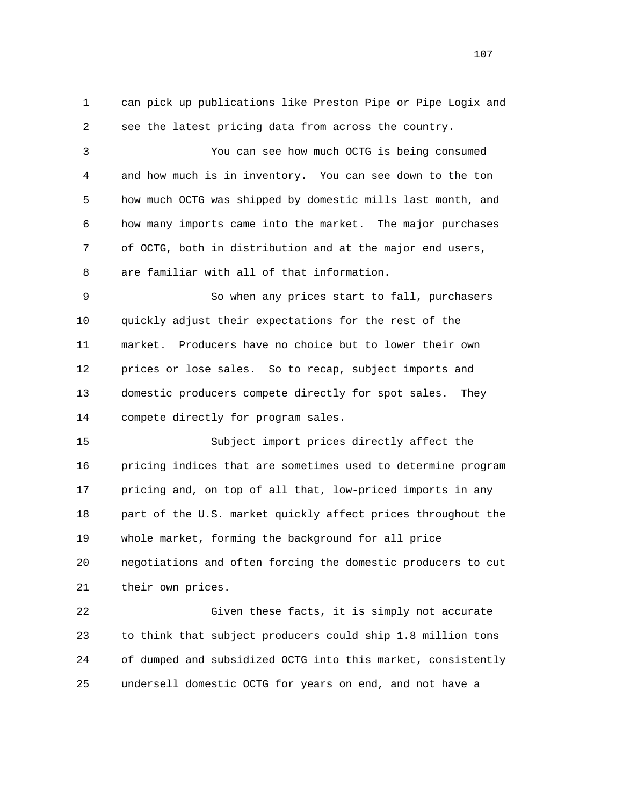1 can pick up publications like Preston Pipe or Pipe Logix and 2 see the latest pricing data from across the country. 3 You can see how much OCTG is being consumed 4 and how much is in inventory. You can see down to the ton 5 how much OCTG was shipped by domestic mills last month, and 6 how many imports came into the market. The major purchases 7 of OCTG, both in distribution and at the major end users, 8 are familiar with all of that information. 9 So when any prices start to fall, purchasers 10 quickly adjust their expectations for the rest of the 11 market. Producers have no choice but to lower their own 12 prices or lose sales. So to recap, subject imports and 13 domestic producers compete directly for spot sales. They 14 compete directly for program sales. 15 Subject import prices directly affect the 16 pricing indices that are sometimes used to determine program 17 pricing and, on top of all that, low-priced imports in any 18 part of the U.S. market quickly affect prices throughout the 19 whole market, forming the background for all price 20 negotiations and often forcing the domestic producers to cut 21 their own prices. 22 Given these facts, it is simply not accurate 23 to think that subject producers could ship 1.8 million tons 24 of dumped and subsidized OCTG into this market, consistently 25 undersell domestic OCTG for years on end, and not have a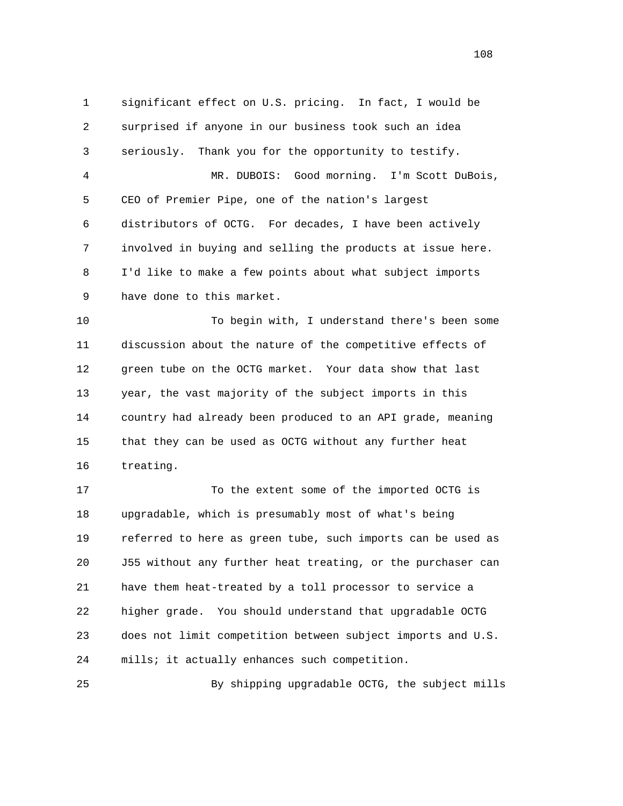1 significant effect on U.S. pricing. In fact, I would be 2 surprised if anyone in our business took such an idea 3 seriously. Thank you for the opportunity to testify. 4 MR. DUBOIS: Good morning. I'm Scott DuBois, 5 CEO of Premier Pipe, one of the nation's largest 6 distributors of OCTG. For decades, I have been actively 7 involved in buying and selling the products at issue here. 8 I'd like to make a few points about what subject imports 9 have done to this market. 10 To begin with, I understand there's been some 11 discussion about the nature of the competitive effects of 12 green tube on the OCTG market. Your data show that last 13 year, the vast majority of the subject imports in this 14 country had already been produced to an API grade, meaning 15 that they can be used as OCTG without any further heat 16 treating. 17 To the extent some of the imported OCTG is 18 upgradable, which is presumably most of what's being 19 referred to here as green tube, such imports can be used as 20 J55 without any further heat treating, or the purchaser can 21 have them heat-treated by a toll processor to service a 22 higher grade. You should understand that upgradable OCTG 23 does not limit competition between subject imports and U.S.

25 By shipping upgradable OCTG, the subject mills

24 mills; it actually enhances such competition.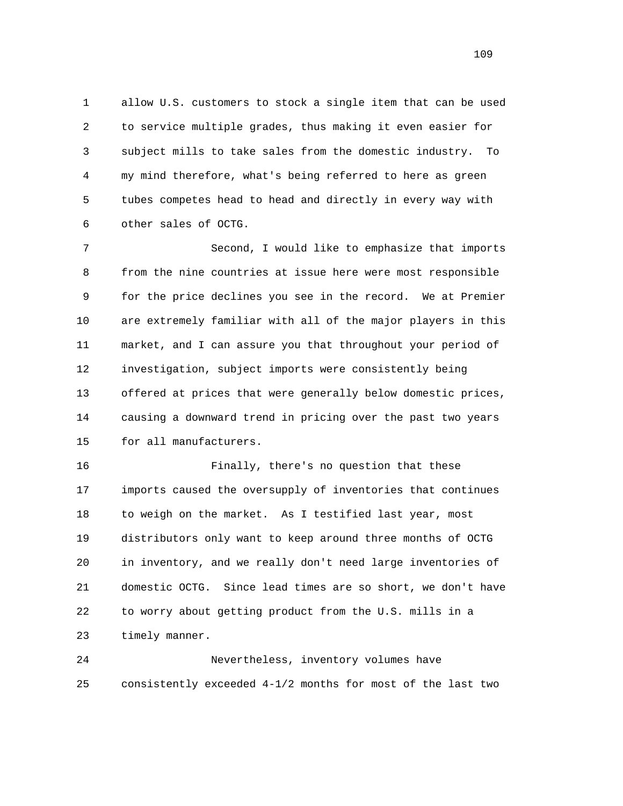1 allow U.S. customers to stock a single item that can be used 2 to service multiple grades, thus making it even easier for 3 subject mills to take sales from the domestic industry. To 4 my mind therefore, what's being referred to here as green 5 tubes competes head to head and directly in every way with 6 other sales of OCTG.

 7 Second, I would like to emphasize that imports 8 from the nine countries at issue here were most responsible 9 for the price declines you see in the record. We at Premier 10 are extremely familiar with all of the major players in this 11 market, and I can assure you that throughout your period of 12 investigation, subject imports were consistently being 13 offered at prices that were generally below domestic prices, 14 causing a downward trend in pricing over the past two years 15 for all manufacturers.

 16 Finally, there's no question that these 17 imports caused the oversupply of inventories that continues 18 to weigh on the market. As I testified last year, most 19 distributors only want to keep around three months of OCTG 20 in inventory, and we really don't need large inventories of 21 domestic OCTG. Since lead times are so short, we don't have 22 to worry about getting product from the U.S. mills in a 23 timely manner.

 24 Nevertheless, inventory volumes have 25 consistently exceeded 4-1/2 months for most of the last two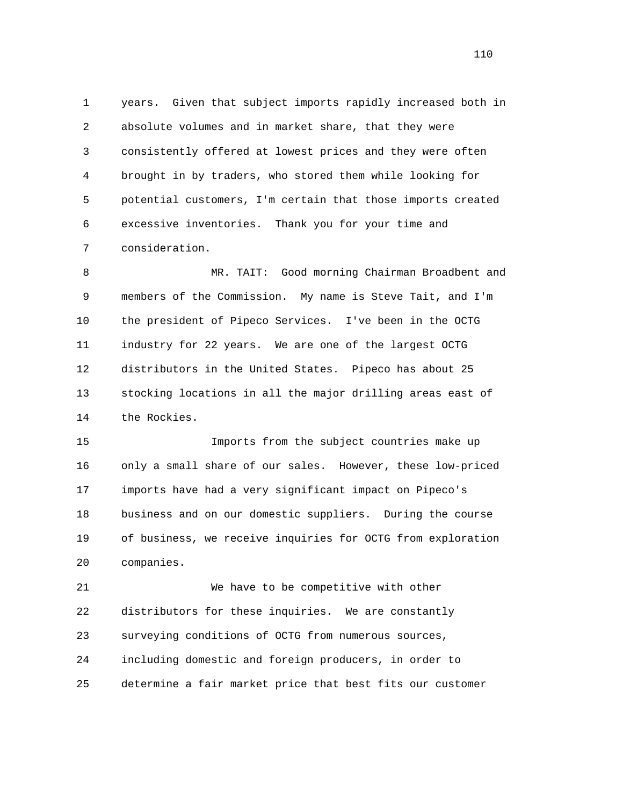1 years. Given that subject imports rapidly increased both in 2 absolute volumes and in market share, that they were 3 consistently offered at lowest prices and they were often 4 brought in by traders, who stored them while looking for 5 potential customers, I'm certain that those imports created 6 excessive inventories. Thank you for your time and 7 consideration.

 8 MR. TAIT: Good morning Chairman Broadbent and 9 members of the Commission. My name is Steve Tait, and I'm 10 the president of Pipeco Services. I've been in the OCTG 11 industry for 22 years. We are one of the largest OCTG 12 distributors in the United States. Pipeco has about 25 13 stocking locations in all the major drilling areas east of 14 the Rockies.

 15 Imports from the subject countries make up 16 only a small share of our sales. However, these low-priced 17 imports have had a very significant impact on Pipeco's 18 business and on our domestic suppliers. During the course 19 of business, we receive inquiries for OCTG from exploration 20 companies.

 21 We have to be competitive with other 22 distributors for these inquiries. We are constantly 23 surveying conditions of OCTG from numerous sources, 24 including domestic and foreign producers, in order to 25 determine a fair market price that best fits our customer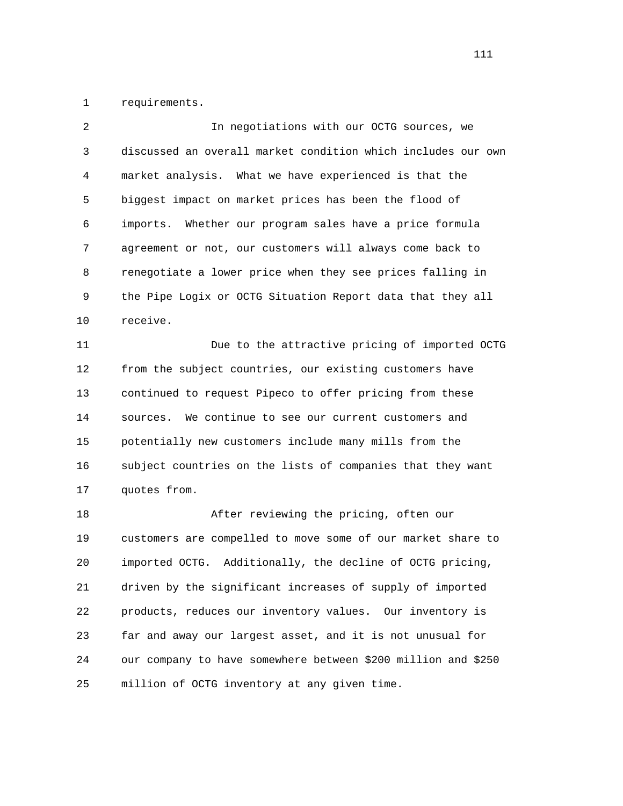1 requirements.

| $\overline{2}$ | In negotiations with our OCTG sources, we                     |
|----------------|---------------------------------------------------------------|
| 3              | discussed an overall market condition which includes our own  |
| 4              | market analysis. What we have experienced is that the         |
| 5              | biggest impact on market prices has been the flood of         |
| 6              | imports. Whether our program sales have a price formula       |
| 7              | agreement or not, our customers will always come back to      |
| 8              | renegotiate a lower price when they see prices falling in     |
| 9              | the Pipe Logix or OCTG Situation Report data that they all    |
| $10$           | receive.                                                      |
| 11             | Due to the attractive pricing of imported OCTG                |
| 12             | from the subject countries, our existing customers have       |
| 13             | continued to request Pipeco to offer pricing from these       |
| 14             | We continue to see our current customers and<br>sources.      |
| 15             | potentially new customers include many mills from the         |
| 16             | subject countries on the lists of companies that they want    |
| 17             | quotes from.                                                  |
| 18             | After reviewing the pricing, often our                        |
| 19             | customers are compelled to move some of our market share to   |
| 20             | Additionally, the decline of OCTG pricing,<br>imported OCTG.  |
| 21             | driven by the significant increases of supply of imported     |
| 22             | products, reduces our inventory values. Our inventory is      |
| 23             | far and away our largest asset, and it is not unusual for     |
| 24             | our company to have somewhere between \$200 million and \$250 |
| 25             | million of OCTG inventory at any given time.                  |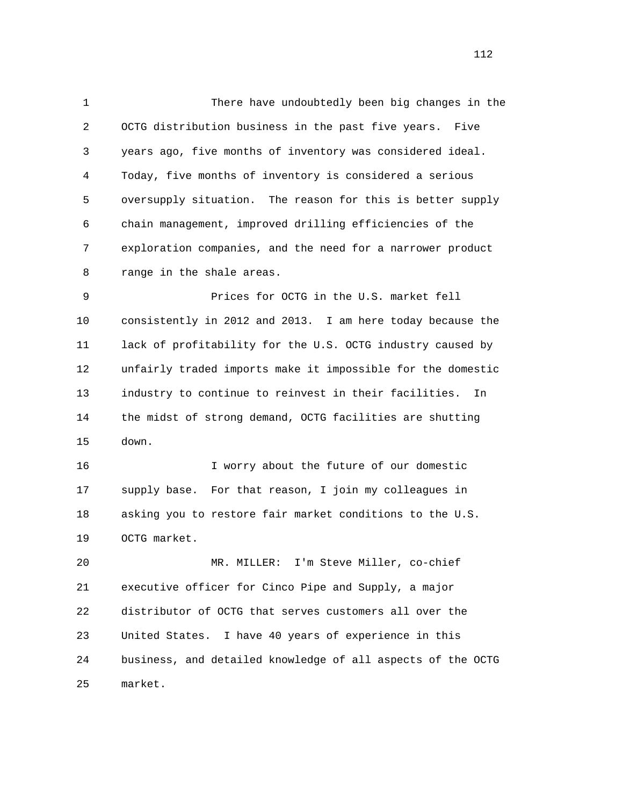1 There have undoubtedly been big changes in the 2 OCTG distribution business in the past five years. Five 3 years ago, five months of inventory was considered ideal. 4 Today, five months of inventory is considered a serious 5 oversupply situation. The reason for this is better supply 6 chain management, improved drilling efficiencies of the 7 exploration companies, and the need for a narrower product 8 range in the shale areas. 9 Prices for OCTG in the U.S. market fell 10 consistently in 2012 and 2013. I am here today because the 11 lack of profitability for the U.S. OCTG industry caused by 12 unfairly traded imports make it impossible for the domestic

 14 the midst of strong demand, OCTG facilities are shutting 15 down.

13 industry to continue to reinvest in their facilities. In

 16 I worry about the future of our domestic 17 supply base. For that reason, I join my colleagues in 18 asking you to restore fair market conditions to the U.S. 19 OCTG market.

 20 MR. MILLER: I'm Steve Miller, co-chief 21 executive officer for Cinco Pipe and Supply, a major 22 distributor of OCTG that serves customers all over the 23 United States. I have 40 years of experience in this 24 business, and detailed knowledge of all aspects of the OCTG 25 market.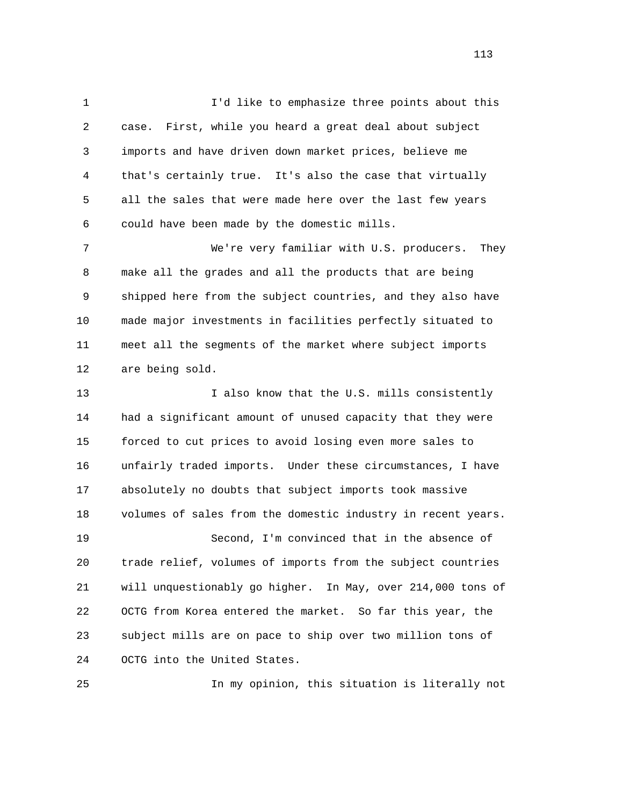1 I'd like to emphasize three points about this 2 case. First, while you heard a great deal about subject 3 imports and have driven down market prices, believe me 4 that's certainly true. It's also the case that virtually 5 all the sales that were made here over the last few years 6 could have been made by the domestic mills. 7 We're very familiar with U.S. producers. They 8 make all the grades and all the products that are being

 9 shipped here from the subject countries, and they also have 10 made major investments in facilities perfectly situated to 11 meet all the segments of the market where subject imports 12 are being sold.

13 13 I also know that the U.S. mills consistently 14 had a significant amount of unused capacity that they were 15 forced to cut prices to avoid losing even more sales to 16 unfairly traded imports. Under these circumstances, I have 17 absolutely no doubts that subject imports took massive 18 volumes of sales from the domestic industry in recent years. 19 Second, I'm convinced that in the absence of 20 trade relief, volumes of imports from the subject countries 21 will unquestionably go higher. In May, over 214,000 tons of 22 OCTG from Korea entered the market. So far this year, the 23 subject mills are on pace to ship over two million tons of 24 OCTG into the United States.

25 In my opinion, this situation is literally not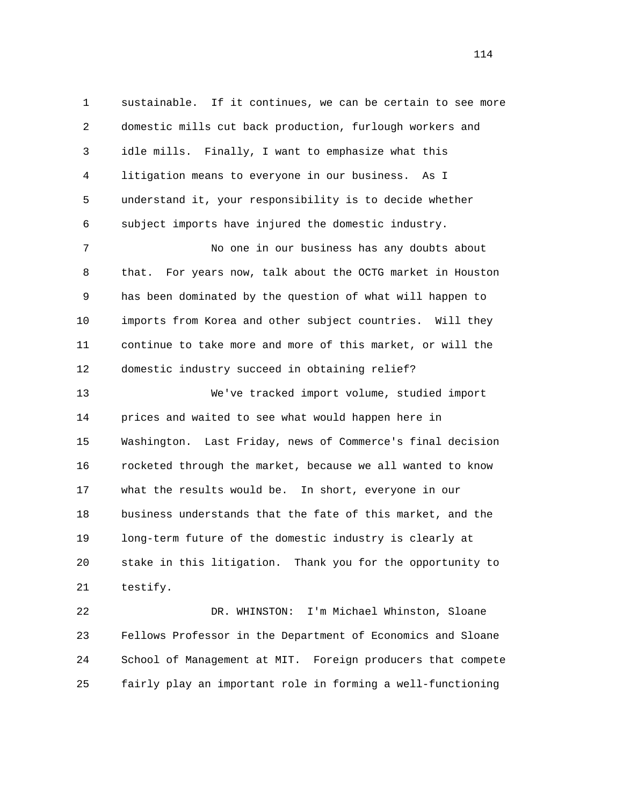1 sustainable. If it continues, we can be certain to see more 2 domestic mills cut back production, furlough workers and 3 idle mills. Finally, I want to emphasize what this 4 litigation means to everyone in our business. As I 5 understand it, your responsibility is to decide whether 6 subject imports have injured the domestic industry. 7 No one in our business has any doubts about 8 that. For years now, talk about the OCTG market in Houston 9 has been dominated by the question of what will happen to 10 imports from Korea and other subject countries. Will they 11 continue to take more and more of this market, or will the 12 domestic industry succeed in obtaining relief? 13 We've tracked import volume, studied import 14 prices and waited to see what would happen here in 15 Washington. Last Friday, news of Commerce's final decision 16 rocketed through the market, because we all wanted to know 17 what the results would be. In short, everyone in our 18 business understands that the fate of this market, and the 19 long-term future of the domestic industry is clearly at 20 stake in this litigation. Thank you for the opportunity to 21 testify. 22 DR. WHINSTON: I'm Michael Whinston, Sloane

 23 Fellows Professor in the Department of Economics and Sloane 24 School of Management at MIT. Foreign producers that compete 25 fairly play an important role in forming a well-functioning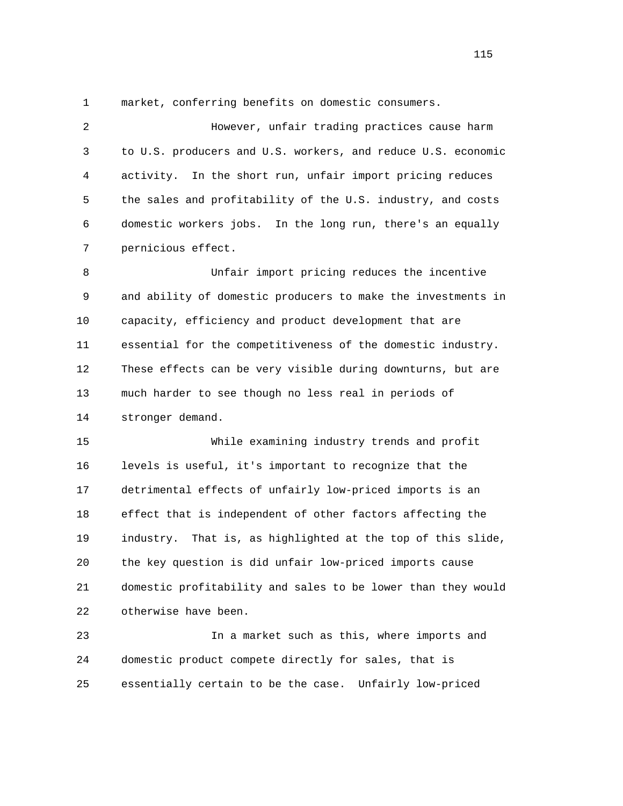1 market, conferring benefits on domestic consumers.

 2 However, unfair trading practices cause harm 3 to U.S. producers and U.S. workers, and reduce U.S. economic 4 activity. In the short run, unfair import pricing reduces 5 the sales and profitability of the U.S. industry, and costs 6 domestic workers jobs. In the long run, there's an equally 7 pernicious effect. 8 Unfair import pricing reduces the incentive 9 and ability of domestic producers to make the investments in 10 capacity, efficiency and product development that are 11 essential for the competitiveness of the domestic industry. 12 These effects can be very visible during downturns, but are 13 much harder to see though no less real in periods of 14 stronger demand.

 15 While examining industry trends and profit 16 levels is useful, it's important to recognize that the 17 detrimental effects of unfairly low-priced imports is an 18 effect that is independent of other factors affecting the 19 industry. That is, as highlighted at the top of this slide, 20 the key question is did unfair low-priced imports cause 21 domestic profitability and sales to be lower than they would 22 otherwise have been.

 23 In a market such as this, where imports and 24 domestic product compete directly for sales, that is 25 essentially certain to be the case. Unfairly low-priced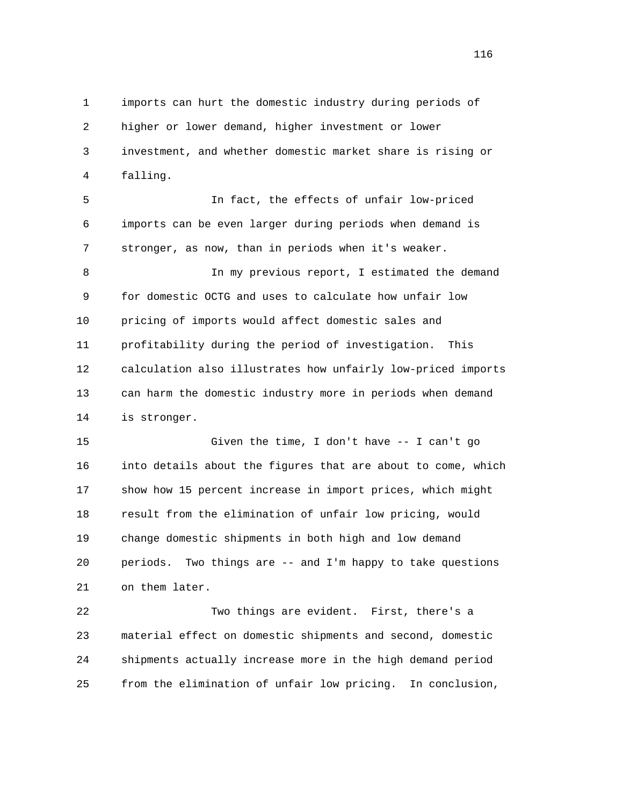1 imports can hurt the domestic industry during periods of 2 higher or lower demand, higher investment or lower 3 investment, and whether domestic market share is rising or 4 falling.

 5 In fact, the effects of unfair low-priced 6 imports can be even larger during periods when demand is 7 stronger, as now, than in periods when it's weaker.

 8 In my previous report, I estimated the demand 9 for domestic OCTG and uses to calculate how unfair low 10 pricing of imports would affect domestic sales and 11 profitability during the period of investigation. This 12 calculation also illustrates how unfairly low-priced imports 13 can harm the domestic industry more in periods when demand 14 is stronger.

 15 Given the time, I don't have -- I can't go 16 into details about the figures that are about to come, which 17 show how 15 percent increase in import prices, which might 18 result from the elimination of unfair low pricing, would 19 change domestic shipments in both high and low demand 20 periods. Two things are -- and I'm happy to take questions 21 on them later.

 22 Two things are evident. First, there's a 23 material effect on domestic shipments and second, domestic 24 shipments actually increase more in the high demand period 25 from the elimination of unfair low pricing. In conclusion,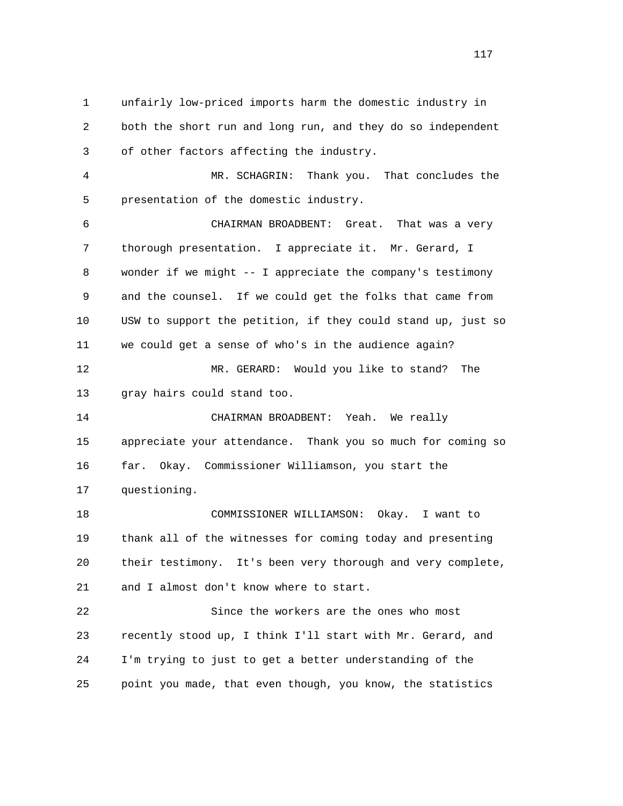1 unfairly low-priced imports harm the domestic industry in 2 both the short run and long run, and they do so independent 3 of other factors affecting the industry. 4 MR. SCHAGRIN: Thank you. That concludes the 5 presentation of the domestic industry. 6 CHAIRMAN BROADBENT: Great. That was a very 7 thorough presentation. I appreciate it. Mr. Gerard, I 8 wonder if we might -- I appreciate the company's testimony 9 and the counsel. If we could get the folks that came from 10 USW to support the petition, if they could stand up, just so 11 we could get a sense of who's in the audience again? 12 MR. GERARD: Would you like to stand? The 13 gray hairs could stand too. 14 CHAIRMAN BROADBENT: Yeah. We really 15 appreciate your attendance. Thank you so much for coming so 16 far. Okay. Commissioner Williamson, you start the 17 questioning. 18 COMMISSIONER WILLIAMSON: Okay. I want to 19 thank all of the witnesses for coming today and presenting 20 their testimony. It's been very thorough and very complete, 21 and I almost don't know where to start. 22 Since the workers are the ones who most 23 recently stood up, I think I'll start with Mr. Gerard, and 24 I'm trying to just to get a better understanding of the

25 point you made, that even though, you know, the statistics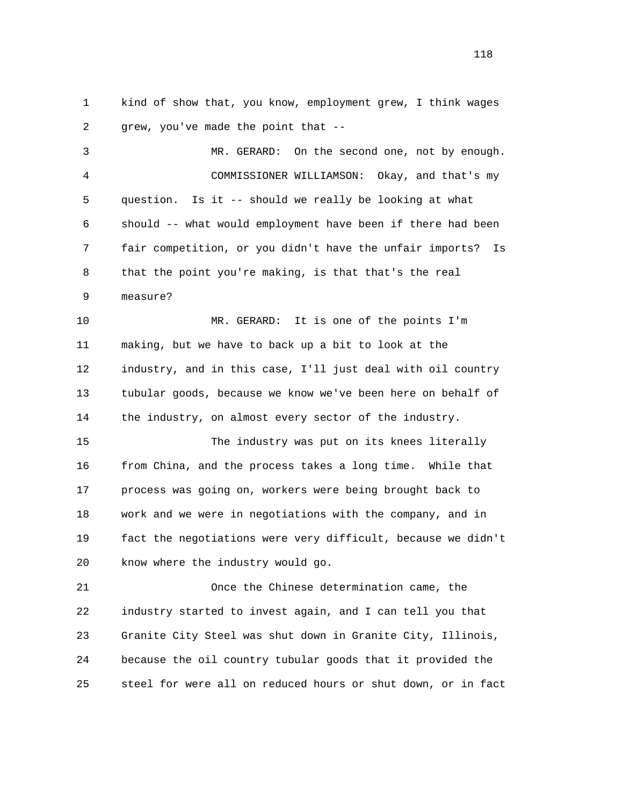1 kind of show that, you know, employment grew, I think wages 2 grew, you've made the point that --

 3 MR. GERARD: On the second one, not by enough. 4 COMMISSIONER WILLIAMSON: Okay, and that's my 5 question. Is it -- should we really be looking at what 6 should -- what would employment have been if there had been 7 fair competition, or you didn't have the unfair imports? Is 8 that the point you're making, is that that's the real 9 measure?

 10 MR. GERARD: It is one of the points I'm 11 making, but we have to back up a bit to look at the 12 industry, and in this case, I'll just deal with oil country 13 tubular goods, because we know we've been here on behalf of 14 the industry, on almost every sector of the industry.

 15 The industry was put on its knees literally 16 from China, and the process takes a long time. While that 17 process was going on, workers were being brought back to 18 work and we were in negotiations with the company, and in 19 fact the negotiations were very difficult, because we didn't 20 know where the industry would go.

 21 Once the Chinese determination came, the 22 industry started to invest again, and I can tell you that 23 Granite City Steel was shut down in Granite City, Illinois, 24 because the oil country tubular goods that it provided the 25 steel for were all on reduced hours or shut down, or in fact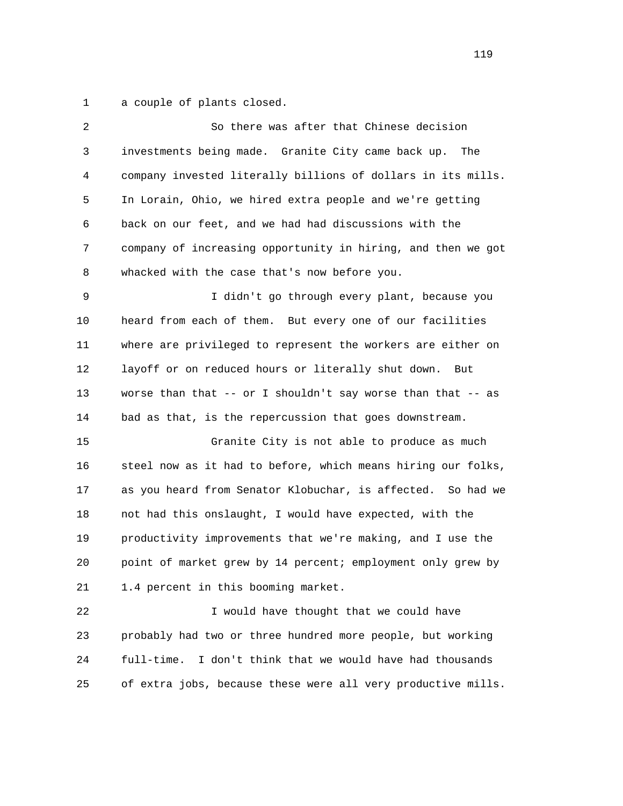1 a couple of plants closed.

| 2  | So there was after that Chinese decision                     |
|----|--------------------------------------------------------------|
| 3  | investments being made. Granite City came back up.<br>The    |
| 4  | company invested literally billions of dollars in its mills. |
| 5  | In Lorain, Ohio, we hired extra people and we're getting     |
| 6  | back on our feet, and we had had discussions with the        |
| 7  | company of increasing opportunity in hiring, and then we got |
| 8  | whacked with the case that's now before you.                 |
| 9  | I didn't go through every plant, because you                 |
| 10 | heard from each of them. But every one of our facilities     |
| 11 | where are privileged to represent the workers are either on  |
| 12 | layoff or on reduced hours or literally shut down.<br>But    |
| 13 | worse than that -- or I shouldn't say worse than that -- as  |
| 14 | bad as that, is the repercussion that goes downstream.       |
| 15 | Granite City is not able to produce as much                  |
| 16 | steel now as it had to before, which means hiring our folks, |
| 17 | as you heard from Senator Klobuchar, is affected. So had we  |
| 18 | not had this onslaught, I would have expected, with the      |
| 19 | productivity improvements that we're making, and I use the   |
| 20 | point of market grew by 14 percent; employment only grew by  |
| 21 | 1.4 percent in this booming market.                          |
| 22 | I would have thought that we could have                      |
| 23 | probably had two or three hundred more people, but working   |
| 24 | full-time.<br>I don't think that we would have had thousands |
| 25 | of extra jobs, because these were all very productive mills. |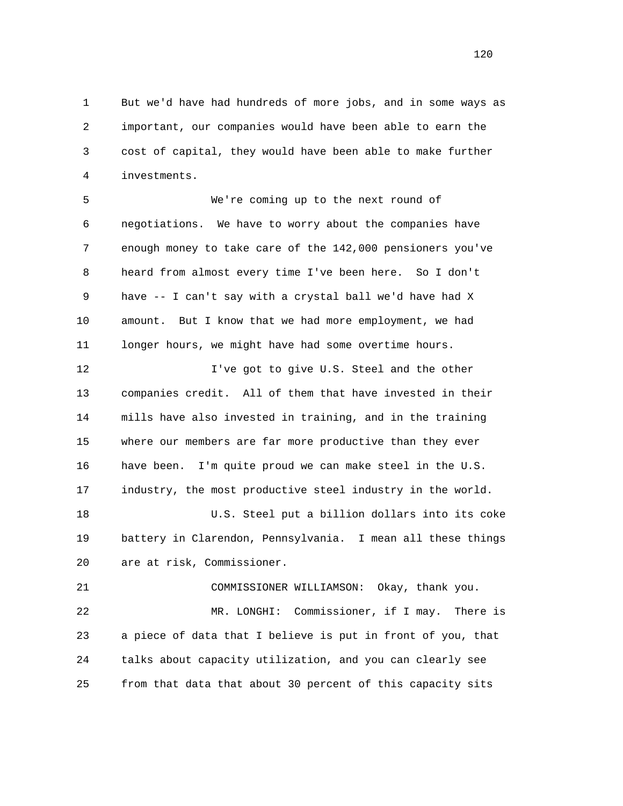1 But we'd have had hundreds of more jobs, and in some ways as 2 important, our companies would have been able to earn the 3 cost of capital, they would have been able to make further 4 investments.

 5 We're coming up to the next round of 6 negotiations. We have to worry about the companies have 7 enough money to take care of the 142,000 pensioners you've 8 heard from almost every time I've been here. So I don't 9 have -- I can't say with a crystal ball we'd have had X 10 amount. But I know that we had more employment, we had 11 longer hours, we might have had some overtime hours.

12 I've got to give U.S. Steel and the other 13 companies credit. All of them that have invested in their 14 mills have also invested in training, and in the training 15 where our members are far more productive than they ever 16 have been. I'm quite proud we can make steel in the U.S. 17 industry, the most productive steel industry in the world. 18 U.S. Steel put a billion dollars into its coke

 19 battery in Clarendon, Pennsylvania. I mean all these things 20 are at risk, Commissioner.

 21 COMMISSIONER WILLIAMSON: Okay, thank you. 22 MR. LONGHI: Commissioner, if I may. There is 23 a piece of data that I believe is put in front of you, that 24 talks about capacity utilization, and you can clearly see 25 from that data that about 30 percent of this capacity sits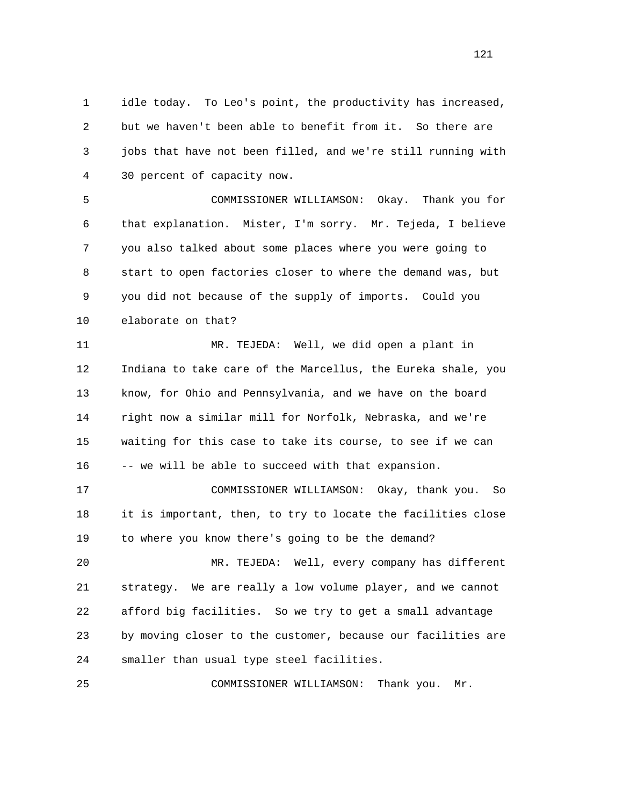1 idle today. To Leo's point, the productivity has increased, 2 but we haven't been able to benefit from it. So there are 3 jobs that have not been filled, and we're still running with 4 30 percent of capacity now.

 5 COMMISSIONER WILLIAMSON: Okay. Thank you for 6 that explanation. Mister, I'm sorry. Mr. Tejeda, I believe 7 you also talked about some places where you were going to 8 start to open factories closer to where the demand was, but 9 you did not because of the supply of imports. Could you 10 elaborate on that?

 11 MR. TEJEDA: Well, we did open a plant in 12 Indiana to take care of the Marcellus, the Eureka shale, you 13 know, for Ohio and Pennsylvania, and we have on the board 14 right now a similar mill for Norfolk, Nebraska, and we're 15 waiting for this case to take its course, to see if we can 16 -- we will be able to succeed with that expansion.

 17 COMMISSIONER WILLIAMSON: Okay, thank you. So 18 it is important, then, to try to locate the facilities close 19 to where you know there's going to be the demand?

 20 MR. TEJEDA: Well, every company has different 21 strategy. We are really a low volume player, and we cannot 22 afford big facilities. So we try to get a small advantage 23 by moving closer to the customer, because our facilities are 24 smaller than usual type steel facilities.

25 COMMISSIONER WILLIAMSON: Thank you. Mr.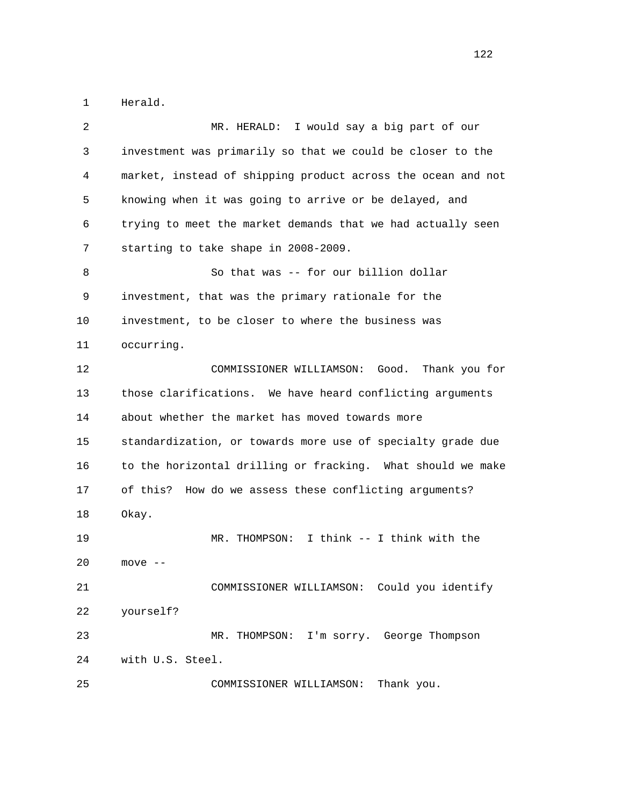1 Herald.

| 2  | I would say a big part of our<br>MR. HERALD:                 |
|----|--------------------------------------------------------------|
| 3  | investment was primarily so that we could be closer to the   |
| 4  | market, instead of shipping product across the ocean and not |
| 5  | knowing when it was going to arrive or be delayed, and       |
| 6  | trying to meet the market demands that we had actually seen  |
| 7  | starting to take shape in 2008-2009.                         |
| 8  | So that was -- for our billion dollar                        |
| 9  | investment, that was the primary rationale for the           |
| 10 | investment, to be closer to where the business was           |
| 11 | occurring.                                                   |
| 12 | COMMISSIONER WILLIAMSON:<br>Good.<br>Thank you for           |
| 13 | those clarifications. We have heard conflicting arguments    |
| 14 | about whether the market has moved towards more              |
| 15 | standardization, or towards more use of specialty grade due  |
| 16 | to the horizontal drilling or fracking. What should we make  |
| 17 | How do we assess these conflicting arguments?<br>of this?    |
| 18 | Okay.                                                        |
| 19 | I think -- I think with the<br>MR. THOMPSON:                 |
| 20 | move --                                                      |
| 21 | COMMISSIONER WILLIAMSON: Could you identify                  |
| 22 | yourself?                                                    |
| 23 | I'm sorry. George Thompson<br>MR. THOMPSON:                  |
| 24 | with U.S. Steel.                                             |
| 25 | Thank you.<br>COMMISSIONER WILLIAMSON:                       |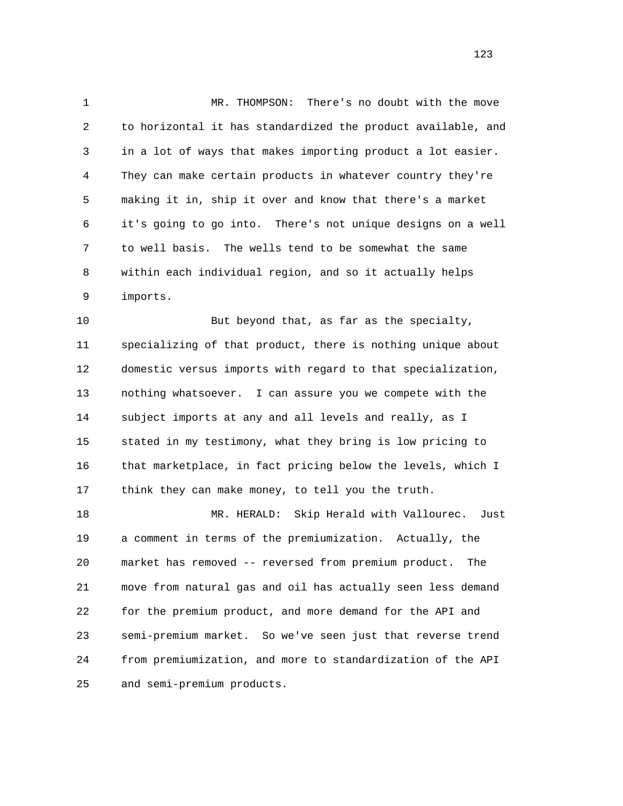1 MR. THOMPSON: There's no doubt with the move 2 to horizontal it has standardized the product available, and 3 in a lot of ways that makes importing product a lot easier. 4 They can make certain products in whatever country they're 5 making it in, ship it over and know that there's a market 6 it's going to go into. There's not unique designs on a well 7 to well basis. The wells tend to be somewhat the same 8 within each individual region, and so it actually helps 9 imports.

 10 But beyond that, as far as the specialty, 11 specializing of that product, there is nothing unique about 12 domestic versus imports with regard to that specialization, 13 nothing whatsoever. I can assure you we compete with the 14 subject imports at any and all levels and really, as I 15 stated in my testimony, what they bring is low pricing to 16 that marketplace, in fact pricing below the levels, which I 17 think they can make money, to tell you the truth.

 18 MR. HERALD: Skip Herald with Vallourec. Just 19 a comment in terms of the premiumization. Actually, the 20 market has removed -- reversed from premium product. The 21 move from natural gas and oil has actually seen less demand 22 for the premium product, and more demand for the API and 23 semi-premium market. So we've seen just that reverse trend 24 from premiumization, and more to standardization of the API 25 and semi-premium products.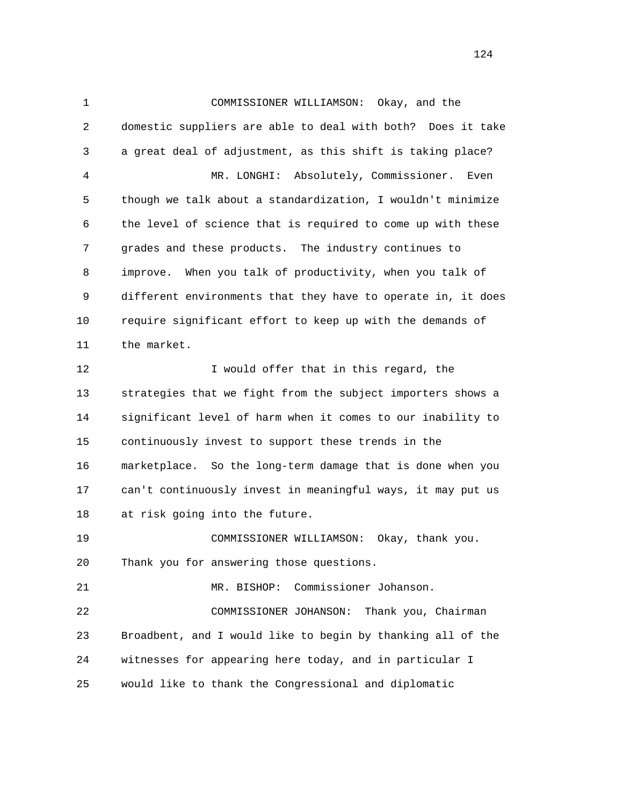1 COMMISSIONER WILLIAMSON: Okay, and the 2 domestic suppliers are able to deal with both? Does it take 3 a great deal of adjustment, as this shift is taking place? 4 MR. LONGHI: Absolutely, Commissioner. Even 5 though we talk about a standardization, I wouldn't minimize 6 the level of science that is required to come up with these 7 grades and these products. The industry continues to 8 improve. When you talk of productivity, when you talk of 9 different environments that they have to operate in, it does 10 require significant effort to keep up with the demands of 11 the market. 12 I would offer that in this regard, the 13 strategies that we fight from the subject importers shows a 14 significant level of harm when it comes to our inability to 15 continuously invest to support these trends in the 16 marketplace. So the long-term damage that is done when you 17 can't continuously invest in meaningful ways, it may put us 18 at risk going into the future. 19 COMMISSIONER WILLIAMSON: Okay, thank you. 20 Thank you for answering those questions. 21 MR. BISHOP: Commissioner Johanson. 22 COMMISSIONER JOHANSON: Thank you, Chairman 23 Broadbent, and I would like to begin by thanking all of the 24 witnesses for appearing here today, and in particular I 25 would like to thank the Congressional and diplomatic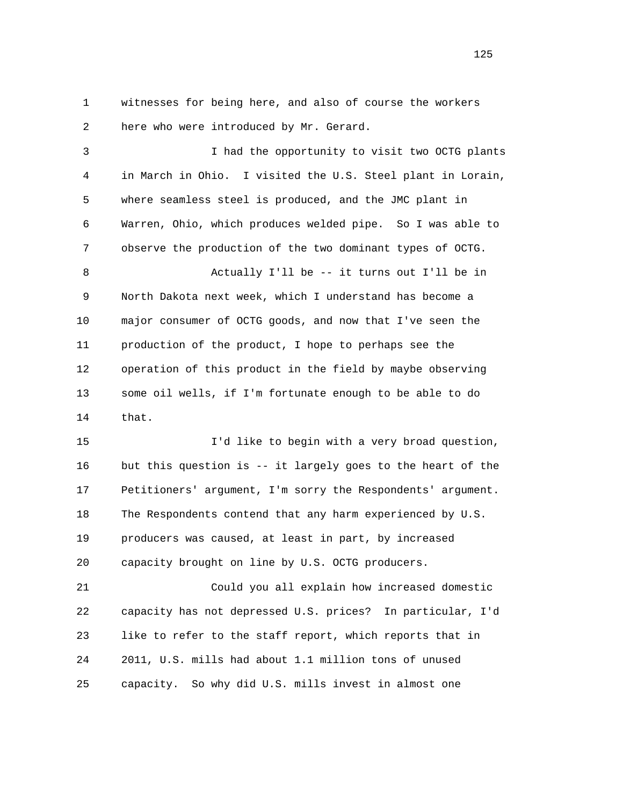1 witnesses for being here, and also of course the workers 2 here who were introduced by Mr. Gerard.

 3 I had the opportunity to visit two OCTG plants 4 in March in Ohio. I visited the U.S. Steel plant in Lorain, 5 where seamless steel is produced, and the JMC plant in 6 Warren, Ohio, which produces welded pipe. So I was able to 7 observe the production of the two dominant types of OCTG. 8 Actually I'll be -- it turns out I'll be in 9 North Dakota next week, which I understand has become a 10 major consumer of OCTG goods, and now that I've seen the 11 production of the product, I hope to perhaps see the 12 operation of this product in the field by maybe observing 13 some oil wells, if I'm fortunate enough to be able to do 14 that. 15 I'd like to begin with a very broad question,

 16 but this question is -- it largely goes to the heart of the 17 Petitioners' argument, I'm sorry the Respondents' argument. 18 The Respondents contend that any harm experienced by U.S. 19 producers was caused, at least in part, by increased 20 capacity brought on line by U.S. OCTG producers.

 21 Could you all explain how increased domestic 22 capacity has not depressed U.S. prices? In particular, I'd 23 like to refer to the staff report, which reports that in 24 2011, U.S. mills had about 1.1 million tons of unused 25 capacity. So why did U.S. mills invest in almost one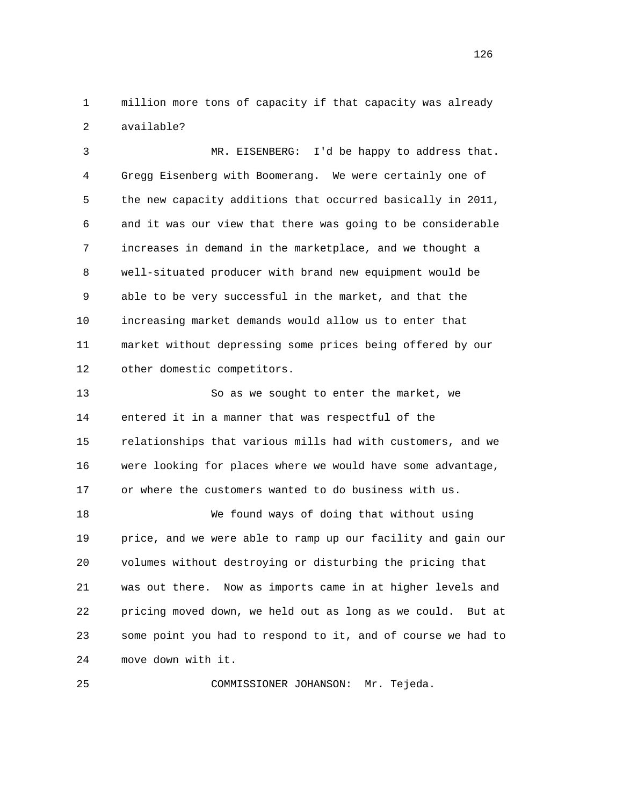1 million more tons of capacity if that capacity was already 2 available?

 3 MR. EISENBERG: I'd be happy to address that. 4 Gregg Eisenberg with Boomerang. We were certainly one of 5 the new capacity additions that occurred basically in 2011, 6 and it was our view that there was going to be considerable 7 increases in demand in the marketplace, and we thought a 8 well-situated producer with brand new equipment would be 9 able to be very successful in the market, and that the 10 increasing market demands would allow us to enter that 11 market without depressing some prices being offered by our 12 other domestic competitors.

 13 So as we sought to enter the market, we 14 entered it in a manner that was respectful of the 15 relationships that various mills had with customers, and we 16 were looking for places where we would have some advantage, 17 or where the customers wanted to do business with us.

 18 We found ways of doing that without using 19 price, and we were able to ramp up our facility and gain our 20 volumes without destroying or disturbing the pricing that 21 was out there. Now as imports came in at higher levels and 22 pricing moved down, we held out as long as we could. But at 23 some point you had to respond to it, and of course we had to 24 move down with it.

25 COMMISSIONER JOHANSON: Mr. Tejeda.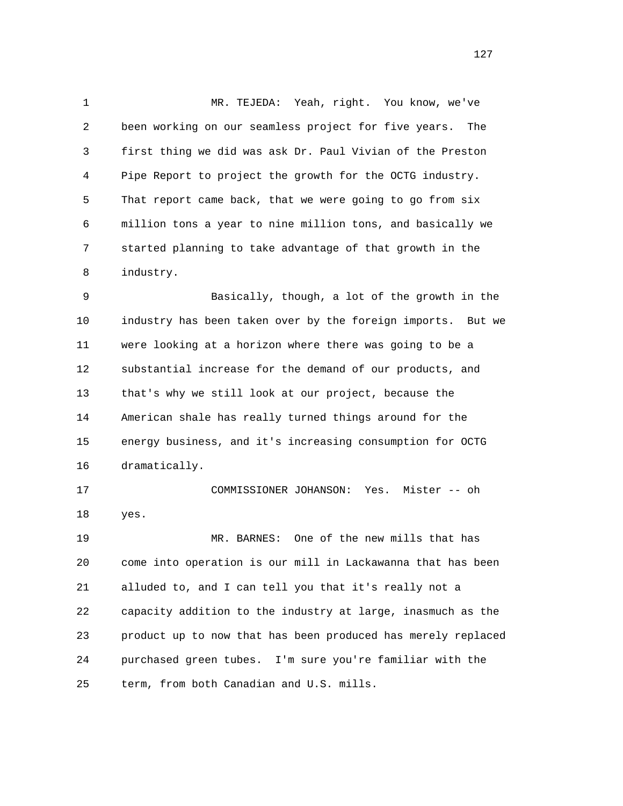1 MR. TEJEDA: Yeah, right. You know, we've 2 been working on our seamless project for five years. The 3 first thing we did was ask Dr. Paul Vivian of the Preston 4 Pipe Report to project the growth for the OCTG industry. 5 That report came back, that we were going to go from six 6 million tons a year to nine million tons, and basically we 7 started planning to take advantage of that growth in the 8 industry.

 9 Basically, though, a lot of the growth in the 10 industry has been taken over by the foreign imports. But we 11 were looking at a horizon where there was going to be a 12 substantial increase for the demand of our products, and 13 that's why we still look at our project, because the 14 American shale has really turned things around for the 15 energy business, and it's increasing consumption for OCTG 16 dramatically.

 17 COMMISSIONER JOHANSON: Yes. Mister -- oh 18 yes. 19 MR. BARNES: One of the new mills that has 20 come into operation is our mill in Lackawanna that has been 21 alluded to, and I can tell you that it's really not a 22 capacity addition to the industry at large, inasmuch as the 23 product up to now that has been produced has merely replaced 24 purchased green tubes. I'm sure you're familiar with the

25 term, from both Canadian and U.S. mills.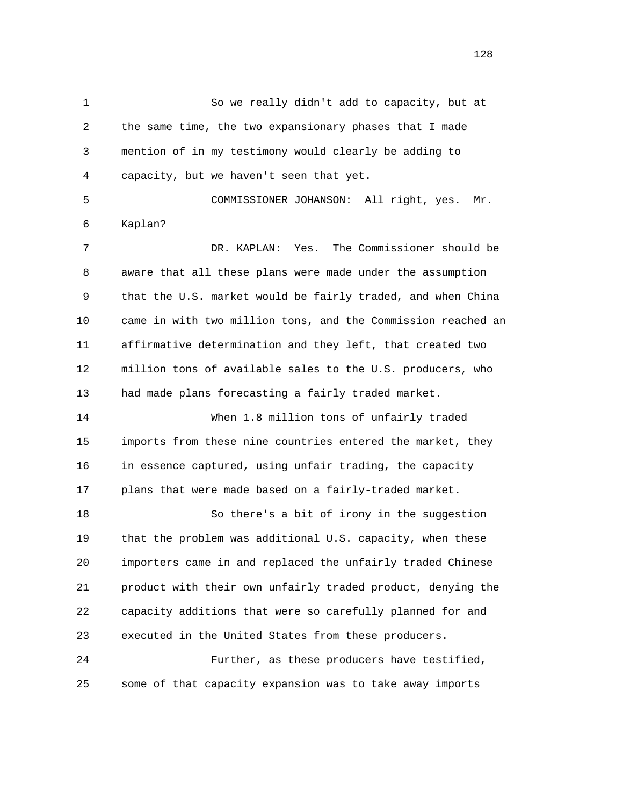1 So we really didn't add to capacity, but at 2 the same time, the two expansionary phases that I made 3 mention of in my testimony would clearly be adding to 4 capacity, but we haven't seen that yet. 5 COMMISSIONER JOHANSON: All right, yes. Mr. 6 Kaplan? 7 DR. KAPLAN: Yes. The Commissioner should be 8 aware that all these plans were made under the assumption 9 that the U.S. market would be fairly traded, and when China 10 came in with two million tons, and the Commission reached an 11 affirmative determination and they left, that created two 12 million tons of available sales to the U.S. producers, who 13 had made plans forecasting a fairly traded market. 14 When 1.8 million tons of unfairly traded 15 imports from these nine countries entered the market, they 16 in essence captured, using unfair trading, the capacity 17 plans that were made based on a fairly-traded market. 18 So there's a bit of irony in the suggestion 19 that the problem was additional U.S. capacity, when these 20 importers came in and replaced the unfairly traded Chinese 21 product with their own unfairly traded product, denying the 22 capacity additions that were so carefully planned for and 23 executed in the United States from these producers. 24 Further, as these producers have testified, 25 some of that capacity expansion was to take away imports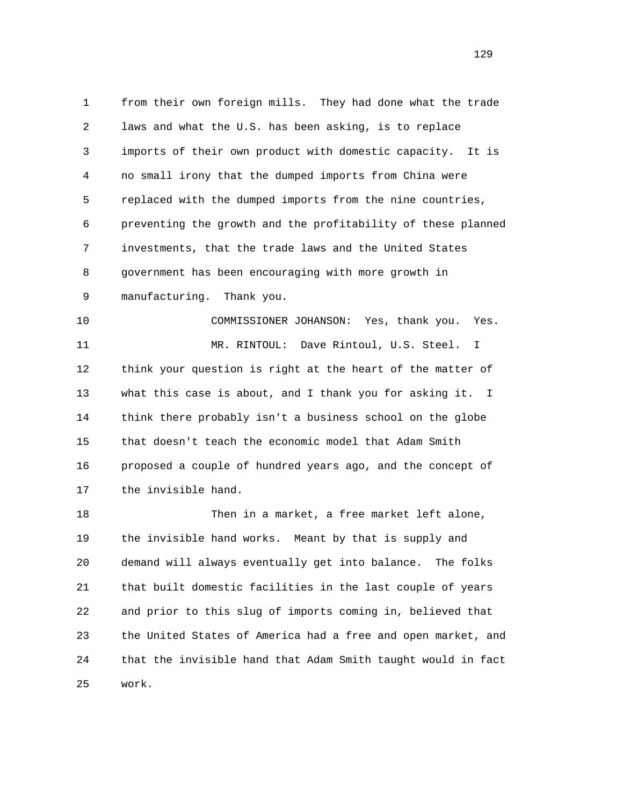1 from their own foreign mills. They had done what the trade 2 laws and what the U.S. has been asking, is to replace 3 imports of their own product with domestic capacity. It is 4 no small irony that the dumped imports from China were 5 replaced with the dumped imports from the nine countries, 6 preventing the growth and the profitability of these planned 7 investments, that the trade laws and the United States 8 government has been encouraging with more growth in 9 manufacturing. Thank you. 10 COMMISSIONER JOHANSON: Yes, thank you. Yes. 11 MR. RINTOUL: Dave Rintoul, U.S. Steel. I 12 think your question is right at the heart of the matter of 13 what this case is about, and I thank you for asking it. I

 14 think there probably isn't a business school on the globe 15 that doesn't teach the economic model that Adam Smith 16 proposed a couple of hundred years ago, and the concept of 17 the invisible hand.

 18 Then in a market, a free market left alone, 19 the invisible hand works. Meant by that is supply and 20 demand will always eventually get into balance. The folks 21 that built domestic facilities in the last couple of years 22 and prior to this slug of imports coming in, believed that 23 the United States of America had a free and open market, and 24 that the invisible hand that Adam Smith taught would in fact 25 work.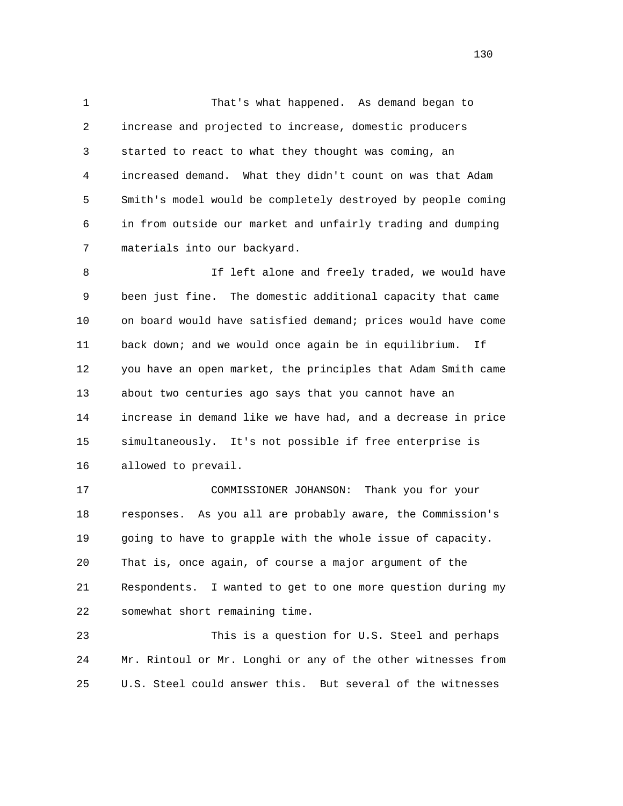1 That's what happened. As demand began to 2 increase and projected to increase, domestic producers 3 started to react to what they thought was coming, an 4 increased demand. What they didn't count on was that Adam 5 Smith's model would be completely destroyed by people coming 6 in from outside our market and unfairly trading and dumping 7 materials into our backyard.

8 1f left alone and freely traded, we would have 9 been just fine. The domestic additional capacity that came 10 on board would have satisfied demand; prices would have come 11 back down; and we would once again be in equilibrium. If 12 you have an open market, the principles that Adam Smith came 13 about two centuries ago says that you cannot have an 14 increase in demand like we have had, and a decrease in price 15 simultaneously. It's not possible if free enterprise is 16 allowed to prevail.

 17 COMMISSIONER JOHANSON: Thank you for your 18 responses. As you all are probably aware, the Commission's 19 going to have to grapple with the whole issue of capacity. 20 That is, once again, of course a major argument of the 21 Respondents. I wanted to get to one more question during my 22 somewhat short remaining time.

 23 This is a question for U.S. Steel and perhaps 24 Mr. Rintoul or Mr. Longhi or any of the other witnesses from 25 U.S. Steel could answer this. But several of the witnesses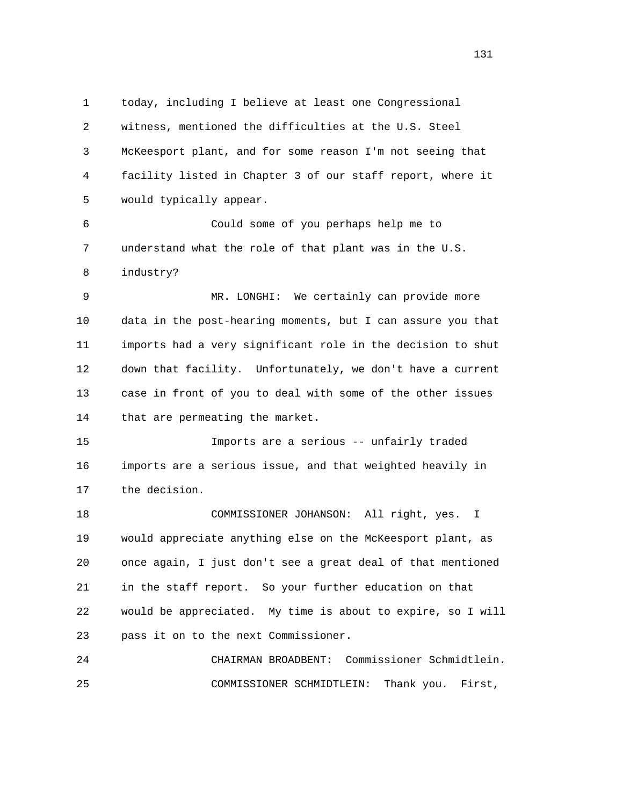1 today, including I believe at least one Congressional 2 witness, mentioned the difficulties at the U.S. Steel 3 McKeesport plant, and for some reason I'm not seeing that 4 facility listed in Chapter 3 of our staff report, where it 5 would typically appear. 6 Could some of you perhaps help me to 7 understand what the role of that plant was in the U.S. 8 industry? 9 MR. LONGHI: We certainly can provide more 10 data in the post-hearing moments, but I can assure you that 11 imports had a very significant role in the decision to shut 12 down that facility. Unfortunately, we don't have a current 13 case in front of you to deal with some of the other issues 14 that are permeating the market. 15 Imports are a serious -- unfairly traded 16 imports are a serious issue, and that weighted heavily in 17 the decision. 18 COMMISSIONER JOHANSON: All right, yes. I 19 would appreciate anything else on the McKeesport plant, as 20 once again, I just don't see a great deal of that mentioned 21 in the staff report. So your further education on that 22 would be appreciated. My time is about to expire, so I will 23 pass it on to the next Commissioner. 24 CHAIRMAN BROADBENT: Commissioner Schmidtlein. 25 COMMISSIONER SCHMIDTLEIN: Thank you. First,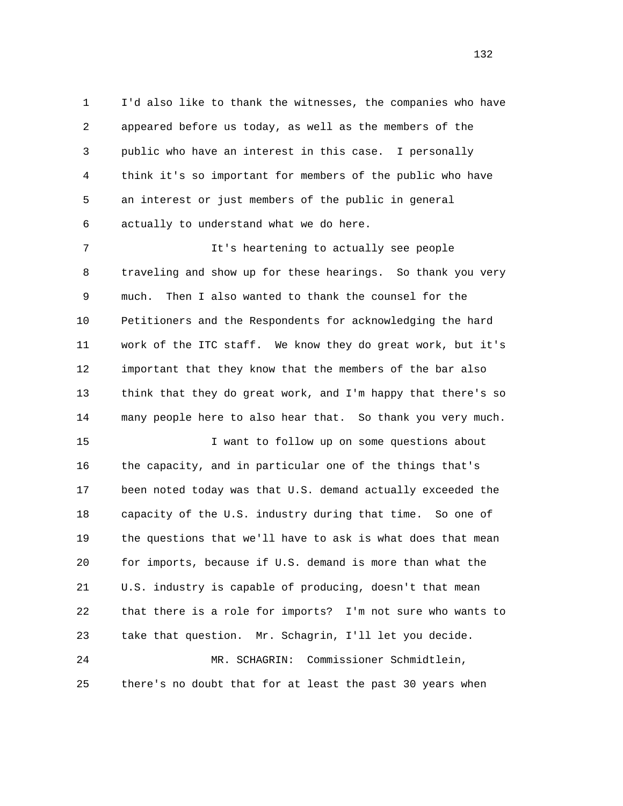1 I'd also like to thank the witnesses, the companies who have 2 appeared before us today, as well as the members of the 3 public who have an interest in this case. I personally 4 think it's so important for members of the public who have 5 an interest or just members of the public in general 6 actually to understand what we do here.

 7 It's heartening to actually see people 8 traveling and show up for these hearings. So thank you very 9 much. Then I also wanted to thank the counsel for the 10 Petitioners and the Respondents for acknowledging the hard 11 work of the ITC staff. We know they do great work, but it's 12 important that they know that the members of the bar also 13 think that they do great work, and I'm happy that there's so 14 many people here to also hear that. So thank you very much.

 15 I want to follow up on some questions about 16 the capacity, and in particular one of the things that's 17 been noted today was that U.S. demand actually exceeded the 18 capacity of the U.S. industry during that time. So one of 19 the questions that we'll have to ask is what does that mean 20 for imports, because if U.S. demand is more than what the 21 U.S. industry is capable of producing, doesn't that mean 22 that there is a role for imports? I'm not sure who wants to 23 take that question. Mr. Schagrin, I'll let you decide. 24 MR. SCHAGRIN: Commissioner Schmidtlein, 25 there's no doubt that for at least the past 30 years when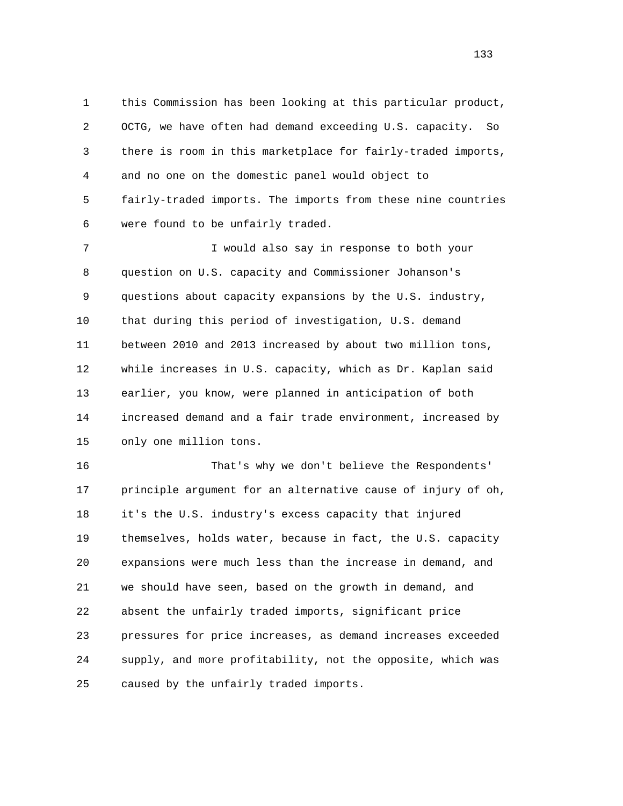1 this Commission has been looking at this particular product, 2 OCTG, we have often had demand exceeding U.S. capacity. So 3 there is room in this marketplace for fairly-traded imports, 4 and no one on the domestic panel would object to 5 fairly-traded imports. The imports from these nine countries 6 were found to be unfairly traded.

 7 I would also say in response to both your 8 question on U.S. capacity and Commissioner Johanson's 9 questions about capacity expansions by the U.S. industry, 10 that during this period of investigation, U.S. demand 11 between 2010 and 2013 increased by about two million tons, 12 while increases in U.S. capacity, which as Dr. Kaplan said 13 earlier, you know, were planned in anticipation of both 14 increased demand and a fair trade environment, increased by 15 only one million tons.

 16 That's why we don't believe the Respondents' 17 principle argument for an alternative cause of injury of oh, 18 it's the U.S. industry's excess capacity that injured 19 themselves, holds water, because in fact, the U.S. capacity 20 expansions were much less than the increase in demand, and 21 we should have seen, based on the growth in demand, and 22 absent the unfairly traded imports, significant price 23 pressures for price increases, as demand increases exceeded 24 supply, and more profitability, not the opposite, which was 25 caused by the unfairly traded imports.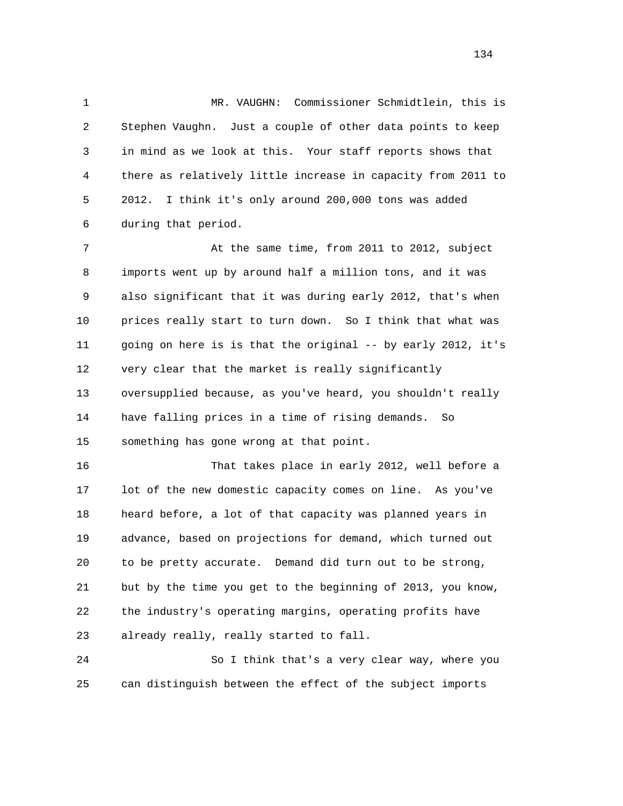1 MR. VAUGHN: Commissioner Schmidtlein, this is 2 Stephen Vaughn. Just a couple of other data points to keep 3 in mind as we look at this. Your staff reports shows that 4 there as relatively little increase in capacity from 2011 to 5 2012. I think it's only around 200,000 tons was added 6 during that period.

 7 At the same time, from 2011 to 2012, subject 8 imports went up by around half a million tons, and it was 9 also significant that it was during early 2012, that's when 10 prices really start to turn down. So I think that what was 11 going on here is is that the original -- by early 2012, it's 12 very clear that the market is really significantly 13 oversupplied because, as you've heard, you shouldn't really 14 have falling prices in a time of rising demands. So 15 something has gone wrong at that point.

 16 That takes place in early 2012, well before a 17 lot of the new domestic capacity comes on line. As you've 18 heard before, a lot of that capacity was planned years in 19 advance, based on projections for demand, which turned out 20 to be pretty accurate. Demand did turn out to be strong, 21 but by the time you get to the beginning of 2013, you know, 22 the industry's operating margins, operating profits have 23 already really, really started to fall.

 24 So I think that's a very clear way, where you 25 can distinguish between the effect of the subject imports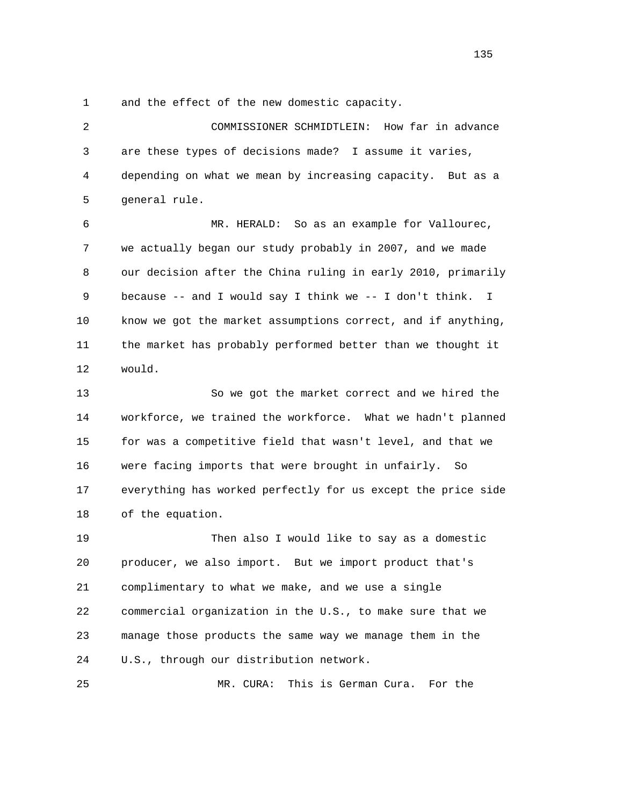1 and the effect of the new domestic capacity.

 2 COMMISSIONER SCHMIDTLEIN: How far in advance 3 are these types of decisions made? I assume it varies, 4 depending on what we mean by increasing capacity. But as a 5 general rule. 6 MR. HERALD: So as an example for Vallourec, 7 we actually began our study probably in 2007, and we made 8 our decision after the China ruling in early 2010, primarily 9 because -- and I would say I think we -- I don't think. I 10 know we got the market assumptions correct, and if anything, 11 the market has probably performed better than we thought it 12 would. 13 So we got the market correct and we hired the 14 workforce, we trained the workforce. What we hadn't planned 15 for was a competitive field that wasn't level, and that we 16 were facing imports that were brought in unfairly. So 17 everything has worked perfectly for us except the price side 18 of the equation. 19 Then also I would like to say as a domestic 20 producer, we also import. But we import product that's 21 complimentary to what we make, and we use a single 22 commercial organization in the U.S., to make sure that we 23 manage those products the same way we manage them in the 24 U.S., through our distribution network.

25 MR. CURA: This is German Cura. For the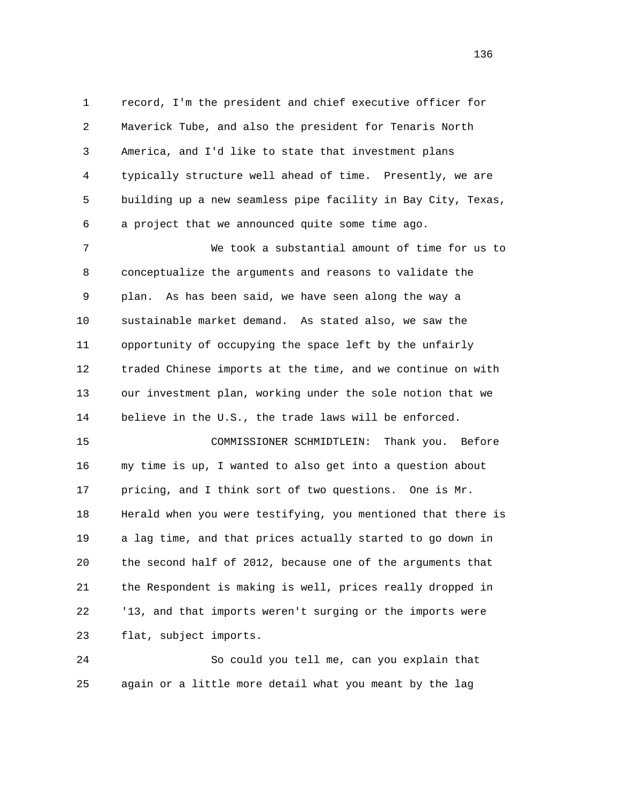1 record, I'm the president and chief executive officer for 2 Maverick Tube, and also the president for Tenaris North 3 America, and I'd like to state that investment plans 4 typically structure well ahead of time. Presently, we are 5 building up a new seamless pipe facility in Bay City, Texas, 6 a project that we announced quite some time ago.

 7 We took a substantial amount of time for us to 8 conceptualize the arguments and reasons to validate the 9 plan. As has been said, we have seen along the way a 10 sustainable market demand. As stated also, we saw the 11 opportunity of occupying the space left by the unfairly 12 traded Chinese imports at the time, and we continue on with 13 our investment plan, working under the sole notion that we 14 believe in the U.S., the trade laws will be enforced.

 15 COMMISSIONER SCHMIDTLEIN: Thank you. Before 16 my time is up, I wanted to also get into a question about 17 pricing, and I think sort of two questions. One is Mr. 18 Herald when you were testifying, you mentioned that there is 19 a lag time, and that prices actually started to go down in 20 the second half of 2012, because one of the arguments that 21 the Respondent is making is well, prices really dropped in 22 '13, and that imports weren't surging or the imports were 23 flat, subject imports.

 24 So could you tell me, can you explain that 25 again or a little more detail what you meant by the lag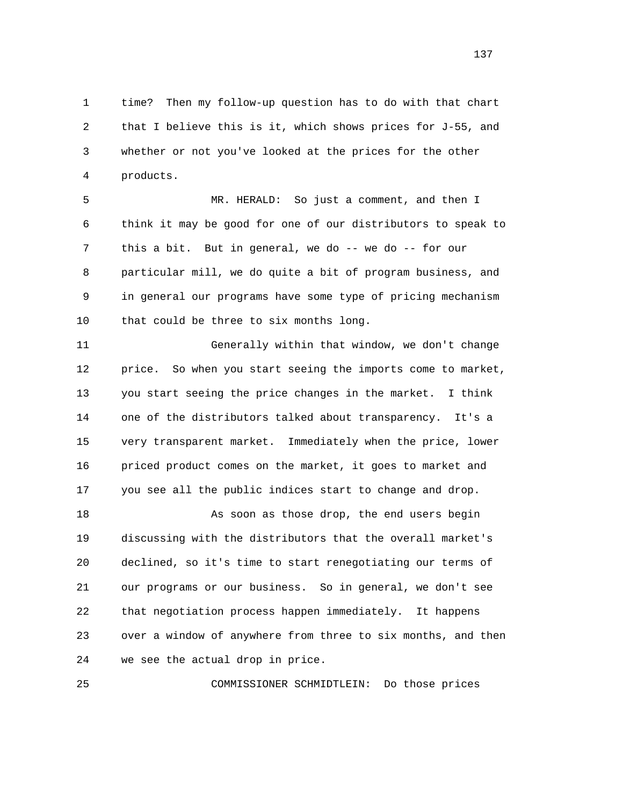1 time? Then my follow-up question has to do with that chart 2 that I believe this is it, which shows prices for J-55, and 3 whether or not you've looked at the prices for the other 4 products.

 5 MR. HERALD: So just a comment, and then I 6 think it may be good for one of our distributors to speak to 7 this a bit. But in general, we do -- we do -- for our 8 particular mill, we do quite a bit of program business, and 9 in general our programs have some type of pricing mechanism 10 that could be three to six months long.

 11 Generally within that window, we don't change 12 price. So when you start seeing the imports come to market, 13 you start seeing the price changes in the market. I think 14 one of the distributors talked about transparency. It's a 15 very transparent market. Immediately when the price, lower 16 priced product comes on the market, it goes to market and 17 you see all the public indices start to change and drop.

 18 As soon as those drop, the end users begin 19 discussing with the distributors that the overall market's 20 declined, so it's time to start renegotiating our terms of 21 our programs or our business. So in general, we don't see 22 that negotiation process happen immediately. It happens 23 over a window of anywhere from three to six months, and then 24 we see the actual drop in price.

25 COMMISSIONER SCHMIDTLEIN: Do those prices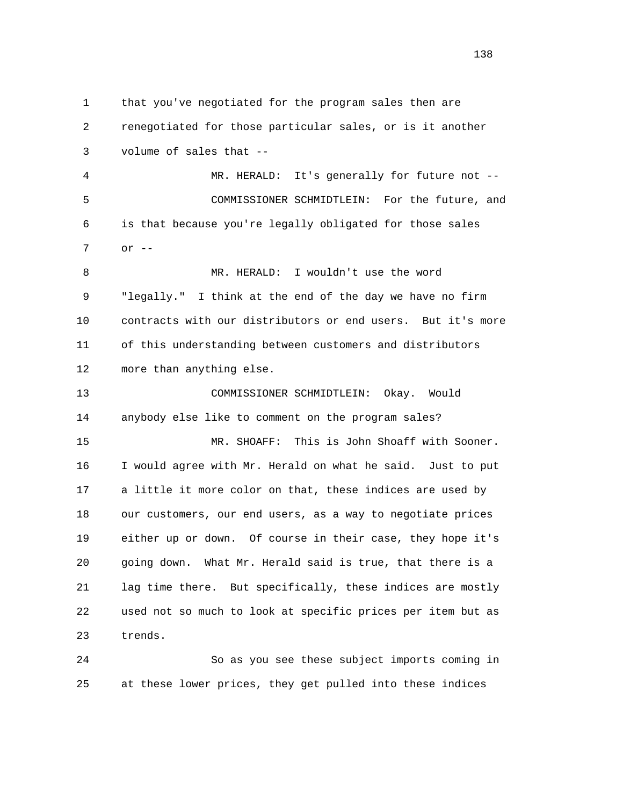1 that you've negotiated for the program sales then are 2 renegotiated for those particular sales, or is it another 3 volume of sales that -- 4 MR. HERALD: It's generally for future not -- 5 COMMISSIONER SCHMIDTLEIN: For the future, and 6 is that because you're legally obligated for those sales 7 or -- 8 MR. HERALD: I wouldn't use the word 9 "legally." I think at the end of the day we have no firm 10 contracts with our distributors or end users. But it's more 11 of this understanding between customers and distributors 12 more than anything else. 13 COMMISSIONER SCHMIDTLEIN: Okay. Would 14 anybody else like to comment on the program sales? 15 MR. SHOAFF: This is John Shoaff with Sooner. 16 I would agree with Mr. Herald on what he said. Just to put 17 a little it more color on that, these indices are used by 18 our customers, our end users, as a way to negotiate prices 19 either up or down. Of course in their case, they hope it's 20 going down. What Mr. Herald said is true, that there is a 21 lag time there. But specifically, these indices are mostly 22 used not so much to look at specific prices per item but as 23 trends. 24 So as you see these subject imports coming in

25 at these lower prices, they get pulled into these indices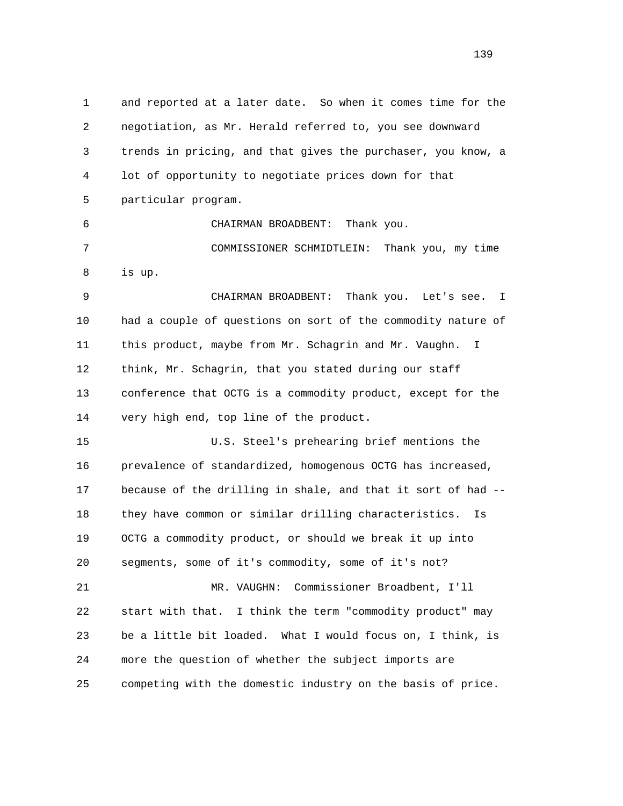1 and reported at a later date. So when it comes time for the 2 negotiation, as Mr. Herald referred to, you see downward 3 trends in pricing, and that gives the purchaser, you know, a 4 lot of opportunity to negotiate prices down for that 5 particular program. 6 CHAIRMAN BROADBENT: Thank you. 7 COMMISSIONER SCHMIDTLEIN: Thank you, my time 8 is up. 9 CHAIRMAN BROADBENT: Thank you. Let's see. I 10 had a couple of questions on sort of the commodity nature of 11 this product, maybe from Mr. Schagrin and Mr. Vaughn. I 12 think, Mr. Schagrin, that you stated during our staff 13 conference that OCTG is a commodity product, except for the 14 very high end, top line of the product. 15 U.S. Steel's prehearing brief mentions the 16 prevalence of standardized, homogenous OCTG has increased, 17 because of the drilling in shale, and that it sort of had -- 18 they have common or similar drilling characteristics. Is 19 OCTG a commodity product, or should we break it up into 20 segments, some of it's commodity, some of it's not? 21 MR. VAUGHN: Commissioner Broadbent, I'll 22 start with that. I think the term "commodity product" may 23 be a little bit loaded. What I would focus on, I think, is 24 more the question of whether the subject imports are 25 competing with the domestic industry on the basis of price.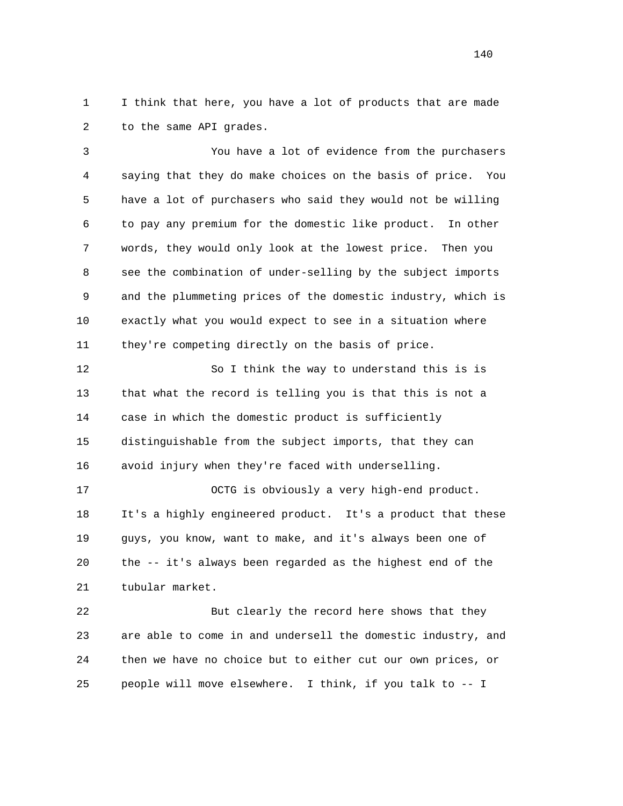1 I think that here, you have a lot of products that are made 2 to the same API grades.

 3 You have a lot of evidence from the purchasers 4 saying that they do make choices on the basis of price. You 5 have a lot of purchasers who said they would not be willing 6 to pay any premium for the domestic like product. In other 7 words, they would only look at the lowest price. Then you 8 see the combination of under-selling by the subject imports 9 and the plummeting prices of the domestic industry, which is 10 exactly what you would expect to see in a situation where 11 they're competing directly on the basis of price.

 12 So I think the way to understand this is is 13 that what the record is telling you is that this is not a 14 case in which the domestic product is sufficiently 15 distinguishable from the subject imports, that they can 16 avoid injury when they're faced with underselling.

 17 OCTG is obviously a very high-end product. 18 It's a highly engineered product. It's a product that these 19 guys, you know, want to make, and it's always been one of 20 the -- it's always been regarded as the highest end of the 21 tubular market.

 22 But clearly the record here shows that they 23 are able to come in and undersell the domestic industry, and 24 then we have no choice but to either cut our own prices, or 25 people will move elsewhere. I think, if you talk to -- I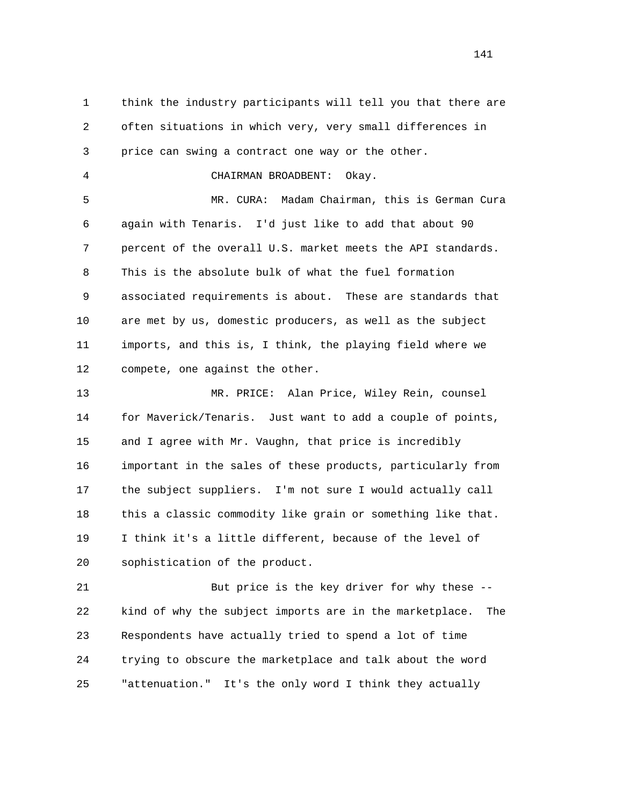1 think the industry participants will tell you that there are 2 often situations in which very, very small differences in 3 price can swing a contract one way or the other. 4 CHAIRMAN BROADBENT: Okay. 5 MR. CURA: Madam Chairman, this is German Cura 6 again with Tenaris. I'd just like to add that about 90 7 percent of the overall U.S. market meets the API standards. 8 This is the absolute bulk of what the fuel formation 9 associated requirements is about. These are standards that 10 are met by us, domestic producers, as well as the subject 11 imports, and this is, I think, the playing field where we 12 compete, one against the other. 13 MR. PRICE: Alan Price, Wiley Rein, counsel 14 for Maverick/Tenaris. Just want to add a couple of points, 15 and I agree with Mr. Vaughn, that price is incredibly 16 important in the sales of these products, particularly from 17 the subject suppliers. I'm not sure I would actually call 18 this a classic commodity like grain or something like that. 19 I think it's a little different, because of the level of 20 sophistication of the product.

 21 But price is the key driver for why these -- 22 kind of why the subject imports are in the marketplace. The 23 Respondents have actually tried to spend a lot of time 24 trying to obscure the marketplace and talk about the word 25 "attenuation." It's the only word I think they actually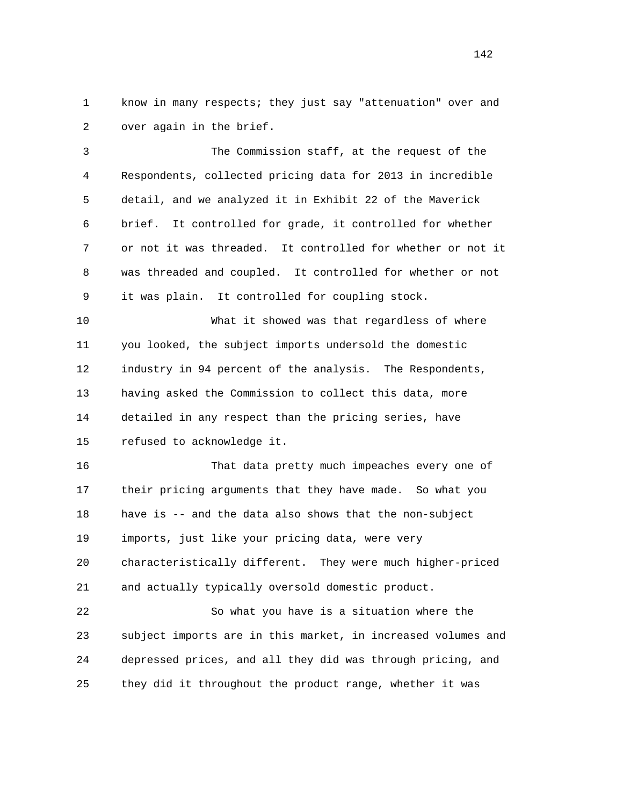1 know in many respects; they just say "attenuation" over and 2 over again in the brief.

 3 The Commission staff, at the request of the 4 Respondents, collected pricing data for 2013 in incredible 5 detail, and we analyzed it in Exhibit 22 of the Maverick 6 brief. It controlled for grade, it controlled for whether 7 or not it was threaded. It controlled for whether or not it 8 was threaded and coupled. It controlled for whether or not 9 it was plain. It controlled for coupling stock.

 10 What it showed was that regardless of where 11 you looked, the subject imports undersold the domestic 12 industry in 94 percent of the analysis. The Respondents, 13 having asked the Commission to collect this data, more 14 detailed in any respect than the pricing series, have 15 refused to acknowledge it.

 16 That data pretty much impeaches every one of 17 their pricing arguments that they have made. So what you 18 have is -- and the data also shows that the non-subject 19 imports, just like your pricing data, were very 20 characteristically different. They were much higher-priced 21 and actually typically oversold domestic product.

 22 So what you have is a situation where the 23 subject imports are in this market, in increased volumes and 24 depressed prices, and all they did was through pricing, and 25 they did it throughout the product range, whether it was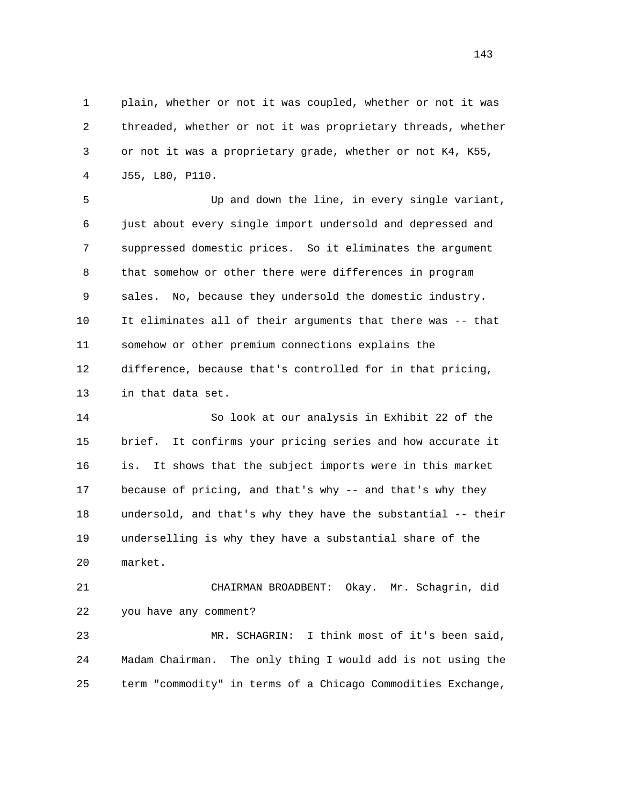1 plain, whether or not it was coupled, whether or not it was 2 threaded, whether or not it was proprietary threads, whether 3 or not it was a proprietary grade, whether or not K4, K55, 4 J55, L80, P110.

 5 Up and down the line, in every single variant, 6 just about every single import undersold and depressed and 7 suppressed domestic prices. So it eliminates the argument 8 that somehow or other there were differences in program 9 sales. No, because they undersold the domestic industry. 10 It eliminates all of their arguments that there was -- that 11 somehow or other premium connections explains the 12 difference, because that's controlled for in that pricing, 13 in that data set.

 14 So look at our analysis in Exhibit 22 of the 15 brief. It confirms your pricing series and how accurate it 16 is. It shows that the subject imports were in this market 17 because of pricing, and that's why -- and that's why they 18 undersold, and that's why they have the substantial -- their 19 underselling is why they have a substantial share of the 20 market.

 21 CHAIRMAN BROADBENT: Okay. Mr. Schagrin, did 22 you have any comment?

 23 MR. SCHAGRIN: I think most of it's been said, 24 Madam Chairman. The only thing I would add is not using the 25 term "commodity" in terms of a Chicago Commodities Exchange,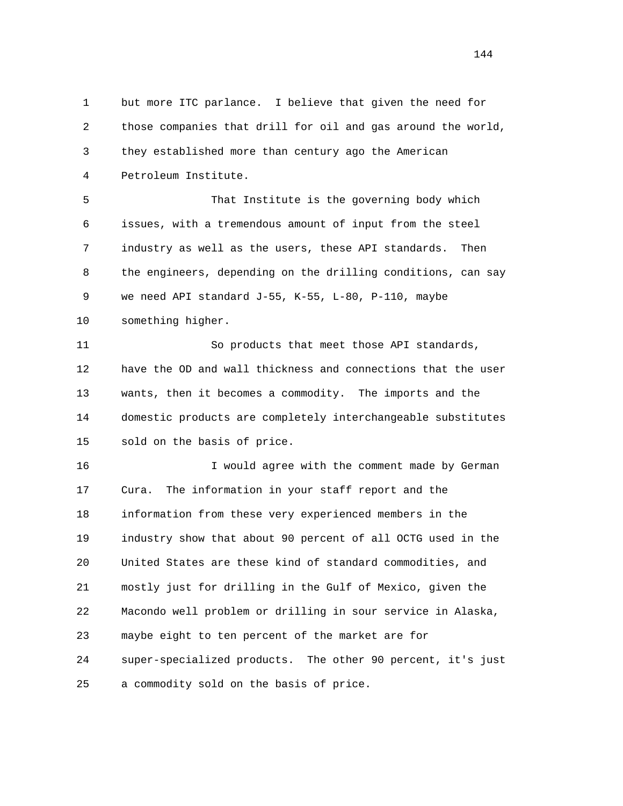1 but more ITC parlance. I believe that given the need for 2 those companies that drill for oil and gas around the world, 3 they established more than century ago the American 4 Petroleum Institute. 5 That Institute is the governing body which 6 issues, with a tremendous amount of input from the steel 7 industry as well as the users, these API standards. Then 8 the engineers, depending on the drilling conditions, can say 9 we need API standard J-55, K-55, L-80, P-110, maybe 10 something higher. 11 So products that meet those API standards, 12 have the OD and wall thickness and connections that the user 13 wants, then it becomes a commodity. The imports and the 14 domestic products are completely interchangeable substitutes 15 sold on the basis of price. 16 I would agree with the comment made by German 17 Cura. The information in your staff report and the 18 information from these very experienced members in the 19 industry show that about 90 percent of all OCTG used in the 20 United States are these kind of standard commodities, and 21 mostly just for drilling in the Gulf of Mexico, given the 22 Macondo well problem or drilling in sour service in Alaska, 23 maybe eight to ten percent of the market are for 24 super-specialized products. The other 90 percent, it's just 25 a commodity sold on the basis of price.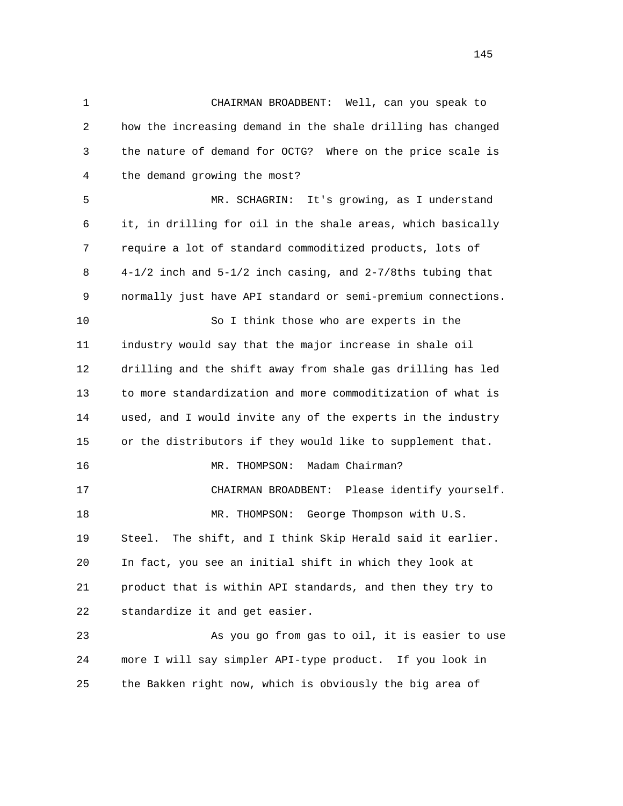1 CHAIRMAN BROADBENT: Well, can you speak to 2 how the increasing demand in the shale drilling has changed 3 the nature of demand for OCTG? Where on the price scale is 4 the demand growing the most? 5 MR. SCHAGRIN: It's growing, as I understand 6 it, in drilling for oil in the shale areas, which basically 7 require a lot of standard commoditized products, lots of 8 4-1/2 inch and 5-1/2 inch casing, and 2-7/8ths tubing that 9 normally just have API standard or semi-premium connections. 10 So I think those who are experts in the 11 industry would say that the major increase in shale oil 12 drilling and the shift away from shale gas drilling has led 13 to more standardization and more commoditization of what is 14 used, and I would invite any of the experts in the industry 15 or the distributors if they would like to supplement that. 16 MR. THOMPSON: Madam Chairman? 17 CHAIRMAN BROADBENT: Please identify yourself. 18 MR. THOMPSON: George Thompson with U.S. 19 Steel. The shift, and I think Skip Herald said it earlier. 20 In fact, you see an initial shift in which they look at 21 product that is within API standards, and then they try to 22 standardize it and get easier. 23 As you go from gas to oil, it is easier to use 24 more I will say simpler API-type product. If you look in

25 the Bakken right now, which is obviously the big area of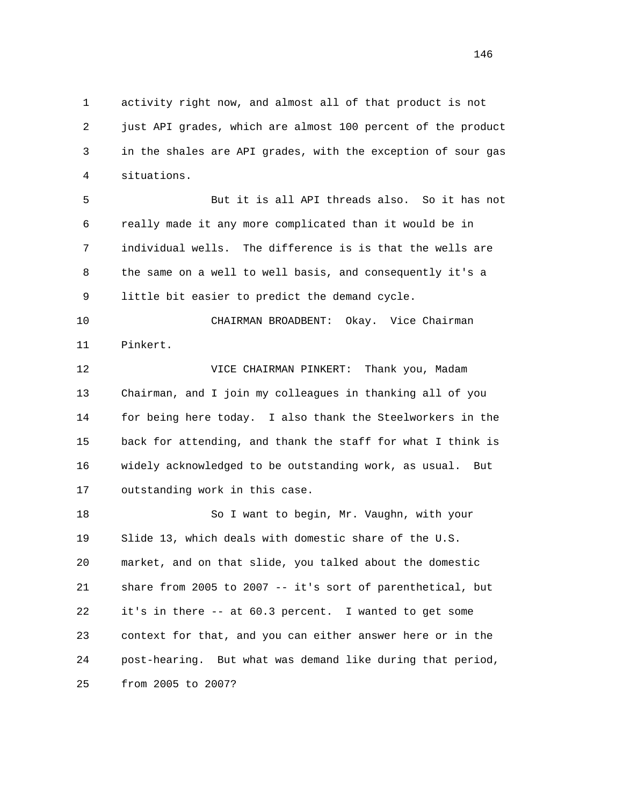1 activity right now, and almost all of that product is not 2 just API grades, which are almost 100 percent of the product 3 in the shales are API grades, with the exception of sour gas 4 situations.

 5 But it is all API threads also. So it has not 6 really made it any more complicated than it would be in 7 individual wells. The difference is is that the wells are 8 the same on a well to well basis, and consequently it's a 9 little bit easier to predict the demand cycle.

 10 CHAIRMAN BROADBENT: Okay. Vice Chairman 11 Pinkert.

 12 VICE CHAIRMAN PINKERT: Thank you, Madam 13 Chairman, and I join my colleagues in thanking all of you 14 for being here today. I also thank the Steelworkers in the 15 back for attending, and thank the staff for what I think is 16 widely acknowledged to be outstanding work, as usual. But 17 outstanding work in this case.

18 So I want to begin, Mr. Vaughn, with your 19 Slide 13, which deals with domestic share of the U.S. 20 market, and on that slide, you talked about the domestic 21 share from 2005 to 2007 -- it's sort of parenthetical, but 22 it's in there -- at 60.3 percent. I wanted to get some 23 context for that, and you can either answer here or in the 24 post-hearing. But what was demand like during that period, 25 from 2005 to 2007?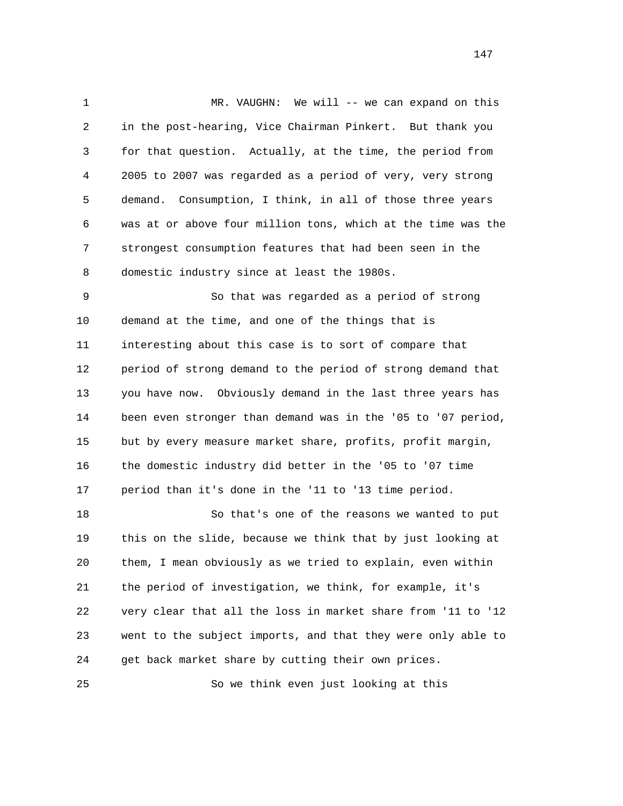1 MR. VAUGHN: We will -- we can expand on this 2 in the post-hearing, Vice Chairman Pinkert. But thank you 3 for that question. Actually, at the time, the period from 4 2005 to 2007 was regarded as a period of very, very strong 5 demand. Consumption, I think, in all of those three years 6 was at or above four million tons, which at the time was the 7 strongest consumption features that had been seen in the 8 domestic industry since at least the 1980s. 9 So that was regarded as a period of strong

 10 demand at the time, and one of the things that is 11 interesting about this case is to sort of compare that 12 period of strong demand to the period of strong demand that 13 you have now. Obviously demand in the last three years has 14 been even stronger than demand was in the '05 to '07 period, 15 but by every measure market share, profits, profit margin, 16 the domestic industry did better in the '05 to '07 time 17 period than it's done in the '11 to '13 time period.

 18 So that's one of the reasons we wanted to put 19 this on the slide, because we think that by just looking at 20 them, I mean obviously as we tried to explain, even within 21 the period of investigation, we think, for example, it's 22 very clear that all the loss in market share from '11 to '12 23 went to the subject imports, and that they were only able to 24 get back market share by cutting their own prices.

25 So we think even just looking at this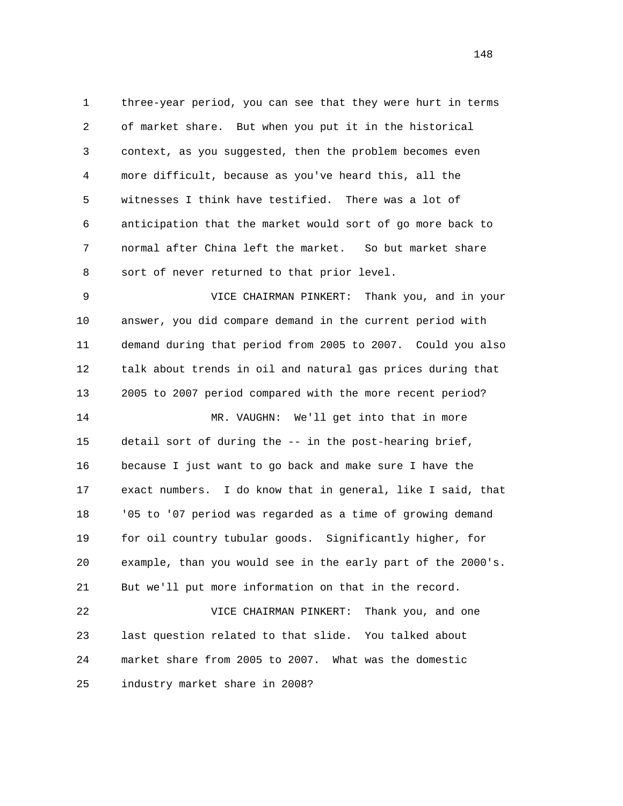1 three-year period, you can see that they were hurt in terms 2 of market share. But when you put it in the historical 3 context, as you suggested, then the problem becomes even 4 more difficult, because as you've heard this, all the 5 witnesses I think have testified. There was a lot of 6 anticipation that the market would sort of go more back to 7 normal after China left the market. So but market share 8 sort of never returned to that prior level.

 9 VICE CHAIRMAN PINKERT: Thank you, and in your 10 answer, you did compare demand in the current period with 11 demand during that period from 2005 to 2007. Could you also 12 talk about trends in oil and natural gas prices during that 13 2005 to 2007 period compared with the more recent period? 14 MR. VAUGHN: We'll get into that in more 15 detail sort of during the -- in the post-hearing brief, 16 because I just want to go back and make sure I have the 17 exact numbers. I do know that in general, like I said, that 18 '05 to '07 period was regarded as a time of growing demand 19 for oil country tubular goods. Significantly higher, for 20 example, than you would see in the early part of the 2000's. 21 But we'll put more information on that in the record.

 22 VICE CHAIRMAN PINKERT: Thank you, and one 23 last question related to that slide. You talked about 24 market share from 2005 to 2007. What was the domestic 25 industry market share in 2008?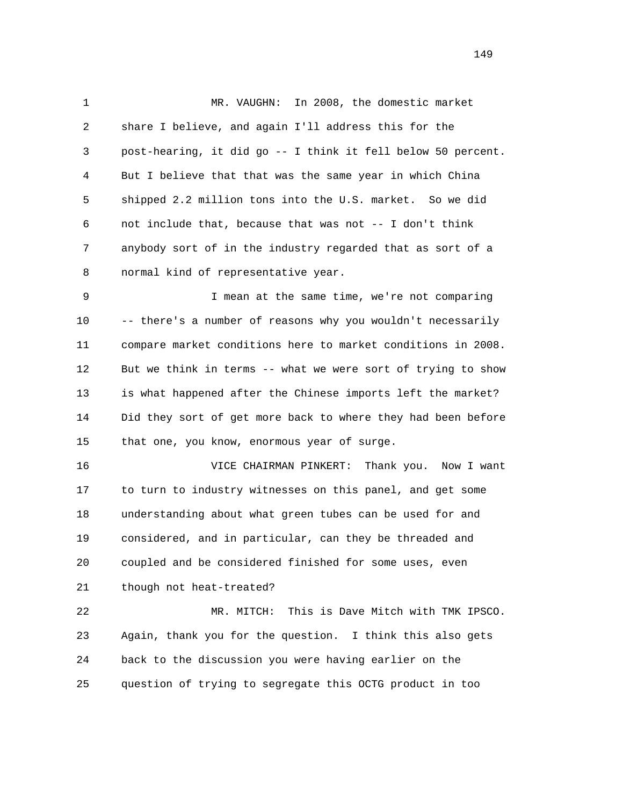1 MR. VAUGHN: In 2008, the domestic market 2 share I believe, and again I'll address this for the 3 post-hearing, it did go -- I think it fell below 50 percent. 4 But I believe that that was the same year in which China 5 shipped 2.2 million tons into the U.S. market. So we did 6 not include that, because that was not -- I don't think 7 anybody sort of in the industry regarded that as sort of a 8 normal kind of representative year.

 9 I mean at the same time, we're not comparing 10 -- there's a number of reasons why you wouldn't necessarily 11 compare market conditions here to market conditions in 2008. 12 But we think in terms -- what we were sort of trying to show 13 is what happened after the Chinese imports left the market? 14 Did they sort of get more back to where they had been before 15 that one, you know, enormous year of surge.

 16 VICE CHAIRMAN PINKERT: Thank you. Now I want 17 to turn to industry witnesses on this panel, and get some 18 understanding about what green tubes can be used for and 19 considered, and in particular, can they be threaded and 20 coupled and be considered finished for some uses, even 21 though not heat-treated?

 22 MR. MITCH: This is Dave Mitch with TMK IPSCO. 23 Again, thank you for the question. I think this also gets 24 back to the discussion you were having earlier on the 25 question of trying to segregate this OCTG product in too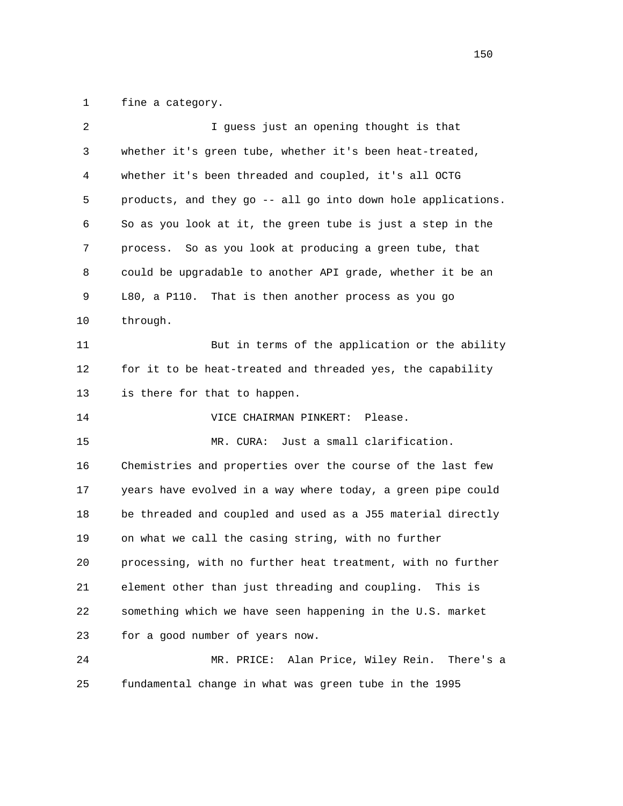1 fine a category.

| 2  | I guess just an opening thought is that                      |
|----|--------------------------------------------------------------|
| 3  | whether it's green tube, whether it's been heat-treated,     |
| 4  | whether it's been threaded and coupled, it's all OCTG        |
| 5  | products, and they go -- all go into down hole applications. |
| 6  | So as you look at it, the green tube is just a step in the   |
| 7  | So as you look at producing a green tube, that<br>process.   |
| 8  | could be upgradable to another API grade, whether it be an   |
| 9  | L80, a P110. That is then another process as you go          |
| 10 | through.                                                     |
| 11 | But in terms of the application or the ability               |
| 12 | for it to be heat-treated and threaded yes, the capability   |
| 13 | is there for that to happen.                                 |
| 14 | Please.<br>VICE CHAIRMAN PINKERT:                            |
| 15 | Just a small clarification.<br>MR. CURA:                     |
| 16 | Chemistries and properties over the course of the last few   |
| 17 | years have evolved in a way where today, a green pipe could  |
| 18 | be threaded and coupled and used as a J55 material directly  |
| 19 | on what we call the casing string, with no further           |
| 20 | processing, with no further heat treatment, with no further  |
| 21 | element other than just threading and coupling.<br>This is   |
| 22 | something which we have seen happening in the U.S. market    |
| 23 | for a good number of years now.                              |
| 24 | Alan Price, Wiley Rein. There's a<br>MR. PRICE:              |
| 25 | fundamental change in what was green tube in the 1995        |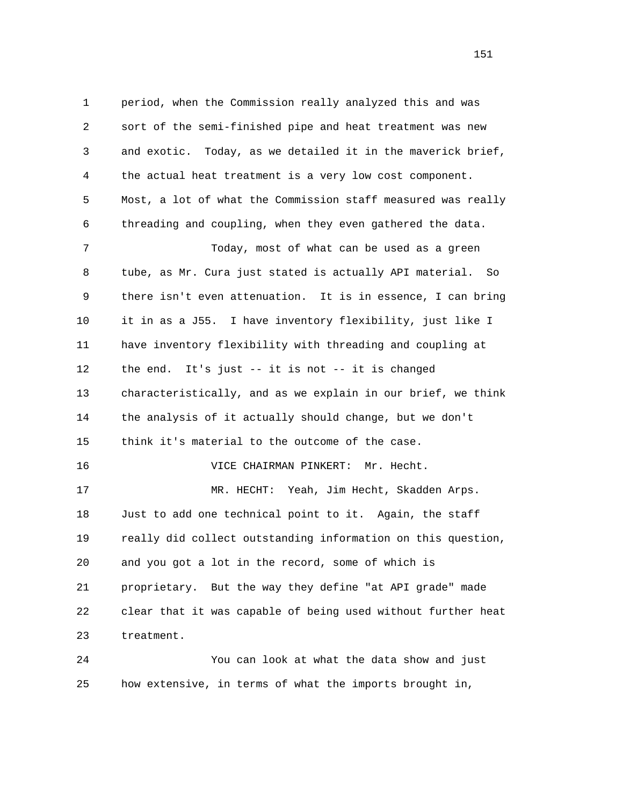1 period, when the Commission really analyzed this and was 2 sort of the semi-finished pipe and heat treatment was new 3 and exotic. Today, as we detailed it in the maverick brief, 4 the actual heat treatment is a very low cost component. 5 Most, a lot of what the Commission staff measured was really 6 threading and coupling, when they even gathered the data. 7 Today, most of what can be used as a green 8 tube, as Mr. Cura just stated is actually API material. So 9 there isn't even attenuation. It is in essence, I can bring 10 it in as a J55. I have inventory flexibility, just like I 11 have inventory flexibility with threading and coupling at 12 the end. It's just -- it is not -- it is changed 13 characteristically, and as we explain in our brief, we think 14 the analysis of it actually should change, but we don't 15 think it's material to the outcome of the case. 16 VICE CHAIRMAN PINKERT: Mr. Hecht. 17 MR. HECHT: Yeah, Jim Hecht, Skadden Arps. 18 Just to add one technical point to it. Again, the staff 19 really did collect outstanding information on this question, 20 and you got a lot in the record, some of which is 21 proprietary. But the way they define "at API grade" made 22 clear that it was capable of being used without further heat 23 treatment. 24 You can look at what the data show and just

25 how extensive, in terms of what the imports brought in,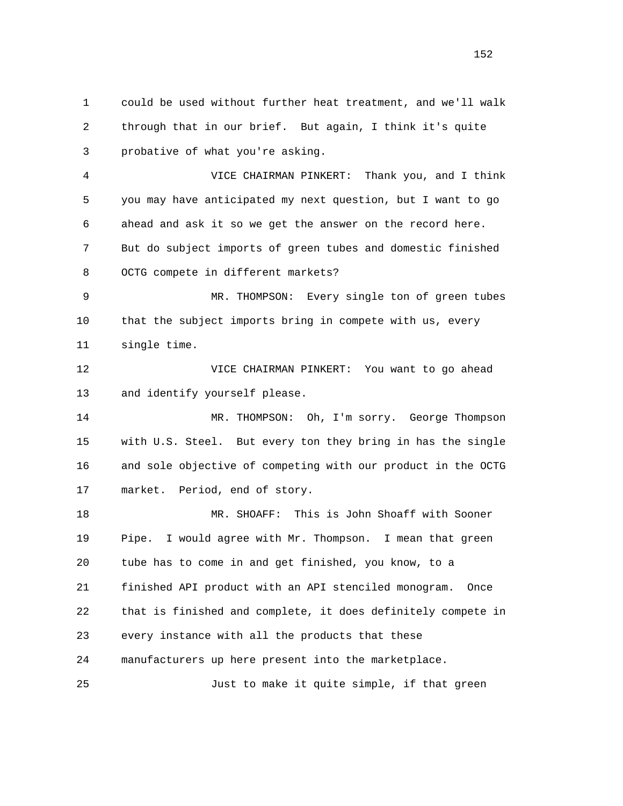1 could be used without further heat treatment, and we'll walk 2 through that in our brief. But again, I think it's quite 3 probative of what you're asking. 4 VICE CHAIRMAN PINKERT: Thank you, and I think 5 you may have anticipated my next question, but I want to go 6 ahead and ask it so we get the answer on the record here. 7 But do subject imports of green tubes and domestic finished 8 OCTG compete in different markets? 9 MR. THOMPSON: Every single ton of green tubes 10 that the subject imports bring in compete with us, every 11 single time. 12 VICE CHAIRMAN PINKERT: You want to go ahead 13 and identify yourself please. 14 MR. THOMPSON: Oh, I'm sorry. George Thompson 15 with U.S. Steel. But every ton they bring in has the single 16 and sole objective of competing with our product in the OCTG 17 market. Period, end of story. 18 MR. SHOAFF: This is John Shoaff with Sooner 19 Pipe. I would agree with Mr. Thompson. I mean that green 20 tube has to come in and get finished, you know, to a 21 finished API product with an API stenciled monogram. Once 22 that is finished and complete, it does definitely compete in 23 every instance with all the products that these 24 manufacturers up here present into the marketplace. 25 Just to make it quite simple, if that green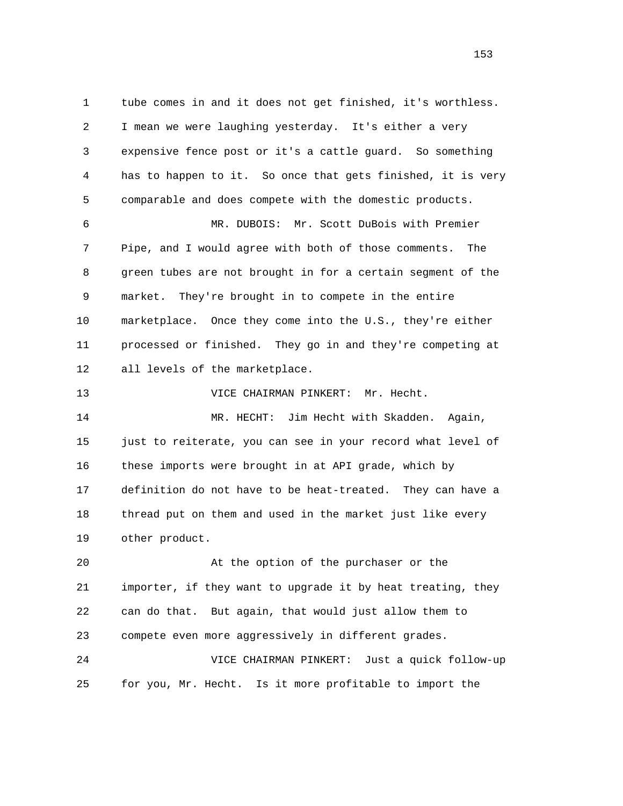1 tube comes in and it does not get finished, it's worthless. 2 I mean we were laughing yesterday. It's either a very 3 expensive fence post or it's a cattle guard. So something 4 has to happen to it. So once that gets finished, it is very 5 comparable and does compete with the domestic products. 6 MR. DUBOIS: Mr. Scott DuBois with Premier 7 Pipe, and I would agree with both of those comments. The 8 green tubes are not brought in for a certain segment of the 9 market. They're brought in to compete in the entire 10 marketplace. Once they come into the U.S., they're either 11 processed or finished. They go in and they're competing at 12 all levels of the marketplace. 13 VICE CHAIRMAN PINKERT: Mr. Hecht. 14 MR. HECHT: Jim Hecht with Skadden. Again, 15 just to reiterate, you can see in your record what level of 16 these imports were brought in at API grade, which by 17 definition do not have to be heat-treated. They can have a 18 thread put on them and used in the market just like every 19 other product. 20 At the option of the purchaser or the 21 importer, if they want to upgrade it by heat treating, they 22 can do that. But again, that would just allow them to 23 compete even more aggressively in different grades. 24 VICE CHAIRMAN PINKERT: Just a quick follow-up 25 for you, Mr. Hecht. Is it more profitable to import the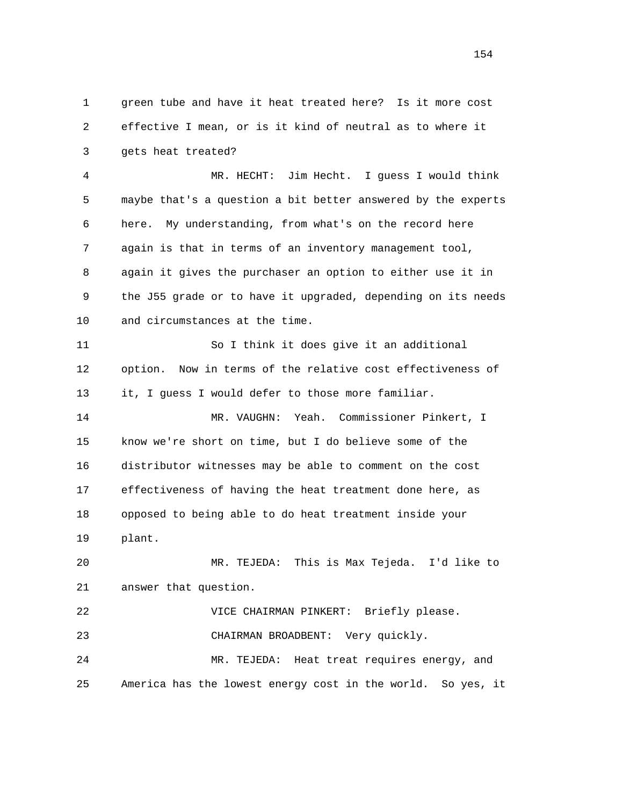1 green tube and have it heat treated here? Is it more cost 2 effective I mean, or is it kind of neutral as to where it 3 gets heat treated?

 4 MR. HECHT: Jim Hecht. I guess I would think 5 maybe that's a question a bit better answered by the experts 6 here. My understanding, from what's on the record here 7 again is that in terms of an inventory management tool, 8 again it gives the purchaser an option to either use it in 9 the J55 grade or to have it upgraded, depending on its needs 10 and circumstances at the time.

 11 So I think it does give it an additional 12 option. Now in terms of the relative cost effectiveness of 13 it, I guess I would defer to those more familiar. 14 MR. VAUGHN: Yeah. Commissioner Pinkert, I 15 know we're short on time, but I do believe some of the 16 distributor witnesses may be able to comment on the cost 17 effectiveness of having the heat treatment done here, as 18 opposed to being able to do heat treatment inside your

19 plant.

 20 MR. TEJEDA: This is Max Tejeda. I'd like to 21 answer that question.

 22 VICE CHAIRMAN PINKERT: Briefly please. 23 CHAIRMAN BROADBENT: Very quickly. 24 MR. TEJEDA: Heat treat requires energy, and 25 America has the lowest energy cost in the world. So yes, it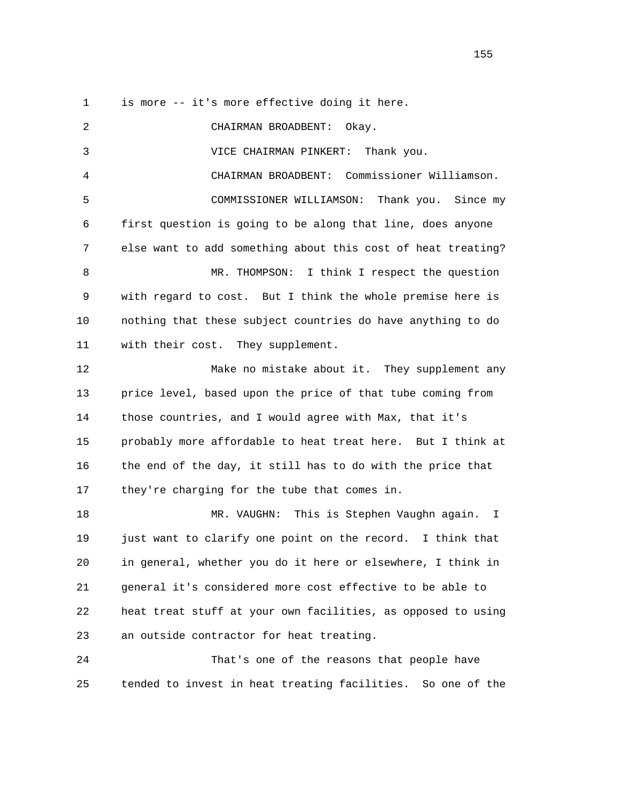1 is more -- it's more effective doing it here.

 2 CHAIRMAN BROADBENT: Okay. 3 VICE CHAIRMAN PINKERT: Thank you. 4 CHAIRMAN BROADBENT: Commissioner Williamson. 5 COMMISSIONER WILLIAMSON: Thank you. Since my 6 first question is going to be along that line, does anyone 7 else want to add something about this cost of heat treating? 8 MR. THOMPSON: I think I respect the question 9 with regard to cost. But I think the whole premise here is 10 nothing that these subject countries do have anything to do 11 with their cost. They supplement. 12 Make no mistake about it. They supplement any 13 price level, based upon the price of that tube coming from 14 those countries, and I would agree with Max, that it's 15 probably more affordable to heat treat here. But I think at 16 the end of the day, it still has to do with the price that 17 they're charging for the tube that comes in. 18 MR. VAUGHN: This is Stephen Vaughn again. I 19 just want to clarify one point on the record. I think that 20 in general, whether you do it here or elsewhere, I think in 21 general it's considered more cost effective to be able to 22 heat treat stuff at your own facilities, as opposed to using 23 an outside contractor for heat treating. 24 That's one of the reasons that people have 25 tended to invest in heat treating facilities. So one of the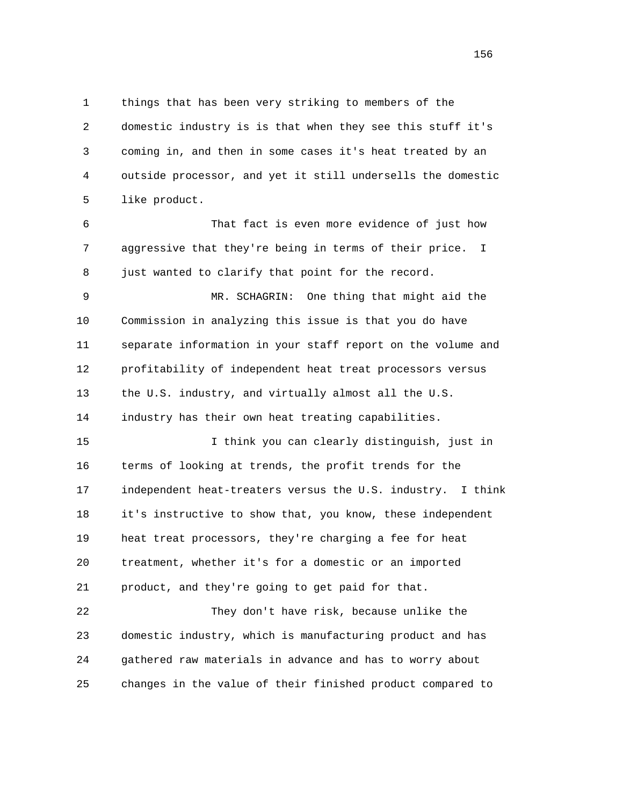1 things that has been very striking to members of the 2 domestic industry is is that when they see this stuff it's 3 coming in, and then in some cases it's heat treated by an 4 outside processor, and yet it still undersells the domestic 5 like product.

 6 That fact is even more evidence of just how 7 aggressive that they're being in terms of their price. I 8 just wanted to clarify that point for the record.

 9 MR. SCHAGRIN: One thing that might aid the 10 Commission in analyzing this issue is that you do have 11 separate information in your staff report on the volume and 12 profitability of independent heat treat processors versus 13 the U.S. industry, and virtually almost all the U.S. 14 industry has their own heat treating capabilities.

 15 I think you can clearly distinguish, just in 16 terms of looking at trends, the profit trends for the 17 independent heat-treaters versus the U.S. industry. I think 18 it's instructive to show that, you know, these independent 19 heat treat processors, they're charging a fee for heat 20 treatment, whether it's for a domestic or an imported 21 product, and they're going to get paid for that.

 22 They don't have risk, because unlike the 23 domestic industry, which is manufacturing product and has 24 gathered raw materials in advance and has to worry about 25 changes in the value of their finished product compared to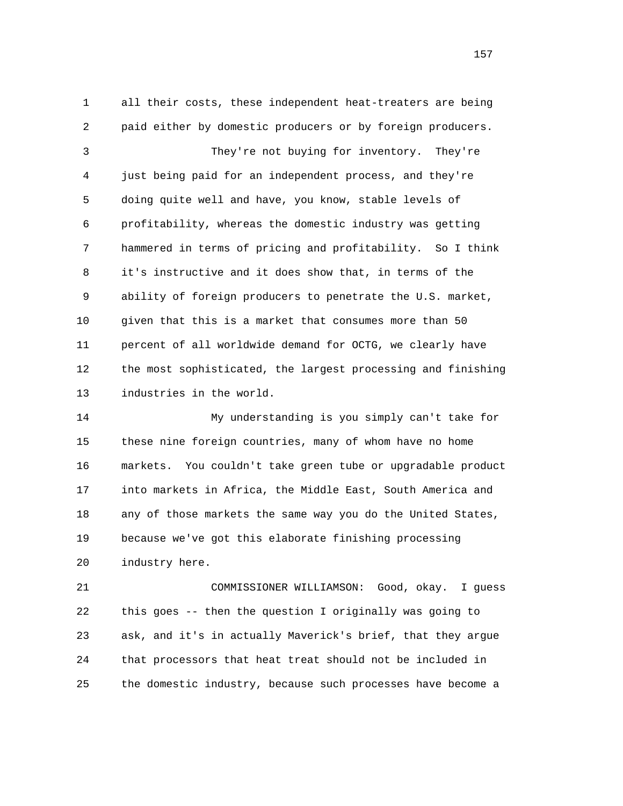1 all their costs, these independent heat-treaters are being 2 paid either by domestic producers or by foreign producers. 3 They're not buying for inventory. They're 4 just being paid for an independent process, and they're 5 doing quite well and have, you know, stable levels of 6 profitability, whereas the domestic industry was getting 7 hammered in terms of pricing and profitability. So I think 8 it's instructive and it does show that, in terms of the 9 ability of foreign producers to penetrate the U.S. market, 10 given that this is a market that consumes more than 50 11 percent of all worldwide demand for OCTG, we clearly have 12 the most sophisticated, the largest processing and finishing 13 industries in the world.

 14 My understanding is you simply can't take for 15 these nine foreign countries, many of whom have no home 16 markets. You couldn't take green tube or upgradable product 17 into markets in Africa, the Middle East, South America and 18 any of those markets the same way you do the United States, 19 because we've got this elaborate finishing processing 20 industry here.

 21 COMMISSIONER WILLIAMSON: Good, okay. I guess 22 this goes -- then the question I originally was going to 23 ask, and it's in actually Maverick's brief, that they argue 24 that processors that heat treat should not be included in 25 the domestic industry, because such processes have become a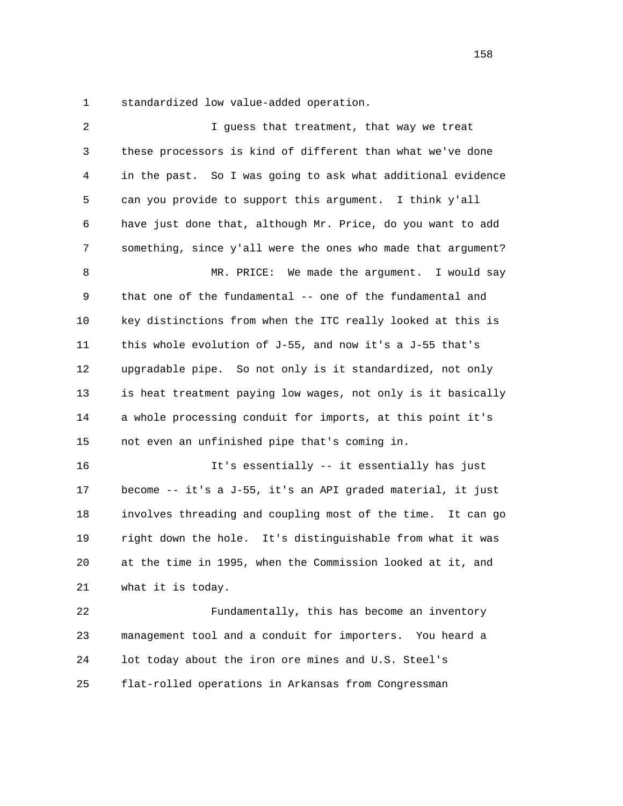1 standardized low value-added operation.

| 2  | I guess that treatment, that way we treat                    |
|----|--------------------------------------------------------------|
| 3  | these processors is kind of different than what we've done   |
| 4  | in the past. So I was going to ask what additional evidence  |
| 5  | can you provide to support this argument. I think y'all      |
| 6  | have just done that, although Mr. Price, do you want to add  |
| 7  | something, since y'all were the ones who made that argument? |
| 8  | MR. PRICE: We made the argument. I would say                 |
| 9  | that one of the fundamental -- one of the fundamental and    |
| 10 | key distinctions from when the ITC really looked at this is  |
| 11 | this whole evolution of J-55, and now it's a J-55 that's     |
| 12 | upgradable pipe. So not only is it standardized, not only    |
| 13 | is heat treatment paying low wages, not only is it basically |
| 14 | a whole processing conduit for imports, at this point it's   |
| 15 | not even an unfinished pipe that's coming in.                |
| 16 | It's essentially -- it essentially has just                  |
| 17 | become -- it's a J-55, it's an API graded material, it just  |
| 18 | involves threading and coupling most of the time. It can go  |
| 19 | right down the hole. It's distinguishable from what it was   |
| 20 | at the time in 1995, when the Commission looked at it, and   |
| 21 | what it is today.                                            |
| 22 | Fundamentally, this has become an inventory                  |
| 23 | management tool and a conduit for importers. You heard a     |
| 24 | lot today about the iron ore mines and U.S. Steel's          |
| 25 | flat-rolled operations in Arkansas from Congressman          |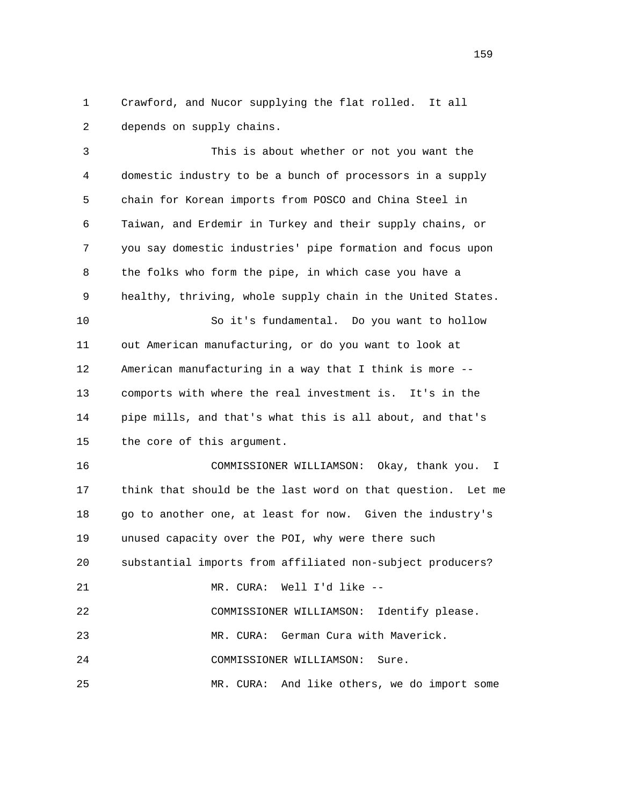1 Crawford, and Nucor supplying the flat rolled. It all 2 depends on supply chains.

 3 This is about whether or not you want the 4 domestic industry to be a bunch of processors in a supply 5 chain for Korean imports from POSCO and China Steel in 6 Taiwan, and Erdemir in Turkey and their supply chains, or 7 you say domestic industries' pipe formation and focus upon 8 the folks who form the pipe, in which case you have a 9 healthy, thriving, whole supply chain in the United States. 10 So it's fundamental. Do you want to hollow 11 out American manufacturing, or do you want to look at 12 American manufacturing in a way that I think is more -- 13 comports with where the real investment is. It's in the 14 pipe mills, and that's what this is all about, and that's 15 the core of this argument. 16 COMMISSIONER WILLIAMSON: Okay, thank you. I 17 think that should be the last word on that question. Let me 18 go to another one, at least for now. Given the industry's 19 unused capacity over the POI, why were there such 20 substantial imports from affiliated non-subject producers? 21 MR. CURA: Well I'd like -- 22 COMMISSIONER WILLIAMSON: Identify please. 23 MR. CURA: German Cura with Maverick. 24 COMMISSIONER WILLIAMSON: Sure. 25 MR. CURA: And like others, we do import some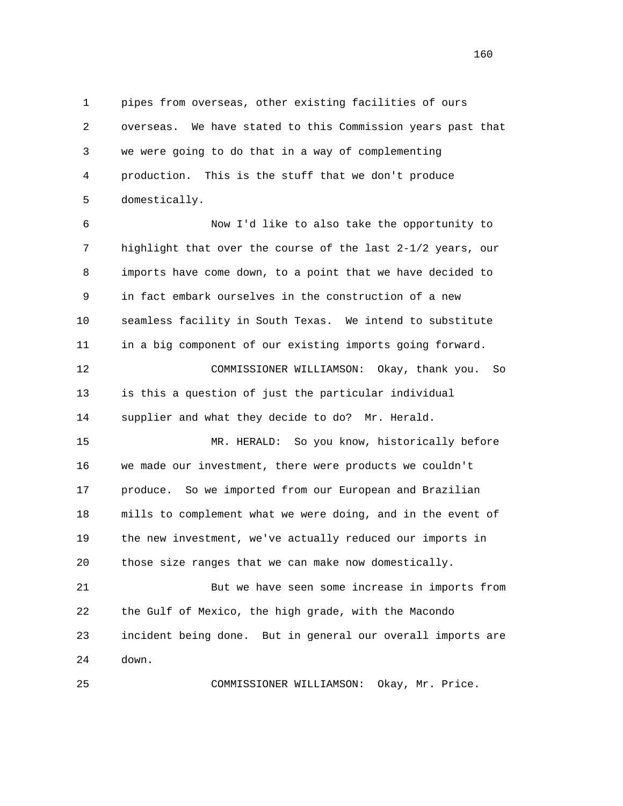1 pipes from overseas, other existing facilities of ours 2 overseas. We have stated to this Commission years past that 3 we were going to do that in a way of complementing 4 production. This is the stuff that we don't produce 5 domestically.

 6 Now I'd like to also take the opportunity to 7 highlight that over the course of the last 2-1/2 years, our 8 imports have come down, to a point that we have decided to 9 in fact embark ourselves in the construction of a new 10 seamless facility in South Texas. We intend to substitute 11 in a big component of our existing imports going forward. 12 COMMISSIONER WILLIAMSON: Okay, thank you. So 13 is this a question of just the particular individual 14 supplier and what they decide to do? Mr. Herald.

 15 MR. HERALD: So you know, historically before 16 we made our investment, there were products we couldn't 17 produce. So we imported from our European and Brazilian 18 mills to complement what we were doing, and in the event of 19 the new investment, we've actually reduced our imports in 20 those size ranges that we can make now domestically.

 21 But we have seen some increase in imports from 22 the Gulf of Mexico, the high grade, with the Macondo 23 incident being done. But in general our overall imports are 24 down.

25 COMMISSIONER WILLIAMSON: Okay, Mr. Price.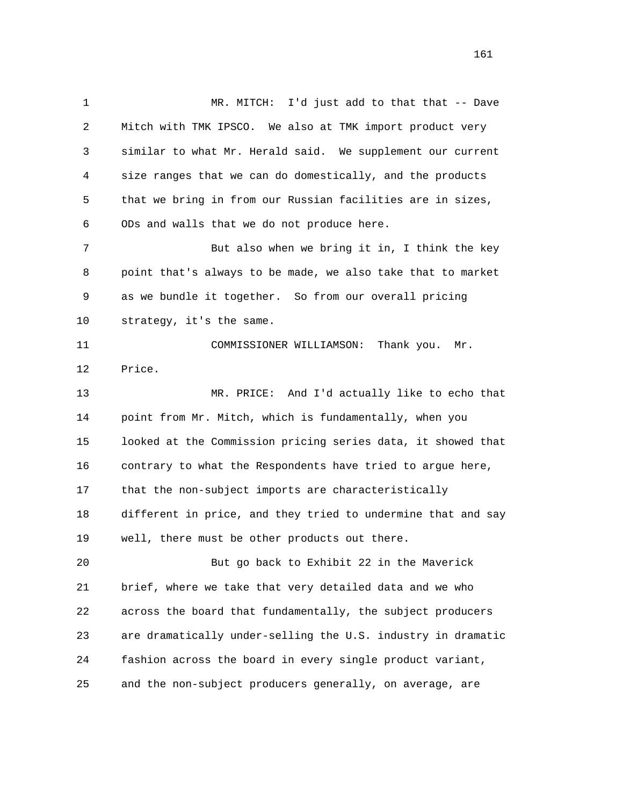1 MR. MITCH: I'd just add to that that -- Dave 2 Mitch with TMK IPSCO. We also at TMK import product very 3 similar to what Mr. Herald said. We supplement our current 4 size ranges that we can do domestically, and the products 5 that we bring in from our Russian facilities are in sizes, 6 ODs and walls that we do not produce here. 7 But also when we bring it in, I think the key 8 point that's always to be made, we also take that to market 9 as we bundle it together. So from our overall pricing 10 strategy, it's the same. 11 COMMISSIONER WILLIAMSON: Thank you. Mr. 12 Price. 13 MR. PRICE: And I'd actually like to echo that 14 point from Mr. Mitch, which is fundamentally, when you 15 looked at the Commission pricing series data, it showed that 16 contrary to what the Respondents have tried to argue here, 17 that the non-subject imports are characteristically 18 different in price, and they tried to undermine that and say 19 well, there must be other products out there. 20 But go back to Exhibit 22 in the Maverick 21 brief, where we take that very detailed data and we who 22 across the board that fundamentally, the subject producers 23 are dramatically under-selling the U.S. industry in dramatic 24 fashion across the board in every single product variant, 25 and the non-subject producers generally, on average, are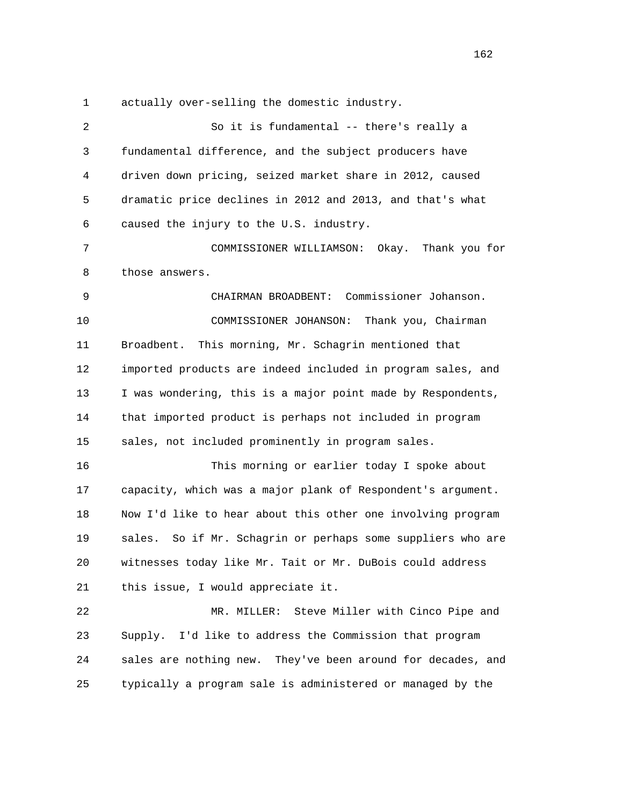1 actually over-selling the domestic industry.

 2 So it is fundamental -- there's really a 3 fundamental difference, and the subject producers have 4 driven down pricing, seized market share in 2012, caused 5 dramatic price declines in 2012 and 2013, and that's what 6 caused the injury to the U.S. industry. 7 COMMISSIONER WILLIAMSON: Okay. Thank you for 8 those answers. 9 CHAIRMAN BROADBENT: Commissioner Johanson. 10 COMMISSIONER JOHANSON: Thank you, Chairman 11 Broadbent. This morning, Mr. Schagrin mentioned that 12 imported products are indeed included in program sales, and 13 I was wondering, this is a major point made by Respondents, 14 that imported product is perhaps not included in program 15 sales, not included prominently in program sales. 16 This morning or earlier today I spoke about 17 capacity, which was a major plank of Respondent's argument. 18 Now I'd like to hear about this other one involving program 19 sales. So if Mr. Schagrin or perhaps some suppliers who are 20 witnesses today like Mr. Tait or Mr. DuBois could address 21 this issue, I would appreciate it. 22 MR. MILLER: Steve Miller with Cinco Pipe and 23 Supply. I'd like to address the Commission that program 24 sales are nothing new. They've been around for decades, and 25 typically a program sale is administered or managed by the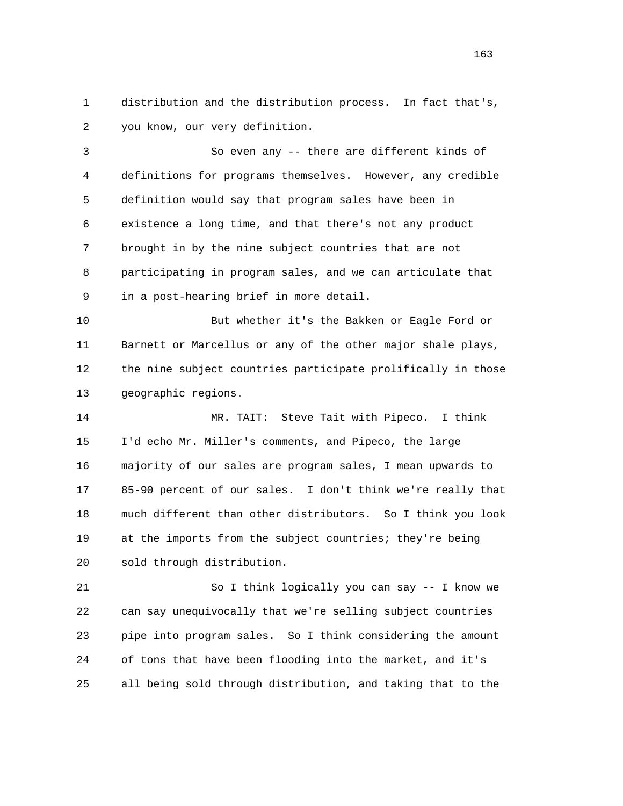1 distribution and the distribution process. In fact that's, 2 you know, our very definition.

 3 So even any -- there are different kinds of 4 definitions for programs themselves. However, any credible 5 definition would say that program sales have been in 6 existence a long time, and that there's not any product 7 brought in by the nine subject countries that are not 8 participating in program sales, and we can articulate that 9 in a post-hearing brief in more detail.

 10 But whether it's the Bakken or Eagle Ford or 11 Barnett or Marcellus or any of the other major shale plays, 12 the nine subject countries participate prolifically in those 13 geographic regions.

 14 MR. TAIT: Steve Tait with Pipeco. I think 15 I'd echo Mr. Miller's comments, and Pipeco, the large 16 majority of our sales are program sales, I mean upwards to 17 85-90 percent of our sales. I don't think we're really that 18 much different than other distributors. So I think you look 19 at the imports from the subject countries; they're being 20 sold through distribution.

 21 So I think logically you can say -- I know we 22 can say unequivocally that we're selling subject countries 23 pipe into program sales. So I think considering the amount 24 of tons that have been flooding into the market, and it's 25 all being sold through distribution, and taking that to the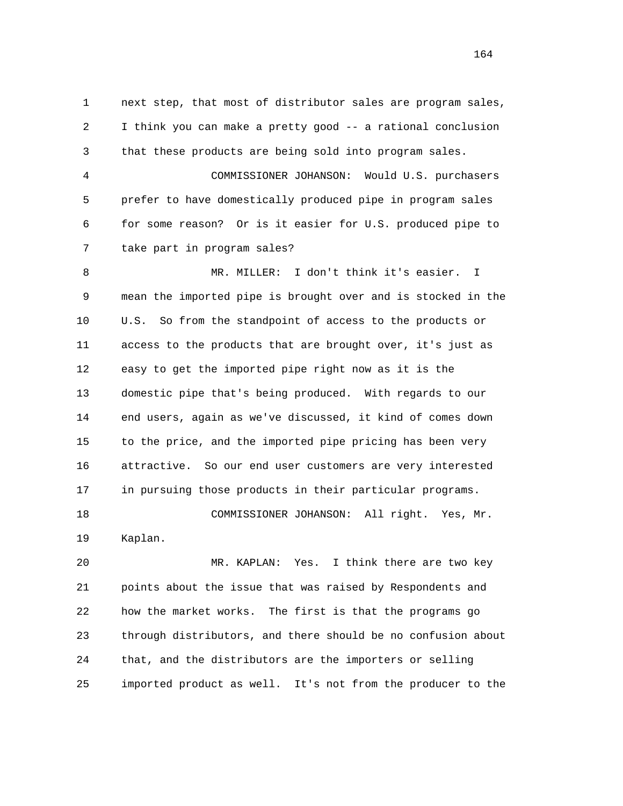1 next step, that most of distributor sales are program sales, 2 I think you can make a pretty good -- a rational conclusion 3 that these products are being sold into program sales. 4 COMMISSIONER JOHANSON: Would U.S. purchasers 5 prefer to have domestically produced pipe in program sales 6 for some reason? Or is it easier for U.S. produced pipe to 7 take part in program sales? 8 MR. MILLER: I don't think it's easier. I 9 mean the imported pipe is brought over and is stocked in the 10 U.S. So from the standpoint of access to the products or 11 access to the products that are brought over, it's just as 12 easy to get the imported pipe right now as it is the 13 domestic pipe that's being produced. With regards to our 14 end users, again as we've discussed, it kind of comes down

 15 to the price, and the imported pipe pricing has been very 16 attractive. So our end user customers are very interested 17 in pursuing those products in their particular programs. 18 COMMISSIONER JOHANSON: All right. Yes, Mr.

19 Kaplan.

 20 MR. KAPLAN: Yes. I think there are two key 21 points about the issue that was raised by Respondents and 22 how the market works. The first is that the programs go 23 through distributors, and there should be no confusion about 24 that, and the distributors are the importers or selling 25 imported product as well. It's not from the producer to the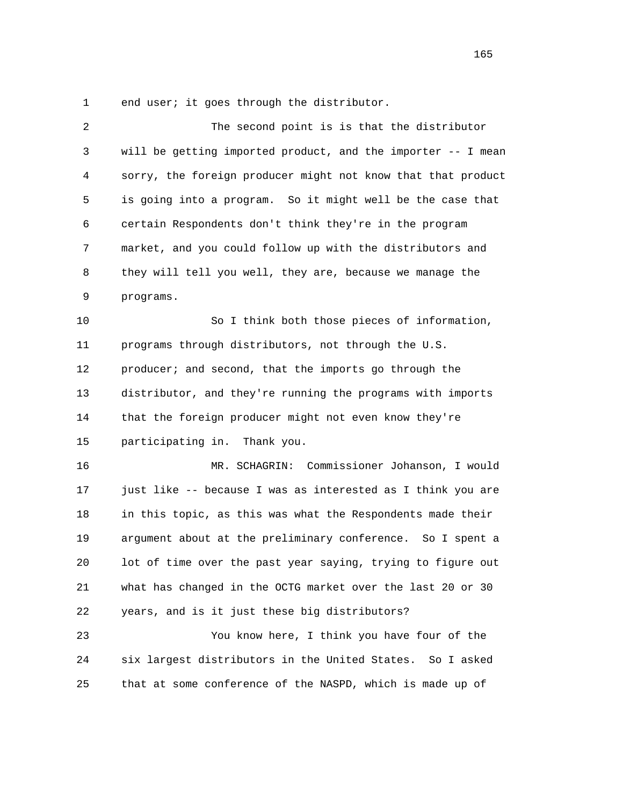1 end user; it goes through the distributor.

| $\overline{2}$ | The second point is is that the distributor                  |
|----------------|--------------------------------------------------------------|
| 3              | will be getting imported product, and the importer -- I mean |
| 4              | sorry, the foreign producer might not know that that product |
| 5              | is going into a program. So it might well be the case that   |
| 6              | certain Respondents don't think they're in the program       |
| 7              | market, and you could follow up with the distributors and    |
| 8              | they will tell you well, they are, because we manage the     |
| 9              | programs.                                                    |
| 10             | So I think both those pieces of information,                 |
| 11             | programs through distributors, not through the U.S.          |
| 12             | producer; and second, that the imports go through the        |
| 13             | distributor, and they're running the programs with imports   |
| 14             | that the foreign producer might not even know they're        |
| 15             | participating in. Thank you.                                 |
| 16             | Commissioner Johanson, I would<br>MR. SCHAGRIN:              |
| 17             | just like -- because I was as interested as I think you are  |
| 18             | in this topic, as this was what the Respondents made their   |
| 19             | argument about at the preliminary conference. So I spent a   |
| 20             | lot of time over the past year saying, trying to figure out  |
| 21             | what has changed in the OCTG market over the last 20 or 30   |
| 22             | years, and is it just these big distributors?                |
| 23             | You know here, I think you have four of the                  |
| 24             | six largest distributors in the United States. So I asked    |
| 25             | that at some conference of the NASPD, which is made up of    |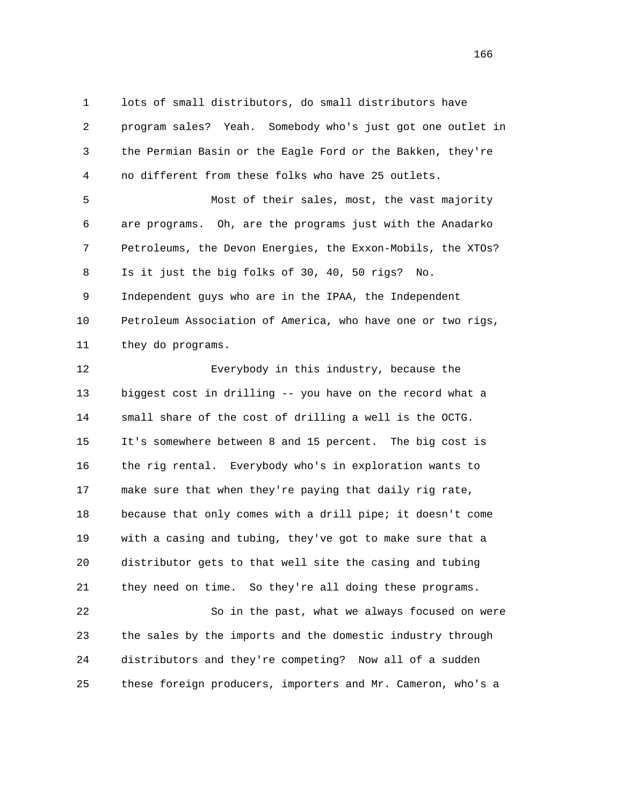1 lots of small distributors, do small distributors have 2 program sales? Yeah. Somebody who's just got one outlet in 3 the Permian Basin or the Eagle Ford or the Bakken, they're 4 no different from these folks who have 25 outlets. 5 Most of their sales, most, the vast majority 6 are programs. Oh, are the programs just with the Anadarko 7 Petroleums, the Devon Energies, the Exxon-Mobils, the XTOs? 8 Is it just the big folks of 30, 40, 50 rigs? No. 9 Independent guys who are in the IPAA, the Independent 10 Petroleum Association of America, who have one or two rigs, 11 they do programs. 12 Everybody in this industry, because the

 13 biggest cost in drilling -- you have on the record what a 14 small share of the cost of drilling a well is the OCTG. 15 It's somewhere between 8 and 15 percent. The big cost is 16 the rig rental. Everybody who's in exploration wants to 17 make sure that when they're paying that daily rig rate, 18 because that only comes with a drill pipe; it doesn't come 19 with a casing and tubing, they've got to make sure that a 20 distributor gets to that well site the casing and tubing 21 they need on time. So they're all doing these programs.

 22 So in the past, what we always focused on were 23 the sales by the imports and the domestic industry through 24 distributors and they're competing? Now all of a sudden 25 these foreign producers, importers and Mr. Cameron, who's a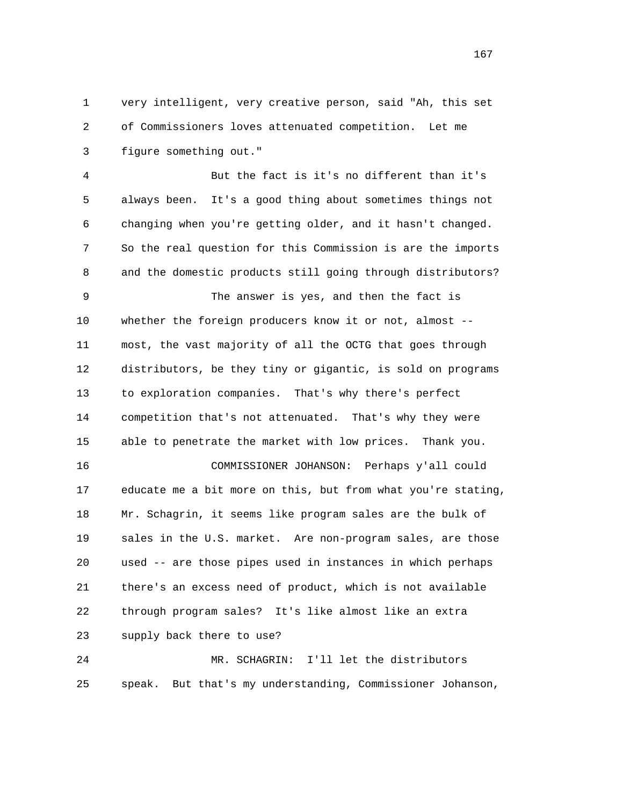1 very intelligent, very creative person, said "Ah, this set 2 of Commissioners loves attenuated competition. Let me 3 figure something out."

 4 But the fact is it's no different than it's 5 always been. It's a good thing about sometimes things not 6 changing when you're getting older, and it hasn't changed. 7 So the real question for this Commission is are the imports 8 and the domestic products still going through distributors?

 9 The answer is yes, and then the fact is 10 whether the foreign producers know it or not, almost -- 11 most, the vast majority of all the OCTG that goes through 12 distributors, be they tiny or gigantic, is sold on programs 13 to exploration companies. That's why there's perfect 14 competition that's not attenuated. That's why they were 15 able to penetrate the market with low prices. Thank you.

 16 COMMISSIONER JOHANSON: Perhaps y'all could 17 educate me a bit more on this, but from what you're stating, 18 Mr. Schagrin, it seems like program sales are the bulk of 19 sales in the U.S. market. Are non-program sales, are those 20 used -- are those pipes used in instances in which perhaps 21 there's an excess need of product, which is not available 22 through program sales? It's like almost like an extra 23 supply back there to use?

 24 MR. SCHAGRIN: I'll let the distributors 25 speak. But that's my understanding, Commissioner Johanson,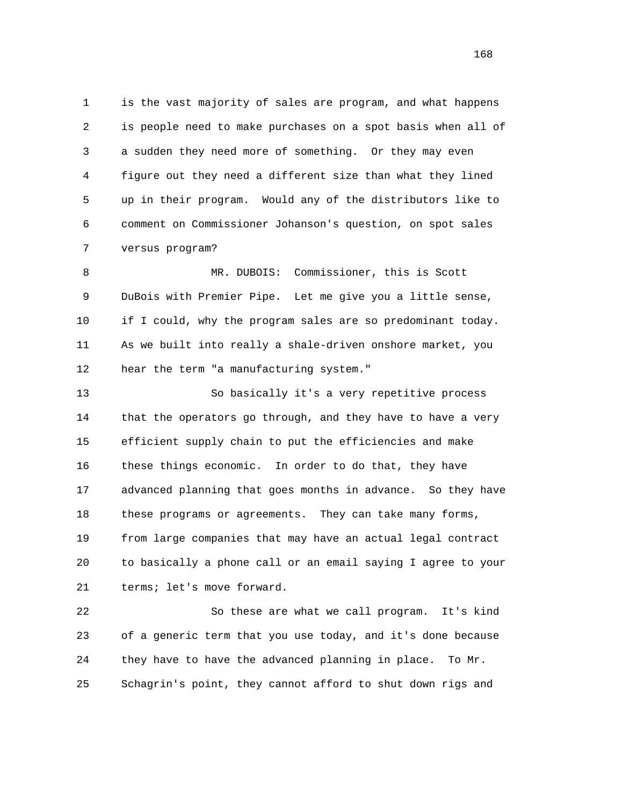1 is the vast majority of sales are program, and what happens 2 is people need to make purchases on a spot basis when all of 3 a sudden they need more of something. Or they may even 4 figure out they need a different size than what they lined 5 up in their program. Would any of the distributors like to 6 comment on Commissioner Johanson's question, on spot sales 7 versus program?

 8 MR. DUBOIS: Commissioner, this is Scott 9 DuBois with Premier Pipe. Let me give you a little sense, 10 if I could, why the program sales are so predominant today. 11 As we built into really a shale-driven onshore market, you 12 hear the term "a manufacturing system."

 13 So basically it's a very repetitive process 14 that the operators go through, and they have to have a very 15 efficient supply chain to put the efficiencies and make 16 these things economic. In order to do that, they have 17 advanced planning that goes months in advance. So they have 18 these programs or agreements. They can take many forms, 19 from large companies that may have an actual legal contract 20 to basically a phone call or an email saying I agree to your 21 terms; let's move forward.

 22 So these are what we call program. It's kind 23 of a generic term that you use today, and it's done because 24 they have to have the advanced planning in place. To Mr. 25 Schagrin's point, they cannot afford to shut down rigs and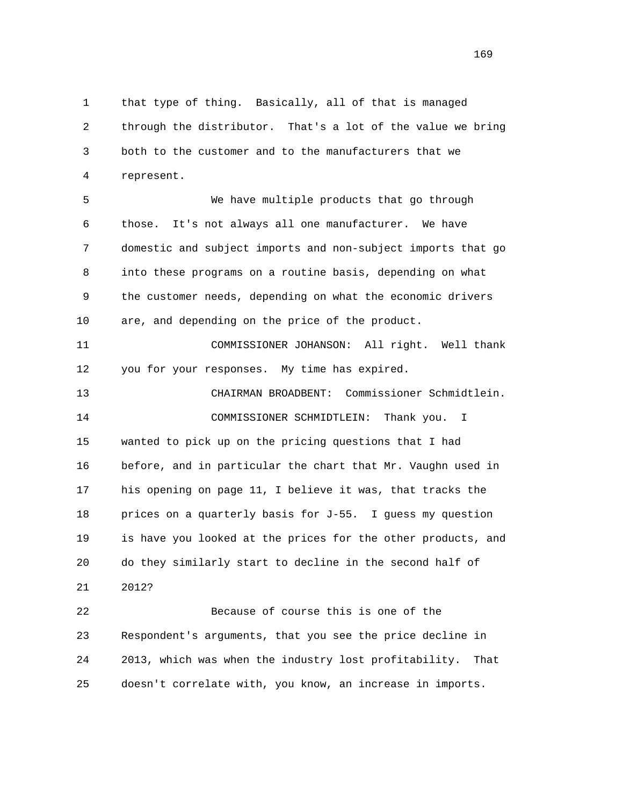1 that type of thing. Basically, all of that is managed 2 through the distributor. That's a lot of the value we bring 3 both to the customer and to the manufacturers that we 4 represent.

 5 We have multiple products that go through 6 those. It's not always all one manufacturer. We have 7 domestic and subject imports and non-subject imports that go 8 into these programs on a routine basis, depending on what 9 the customer needs, depending on what the economic drivers 10 are, and depending on the price of the product.

 11 COMMISSIONER JOHANSON: All right. Well thank 12 you for your responses. My time has expired.

 13 CHAIRMAN BROADBENT: Commissioner Schmidtlein. 14 COMMISSIONER SCHMIDTLEIN: Thank you. I 15 wanted to pick up on the pricing questions that I had 16 before, and in particular the chart that Mr. Vaughn used in 17 his opening on page 11, I believe it was, that tracks the 18 prices on a quarterly basis for J-55. I guess my question 19 is have you looked at the prices for the other products, and 20 do they similarly start to decline in the second half of 21 2012?

 22 Because of course this is one of the 23 Respondent's arguments, that you see the price decline in 24 2013, which was when the industry lost profitability. That 25 doesn't correlate with, you know, an increase in imports.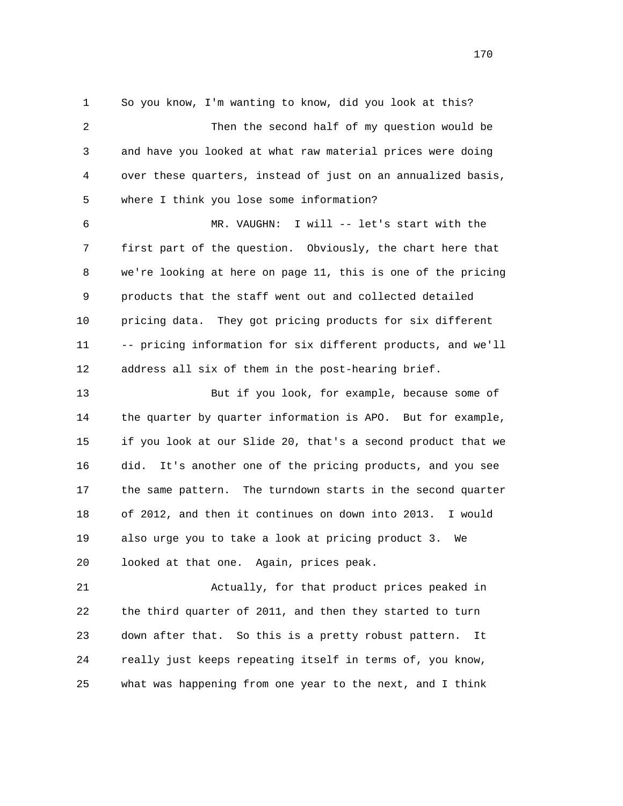1 So you know, I'm wanting to know, did you look at this? 2 Then the second half of my question would be 3 and have you looked at what raw material prices were doing 4 over these quarters, instead of just on an annualized basis, 5 where I think you lose some information? 6 MR. VAUGHN: I will -- let's start with the 7 first part of the question. Obviously, the chart here that 8 we're looking at here on page 11, this is one of the pricing 9 products that the staff went out and collected detailed 10 pricing data. They got pricing products for six different 11 -- pricing information for six different products, and we'll 12 address all six of them in the post-hearing brief. 13 But if you look, for example, because some of 14 the quarter by quarter information is APO. But for example, 15 if you look at our Slide 20, that's a second product that we 16 did. It's another one of the pricing products, and you see 17 the same pattern. The turndown starts in the second quarter

 18 of 2012, and then it continues on down into 2013. I would 19 also urge you to take a look at pricing product 3. We 20 looked at that one. Again, prices peak.

 21 Actually, for that product prices peaked in 22 the third quarter of 2011, and then they started to turn 23 down after that. So this is a pretty robust pattern. It 24 really just keeps repeating itself in terms of, you know, 25 what was happening from one year to the next, and I think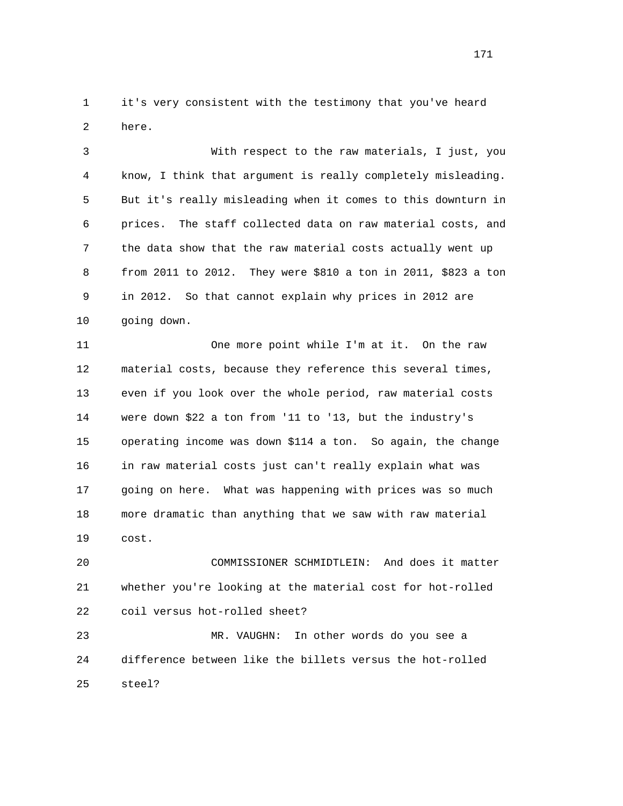1 it's very consistent with the testimony that you've heard 2 here.

 3 With respect to the raw materials, I just, you 4 know, I think that argument is really completely misleading. 5 But it's really misleading when it comes to this downturn in 6 prices. The staff collected data on raw material costs, and 7 the data show that the raw material costs actually went up 8 from 2011 to 2012. They were \$810 a ton in 2011, \$823 a ton 9 in 2012. So that cannot explain why prices in 2012 are 10 going down.

 11 One more point while I'm at it. On the raw 12 material costs, because they reference this several times, 13 even if you look over the whole period, raw material costs 14 were down \$22 a ton from '11 to '13, but the industry's 15 operating income was down \$114 a ton. So again, the change 16 in raw material costs just can't really explain what was 17 going on here. What was happening with prices was so much 18 more dramatic than anything that we saw with raw material 19 cost.

 20 COMMISSIONER SCHMIDTLEIN: And does it matter 21 whether you're looking at the material cost for hot-rolled 22 coil versus hot-rolled sheet?

 23 MR. VAUGHN: In other words do you see a 24 difference between like the billets versus the hot-rolled 25 steel?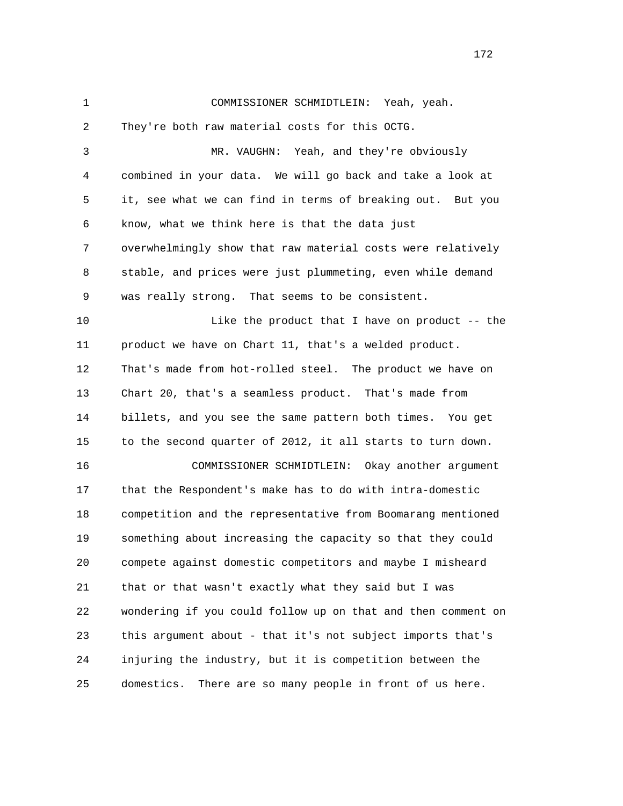1 COMMISSIONER SCHMIDTLEIN: Yeah, yeah. 2 They're both raw material costs for this OCTG. 3 MR. VAUGHN: Yeah, and they're obviously 4 combined in your data. We will go back and take a look at 5 it, see what we can find in terms of breaking out. But you 6 know, what we think here is that the data just 7 overwhelmingly show that raw material costs were relatively 8 stable, and prices were just plummeting, even while demand 9 was really strong. That seems to be consistent. 10 Like the product that I have on product -- the 11 product we have on Chart 11, that's a welded product. 12 That's made from hot-rolled steel. The product we have on 13 Chart 20, that's a seamless product. That's made from 14 billets, and you see the same pattern both times. You get 15 to the second quarter of 2012, it all starts to turn down. 16 COMMISSIONER SCHMIDTLEIN: Okay another argument 17 that the Respondent's make has to do with intra-domestic 18 competition and the representative from Boomarang mentioned 19 something about increasing the capacity so that they could 20 compete against domestic competitors and maybe I misheard 21 that or that wasn't exactly what they said but I was 22 wondering if you could follow up on that and then comment on 23 this argument about - that it's not subject imports that's 24 injuring the industry, but it is competition between the 25 domestics. There are so many people in front of us here.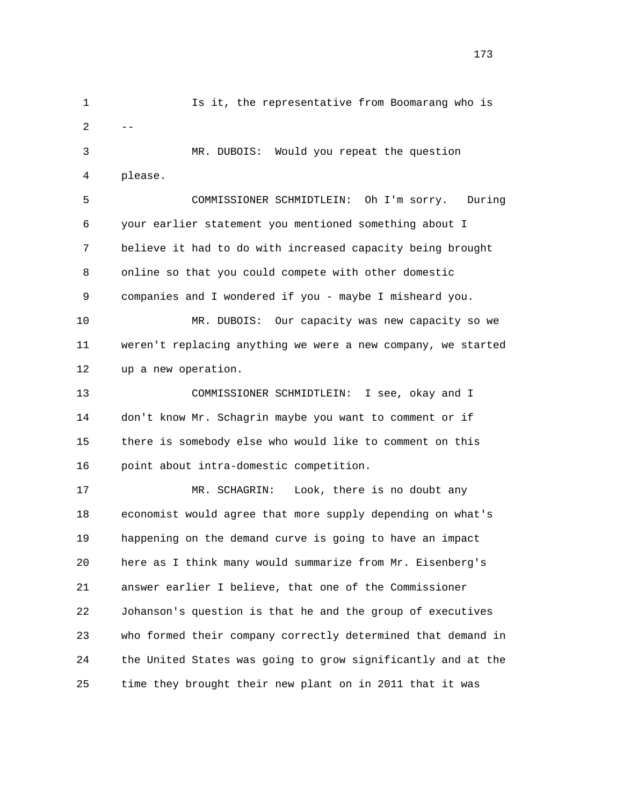1 Is it, the representative from Boomarang who is  $2$  -- 3 MR. DUBOIS: Would you repeat the question 4 please. 5 COMMISSIONER SCHMIDTLEIN: Oh I'm sorry. During 6 your earlier statement you mentioned something about I 7 believe it had to do with increased capacity being brought

> 8 online so that you could compete with other domestic 9 companies and I wondered if you - maybe I misheard you.

 10 MR. DUBOIS: Our capacity was new capacity so we 11 weren't replacing anything we were a new company, we started 12 up a new operation.

 13 COMMISSIONER SCHMIDTLEIN: I see, okay and I 14 don't know Mr. Schagrin maybe you want to comment or if 15 there is somebody else who would like to comment on this 16 point about intra-domestic competition.

 17 MR. SCHAGRIN: Look, there is no doubt any 18 economist would agree that more supply depending on what's 19 happening on the demand curve is going to have an impact 20 here as I think many would summarize from Mr. Eisenberg's 21 answer earlier I believe, that one of the Commissioner 22 Johanson's question is that he and the group of executives 23 who formed their company correctly determined that demand in 24 the United States was going to grow significantly and at the 25 time they brought their new plant on in 2011 that it was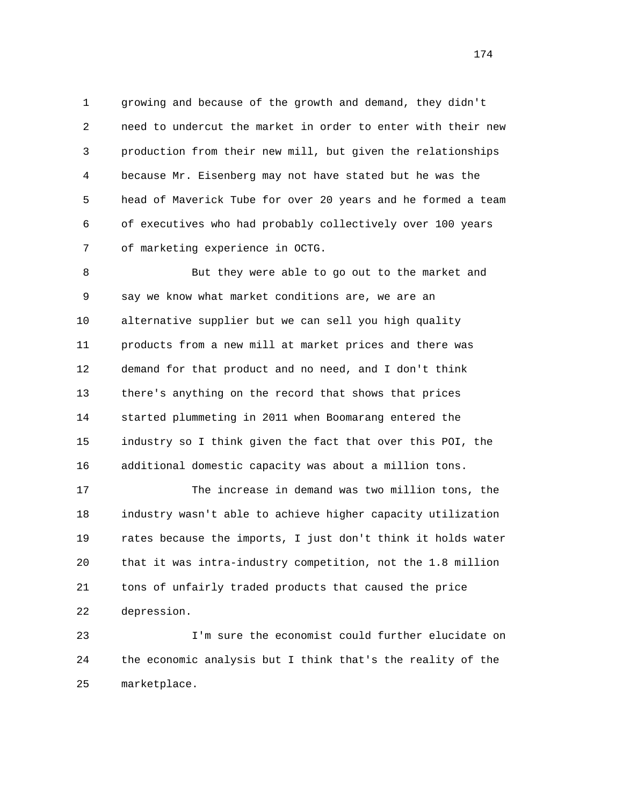1 growing and because of the growth and demand, they didn't 2 need to undercut the market in order to enter with their new 3 production from their new mill, but given the relationships 4 because Mr. Eisenberg may not have stated but he was the 5 head of Maverick Tube for over 20 years and he formed a team 6 of executives who had probably collectively over 100 years 7 of marketing experience in OCTG.

 8 But they were able to go out to the market and 9 say we know what market conditions are, we are an 10 alternative supplier but we can sell you high quality 11 products from a new mill at market prices and there was 12 demand for that product and no need, and I don't think 13 there's anything on the record that shows that prices 14 started plummeting in 2011 when Boomarang entered the 15 industry so I think given the fact that over this POI, the 16 additional domestic capacity was about a million tons.

 17 The increase in demand was two million tons, the 18 industry wasn't able to achieve higher capacity utilization 19 rates because the imports, I just don't think it holds water 20 that it was intra-industry competition, not the 1.8 million 21 tons of unfairly traded products that caused the price 22 depression.

 23 I'm sure the economist could further elucidate on 24 the economic analysis but I think that's the reality of the 25 marketplace.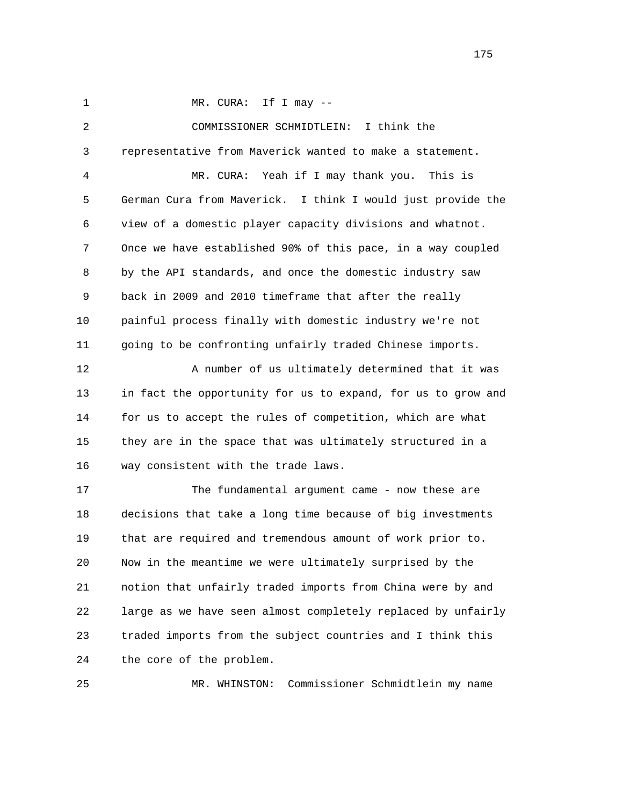1 MR. CURA: If I may --

 2 COMMISSIONER SCHMIDTLEIN: I think the 3 representative from Maverick wanted to make a statement. 4 MR. CURA: Yeah if I may thank you. This is 5 German Cura from Maverick. I think I would just provide the 6 view of a domestic player capacity divisions and whatnot. 7 Once we have established 90% of this pace, in a way coupled 8 by the API standards, and once the domestic industry saw 9 back in 2009 and 2010 timeframe that after the really 10 painful process finally with domestic industry we're not 11 going to be confronting unfairly traded Chinese imports. 12 A number of us ultimately determined that it was 13 in fact the opportunity for us to expand, for us to grow and 14 for us to accept the rules of competition, which are what 15 they are in the space that was ultimately structured in a 16 way consistent with the trade laws. 17 The fundamental argument came - now these are 18 decisions that take a long time because of big investments 19 that are required and tremendous amount of work prior to. 20 Now in the meantime we were ultimately surprised by the 21 notion that unfairly traded imports from China were by and 22 large as we have seen almost completely replaced by unfairly 23 traded imports from the subject countries and I think this 24 the core of the problem.

25 MR. WHINSTON: Commissioner Schmidtlein my name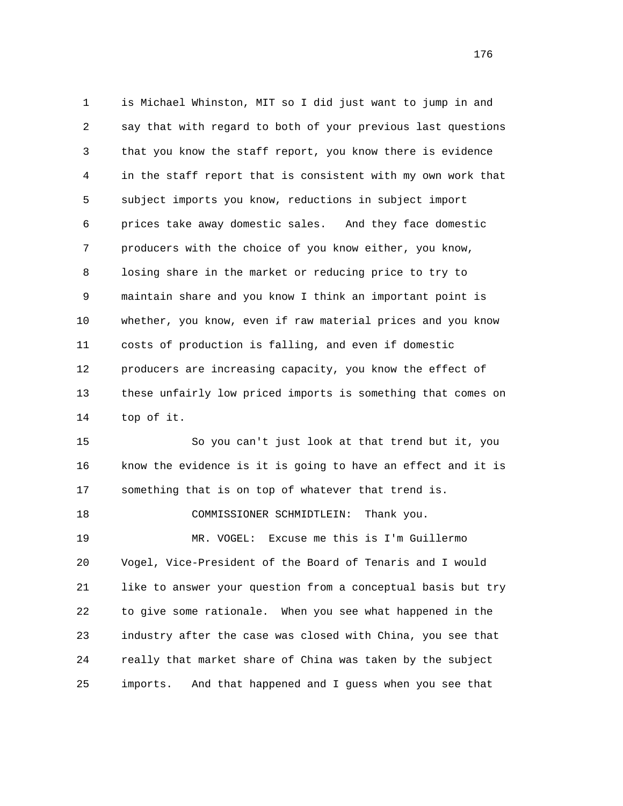1 is Michael Whinston, MIT so I did just want to jump in and 2 say that with regard to both of your previous last questions 3 that you know the staff report, you know there is evidence 4 in the staff report that is consistent with my own work that 5 subject imports you know, reductions in subject import 6 prices take away domestic sales. And they face domestic 7 producers with the choice of you know either, you know, 8 losing share in the market or reducing price to try to 9 maintain share and you know I think an important point is 10 whether, you know, even if raw material prices and you know 11 costs of production is falling, and even if domestic 12 producers are increasing capacity, you know the effect of 13 these unfairly low priced imports is something that comes on 14 top of it.

 15 So you can't just look at that trend but it, you 16 know the evidence is it is going to have an effect and it is 17 something that is on top of whatever that trend is.

18 COMMISSIONER SCHMIDTLEIN: Thank you.

 19 MR. VOGEL: Excuse me this is I'm Guillermo 20 Vogel, Vice-President of the Board of Tenaris and I would 21 like to answer your question from a conceptual basis but try 22 to give some rationale. When you see what happened in the 23 industry after the case was closed with China, you see that 24 really that market share of China was taken by the subject 25 imports. And that happened and I guess when you see that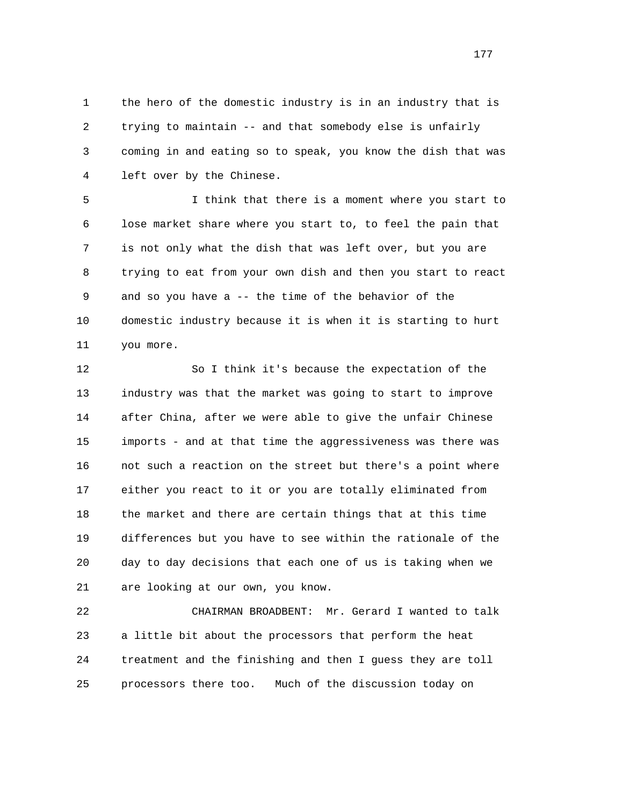1 the hero of the domestic industry is in an industry that is 2 trying to maintain -- and that somebody else is unfairly 3 coming in and eating so to speak, you know the dish that was 4 left over by the Chinese.

 5 I think that there is a moment where you start to 6 lose market share where you start to, to feel the pain that 7 is not only what the dish that was left over, but you are 8 trying to eat from your own dish and then you start to react 9 and so you have a -- the time of the behavior of the 10 domestic industry because it is when it is starting to hurt 11 you more.

 12 So I think it's because the expectation of the 13 industry was that the market was going to start to improve 14 after China, after we were able to give the unfair Chinese 15 imports - and at that time the aggressiveness was there was 16 not such a reaction on the street but there's a point where 17 either you react to it or you are totally eliminated from 18 the market and there are certain things that at this time 19 differences but you have to see within the rationale of the 20 day to day decisions that each one of us is taking when we 21 are looking at our own, you know.

 22 CHAIRMAN BROADBENT: Mr. Gerard I wanted to talk 23 a little bit about the processors that perform the heat 24 treatment and the finishing and then I guess they are toll 25 processors there too. Much of the discussion today on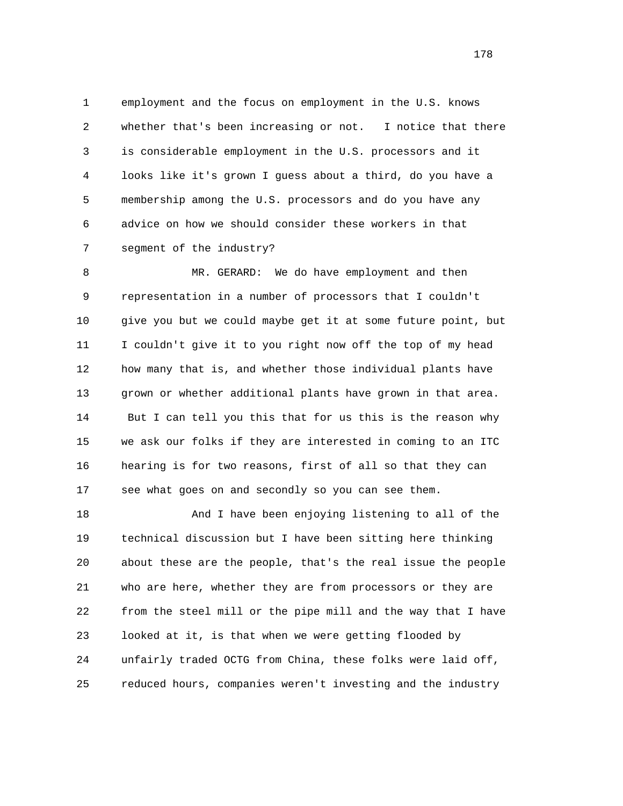1 employment and the focus on employment in the U.S. knows 2 whether that's been increasing or not. I notice that there 3 is considerable employment in the U.S. processors and it 4 looks like it's grown I guess about a third, do you have a 5 membership among the U.S. processors and do you have any 6 advice on how we should consider these workers in that 7 segment of the industry?

 8 MR. GERARD: We do have employment and then 9 representation in a number of processors that I couldn't 10 give you but we could maybe get it at some future point, but 11 I couldn't give it to you right now off the top of my head 12 how many that is, and whether those individual plants have 13 grown or whether additional plants have grown in that area. 14 But I can tell you this that for us this is the reason why 15 we ask our folks if they are interested in coming to an ITC 16 hearing is for two reasons, first of all so that they can 17 see what goes on and secondly so you can see them.

 18 And I have been enjoying listening to all of the 19 technical discussion but I have been sitting here thinking 20 about these are the people, that's the real issue the people 21 who are here, whether they are from processors or they are 22 from the steel mill or the pipe mill and the way that I have 23 looked at it, is that when we were getting flooded by 24 unfairly traded OCTG from China, these folks were laid off, 25 reduced hours, companies weren't investing and the industry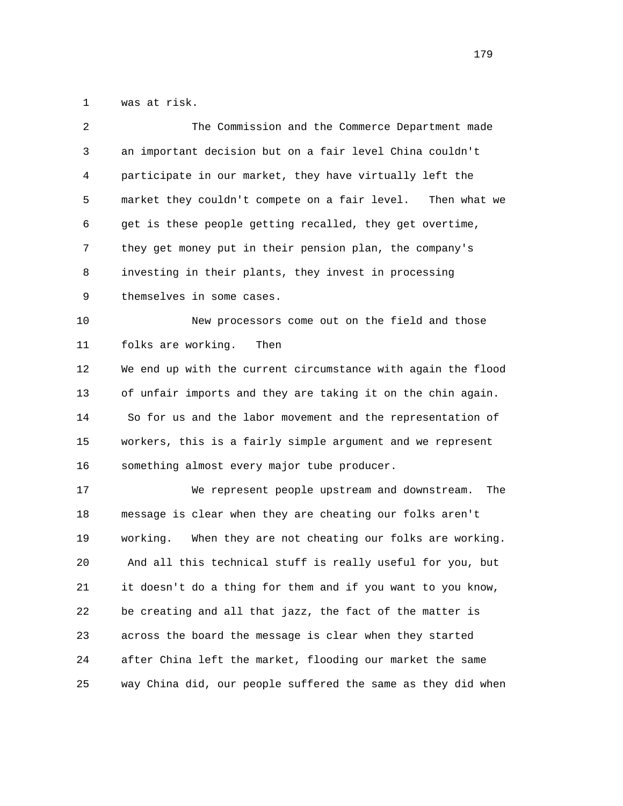1 was at risk.

| $\overline{2}$ | The Commission and the Commerce Department made               |
|----------------|---------------------------------------------------------------|
| 3              | an important decision but on a fair level China couldn't      |
| 4              | participate in our market, they have virtually left the       |
| 5              | market they couldn't compete on a fair level.<br>Then what we |
| 6              | get is these people getting recalled, they get overtime,      |
| 7              | they get money put in their pension plan, the company's       |
| 8              | investing in their plants, they invest in processing          |
| 9              | themselves in some cases.                                     |
| 10             | New processors come out on the field and those                |
| 11             | folks are working.<br>Then                                    |
| 12             | We end up with the current circumstance with again the flood  |
| 13             | of unfair imports and they are taking it on the chin again.   |
| 14             | So for us and the labor movement and the representation of    |
| 15             | workers, this is a fairly simple argument and we represent    |
| 16             | something almost every major tube producer.                   |
| 17             | We represent people upstream and downstream.<br>The           |
| 18             | message is clear when they are cheating our folks aren't      |
| 19             | When they are not cheating our folks are working.<br>working. |
| 20             | And all this technical stuff is really useful for you, but    |
| 21             | it doesn't do a thing for them and if you want to you know,   |
| 22             | be creating and all that jazz, the fact of the matter is      |
| 23             | across the board the message is clear when they started       |
| 24             | after China left the market, flooding our market the same     |
| 25             | way China did, our people suffered the same as they did when  |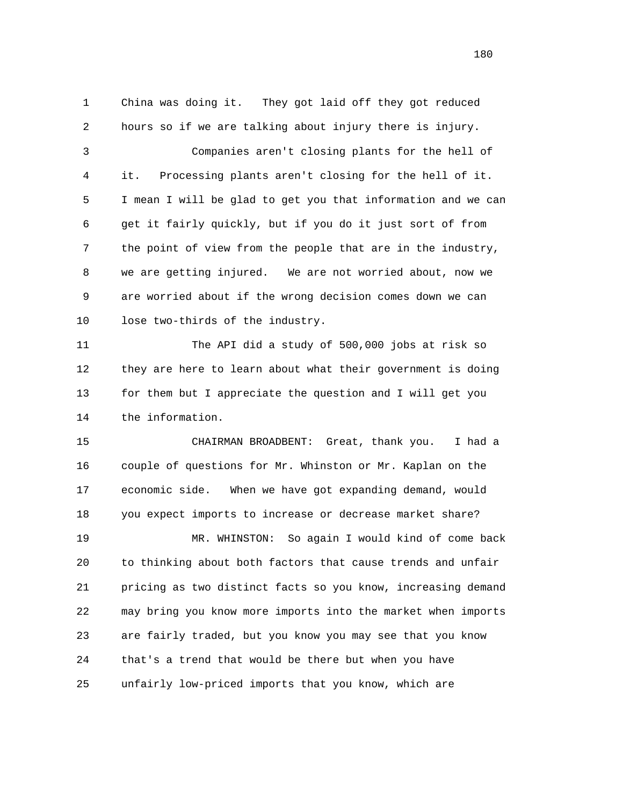1 China was doing it. They got laid off they got reduced 2 hours so if we are talking about injury there is injury. 3 Companies aren't closing plants for the hell of 4 it. Processing plants aren't closing for the hell of it. 5 I mean I will be glad to get you that information and we can 6 get it fairly quickly, but if you do it just sort of from 7 the point of view from the people that are in the industry, 8 we are getting injured. We are not worried about, now we 9 are worried about if the wrong decision comes down we can 10 lose two-thirds of the industry. 11 The API did a study of 500,000 jobs at risk so 12 they are here to learn about what their government is doing 13 for them but I appreciate the question and I will get you 14 the information. 15 CHAIRMAN BROADBENT: Great, thank you. I had a 16 couple of questions for Mr. Whinston or Mr. Kaplan on the 17 economic side. When we have got expanding demand, would 18 you expect imports to increase or decrease market share? 19 MR. WHINSTON: So again I would kind of come back 20 to thinking about both factors that cause trends and unfair 21 pricing as two distinct facts so you know, increasing demand 22 may bring you know more imports into the market when imports 23 are fairly traded, but you know you may see that you know 24 that's a trend that would be there but when you have 25 unfairly low-priced imports that you know, which are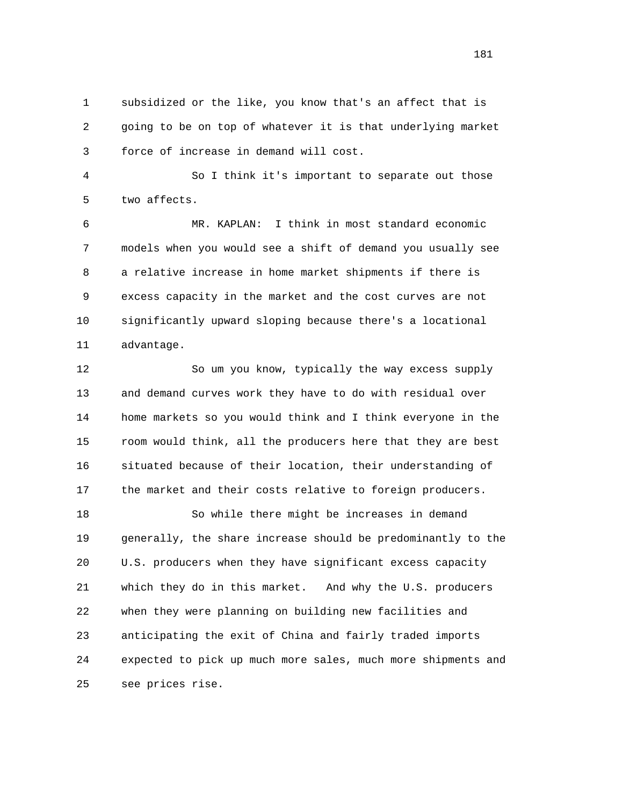1 subsidized or the like, you know that's an affect that is 2 going to be on top of whatever it is that underlying market 3 force of increase in demand will cost.

 4 So I think it's important to separate out those 5 two affects.

 6 MR. KAPLAN: I think in most standard economic 7 models when you would see a shift of demand you usually see 8 a relative increase in home market shipments if there is 9 excess capacity in the market and the cost curves are not 10 significantly upward sloping because there's a locational 11 advantage.

 12 So um you know, typically the way excess supply 13 and demand curves work they have to do with residual over 14 home markets so you would think and I think everyone in the 15 room would think, all the producers here that they are best 16 situated because of their location, their understanding of 17 the market and their costs relative to foreign producers.

 18 So while there might be increases in demand 19 generally, the share increase should be predominantly to the 20 U.S. producers when they have significant excess capacity 21 which they do in this market. And why the U.S. producers 22 when they were planning on building new facilities and 23 anticipating the exit of China and fairly traded imports 24 expected to pick up much more sales, much more shipments and 25 see prices rise.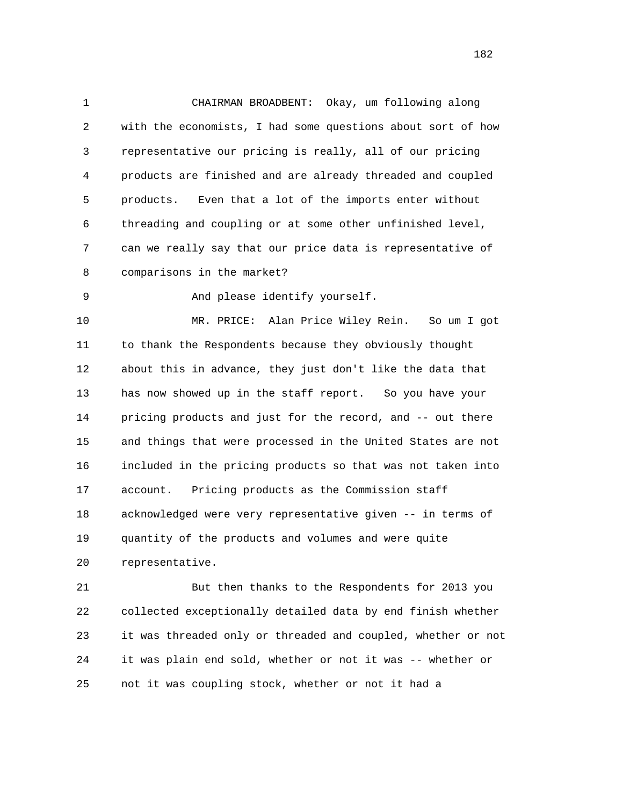1 CHAIRMAN BROADBENT: Okay, um following along 2 with the economists, I had some questions about sort of how 3 representative our pricing is really, all of our pricing 4 products are finished and are already threaded and coupled 5 products. Even that a lot of the imports enter without 6 threading and coupling or at some other unfinished level, 7 can we really say that our price data is representative of 8 comparisons in the market?

9 And please identify yourself.

 10 MR. PRICE: Alan Price Wiley Rein. So um I got 11 to thank the Respondents because they obviously thought 12 about this in advance, they just don't like the data that 13 has now showed up in the staff report. So you have your 14 pricing products and just for the record, and -- out there 15 and things that were processed in the United States are not 16 included in the pricing products so that was not taken into 17 account. Pricing products as the Commission staff 18 acknowledged were very representative given -- in terms of 19 quantity of the products and volumes and were quite 20 representative.

 21 But then thanks to the Respondents for 2013 you 22 collected exceptionally detailed data by end finish whether 23 it was threaded only or threaded and coupled, whether or not 24 it was plain end sold, whether or not it was -- whether or 25 not it was coupling stock, whether or not it had a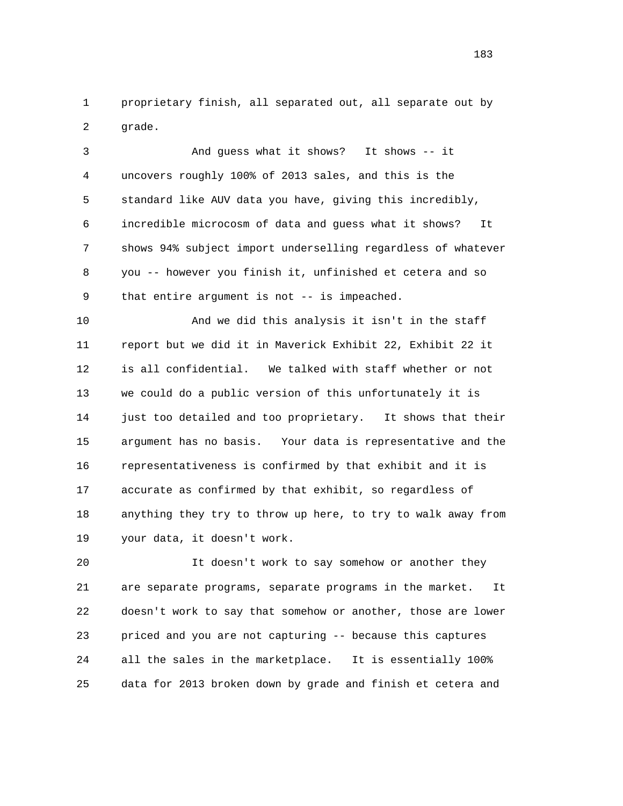1 proprietary finish, all separated out, all separate out by 2 grade.

 3 And guess what it shows? It shows -- it 4 uncovers roughly 100% of 2013 sales, and this is the 5 standard like AUV data you have, giving this incredibly, 6 incredible microcosm of data and guess what it shows? It 7 shows 94% subject import underselling regardless of whatever 8 you -- however you finish it, unfinished et cetera and so 9 that entire argument is not -- is impeached.

 10 And we did this analysis it isn't in the staff 11 report but we did it in Maverick Exhibit 22, Exhibit 22 it 12 is all confidential. We talked with staff whether or not 13 we could do a public version of this unfortunately it is 14 just too detailed and too proprietary. It shows that their 15 argument has no basis. Your data is representative and the 16 representativeness is confirmed by that exhibit and it is 17 accurate as confirmed by that exhibit, so regardless of 18 anything they try to throw up here, to try to walk away from 19 your data, it doesn't work.

 20 It doesn't work to say somehow or another they 21 are separate programs, separate programs in the market. It 22 doesn't work to say that somehow or another, those are lower 23 priced and you are not capturing -- because this captures 24 all the sales in the marketplace. It is essentially 100% 25 data for 2013 broken down by grade and finish et cetera and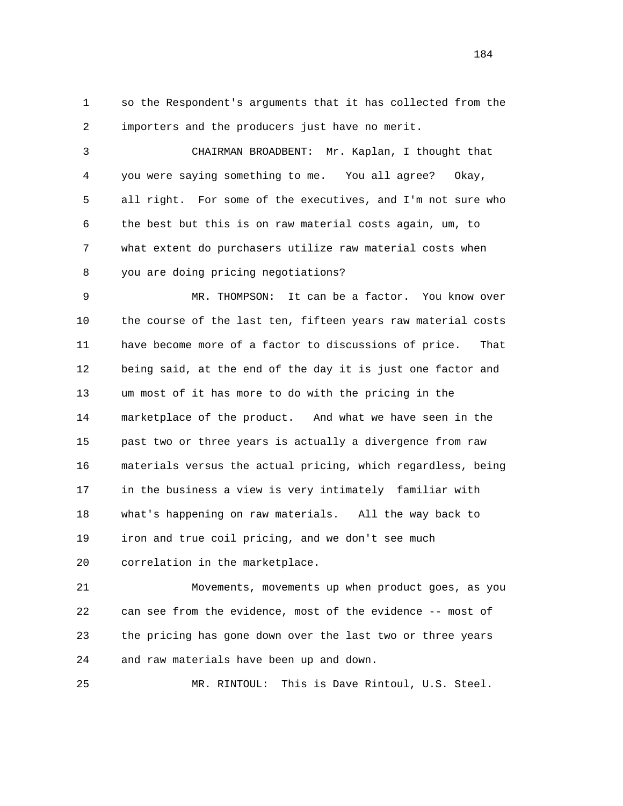1 so the Respondent's arguments that it has collected from the 2 importers and the producers just have no merit.

 3 CHAIRMAN BROADBENT: Mr. Kaplan, I thought that 4 you were saying something to me. You all agree? Okay, 5 all right. For some of the executives, and I'm not sure who 6 the best but this is on raw material costs again, um, to 7 what extent do purchasers utilize raw material costs when 8 you are doing pricing negotiations?

 9 MR. THOMPSON: It can be a factor. You know over 10 the course of the last ten, fifteen years raw material costs 11 have become more of a factor to discussions of price. That 12 being said, at the end of the day it is just one factor and 13 um most of it has more to do with the pricing in the 14 marketplace of the product. And what we have seen in the 15 past two or three years is actually a divergence from raw 16 materials versus the actual pricing, which regardless, being 17 in the business a view is very intimately familiar with 18 what's happening on raw materials. All the way back to 19 iron and true coil pricing, and we don't see much 20 correlation in the marketplace.

 21 Movements, movements up when product goes, as you 22 can see from the evidence, most of the evidence -- most of 23 the pricing has gone down over the last two or three years 24 and raw materials have been up and down.

25 MR. RINTOUL: This is Dave Rintoul, U.S. Steel.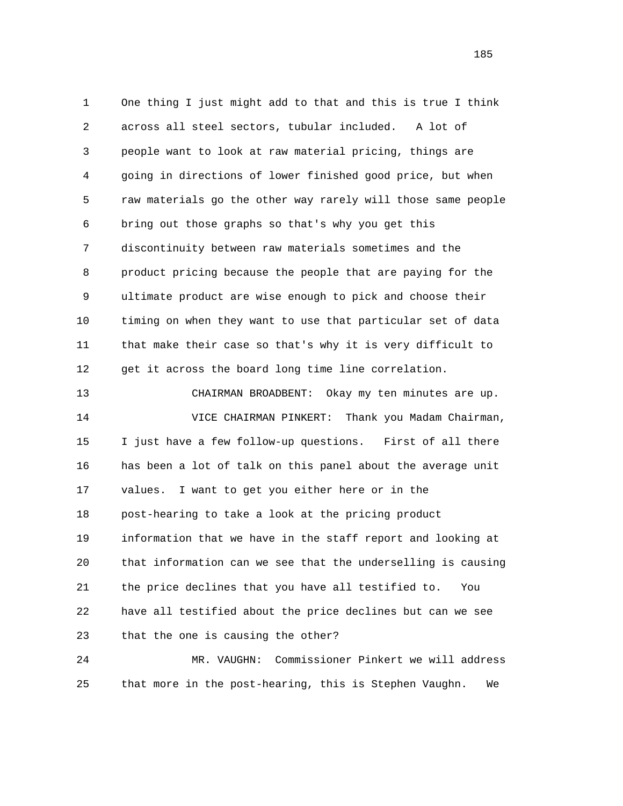1 One thing I just might add to that and this is true I think 2 across all steel sectors, tubular included. A lot of 3 people want to look at raw material pricing, things are 4 going in directions of lower finished good price, but when 5 raw materials go the other way rarely will those same people 6 bring out those graphs so that's why you get this 7 discontinuity between raw materials sometimes and the 8 product pricing because the people that are paying for the 9 ultimate product are wise enough to pick and choose their 10 timing on when they want to use that particular set of data 11 that make their case so that's why it is very difficult to 12 get it across the board long time line correlation. 13 CHAIRMAN BROADBENT: Okay my ten minutes are up.

 14 VICE CHAIRMAN PINKERT: Thank you Madam Chairman, 15 I just have a few follow-up questions. First of all there 16 has been a lot of talk on this panel about the average unit 17 values. I want to get you either here or in the 18 post-hearing to take a look at the pricing product 19 information that we have in the staff report and looking at 20 that information can we see that the underselling is causing 21 the price declines that you have all testified to. You 22 have all testified about the price declines but can we see 23 that the one is causing the other?

 24 MR. VAUGHN: Commissioner Pinkert we will address 25 that more in the post-hearing, this is Stephen Vaughn. We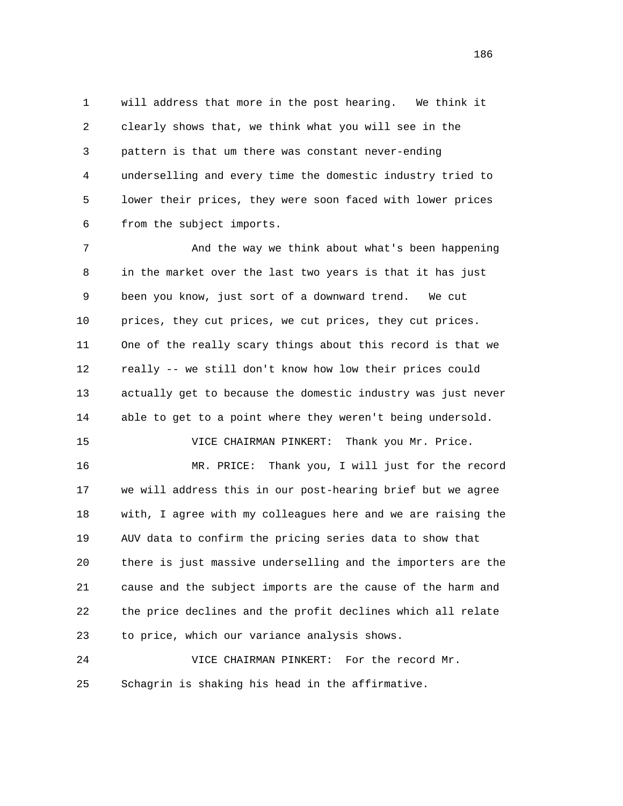1 will address that more in the post hearing. We think it 2 clearly shows that, we think what you will see in the 3 pattern is that um there was constant never-ending 4 underselling and every time the domestic industry tried to 5 lower their prices, they were soon faced with lower prices 6 from the subject imports.

7 And the way we think about what's been happening 8 in the market over the last two years is that it has just 9 been you know, just sort of a downward trend. We cut 10 prices, they cut prices, we cut prices, they cut prices. 11 One of the really scary things about this record is that we 12 really -- we still don't know how low their prices could 13 actually get to because the domestic industry was just never 14 able to get to a point where they weren't being undersold. 15 VICE CHAIRMAN PINKERT: Thank you Mr. Price. 16 MR. PRICE: Thank you, I will just for the record 17 we will address this in our post-hearing brief but we agree

 18 with, I agree with my colleagues here and we are raising the 19 AUV data to confirm the pricing series data to show that 20 there is just massive underselling and the importers are the 21 cause and the subject imports are the cause of the harm and 22 the price declines and the profit declines which all relate 23 to price, which our variance analysis shows.

 24 VICE CHAIRMAN PINKERT: For the record Mr. 25 Schagrin is shaking his head in the affirmative.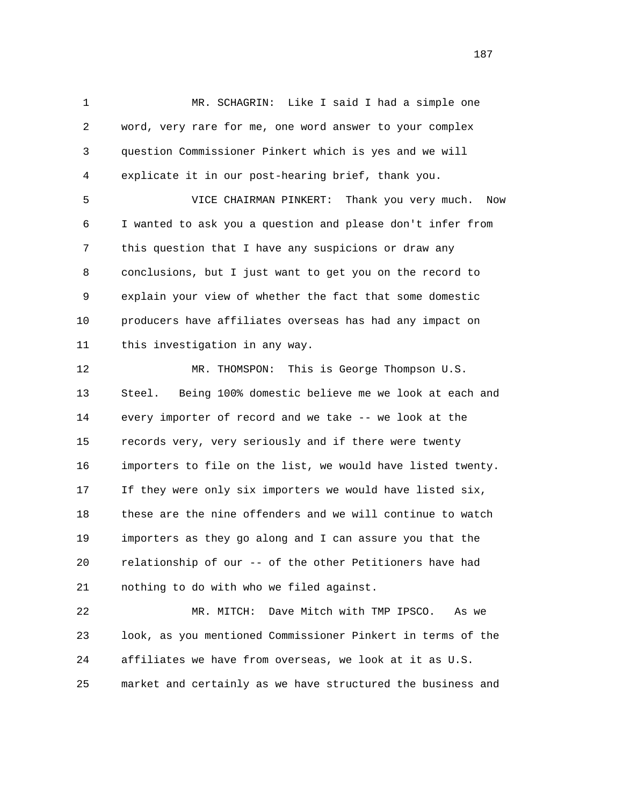1 MR. SCHAGRIN: Like I said I had a simple one 2 word, very rare for me, one word answer to your complex 3 question Commissioner Pinkert which is yes and we will 4 explicate it in our post-hearing brief, thank you.

 5 VICE CHAIRMAN PINKERT: Thank you very much. Now 6 I wanted to ask you a question and please don't infer from 7 this question that I have any suspicions or draw any 8 conclusions, but I just want to get you on the record to 9 explain your view of whether the fact that some domestic 10 producers have affiliates overseas has had any impact on 11 this investigation in any way.

 12 MR. THOMSPON: This is George Thompson U.S. 13 Steel. Being 100% domestic believe me we look at each and 14 every importer of record and we take -- we look at the 15 records very, very seriously and if there were twenty 16 importers to file on the list, we would have listed twenty. 17 If they were only six importers we would have listed six, 18 these are the nine offenders and we will continue to watch 19 importers as they go along and I can assure you that the 20 relationship of our -- of the other Petitioners have had 21 nothing to do with who we filed against.

 22 MR. MITCH: Dave Mitch with TMP IPSCO. As we 23 look, as you mentioned Commissioner Pinkert in terms of the 24 affiliates we have from overseas, we look at it as U.S. 25 market and certainly as we have structured the business and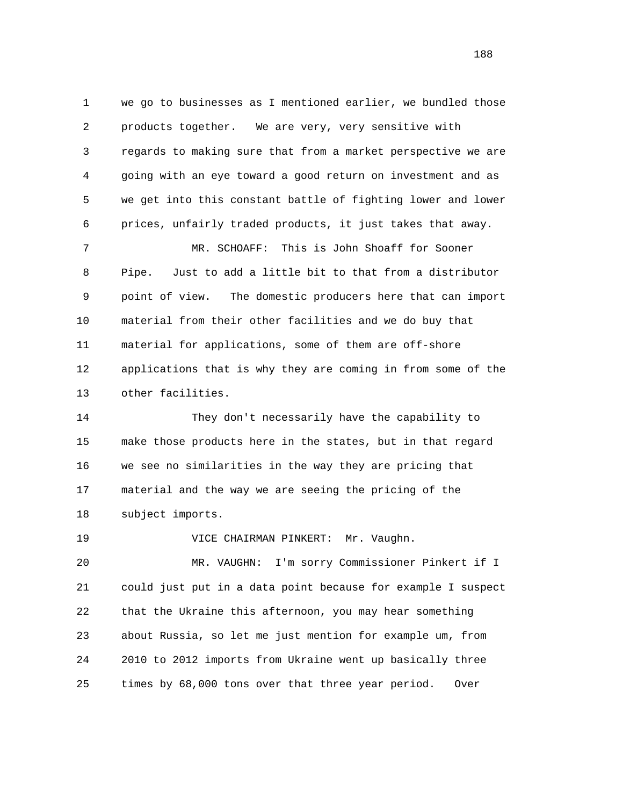1 we go to businesses as I mentioned earlier, we bundled those 2 products together. We are very, very sensitive with 3 regards to making sure that from a market perspective we are 4 going with an eye toward a good return on investment and as 5 we get into this constant battle of fighting lower and lower 6 prices, unfairly traded products, it just takes that away.

 7 MR. SCHOAFF: This is John Shoaff for Sooner 8 Pipe. Just to add a little bit to that from a distributor 9 point of view. The domestic producers here that can import 10 material from their other facilities and we do buy that 11 material for applications, some of them are off-shore 12 applications that is why they are coming in from some of the 13 other facilities.

 14 They don't necessarily have the capability to 15 make those products here in the states, but in that regard 16 we see no similarities in the way they are pricing that 17 material and the way we are seeing the pricing of the 18 subject imports.

19 VICE CHAIRMAN PINKERT: Mr. Vaughn.

 20 MR. VAUGHN: I'm sorry Commissioner Pinkert if I 21 could just put in a data point because for example I suspect 22 that the Ukraine this afternoon, you may hear something 23 about Russia, so let me just mention for example um, from 24 2010 to 2012 imports from Ukraine went up basically three 25 times by 68,000 tons over that three year period. Over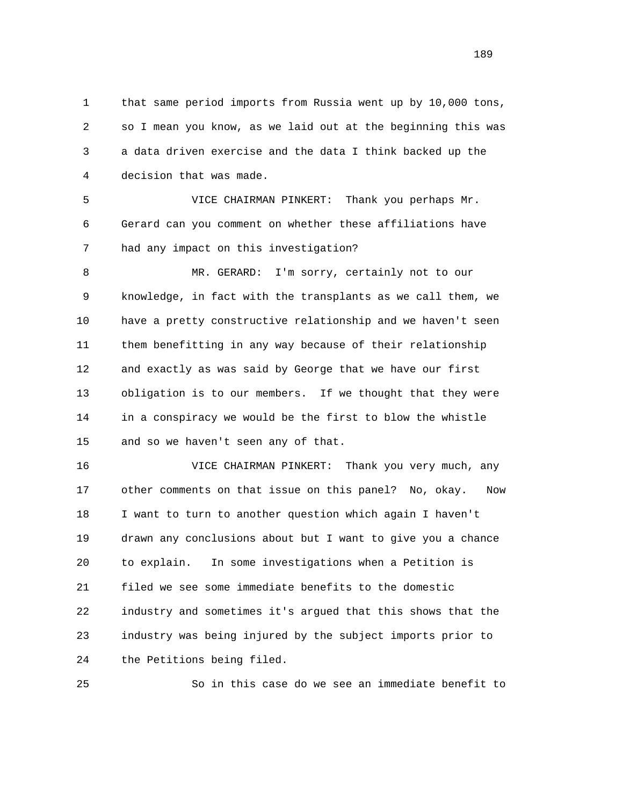1 that same period imports from Russia went up by 10,000 tons, 2 so I mean you know, as we laid out at the beginning this was 3 a data driven exercise and the data I think backed up the 4 decision that was made.

 5 VICE CHAIRMAN PINKERT: Thank you perhaps Mr. 6 Gerard can you comment on whether these affiliations have 7 had any impact on this investigation?

8 MR. GERARD: I'm sorry, certainly not to our 9 knowledge, in fact with the transplants as we call them, we 10 have a pretty constructive relationship and we haven't seen 11 them benefitting in any way because of their relationship 12 and exactly as was said by George that we have our first 13 obligation is to our members. If we thought that they were 14 in a conspiracy we would be the first to blow the whistle 15 and so we haven't seen any of that.

 16 VICE CHAIRMAN PINKERT: Thank you very much, any 17 other comments on that issue on this panel? No, okay. Now 18 I want to turn to another question which again I haven't 19 drawn any conclusions about but I want to give you a chance 20 to explain. In some investigations when a Petition is 21 filed we see some immediate benefits to the domestic 22 industry and sometimes it's argued that this shows that the 23 industry was being injured by the subject imports prior to 24 the Petitions being filed.

25 So in this case do we see an immediate benefit to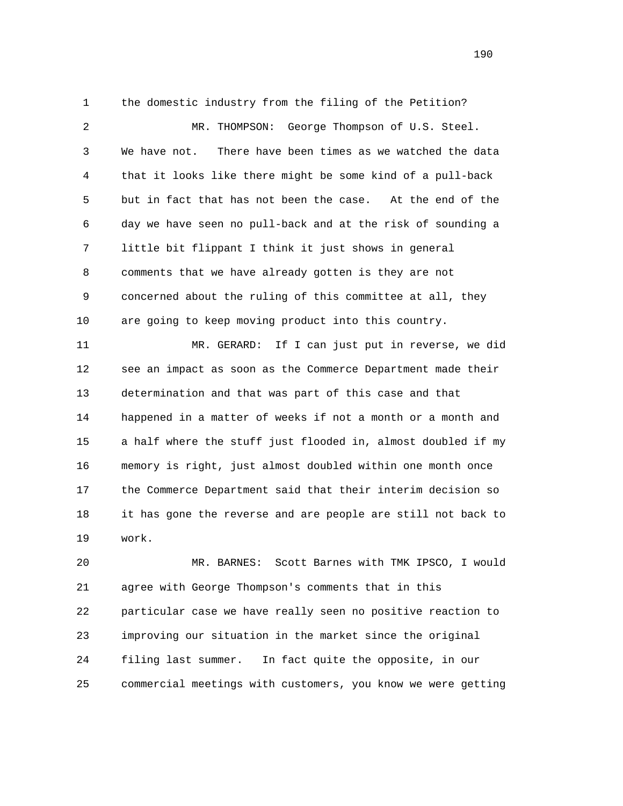1 the domestic industry from the filing of the Petition?

 2 MR. THOMPSON: George Thompson of U.S. Steel. 3 We have not. There have been times as we watched the data 4 that it looks like there might be some kind of a pull-back 5 but in fact that has not been the case. At the end of the 6 day we have seen no pull-back and at the risk of sounding a 7 little bit flippant I think it just shows in general 8 comments that we have already gotten is they are not 9 concerned about the ruling of this committee at all, they 10 are going to keep moving product into this country. 11 MR. GERARD: If I can just put in reverse, we did

 12 see an impact as soon as the Commerce Department made their 13 determination and that was part of this case and that 14 happened in a matter of weeks if not a month or a month and 15 a half where the stuff just flooded in, almost doubled if my 16 memory is right, just almost doubled within one month once 17 the Commerce Department said that their interim decision so 18 it has gone the reverse and are people are still not back to 19 work.

 20 MR. BARNES: Scott Barnes with TMK IPSCO, I would 21 agree with George Thompson's comments that in this 22 particular case we have really seen no positive reaction to 23 improving our situation in the market since the original 24 filing last summer. In fact quite the opposite, in our 25 commercial meetings with customers, you know we were getting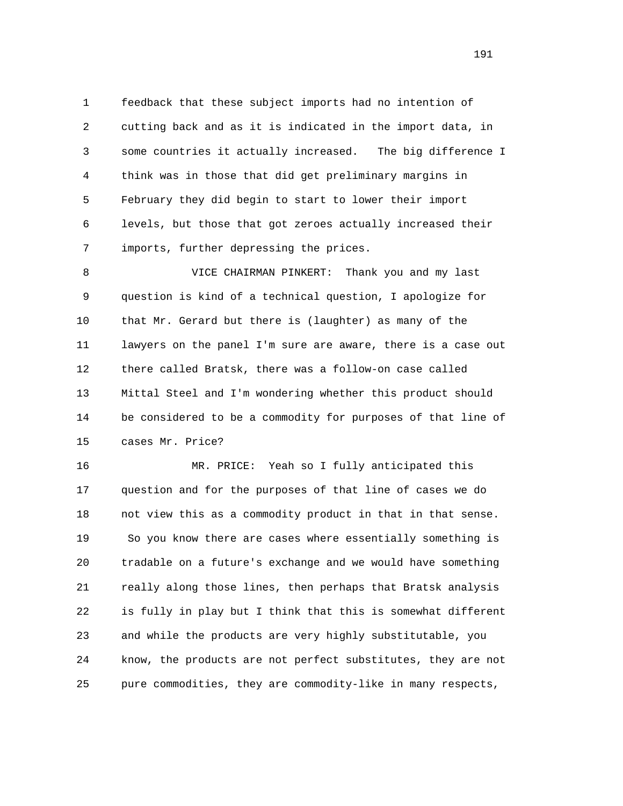1 feedback that these subject imports had no intention of 2 cutting back and as it is indicated in the import data, in 3 some countries it actually increased. The big difference I 4 think was in those that did get preliminary margins in 5 February they did begin to start to lower their import 6 levels, but those that got zeroes actually increased their 7 imports, further depressing the prices.

 8 VICE CHAIRMAN PINKERT: Thank you and my last 9 question is kind of a technical question, I apologize for 10 that Mr. Gerard but there is (laughter) as many of the 11 lawyers on the panel I'm sure are aware, there is a case out 12 there called Bratsk, there was a follow-on case called 13 Mittal Steel and I'm wondering whether this product should 14 be considered to be a commodity for purposes of that line of 15 cases Mr. Price?

 16 MR. PRICE: Yeah so I fully anticipated this 17 question and for the purposes of that line of cases we do 18 not view this as a commodity product in that in that sense. 19 So you know there are cases where essentially something is 20 tradable on a future's exchange and we would have something 21 really along those lines, then perhaps that Bratsk analysis 22 is fully in play but I think that this is somewhat different 23 and while the products are very highly substitutable, you 24 know, the products are not perfect substitutes, they are not 25 pure commodities, they are commodity-like in many respects,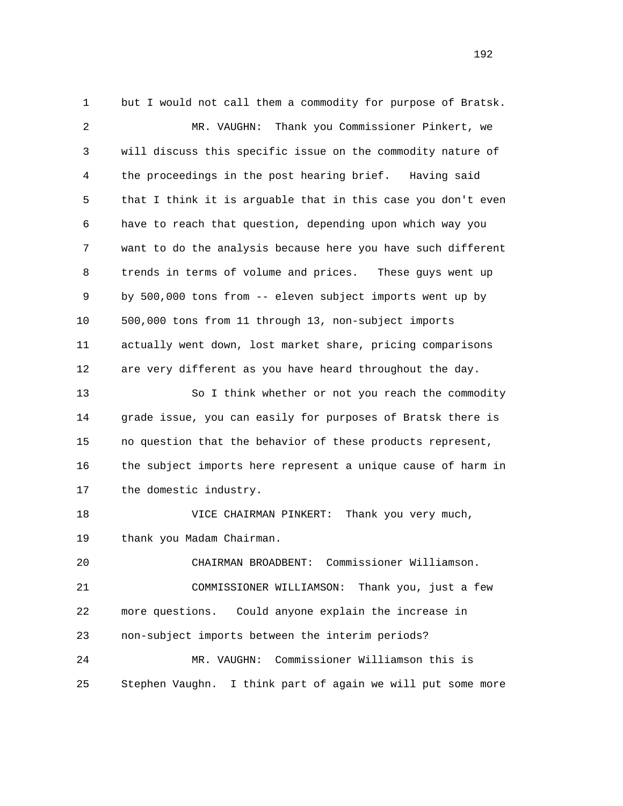1 but I would not call them a commodity for purpose of Bratsk. 2 MR. VAUGHN: Thank you Commissioner Pinkert, we 3 will discuss this specific issue on the commodity nature of 4 the proceedings in the post hearing brief. Having said 5 that I think it is arguable that in this case you don't even 6 have to reach that question, depending upon which way you 7 want to do the analysis because here you have such different 8 trends in terms of volume and prices. These guys went up 9 by 500,000 tons from -- eleven subject imports went up by 10 500,000 tons from 11 through 13, non-subject imports 11 actually went down, lost market share, pricing comparisons 12 are very different as you have heard throughout the day. 13 So I think whether or not you reach the commodity 14 grade issue, you can easily for purposes of Bratsk there is 15 no question that the behavior of these products represent, 16 the subject imports here represent a unique cause of harm in 17 the domestic industry. 18 VICE CHAIRMAN PINKERT: Thank you very much, 19 thank you Madam Chairman. 20 CHAIRMAN BROADBENT: Commissioner Williamson. 21 COMMISSIONER WILLIAMSON: Thank you, just a few 22 more questions. Could anyone explain the increase in 23 non-subject imports between the interim periods? 24 MR. VAUGHN: Commissioner Williamson this is 25 Stephen Vaughn. I think part of again we will put some more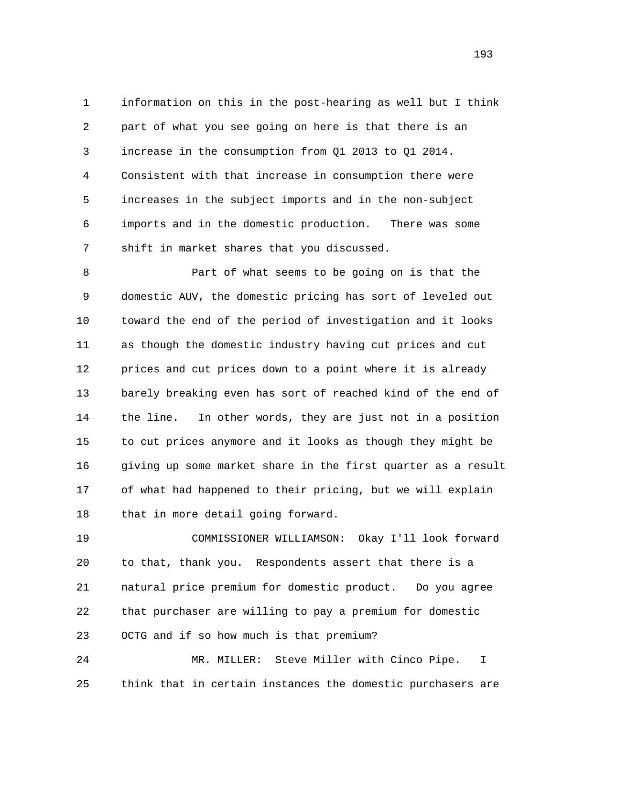1 information on this in the post-hearing as well but I think 2 part of what you see going on here is that there is an 3 increase in the consumption from Q1 2013 to Q1 2014. 4 Consistent with that increase in consumption there were 5 increases in the subject imports and in the non-subject 6 imports and in the domestic production. There was some 7 shift in market shares that you discussed.

 8 Part of what seems to be going on is that the 9 domestic AUV, the domestic pricing has sort of leveled out 10 toward the end of the period of investigation and it looks 11 as though the domestic industry having cut prices and cut 12 prices and cut prices down to a point where it is already 13 barely breaking even has sort of reached kind of the end of 14 the line. In other words, they are just not in a position 15 to cut prices anymore and it looks as though they might be 16 giving up some market share in the first quarter as a result 17 of what had happened to their pricing, but we will explain 18 that in more detail going forward.

 19 COMMISSIONER WILLIAMSON: Okay I'll look forward 20 to that, thank you. Respondents assert that there is a 21 natural price premium for domestic product. Do you agree 22 that purchaser are willing to pay a premium for domestic 23 OCTG and if so how much is that premium?

 24 MR. MILLER: Steve Miller with Cinco Pipe. I 25 think that in certain instances the domestic purchasers are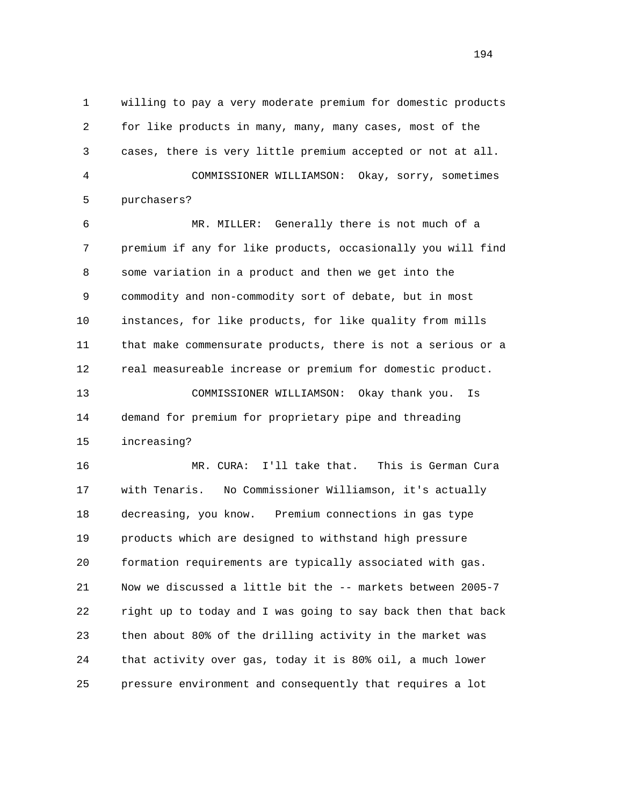1 willing to pay a very moderate premium for domestic products 2 for like products in many, many, many cases, most of the 3 cases, there is very little premium accepted or not at all. 4 COMMISSIONER WILLIAMSON: Okay, sorry, sometimes 5 purchasers?

 6 MR. MILLER: Generally there is not much of a 7 premium if any for like products, occasionally you will find 8 some variation in a product and then we get into the 9 commodity and non-commodity sort of debate, but in most 10 instances, for like products, for like quality from mills 11 that make commensurate products, there is not a serious or a 12 real measureable increase or premium for domestic product. 13 COMMISSIONER WILLIAMSON: Okay thank you. Is 14 demand for premium for proprietary pipe and threading

15 increasing?

 16 MR. CURA: I'll take that. This is German Cura 17 with Tenaris. No Commissioner Williamson, it's actually 18 decreasing, you know. Premium connections in gas type 19 products which are designed to withstand high pressure 20 formation requirements are typically associated with gas. 21 Now we discussed a little bit the -- markets between 2005-7 22 right up to today and I was going to say back then that back 23 then about 80% of the drilling activity in the market was 24 that activity over gas, today it is 80% oil, a much lower 25 pressure environment and consequently that requires a lot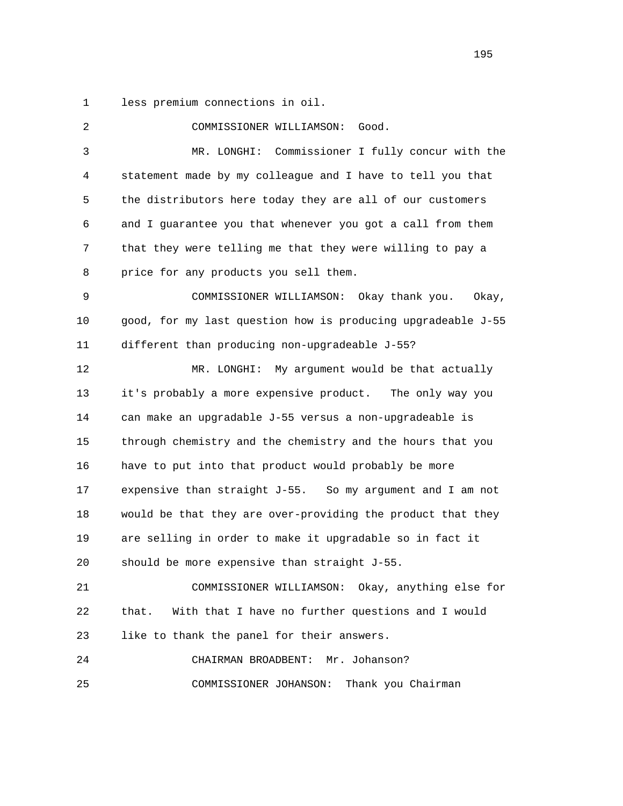1 less premium connections in oil.

 2 COMMISSIONER WILLIAMSON: Good. 3 MR. LONGHI: Commissioner I fully concur with the 4 statement made by my colleague and I have to tell you that 5 the distributors here today they are all of our customers 6 and I guarantee you that whenever you got a call from them 7 that they were telling me that they were willing to pay a 8 price for any products you sell them. 9 COMMISSIONER WILLIAMSON: Okay thank you. Okay, 10 good, for my last question how is producing upgradeable J-55 11 different than producing non-upgradeable J-55? 12 MR. LONGHI: My argument would be that actually 13 it's probably a more expensive product. The only way you 14 can make an upgradable J-55 versus a non-upgradeable is 15 through chemistry and the chemistry and the hours that you 16 have to put into that product would probably be more 17 expensive than straight J-55. So my argument and I am not 18 would be that they are over-providing the product that they 19 are selling in order to make it upgradable so in fact it 20 should be more expensive than straight J-55. 21 COMMISSIONER WILLIAMSON: Okay, anything else for 22 that. With that I have no further questions and I would 23 like to thank the panel for their answers. 24 CHAIRMAN BROADBENT: Mr. Johanson? 25 COMMISSIONER JOHANSON: Thank you Chairman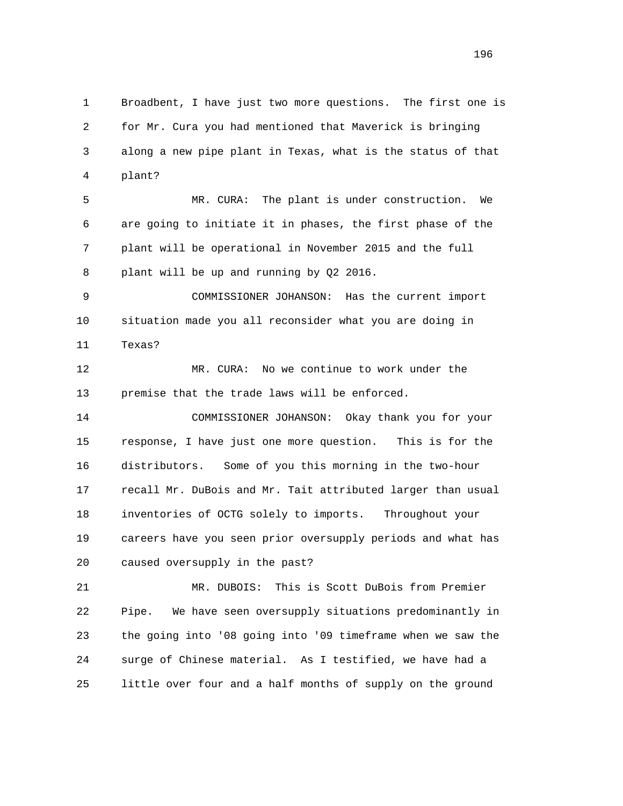1 Broadbent, I have just two more questions. The first one is 2 for Mr. Cura you had mentioned that Maverick is bringing 3 along a new pipe plant in Texas, what is the status of that 4 plant?

 5 MR. CURA: The plant is under construction. We 6 are going to initiate it in phases, the first phase of the 7 plant will be operational in November 2015 and the full 8 plant will be up and running by Q2 2016.

 9 COMMISSIONER JOHANSON: Has the current import 10 situation made you all reconsider what you are doing in 11 Texas?

 12 MR. CURA: No we continue to work under the 13 premise that the trade laws will be enforced.

 14 COMMISSIONER JOHANSON: Okay thank you for your 15 response, I have just one more question. This is for the 16 distributors. Some of you this morning in the two-hour 17 recall Mr. DuBois and Mr. Tait attributed larger than usual 18 inventories of OCTG solely to imports. Throughout your 19 careers have you seen prior oversupply periods and what has 20 caused oversupply in the past?

 21 MR. DUBOIS: This is Scott DuBois from Premier 22 Pipe. We have seen oversupply situations predominantly in 23 the going into '08 going into '09 timeframe when we saw the 24 surge of Chinese material. As I testified, we have had a 25 little over four and a half months of supply on the ground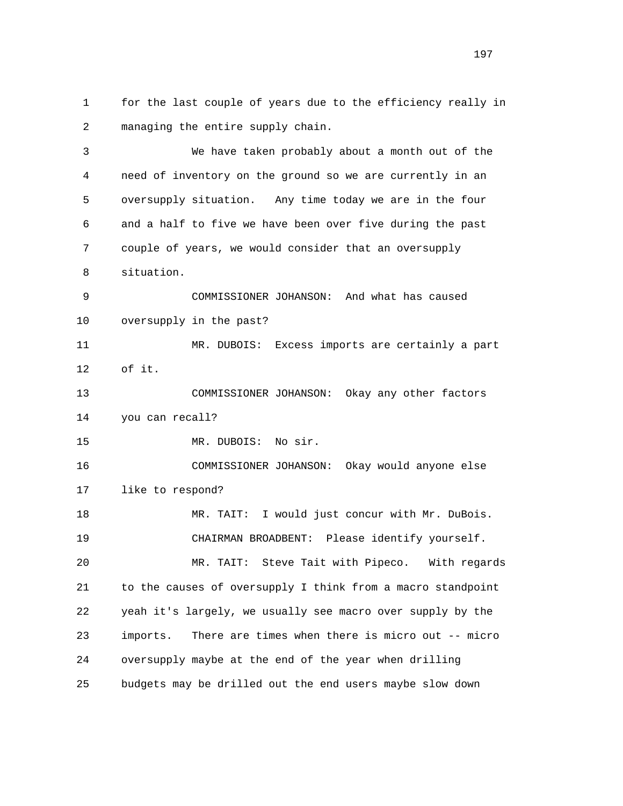1 for the last couple of years due to the efficiency really in 2 managing the entire supply chain.

 3 We have taken probably about a month out of the 4 need of inventory on the ground so we are currently in an 5 oversupply situation. Any time today we are in the four 6 and a half to five we have been over five during the past 7 couple of years, we would consider that an oversupply 8 situation. 9 COMMISSIONER JOHANSON: And what has caused 10 oversupply in the past? 11 MR. DUBOIS: Excess imports are certainly a part 12 of it. 13 COMMISSIONER JOHANSON: Okay any other factors 14 you can recall? 15 MR. DUBOIS: No sir. 16 COMMISSIONER JOHANSON: Okay would anyone else 17 like to respond? 18 MR. TAIT: I would just concur with Mr. DuBois. 19 CHAIRMAN BROADBENT: Please identify yourself. 20 MR. TAIT: Steve Tait with Pipeco. With regards 21 to the causes of oversupply I think from a macro standpoint 22 yeah it's largely, we usually see macro over supply by the

 23 imports. There are times when there is micro out -- micro 24 oversupply maybe at the end of the year when drilling 25 budgets may be drilled out the end users maybe slow down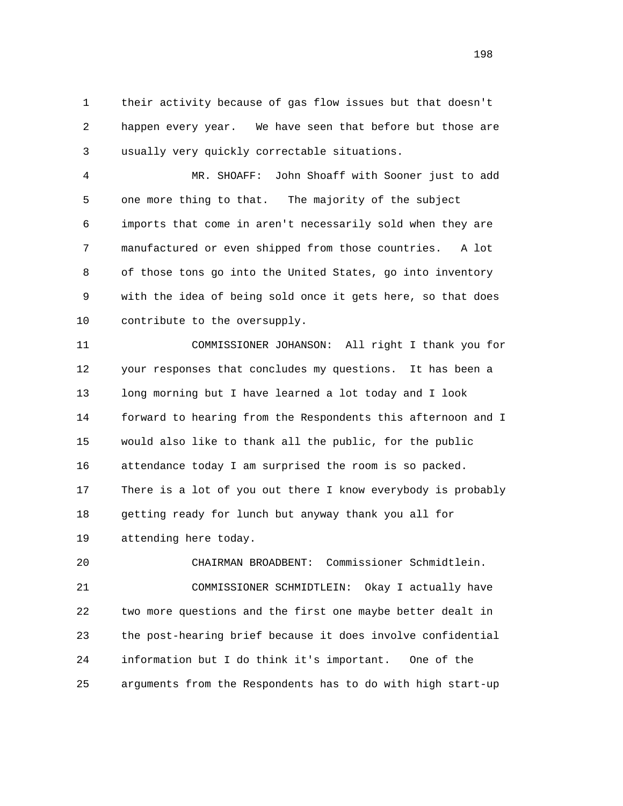1 their activity because of gas flow issues but that doesn't 2 happen every year. We have seen that before but those are 3 usually very quickly correctable situations.

 4 MR. SHOAFF: John Shoaff with Sooner just to add 5 one more thing to that. The majority of the subject 6 imports that come in aren't necessarily sold when they are 7 manufactured or even shipped from those countries. A lot 8 of those tons go into the United States, go into inventory 9 with the idea of being sold once it gets here, so that does 10 contribute to the oversupply.

 11 COMMISSIONER JOHANSON: All right I thank you for 12 your responses that concludes my questions. It has been a 13 long morning but I have learned a lot today and I look 14 forward to hearing from the Respondents this afternoon and I 15 would also like to thank all the public, for the public 16 attendance today I am surprised the room is so packed. 17 There is a lot of you out there I know everybody is probably 18 getting ready for lunch but anyway thank you all for 19 attending here today.

 20 CHAIRMAN BROADBENT: Commissioner Schmidtlein. 21 COMMISSIONER SCHMIDTLEIN: Okay I actually have 22 two more questions and the first one maybe better dealt in 23 the post-hearing brief because it does involve confidential 24 information but I do think it's important. One of the 25 arguments from the Respondents has to do with high start-up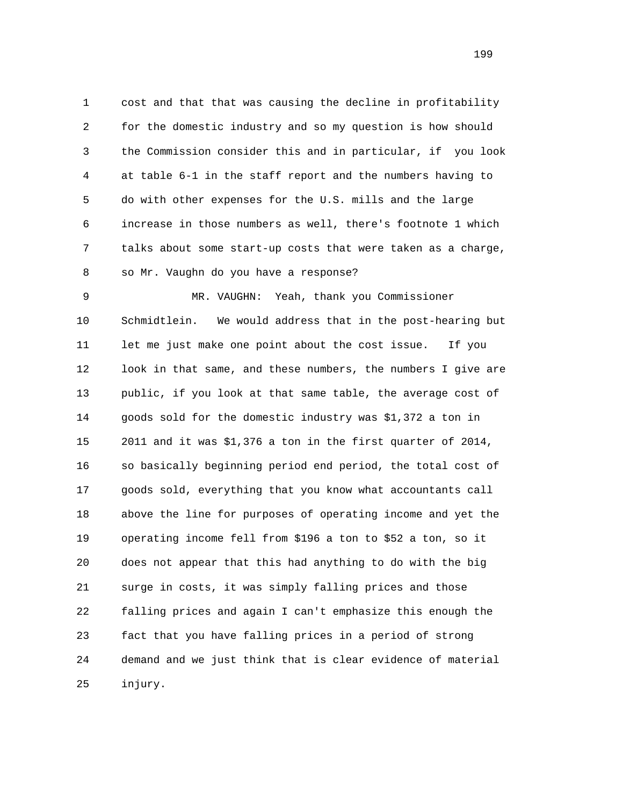1 cost and that that was causing the decline in profitability 2 for the domestic industry and so my question is how should 3 the Commission consider this and in particular, if you look 4 at table 6-1 in the staff report and the numbers having to 5 do with other expenses for the U.S. mills and the large 6 increase in those numbers as well, there's footnote 1 which 7 talks about some start-up costs that were taken as a charge, 8 so Mr. Vaughn do you have a response?

 9 MR. VAUGHN: Yeah, thank you Commissioner 10 Schmidtlein. We would address that in the post-hearing but 11 let me just make one point about the cost issue. If you 12 look in that same, and these numbers, the numbers I give are 13 public, if you look at that same table, the average cost of 14 goods sold for the domestic industry was \$1,372 a ton in 15 2011 and it was \$1,376 a ton in the first quarter of 2014, 16 so basically beginning period end period, the total cost of 17 goods sold, everything that you know what accountants call 18 above the line for purposes of operating income and yet the 19 operating income fell from \$196 a ton to \$52 a ton, so it 20 does not appear that this had anything to do with the big 21 surge in costs, it was simply falling prices and those 22 falling prices and again I can't emphasize this enough the 23 fact that you have falling prices in a period of strong 24 demand and we just think that is clear evidence of material 25 injury.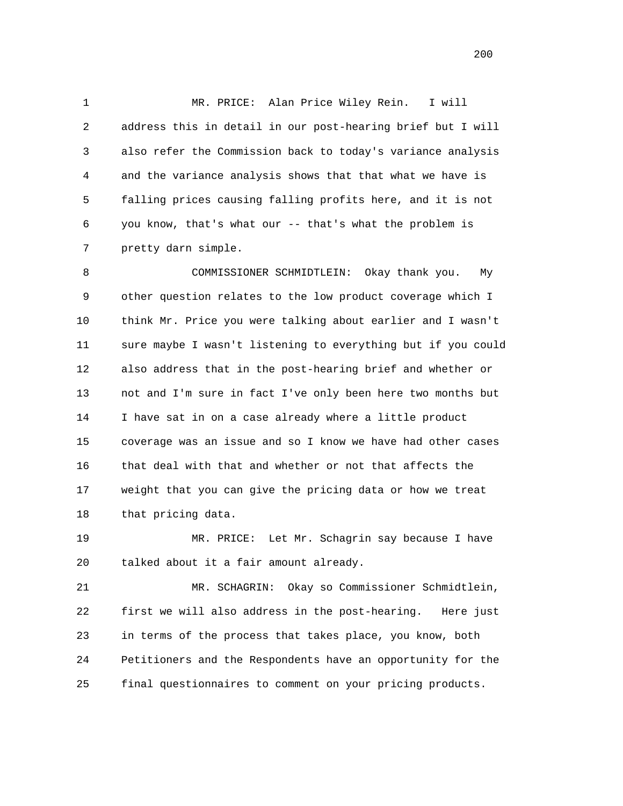1 MR. PRICE: Alan Price Wiley Rein. I will 2 address this in detail in our post-hearing brief but I will 3 also refer the Commission back to today's variance analysis 4 and the variance analysis shows that that what we have is 5 falling prices causing falling profits here, and it is not 6 you know, that's what our -- that's what the problem is 7 pretty darn simple.

 8 COMMISSIONER SCHMIDTLEIN: Okay thank you. My 9 other question relates to the low product coverage which I 10 think Mr. Price you were talking about earlier and I wasn't 11 sure maybe I wasn't listening to everything but if you could 12 also address that in the post-hearing brief and whether or 13 not and I'm sure in fact I've only been here two months but 14 I have sat in on a case already where a little product 15 coverage was an issue and so I know we have had other cases 16 that deal with that and whether or not that affects the 17 weight that you can give the pricing data or how we treat 18 that pricing data.

 19 MR. PRICE: Let Mr. Schagrin say because I have 20 talked about it a fair amount already.

 21 MR. SCHAGRIN: Okay so Commissioner Schmidtlein, 22 first we will also address in the post-hearing. Here just 23 in terms of the process that takes place, you know, both 24 Petitioners and the Respondents have an opportunity for the 25 final questionnaires to comment on your pricing products.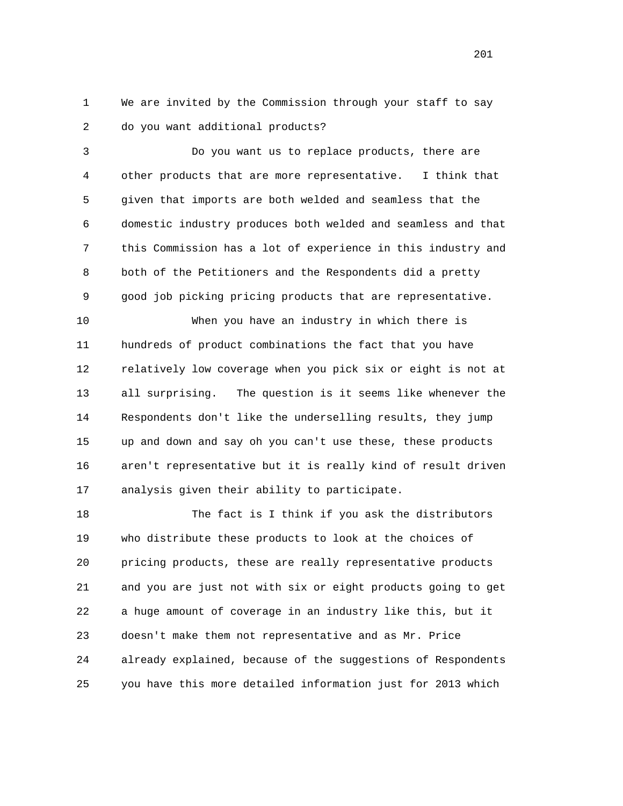1 We are invited by the Commission through your staff to say 2 do you want additional products?

 3 Do you want us to replace products, there are 4 other products that are more representative. I think that 5 given that imports are both welded and seamless that the 6 domestic industry produces both welded and seamless and that 7 this Commission has a lot of experience in this industry and 8 both of the Petitioners and the Respondents did a pretty 9 good job picking pricing products that are representative.

 10 When you have an industry in which there is 11 hundreds of product combinations the fact that you have 12 relatively low coverage when you pick six or eight is not at 13 all surprising. The question is it seems like whenever the 14 Respondents don't like the underselling results, they jump 15 up and down and say oh you can't use these, these products 16 aren't representative but it is really kind of result driven 17 analysis given their ability to participate.

 18 The fact is I think if you ask the distributors 19 who distribute these products to look at the choices of 20 pricing products, these are really representative products 21 and you are just not with six or eight products going to get 22 a huge amount of coverage in an industry like this, but it 23 doesn't make them not representative and as Mr. Price 24 already explained, because of the suggestions of Respondents 25 you have this more detailed information just for 2013 which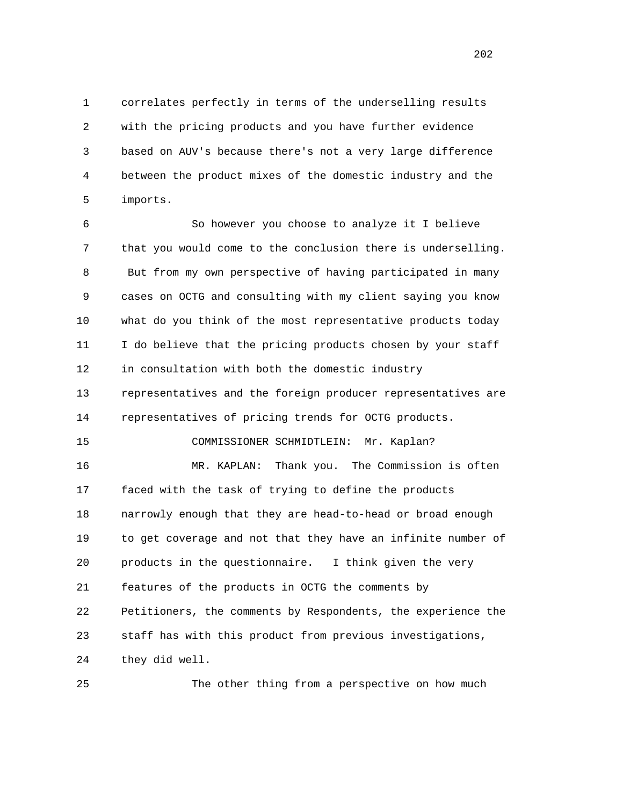1 correlates perfectly in terms of the underselling results 2 with the pricing products and you have further evidence 3 based on AUV's because there's not a very large difference 4 between the product mixes of the domestic industry and the 5 imports.

 6 So however you choose to analyze it I believe 7 that you would come to the conclusion there is underselling. 8 But from my own perspective of having participated in many 9 cases on OCTG and consulting with my client saying you know 10 what do you think of the most representative products today 11 I do believe that the pricing products chosen by your staff 12 in consultation with both the domestic industry 13 representatives and the foreign producer representatives are 14 representatives of pricing trends for OCTG products. 15 COMMISSIONER SCHMIDTLEIN: Mr. Kaplan? 16 MR. KAPLAN: Thank you. The Commission is often 17 faced with the task of trying to define the products 18 narrowly enough that they are head-to-head or broad enough 19 to get coverage and not that they have an infinite number of 20 products in the questionnaire. I think given the very 21 features of the products in OCTG the comments by 22 Petitioners, the comments by Respondents, the experience the 23 staff has with this product from previous investigations, 24 they did well.

25 The other thing from a perspective on how much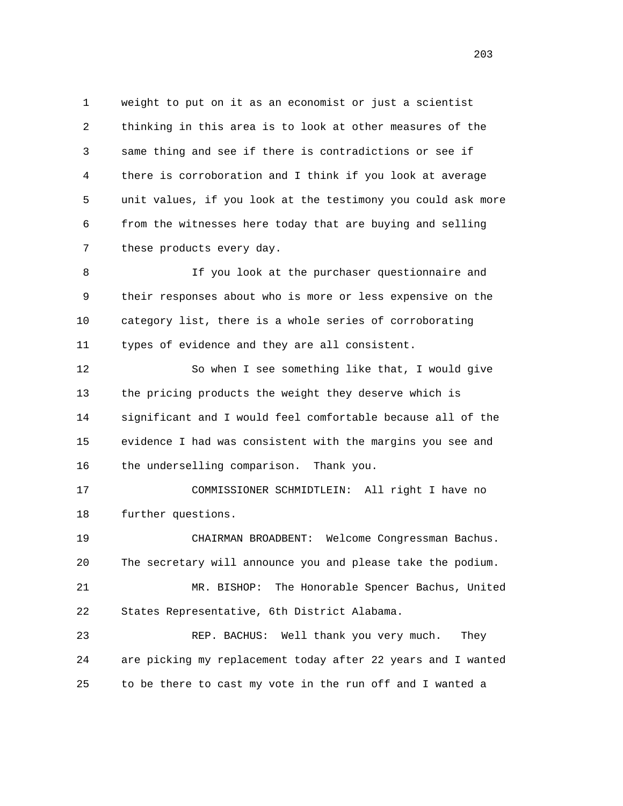1 weight to put on it as an economist or just a scientist 2 thinking in this area is to look at other measures of the 3 same thing and see if there is contradictions or see if 4 there is corroboration and I think if you look at average 5 unit values, if you look at the testimony you could ask more 6 from the witnesses here today that are buying and selling 7 these products every day.

 8 If you look at the purchaser questionnaire and 9 their responses about who is more or less expensive on the 10 category list, there is a whole series of corroborating 11 types of evidence and they are all consistent.

 12 So when I see something like that, I would give 13 the pricing products the weight they deserve which is 14 significant and I would feel comfortable because all of the 15 evidence I had was consistent with the margins you see and 16 the underselling comparison. Thank you.

 17 COMMISSIONER SCHMIDTLEIN: All right I have no 18 further questions.

 19 CHAIRMAN BROADBENT: Welcome Congressman Bachus. 20 The secretary will announce you and please take the podium. 21 MR. BISHOP: The Honorable Spencer Bachus, United 22 States Representative, 6th District Alabama.

 23 REP. BACHUS: Well thank you very much. They 24 are picking my replacement today after 22 years and I wanted 25 to be there to cast my vote in the run off and I wanted a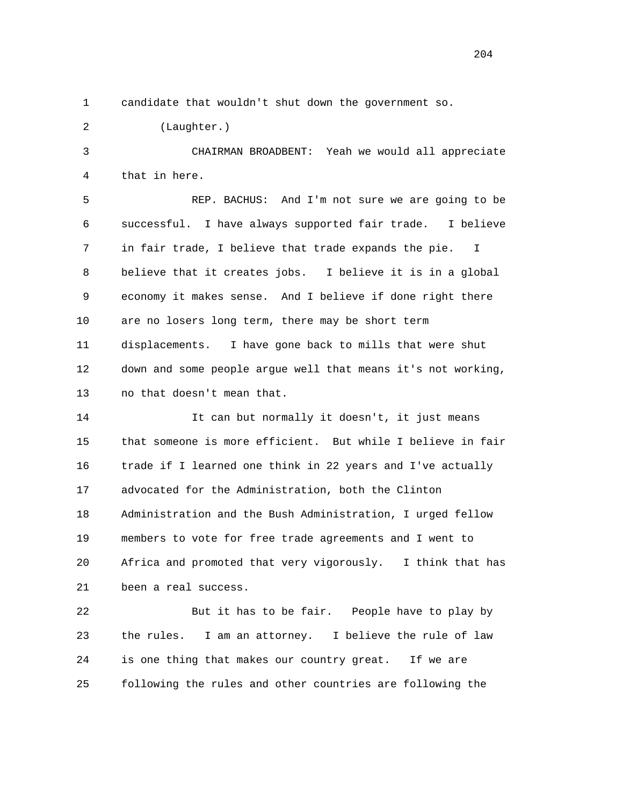1 candidate that wouldn't shut down the government so.

2 (Laughter.)

 3 CHAIRMAN BROADBENT: Yeah we would all appreciate 4 that in here.

 5 REP. BACHUS: And I'm not sure we are going to be 6 successful. I have always supported fair trade. I believe 7 in fair trade, I believe that trade expands the pie. I 8 believe that it creates jobs. I believe it is in a global 9 economy it makes sense. And I believe if done right there 10 are no losers long term, there may be short term 11 displacements. I have gone back to mills that were shut 12 down and some people argue well that means it's not working, 13 no that doesn't mean that.

 14 It can but normally it doesn't, it just means 15 that someone is more efficient. But while I believe in fair 16 trade if I learned one think in 22 years and I've actually 17 advocated for the Administration, both the Clinton 18 Administration and the Bush Administration, I urged fellow 19 members to vote for free trade agreements and I went to 20 Africa and promoted that very vigorously. I think that has 21 been a real success.

 22 But it has to be fair. People have to play by 23 the rules. I am an attorney. I believe the rule of law 24 is one thing that makes our country great. If we are 25 following the rules and other countries are following the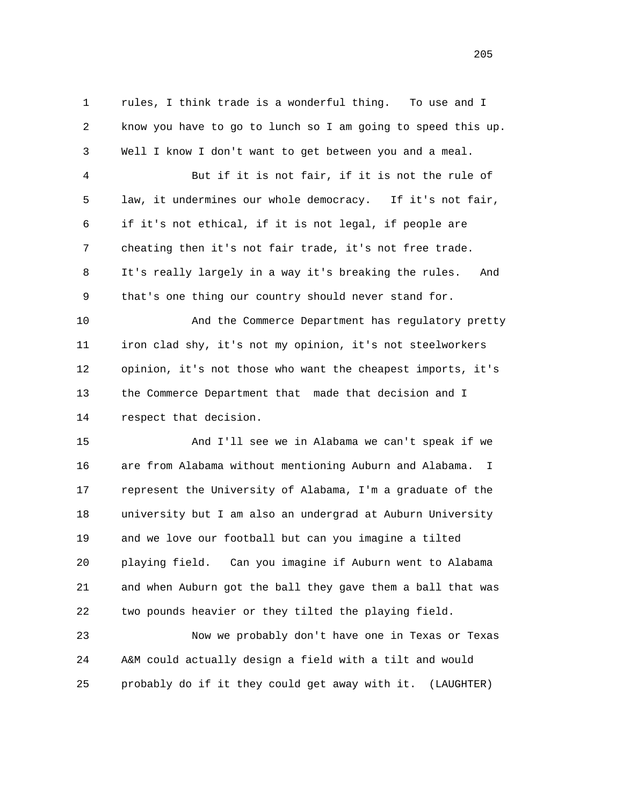1 rules, I think trade is a wonderful thing. To use and I 2 know you have to go to lunch so I am going to speed this up. 3 Well I know I don't want to get between you and a meal. 4 But if it is not fair, if it is not the rule of 5 law, it undermines our whole democracy. If it's not fair, 6 if it's not ethical, if it is not legal, if people are 7 cheating then it's not fair trade, it's not free trade. 8 It's really largely in a way it's breaking the rules. And 9 that's one thing our country should never stand for. 10 And the Commerce Department has regulatory pretty 11 iron clad shy, it's not my opinion, it's not steelworkers 12 opinion, it's not those who want the cheapest imports, it's 13 the Commerce Department that made that decision and I 14 respect that decision. 15 And I'll see we in Alabama we can't speak if we 16 are from Alabama without mentioning Auburn and Alabama. I 17 represent the University of Alabama, I'm a graduate of the 18 university but I am also an undergrad at Auburn University 19 and we love our football but can you imagine a tilted 20 playing field. Can you imagine if Auburn went to Alabama 21 and when Auburn got the ball they gave them a ball that was 22 two pounds heavier or they tilted the playing field. 23 Now we probably don't have one in Texas or Texas

 24 A&M could actually design a field with a tilt and would 25 probably do if it they could get away with it. (LAUGHTER)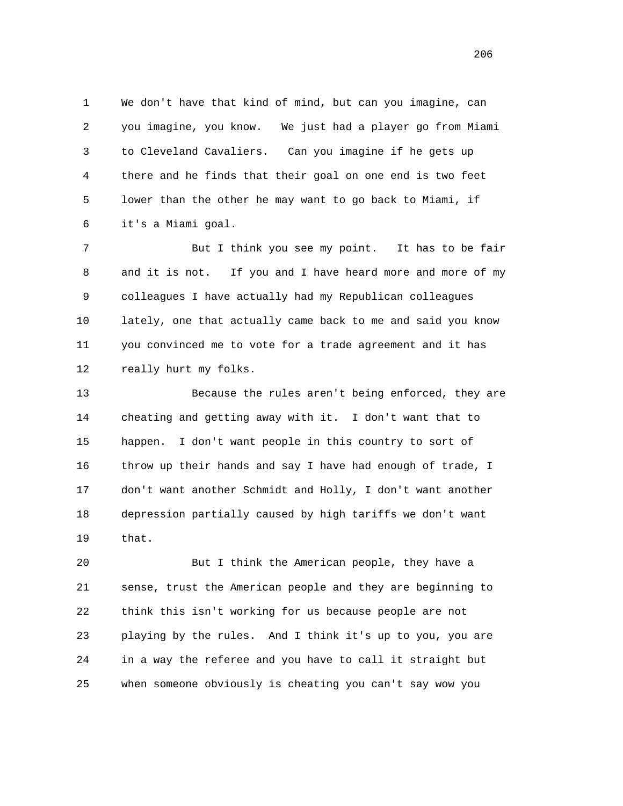1 We don't have that kind of mind, but can you imagine, can 2 you imagine, you know. We just had a player go from Miami 3 to Cleveland Cavaliers. Can you imagine if he gets up 4 there and he finds that their goal on one end is two feet 5 lower than the other he may want to go back to Miami, if 6 it's a Miami goal.

 7 But I think you see my point. It has to be fair 8 and it is not. If you and I have heard more and more of my 9 colleagues I have actually had my Republican colleagues 10 lately, one that actually came back to me and said you know 11 you convinced me to vote for a trade agreement and it has 12 really hurt my folks.

 13 Because the rules aren't being enforced, they are 14 cheating and getting away with it. I don't want that to 15 happen. I don't want people in this country to sort of 16 throw up their hands and say I have had enough of trade, I 17 don't want another Schmidt and Holly, I don't want another 18 depression partially caused by high tariffs we don't want 19 that.

 20 But I think the American people, they have a 21 sense, trust the American people and they are beginning to 22 think this isn't working for us because people are not 23 playing by the rules. And I think it's up to you, you are 24 in a way the referee and you have to call it straight but 25 when someone obviously is cheating you can't say wow you

<u>206</u>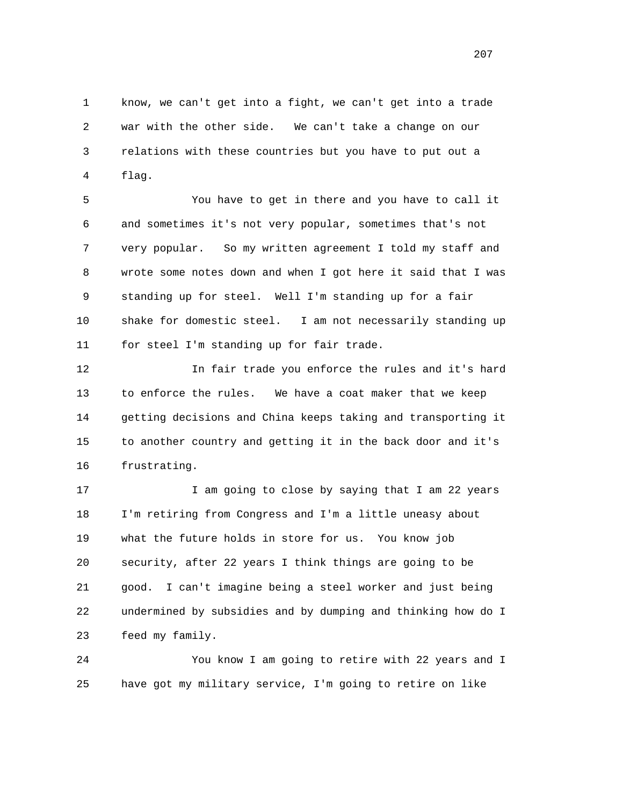1 know, we can't get into a fight, we can't get into a trade 2 war with the other side. We can't take a change on our 3 relations with these countries but you have to put out a 4 flag.

 5 You have to get in there and you have to call it 6 and sometimes it's not very popular, sometimes that's not 7 very popular. So my written agreement I told my staff and 8 wrote some notes down and when I got here it said that I was 9 standing up for steel. Well I'm standing up for a fair 10 shake for domestic steel. I am not necessarily standing up 11 for steel I'm standing up for fair trade.

 12 In fair trade you enforce the rules and it's hard 13 to enforce the rules. We have a coat maker that we keep 14 getting decisions and China keeps taking and transporting it 15 to another country and getting it in the back door and it's 16 frustrating.

17 17 I am going to close by saying that I am 22 years 18 I'm retiring from Congress and I'm a little uneasy about 19 what the future holds in store for us. You know job 20 security, after 22 years I think things are going to be 21 good. I can't imagine being a steel worker and just being 22 undermined by subsidies and by dumping and thinking how do I 23 feed my family.

 24 You know I am going to retire with 22 years and I 25 have got my military service, I'm going to retire on like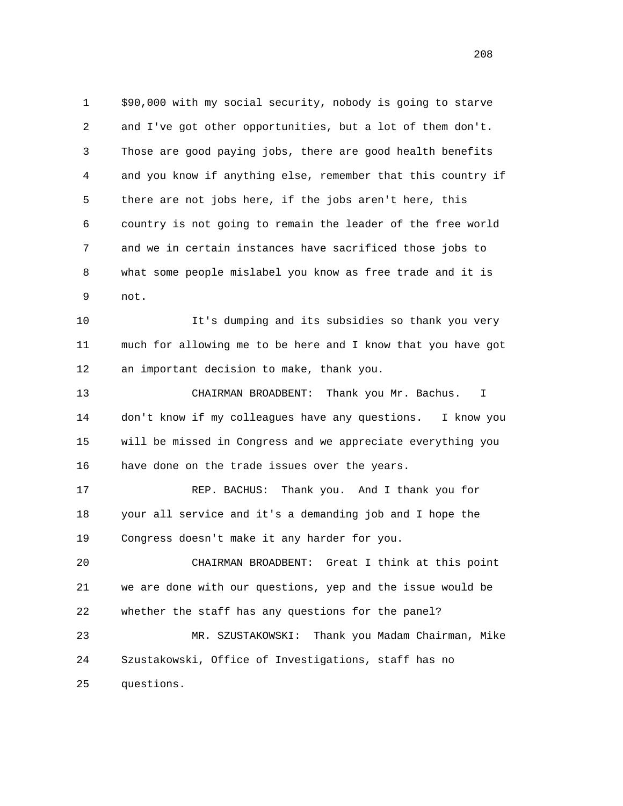1 \$90,000 with my social security, nobody is going to starve 2 and I've got other opportunities, but a lot of them don't. 3 Those are good paying jobs, there are good health benefits 4 and you know if anything else, remember that this country if 5 there are not jobs here, if the jobs aren't here, this 6 country is not going to remain the leader of the free world 7 and we in certain instances have sacrificed those jobs to 8 what some people mislabel you know as free trade and it is 9 not.

 10 It's dumping and its subsidies so thank you very 11 much for allowing me to be here and I know that you have got 12 an important decision to make, thank you.

 13 CHAIRMAN BROADBENT: Thank you Mr. Bachus. I 14 don't know if my colleagues have any questions. I know you 15 will be missed in Congress and we appreciate everything you 16 have done on the trade issues over the years.

 17 REP. BACHUS: Thank you. And I thank you for 18 your all service and it's a demanding job and I hope the 19 Congress doesn't make it any harder for you.

 20 CHAIRMAN BROADBENT: Great I think at this point 21 we are done with our questions, yep and the issue would be 22 whether the staff has any questions for the panel?

 23 MR. SZUSTAKOWSKI: Thank you Madam Chairman, Mike 24 Szustakowski, Office of Investigations, staff has no 25 questions.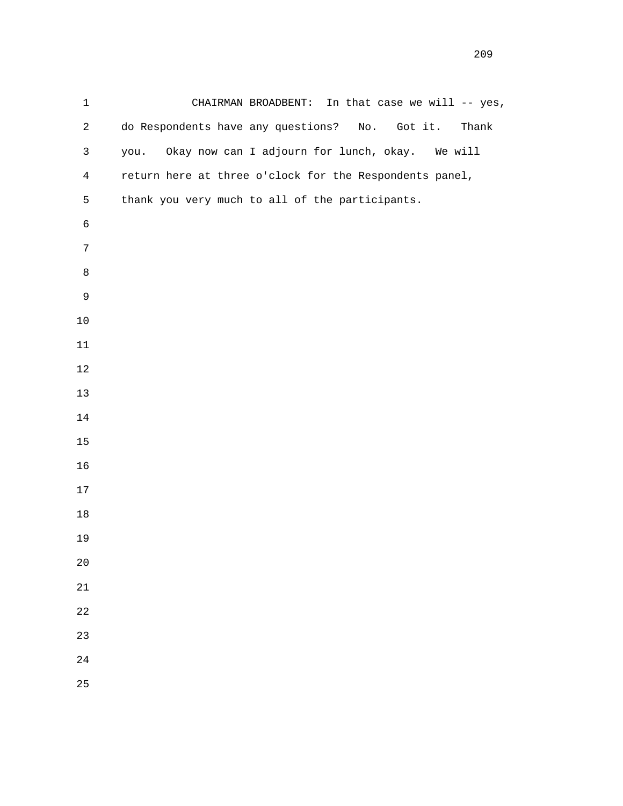1 CHAIRMAN BROADBENT: In that case we will -- yes, 2 do Respondents have any questions? No. Got it. Thank 3 you. Okay now can I adjourn for lunch, okay. We will 4 return here at three o'clock for the Respondents panel, 5 thank you very much to all of the participants.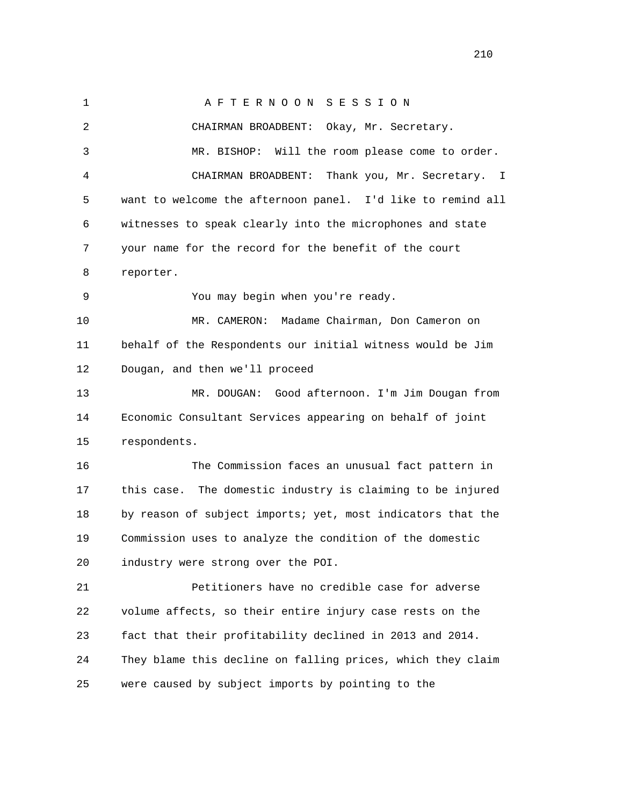1 A F T E R N O O N S E S S I O N 2 CHAIRMAN BROADBENT: Okay, Mr. Secretary. 3 MR. BISHOP: Will the room please come to order. 4 CHAIRMAN BROADBENT: Thank you, Mr. Secretary. I 5 want to welcome the afternoon panel. I'd like to remind all 6 witnesses to speak clearly into the microphones and state 7 your name for the record for the benefit of the court 8 reporter. 9 You may begin when you're ready. 10 MR. CAMERON: Madame Chairman, Don Cameron on 11 behalf of the Respondents our initial witness would be Jim 12 Dougan, and then we'll proceed 13 MR. DOUGAN: Good afternoon. I'm Jim Dougan from 14 Economic Consultant Services appearing on behalf of joint 15 respondents. 16 The Commission faces an unusual fact pattern in 17 this case. The domestic industry is claiming to be injured 18 by reason of subject imports; yet, most indicators that the 19 Commission uses to analyze the condition of the domestic 20 industry were strong over the POI. 21 Petitioners have no credible case for adverse 22 volume affects, so their entire injury case rests on the 23 fact that their profitability declined in 2013 and 2014. 24 They blame this decline on falling prices, which they claim 25 were caused by subject imports by pointing to the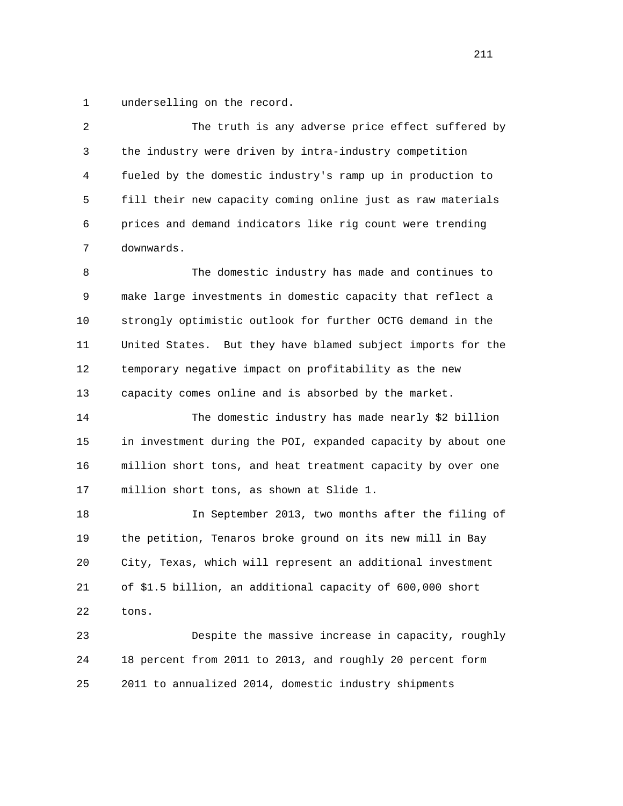1 underselling on the record.

 2 The truth is any adverse price effect suffered by 3 the industry were driven by intra-industry competition 4 fueled by the domestic industry's ramp up in production to 5 fill their new capacity coming online just as raw materials 6 prices and demand indicators like rig count were trending 7 downwards.

 8 The domestic industry has made and continues to 9 make large investments in domestic capacity that reflect a 10 strongly optimistic outlook for further OCTG demand in the 11 United States. But they have blamed subject imports for the 12 temporary negative impact on profitability as the new 13 capacity comes online and is absorbed by the market.

 14 The domestic industry has made nearly \$2 billion 15 in investment during the POI, expanded capacity by about one 16 million short tons, and heat treatment capacity by over one 17 million short tons, as shown at Slide 1.

 18 In September 2013, two months after the filing of 19 the petition, Tenaros broke ground on its new mill in Bay 20 City, Texas, which will represent an additional investment 21 of \$1.5 billion, an additional capacity of 600,000 short 22 tons.

 23 Despite the massive increase in capacity, roughly 24 18 percent from 2011 to 2013, and roughly 20 percent form 25 2011 to annualized 2014, domestic industry shipments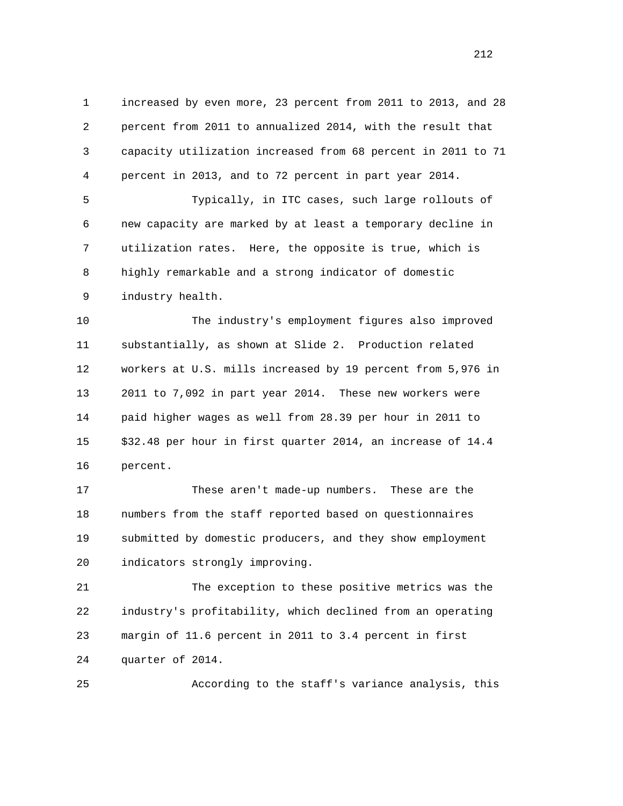1 increased by even more, 23 percent from 2011 to 2013, and 28 2 percent from 2011 to annualized 2014, with the result that 3 capacity utilization increased from 68 percent in 2011 to 71 4 percent in 2013, and to 72 percent in part year 2014.

 5 Typically, in ITC cases, such large rollouts of 6 new capacity are marked by at least a temporary decline in 7 utilization rates. Here, the opposite is true, which is 8 highly remarkable and a strong indicator of domestic 9 industry health.

 10 The industry's employment figures also improved 11 substantially, as shown at Slide 2. Production related 12 workers at U.S. mills increased by 19 percent from 5,976 in 13 2011 to 7,092 in part year 2014. These new workers were 14 paid higher wages as well from 28.39 per hour in 2011 to 15 \$32.48 per hour in first quarter 2014, an increase of 14.4 16 percent.

 17 These aren't made-up numbers. These are the 18 numbers from the staff reported based on questionnaires 19 submitted by domestic producers, and they show employment 20 indicators strongly improving.

 21 The exception to these positive metrics was the 22 industry's profitability, which declined from an operating 23 margin of 11.6 percent in 2011 to 3.4 percent in first 24 quarter of 2014.

25 According to the staff's variance analysis, this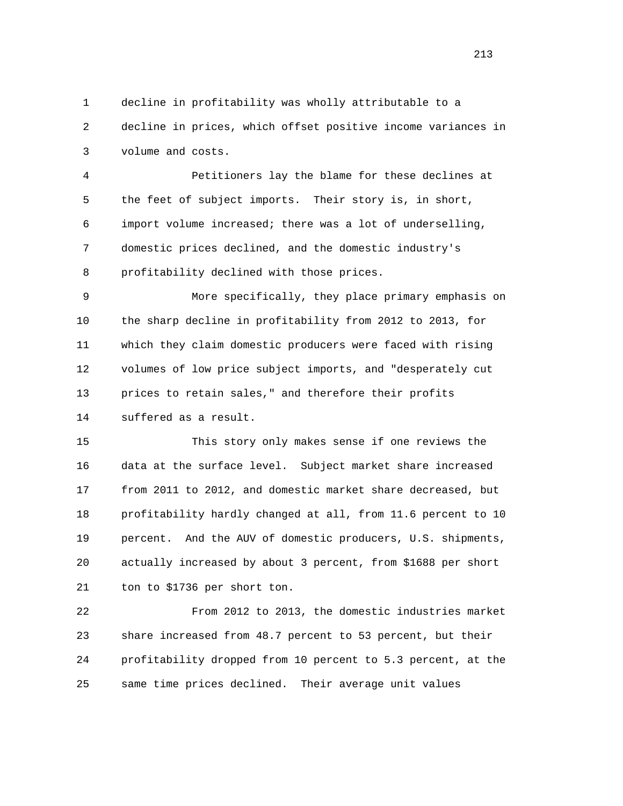1 decline in profitability was wholly attributable to a 2 decline in prices, which offset positive income variances in 3 volume and costs.

 4 Petitioners lay the blame for these declines at 5 the feet of subject imports. Their story is, in short, 6 import volume increased; there was a lot of underselling, 7 domestic prices declined, and the domestic industry's 8 profitability declined with those prices.

 9 More specifically, they place primary emphasis on 10 the sharp decline in profitability from 2012 to 2013, for 11 which they claim domestic producers were faced with rising 12 volumes of low price subject imports, and "desperately cut 13 prices to retain sales," and therefore their profits 14 suffered as a result.

 15 This story only makes sense if one reviews the 16 data at the surface level. Subject market share increased 17 from 2011 to 2012, and domestic market share decreased, but 18 profitability hardly changed at all, from 11.6 percent to 10 19 percent. And the AUV of domestic producers, U.S. shipments, 20 actually increased by about 3 percent, from \$1688 per short 21 ton to \$1736 per short ton.

 22 From 2012 to 2013, the domestic industries market 23 share increased from 48.7 percent to 53 percent, but their 24 profitability dropped from 10 percent to 5.3 percent, at the 25 same time prices declined. Their average unit values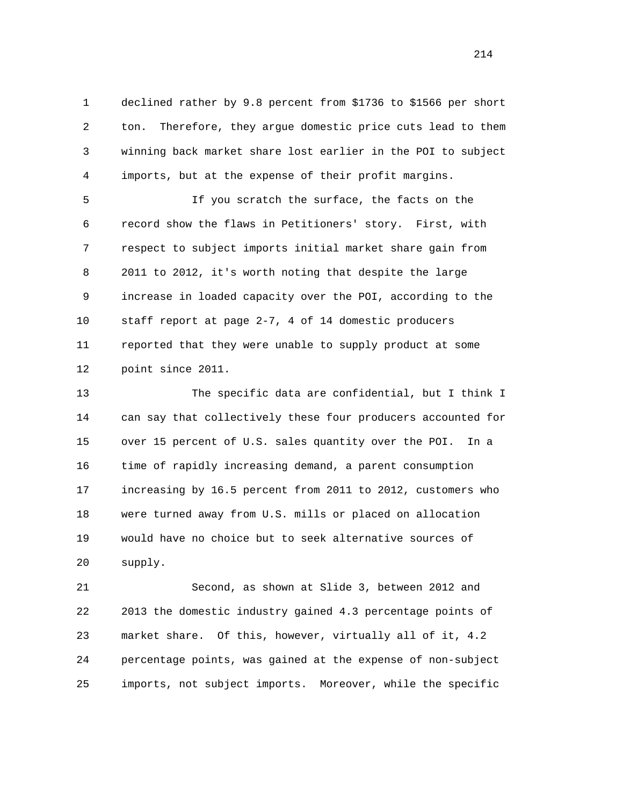1 declined rather by 9.8 percent from \$1736 to \$1566 per short 2 ton. Therefore, they argue domestic price cuts lead to them 3 winning back market share lost earlier in the POI to subject 4 imports, but at the expense of their profit margins.

 5 If you scratch the surface, the facts on the 6 record show the flaws in Petitioners' story. First, with 7 respect to subject imports initial market share gain from 8 2011 to 2012, it's worth noting that despite the large 9 increase in loaded capacity over the POI, according to the 10 staff report at page 2-7, 4 of 14 domestic producers 11 reported that they were unable to supply product at some 12 point since 2011.

 13 The specific data are confidential, but I think I 14 can say that collectively these four producers accounted for 15 over 15 percent of U.S. sales quantity over the POI. In a 16 time of rapidly increasing demand, a parent consumption 17 increasing by 16.5 percent from 2011 to 2012, customers who 18 were turned away from U.S. mills or placed on allocation 19 would have no choice but to seek alternative sources of 20 supply.

 21 Second, as shown at Slide 3, between 2012 and 22 2013 the domestic industry gained 4.3 percentage points of 23 market share. Of this, however, virtually all of it, 4.2 24 percentage points, was gained at the expense of non-subject 25 imports, not subject imports. Moreover, while the specific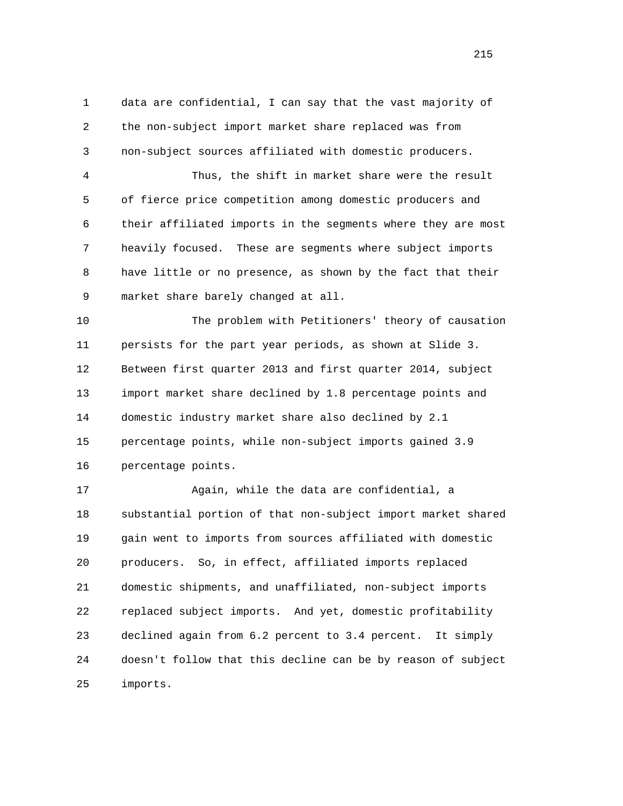1 data are confidential, I can say that the vast majority of 2 the non-subject import market share replaced was from 3 non-subject sources affiliated with domestic producers.

 4 Thus, the shift in market share were the result 5 of fierce price competition among domestic producers and 6 their affiliated imports in the segments where they are most 7 heavily focused. These are segments where subject imports 8 have little or no presence, as shown by the fact that their 9 market share barely changed at all.

 10 The problem with Petitioners' theory of causation 11 persists for the part year periods, as shown at Slide 3. 12 Between first quarter 2013 and first quarter 2014, subject 13 import market share declined by 1.8 percentage points and 14 domestic industry market share also declined by 2.1 15 percentage points, while non-subject imports gained 3.9 16 percentage points.

 17 Again, while the data are confidential, a 18 substantial portion of that non-subject import market shared 19 gain went to imports from sources affiliated with domestic 20 producers. So, in effect, affiliated imports replaced 21 domestic shipments, and unaffiliated, non-subject imports 22 replaced subject imports. And yet, domestic profitability 23 declined again from 6.2 percent to 3.4 percent. It simply 24 doesn't follow that this decline can be by reason of subject 25 imports.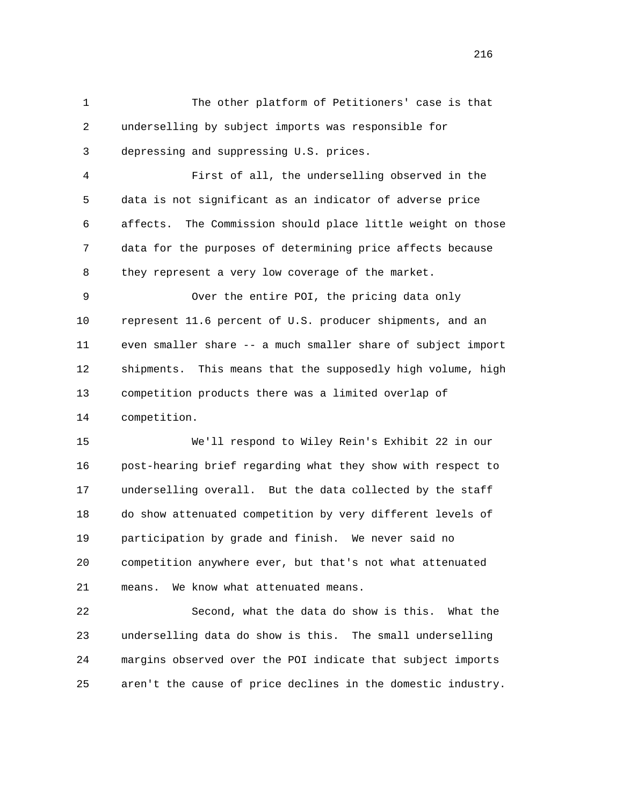1 The other platform of Petitioners' case is that 2 underselling by subject imports was responsible for 3 depressing and suppressing U.S. prices. 4 First of all, the underselling observed in the 5 data is not significant as an indicator of adverse price 6 affects. The Commission should place little weight on those 7 data for the purposes of determining price affects because 8 they represent a very low coverage of the market. 9 Over the entire POI, the pricing data only 10 represent 11.6 percent of U.S. producer shipments, and an 11 even smaller share -- a much smaller share of subject import 12 shipments. This means that the supposedly high volume, high 13 competition products there was a limited overlap of 14 competition. 15 We'll respond to Wiley Rein's Exhibit 22 in our 16 post-hearing brief regarding what they show with respect to 17 underselling overall. But the data collected by the staff 18 do show attenuated competition by very different levels of 19 participation by grade and finish. We never said no 20 competition anywhere ever, but that's not what attenuated

 22 Second, what the data do show is this. What the 23 underselling data do show is this. The small underselling 24 margins observed over the POI indicate that subject imports 25 aren't the cause of price declines in the domestic industry.

21 means. We know what attenuated means.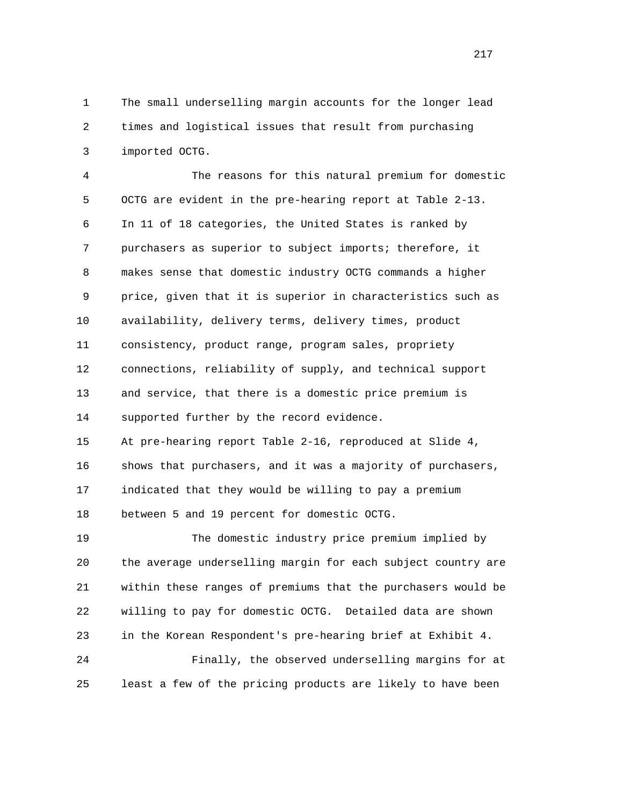1 The small underselling margin accounts for the longer lead 2 times and logistical issues that result from purchasing 3 imported OCTG.

 4 The reasons for this natural premium for domestic 5 OCTG are evident in the pre-hearing report at Table 2-13. 6 In 11 of 18 categories, the United States is ranked by 7 purchasers as superior to subject imports; therefore, it 8 makes sense that domestic industry OCTG commands a higher 9 price, given that it is superior in characteristics such as 10 availability, delivery terms, delivery times, product 11 consistency, product range, program sales, propriety 12 connections, reliability of supply, and technical support 13 and service, that there is a domestic price premium is 14 supported further by the record evidence. 15 At pre-hearing report Table 2-16, reproduced at Slide 4, 16 shows that purchasers, and it was a majority of purchasers, 17 indicated that they would be willing to pay a premium 18 between 5 and 19 percent for domestic OCTG. 19 The domestic industry price premium implied by 20 the average underselling margin for each subject country are 21 within these ranges of premiums that the purchasers would be

 22 willing to pay for domestic OCTG. Detailed data are shown 23 in the Korean Respondent's pre-hearing brief at Exhibit 4.

 24 Finally, the observed underselling margins for at 25 least a few of the pricing products are likely to have been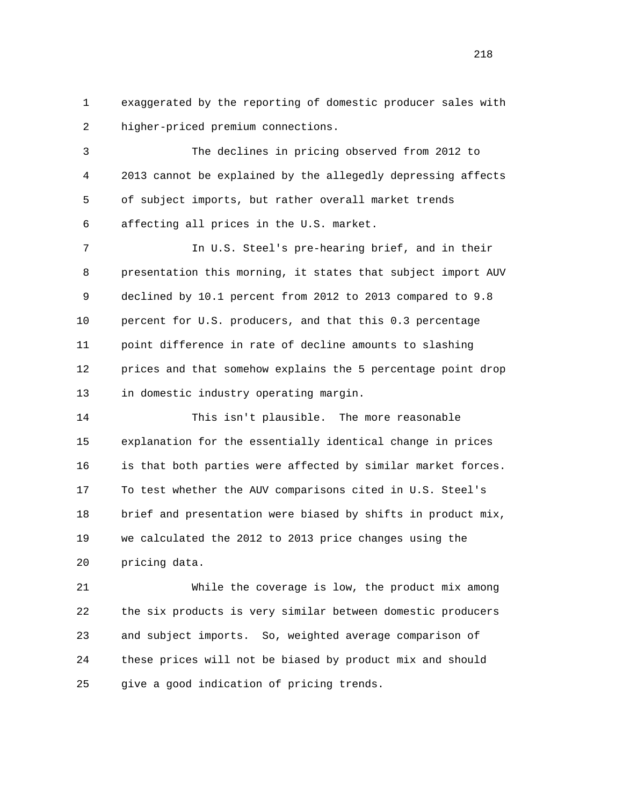1 exaggerated by the reporting of domestic producer sales with 2 higher-priced premium connections.

 3 The declines in pricing observed from 2012 to 4 2013 cannot be explained by the allegedly depressing affects 5 of subject imports, but rather overall market trends 6 affecting all prices in the U.S. market.

 7 In U.S. Steel's pre-hearing brief, and in their 8 presentation this morning, it states that subject import AUV 9 declined by 10.1 percent from 2012 to 2013 compared to 9.8 10 percent for U.S. producers, and that this 0.3 percentage 11 point difference in rate of decline amounts to slashing 12 prices and that somehow explains the 5 percentage point drop 13 in domestic industry operating margin.

 14 This isn't plausible. The more reasonable 15 explanation for the essentially identical change in prices 16 is that both parties were affected by similar market forces. 17 To test whether the AUV comparisons cited in U.S. Steel's 18 brief and presentation were biased by shifts in product mix, 19 we calculated the 2012 to 2013 price changes using the 20 pricing data.

 21 While the coverage is low, the product mix among 22 the six products is very similar between domestic producers 23 and subject imports. So, weighted average comparison of 24 these prices will not be biased by product mix and should 25 give a good indication of pricing trends.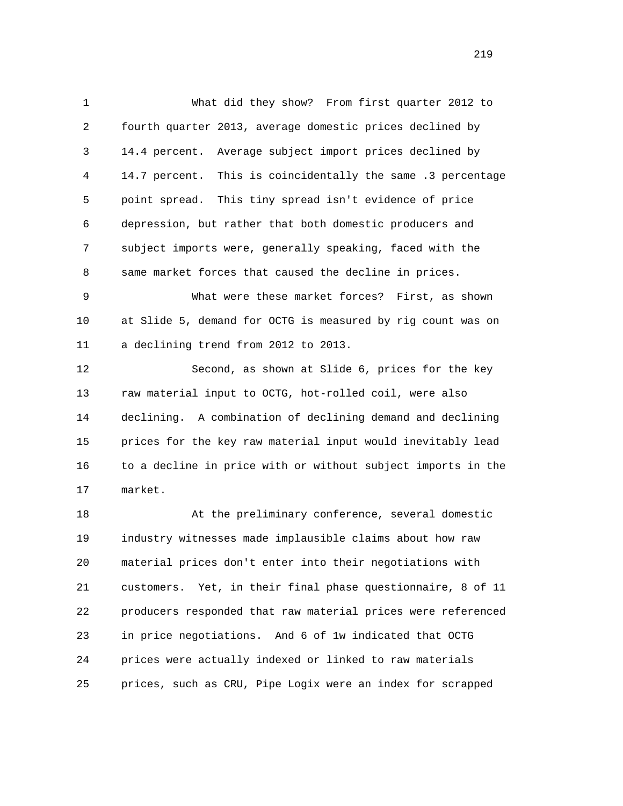1 What did they show? From first quarter 2012 to 2 fourth quarter 2013, average domestic prices declined by 3 14.4 percent. Average subject import prices declined by 4 14.7 percent. This is coincidentally the same .3 percentage 5 point spread. This tiny spread isn't evidence of price 6 depression, but rather that both domestic producers and 7 subject imports were, generally speaking, faced with the 8 same market forces that caused the decline in prices.

 9 What were these market forces? First, as shown 10 at Slide 5, demand for OCTG is measured by rig count was on 11 a declining trend from 2012 to 2013.

 12 Second, as shown at Slide 6, prices for the key 13 raw material input to OCTG, hot-rolled coil, were also 14 declining. A combination of declining demand and declining 15 prices for the key raw material input would inevitably lead 16 to a decline in price with or without subject imports in the 17 market.

 18 At the preliminary conference, several domestic 19 industry witnesses made implausible claims about how raw 20 material prices don't enter into their negotiations with 21 customers. Yet, in their final phase questionnaire, 8 of 11 22 producers responded that raw material prices were referenced 23 in price negotiations. And 6 of 1w indicated that OCTG 24 prices were actually indexed or linked to raw materials 25 prices, such as CRU, Pipe Logix were an index for scrapped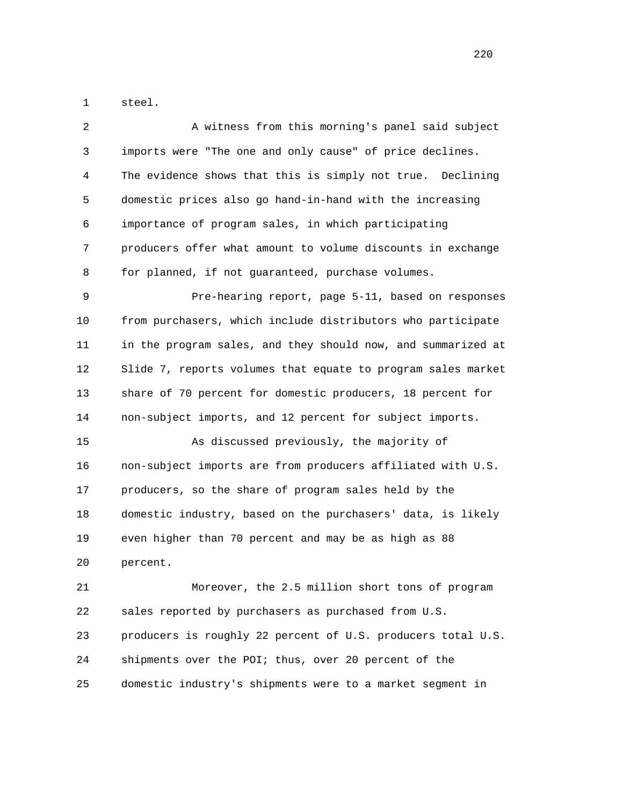1 steel.

| $\overline{a}$ | A witness from this morning's panel said subject             |
|----------------|--------------------------------------------------------------|
| 3              | imports were "The one and only cause" of price declines.     |
| 4              | The evidence shows that this is simply not true. Declining   |
| 5              | domestic prices also go hand-in-hand with the increasing     |
| 6              | importance of program sales, in which participating          |
| 7              | producers offer what amount to volume discounts in exchange  |
| 8              | for planned, if not guaranteed, purchase volumes.            |
| 9              | Pre-hearing report, page 5-11, based on responses            |
| 10             | from purchasers, which include distributors who participate  |
| 11             | in the program sales, and they should now, and summarized at |
| 12             | Slide 7, reports volumes that equate to program sales market |
| 13             | share of 70 percent for domestic producers, 18 percent for   |
| 14             | non-subject imports, and 12 percent for subject imports.     |
| 15             | As discussed previously, the majority of                     |
| 16             | non-subject imports are from producers affiliated with U.S.  |
| 17             | producers, so the share of program sales held by the         |
| 18             | domestic industry, based on the purchasers' data, is likely  |
| 19             | even higher than 70 percent and may be as high as 88         |
| 20             | percent.                                                     |
| 21             | Moreover, the 2.5 million short tons of program              |
| 22             | sales reported by purchasers as purchased from U.S.          |
| 23             | producers is roughly 22 percent of U.S. producers total U.S. |
| 24             | shipments over the POI; thus, over 20 percent of the         |
| 25             | domestic industry's shipments were to a market segment in    |

<u>220</u>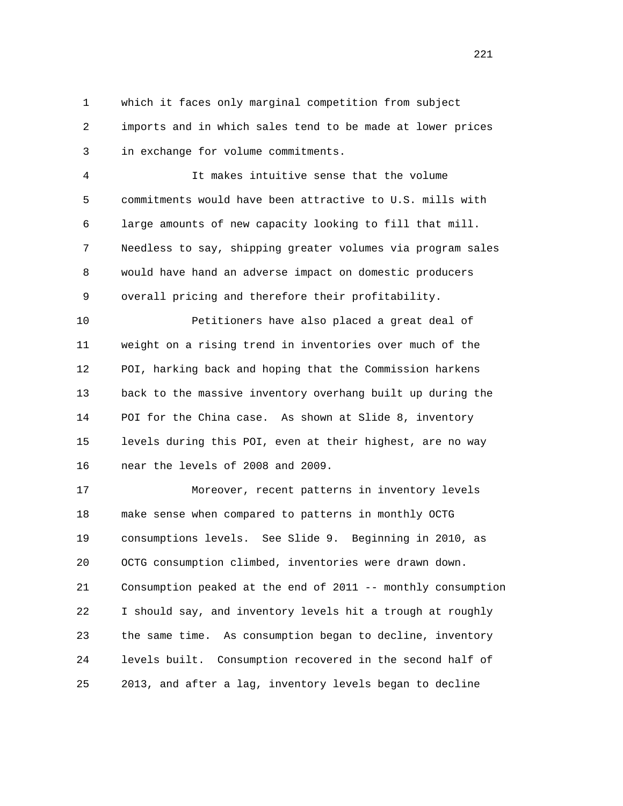1 which it faces only marginal competition from subject 2 imports and in which sales tend to be made at lower prices 3 in exchange for volume commitments.

 4 It makes intuitive sense that the volume 5 commitments would have been attractive to U.S. mills with 6 large amounts of new capacity looking to fill that mill. 7 Needless to say, shipping greater volumes via program sales 8 would have hand an adverse impact on domestic producers 9 overall pricing and therefore their profitability.

 10 Petitioners have also placed a great deal of 11 weight on a rising trend in inventories over much of the 12 POI, harking back and hoping that the Commission harkens 13 back to the massive inventory overhang built up during the 14 POI for the China case. As shown at Slide 8, inventory 15 levels during this POI, even at their highest, are no way 16 near the levels of 2008 and 2009.

 17 Moreover, recent patterns in inventory levels 18 make sense when compared to patterns in monthly OCTG 19 consumptions levels. See Slide 9. Beginning in 2010, as 20 OCTG consumption climbed, inventories were drawn down. 21 Consumption peaked at the end of 2011 -- monthly consumption 22 I should say, and inventory levels hit a trough at roughly 23 the same time. As consumption began to decline, inventory 24 levels built. Consumption recovered in the second half of 25 2013, and after a lag, inventory levels began to decline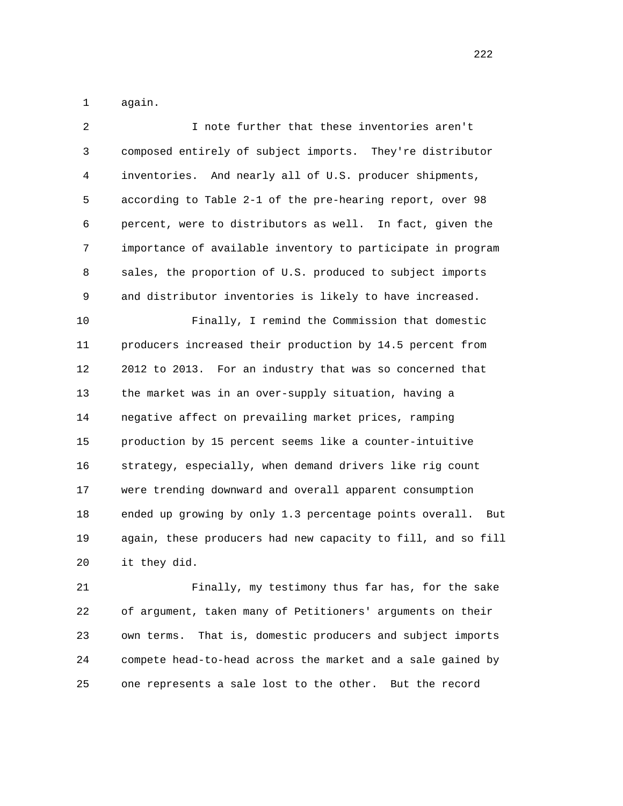1 again.

| 2              | I note further that these inventories aren't                   |
|----------------|----------------------------------------------------------------|
| 3              | composed entirely of subject imports. They're distributor      |
| $\overline{4}$ | inventories. And nearly all of U.S. producer shipments,        |
| 5              | according to Table 2-1 of the pre-hearing report, over 98      |
| 6              | percent, were to distributors as well. In fact, given the      |
| 7              | importance of available inventory to participate in program    |
| 8              | sales, the proportion of U.S. produced to subject imports      |
| 9              | and distributor inventories is likely to have increased.       |
| 10             | Finally, I remind the Commission that domestic                 |
| 11             | producers increased their production by 14.5 percent from      |
| 12             | 2012 to 2013. For an industry that was so concerned that       |
| 13             | the market was in an over-supply situation, having a           |
| 14             | negative affect on prevailing market prices, ramping           |
| 15             | production by 15 percent seems like a counter-intuitive        |
| 16             | strategy, especially, when demand drivers like rig count       |
| 17             | were trending downward and overall apparent consumption        |
| 18             | ended up growing by only 1.3 percentage points overall.<br>But |
| 19             | again, these producers had new capacity to fill, and so fill   |
| 20             | it they did.                                                   |
| 21             | Finally, my testimony thus far has, for the sake               |

 22 of argument, taken many of Petitioners' arguments on their 23 own terms. That is, domestic producers and subject imports 24 compete head-to-head across the market and a sale gained by 25 one represents a sale lost to the other. But the record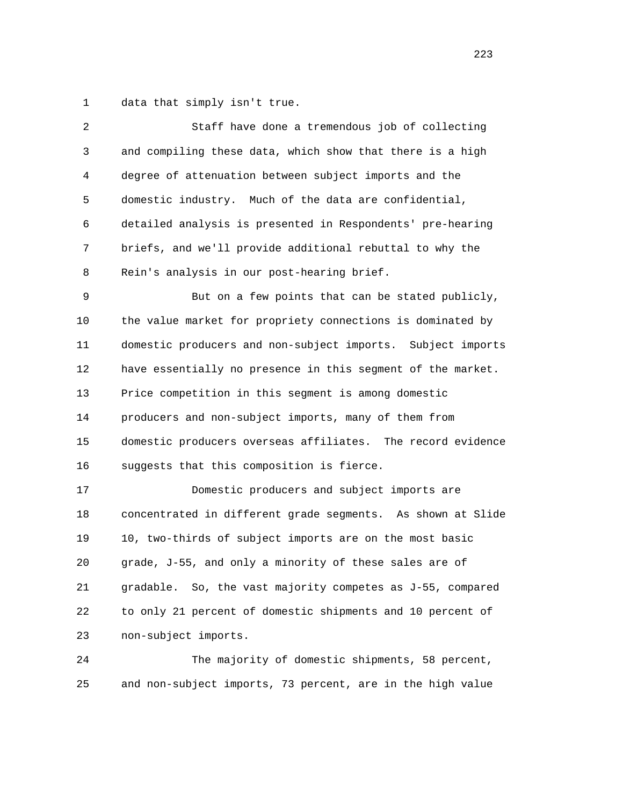1 data that simply isn't true.

| 2            | Staff have done a tremendous job of collecting                |
|--------------|---------------------------------------------------------------|
| $\mathsf{3}$ | and compiling these data, which show that there is a high     |
| 4            | degree of attenuation between subject imports and the         |
| 5            | domestic industry. Much of the data are confidential,         |
| 6            | detailed analysis is presented in Respondents' pre-hearing    |
| 7            | briefs, and we'll provide additional rebuttal to why the      |
| 8            | Rein's analysis in our post-hearing brief.                    |
| 9            | But on a few points that can be stated publicly,              |
| 10           | the value market for propriety connections is dominated by    |
| 11           | domestic producers and non-subject imports. Subject imports   |
| 12           | have essentially no presence in this segment of the market.   |
| 13           | Price competition in this segment is among domestic           |
| 14           | producers and non-subject imports, many of them from          |
| 15           | domestic producers overseas affiliates. The record evidence   |
| 16           | suggests that this composition is fierce.                     |
| 17           | Domestic producers and subject imports are                    |
| 18           | concentrated in different grade segments. As shown at Slide   |
| 19           | 10, two-thirds of subject imports are on the most basic       |
| 20           | grade, J-55, and only a minority of these sales are of        |
| 21           | So, the vast majority competes as J-55, compared<br>gradable. |
| 22           | to only 21 percent of domestic shipments and 10 percent of    |
| 23           | non-subject imports.                                          |
| 24           | The majority of domestic shipments, 58 percent,               |

25 and non-subject imports, 73 percent, are in the high value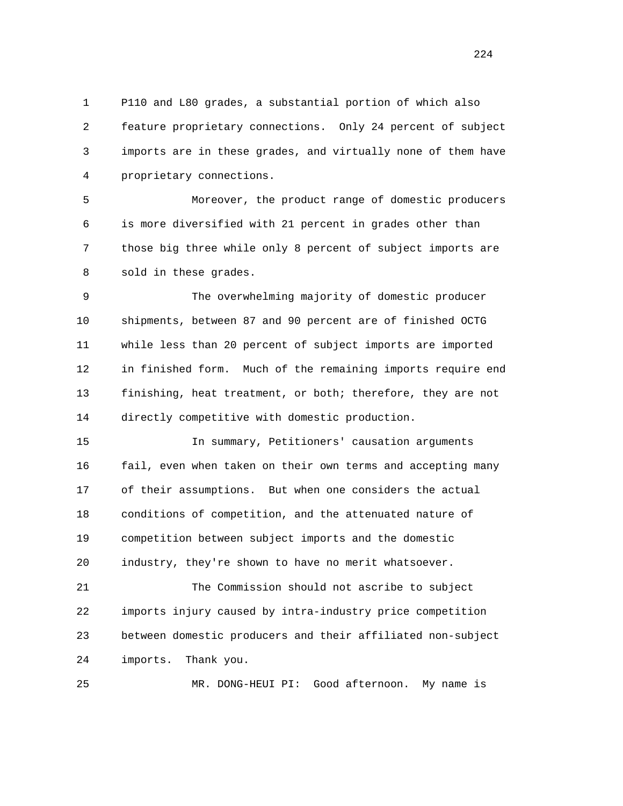1 P110 and L80 grades, a substantial portion of which also 2 feature proprietary connections. Only 24 percent of subject 3 imports are in these grades, and virtually none of them have 4 proprietary connections.

 5 Moreover, the product range of domestic producers 6 is more diversified with 21 percent in grades other than 7 those big three while only 8 percent of subject imports are 8 sold in these grades.

 9 The overwhelming majority of domestic producer 10 shipments, between 87 and 90 percent are of finished OCTG 11 while less than 20 percent of subject imports are imported 12 in finished form. Much of the remaining imports require end 13 finishing, heat treatment, or both; therefore, they are not 14 directly competitive with domestic production.

 15 In summary, Petitioners' causation arguments 16 fail, even when taken on their own terms and accepting many 17 of their assumptions. But when one considers the actual 18 conditions of competition, and the attenuated nature of 19 competition between subject imports and the domestic 20 industry, they're shown to have no merit whatsoever.

 21 The Commission should not ascribe to subject 22 imports injury caused by intra-industry price competition 23 between domestic producers and their affiliated non-subject 24 imports. Thank you.

25 MR. DONG-HEUI PI: Good afternoon. My name is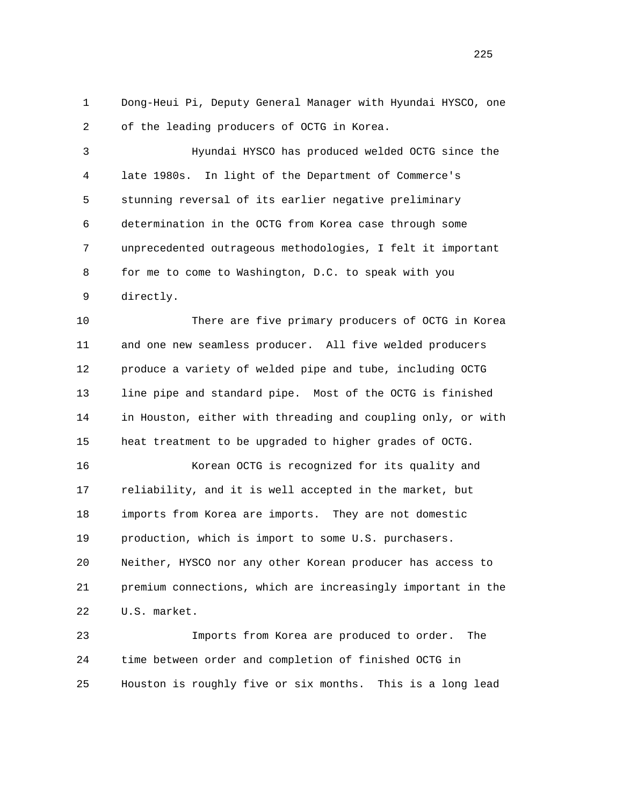1 Dong-Heui Pi, Deputy General Manager with Hyundai HYSCO, one 2 of the leading producers of OCTG in Korea.

 3 Hyundai HYSCO has produced welded OCTG since the 4 late 1980s. In light of the Department of Commerce's 5 stunning reversal of its earlier negative preliminary 6 determination in the OCTG from Korea case through some 7 unprecedented outrageous methodologies, I felt it important 8 for me to come to Washington, D.C. to speak with you 9 directly.

 10 There are five primary producers of OCTG in Korea 11 and one new seamless producer. All five welded producers 12 produce a variety of welded pipe and tube, including OCTG 13 line pipe and standard pipe. Most of the OCTG is finished 14 in Houston, either with threading and coupling only, or with 15 heat treatment to be upgraded to higher grades of OCTG.

 16 Korean OCTG is recognized for its quality and 17 reliability, and it is well accepted in the market, but 18 imports from Korea are imports. They are not domestic 19 production, which is import to some U.S. purchasers. 20 Neither, HYSCO nor any other Korean producer has access to 21 premium connections, which are increasingly important in the 22 U.S. market.

 23 Imports from Korea are produced to order. The 24 time between order and completion of finished OCTG in 25 Houston is roughly five or six months. This is a long lead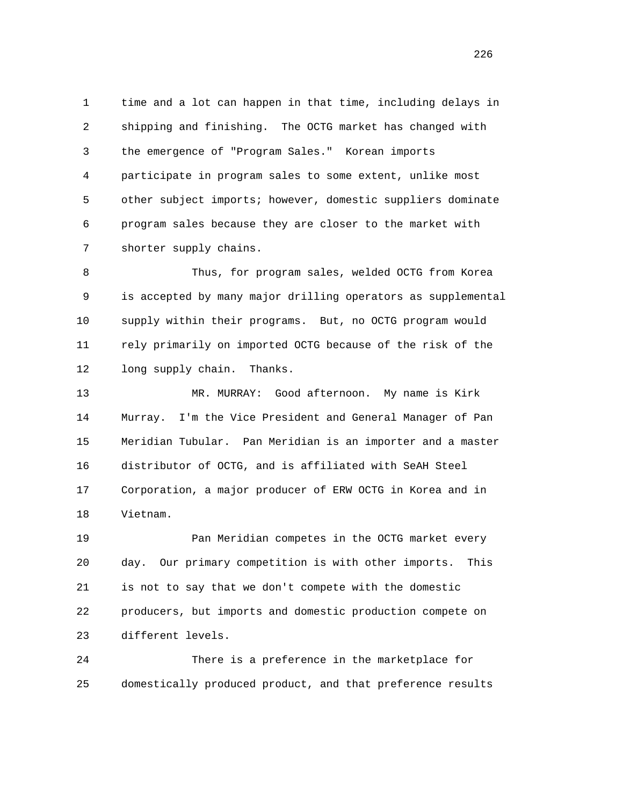1 time and a lot can happen in that time, including delays in 2 shipping and finishing. The OCTG market has changed with 3 the emergence of "Program Sales." Korean imports 4 participate in program sales to some extent, unlike most 5 other subject imports; however, domestic suppliers dominate 6 program sales because they are closer to the market with 7 shorter supply chains.

 8 Thus, for program sales, welded OCTG from Korea 9 is accepted by many major drilling operators as supplemental 10 supply within their programs. But, no OCTG program would 11 rely primarily on imported OCTG because of the risk of the 12 long supply chain. Thanks.

 13 MR. MURRAY: Good afternoon. My name is Kirk 14 Murray. I'm the Vice President and General Manager of Pan 15 Meridian Tubular. Pan Meridian is an importer and a master 16 distributor of OCTG, and is affiliated with SeAH Steel 17 Corporation, a major producer of ERW OCTG in Korea and in 18 Vietnam.

 19 Pan Meridian competes in the OCTG market every 20 day. Our primary competition is with other imports. This 21 is not to say that we don't compete with the domestic 22 producers, but imports and domestic production compete on 23 different levels.

 24 There is a preference in the marketplace for 25 domestically produced product, and that preference results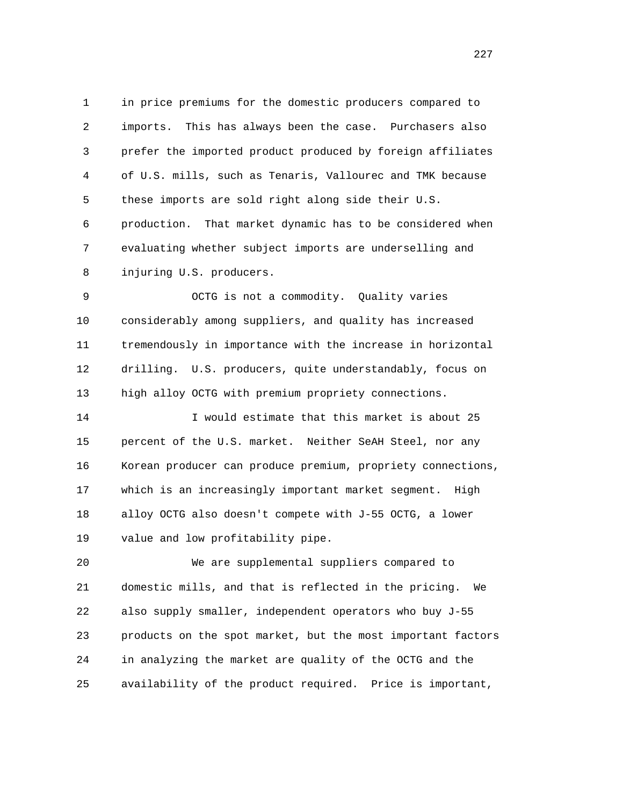1 in price premiums for the domestic producers compared to 2 imports. This has always been the case. Purchasers also 3 prefer the imported product produced by foreign affiliates 4 of U.S. mills, such as Tenaris, Vallourec and TMK because 5 these imports are sold right along side their U.S. 6 production. That market dynamic has to be considered when 7 evaluating whether subject imports are underselling and 8 injuring U.S. producers.

 9 OCTG is not a commodity. Quality varies 10 considerably among suppliers, and quality has increased 11 tremendously in importance with the increase in horizontal 12 drilling. U.S. producers, quite understandably, focus on 13 high alloy OCTG with premium propriety connections.

 14 I would estimate that this market is about 25 15 percent of the U.S. market. Neither SeAH Steel, nor any 16 Korean producer can produce premium, propriety connections, 17 which is an increasingly important market segment. High 18 alloy OCTG also doesn't compete with J-55 OCTG, a lower 19 value and low profitability pipe.

 20 We are supplemental suppliers compared to 21 domestic mills, and that is reflected in the pricing. We 22 also supply smaller, independent operators who buy J-55 23 products on the spot market, but the most important factors 24 in analyzing the market are quality of the OCTG and the 25 availability of the product required. Price is important,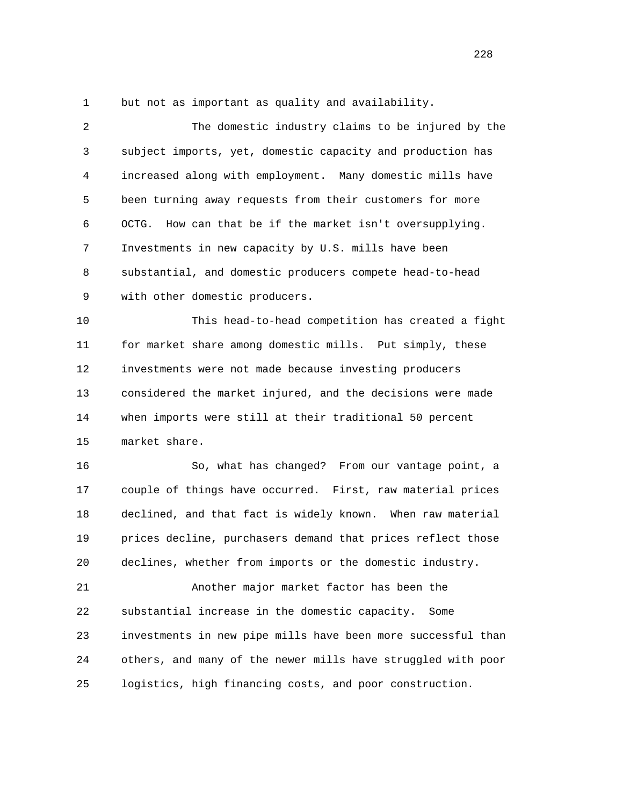1 but not as important as quality and availability.

| 2  | The domestic industry claims to be injured by the            |
|----|--------------------------------------------------------------|
| 3  | subject imports, yet, domestic capacity and production has   |
| 4  | increased along with employment. Many domestic mills have    |
| 5  | been turning away requests from their customers for more     |
| 6  | How can that be if the market isn't oversupplying.<br>OCTG.  |
| 7  | Investments in new capacity by U.S. mills have been          |
| 8  | substantial, and domestic producers compete head-to-head     |
| 9  | with other domestic producers.                               |
| 10 | This head-to-head competition has created a fight            |
| 11 | for market share among domestic mills. Put simply, these     |
| 12 | investments were not made because investing producers        |
| 13 | considered the market injured, and the decisions were made   |
| 14 | when imports were still at their traditional 50 percent      |
| 15 | market share.                                                |
| 16 | So, what has changed? From our vantage point, a              |
| 17 | couple of things have occurred. First, raw material prices   |
| 18 | declined, and that fact is widely known. When raw material   |
| 19 | prices decline, purchasers demand that prices reflect those  |
| 20 | declines, whether from imports or the domestic industry.     |
| 21 | Another major market factor has been the                     |
| 22 | substantial increase in the domestic capacity.<br>Some       |
| 23 | investments in new pipe mills have been more successful than |
| 24 | others, and many of the newer mills have struggled with poor |
| 25 | logistics, high financing costs, and poor construction.      |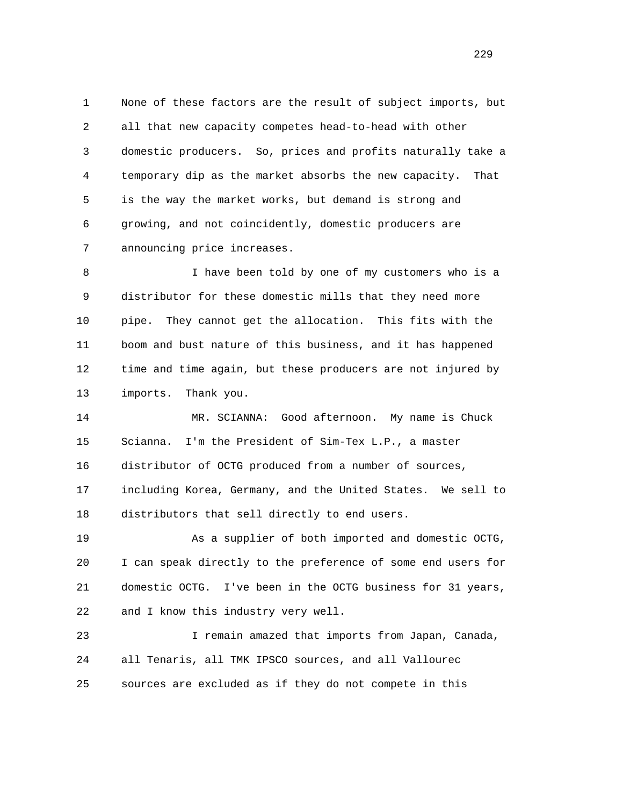1 None of these factors are the result of subject imports, but 2 all that new capacity competes head-to-head with other 3 domestic producers. So, prices and profits naturally take a 4 temporary dip as the market absorbs the new capacity. That 5 is the way the market works, but demand is strong and 6 growing, and not coincidently, domestic producers are 7 announcing price increases.

 8 I have been told by one of my customers who is a 9 distributor for these domestic mills that they need more 10 pipe. They cannot get the allocation. This fits with the 11 boom and bust nature of this business, and it has happened 12 time and time again, but these producers are not injured by 13 imports. Thank you.

 14 MR. SCIANNA: Good afternoon. My name is Chuck 15 Scianna. I'm the President of Sim-Tex L.P., a master 16 distributor of OCTG produced from a number of sources, 17 including Korea, Germany, and the United States. We sell to 18 distributors that sell directly to end users.

 19 As a supplier of both imported and domestic OCTG, 20 I can speak directly to the preference of some end users for 21 domestic OCTG. I've been in the OCTG business for 31 years, 22 and I know this industry very well.

 23 I remain amazed that imports from Japan, Canada, 24 all Tenaris, all TMK IPSCO sources, and all Vallourec 25 sources are excluded as if they do not compete in this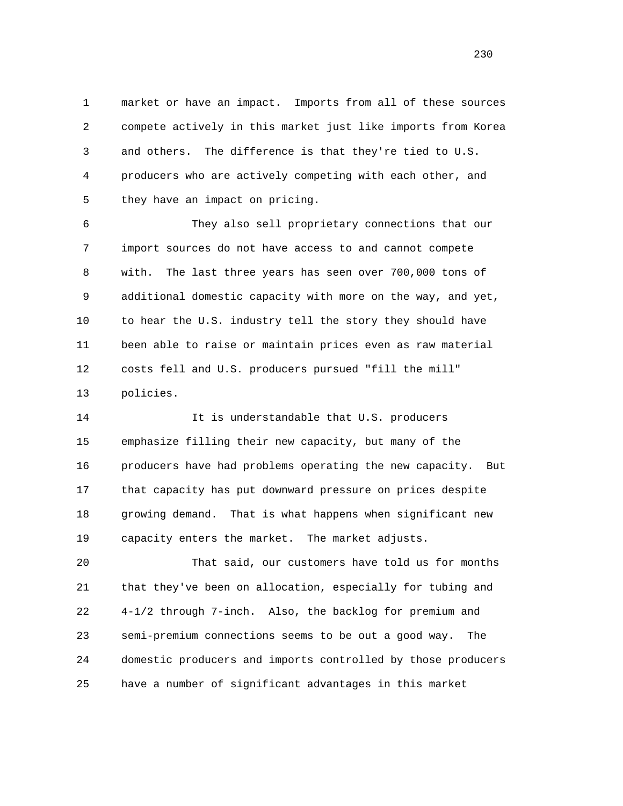1 market or have an impact. Imports from all of these sources 2 compete actively in this market just like imports from Korea 3 and others. The difference is that they're tied to U.S. 4 producers who are actively competing with each other, and 5 they have an impact on pricing.

 6 They also sell proprietary connections that our 7 import sources do not have access to and cannot compete 8 with. The last three years has seen over 700,000 tons of 9 additional domestic capacity with more on the way, and yet, 10 to hear the U.S. industry tell the story they should have 11 been able to raise or maintain prices even as raw material 12 costs fell and U.S. producers pursued "fill the mill" 13 policies.

14 14 It is understandable that U.S. producers 15 emphasize filling their new capacity, but many of the 16 producers have had problems operating the new capacity. But 17 that capacity has put downward pressure on prices despite 18 growing demand. That is what happens when significant new 19 capacity enters the market. The market adjusts.

 20 That said, our customers have told us for months 21 that they've been on allocation, especially for tubing and 22 4-1/2 through 7-inch. Also, the backlog for premium and 23 semi-premium connections seems to be out a good way. The 24 domestic producers and imports controlled by those producers 25 have a number of significant advantages in this market

<u>230</u>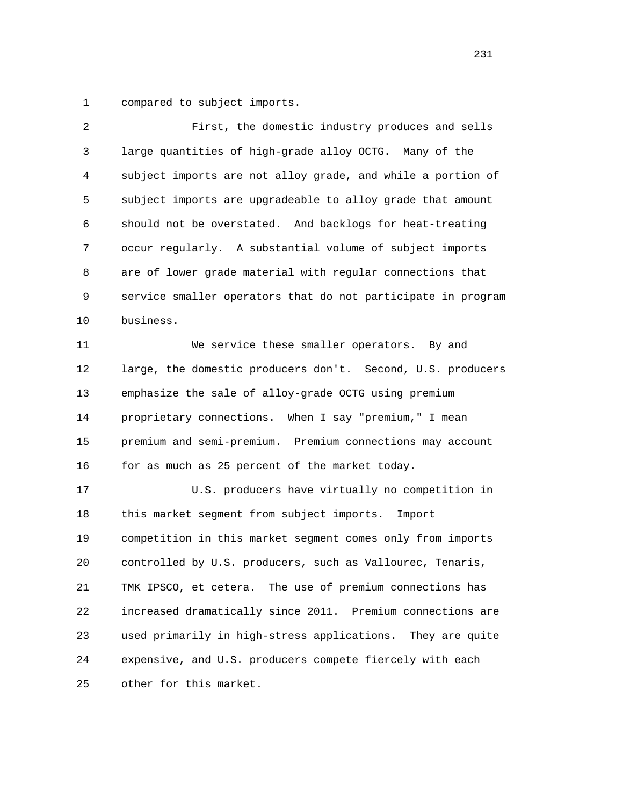1 compared to subject imports.

| 2  | First, the domestic industry produces and sells              |
|----|--------------------------------------------------------------|
| 3  | large quantities of high-grade alloy OCTG. Many of the       |
| 4  | subject imports are not alloy grade, and while a portion of  |
| 5  | subject imports are upgradeable to alloy grade that amount   |
| 6  | should not be overstated. And backlogs for heat-treating     |
| 7  | occur regularly. A substantial volume of subject imports     |
| 8  | are of lower grade material with regular connections that    |
| 9  | service smaller operators that do not participate in program |
| 10 | business.                                                    |
| 11 | We service these smaller operators. By and                   |
| 12 | large, the domestic producers don't. Second, U.S. producers  |
| 13 | emphasize the sale of alloy-grade OCTG using premium         |
| 14 | proprietary connections. When I say "premium," I mean        |
| 15 | premium and semi-premium. Premium connections may account    |
| 16 | for as much as 25 percent of the market today.               |
| 17 | U.S. producers have virtually no competition in              |
| 18 | this market segment from subject imports.<br>Import          |
| 19 | competition in this market segment comes only from imports   |
| 20 | controlled by U.S. producers, such as Vallourec, Tenaris,    |
| 21 | TMK IPSCO, et cetera. The use of premium connections has     |
| 22 | increased dramatically since 2011. Premium connections are   |
| 23 | used primarily in high-stress applications. They are quite   |
| 24 | expensive, and U.S. producers compete fiercely with each     |
| 25 | other for this market.                                       |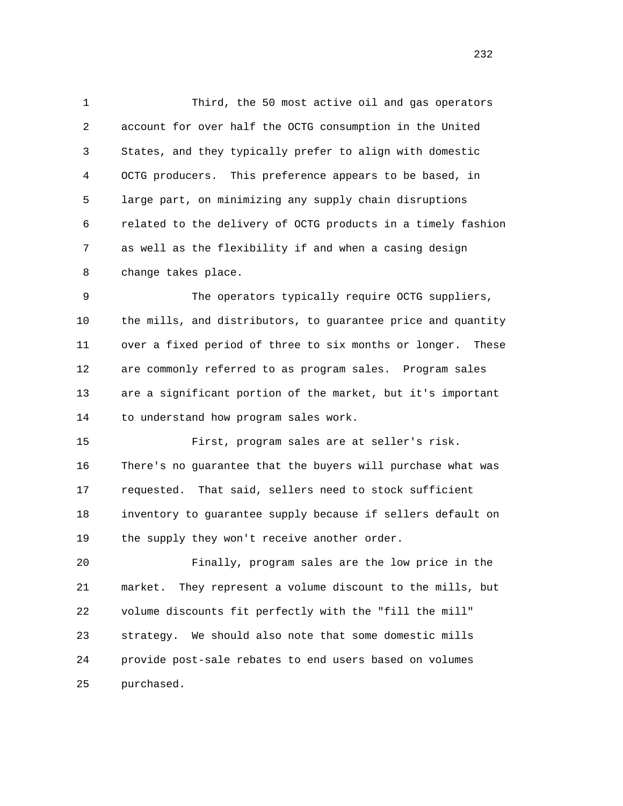1 Third, the 50 most active oil and gas operators 2 account for over half the OCTG consumption in the United 3 States, and they typically prefer to align with domestic 4 OCTG producers. This preference appears to be based, in 5 large part, on minimizing any supply chain disruptions 6 related to the delivery of OCTG products in a timely fashion 7 as well as the flexibility if and when a casing design 8 change takes place.

9 The operators typically require OCTG suppliers, 10 the mills, and distributors, to guarantee price and quantity 11 over a fixed period of three to six months or longer. These 12 are commonly referred to as program sales. Program sales 13 are a significant portion of the market, but it's important 14 to understand how program sales work.

 15 First, program sales are at seller's risk. 16 There's no guarantee that the buyers will purchase what was 17 requested. That said, sellers need to stock sufficient 18 inventory to guarantee supply because if sellers default on 19 the supply they won't receive another order.

 20 Finally, program sales are the low price in the 21 market. They represent a volume discount to the mills, but 22 volume discounts fit perfectly with the "fill the mill" 23 strategy. We should also note that some domestic mills 24 provide post-sale rebates to end users based on volumes 25 purchased.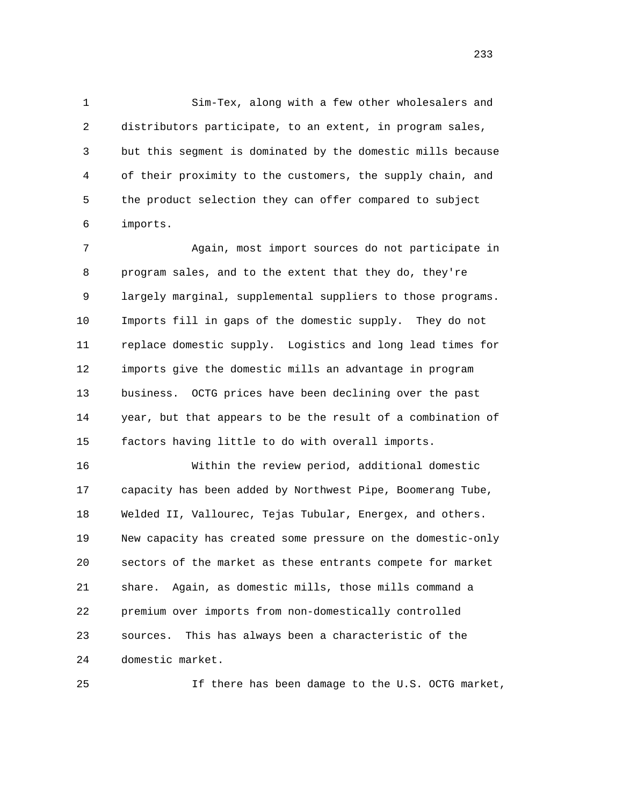1 Sim-Tex, along with a few other wholesalers and 2 distributors participate, to an extent, in program sales, 3 but this segment is dominated by the domestic mills because 4 of their proximity to the customers, the supply chain, and 5 the product selection they can offer compared to subject 6 imports.

 7 Again, most import sources do not participate in 8 program sales, and to the extent that they do, they're 9 largely marginal, supplemental suppliers to those programs. 10 Imports fill in gaps of the domestic supply. They do not 11 replace domestic supply. Logistics and long lead times for 12 imports give the domestic mills an advantage in program 13 business. OCTG prices have been declining over the past 14 year, but that appears to be the result of a combination of 15 factors having little to do with overall imports.

 16 Within the review period, additional domestic 17 capacity has been added by Northwest Pipe, Boomerang Tube, 18 Welded II, Vallourec, Tejas Tubular, Energex, and others. 19 New capacity has created some pressure on the domestic-only 20 sectors of the market as these entrants compete for market 21 share. Again, as domestic mills, those mills command a 22 premium over imports from non-domestically controlled 23 sources. This has always been a characteristic of the 24 domestic market.

25 If there has been damage to the U.S. OCTG market,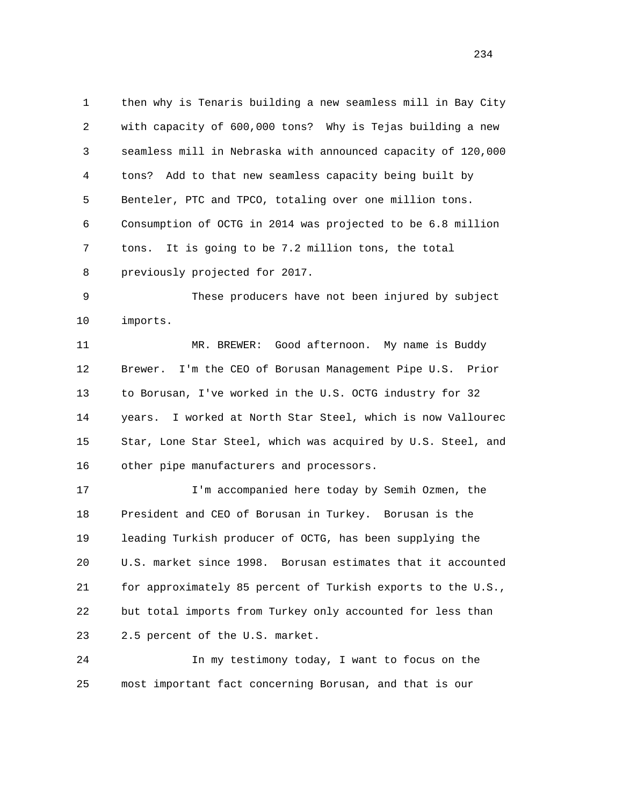1 then why is Tenaris building a new seamless mill in Bay City 2 with capacity of 600,000 tons? Why is Tejas building a new 3 seamless mill in Nebraska with announced capacity of 120,000 4 tons? Add to that new seamless capacity being built by 5 Benteler, PTC and TPCO, totaling over one million tons. 6 Consumption of OCTG in 2014 was projected to be 6.8 million 7 tons. It is going to be 7.2 million tons, the total 8 previously projected for 2017.

 9 These producers have not been injured by subject 10 imports.

 11 MR. BREWER: Good afternoon. My name is Buddy 12 Brewer. I'm the CEO of Borusan Management Pipe U.S. Prior 13 to Borusan, I've worked in the U.S. OCTG industry for 32 14 years. I worked at North Star Steel, which is now Vallourec 15 Star, Lone Star Steel, which was acquired by U.S. Steel, and 16 other pipe manufacturers and processors.

 17 I'm accompanied here today by Semih Ozmen, the 18 President and CEO of Borusan in Turkey. Borusan is the 19 leading Turkish producer of OCTG, has been supplying the 20 U.S. market since 1998. Borusan estimates that it accounted 21 for approximately 85 percent of Turkish exports to the U.S., 22 but total imports from Turkey only accounted for less than 23 2.5 percent of the U.S. market.

 24 In my testimony today, I want to focus on the 25 most important fact concerning Borusan, and that is our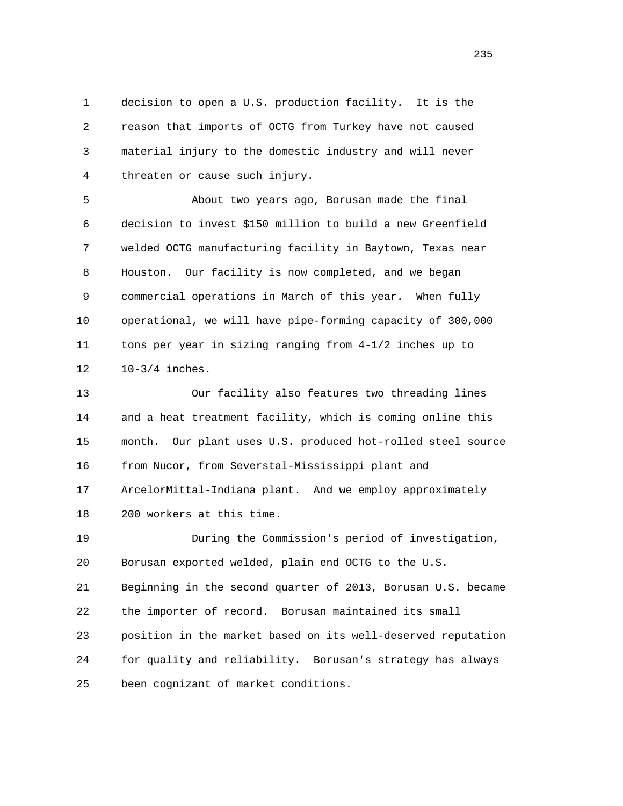1 decision to open a U.S. production facility. It is the 2 reason that imports of OCTG from Turkey have not caused 3 material injury to the domestic industry and will never 4 threaten or cause such injury.

 5 About two years ago, Borusan made the final 6 decision to invest \$150 million to build a new Greenfield 7 welded OCTG manufacturing facility in Baytown, Texas near 8 Houston. Our facility is now completed, and we began 9 commercial operations in March of this year. When fully 10 operational, we will have pipe-forming capacity of 300,000 11 tons per year in sizing ranging from 4-1/2 inches up to 12 10-3/4 inches.

 13 Our facility also features two threading lines 14 and a heat treatment facility, which is coming online this 15 month. Our plant uses U.S. produced hot-rolled steel source 16 from Nucor, from Severstal-Mississippi plant and 17 ArcelorMittal-Indiana plant. And we employ approximately 18 200 workers at this time. 19 During the Commission's period of investigation, 20 Borusan exported welded, plain end OCTG to the U.S.

 21 Beginning in the second quarter of 2013, Borusan U.S. became 22 the importer of record. Borusan maintained its small 23 position in the market based on its well-deserved reputation 24 for quality and reliability. Borusan's strategy has always 25 been cognizant of market conditions.

<u>235</u>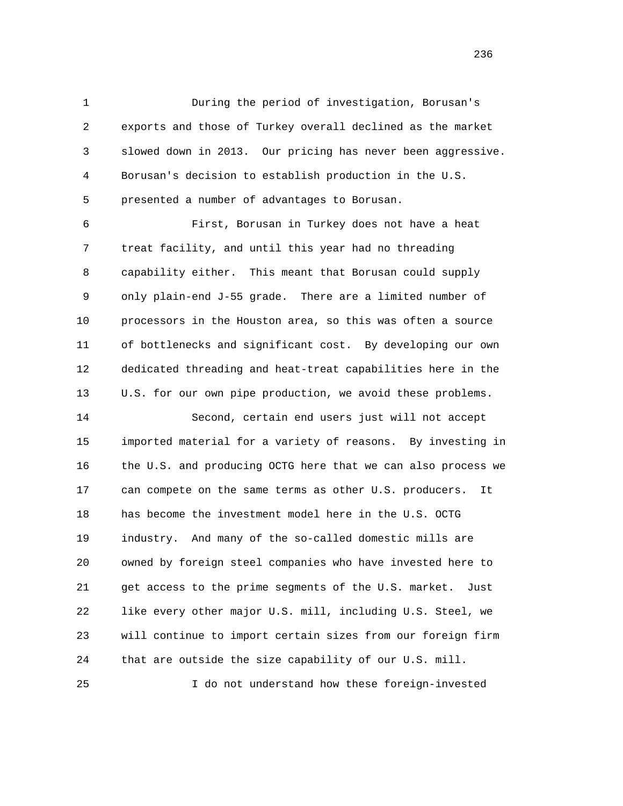1 During the period of investigation, Borusan's 2 exports and those of Turkey overall declined as the market 3 slowed down in 2013. Our pricing has never been aggressive. 4 Borusan's decision to establish production in the U.S. 5 presented a number of advantages to Borusan.

 6 First, Borusan in Turkey does not have a heat 7 treat facility, and until this year had no threading 8 capability either. This meant that Borusan could supply 9 only plain-end J-55 grade. There are a limited number of 10 processors in the Houston area, so this was often a source 11 of bottlenecks and significant cost. By developing our own 12 dedicated threading and heat-treat capabilities here in the 13 U.S. for our own pipe production, we avoid these problems.

 14 Second, certain end users just will not accept 15 imported material for a variety of reasons. By investing in 16 the U.S. and producing OCTG here that we can also process we 17 can compete on the same terms as other U.S. producers. It 18 has become the investment model here in the U.S. OCTG 19 industry. And many of the so-called domestic mills are 20 owned by foreign steel companies who have invested here to 21 get access to the prime segments of the U.S. market. Just 22 like every other major U.S. mill, including U.S. Steel, we 23 will continue to import certain sizes from our foreign firm 24 that are outside the size capability of our U.S. mill. 25 I do not understand how these foreign-invested

<u>236</u>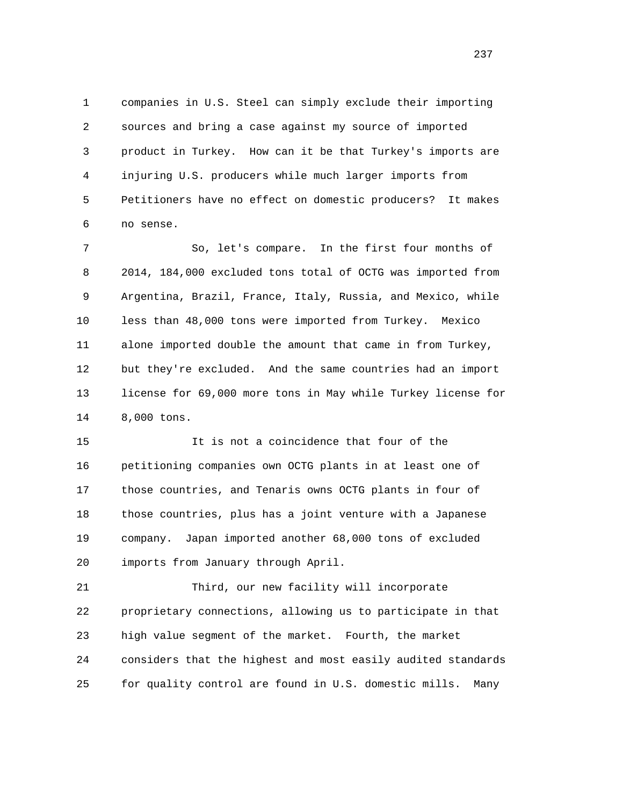1 companies in U.S. Steel can simply exclude their importing 2 sources and bring a case against my source of imported 3 product in Turkey. How can it be that Turkey's imports are 4 injuring U.S. producers while much larger imports from 5 Petitioners have no effect on domestic producers? It makes 6 no sense.

 7 So, let's compare. In the first four months of 8 2014, 184,000 excluded tons total of OCTG was imported from 9 Argentina, Brazil, France, Italy, Russia, and Mexico, while 10 less than 48,000 tons were imported from Turkey. Mexico 11 alone imported double the amount that came in from Turkey, 12 but they're excluded. And the same countries had an import 13 license for 69,000 more tons in May while Turkey license for 14 8,000 tons.

 15 It is not a coincidence that four of the 16 petitioning companies own OCTG plants in at least one of 17 those countries, and Tenaris owns OCTG plants in four of 18 those countries, plus has a joint venture with a Japanese 19 company. Japan imported another 68,000 tons of excluded 20 imports from January through April.

 21 Third, our new facility will incorporate 22 proprietary connections, allowing us to participate in that 23 high value segment of the market. Fourth, the market 24 considers that the highest and most easily audited standards 25 for quality control are found in U.S. domestic mills. Many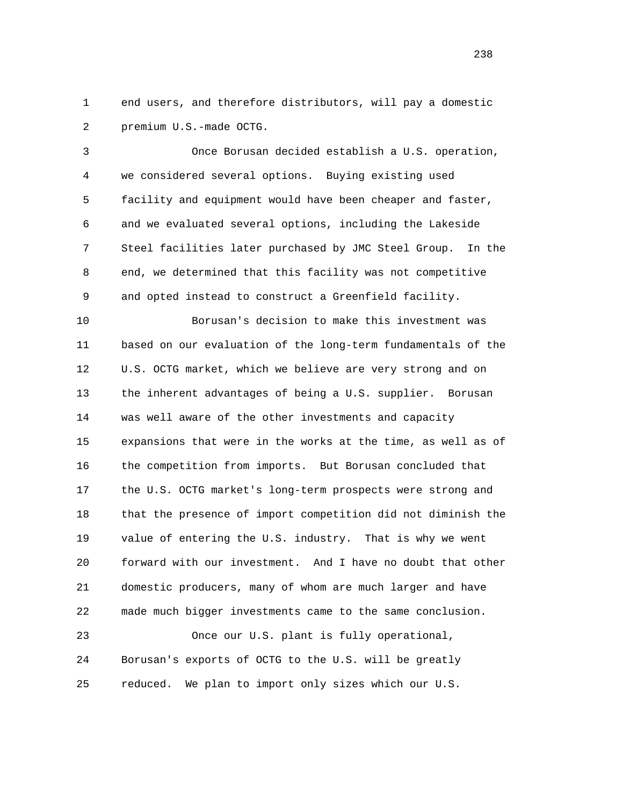1 end users, and therefore distributors, will pay a domestic 2 premium U.S.-made OCTG.

 3 Once Borusan decided establish a U.S. operation, 4 we considered several options. Buying existing used 5 facility and equipment would have been cheaper and faster, 6 and we evaluated several options, including the Lakeside 7 Steel facilities later purchased by JMC Steel Group. In the 8 end, we determined that this facility was not competitive 9 and opted instead to construct a Greenfield facility.

 10 Borusan's decision to make this investment was 11 based on our evaluation of the long-term fundamentals of the 12 U.S. OCTG market, which we believe are very strong and on 13 the inherent advantages of being a U.S. supplier. Borusan 14 was well aware of the other investments and capacity 15 expansions that were in the works at the time, as well as of 16 the competition from imports. But Borusan concluded that 17 the U.S. OCTG market's long-term prospects were strong and 18 that the presence of import competition did not diminish the 19 value of entering the U.S. industry. That is why we went 20 forward with our investment. And I have no doubt that other 21 domestic producers, many of whom are much larger and have 22 made much bigger investments came to the same conclusion.

 23 Once our U.S. plant is fully operational, 24 Borusan's exports of OCTG to the U.S. will be greatly 25 reduced. We plan to import only sizes which our U.S.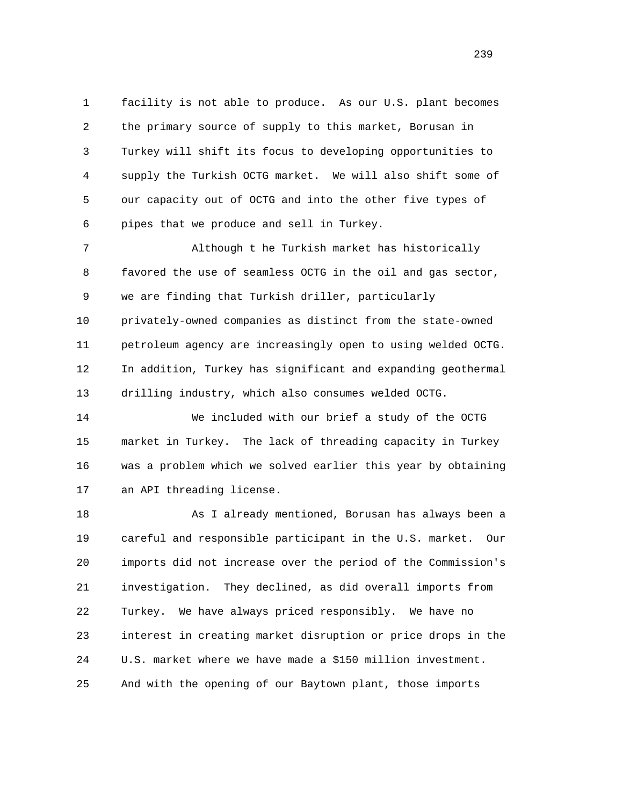1 facility is not able to produce. As our U.S. plant becomes 2 the primary source of supply to this market, Borusan in 3 Turkey will shift its focus to developing opportunities to 4 supply the Turkish OCTG market. We will also shift some of 5 our capacity out of OCTG and into the other five types of 6 pipes that we produce and sell in Turkey.

 7 Although t he Turkish market has historically 8 favored the use of seamless OCTG in the oil and gas sector, 9 we are finding that Turkish driller, particularly 10 privately-owned companies as distinct from the state-owned 11 petroleum agency are increasingly open to using welded OCTG. 12 In addition, Turkey has significant and expanding geothermal 13 drilling industry, which also consumes welded OCTG.

 14 We included with our brief a study of the OCTG 15 market in Turkey. The lack of threading capacity in Turkey 16 was a problem which we solved earlier this year by obtaining 17 an API threading license.

 18 As I already mentioned, Borusan has always been a 19 careful and responsible participant in the U.S. market. Our 20 imports did not increase over the period of the Commission's 21 investigation. They declined, as did overall imports from 22 Turkey. We have always priced responsibly. We have no 23 interest in creating market disruption or price drops in the 24 U.S. market where we have made a \$150 million investment. 25 And with the opening of our Baytown plant, those imports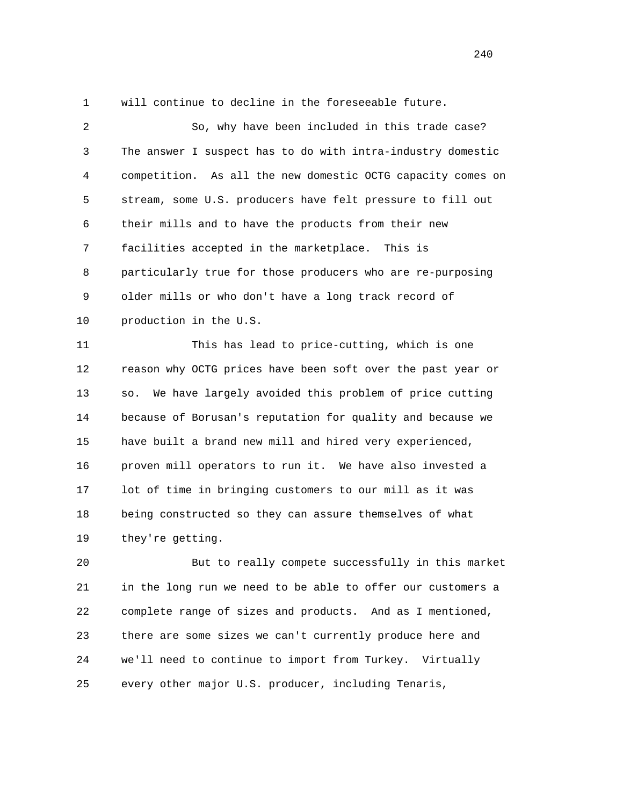1 will continue to decline in the foreseeable future.

 2 So, why have been included in this trade case? 3 The answer I suspect has to do with intra-industry domestic 4 competition. As all the new domestic OCTG capacity comes on 5 stream, some U.S. producers have felt pressure to fill out 6 their mills and to have the products from their new 7 facilities accepted in the marketplace. This is 8 particularly true for those producers who are re-purposing 9 older mills or who don't have a long track record of 10 production in the U.S. 11 This has lead to price-cutting, which is one 12 reason why OCTG prices have been soft over the past year or 13 so. We have largely avoided this problem of price cutting 14 because of Borusan's reputation for quality and because we 15 have built a brand new mill and hired very experienced, 16 proven mill operators to run it. We have also invested a 17 lot of time in bringing customers to our mill as it was 18 being constructed so they can assure themselves of what

19 they're getting.

 20 But to really compete successfully in this market 21 in the long run we need to be able to offer our customers a 22 complete range of sizes and products. And as I mentioned, 23 there are some sizes we can't currently produce here and 24 we'll need to continue to import from Turkey. Virtually 25 every other major U.S. producer, including Tenaris,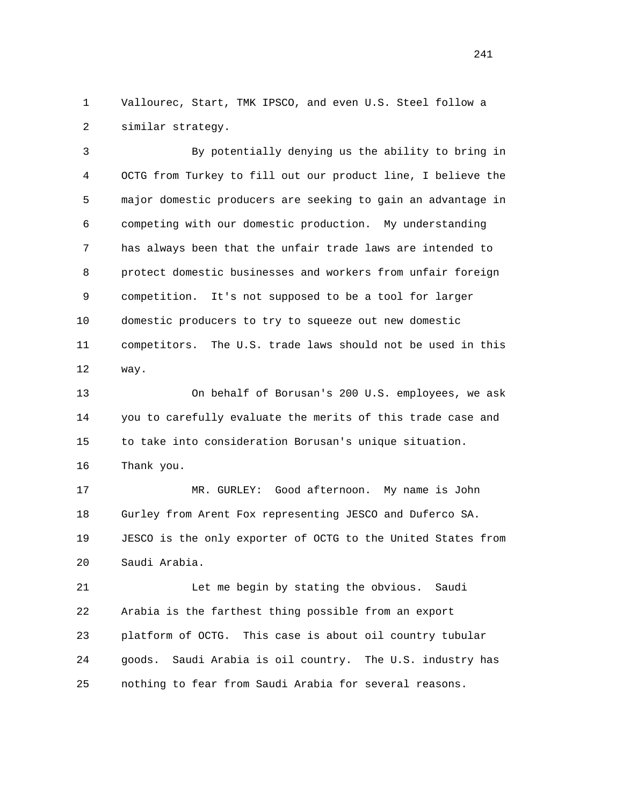1 Vallourec, Start, TMK IPSCO, and even U.S. Steel follow a 2 similar strategy.

 3 By potentially denying us the ability to bring in 4 OCTG from Turkey to fill out our product line, I believe the 5 major domestic producers are seeking to gain an advantage in 6 competing with our domestic production. My understanding 7 has always been that the unfair trade laws are intended to 8 protect domestic businesses and workers from unfair foreign 9 competition. It's not supposed to be a tool for larger 10 domestic producers to try to squeeze out new domestic 11 competitors. The U.S. trade laws should not be used in this 12 way.

 13 On behalf of Borusan's 200 U.S. employees, we ask 14 you to carefully evaluate the merits of this trade case and 15 to take into consideration Borusan's unique situation. 16 Thank you.

 17 MR. GURLEY: Good afternoon. My name is John 18 Gurley from Arent Fox representing JESCO and Duferco SA. 19 JESCO is the only exporter of OCTG to the United States from 20 Saudi Arabia.

 21 Let me begin by stating the obvious. Saudi 22 Arabia is the farthest thing possible from an export 23 platform of OCTG. This case is about oil country tubular 24 goods. Saudi Arabia is oil country. The U.S. industry has 25 nothing to fear from Saudi Arabia for several reasons.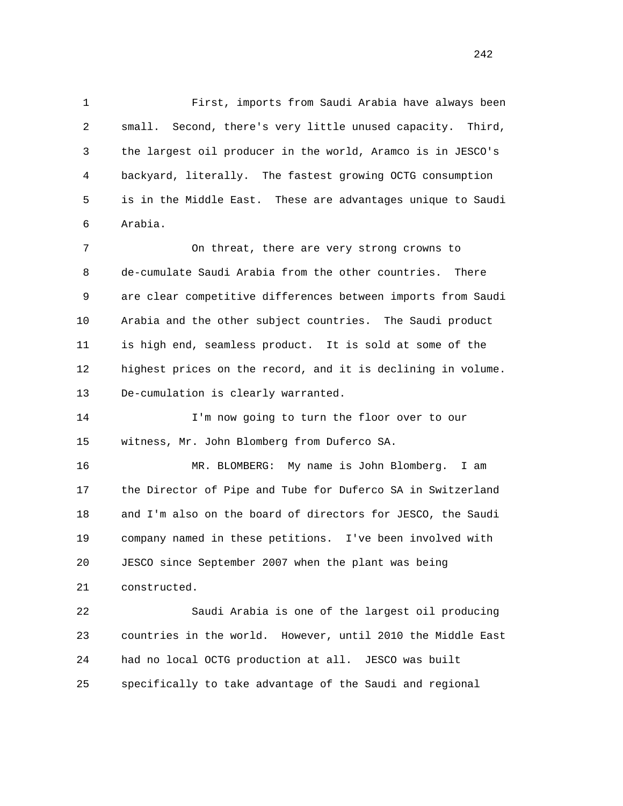1 First, imports from Saudi Arabia have always been 2 small. Second, there's very little unused capacity. Third, 3 the largest oil producer in the world, Aramco is in JESCO's 4 backyard, literally. The fastest growing OCTG consumption 5 is in the Middle East. These are advantages unique to Saudi 6 Arabia.

 7 On threat, there are very strong crowns to 8 de-cumulate Saudi Arabia from the other countries. There 9 are clear competitive differences between imports from Saudi 10 Arabia and the other subject countries. The Saudi product 11 is high end, seamless product. It is sold at some of the 12 highest prices on the record, and it is declining in volume. 13 De-cumulation is clearly warranted.

 14 I'm now going to turn the floor over to our 15 witness, Mr. John Blomberg from Duferco SA.

 16 MR. BLOMBERG: My name is John Blomberg. I am 17 the Director of Pipe and Tube for Duferco SA in Switzerland 18 and I'm also on the board of directors for JESCO, the Saudi 19 company named in these petitions. I've been involved with 20 JESCO since September 2007 when the plant was being 21 constructed.

 22 Saudi Arabia is one of the largest oil producing 23 countries in the world. However, until 2010 the Middle East 24 had no local OCTG production at all. JESCO was built 25 specifically to take advantage of the Saudi and regional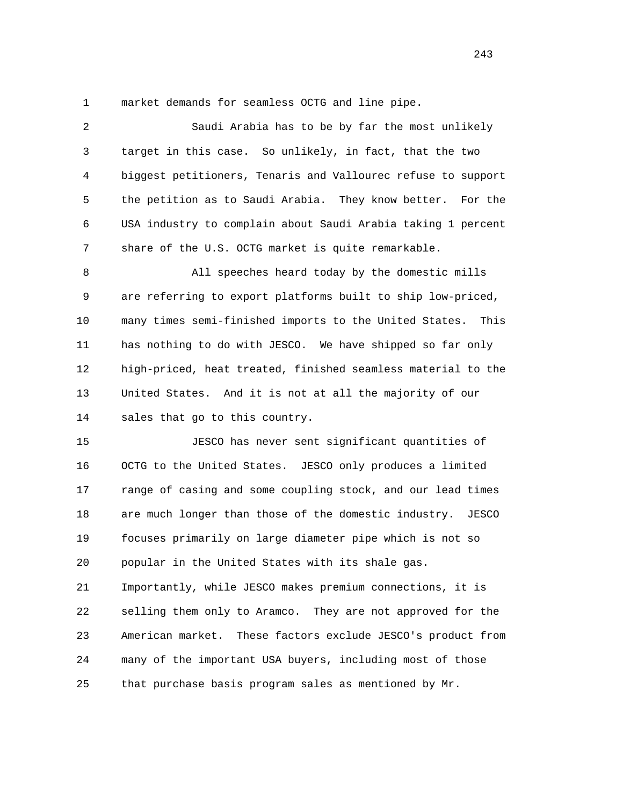1 market demands for seamless OCTG and line pipe.

 2 Saudi Arabia has to be by far the most unlikely 3 target in this case. So unlikely, in fact, that the two 4 biggest petitioners, Tenaris and Vallourec refuse to support 5 the petition as to Saudi Arabia. They know better. For the 6 USA industry to complain about Saudi Arabia taking 1 percent 7 share of the U.S. OCTG market is quite remarkable. 8 All speeches heard today by the domestic mills 9 are referring to export platforms built to ship low-priced, 10 many times semi-finished imports to the United States. This 11 has nothing to do with JESCO. We have shipped so far only 12 high-priced, heat treated, finished seamless material to the 13 United States. And it is not at all the majority of our 14 sales that go to this country. 15 JESCO has never sent significant quantities of 16 OCTG to the United States. JESCO only produces a limited 17 range of casing and some coupling stock, and our lead times 18 are much longer than those of the domestic industry. JESCO 19 focuses primarily on large diameter pipe which is not so 20 popular in the United States with its shale gas. 21 Importantly, while JESCO makes premium connections, it is 22 selling them only to Aramco. They are not approved for the

 23 American market. These factors exclude JESCO's product from 24 many of the important USA buyers, including most of those 25 that purchase basis program sales as mentioned by Mr.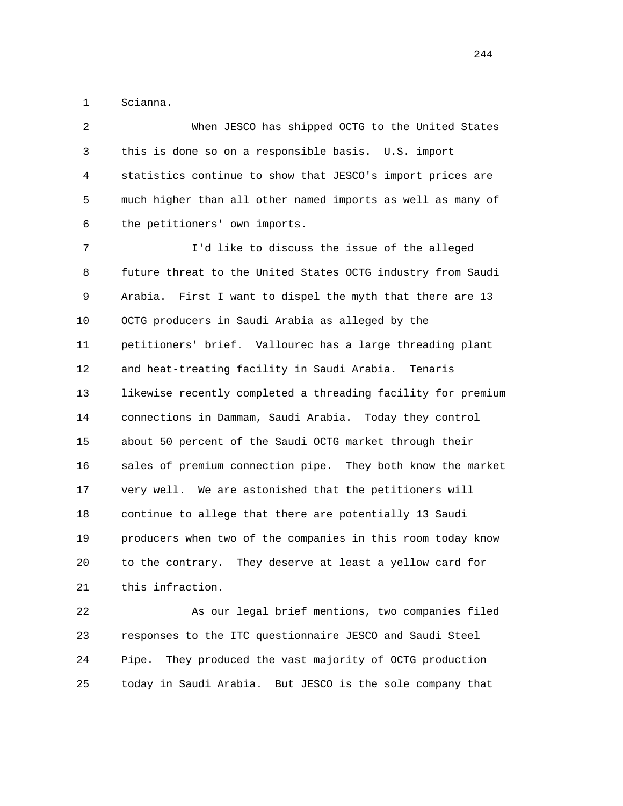1 Scianna.

 2 When JESCO has shipped OCTG to the United States 3 this is done so on a responsible basis. U.S. import 4 statistics continue to show that JESCO's import prices are 5 much higher than all other named imports as well as many of 6 the petitioners' own imports.

 7 I'd like to discuss the issue of the alleged 8 future threat to the United States OCTG industry from Saudi 9 Arabia. First I want to dispel the myth that there are 13 10 OCTG producers in Saudi Arabia as alleged by the 11 petitioners' brief. Vallourec has a large threading plant 12 and heat-treating facility in Saudi Arabia. Tenaris 13 likewise recently completed a threading facility for premium 14 connections in Dammam, Saudi Arabia. Today they control 15 about 50 percent of the Saudi OCTG market through their 16 sales of premium connection pipe. They both know the market 17 very well. We are astonished that the petitioners will 18 continue to allege that there are potentially 13 Saudi 19 producers when two of the companies in this room today know 20 to the contrary. They deserve at least a yellow card for 21 this infraction.

 22 As our legal brief mentions, two companies filed 23 responses to the ITC questionnaire JESCO and Saudi Steel 24 Pipe. They produced the vast majority of OCTG production 25 today in Saudi Arabia. But JESCO is the sole company that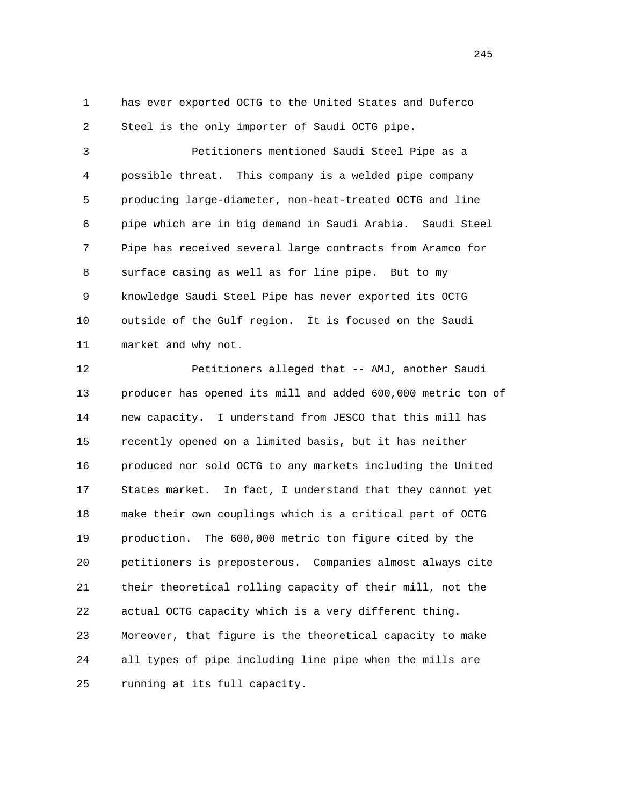1 has ever exported OCTG to the United States and Duferco 2 Steel is the only importer of Saudi OCTG pipe.

 3 Petitioners mentioned Saudi Steel Pipe as a 4 possible threat. This company is a welded pipe company 5 producing large-diameter, non-heat-treated OCTG and line 6 pipe which are in big demand in Saudi Arabia. Saudi Steel 7 Pipe has received several large contracts from Aramco for 8 surface casing as well as for line pipe. But to my 9 knowledge Saudi Steel Pipe has never exported its OCTG 10 outside of the Gulf region. It is focused on the Saudi 11 market and why not.

 12 Petitioners alleged that -- AMJ, another Saudi 13 producer has opened its mill and added 600,000 metric ton of 14 new capacity. I understand from JESCO that this mill has 15 recently opened on a limited basis, but it has neither 16 produced nor sold OCTG to any markets including the United 17 States market. In fact, I understand that they cannot yet 18 make their own couplings which is a critical part of OCTG 19 production. The 600,000 metric ton figure cited by the 20 petitioners is preposterous. Companies almost always cite 21 their theoretical rolling capacity of their mill, not the 22 actual OCTG capacity which is a very different thing. 23 Moreover, that figure is the theoretical capacity to make 24 all types of pipe including line pipe when the mills are 25 running at its full capacity.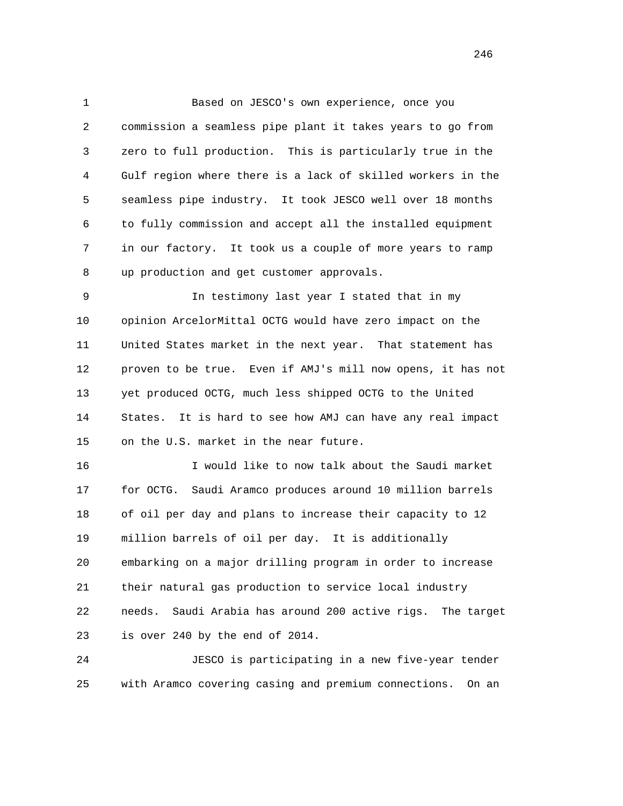1 Based on JESCO's own experience, once you 2 commission a seamless pipe plant it takes years to go from 3 zero to full production. This is particularly true in the 4 Gulf region where there is a lack of skilled workers in the 5 seamless pipe industry. It took JESCO well over 18 months 6 to fully commission and accept all the installed equipment 7 in our factory. It took us a couple of more years to ramp 8 up production and get customer approvals.

 9 In testimony last year I stated that in my 10 opinion ArcelorMittal OCTG would have zero impact on the 11 United States market in the next year. That statement has 12 proven to be true. Even if AMJ's mill now opens, it has not 13 yet produced OCTG, much less shipped OCTG to the United 14 States. It is hard to see how AMJ can have any real impact 15 on the U.S. market in the near future.

 16 I would like to now talk about the Saudi market 17 for OCTG. Saudi Aramco produces around 10 million barrels 18 of oil per day and plans to increase their capacity to 12 19 million barrels of oil per day. It is additionally 20 embarking on a major drilling program in order to increase 21 their natural gas production to service local industry 22 needs. Saudi Arabia has around 200 active rigs. The target 23 is over 240 by the end of 2014.

 24 JESCO is participating in a new five-year tender 25 with Aramco covering casing and premium connections. On an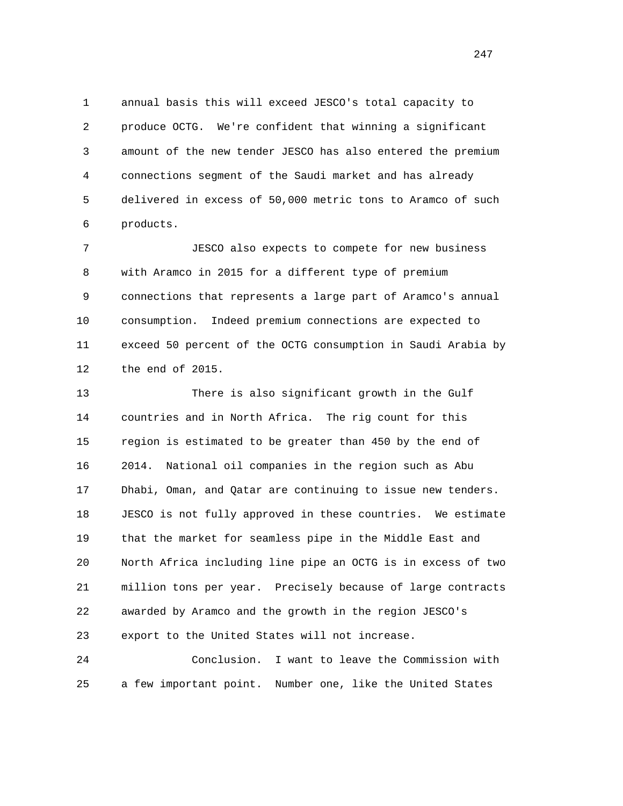1 annual basis this will exceed JESCO's total capacity to 2 produce OCTG. We're confident that winning a significant 3 amount of the new tender JESCO has also entered the premium 4 connections segment of the Saudi market and has already 5 delivered in excess of 50,000 metric tons to Aramco of such 6 products.

 7 JESCO also expects to compete for new business 8 with Aramco in 2015 for a different type of premium 9 connections that represents a large part of Aramco's annual 10 consumption. Indeed premium connections are expected to 11 exceed 50 percent of the OCTG consumption in Saudi Arabia by 12 the end of 2015.

 13 There is also significant growth in the Gulf 14 countries and in North Africa. The rig count for this 15 region is estimated to be greater than 450 by the end of 16 2014. National oil companies in the region such as Abu 17 Dhabi, Oman, and Qatar are continuing to issue new tenders. 18 JESCO is not fully approved in these countries. We estimate 19 that the market for seamless pipe in the Middle East and 20 North Africa including line pipe an OCTG is in excess of two 21 million tons per year. Precisely because of large contracts 22 awarded by Aramco and the growth in the region JESCO's 23 export to the United States will not increase.

 24 Conclusion. I want to leave the Commission with 25 a few important point. Number one, like the United States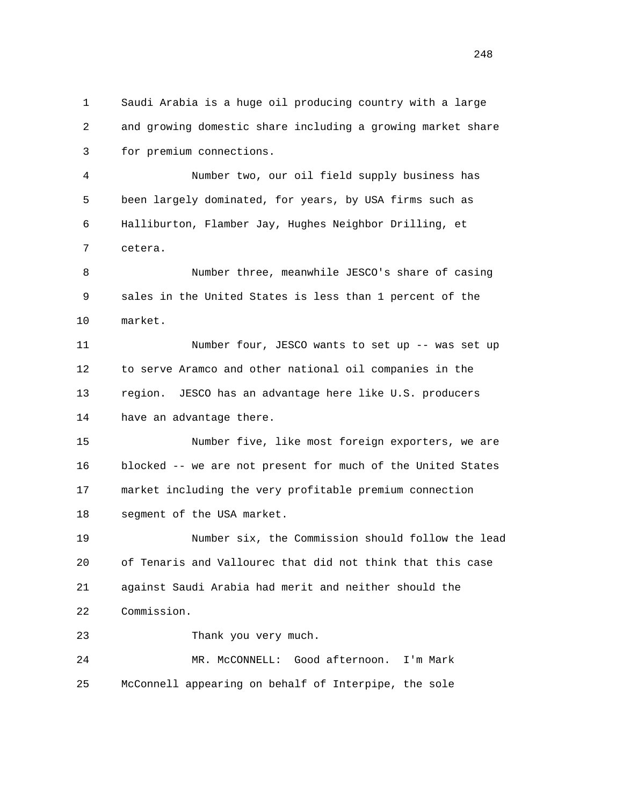1 Saudi Arabia is a huge oil producing country with a large 2 and growing domestic share including a growing market share 3 for premium connections. 4 Number two, our oil field supply business has 5 been largely dominated, for years, by USA firms such as 6 Halliburton, Flamber Jay, Hughes Neighbor Drilling, et 7 cetera. 8 Number three, meanwhile JESCO's share of casing 9 sales in the United States is less than 1 percent of the 10 market. 11 Number four, JESCO wants to set up -- was set up 12 to serve Aramco and other national oil companies in the 13 region. JESCO has an advantage here like U.S. producers 14 have an advantage there. 15 Number five, like most foreign exporters, we are 16 blocked -- we are not present for much of the United States 17 market including the very profitable premium connection 18 segment of the USA market. 19 Number six, the Commission should follow the lead 20 of Tenaris and Vallourec that did not think that this case 21 against Saudi Arabia had merit and neither should the 22 Commission. 23 Thank you very much. 24 MR. McCONNELL: Good afternoon. I'm Mark 25 McConnell appearing on behalf of Interpipe, the sole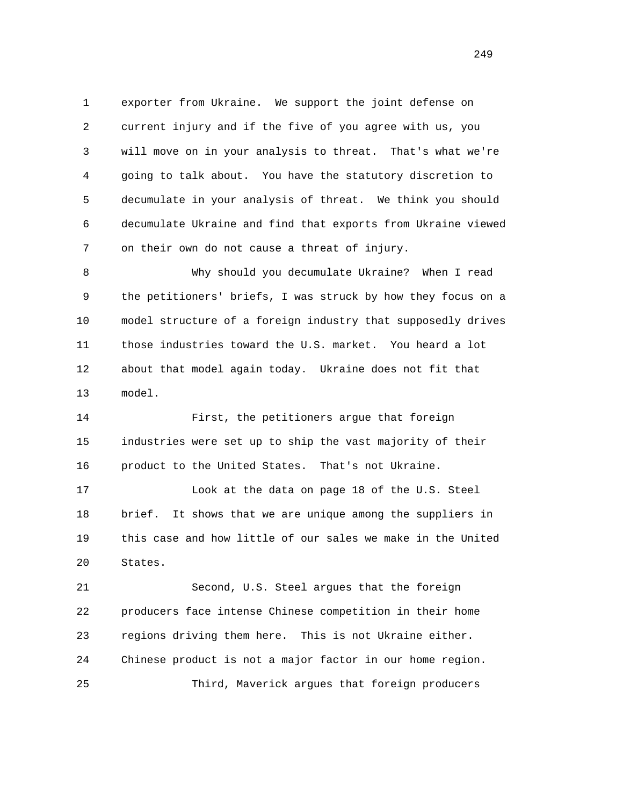1 exporter from Ukraine. We support the joint defense on 2 current injury and if the five of you agree with us, you 3 will move on in your analysis to threat. That's what we're 4 going to talk about. You have the statutory discretion to 5 decumulate in your analysis of threat. We think you should 6 decumulate Ukraine and find that exports from Ukraine viewed 7 on their own do not cause a threat of injury.

 8 Why should you decumulate Ukraine? When I read 9 the petitioners' briefs, I was struck by how they focus on a 10 model structure of a foreign industry that supposedly drives 11 those industries toward the U.S. market. You heard a lot 12 about that model again today. Ukraine does not fit that 13 model.

 14 First, the petitioners argue that foreign 15 industries were set up to ship the vast majority of their 16 product to the United States. That's not Ukraine.

 17 Look at the data on page 18 of the U.S. Steel 18 brief. It shows that we are unique among the suppliers in 19 this case and how little of our sales we make in the United 20 States.

 21 Second, U.S. Steel argues that the foreign 22 producers face intense Chinese competition in their home 23 regions driving them here. This is not Ukraine either. 24 Chinese product is not a major factor in our home region. 25 Third, Maverick argues that foreign producers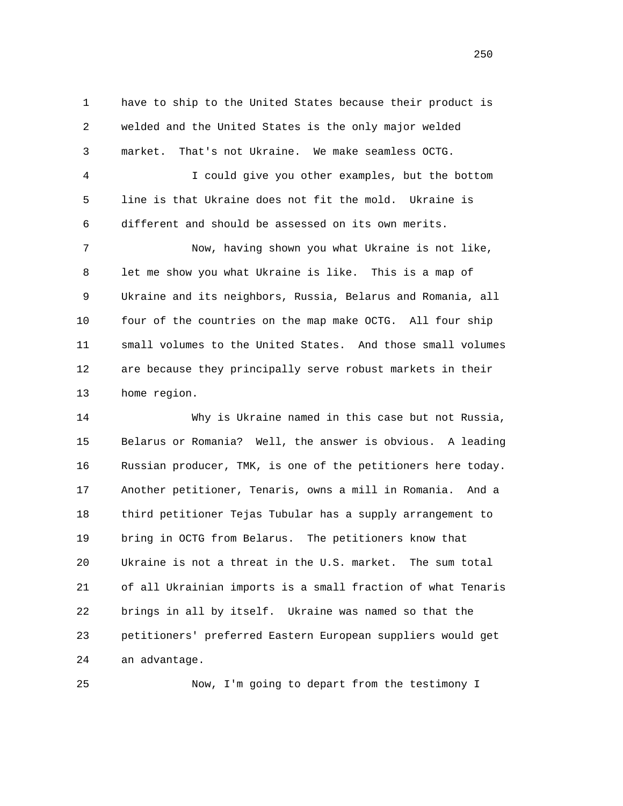1 have to ship to the United States because their product is 2 welded and the United States is the only major welded 3 market. That's not Ukraine. We make seamless OCTG.

 4 I could give you other examples, but the bottom 5 line is that Ukraine does not fit the mold. Ukraine is 6 different and should be assessed on its own merits.

 7 Now, having shown you what Ukraine is not like, 8 let me show you what Ukraine is like. This is a map of 9 Ukraine and its neighbors, Russia, Belarus and Romania, all 10 four of the countries on the map make OCTG. All four ship 11 small volumes to the United States. And those small volumes 12 are because they principally serve robust markets in their 13 home region.

 14 Why is Ukraine named in this case but not Russia, 15 Belarus or Romania? Well, the answer is obvious. A leading 16 Russian producer, TMK, is one of the petitioners here today. 17 Another petitioner, Tenaris, owns a mill in Romania. And a 18 third petitioner Tejas Tubular has a supply arrangement to 19 bring in OCTG from Belarus. The petitioners know that 20 Ukraine is not a threat in the U.S. market. The sum total 21 of all Ukrainian imports is a small fraction of what Tenaris 22 brings in all by itself. Ukraine was named so that the 23 petitioners' preferred Eastern European suppliers would get 24 an advantage.

25 Now, I'm going to depart from the testimony I

<u>250</u>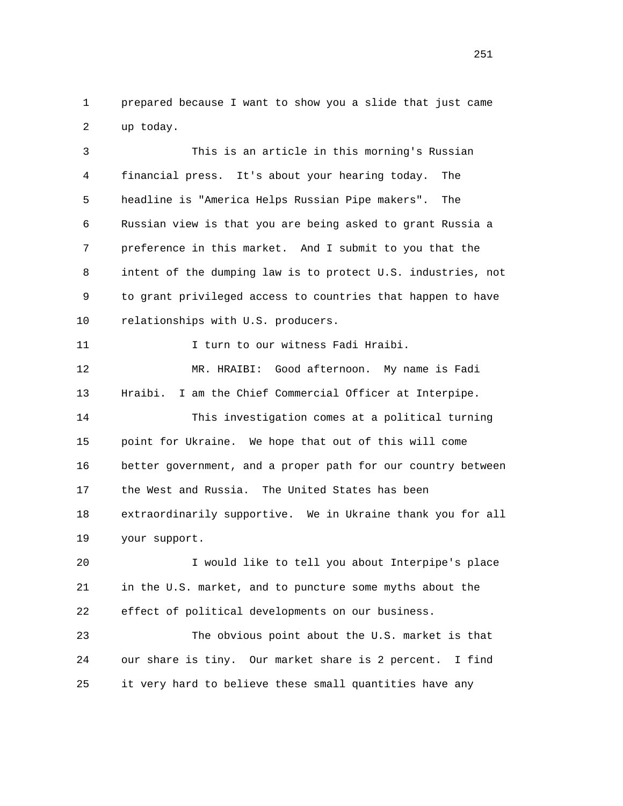1 prepared because I want to show you a slide that just came 2 up today.

 3 This is an article in this morning's Russian 4 financial press. It's about your hearing today. The 5 headline is "America Helps Russian Pipe makers". The 6 Russian view is that you are being asked to grant Russia a 7 preference in this market. And I submit to you that the 8 intent of the dumping law is to protect U.S. industries, not 9 to grant privileged access to countries that happen to have 10 relationships with U.S. producers.

11 11 I turn to our witness Fadi Hraibi.

 12 MR. HRAIBI: Good afternoon. My name is Fadi 13 Hraibi. I am the Chief Commercial Officer at Interpipe. 14 This investigation comes at a political turning 15 point for Ukraine. We hope that out of this will come 16 better government, and a proper path for our country between 17 the West and Russia. The United States has been 18 extraordinarily supportive. We in Ukraine thank you for all 19 your support.

 20 I would like to tell you about Interpipe's place 21 in the U.S. market, and to puncture some myths about the 22 effect of political developments on our business.

 23 The obvious point about the U.S. market is that 24 our share is tiny. Our market share is 2 percent. I find 25 it very hard to believe these small quantities have any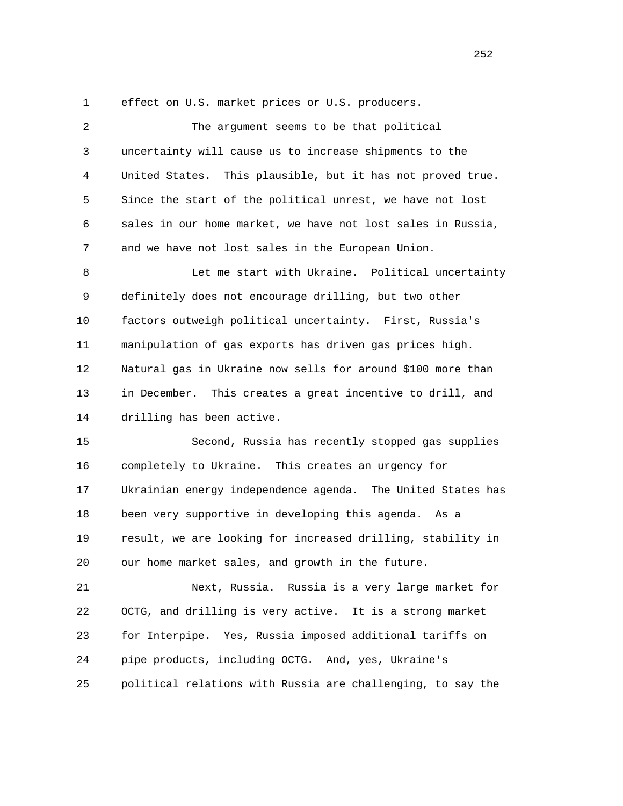1 effect on U.S. market prices or U.S. producers.

| $\overline{2}$ | The argument seems to be that political                     |
|----------------|-------------------------------------------------------------|
| 3              | uncertainty will cause us to increase shipments to the      |
| 4              | United States. This plausible, but it has not proved true.  |
| 5              | Since the start of the political unrest, we have not lost   |
| 6              | sales in our home market, we have not lost sales in Russia, |
| 7              | and we have not lost sales in the European Union.           |
| 8              | Let me start with Ukraine. Political uncertainty            |
| 9              | definitely does not encourage drilling, but two other       |
| 10             | factors outweigh political uncertainty. First, Russia's     |
| 11             | manipulation of gas exports has driven gas prices high.     |
| 12             | Natural gas in Ukraine now sells for around \$100 more than |
| 13             | in December. This creates a great incentive to drill, and   |
| 14             | drilling has been active.                                   |
| 15             | Second, Russia has recently stopped gas supplies            |
| 16             | completely to Ukraine. This creates an urgency for          |
| 17             | Ukrainian energy independence agenda. The United States has |
| 18             | been very supportive in developing this agenda. As a        |
| 19             | result, we are looking for increased drilling, stability in |
| 20             | our home market sales, and growth in the future.            |
| 21             | Next, Russia. Russia is a very large market for             |
| 22             | OCTG, and drilling is very active.<br>It is a strong market |
| 23             | for Interpipe. Yes, Russia imposed additional tariffs on    |
| 24             | pipe products, including OCTG. And, yes, Ukraine's          |
| 25             | political relations with Russia are challenging, to say the |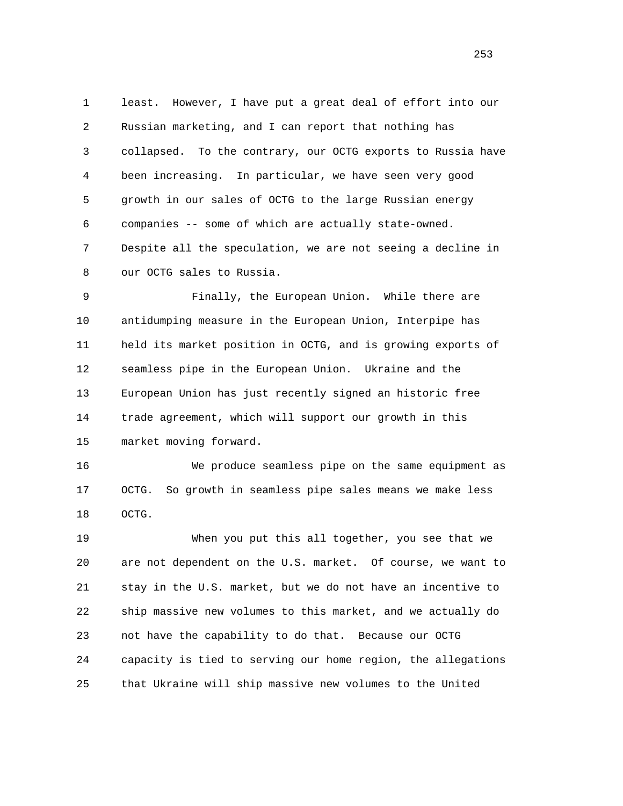1 least. However, I have put a great deal of effort into our 2 Russian marketing, and I can report that nothing has 3 collapsed. To the contrary, our OCTG exports to Russia have 4 been increasing. In particular, we have seen very good 5 growth in our sales of OCTG to the large Russian energy 6 companies -- some of which are actually state-owned. 7 Despite all the speculation, we are not seeing a decline in 8 our OCTG sales to Russia.

 9 Finally, the European Union. While there are 10 antidumping measure in the European Union, Interpipe has 11 held its market position in OCTG, and is growing exports of 12 seamless pipe in the European Union. Ukraine and the 13 European Union has just recently signed an historic free 14 trade agreement, which will support our growth in this 15 market moving forward.

 16 We produce seamless pipe on the same equipment as 17 OCTG. So growth in seamless pipe sales means we make less 18 OCTG.

 19 When you put this all together, you see that we 20 are not dependent on the U.S. market. Of course, we want to 21 stay in the U.S. market, but we do not have an incentive to 22 ship massive new volumes to this market, and we actually do 23 not have the capability to do that. Because our OCTG 24 capacity is tied to serving our home region, the allegations 25 that Ukraine will ship massive new volumes to the United

<u>253</u>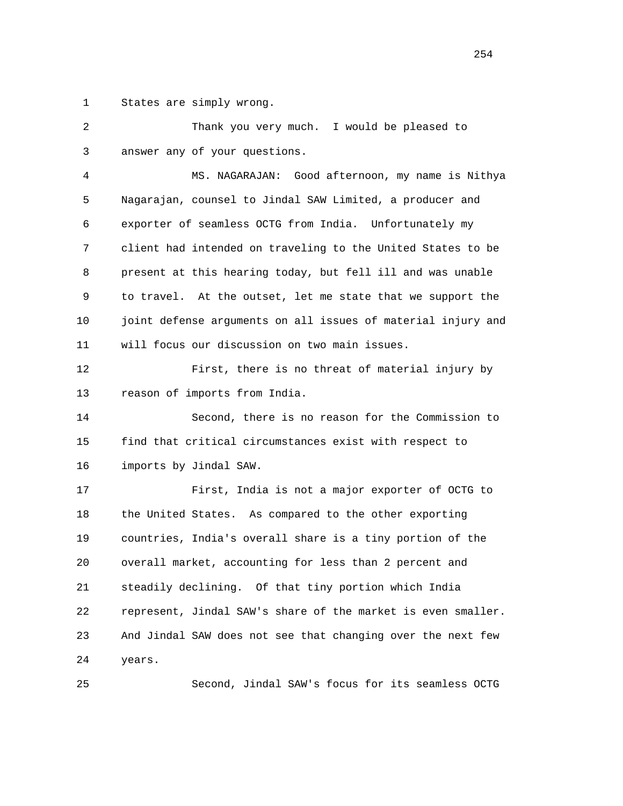1 States are simply wrong.

| 2  | Thank you very much. I would be pleased to                   |
|----|--------------------------------------------------------------|
| 3  | answer any of your questions.                                |
| 4  | MS. NAGARAJAN: Good afternoon, my name is Nithya             |
| 5  | Nagarajan, counsel to Jindal SAW Limited, a producer and     |
| 6  | exporter of seamless OCTG from India. Unfortunately my       |
| 7  | client had intended on traveling to the United States to be  |
| 8  | present at this hearing today, but fell ill and was unable   |
| 9  | to travel. At the outset, let me state that we support the   |
| 10 | joint defense arguments on all issues of material injury and |
| 11 | will focus our discussion on two main issues.                |
| 12 | First, there is no threat of material injury by              |
| 13 | reason of imports from India.                                |
| 14 | Second, there is no reason for the Commission to             |
| 15 | find that critical circumstances exist with respect to       |
| 16 | imports by Jindal SAW.                                       |
| 17 | First, India is not a major exporter of OCTG to              |
| 18 | the United States. As compared to the other exporting        |
| 19 | countries, India's overall share is a tiny portion of the    |
| 20 | overall market, accounting for less than 2 percent and       |
| 21 | steadily declining. Of that tiny portion which India         |
| 22 | represent, Jindal SAW's share of the market is even smaller. |
| 23 | And Jindal SAW does not see that changing over the next few  |
| 24 | years.                                                       |
| 25 | Second, Jindal SAW's focus for its seamless OCTG             |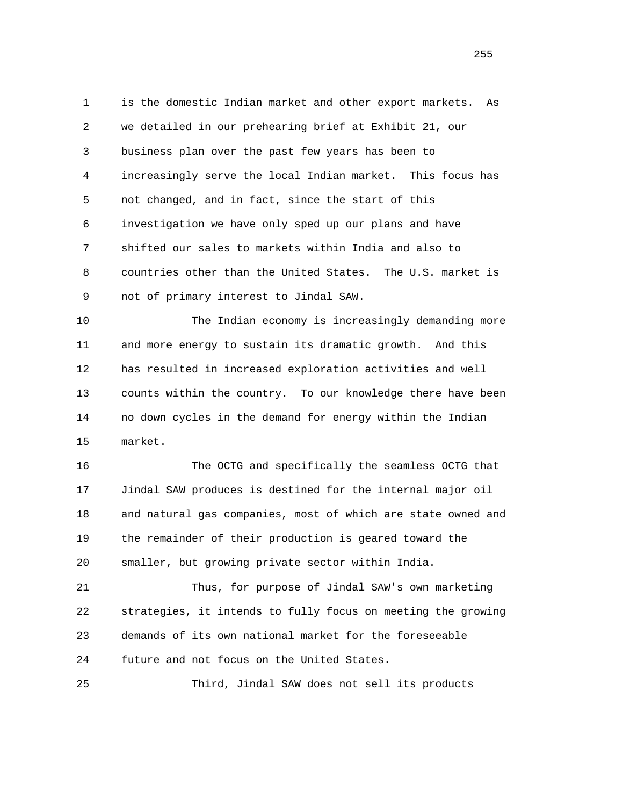1 is the domestic Indian market and other export markets. As 2 we detailed in our prehearing brief at Exhibit 21, our 3 business plan over the past few years has been to 4 increasingly serve the local Indian market. This focus has 5 not changed, and in fact, since the start of this 6 investigation we have only sped up our plans and have 7 shifted our sales to markets within India and also to 8 countries other than the United States. The U.S. market is 9 not of primary interest to Jindal SAW.

 10 The Indian economy is increasingly demanding more 11 and more energy to sustain its dramatic growth. And this 12 has resulted in increased exploration activities and well 13 counts within the country. To our knowledge there have been 14 no down cycles in the demand for energy within the Indian 15 market.

 16 The OCTG and specifically the seamless OCTG that 17 Jindal SAW produces is destined for the internal major oil 18 and natural gas companies, most of which are state owned and 19 the remainder of their production is geared toward the 20 smaller, but growing private sector within India.

 21 Thus, for purpose of Jindal SAW's own marketing 22 strategies, it intends to fully focus on meeting the growing 23 demands of its own national market for the foreseeable 24 future and not focus on the United States.

25 Third, Jindal SAW does not sell its products

<u>255</u>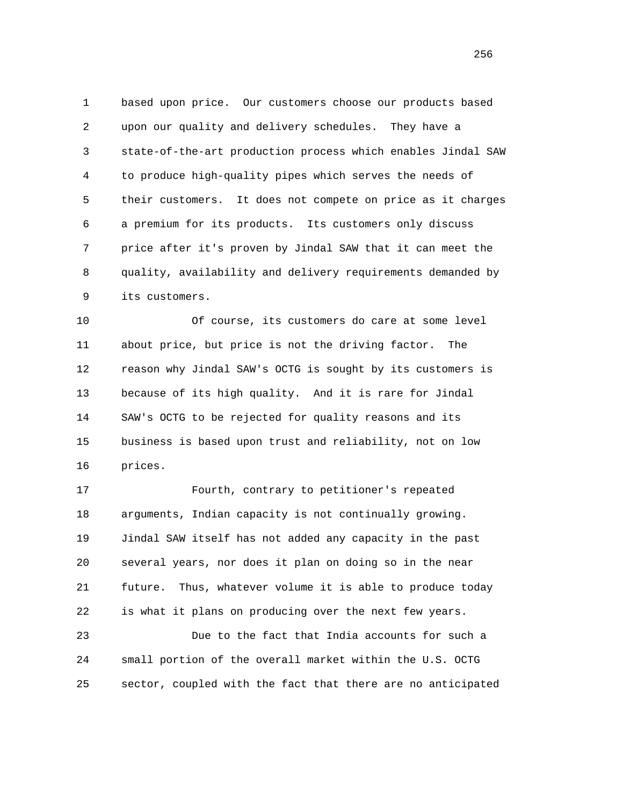1 based upon price. Our customers choose our products based 2 upon our quality and delivery schedules. They have a 3 state-of-the-art production process which enables Jindal SAW 4 to produce high-quality pipes which serves the needs of 5 their customers. It does not compete on price as it charges 6 a premium for its products. Its customers only discuss 7 price after it's proven by Jindal SAW that it can meet the 8 quality, availability and delivery requirements demanded by 9 its customers.

 10 Of course, its customers do care at some level 11 about price, but price is not the driving factor. The 12 reason why Jindal SAW's OCTG is sought by its customers is 13 because of its high quality. And it is rare for Jindal 14 SAW's OCTG to be rejected for quality reasons and its 15 business is based upon trust and reliability, not on low 16 prices.

 17 Fourth, contrary to petitioner's repeated 18 arguments, Indian capacity is not continually growing. 19 Jindal SAW itself has not added any capacity in the past 20 several years, nor does it plan on doing so in the near 21 future. Thus, whatever volume it is able to produce today 22 is what it plans on producing over the next few years.

 23 Due to the fact that India accounts for such a 24 small portion of the overall market within the U.S. OCTG 25 sector, coupled with the fact that there are no anticipated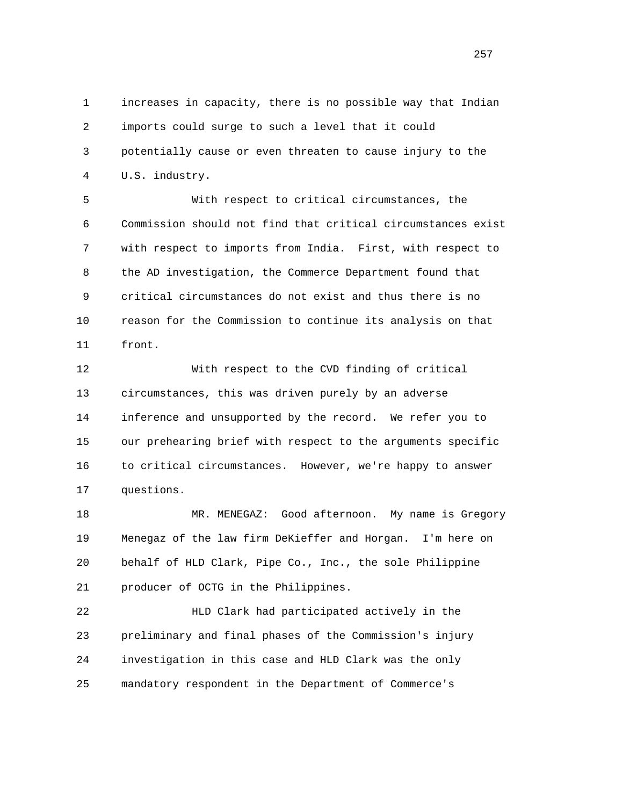1 increases in capacity, there is no possible way that Indian 2 imports could surge to such a level that it could 3 potentially cause or even threaten to cause injury to the 4 U.S. industry.

 5 With respect to critical circumstances, the 6 Commission should not find that critical circumstances exist 7 with respect to imports from India. First, with respect to 8 the AD investigation, the Commerce Department found that 9 critical circumstances do not exist and thus there is no 10 reason for the Commission to continue its analysis on that 11 front.

 12 With respect to the CVD finding of critical 13 circumstances, this was driven purely by an adverse 14 inference and unsupported by the record. We refer you to 15 our prehearing brief with respect to the arguments specific 16 to critical circumstances. However, we're happy to answer 17 questions.

 18 MR. MENEGAZ: Good afternoon. My name is Gregory 19 Menegaz of the law firm DeKieffer and Horgan. I'm here on 20 behalf of HLD Clark, Pipe Co., Inc., the sole Philippine 21 producer of OCTG in the Philippines.

 22 HLD Clark had participated actively in the 23 preliminary and final phases of the Commission's injury 24 investigation in this case and HLD Clark was the only 25 mandatory respondent in the Department of Commerce's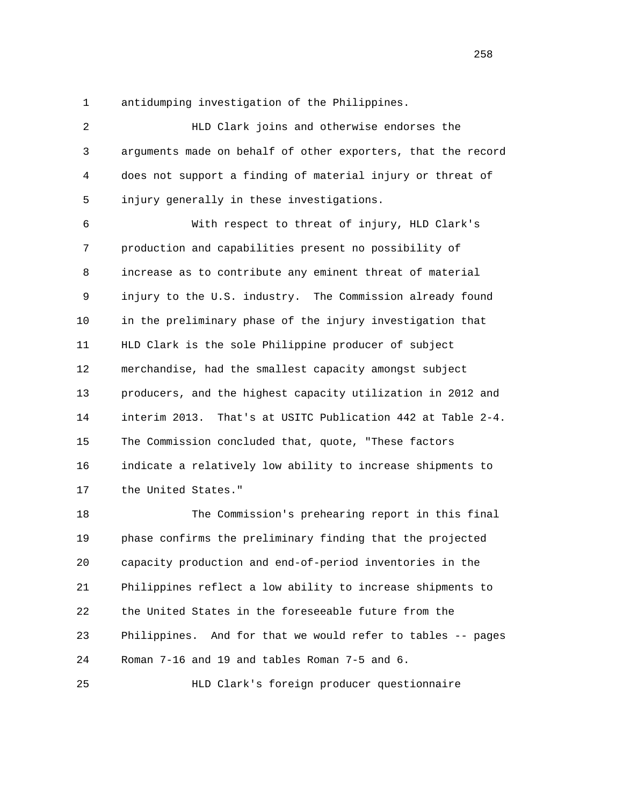1 antidumping investigation of the Philippines.

 2 HLD Clark joins and otherwise endorses the 3 arguments made on behalf of other exporters, that the record 4 does not support a finding of material injury or threat of 5 injury generally in these investigations.

 6 With respect to threat of injury, HLD Clark's 7 production and capabilities present no possibility of 8 increase as to contribute any eminent threat of material 9 injury to the U.S. industry. The Commission already found 10 in the preliminary phase of the injury investigation that 11 HLD Clark is the sole Philippine producer of subject 12 merchandise, had the smallest capacity amongst subject 13 producers, and the highest capacity utilization in 2012 and 14 interim 2013. That's at USITC Publication 442 at Table 2-4. 15 The Commission concluded that, quote, "These factors 16 indicate a relatively low ability to increase shipments to 17 the United States."

 18 The Commission's prehearing report in this final 19 phase confirms the preliminary finding that the projected 20 capacity production and end-of-period inventories in the 21 Philippines reflect a low ability to increase shipments to 22 the United States in the foreseeable future from the 23 Philippines. And for that we would refer to tables -- pages 24 Roman 7-16 and 19 and tables Roman 7-5 and 6.

25 HLD Clark's foreign producer questionnaire

<u>258</u>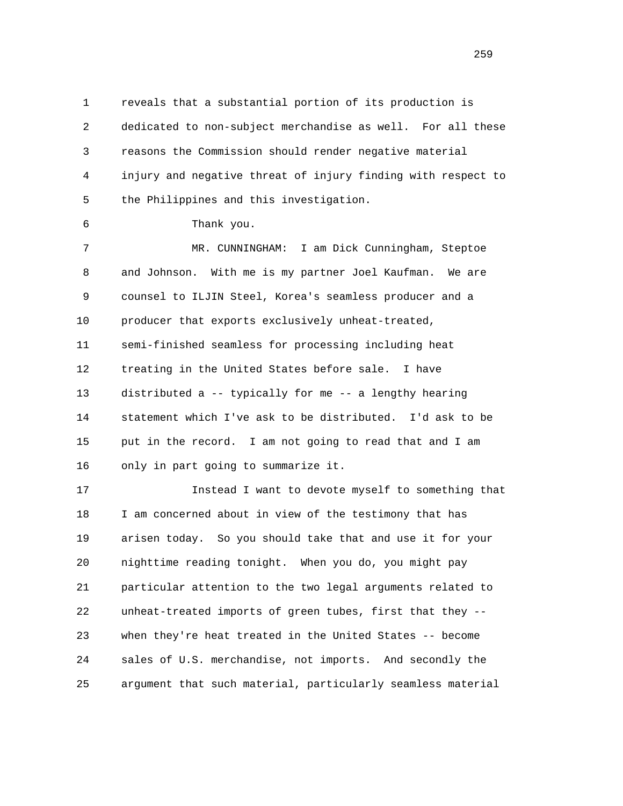1 reveals that a substantial portion of its production is 2 dedicated to non-subject merchandise as well. For all these 3 reasons the Commission should render negative material 4 injury and negative threat of injury finding with respect to 5 the Philippines and this investigation.

6 Thank you.

 7 MR. CUNNINGHAM: I am Dick Cunningham, Steptoe 8 and Johnson. With me is my partner Joel Kaufman. We are 9 counsel to ILJIN Steel, Korea's seamless producer and a 10 producer that exports exclusively unheat-treated, 11 semi-finished seamless for processing including heat 12 treating in the United States before sale. I have 13 distributed a -- typically for me -- a lengthy hearing 14 statement which I've ask to be distributed. I'd ask to be 15 put in the record. I am not going to read that and I am 16 only in part going to summarize it.

 17 Instead I want to devote myself to something that 18 I am concerned about in view of the testimony that has 19 arisen today. So you should take that and use it for your 20 nighttime reading tonight. When you do, you might pay 21 particular attention to the two legal arguments related to 22 unheat-treated imports of green tubes, first that they -- 23 when they're heat treated in the United States -- become 24 sales of U.S. merchandise, not imports. And secondly the 25 argument that such material, particularly seamless material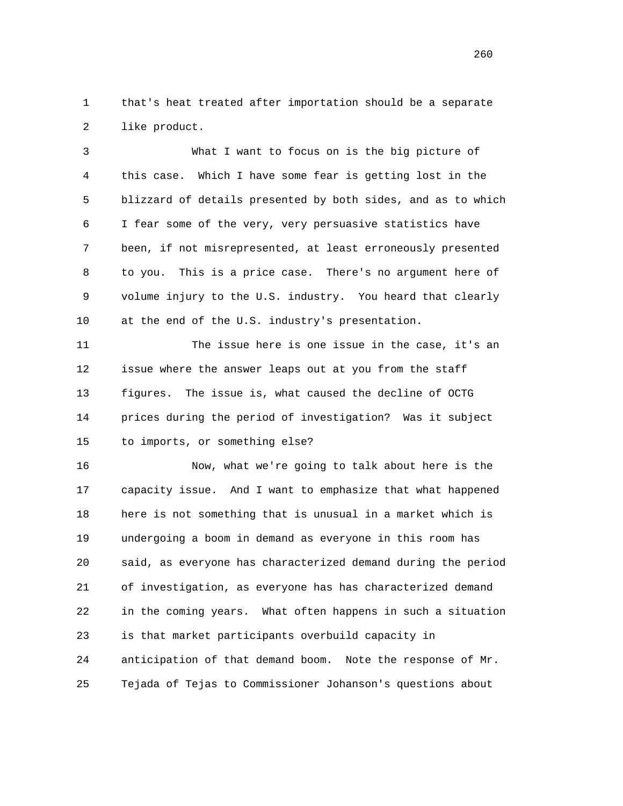1 that's heat treated after importation should be a separate 2 like product.

 3 What I want to focus on is the big picture of 4 this case. Which I have some fear is getting lost in the 5 blizzard of details presented by both sides, and as to which 6 I fear some of the very, very persuasive statistics have 7 been, if not misrepresented, at least erroneously presented 8 to you. This is a price case. There's no argument here of 9 volume injury to the U.S. industry. You heard that clearly 10 at the end of the U.S. industry's presentation.

 11 The issue here is one issue in the case, it's an 12 issue where the answer leaps out at you from the staff 13 figures. The issue is, what caused the decline of OCTG 14 prices during the period of investigation? Was it subject 15 to imports, or something else?

 16 Now, what we're going to talk about here is the 17 capacity issue. And I want to emphasize that what happened 18 here is not something that is unusual in a market which is 19 undergoing a boom in demand as everyone in this room has 20 said, as everyone has characterized demand during the period 21 of investigation, as everyone has has characterized demand 22 in the coming years. What often happens in such a situation 23 is that market participants overbuild capacity in 24 anticipation of that demand boom. Note the response of Mr. 25 Tejada of Tejas to Commissioner Johanson's questions about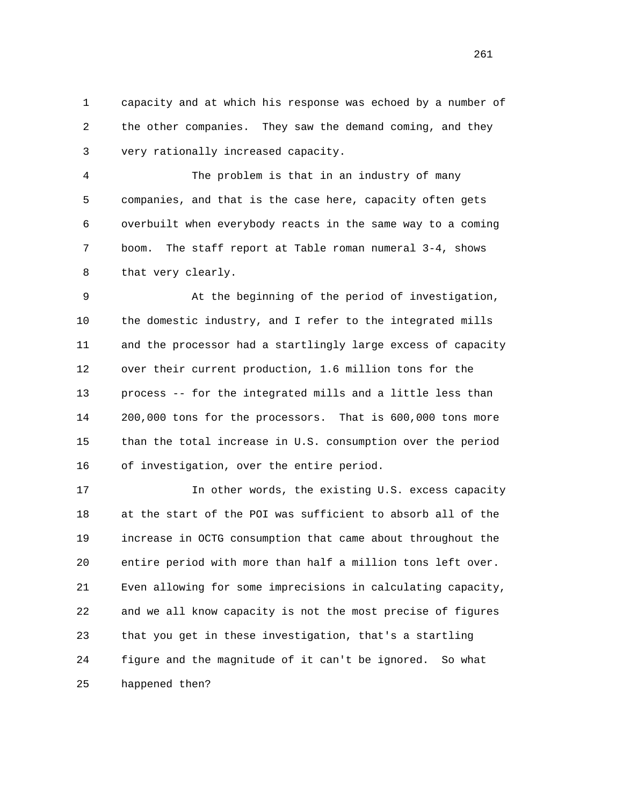1 capacity and at which his response was echoed by a number of 2 the other companies. They saw the demand coming, and they 3 very rationally increased capacity.

 4 The problem is that in an industry of many 5 companies, and that is the case here, capacity often gets 6 overbuilt when everybody reacts in the same way to a coming 7 boom. The staff report at Table roman numeral 3-4, shows 8 that very clearly.

 9 At the beginning of the period of investigation, 10 the domestic industry, and I refer to the integrated mills 11 and the processor had a startlingly large excess of capacity 12 over their current production, 1.6 million tons for the 13 process -- for the integrated mills and a little less than 14 200,000 tons for the processors. That is 600,000 tons more 15 than the total increase in U.S. consumption over the period 16 of investigation, over the entire period.

 17 In other words, the existing U.S. excess capacity 18 at the start of the POI was sufficient to absorb all of the 19 increase in OCTG consumption that came about throughout the 20 entire period with more than half a million tons left over. 21 Even allowing for some imprecisions in calculating capacity, 22 and we all know capacity is not the most precise of figures 23 that you get in these investigation, that's a startling 24 figure and the magnitude of it can't be ignored. So what 25 happened then?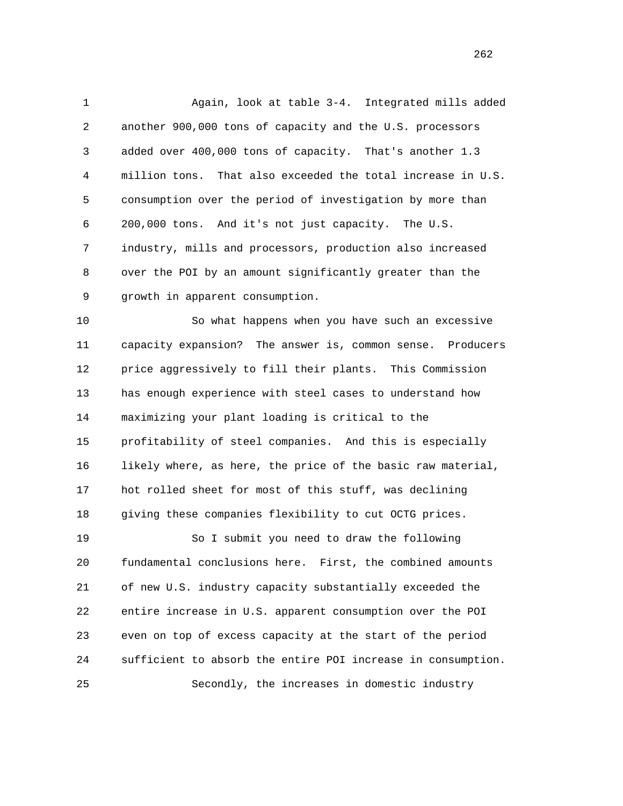1 Again, look at table 3-4. Integrated mills added 2 another 900,000 tons of capacity and the U.S. processors 3 added over 400,000 tons of capacity. That's another 1.3 4 million tons. That also exceeded the total increase in U.S. 5 consumption over the period of investigation by more than 6 200,000 tons. And it's not just capacity. The U.S. 7 industry, mills and processors, production also increased 8 over the POI by an amount significantly greater than the 9 growth in apparent consumption.

 10 So what happens when you have such an excessive 11 capacity expansion? The answer is, common sense. Producers 12 price aggressively to fill their plants. This Commission 13 has enough experience with steel cases to understand how 14 maximizing your plant loading is critical to the 15 profitability of steel companies. And this is especially 16 likely where, as here, the price of the basic raw material, 17 hot rolled sheet for most of this stuff, was declining 18 giving these companies flexibility to cut OCTG prices.

 19 So I submit you need to draw the following 20 fundamental conclusions here. First, the combined amounts 21 of new U.S. industry capacity substantially exceeded the 22 entire increase in U.S. apparent consumption over the POI 23 even on top of excess capacity at the start of the period 24 sufficient to absorb the entire POI increase in consumption. 25 Secondly, the increases in domestic industry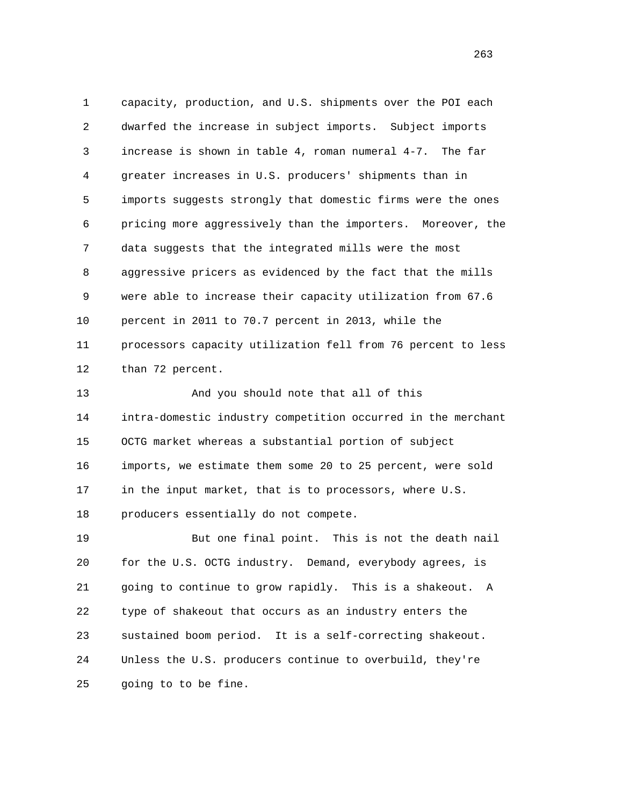1 capacity, production, and U.S. shipments over the POI each 2 dwarfed the increase in subject imports. Subject imports 3 increase is shown in table 4, roman numeral 4-7. The far 4 greater increases in U.S. producers' shipments than in 5 imports suggests strongly that domestic firms were the ones 6 pricing more aggressively than the importers. Moreover, the 7 data suggests that the integrated mills were the most 8 aggressive pricers as evidenced by the fact that the mills 9 were able to increase their capacity utilization from 67.6 10 percent in 2011 to 70.7 percent in 2013, while the 11 processors capacity utilization fell from 76 percent to less 12 than 72 percent.

13 And you should note that all of this 14 intra-domestic industry competition occurred in the merchant 15 OCTG market whereas a substantial portion of subject 16 imports, we estimate them some 20 to 25 percent, were sold 17 in the input market, that is to processors, where U.S. 18 producers essentially do not compete.

 19 But one final point. This is not the death nail 20 for the U.S. OCTG industry. Demand, everybody agrees, is 21 going to continue to grow rapidly. This is a shakeout. A 22 type of shakeout that occurs as an industry enters the 23 sustained boom period. It is a self-correcting shakeout. 24 Unless the U.S. producers continue to overbuild, they're 25 going to to be fine.

<u>263</u>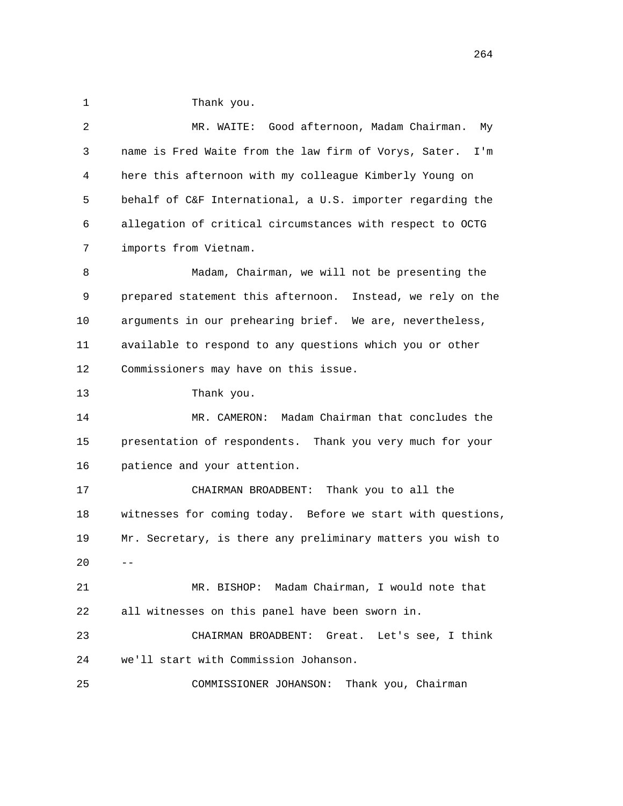1 Thank you. 2 MR. WAITE: Good afternoon, Madam Chairman. My 3 name is Fred Waite from the law firm of Vorys, Sater. I'm 4 here this afternoon with my colleague Kimberly Young on 5 behalf of C&F International, a U.S. importer regarding the 6 allegation of critical circumstances with respect to OCTG 7 imports from Vietnam. 8 Madam, Chairman, we will not be presenting the 9 prepared statement this afternoon. Instead, we rely on the 10 arguments in our prehearing brief. We are, nevertheless, 11 available to respond to any questions which you or other 12 Commissioners may have on this issue. 13 Thank you. 14 MR. CAMERON: Madam Chairman that concludes the 15 presentation of respondents. Thank you very much for your 16 patience and your attention. 17 CHAIRMAN BROADBENT: Thank you to all the 18 witnesses for coming today. Before we start with questions, 19 Mr. Secretary, is there any preliminary matters you wish to  $20 - -$  21 MR. BISHOP: Madam Chairman, I would note that 22 all witnesses on this panel have been sworn in. 23 CHAIRMAN BROADBENT: Great. Let's see, I think 24 we'll start with Commission Johanson. 25 COMMISSIONER JOHANSON: Thank you, Chairman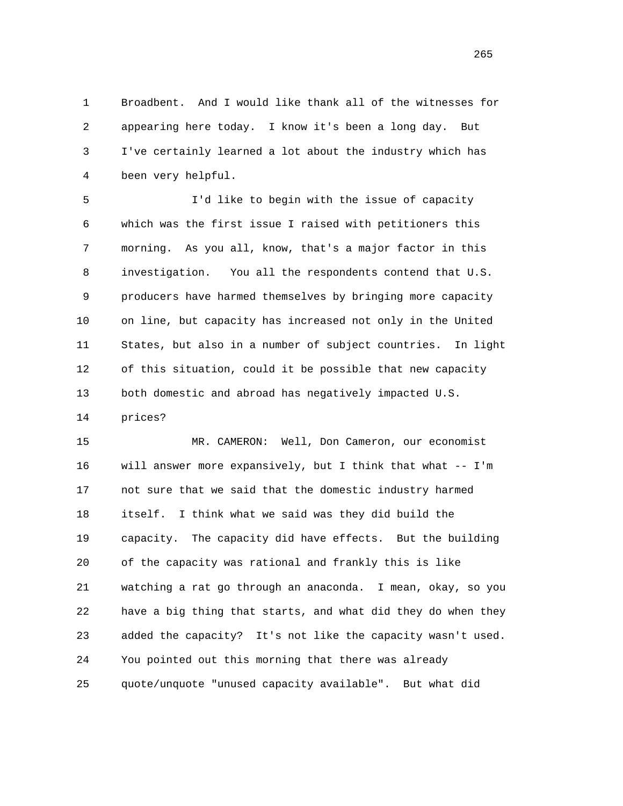1 Broadbent. And I would like thank all of the witnesses for 2 appearing here today. I know it's been a long day. But 3 I've certainly learned a lot about the industry which has 4 been very helpful.

 5 I'd like to begin with the issue of capacity 6 which was the first issue I raised with petitioners this 7 morning. As you all, know, that's a major factor in this 8 investigation. You all the respondents contend that U.S. 9 producers have harmed themselves by bringing more capacity 10 on line, but capacity has increased not only in the United 11 States, but also in a number of subject countries. In light 12 of this situation, could it be possible that new capacity 13 both domestic and abroad has negatively impacted U.S.

14 prices?

 15 MR. CAMERON: Well, Don Cameron, our economist 16 will answer more expansively, but I think that what -- I'm 17 not sure that we said that the domestic industry harmed 18 itself. I think what we said was they did build the 19 capacity. The capacity did have effects. But the building 20 of the capacity was rational and frankly this is like 21 watching a rat go through an anaconda. I mean, okay, so you 22 have a big thing that starts, and what did they do when they 23 added the capacity? It's not like the capacity wasn't used. 24 You pointed out this morning that there was already 25 quote/unquote "unused capacity available". But what did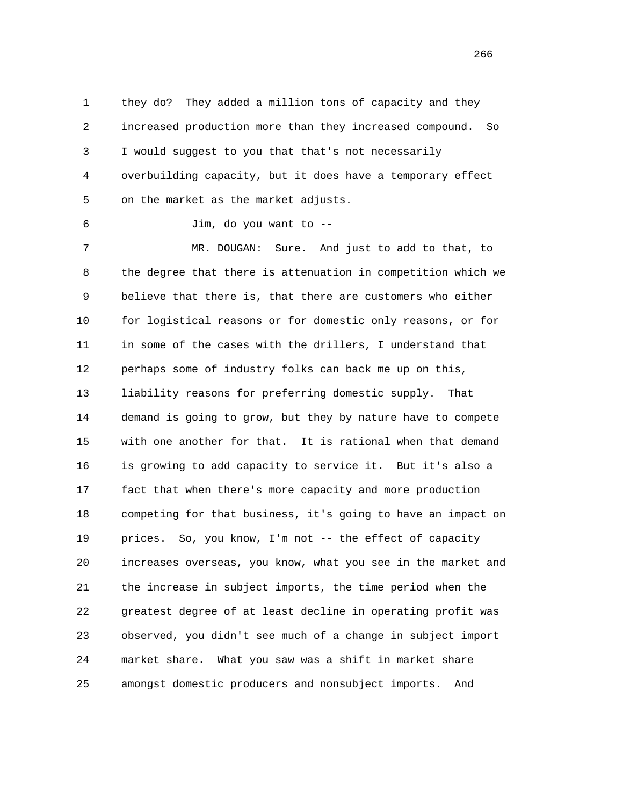1 they do? They added a million tons of capacity and they 2 increased production more than they increased compound. So 3 I would suggest to you that that's not necessarily 4 overbuilding capacity, but it does have a temporary effect 5 on the market as the market adjusts.

6 Jim, do you want to --

 7 MR. DOUGAN: Sure. And just to add to that, to 8 the degree that there is attenuation in competition which we 9 believe that there is, that there are customers who either 10 for logistical reasons or for domestic only reasons, or for 11 in some of the cases with the drillers, I understand that 12 perhaps some of industry folks can back me up on this, 13 liability reasons for preferring domestic supply. That 14 demand is going to grow, but they by nature have to compete 15 with one another for that. It is rational when that demand 16 is growing to add capacity to service it. But it's also a 17 fact that when there's more capacity and more production 18 competing for that business, it's going to have an impact on 19 prices. So, you know, I'm not -- the effect of capacity 20 increases overseas, you know, what you see in the market and 21 the increase in subject imports, the time period when the 22 greatest degree of at least decline in operating profit was 23 observed, you didn't see much of a change in subject import 24 market share. What you saw was a shift in market share 25 amongst domestic producers and nonsubject imports. And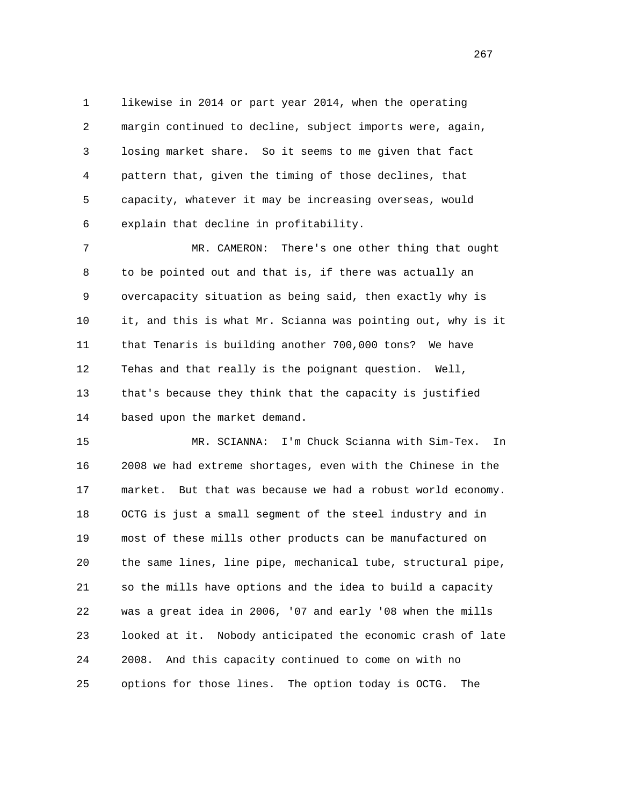1 likewise in 2014 or part year 2014, when the operating 2 margin continued to decline, subject imports were, again, 3 losing market share. So it seems to me given that fact 4 pattern that, given the timing of those declines, that 5 capacity, whatever it may be increasing overseas, would 6 explain that decline in profitability.

 7 MR. CAMERON: There's one other thing that ought 8 to be pointed out and that is, if there was actually an 9 overcapacity situation as being said, then exactly why is 10 it, and this is what Mr. Scianna was pointing out, why is it 11 that Tenaris is building another 700,000 tons? We have 12 Tehas and that really is the poignant question. Well, 13 that's because they think that the capacity is justified 14 based upon the market demand.

 15 MR. SCIANNA: I'm Chuck Scianna with Sim-Tex. In 16 2008 we had extreme shortages, even with the Chinese in the 17 market. But that was because we had a robust world economy. 18 OCTG is just a small segment of the steel industry and in 19 most of these mills other products can be manufactured on 20 the same lines, line pipe, mechanical tube, structural pipe, 21 so the mills have options and the idea to build a capacity 22 was a great idea in 2006, '07 and early '08 when the mills 23 looked at it. Nobody anticipated the economic crash of late 24 2008. And this capacity continued to come on with no 25 options for those lines. The option today is OCTG. The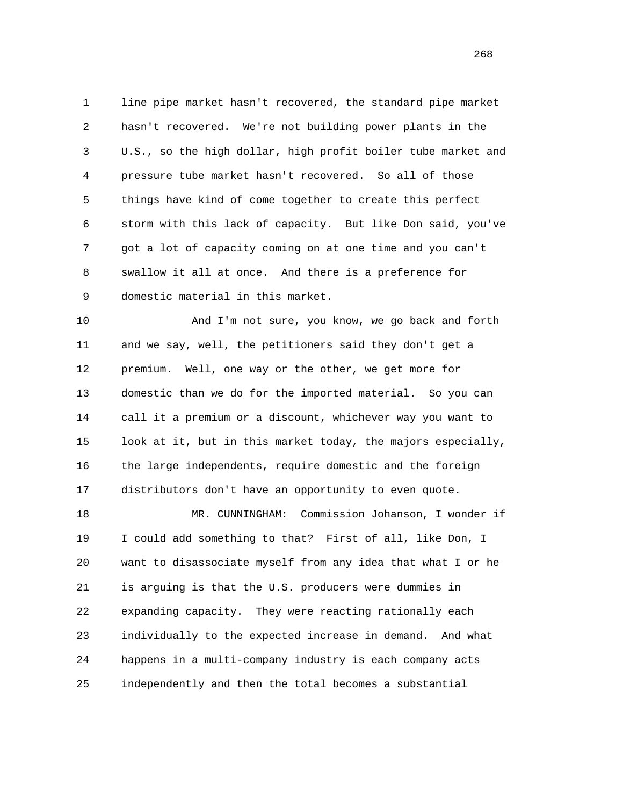1 line pipe market hasn't recovered, the standard pipe market 2 hasn't recovered. We're not building power plants in the 3 U.S., so the high dollar, high profit boiler tube market and 4 pressure tube market hasn't recovered. So all of those 5 things have kind of come together to create this perfect 6 storm with this lack of capacity. But like Don said, you've 7 got a lot of capacity coming on at one time and you can't 8 swallow it all at once. And there is a preference for 9 domestic material in this market.

 10 And I'm not sure, you know, we go back and forth 11 and we say, well, the petitioners said they don't get a 12 premium. Well, one way or the other, we get more for 13 domestic than we do for the imported material. So you can 14 call it a premium or a discount, whichever way you want to 15 look at it, but in this market today, the majors especially, 16 the large independents, require domestic and the foreign 17 distributors don't have an opportunity to even quote.

 18 MR. CUNNINGHAM: Commission Johanson, I wonder if 19 I could add something to that? First of all, like Don, I 20 want to disassociate myself from any idea that what I or he 21 is arguing is that the U.S. producers were dummies in 22 expanding capacity. They were reacting rationally each 23 individually to the expected increase in demand. And what 24 happens in a multi-company industry is each company acts 25 independently and then the total becomes a substantial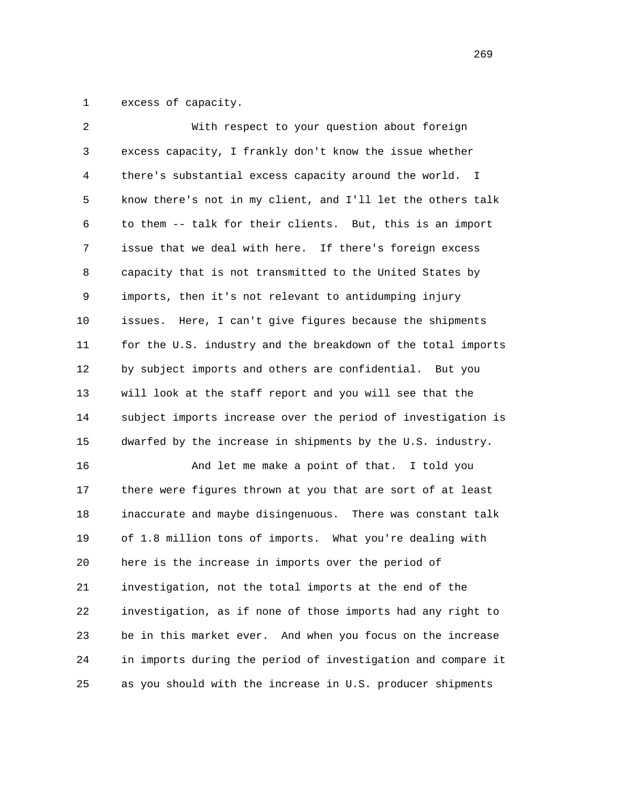1 excess of capacity.

| 2  | With respect to your question about foreign                  |
|----|--------------------------------------------------------------|
| 3  | excess capacity, I frankly don't know the issue whether      |
| 4  | there's substantial excess capacity around the world. I      |
| 5  | know there's not in my client, and I'll let the others talk  |
| 6  | to them -- talk for their clients. But, this is an import    |
| 7  | issue that we deal with here. If there's foreign excess      |
| 8  | capacity that is not transmitted to the United States by     |
| 9  | imports, then it's not relevant to antidumping injury        |
| 10 | Here, I can't give figures because the shipments<br>issues.  |
| 11 | for the U.S. industry and the breakdown of the total imports |
| 12 | by subject imports and others are confidential. But you      |
| 13 | will look at the staff report and you will see that the      |
| 14 | subject imports increase over the period of investigation is |
| 15 | dwarfed by the increase in shipments by the U.S. industry.   |
| 16 | And let me make a point of that. I told you                  |
| 17 | there were figures thrown at you that are sort of at least   |
| 18 | inaccurate and maybe disingenuous. There was constant talk   |
| 19 | of 1.8 million tons of imports. What you're dealing with     |
| 20 | here is the increase in imports over the period of           |
| 21 | investigation, not the total imports at the end of the       |
| 22 | investigation, as if none of those imports had any right to  |
| 23 | be in this market ever. And when you focus on the increase   |
| 24 | in imports during the period of investigation and compare it |
| 25 | as you should with the increase in U.S. producer shipments   |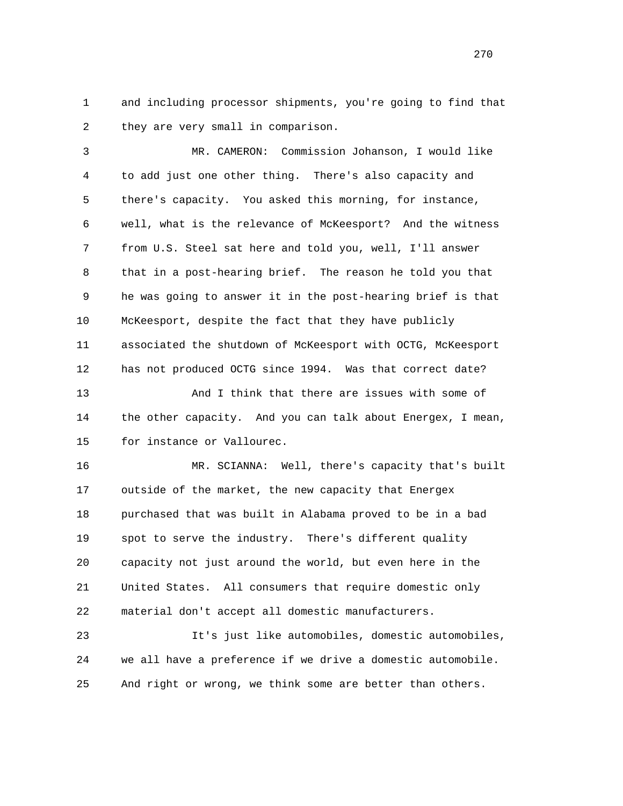1 and including processor shipments, you're going to find that 2 they are very small in comparison.

 3 MR. CAMERON: Commission Johanson, I would like 4 to add just one other thing. There's also capacity and 5 there's capacity. You asked this morning, for instance, 6 well, what is the relevance of McKeesport? And the witness 7 from U.S. Steel sat here and told you, well, I'll answer 8 that in a post-hearing brief. The reason he told you that 9 he was going to answer it in the post-hearing brief is that 10 McKeesport, despite the fact that they have publicly 11 associated the shutdown of McKeesport with OCTG, McKeesport 12 has not produced OCTG since 1994. Was that correct date? 13 And I think that there are issues with some of

 14 the other capacity. And you can talk about Energex, I mean, 15 for instance or Vallourec.

 16 MR. SCIANNA: Well, there's capacity that's built 17 outside of the market, the new capacity that Energex 18 purchased that was built in Alabama proved to be in a bad 19 spot to serve the industry. There's different quality 20 capacity not just around the world, but even here in the 21 United States. All consumers that require domestic only 22 material don't accept all domestic manufacturers.

 23 It's just like automobiles, domestic automobiles, 24 we all have a preference if we drive a domestic automobile. 25 And right or wrong, we think some are better than others.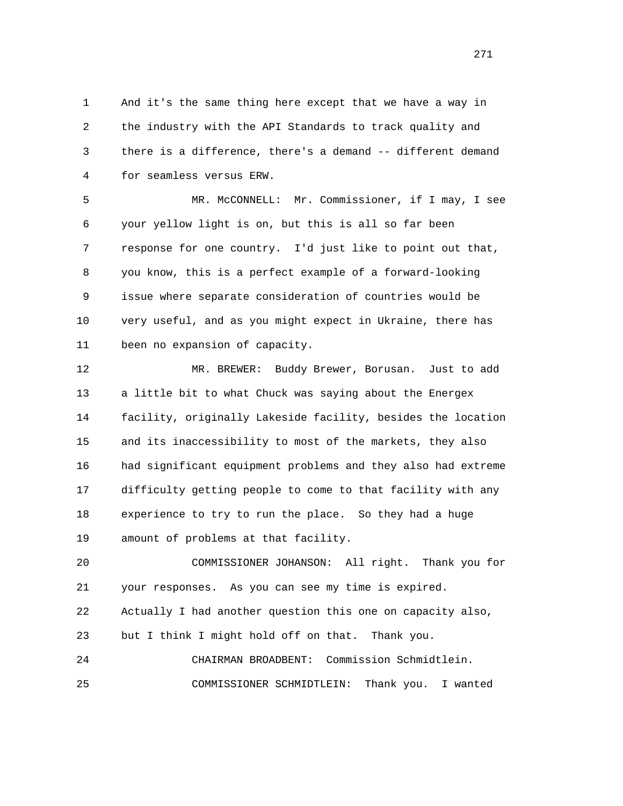1 And it's the same thing here except that we have a way in 2 the industry with the API Standards to track quality and 3 there is a difference, there's a demand -- different demand 4 for seamless versus ERW.

 5 MR. McCONNELL: Mr. Commissioner, if I may, I see 6 your yellow light is on, but this is all so far been 7 response for one country. I'd just like to point out that, 8 you know, this is a perfect example of a forward-looking 9 issue where separate consideration of countries would be 10 very useful, and as you might expect in Ukraine, there has 11 been no expansion of capacity.

 12 MR. BREWER: Buddy Brewer, Borusan. Just to add 13 a little bit to what Chuck was saying about the Energex 14 facility, originally Lakeside facility, besides the location 15 and its inaccessibility to most of the markets, they also 16 had significant equipment problems and they also had extreme 17 difficulty getting people to come to that facility with any 18 experience to try to run the place. So they had a huge 19 amount of problems at that facility.

 20 COMMISSIONER JOHANSON: All right. Thank you for 21 your responses. As you can see my time is expired. 22 Actually I had another question this one on capacity also, 23 but I think I might hold off on that. Thank you. 24 CHAIRMAN BROADBENT: Commission Schmidtlein.

25 COMMISSIONER SCHMIDTLEIN: Thank you. I wanted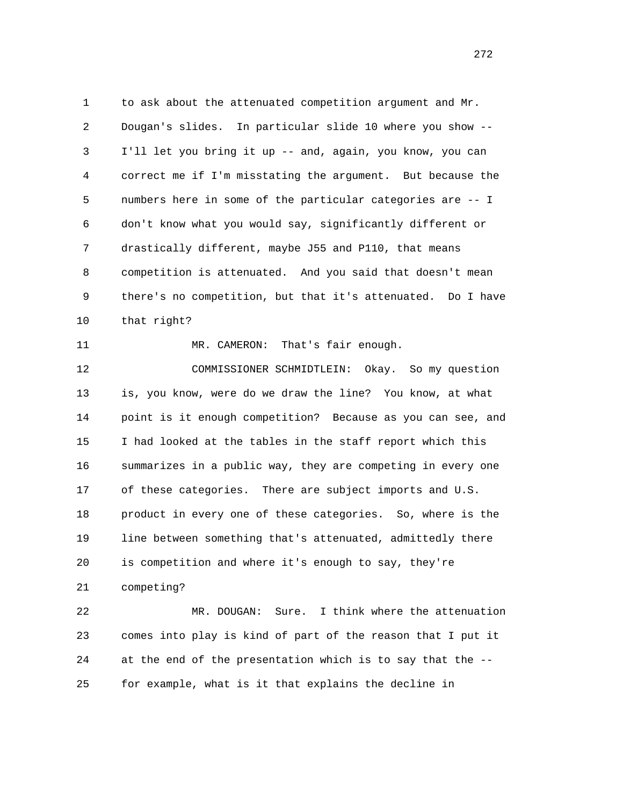1 to ask about the attenuated competition argument and Mr. 2 Dougan's slides. In particular slide 10 where you show -- 3 I'll let you bring it up -- and, again, you know, you can 4 correct me if I'm misstating the argument. But because the 5 numbers here in some of the particular categories are -- I 6 don't know what you would say, significantly different or 7 drastically different, maybe J55 and P110, that means 8 competition is attenuated. And you said that doesn't mean 9 there's no competition, but that it's attenuated. Do I have 10 that right?

11 MR. CAMERON: That's fair enough.

 12 COMMISSIONER SCHMIDTLEIN: Okay. So my question 13 is, you know, were do we draw the line? You know, at what 14 point is it enough competition? Because as you can see, and 15 I had looked at the tables in the staff report which this 16 summarizes in a public way, they are competing in every one 17 of these categories. There are subject imports and U.S. 18 product in every one of these categories. So, where is the 19 line between something that's attenuated, admittedly there 20 is competition and where it's enough to say, they're 21 competing?

 22 MR. DOUGAN: Sure. I think where the attenuation 23 comes into play is kind of part of the reason that I put it 24 at the end of the presentation which is to say that the -- 25 for example, what is it that explains the decline in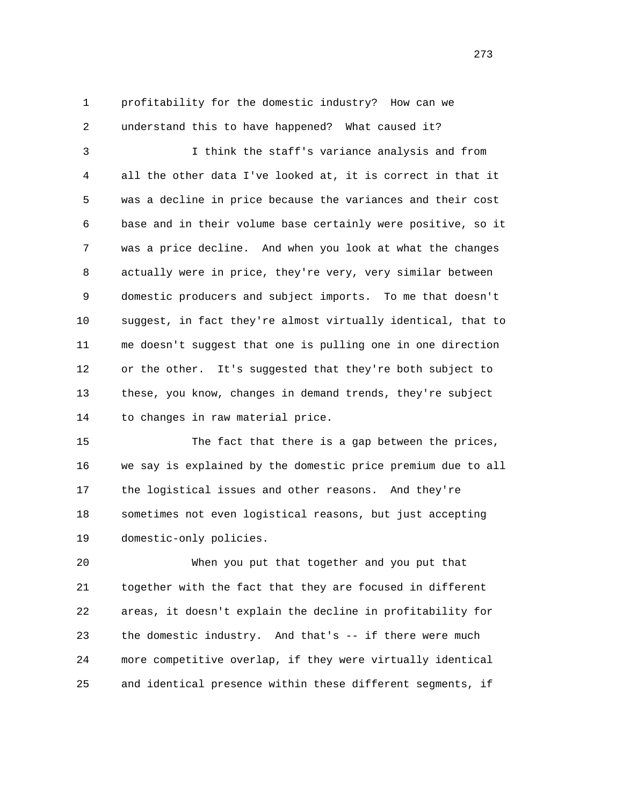1 profitability for the domestic industry? How can we 2 understand this to have happened? What caused it?

 3 I think the staff's variance analysis and from 4 all the other data I've looked at, it is correct in that it 5 was a decline in price because the variances and their cost 6 base and in their volume base certainly were positive, so it 7 was a price decline. And when you look at what the changes 8 actually were in price, they're very, very similar between 9 domestic producers and subject imports. To me that doesn't 10 suggest, in fact they're almost virtually identical, that to 11 me doesn't suggest that one is pulling one in one direction 12 or the other. It's suggested that they're both subject to 13 these, you know, changes in demand trends, they're subject 14 to changes in raw material price.

 15 The fact that there is a gap between the prices, 16 we say is explained by the domestic price premium due to all 17 the logistical issues and other reasons. And they're 18 sometimes not even logistical reasons, but just accepting 19 domestic-only policies.

 20 When you put that together and you put that 21 together with the fact that they are focused in different 22 areas, it doesn't explain the decline in profitability for 23 the domestic industry. And that's -- if there were much 24 more competitive overlap, if they were virtually identical 25 and identical presence within these different segments, if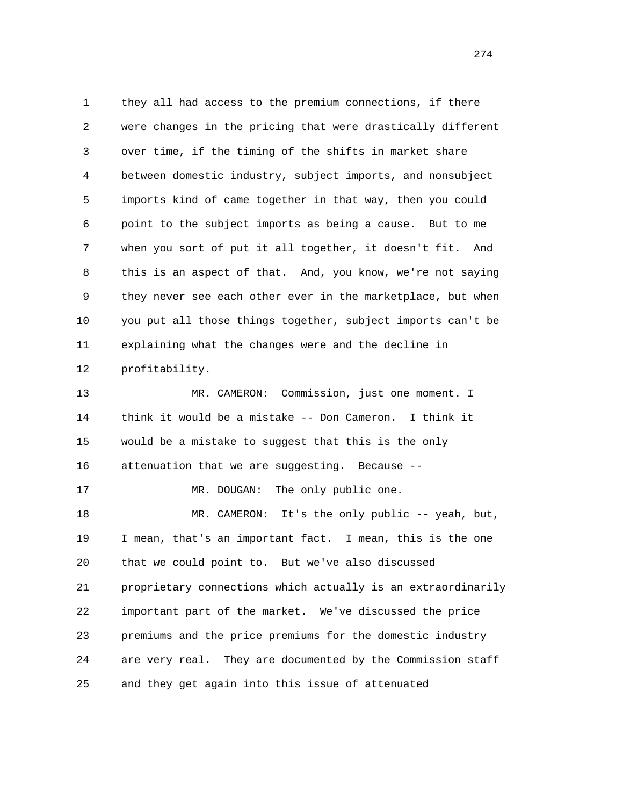1 they all had access to the premium connections, if there 2 were changes in the pricing that were drastically different 3 over time, if the timing of the shifts in market share 4 between domestic industry, subject imports, and nonsubject 5 imports kind of came together in that way, then you could 6 point to the subject imports as being a cause. But to me 7 when you sort of put it all together, it doesn't fit. And 8 this is an aspect of that. And, you know, we're not saying 9 they never see each other ever in the marketplace, but when 10 you put all those things together, subject imports can't be 11 explaining what the changes were and the decline in 12 profitability. 13 MR. CAMERON: Commission, just one moment. I 14 think it would be a mistake -- Don Cameron. I think it 15 would be a mistake to suggest that this is the only 16 attenuation that we are suggesting. Because -- 17 MR. DOUGAN: The only public one. 18 MR. CAMERON: It's the only public -- yeah, but, 19 I mean, that's an important fact. I mean, this is the one 20 that we could point to. But we've also discussed 21 proprietary connections which actually is an extraordinarily 22 important part of the market. We've discussed the price 23 premiums and the price premiums for the domestic industry 24 are very real. They are documented by the Commission staff 25 and they get again into this issue of attenuated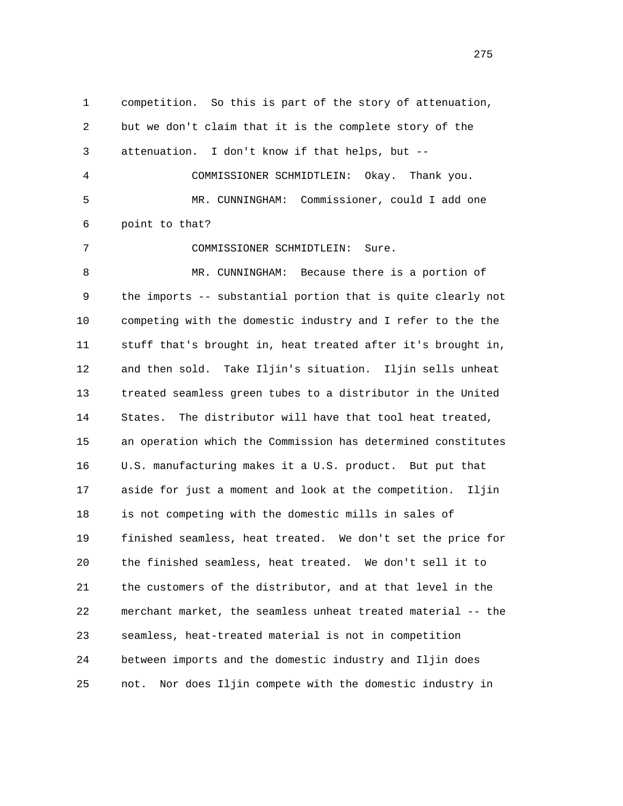1 competition. So this is part of the story of attenuation, 2 but we don't claim that it is the complete story of the 3 attenuation. I don't know if that helps, but -- 4 COMMISSIONER SCHMIDTLEIN: Okay. Thank you. 5 MR. CUNNINGHAM: Commissioner, could I add one 6 point to that? 7 COMMISSIONER SCHMIDTLEIN: Sure. 8 MR. CUNNINGHAM: Because there is a portion of 9 the imports -- substantial portion that is quite clearly not 10 competing with the domestic industry and I refer to the the 11 stuff that's brought in, heat treated after it's brought in, 12 and then sold. Take Iljin's situation. Iljin sells unheat 13 treated seamless green tubes to a distributor in the United 14 States. The distributor will have that tool heat treated, 15 an operation which the Commission has determined constitutes 16 U.S. manufacturing makes it a U.S. product. But put that 17 aside for just a moment and look at the competition. Iljin 18 is not competing with the domestic mills in sales of 19 finished seamless, heat treated. We don't set the price for 20 the finished seamless, heat treated. We don't sell it to 21 the customers of the distributor, and at that level in the 22 merchant market, the seamless unheat treated material -- the 23 seamless, heat-treated material is not in competition 24 between imports and the domestic industry and Iljin does 25 not. Nor does Iljin compete with the domestic industry in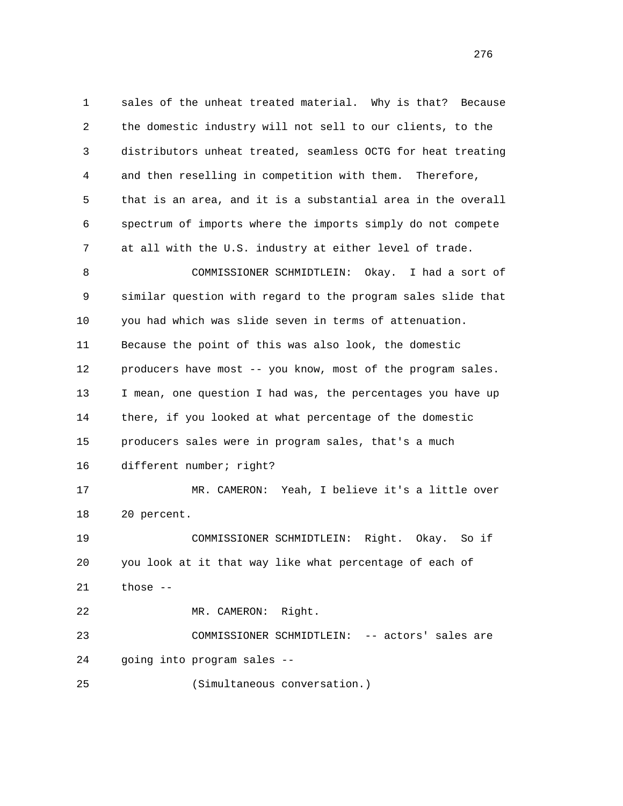1 sales of the unheat treated material. Why is that? Because 2 the domestic industry will not sell to our clients, to the 3 distributors unheat treated, seamless OCTG for heat treating 4 and then reselling in competition with them. Therefore, 5 that is an area, and it is a substantial area in the overall 6 spectrum of imports where the imports simply do not compete 7 at all with the U.S. industry at either level of trade. 8 COMMISSIONER SCHMIDTLEIN: Okay. I had a sort of 9 similar question with regard to the program sales slide that 10 you had which was slide seven in terms of attenuation. 11 Because the point of this was also look, the domestic 12 producers have most -- you know, most of the program sales. 13 I mean, one question I had was, the percentages you have up 14 there, if you looked at what percentage of the domestic 15 producers sales were in program sales, that's a much 16 different number; right? 17 MR. CAMERON: Yeah, I believe it's a little over 18 20 percent. 19 COMMISSIONER SCHMIDTLEIN: Right. Okay. So if 20 you look at it that way like what percentage of each of 21 those -- 22 MR. CAMERON: Right. 23 COMMISSIONER SCHMIDTLEIN: -- actors' sales are 24 going into program sales -- 25 (Simultaneous conversation.)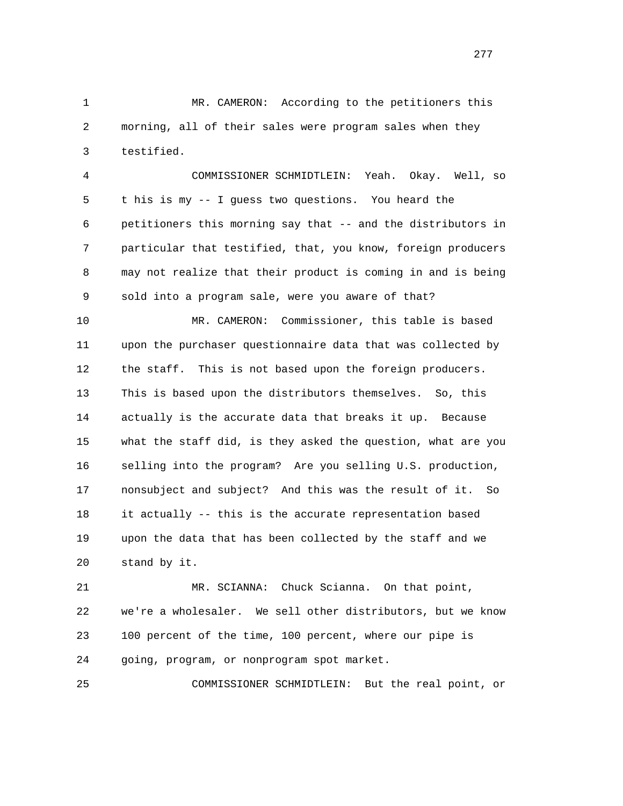1 MR. CAMERON: According to the petitioners this 2 morning, all of their sales were program sales when they 3 testified.

 4 COMMISSIONER SCHMIDTLEIN: Yeah. Okay. Well, so 5 t his is my -- I guess two questions. You heard the 6 petitioners this morning say that -- and the distributors in 7 particular that testified, that, you know, foreign producers 8 may not realize that their product is coming in and is being 9 sold into a program sale, were you aware of that?

 10 MR. CAMERON: Commissioner, this table is based 11 upon the purchaser questionnaire data that was collected by 12 the staff. This is not based upon the foreign producers. 13 This is based upon the distributors themselves. So, this 14 actually is the accurate data that breaks it up. Because 15 what the staff did, is they asked the question, what are you 16 selling into the program? Are you selling U.S. production, 17 nonsubject and subject? And this was the result of it. So 18 it actually -- this is the accurate representation based 19 upon the data that has been collected by the staff and we 20 stand by it.

 21 MR. SCIANNA: Chuck Scianna. On that point, 22 we're a wholesaler. We sell other distributors, but we know 23 100 percent of the time, 100 percent, where our pipe is 24 going, program, or nonprogram spot market.

25 COMMISSIONER SCHMIDTLEIN: But the real point, or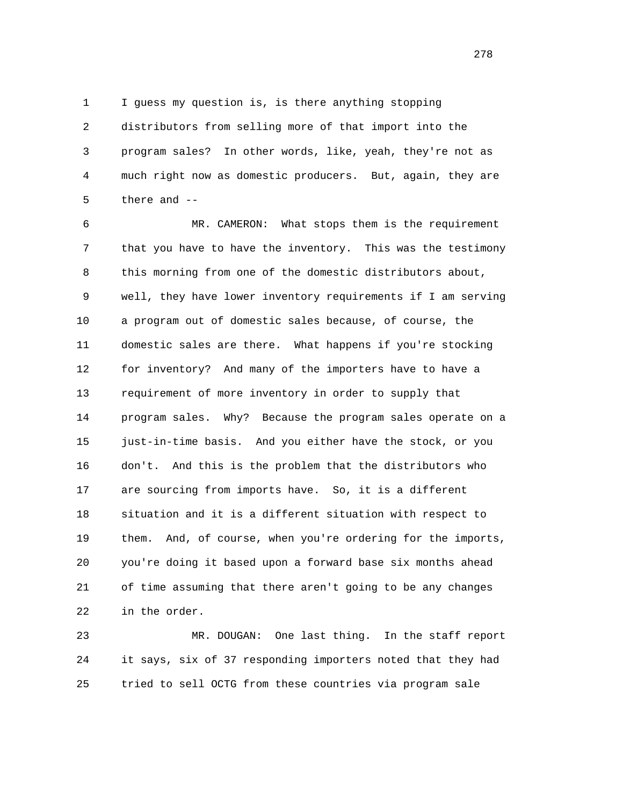1 I guess my question is, is there anything stopping

 2 distributors from selling more of that import into the 3 program sales? In other words, like, yeah, they're not as 4 much right now as domestic producers. But, again, they are 5 there and --

 6 MR. CAMERON: What stops them is the requirement 7 that you have to have the inventory. This was the testimony 8 this morning from one of the domestic distributors about, 9 well, they have lower inventory requirements if I am serving 10 a program out of domestic sales because, of course, the 11 domestic sales are there. What happens if you're stocking 12 for inventory? And many of the importers have to have a 13 requirement of more inventory in order to supply that 14 program sales. Why? Because the program sales operate on a 15 just-in-time basis. And you either have the stock, or you 16 don't. And this is the problem that the distributors who 17 are sourcing from imports have. So, it is a different 18 situation and it is a different situation with respect to 19 them. And, of course, when you're ordering for the imports, 20 you're doing it based upon a forward base six months ahead 21 of time assuming that there aren't going to be any changes 22 in the order.

 23 MR. DOUGAN: One last thing. In the staff report 24 it says, six of 37 responding importers noted that they had 25 tried to sell OCTG from these countries via program sale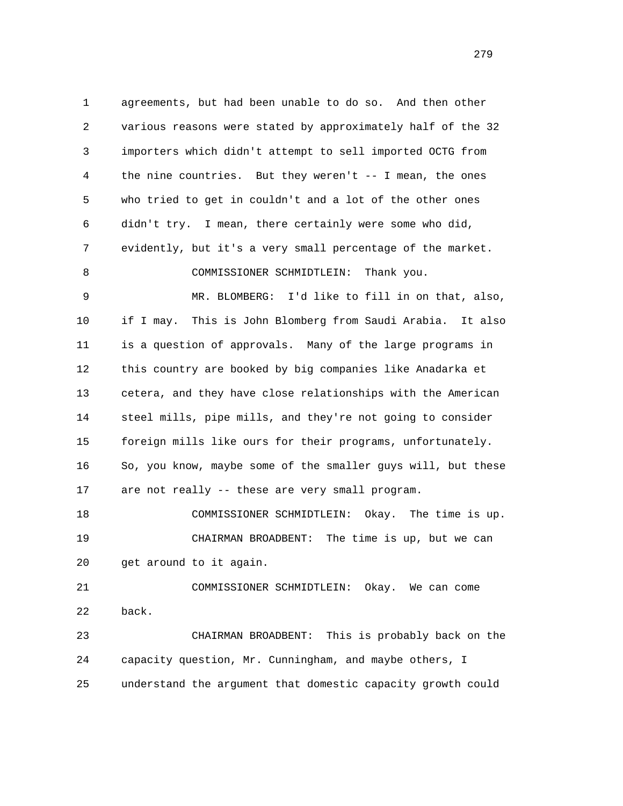1 agreements, but had been unable to do so. And then other 2 various reasons were stated by approximately half of the 32 3 importers which didn't attempt to sell imported OCTG from 4 the nine countries. But they weren't -- I mean, the ones 5 who tried to get in couldn't and a lot of the other ones 6 didn't try. I mean, there certainly were some who did, 7 evidently, but it's a very small percentage of the market. 8 COMMISSIONER SCHMIDTLEIN: Thank you. 9 MR. BLOMBERG: I'd like to fill in on that, also, 10 if I may. This is John Blomberg from Saudi Arabia. It also 11 is a question of approvals. Many of the large programs in 12 this country are booked by big companies like Anadarka et 13 cetera, and they have close relationships with the American 14 steel mills, pipe mills, and they're not going to consider 15 foreign mills like ours for their programs, unfortunately. 16 So, you know, maybe some of the smaller guys will, but these 17 are not really -- these are very small program. 18 COMMISSIONER SCHMIDTLEIN: Okay. The time is up. 19 CHAIRMAN BROADBENT: The time is up, but we can 20 get around to it again. 21 COMMISSIONER SCHMIDTLEIN: Okay. We can come 22 back. 23 CHAIRMAN BROADBENT: This is probably back on the 24 capacity question, Mr. Cunningham, and maybe others, I 25 understand the argument that domestic capacity growth could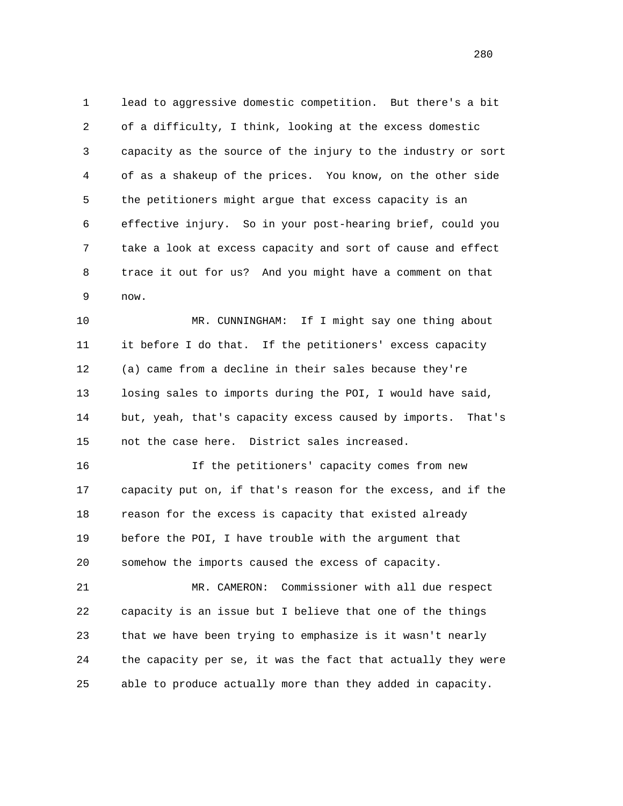1 lead to aggressive domestic competition. But there's a bit 2 of a difficulty, I think, looking at the excess domestic 3 capacity as the source of the injury to the industry or sort 4 of as a shakeup of the prices. You know, on the other side 5 the petitioners might argue that excess capacity is an 6 effective injury. So in your post-hearing brief, could you 7 take a look at excess capacity and sort of cause and effect 8 trace it out for us? And you might have a comment on that 9 now.

 10 MR. CUNNINGHAM: If I might say one thing about 11 it before I do that. If the petitioners' excess capacity 12 (a) came from a decline in their sales because they're 13 losing sales to imports during the POI, I would have said, 14 but, yeah, that's capacity excess caused by imports. That's 15 not the case here. District sales increased.

 16 If the petitioners' capacity comes from new 17 capacity put on, if that's reason for the excess, and if the 18 reason for the excess is capacity that existed already 19 before the POI, I have trouble with the argument that 20 somehow the imports caused the excess of capacity.

 21 MR. CAMERON: Commissioner with all due respect 22 capacity is an issue but I believe that one of the things 23 that we have been trying to emphasize is it wasn't nearly 24 the capacity per se, it was the fact that actually they were 25 able to produce actually more than they added in capacity.

<u>280</u>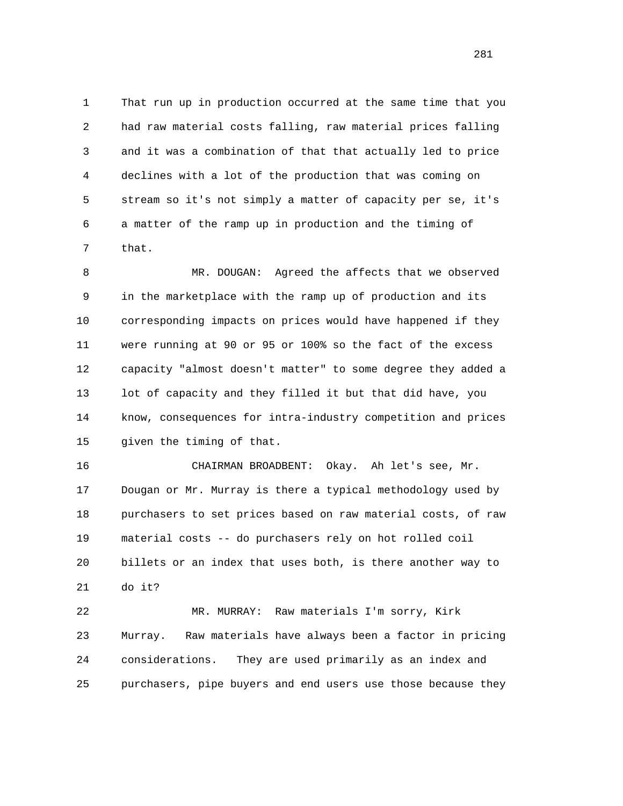1 That run up in production occurred at the same time that you 2 had raw material costs falling, raw material prices falling 3 and it was a combination of that that actually led to price 4 declines with a lot of the production that was coming on 5 stream so it's not simply a matter of capacity per se, it's 6 a matter of the ramp up in production and the timing of 7 that.

 8 MR. DOUGAN: Agreed the affects that we observed 9 in the marketplace with the ramp up of production and its 10 corresponding impacts on prices would have happened if they 11 were running at 90 or 95 or 100% so the fact of the excess 12 capacity "almost doesn't matter" to some degree they added a 13 lot of capacity and they filled it but that did have, you 14 know, consequences for intra-industry competition and prices 15 given the timing of that.

 16 CHAIRMAN BROADBENT: Okay. Ah let's see, Mr. 17 Dougan or Mr. Murray is there a typical methodology used by 18 purchasers to set prices based on raw material costs, of raw 19 material costs -- do purchasers rely on hot rolled coil 20 billets or an index that uses both, is there another way to 21 do it?

 22 MR. MURRAY: Raw materials I'm sorry, Kirk 23 Murray. Raw materials have always been a factor in pricing 24 considerations. They are used primarily as an index and 25 purchasers, pipe buyers and end users use those because they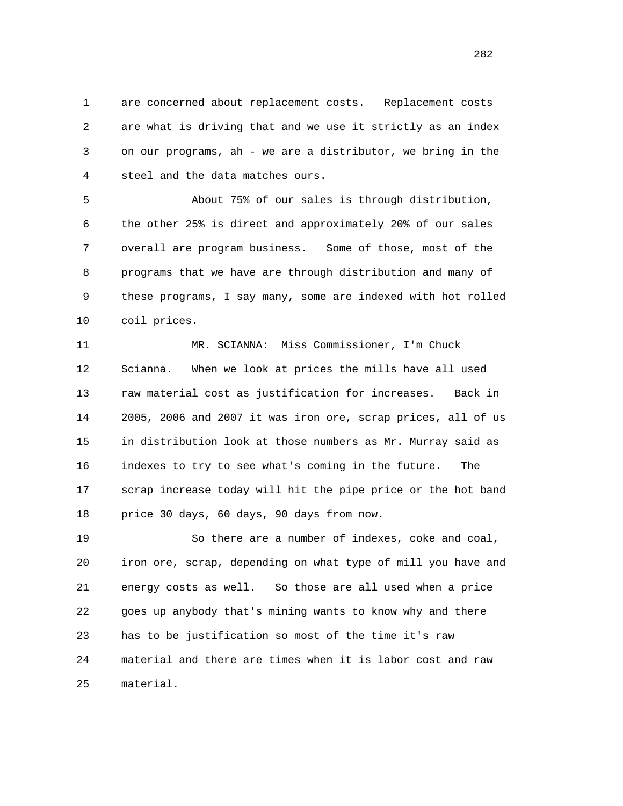1 are concerned about replacement costs. Replacement costs 2 are what is driving that and we use it strictly as an index 3 on our programs, ah - we are a distributor, we bring in the 4 steel and the data matches ours.

 5 About 75% of our sales is through distribution, 6 the other 25% is direct and approximately 20% of our sales 7 overall are program business. Some of those, most of the 8 programs that we have are through distribution and many of 9 these programs, I say many, some are indexed with hot rolled 10 coil prices.

 11 MR. SCIANNA: Miss Commissioner, I'm Chuck 12 Scianna. When we look at prices the mills have all used 13 raw material cost as justification for increases. Back in 14 2005, 2006 and 2007 it was iron ore, scrap prices, all of us 15 in distribution look at those numbers as Mr. Murray said as 16 indexes to try to see what's coming in the future. The 17 scrap increase today will hit the pipe price or the hot band 18 price 30 days, 60 days, 90 days from now.

 19 So there are a number of indexes, coke and coal, 20 iron ore, scrap, depending on what type of mill you have and 21 energy costs as well. So those are all used when a price 22 goes up anybody that's mining wants to know why and there 23 has to be justification so most of the time it's raw 24 material and there are times when it is labor cost and raw 25 material.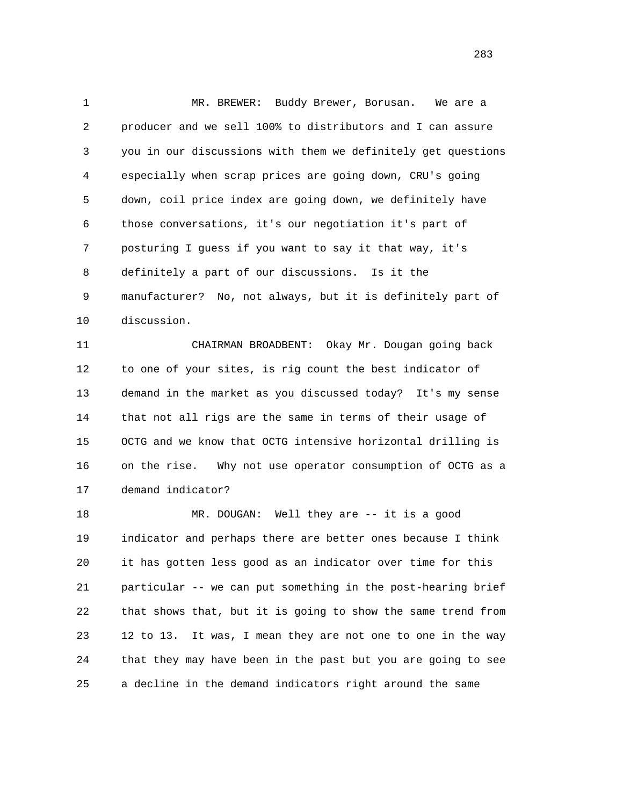1 MR. BREWER: Buddy Brewer, Borusan. We are a 2 producer and we sell 100% to distributors and I can assure 3 you in our discussions with them we definitely get questions 4 especially when scrap prices are going down, CRU's going 5 down, coil price index are going down, we definitely have 6 those conversations, it's our negotiation it's part of 7 posturing I guess if you want to say it that way, it's 8 definitely a part of our discussions. Is it the 9 manufacturer? No, not always, but it is definitely part of 10 discussion.

 11 CHAIRMAN BROADBENT: Okay Mr. Dougan going back 12 to one of your sites, is rig count the best indicator of 13 demand in the market as you discussed today? It's my sense 14 that not all rigs are the same in terms of their usage of 15 OCTG and we know that OCTG intensive horizontal drilling is 16 on the rise. Why not use operator consumption of OCTG as a 17 demand indicator?

 18 MR. DOUGAN: Well they are -- it is a good 19 indicator and perhaps there are better ones because I think 20 it has gotten less good as an indicator over time for this 21 particular -- we can put something in the post-hearing brief 22 that shows that, but it is going to show the same trend from 23 12 to 13. It was, I mean they are not one to one in the way 24 that they may have been in the past but you are going to see 25 a decline in the demand indicators right around the same

<u>283</u>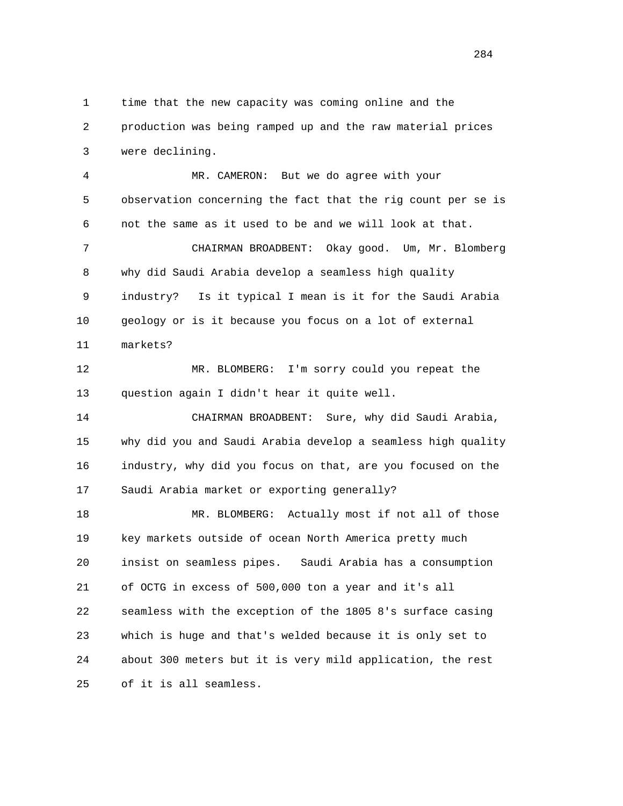1 time that the new capacity was coming online and the 2 production was being ramped up and the raw material prices 3 were declining.

 4 MR. CAMERON: But we do agree with your 5 observation concerning the fact that the rig count per se is 6 not the same as it used to be and we will look at that.

 7 CHAIRMAN BROADBENT: Okay good. Um, Mr. Blomberg 8 why did Saudi Arabia develop a seamless high quality 9 industry? Is it typical I mean is it for the Saudi Arabia 10 geology or is it because you focus on a lot of external 11 markets?

 12 MR. BLOMBERG: I'm sorry could you repeat the 13 question again I didn't hear it quite well.

 14 CHAIRMAN BROADBENT: Sure, why did Saudi Arabia, 15 why did you and Saudi Arabia develop a seamless high quality 16 industry, why did you focus on that, are you focused on the 17 Saudi Arabia market or exporting generally?

 18 MR. BLOMBERG: Actually most if not all of those 19 key markets outside of ocean North America pretty much 20 insist on seamless pipes. Saudi Arabia has a consumption 21 of OCTG in excess of 500,000 ton a year and it's all 22 seamless with the exception of the 1805 8's surface casing 23 which is huge and that's welded because it is only set to 24 about 300 meters but it is very mild application, the rest 25 of it is all seamless.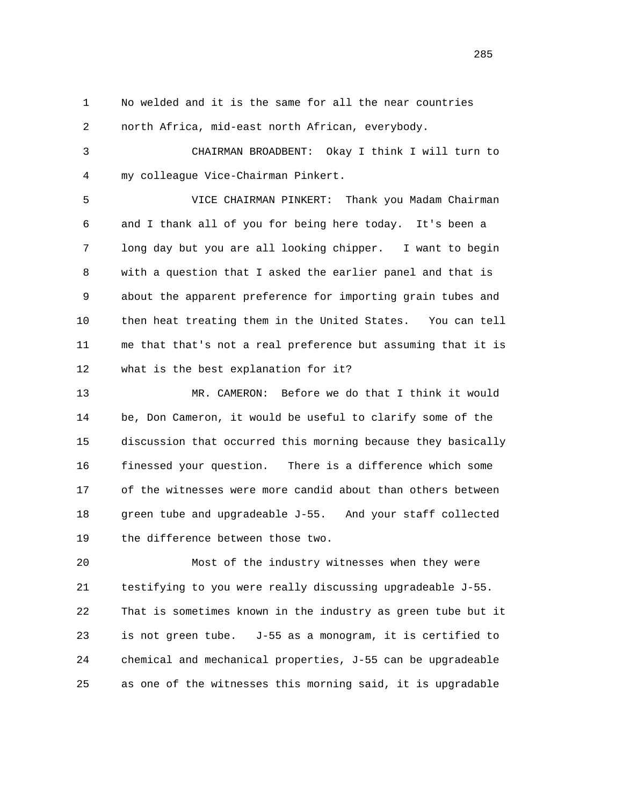1 No welded and it is the same for all the near countries 2 north Africa, mid-east north African, everybody.

 3 CHAIRMAN BROADBENT: Okay I think I will turn to 4 my colleague Vice-Chairman Pinkert.

 5 VICE CHAIRMAN PINKERT: Thank you Madam Chairman 6 and I thank all of you for being here today. It's been a 7 long day but you are all looking chipper. I want to begin 8 with a question that I asked the earlier panel and that is 9 about the apparent preference for importing grain tubes and 10 then heat treating them in the United States. You can tell 11 me that that's not a real preference but assuming that it is 12 what is the best explanation for it?

 13 MR. CAMERON: Before we do that I think it would 14 be, Don Cameron, it would be useful to clarify some of the 15 discussion that occurred this morning because they basically 16 finessed your question. There is a difference which some 17 of the witnesses were more candid about than others between 18 green tube and upgradeable J-55. And your staff collected 19 the difference between those two.

 20 Most of the industry witnesses when they were 21 testifying to you were really discussing upgradeable J-55. 22 That is sometimes known in the industry as green tube but it 23 is not green tube. J-55 as a monogram, it is certified to 24 chemical and mechanical properties, J-55 can be upgradeable 25 as one of the witnesses this morning said, it is upgradable

<u>285</u>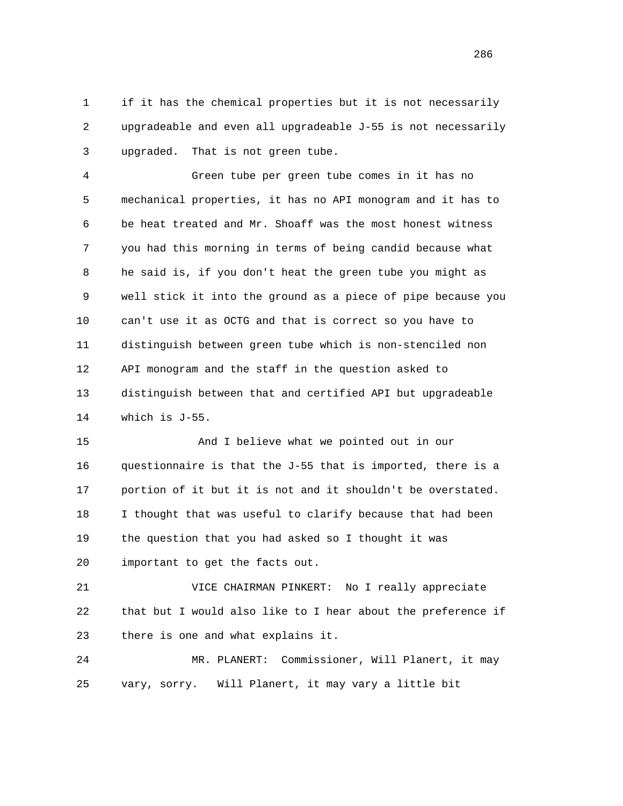1 if it has the chemical properties but it is not necessarily 2 upgradeable and even all upgradeable J-55 is not necessarily 3 upgraded. That is not green tube.

 4 Green tube per green tube comes in it has no 5 mechanical properties, it has no API monogram and it has to 6 be heat treated and Mr. Shoaff was the most honest witness 7 you had this morning in terms of being candid because what 8 he said is, if you don't heat the green tube you might as 9 well stick it into the ground as a piece of pipe because you 10 can't use it as OCTG and that is correct so you have to 11 distinguish between green tube which is non-stenciled non 12 API monogram and the staff in the question asked to 13 distinguish between that and certified API but upgradeable 14 which is J-55.

 15 And I believe what we pointed out in our 16 questionnaire is that the J-55 that is imported, there is a 17 portion of it but it is not and it shouldn't be overstated. 18 I thought that was useful to clarify because that had been 19 the question that you had asked so I thought it was 20 important to get the facts out.

 21 VICE CHAIRMAN PINKERT: No I really appreciate 22 that but I would also like to I hear about the preference if 23 there is one and what explains it.

 24 MR. PLANERT: Commissioner, Will Planert, it may 25 vary, sorry. Will Planert, it may vary a little bit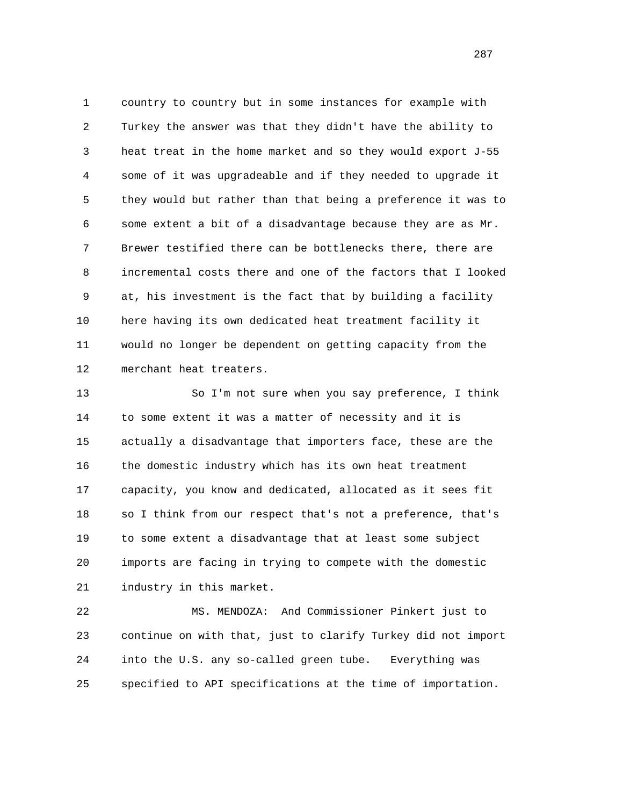1 country to country but in some instances for example with 2 Turkey the answer was that they didn't have the ability to 3 heat treat in the home market and so they would export J-55 4 some of it was upgradeable and if they needed to upgrade it 5 they would but rather than that being a preference it was to 6 some extent a bit of a disadvantage because they are as Mr. 7 Brewer testified there can be bottlenecks there, there are 8 incremental costs there and one of the factors that I looked 9 at, his investment is the fact that by building a facility 10 here having its own dedicated heat treatment facility it 11 would no longer be dependent on getting capacity from the 12 merchant heat treaters.

 13 So I'm not sure when you say preference, I think 14 to some extent it was a matter of necessity and it is 15 actually a disadvantage that importers face, these are the 16 the domestic industry which has its own heat treatment 17 capacity, you know and dedicated, allocated as it sees fit 18 so I think from our respect that's not a preference, that's 19 to some extent a disadvantage that at least some subject 20 imports are facing in trying to compete with the domestic 21 industry in this market.

 22 MS. MENDOZA: And Commissioner Pinkert just to 23 continue on with that, just to clarify Turkey did not import 24 into the U.S. any so-called green tube. Everything was 25 specified to API specifications at the time of importation.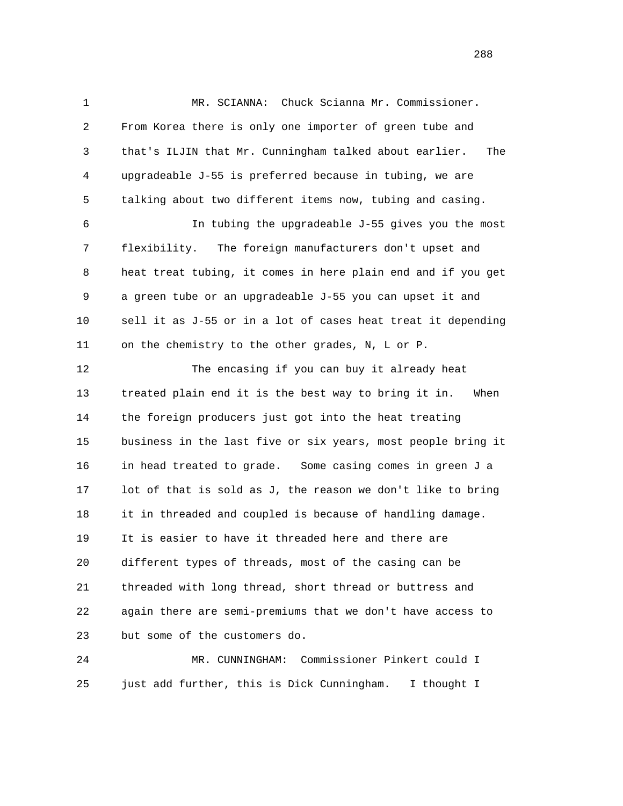1 MR. SCIANNA: Chuck Scianna Mr. Commissioner. 2 From Korea there is only one importer of green tube and 3 that's ILJIN that Mr. Cunningham talked about earlier. The 4 upgradeable J-55 is preferred because in tubing, we are 5 talking about two different items now, tubing and casing. 6 In tubing the upgradeable J-55 gives you the most 7 flexibility. The foreign manufacturers don't upset and 8 heat treat tubing, it comes in here plain end and if you get 9 a green tube or an upgradeable J-55 you can upset it and 10 sell it as J-55 or in a lot of cases heat treat it depending 11 on the chemistry to the other grades, N, L or P. 12 The encasing if you can buy it already heat 13 treated plain end it is the best way to bring it in. When 14 the foreign producers just got into the heat treating 15 business in the last five or six years, most people bring it 16 in head treated to grade. Some casing comes in green J a 17 lot of that is sold as J, the reason we don't like to bring 18 it in threaded and coupled is because of handling damage. 19 It is easier to have it threaded here and there are 20 different types of threads, most of the casing can be 21 threaded with long thread, short thread or buttress and 22 again there are semi-premiums that we don't have access to 23 but some of the customers do.

 24 MR. CUNNINGHAM: Commissioner Pinkert could I 25 just add further, this is Dick Cunningham. I thought I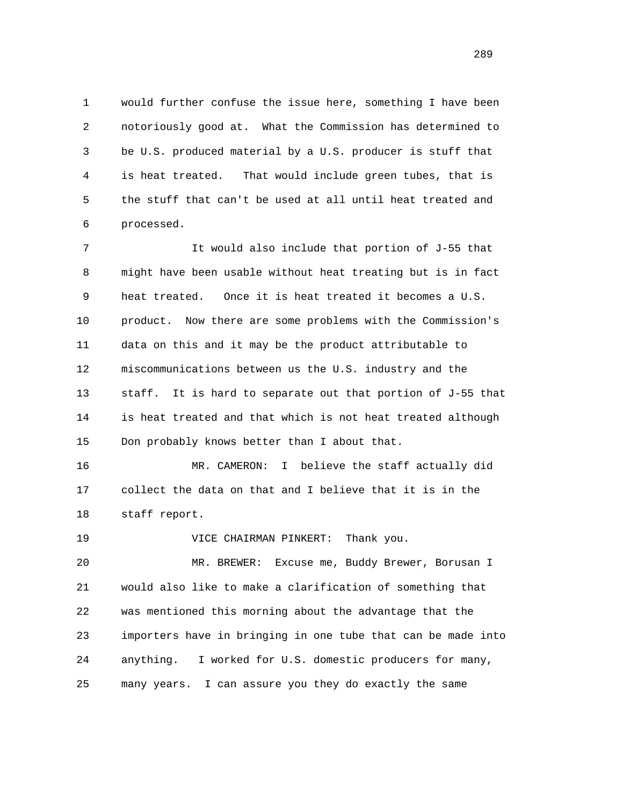1 would further confuse the issue here, something I have been 2 notoriously good at. What the Commission has determined to 3 be U.S. produced material by a U.S. producer is stuff that 4 is heat treated. That would include green tubes, that is 5 the stuff that can't be used at all until heat treated and 6 processed.

 7 It would also include that portion of J-55 that 8 might have been usable without heat treating but is in fact 9 heat treated. Once it is heat treated it becomes a U.S. 10 product. Now there are some problems with the Commission's 11 data on this and it may be the product attributable to 12 miscommunications between us the U.S. industry and the 13 staff. It is hard to separate out that portion of J-55 that 14 is heat treated and that which is not heat treated although 15 Don probably knows better than I about that.

 16 MR. CAMERON: I believe the staff actually did 17 collect the data on that and I believe that it is in the 18 staff report.

19 VICE CHAIRMAN PINKERT: Thank you.

 20 MR. BREWER: Excuse me, Buddy Brewer, Borusan I 21 would also like to make a clarification of something that 22 was mentioned this morning about the advantage that the 23 importers have in bringing in one tube that can be made into 24 anything. I worked for U.S. domestic producers for many, 25 many years. I can assure you they do exactly the same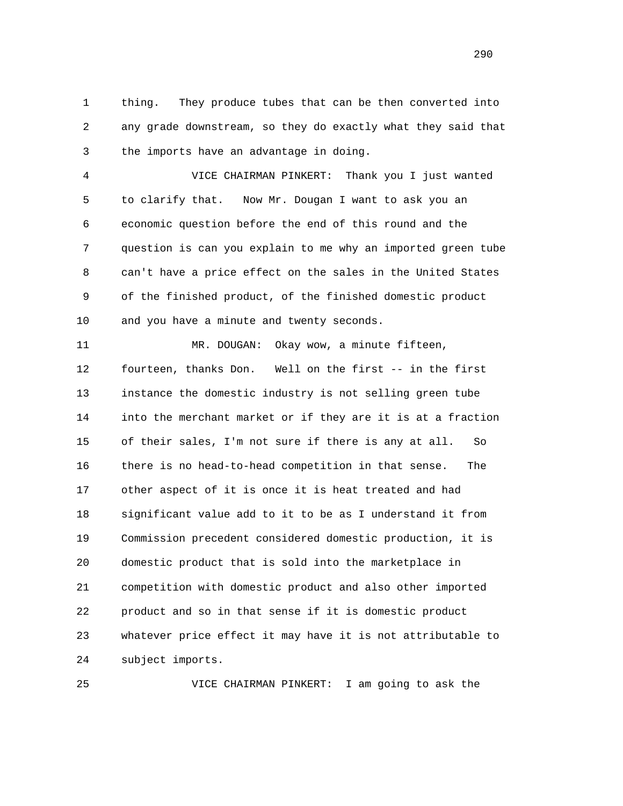1 thing. They produce tubes that can be then converted into 2 any grade downstream, so they do exactly what they said that 3 the imports have an advantage in doing.

 4 VICE CHAIRMAN PINKERT: Thank you I just wanted 5 to clarify that. Now Mr. Dougan I want to ask you an 6 economic question before the end of this round and the 7 question is can you explain to me why an imported green tube 8 can't have a price effect on the sales in the United States 9 of the finished product, of the finished domestic product 10 and you have a minute and twenty seconds.

 11 MR. DOUGAN: Okay wow, a minute fifteen, 12 fourteen, thanks Don. Well on the first -- in the first 13 instance the domestic industry is not selling green tube 14 into the merchant market or if they are it is at a fraction 15 of their sales, I'm not sure if there is any at all. So 16 there is no head-to-head competition in that sense. The 17 other aspect of it is once it is heat treated and had 18 significant value add to it to be as I understand it from 19 Commission precedent considered domestic production, it is 20 domestic product that is sold into the marketplace in 21 competition with domestic product and also other imported 22 product and so in that sense if it is domestic product 23 whatever price effect it may have it is not attributable to 24 subject imports.

25 VICE CHAIRMAN PINKERT: I am going to ask the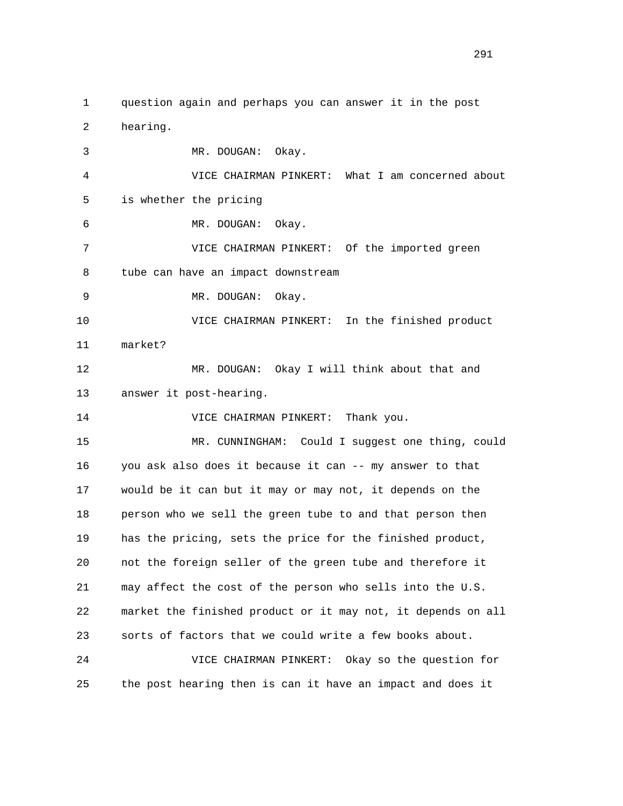1 question again and perhaps you can answer it in the post 2 hearing. 3 MR. DOUGAN: Okay. 4 VICE CHAIRMAN PINKERT: What I am concerned about 5 is whether the pricing 6 MR. DOUGAN: Okay. 7 VICE CHAIRMAN PINKERT: Of the imported green 8 tube can have an impact downstream 9 MR. DOUGAN: Okay. 10 VICE CHAIRMAN PINKERT: In the finished product 11 market? 12 MR. DOUGAN: Okay I will think about that and 13 answer it post-hearing. 14 VICE CHAIRMAN PINKERT: Thank you. 15 MR. CUNNINGHAM: Could I suggest one thing, could 16 you ask also does it because it can -- my answer to that 17 would be it can but it may or may not, it depends on the 18 person who we sell the green tube to and that person then 19 has the pricing, sets the price for the finished product, 20 not the foreign seller of the green tube and therefore it 21 may affect the cost of the person who sells into the U.S. 22 market the finished product or it may not, it depends on all 23 sorts of factors that we could write a few books about. 24 VICE CHAIRMAN PINKERT: Okay so the question for 25 the post hearing then is can it have an impact and does it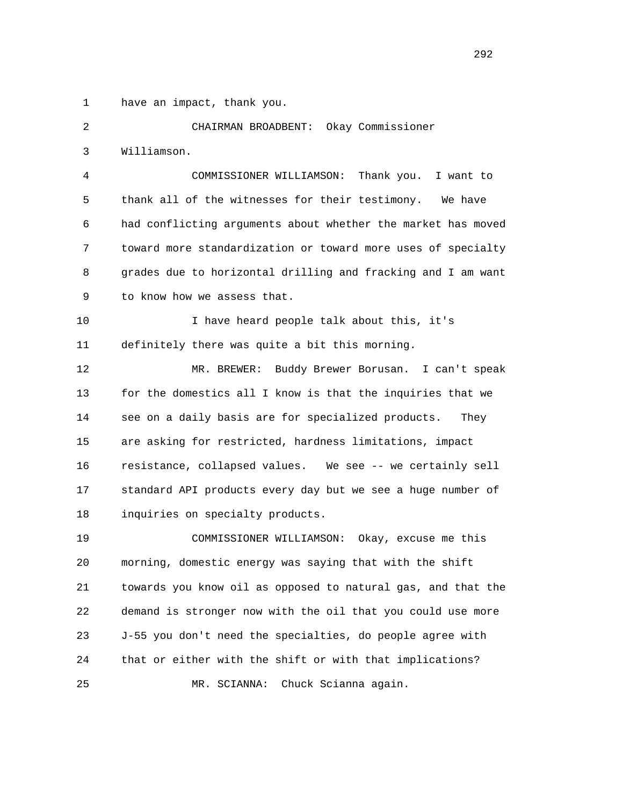1 have an impact, thank you.

 2 CHAIRMAN BROADBENT: Okay Commissioner 3 Williamson. 4 COMMISSIONER WILLIAMSON: Thank you. I want to 5 thank all of the witnesses for their testimony. We have 6 had conflicting arguments about whether the market has moved 7 toward more standardization or toward more uses of specialty 8 grades due to horizontal drilling and fracking and I am want 9 to know how we assess that. 10 I have heard people talk about this, it's 11 definitely there was quite a bit this morning. 12 MR. BREWER: Buddy Brewer Borusan. I can't speak 13 for the domestics all I know is that the inquiries that we 14 see on a daily basis are for specialized products. They 15 are asking for restricted, hardness limitations, impact 16 resistance, collapsed values. We see -- we certainly sell 17 standard API products every day but we see a huge number of 18 inquiries on specialty products. 19 COMMISSIONER WILLIAMSON: Okay, excuse me this

 20 morning, domestic energy was saying that with the shift 21 towards you know oil as opposed to natural gas, and that the 22 demand is stronger now with the oil that you could use more 23 J-55 you don't need the specialties, do people agree with 24 that or either with the shift or with that implications? 25 MR. SCIANNA: Chuck Scianna again.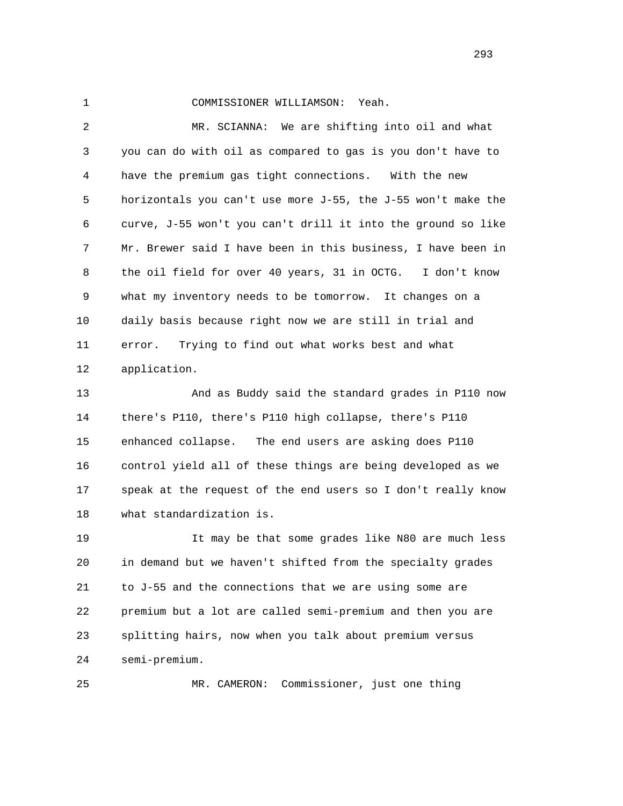## 1 COMMISSIONER WILLIAMSON: Yeah.

 2 MR. SCIANNA: We are shifting into oil and what 3 you can do with oil as compared to gas is you don't have to 4 have the premium gas tight connections. With the new 5 horizontals you can't use more J-55, the J-55 won't make the 6 curve, J-55 won't you can't drill it into the ground so like 7 Mr. Brewer said I have been in this business, I have been in 8 the oil field for over 40 years, 31 in OCTG. I don't know 9 what my inventory needs to be tomorrow. It changes on a 10 daily basis because right now we are still in trial and 11 error. Trying to find out what works best and what 12 application.

 13 And as Buddy said the standard grades in P110 now 14 there's P110, there's P110 high collapse, there's P110 15 enhanced collapse. The end users are asking does P110 16 control yield all of these things are being developed as we 17 speak at the request of the end users so I don't really know 18 what standardization is.

 19 It may be that some grades like N80 are much less 20 in demand but we haven't shifted from the specialty grades 21 to J-55 and the connections that we are using some are 22 premium but a lot are called semi-premium and then you are 23 splitting hairs, now when you talk about premium versus 24 semi-premium.

25 MR. CAMERON: Commissioner, just one thing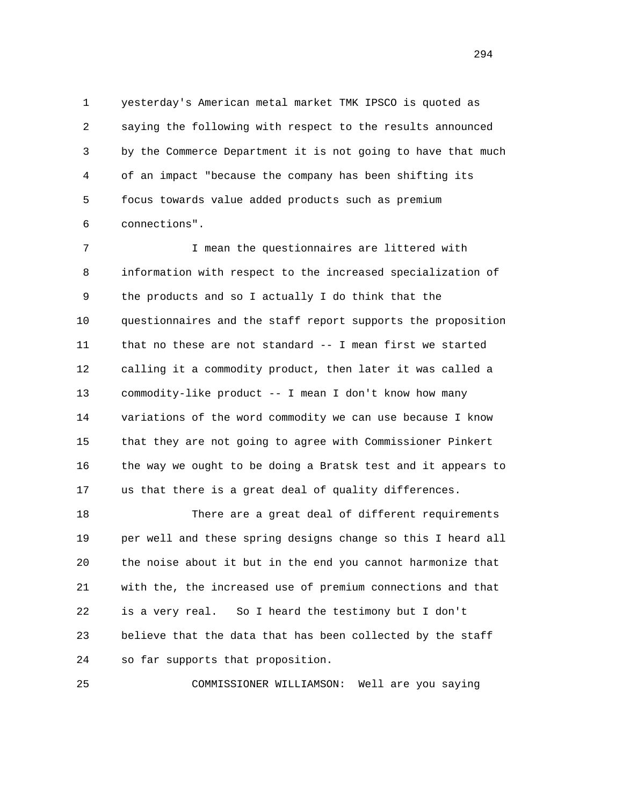1 yesterday's American metal market TMK IPSCO is quoted as 2 saying the following with respect to the results announced 3 by the Commerce Department it is not going to have that much 4 of an impact "because the company has been shifting its 5 focus towards value added products such as premium 6 connections".

 7 I mean the questionnaires are littered with 8 information with respect to the increased specialization of 9 the products and so I actually I do think that the 10 questionnaires and the staff report supports the proposition 11 that no these are not standard -- I mean first we started 12 calling it a commodity product, then later it was called a 13 commodity-like product -- I mean I don't know how many 14 variations of the word commodity we can use because I know 15 that they are not going to agree with Commissioner Pinkert 16 the way we ought to be doing a Bratsk test and it appears to 17 us that there is a great deal of quality differences.

 18 There are a great deal of different requirements 19 per well and these spring designs change so this I heard all 20 the noise about it but in the end you cannot harmonize that 21 with the, the increased use of premium connections and that 22 is a very real. So I heard the testimony but I don't 23 believe that the data that has been collected by the staff 24 so far supports that proposition.

25 COMMISSIONER WILLIAMSON: Well are you saying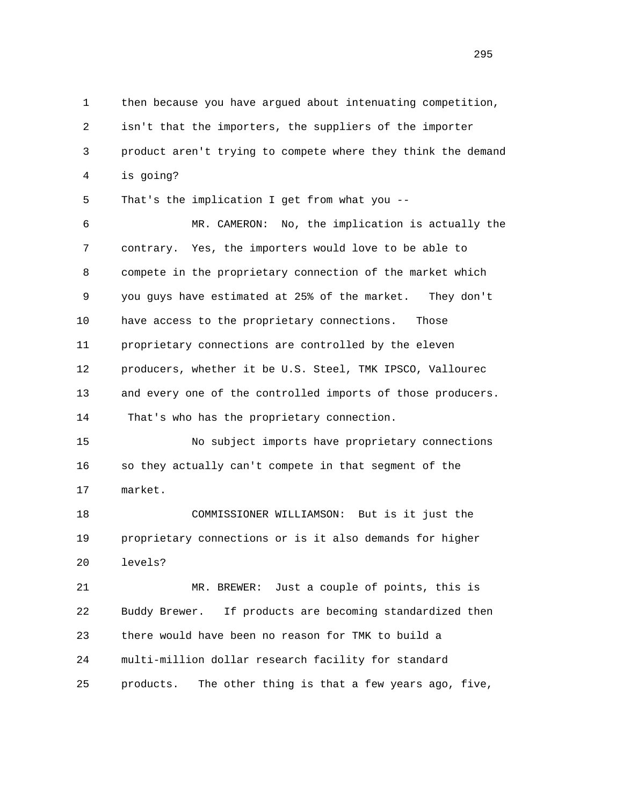1 then because you have argued about intenuating competition, 2 isn't that the importers, the suppliers of the importer 3 product aren't trying to compete where they think the demand 4 is going? 5 That's the implication I get from what you -- 6 MR. CAMERON: No, the implication is actually the 7 contrary. Yes, the importers would love to be able to 8 compete in the proprietary connection of the market which 9 you guys have estimated at 25% of the market. They don't 10 have access to the proprietary connections. Those 11 proprietary connections are controlled by the eleven 12 producers, whether it be U.S. Steel, TMK IPSCO, Vallourec 13 and every one of the controlled imports of those producers. 14 That's who has the proprietary connection. 15 No subject imports have proprietary connections 16 so they actually can't compete in that segment of the 17 market. 18 COMMISSIONER WILLIAMSON: But is it just the 19 proprietary connections or is it also demands for higher 20 levels? 21 MR. BREWER: Just a couple of points, this is 22 Buddy Brewer. If products are becoming standardized then 23 there would have been no reason for TMK to build a 24 multi-million dollar research facility for standard 25 products. The other thing is that a few years ago, five,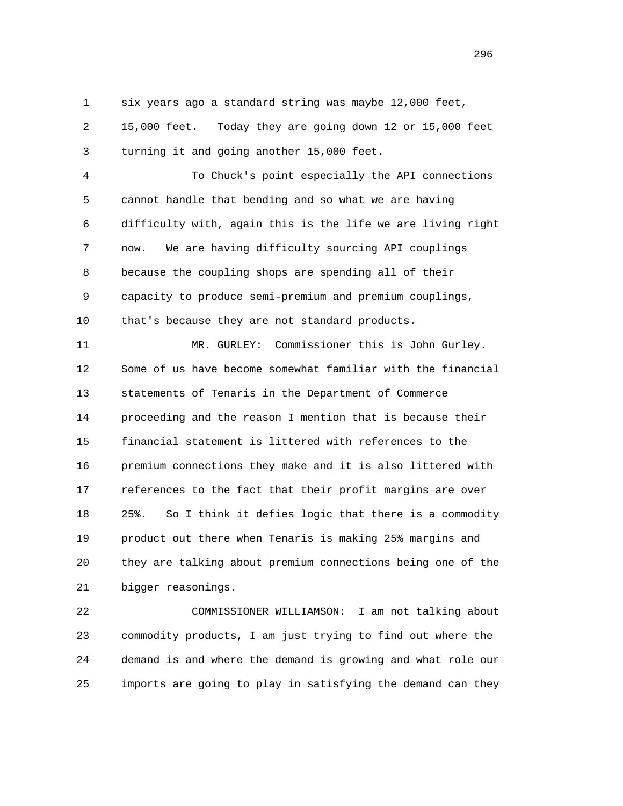1 six years ago a standard string was maybe 12,000 feet,

 2 15,000 feet. Today they are going down 12 or 15,000 feet 3 turning it and going another 15,000 feet.

 4 To Chuck's point especially the API connections 5 cannot handle that bending and so what we are having 6 difficulty with, again this is the life we are living right 7 now. We are having difficulty sourcing API couplings 8 because the coupling shops are spending all of their 9 capacity to produce semi-premium and premium couplings, 10 that's because they are not standard products.

 11 MR. GURLEY: Commissioner this is John Gurley. 12 Some of us have become somewhat familiar with the financial 13 statements of Tenaris in the Department of Commerce 14 proceeding and the reason I mention that is because their 15 financial statement is littered with references to the 16 premium connections they make and it is also littered with 17 references to the fact that their profit margins are over 18 25%. So I think it defies logic that there is a commodity 19 product out there when Tenaris is making 25% margins and 20 they are talking about premium connections being one of the 21 bigger reasonings.

 22 COMMISSIONER WILLIAMSON: I am not talking about 23 commodity products, I am just trying to find out where the 24 demand is and where the demand is growing and what role our 25 imports are going to play in satisfying the demand can they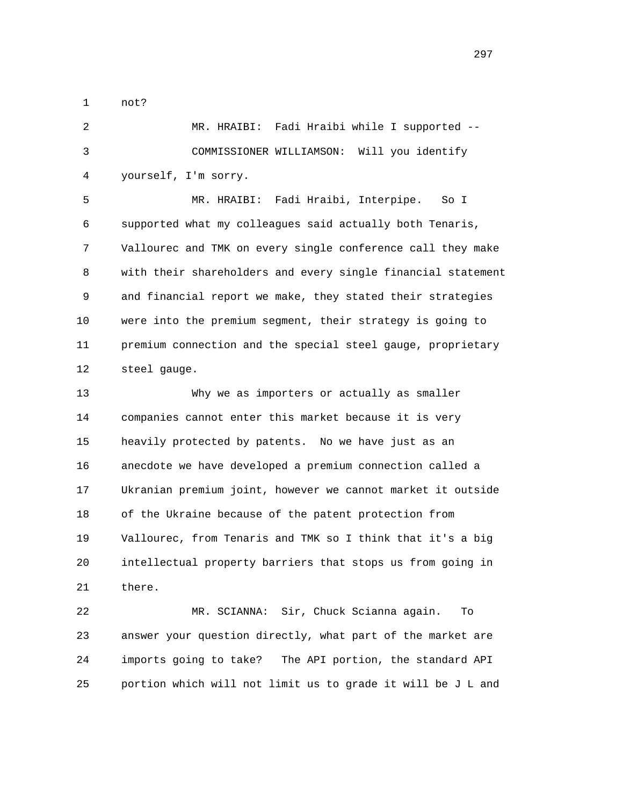1 not?

 2 MR. HRAIBI: Fadi Hraibi while I supported -- 3 COMMISSIONER WILLIAMSON: Will you identify 4 yourself, I'm sorry.

 5 MR. HRAIBI: Fadi Hraibi, Interpipe. So I 6 supported what my colleagues said actually both Tenaris, 7 Vallourec and TMK on every single conference call they make 8 with their shareholders and every single financial statement 9 and financial report we make, they stated their strategies 10 were into the premium segment, their strategy is going to 11 premium connection and the special steel gauge, proprietary 12 steel gauge.

 13 Why we as importers or actually as smaller 14 companies cannot enter this market because it is very 15 heavily protected by patents. No we have just as an 16 anecdote we have developed a premium connection called a 17 Ukranian premium joint, however we cannot market it outside 18 of the Ukraine because of the patent protection from 19 Vallourec, from Tenaris and TMK so I think that it's a big 20 intellectual property barriers that stops us from going in 21 there.

 22 MR. SCIANNA: Sir, Chuck Scianna again. To 23 answer your question directly, what part of the market are 24 imports going to take? The API portion, the standard API 25 portion which will not limit us to grade it will be J L and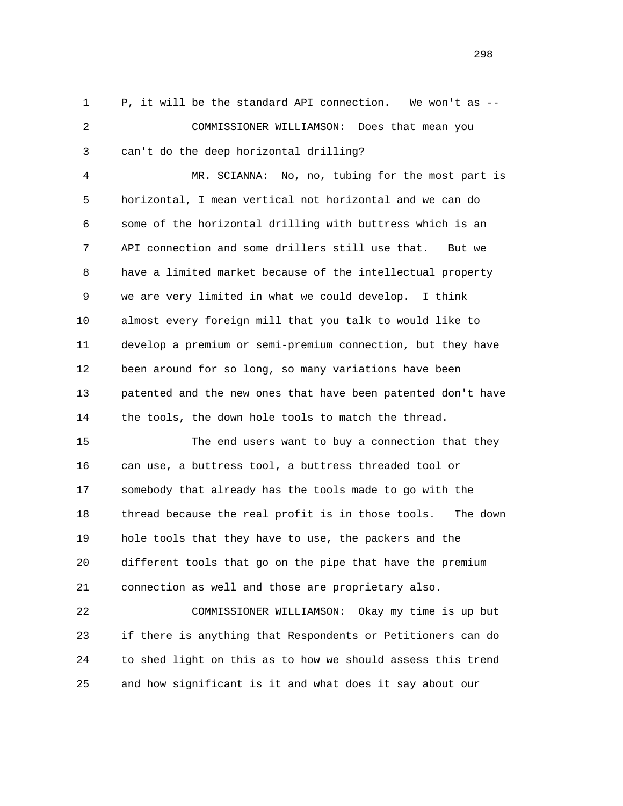1 P, it will be the standard API connection. We won't as -- 2 COMMISSIONER WILLIAMSON: Does that mean you 3 can't do the deep horizontal drilling?

 4 MR. SCIANNA: No, no, tubing for the most part is 5 horizontal, I mean vertical not horizontal and we can do 6 some of the horizontal drilling with buttress which is an 7 API connection and some drillers still use that. But we 8 have a limited market because of the intellectual property 9 we are very limited in what we could develop. I think 10 almost every foreign mill that you talk to would like to 11 develop a premium or semi-premium connection, but they have 12 been around for so long, so many variations have been 13 patented and the new ones that have been patented don't have 14 the tools, the down hole tools to match the thread.

 15 The end users want to buy a connection that they 16 can use, a buttress tool, a buttress threaded tool or 17 somebody that already has the tools made to go with the 18 thread because the real profit is in those tools. The down 19 hole tools that they have to use, the packers and the 20 different tools that go on the pipe that have the premium 21 connection as well and those are proprietary also.

 22 COMMISSIONER WILLIAMSON: Okay my time is up but 23 if there is anything that Respondents or Petitioners can do 24 to shed light on this as to how we should assess this trend 25 and how significant is it and what does it say about our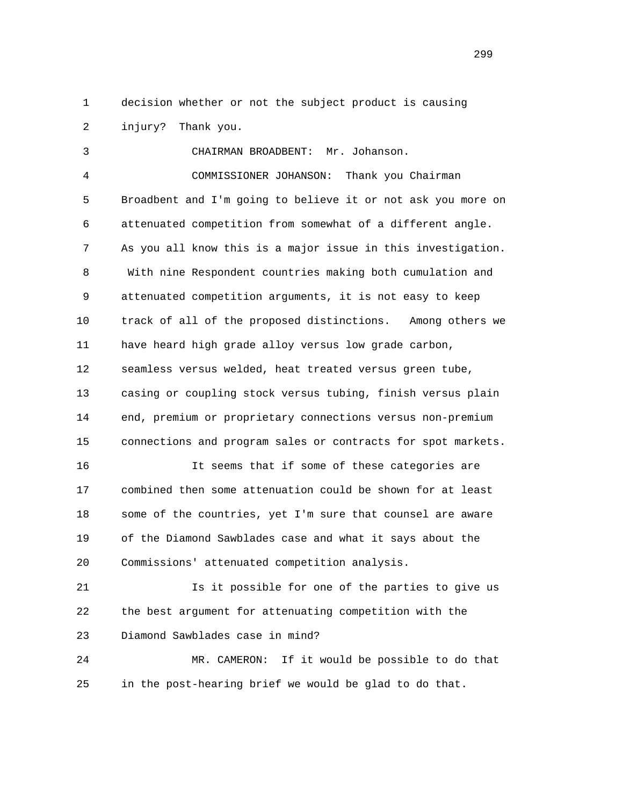1 decision whether or not the subject product is causing 2 injury? Thank you.

 3 CHAIRMAN BROADBENT: Mr. Johanson. 4 COMMISSIONER JOHANSON: Thank you Chairman 5 Broadbent and I'm going to believe it or not ask you more on 6 attenuated competition from somewhat of a different angle. 7 As you all know this is a major issue in this investigation. 8 With nine Respondent countries making both cumulation and 9 attenuated competition arguments, it is not easy to keep 10 track of all of the proposed distinctions. Among others we 11 have heard high grade alloy versus low grade carbon, 12 seamless versus welded, heat treated versus green tube, 13 casing or coupling stock versus tubing, finish versus plain 14 end, premium or proprietary connections versus non-premium 15 connections and program sales or contracts for spot markets. 16 It seems that if some of these categories are

 17 combined then some attenuation could be shown for at least 18 some of the countries, yet I'm sure that counsel are aware 19 of the Diamond Sawblades case and what it says about the 20 Commissions' attenuated competition analysis.

 21 Is it possible for one of the parties to give us 22 the best argument for attenuating competition with the 23 Diamond Sawblades case in mind?

 24 MR. CAMERON: If it would be possible to do that 25 in the post-hearing brief we would be glad to do that.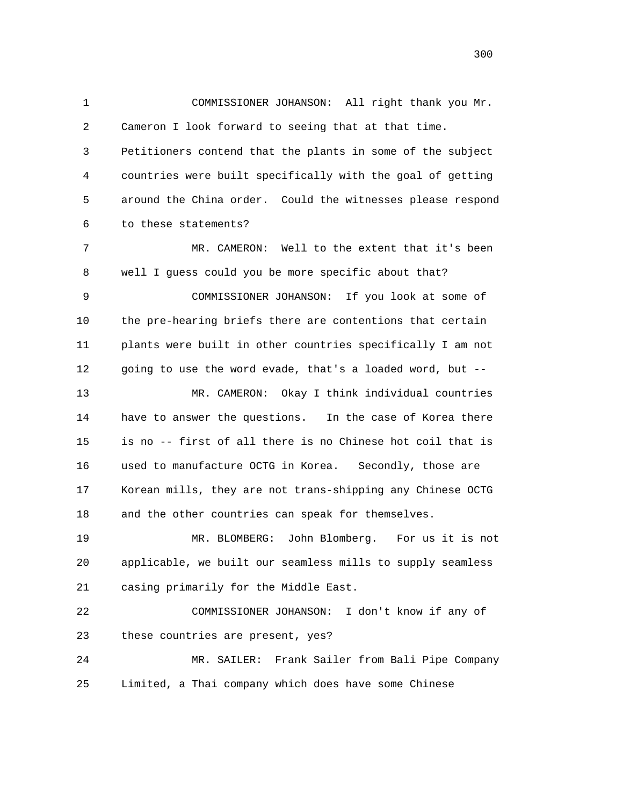1 COMMISSIONER JOHANSON: All right thank you Mr. 2 Cameron I look forward to seeing that at that time. 3 Petitioners contend that the plants in some of the subject 4 countries were built specifically with the goal of getting 5 around the China order. Could the witnesses please respond 6 to these statements? 7 MR. CAMERON: Well to the extent that it's been 8 well I guess could you be more specific about that? 9 COMMISSIONER JOHANSON: If you look at some of 10 the pre-hearing briefs there are contentions that certain 11 plants were built in other countries specifically I am not 12 going to use the word evade, that's a loaded word, but -- 13 MR. CAMERON: Okay I think individual countries 14 have to answer the questions. In the case of Korea there 15 is no -- first of all there is no Chinese hot coil that is 16 used to manufacture OCTG in Korea. Secondly, those are 17 Korean mills, they are not trans-shipping any Chinese OCTG 18 and the other countries can speak for themselves. 19 MR. BLOMBERG: John Blomberg. For us it is not 20 applicable, we built our seamless mills to supply seamless 21 casing primarily for the Middle East. 22 COMMISSIONER JOHANSON: I don't know if any of 23 these countries are present, yes? 24 MR. SAILER: Frank Sailer from Bali Pipe Company

25 Limited, a Thai company which does have some Chinese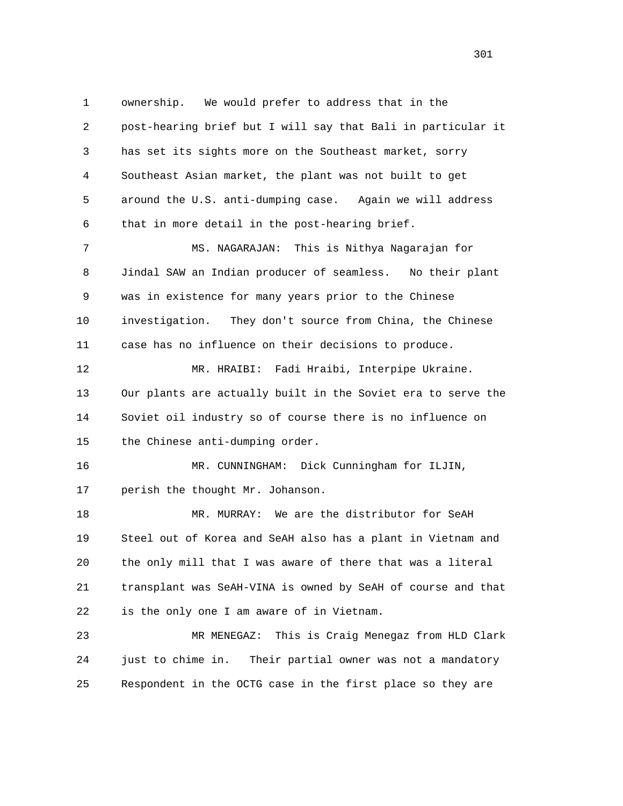1 ownership. We would prefer to address that in the 2 post-hearing brief but I will say that Bali in particular it 3 has set its sights more on the Southeast market, sorry 4 Southeast Asian market, the plant was not built to get 5 around the U.S. anti-dumping case. Again we will address 6 that in more detail in the post-hearing brief. 7 MS. NAGARAJAN: This is Nithya Nagarajan for 8 Jindal SAW an Indian producer of seamless. No their plant 9 was in existence for many years prior to the Chinese

 10 investigation. They don't source from China, the Chinese 11 case has no influence on their decisions to produce.

 12 MR. HRAIBI: Fadi Hraibi, Interpipe Ukraine. 13 Our plants are actually built in the Soviet era to serve the 14 Soviet oil industry so of course there is no influence on 15 the Chinese anti-dumping order.

 16 MR. CUNNINGHAM: Dick Cunningham for ILJIN, 17 perish the thought Mr. Johanson.

 18 MR. MURRAY: We are the distributor for SeAH 19 Steel out of Korea and SeAH also has a plant in Vietnam and 20 the only mill that I was aware of there that was a literal 21 transplant was SeAH-VINA is owned by SeAH of course and that 22 is the only one I am aware of in Vietnam.

 23 MR MENEGAZ: This is Craig Menegaz from HLD Clark 24 just to chime in. Their partial owner was not a mandatory 25 Respondent in the OCTG case in the first place so they are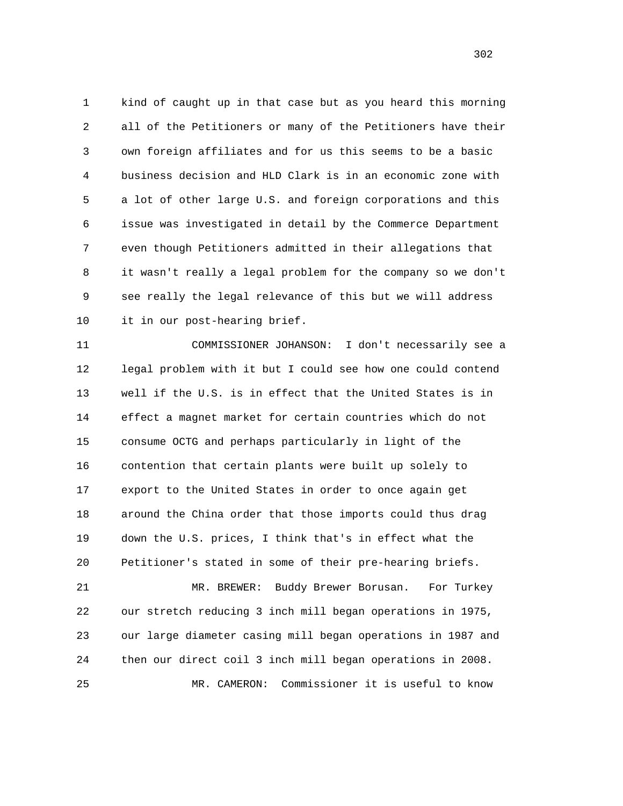1 kind of caught up in that case but as you heard this morning 2 all of the Petitioners or many of the Petitioners have their 3 own foreign affiliates and for us this seems to be a basic 4 business decision and HLD Clark is in an economic zone with 5 a lot of other large U.S. and foreign corporations and this 6 issue was investigated in detail by the Commerce Department 7 even though Petitioners admitted in their allegations that 8 it wasn't really a legal problem for the company so we don't 9 see really the legal relevance of this but we will address 10 it in our post-hearing brief.

 11 COMMISSIONER JOHANSON: I don't necessarily see a 12 legal problem with it but I could see how one could contend 13 well if the U.S. is in effect that the United States is in 14 effect a magnet market for certain countries which do not 15 consume OCTG and perhaps particularly in light of the 16 contention that certain plants were built up solely to 17 export to the United States in order to once again get 18 around the China order that those imports could thus drag 19 down the U.S. prices, I think that's in effect what the 20 Petitioner's stated in some of their pre-hearing briefs.

 21 MR. BREWER: Buddy Brewer Borusan. For Turkey 22 our stretch reducing 3 inch mill began operations in 1975, 23 our large diameter casing mill began operations in 1987 and 24 then our direct coil 3 inch mill began operations in 2008. 25 MR. CAMERON: Commissioner it is useful to know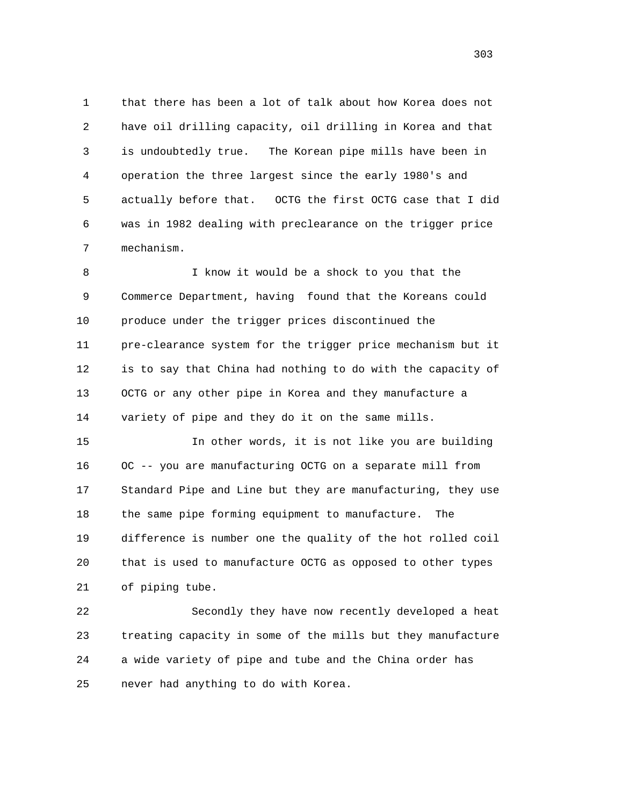1 that there has been a lot of talk about how Korea does not 2 have oil drilling capacity, oil drilling in Korea and that 3 is undoubtedly true. The Korean pipe mills have been in 4 operation the three largest since the early 1980's and 5 actually before that. OCTG the first OCTG case that I did 6 was in 1982 dealing with preclearance on the trigger price 7 mechanism.

 8 I know it would be a shock to you that the 9 Commerce Department, having found that the Koreans could 10 produce under the trigger prices discontinued the 11 pre-clearance system for the trigger price mechanism but it 12 is to say that China had nothing to do with the capacity of 13 OCTG or any other pipe in Korea and they manufacture a 14 variety of pipe and they do it on the same mills.

 15 In other words, it is not like you are building 16 OC -- you are manufacturing OCTG on a separate mill from 17 Standard Pipe and Line but they are manufacturing, they use 18 the same pipe forming equipment to manufacture. The 19 difference is number one the quality of the hot rolled coil 20 that is used to manufacture OCTG as opposed to other types 21 of piping tube.

 22 Secondly they have now recently developed a heat 23 treating capacity in some of the mills but they manufacture 24 a wide variety of pipe and tube and the China order has 25 never had anything to do with Korea.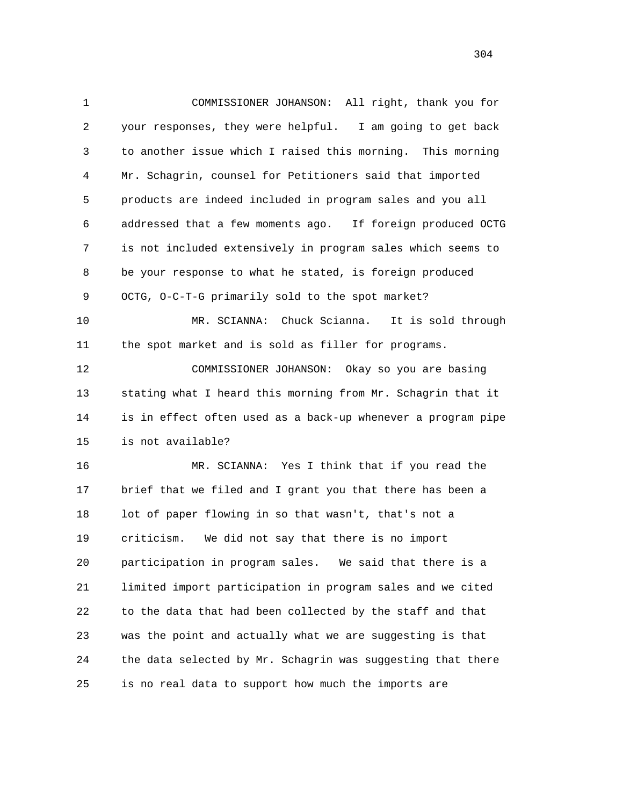1 COMMISSIONER JOHANSON: All right, thank you for 2 your responses, they were helpful. I am going to get back 3 to another issue which I raised this morning. This morning 4 Mr. Schagrin, counsel for Petitioners said that imported 5 products are indeed included in program sales and you all 6 addressed that a few moments ago. If foreign produced OCTG 7 is not included extensively in program sales which seems to 8 be your response to what he stated, is foreign produced 9 OCTG, O-C-T-G primarily sold to the spot market? 10 MR. SCIANNA: Chuck Scianna. It is sold through 11 the spot market and is sold as filler for programs. 12 COMMISSIONER JOHANSON: Okay so you are basing 13 stating what I heard this morning from Mr. Schagrin that it

 14 is in effect often used as a back-up whenever a program pipe 15 is not available?

 16 MR. SCIANNA: Yes I think that if you read the 17 brief that we filed and I grant you that there has been a 18 lot of paper flowing in so that wasn't, that's not a 19 criticism. We did not say that there is no import 20 participation in program sales. We said that there is a 21 limited import participation in program sales and we cited 22 to the data that had been collected by the staff and that 23 was the point and actually what we are suggesting is that 24 the data selected by Mr. Schagrin was suggesting that there 25 is no real data to support how much the imports are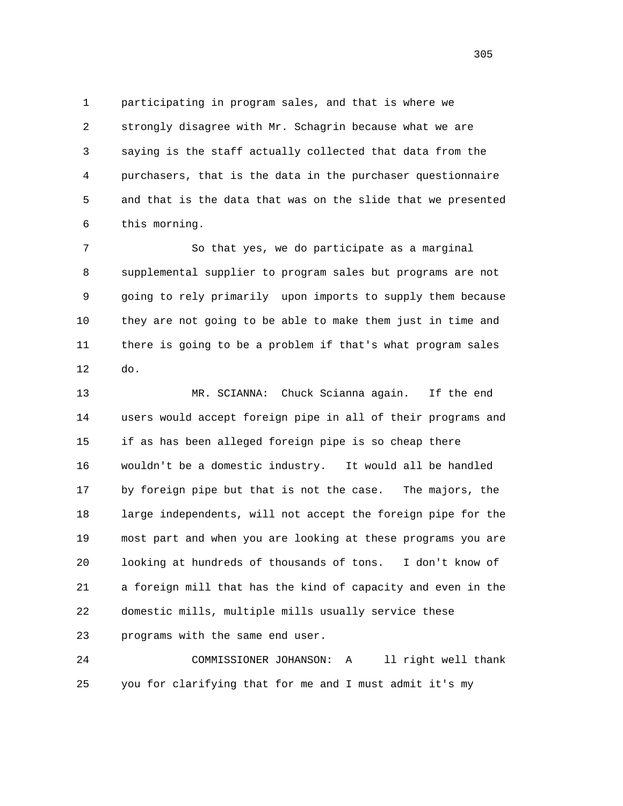1 participating in program sales, and that is where we 2 strongly disagree with Mr. Schagrin because what we are 3 saying is the staff actually collected that data from the 4 purchasers, that is the data in the purchaser questionnaire 5 and that is the data that was on the slide that we presented 6 this morning.

 7 So that yes, we do participate as a marginal 8 supplemental supplier to program sales but programs are not 9 going to rely primarily upon imports to supply them because 10 they are not going to be able to make them just in time and 11 there is going to be a problem if that's what program sales 12 do.

 13 MR. SCIANNA: Chuck Scianna again. If the end 14 users would accept foreign pipe in all of their programs and 15 if as has been alleged foreign pipe is so cheap there 16 wouldn't be a domestic industry. It would all be handled 17 by foreign pipe but that is not the case. The majors, the 18 large independents, will not accept the foreign pipe for the 19 most part and when you are looking at these programs you are 20 looking at hundreds of thousands of tons. I don't know of 21 a foreign mill that has the kind of capacity and even in the 22 domestic mills, multiple mills usually service these 23 programs with the same end user.

 24 COMMISSIONER JOHANSON: A ll right well thank 25 you for clarifying that for me and I must admit it's my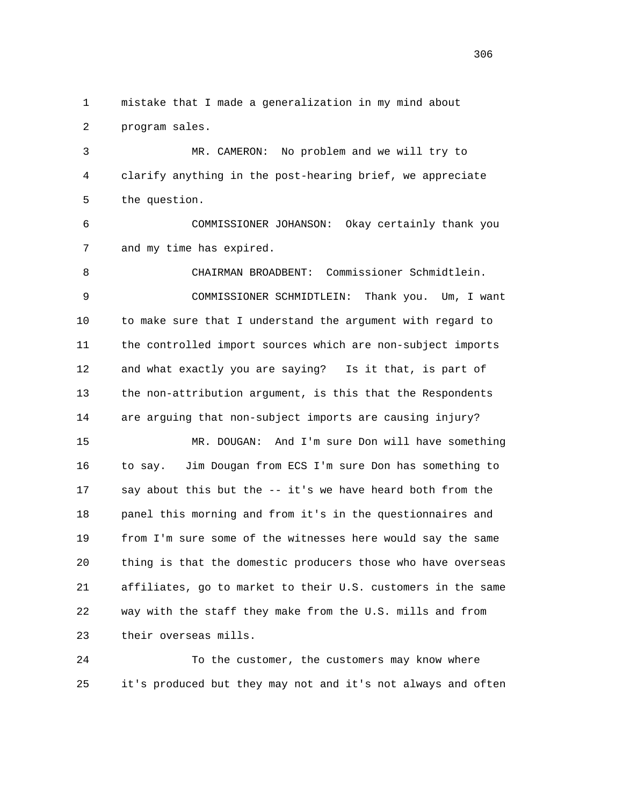1 mistake that I made a generalization in my mind about 2 program sales.

 3 MR. CAMERON: No problem and we will try to 4 clarify anything in the post-hearing brief, we appreciate 5 the question.

 6 COMMISSIONER JOHANSON: Okay certainly thank you 7 and my time has expired.

 8 CHAIRMAN BROADBENT: Commissioner Schmidtlein. 9 COMMISSIONER SCHMIDTLEIN: Thank you. Um, I want 10 to make sure that I understand the argument with regard to 11 the controlled import sources which are non-subject imports 12 and what exactly you are saying? Is it that, is part of 13 the non-attribution argument, is this that the Respondents 14 are arguing that non-subject imports are causing injury? 15 MR. DOUGAN: And I'm sure Don will have something 16 to say. Jim Dougan from ECS I'm sure Don has something to 17 say about this but the -- it's we have heard both from the

 18 panel this morning and from it's in the questionnaires and 19 from I'm sure some of the witnesses here would say the same 20 thing is that the domestic producers those who have overseas 21 affiliates, go to market to their U.S. customers in the same 22 way with the staff they make from the U.S. mills and from 23 their overseas mills.

 24 To the customer, the customers may know where 25 it's produced but they may not and it's not always and often

<u>306</u>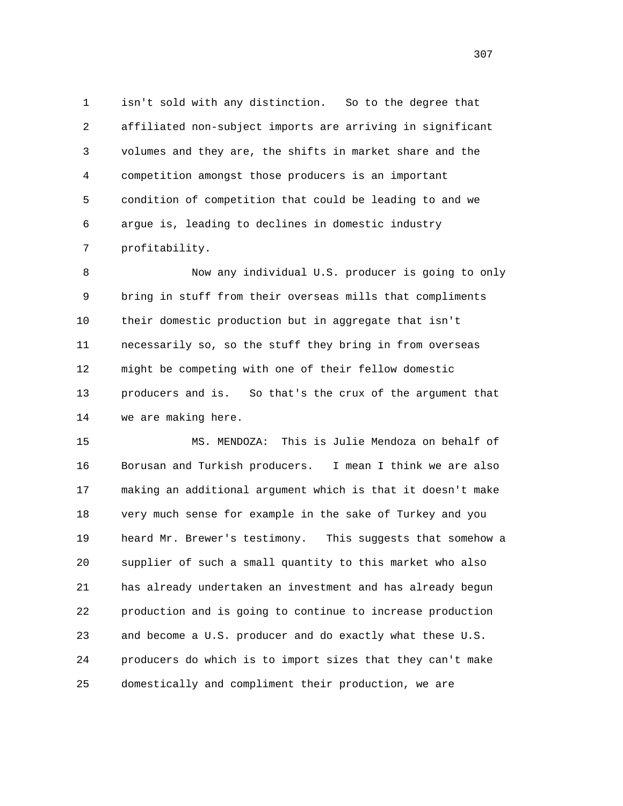1 isn't sold with any distinction. So to the degree that 2 affiliated non-subject imports are arriving in significant 3 volumes and they are, the shifts in market share and the 4 competition amongst those producers is an important 5 condition of competition that could be leading to and we 6 argue is, leading to declines in domestic industry 7 profitability.

 8 Now any individual U.S. producer is going to only 9 bring in stuff from their overseas mills that compliments 10 their domestic production but in aggregate that isn't 11 necessarily so, so the stuff they bring in from overseas 12 might be competing with one of their fellow domestic 13 producers and is. So that's the crux of the argument that 14 we are making here.

 15 MS. MENDOZA: This is Julie Mendoza on behalf of 16 Borusan and Turkish producers. I mean I think we are also 17 making an additional argument which is that it doesn't make 18 very much sense for example in the sake of Turkey and you 19 heard Mr. Brewer's testimony. This suggests that somehow a 20 supplier of such a small quantity to this market who also 21 has already undertaken an investment and has already begun 22 production and is going to continue to increase production 23 and become a U.S. producer and do exactly what these U.S. 24 producers do which is to import sizes that they can't make 25 domestically and compliment their production, we are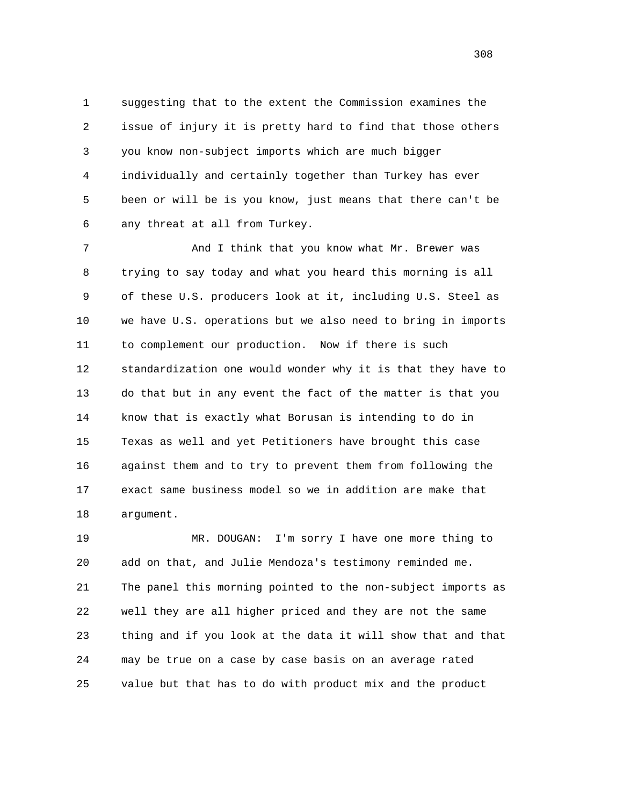1 suggesting that to the extent the Commission examines the 2 issue of injury it is pretty hard to find that those others 3 you know non-subject imports which are much bigger 4 individually and certainly together than Turkey has ever 5 been or will be is you know, just means that there can't be 6 any threat at all from Turkey.

7 And I think that you know what Mr. Brewer was 8 trying to say today and what you heard this morning is all 9 of these U.S. producers look at it, including U.S. Steel as 10 we have U.S. operations but we also need to bring in imports 11 to complement our production. Now if there is such 12 standardization one would wonder why it is that they have to 13 do that but in any event the fact of the matter is that you 14 know that is exactly what Borusan is intending to do in 15 Texas as well and yet Petitioners have brought this case 16 against them and to try to prevent them from following the 17 exact same business model so we in addition are make that 18 argument.

 19 MR. DOUGAN: I'm sorry I have one more thing to 20 add on that, and Julie Mendoza's testimony reminded me. 21 The panel this morning pointed to the non-subject imports as 22 well they are all higher priced and they are not the same 23 thing and if you look at the data it will show that and that 24 may be true on a case by case basis on an average rated 25 value but that has to do with product mix and the product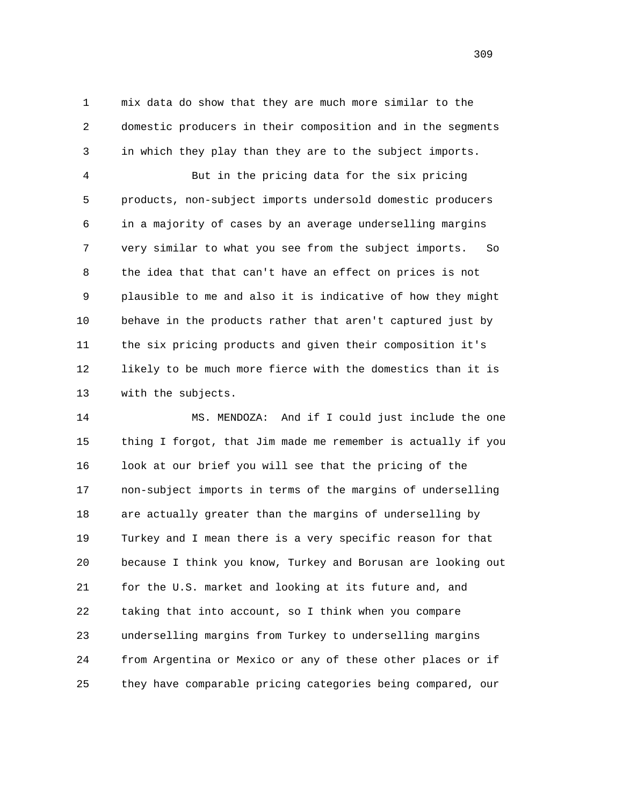1 mix data do show that they are much more similar to the 2 domestic producers in their composition and in the segments 3 in which they play than they are to the subject imports.

 4 But in the pricing data for the six pricing 5 products, non-subject imports undersold domestic producers 6 in a majority of cases by an average underselling margins 7 very similar to what you see from the subject imports. So 8 the idea that that can't have an effect on prices is not 9 plausible to me and also it is indicative of how they might 10 behave in the products rather that aren't captured just by 11 the six pricing products and given their composition it's 12 likely to be much more fierce with the domestics than it is 13 with the subjects.

 14 MS. MENDOZA: And if I could just include the one 15 thing I forgot, that Jim made me remember is actually if you 16 look at our brief you will see that the pricing of the 17 non-subject imports in terms of the margins of underselling 18 are actually greater than the margins of underselling by 19 Turkey and I mean there is a very specific reason for that 20 because I think you know, Turkey and Borusan are looking out 21 for the U.S. market and looking at its future and, and 22 taking that into account, so I think when you compare 23 underselling margins from Turkey to underselling margins 24 from Argentina or Mexico or any of these other places or if 25 they have comparable pricing categories being compared, our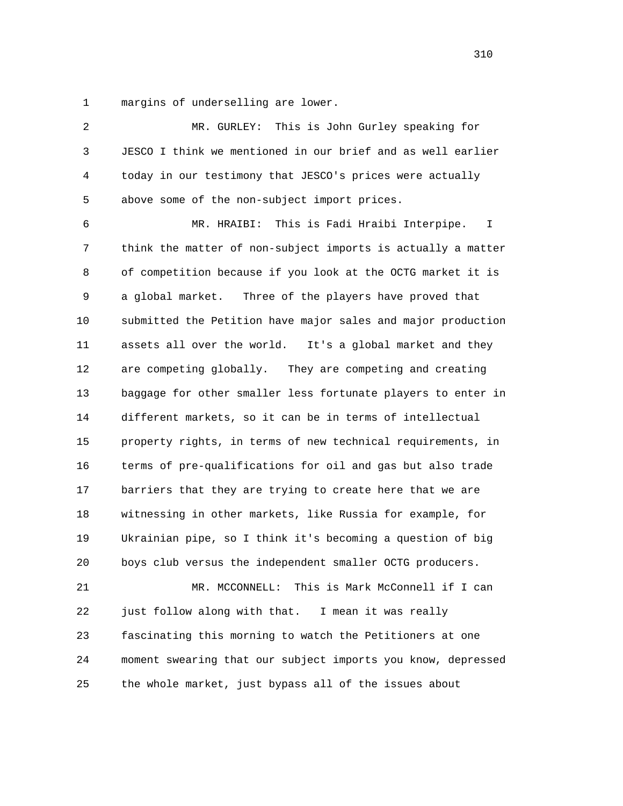1 margins of underselling are lower.

| 2  | This is John Gurley speaking for<br>MR. GURLEY:              |
|----|--------------------------------------------------------------|
| 3  | JESCO I think we mentioned in our brief and as well earlier  |
| 4  | today in our testimony that JESCO's prices were actually     |
| 5  | above some of the non-subject import prices.                 |
| 6  | This is Fadi Hraibi Interpipe.<br>MR. HRAIBI:<br>I.          |
| 7  | think the matter of non-subject imports is actually a matter |
| 8  | of competition because if you look at the OCTG market it is  |
| 9  | Three of the players have proved that<br>a global market.    |
| 10 | submitted the Petition have major sales and major production |
| 11 | assets all over the world.<br>It's a global market and they  |
| 12 | are competing globally. They are competing and creating      |
| 13 | baggage for other smaller less fortunate players to enter in |
| 14 | different markets, so it can be in terms of intellectual     |
| 15 | property rights, in terms of new technical requirements, in  |
| 16 | terms of pre-qualifications for oil and gas but also trade   |
| 17 | barriers that they are trying to create here that we are     |
| 18 | witnessing in other markets, like Russia for example, for    |
| 19 | Ukrainian pipe, so I think it's becoming a question of big   |
| 20 | boys club versus the independent smaller OCTG producers.     |
| 21 | MR. MCCONNELL: This is Mark McConnell if I can               |
| 22 | just follow along with that.<br>I mean it was really         |
| 23 | fascinating this morning to watch the Petitioners at one     |
| 24 | moment swearing that our subject imports you know, depressed |
| 25 | the whole market, just bypass all of the issues about        |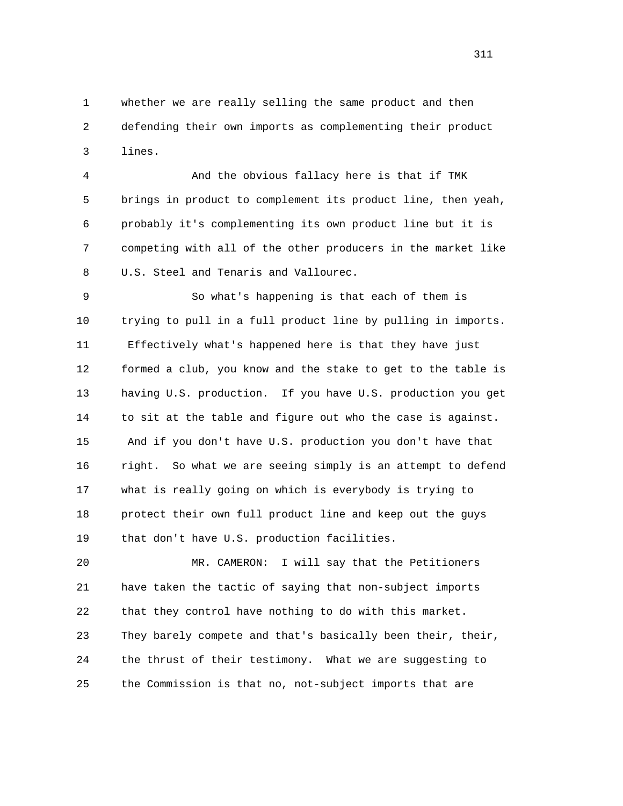1 whether we are really selling the same product and then 2 defending their own imports as complementing their product 3 lines.

 4 And the obvious fallacy here is that if TMK 5 brings in product to complement its product line, then yeah, 6 probably it's complementing its own product line but it is 7 competing with all of the other producers in the market like 8 U.S. Steel and Tenaris and Vallourec.

 9 So what's happening is that each of them is 10 trying to pull in a full product line by pulling in imports. 11 Effectively what's happened here is that they have just 12 formed a club, you know and the stake to get to the table is 13 having U.S. production. If you have U.S. production you get 14 to sit at the table and figure out who the case is against. 15 And if you don't have U.S. production you don't have that 16 right. So what we are seeing simply is an attempt to defend 17 what is really going on which is everybody is trying to 18 protect their own full product line and keep out the guys 19 that don't have U.S. production facilities.

 20 MR. CAMERON: I will say that the Petitioners 21 have taken the tactic of saying that non-subject imports 22 that they control have nothing to do with this market. 23 They barely compete and that's basically been their, their, 24 the thrust of their testimony. What we are suggesting to 25 the Commission is that no, not-subject imports that are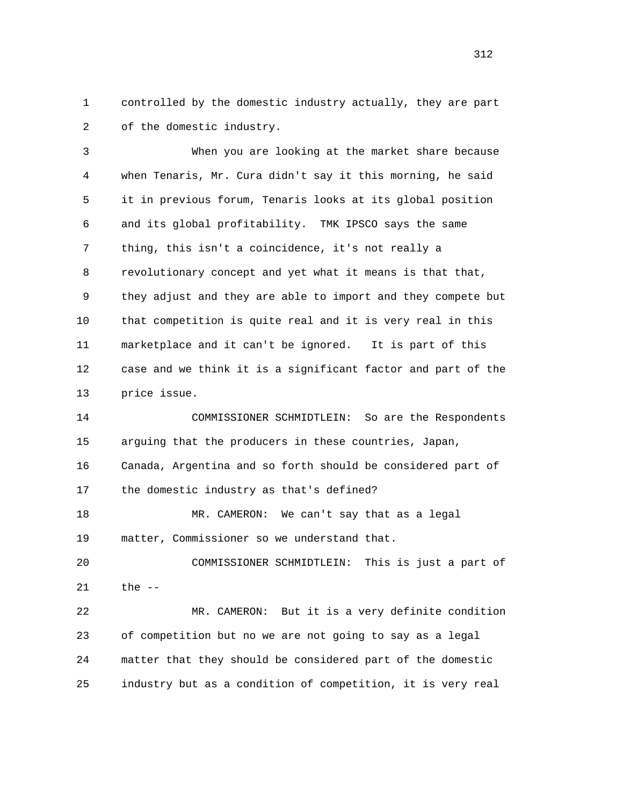1 controlled by the domestic industry actually, they are part 2 of the domestic industry.

 3 When you are looking at the market share because 4 when Tenaris, Mr. Cura didn't say it this morning, he said 5 it in previous forum, Tenaris looks at its global position 6 and its global profitability. TMK IPSCO says the same 7 thing, this isn't a coincidence, it's not really a 8 revolutionary concept and yet what it means is that that, 9 they adjust and they are able to import and they compete but 10 that competition is quite real and it is very real in this 11 marketplace and it can't be ignored. It is part of this 12 case and we think it is a significant factor and part of the 13 price issue.

 14 COMMISSIONER SCHMIDTLEIN: So are the Respondents 15 arguing that the producers in these countries, Japan, 16 Canada, Argentina and so forth should be considered part of 17 the domestic industry as that's defined?

 18 MR. CAMERON: We can't say that as a legal 19 matter, Commissioner so we understand that.

 20 COMMISSIONER SCHMIDTLEIN: This is just a part of 21 the --

 22 MR. CAMERON: But it is a very definite condition 23 of competition but no we are not going to say as a legal 24 matter that they should be considered part of the domestic 25 industry but as a condition of competition, it is very real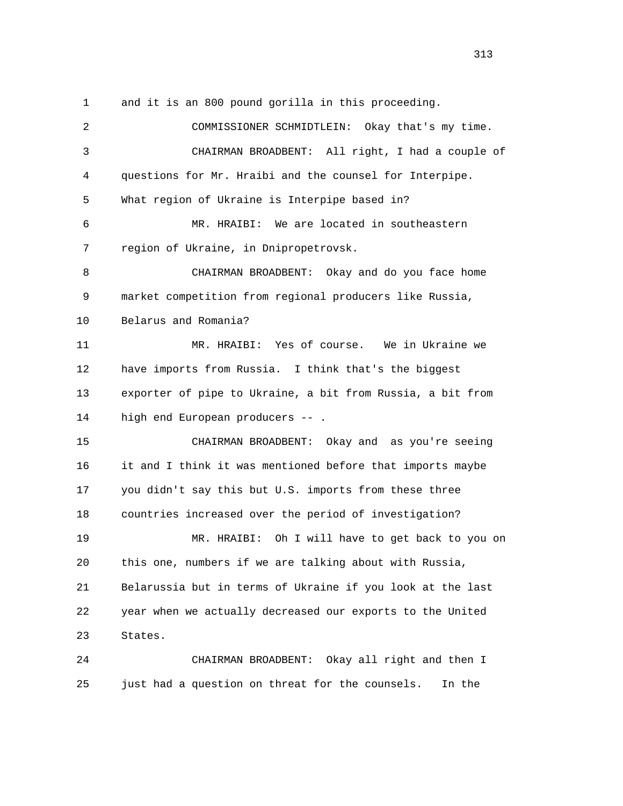1 and it is an 800 pound gorilla in this proceeding.

 2 COMMISSIONER SCHMIDTLEIN: Okay that's my time. 3 CHAIRMAN BROADBENT: All right, I had a couple of 4 questions for Mr. Hraibi and the counsel for Interpipe. 5 What region of Ukraine is Interpipe based in? 6 MR. HRAIBI: We are located in southeastern 7 region of Ukraine, in Dnipropetrovsk. 8 CHAIRMAN BROADBENT: Okay and do you face home 9 market competition from regional producers like Russia, 10 Belarus and Romania? 11 MR. HRAIBI: Yes of course. We in Ukraine we 12 have imports from Russia. I think that's the biggest 13 exporter of pipe to Ukraine, a bit from Russia, a bit from 14 high end European producers -- . 15 CHAIRMAN BROADBENT: Okay and as you're seeing 16 it and I think it was mentioned before that imports maybe 17 you didn't say this but U.S. imports from these three 18 countries increased over the period of investigation? 19 MR. HRAIBI: Oh I will have to get back to you on 20 this one, numbers if we are talking about with Russia, 21 Belarussia but in terms of Ukraine if you look at the last 22 year when we actually decreased our exports to the United 23 States. 24 CHAIRMAN BROADBENT: Okay all right and then I

25 just had a question on threat for the counsels. In the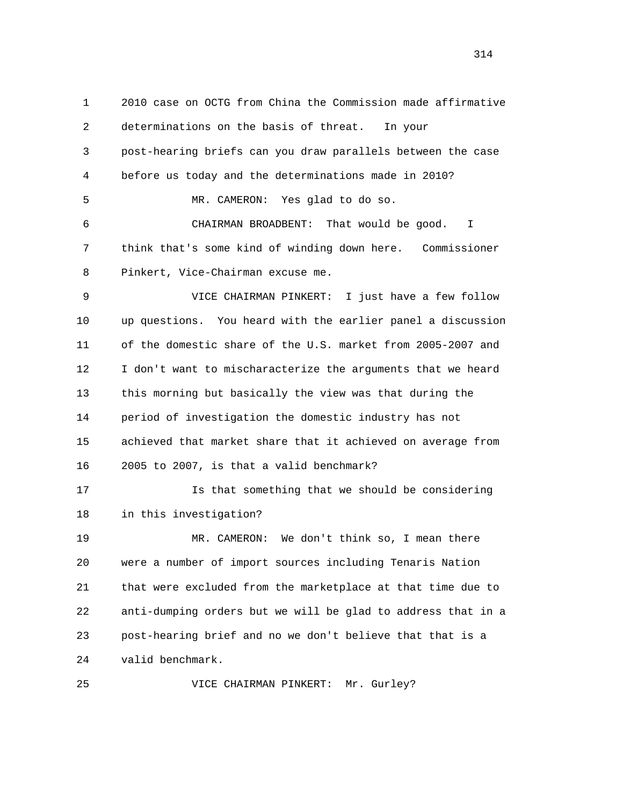1 2010 case on OCTG from China the Commission made affirmative 2 determinations on the basis of threat. In your 3 post-hearing briefs can you draw parallels between the case 4 before us today and the determinations made in 2010? 5 MR. CAMERON: Yes glad to do so. 6 CHAIRMAN BROADBENT: That would be good. I 7 think that's some kind of winding down here. Commissioner 8 Pinkert, Vice-Chairman excuse me. 9 VICE CHAIRMAN PINKERT: I just have a few follow 10 up questions. You heard with the earlier panel a discussion 11 of the domestic share of the U.S. market from 2005-2007 and 12 I don't want to mischaracterize the arguments that we heard 13 this morning but basically the view was that during the 14 period of investigation the domestic industry has not 15 achieved that market share that it achieved on average from 16 2005 to 2007, is that a valid benchmark? 17 Is that something that we should be considering 18 in this investigation? 19 MR. CAMERON: We don't think so, I mean there 20 were a number of import sources including Tenaris Nation 21 that were excluded from the marketplace at that time due to 22 anti-dumping orders but we will be glad to address that in a 23 post-hearing brief and no we don't believe that that is a 24 valid benchmark. 25 VICE CHAIRMAN PINKERT: Mr. Gurley?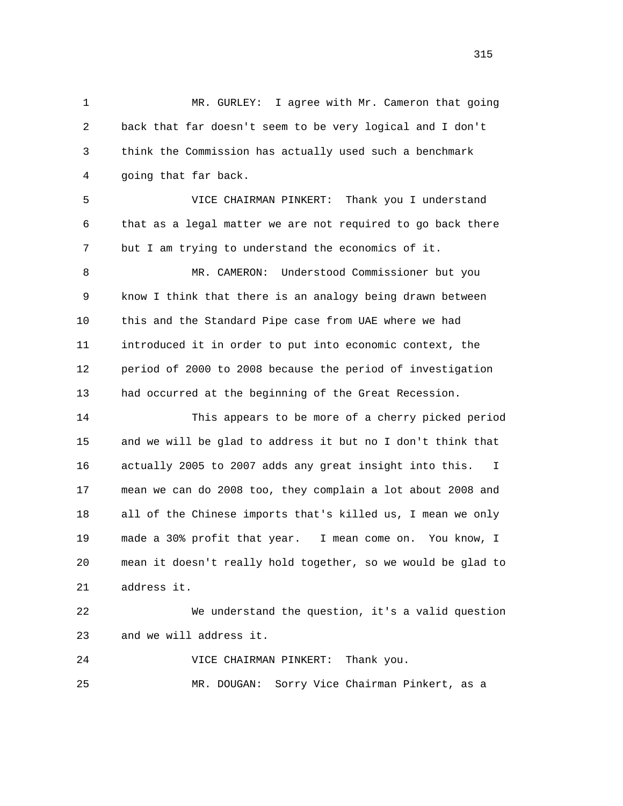1 MR. GURLEY: I agree with Mr. Cameron that going 2 back that far doesn't seem to be very logical and I don't 3 think the Commission has actually used such a benchmark 4 going that far back.

 5 VICE CHAIRMAN PINKERT: Thank you I understand 6 that as a legal matter we are not required to go back there 7 but I am trying to understand the economics of it.

 8 MR. CAMERON: Understood Commissioner but you 9 know I think that there is an analogy being drawn between 10 this and the Standard Pipe case from UAE where we had 11 introduced it in order to put into economic context, the 12 period of 2000 to 2008 because the period of investigation 13 had occurred at the beginning of the Great Recession.

 14 This appears to be more of a cherry picked period 15 and we will be glad to address it but no I don't think that 16 actually 2005 to 2007 adds any great insight into this. I 17 mean we can do 2008 too, they complain a lot about 2008 and 18 all of the Chinese imports that's killed us, I mean we only 19 made a 30% profit that year. I mean come on. You know, I 20 mean it doesn't really hold together, so we would be glad to 21 address it.

 22 We understand the question, it's a valid question 23 and we will address it.

 24 VICE CHAIRMAN PINKERT: Thank you. 25 MR. DOUGAN: Sorry Vice Chairman Pinkert, as a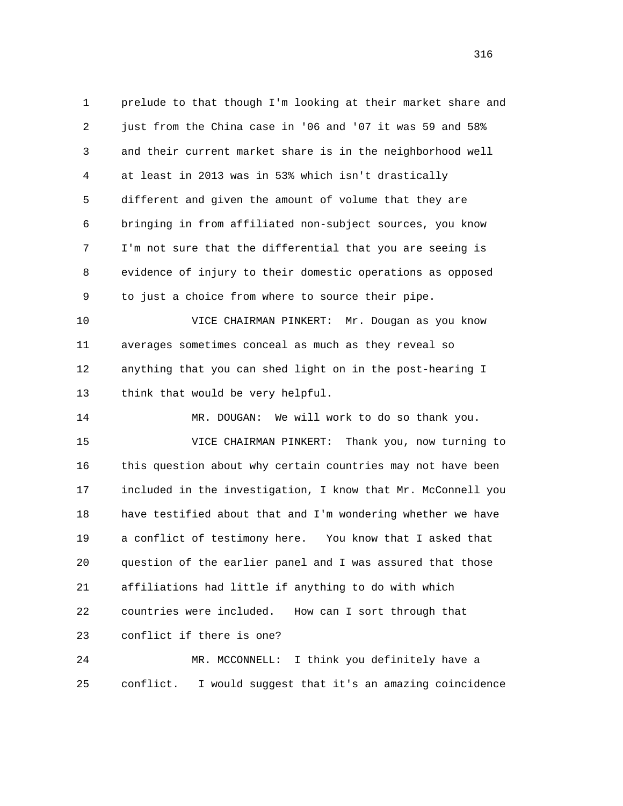1 prelude to that though I'm looking at their market share and 2 just from the China case in '06 and '07 it was 59 and 58% 3 and their current market share is in the neighborhood well 4 at least in 2013 was in 53% which isn't drastically 5 different and given the amount of volume that they are 6 bringing in from affiliated non-subject sources, you know 7 I'm not sure that the differential that you are seeing is 8 evidence of injury to their domestic operations as opposed 9 to just a choice from where to source their pipe.

 10 VICE CHAIRMAN PINKERT: Mr. Dougan as you know 11 averages sometimes conceal as much as they reveal so 12 anything that you can shed light on in the post-hearing I 13 think that would be very helpful.

 14 MR. DOUGAN: We will work to do so thank you. 15 VICE CHAIRMAN PINKERT: Thank you, now turning to 16 this question about why certain countries may not have been 17 included in the investigation, I know that Mr. McConnell you 18 have testified about that and I'm wondering whether we have 19 a conflict of testimony here. You know that I asked that 20 question of the earlier panel and I was assured that those 21 affiliations had little if anything to do with which 22 countries were included. How can I sort through that 23 conflict if there is one?

 24 MR. MCCONNELL: I think you definitely have a 25 conflict. I would suggest that it's an amazing coincidence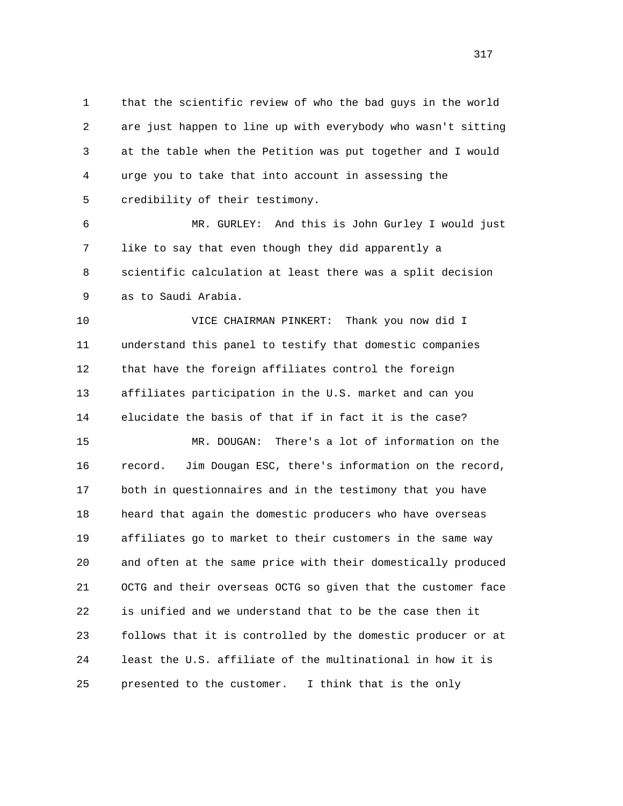1 that the scientific review of who the bad guys in the world 2 are just happen to line up with everybody who wasn't sitting 3 at the table when the Petition was put together and I would 4 urge you to take that into account in assessing the 5 credibility of their testimony.

 6 MR. GURLEY: And this is John Gurley I would just 7 like to say that even though they did apparently a 8 scientific calculation at least there was a split decision 9 as to Saudi Arabia.

 10 VICE CHAIRMAN PINKERT: Thank you now did I 11 understand this panel to testify that domestic companies 12 that have the foreign affiliates control the foreign 13 affiliates participation in the U.S. market and can you 14 elucidate the basis of that if in fact it is the case?

 15 MR. DOUGAN: There's a lot of information on the 16 record. Jim Dougan ESC, there's information on the record, 17 both in questionnaires and in the testimony that you have 18 heard that again the domestic producers who have overseas 19 affiliates go to market to their customers in the same way 20 and often at the same price with their domestically produced 21 OCTG and their overseas OCTG so given that the customer face 22 is unified and we understand that to be the case then it 23 follows that it is controlled by the domestic producer or at 24 least the U.S. affiliate of the multinational in how it is 25 presented to the customer. I think that is the only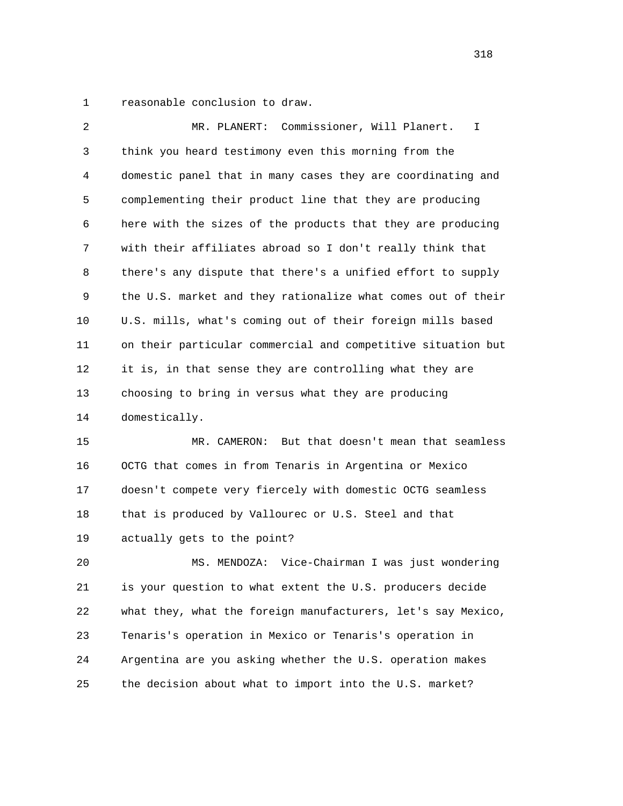1 reasonable conclusion to draw.

 2 MR. PLANERT: Commissioner, Will Planert. I 3 think you heard testimony even this morning from the 4 domestic panel that in many cases they are coordinating and 5 complementing their product line that they are producing 6 here with the sizes of the products that they are producing 7 with their affiliates abroad so I don't really think that 8 there's any dispute that there's a unified effort to supply 9 the U.S. market and they rationalize what comes out of their 10 U.S. mills, what's coming out of their foreign mills based 11 on their particular commercial and competitive situation but 12 it is, in that sense they are controlling what they are 13 choosing to bring in versus what they are producing 14 domestically.

 15 MR. CAMERON: But that doesn't mean that seamless 16 OCTG that comes in from Tenaris in Argentina or Mexico 17 doesn't compete very fiercely with domestic OCTG seamless 18 that is produced by Vallourec or U.S. Steel and that 19 actually gets to the point?

 20 MS. MENDOZA: Vice-Chairman I was just wondering 21 is your question to what extent the U.S. producers decide 22 what they, what the foreign manufacturers, let's say Mexico, 23 Tenaris's operation in Mexico or Tenaris's operation in 24 Argentina are you asking whether the U.S. operation makes 25 the decision about what to import into the U.S. market?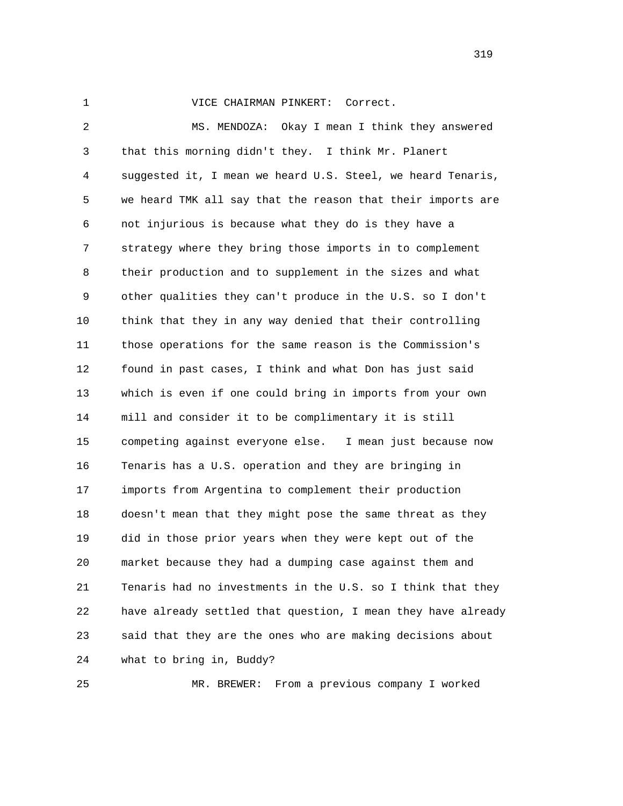## 1 VICE CHAIRMAN PINKERT: Correct.

 2 MS. MENDOZA: Okay I mean I think they answered 3 that this morning didn't they. I think Mr. Planert 4 suggested it, I mean we heard U.S. Steel, we heard Tenaris, 5 we heard TMK all say that the reason that their imports are 6 not injurious is because what they do is they have a 7 strategy where they bring those imports in to complement 8 their production and to supplement in the sizes and what 9 other qualities they can't produce in the U.S. so I don't 10 think that they in any way denied that their controlling 11 those operations for the same reason is the Commission's 12 found in past cases, I think and what Don has just said 13 which is even if one could bring in imports from your own 14 mill and consider it to be complimentary it is still 15 competing against everyone else. I mean just because now 16 Tenaris has a U.S. operation and they are bringing in 17 imports from Argentina to complement their production 18 doesn't mean that they might pose the same threat as they 19 did in those prior years when they were kept out of the 20 market because they had a dumping case against them and 21 Tenaris had no investments in the U.S. so I think that they 22 have already settled that question, I mean they have already 23 said that they are the ones who are making decisions about 24 what to bring in, Buddy?

25 MR. BREWER: From a previous company I worked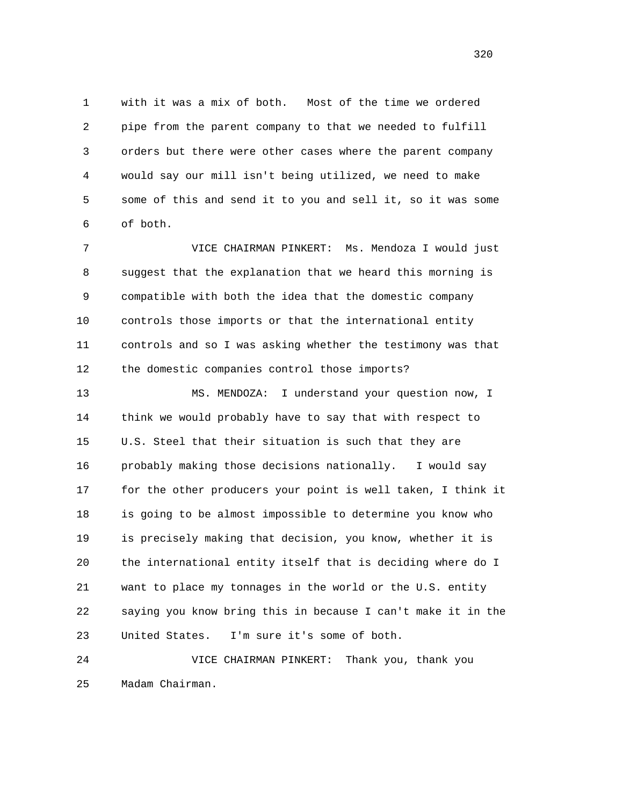1 with it was a mix of both. Most of the time we ordered 2 pipe from the parent company to that we needed to fulfill 3 orders but there were other cases where the parent company 4 would say our mill isn't being utilized, we need to make 5 some of this and send it to you and sell it, so it was some 6 of both.

 7 VICE CHAIRMAN PINKERT: Ms. Mendoza I would just 8 suggest that the explanation that we heard this morning is 9 compatible with both the idea that the domestic company 10 controls those imports or that the international entity 11 controls and so I was asking whether the testimony was that 12 the domestic companies control those imports?

 13 MS. MENDOZA: I understand your question now, I 14 think we would probably have to say that with respect to 15 U.S. Steel that their situation is such that they are 16 probably making those decisions nationally. I would say 17 for the other producers your point is well taken, I think it 18 is going to be almost impossible to determine you know who 19 is precisely making that decision, you know, whether it is 20 the international entity itself that is deciding where do I 21 want to place my tonnages in the world or the U.S. entity 22 saying you know bring this in because I can't make it in the 23 United States. I'm sure it's some of both.

 24 VICE CHAIRMAN PINKERT: Thank you, thank you 25 Madam Chairman.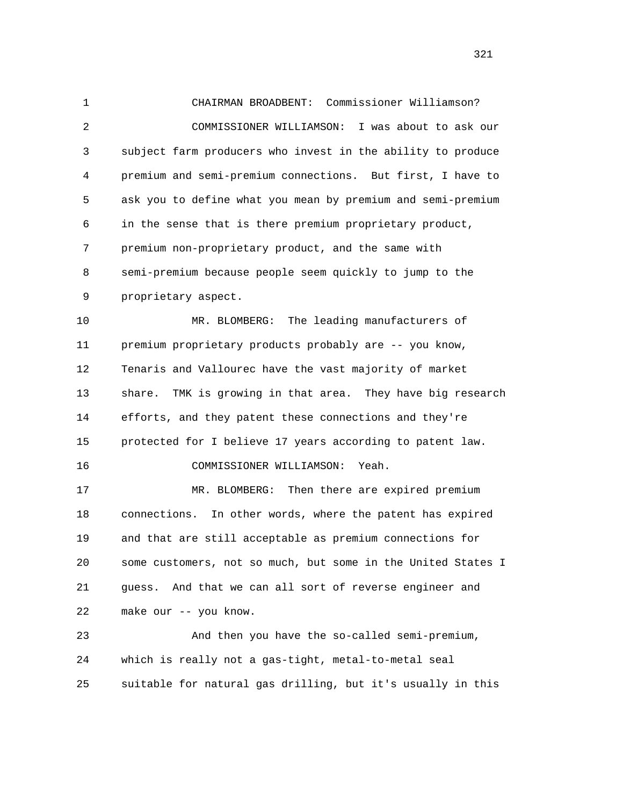1 CHAIRMAN BROADBENT: Commissioner Williamson? 2 COMMISSIONER WILLIAMSON: I was about to ask our 3 subject farm producers who invest in the ability to produce 4 premium and semi-premium connections. But first, I have to 5 ask you to define what you mean by premium and semi-premium 6 in the sense that is there premium proprietary product, 7 premium non-proprietary product, and the same with 8 semi-premium because people seem quickly to jump to the 9 proprietary aspect. 10 MR. BLOMBERG: The leading manufacturers of 11 premium proprietary products probably are -- you know, 12 Tenaris and Vallourec have the vast majority of market 13 share. TMK is growing in that area. They have big research 14 efforts, and they patent these connections and they're 15 protected for I believe 17 years according to patent law. 16 COMMISSIONER WILLIAMSON: Yeah. 17 MR. BLOMBERG: Then there are expired premium 18 connections. In other words, where the patent has expired 19 and that are still acceptable as premium connections for 20 some customers, not so much, but some in the United States I 21 guess. And that we can all sort of reverse engineer and 22 make our -- you know.

 23 And then you have the so-called semi-premium, 24 which is really not a gas-tight, metal-to-metal seal 25 suitable for natural gas drilling, but it's usually in this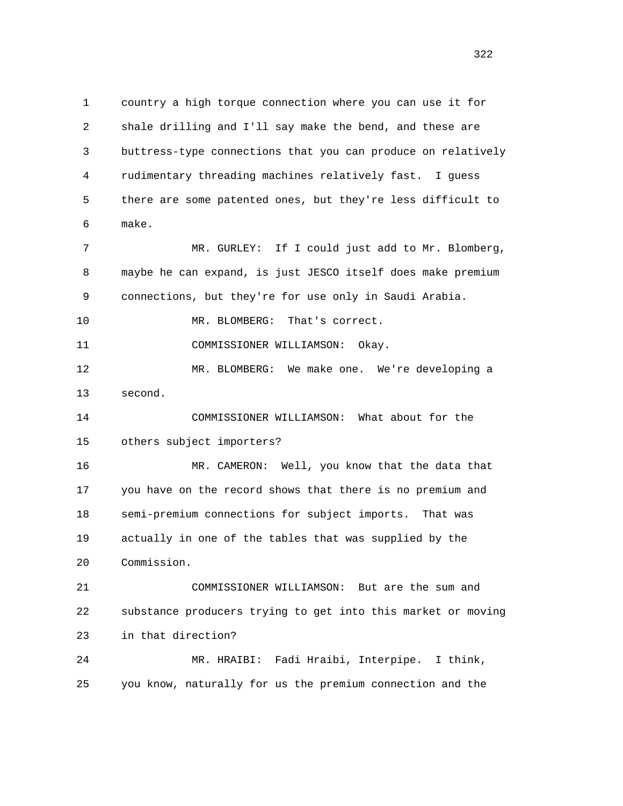1 country a high torque connection where you can use it for 2 shale drilling and I'll say make the bend, and these are 3 buttress-type connections that you can produce on relatively 4 rudimentary threading machines relatively fast. I guess 5 there are some patented ones, but they're less difficult to 6 make. 7 MR. GURLEY: If I could just add to Mr. Blomberg, 8 maybe he can expand, is just JESCO itself does make premium 9 connections, but they're for use only in Saudi Arabia. 10 MR. BLOMBERG: That's correct. 11 COMMISSIONER WILLIAMSON: Okay. 12 MR. BLOMBERG: We make one. We're developing a 13 second. 14 COMMISSIONER WILLIAMSON: What about for the 15 others subject importers? 16 MR. CAMERON: Well, you know that the data that 17 you have on the record shows that there is no premium and 18 semi-premium connections for subject imports. That was 19 actually in one of the tables that was supplied by the 20 Commission. 21 COMMISSIONER WILLIAMSON: But are the sum and 22 substance producers trying to get into this market or moving 23 in that direction? 24 MR. HRAIBI: Fadi Hraibi, Interpipe. I think, 25 you know, naturally for us the premium connection and the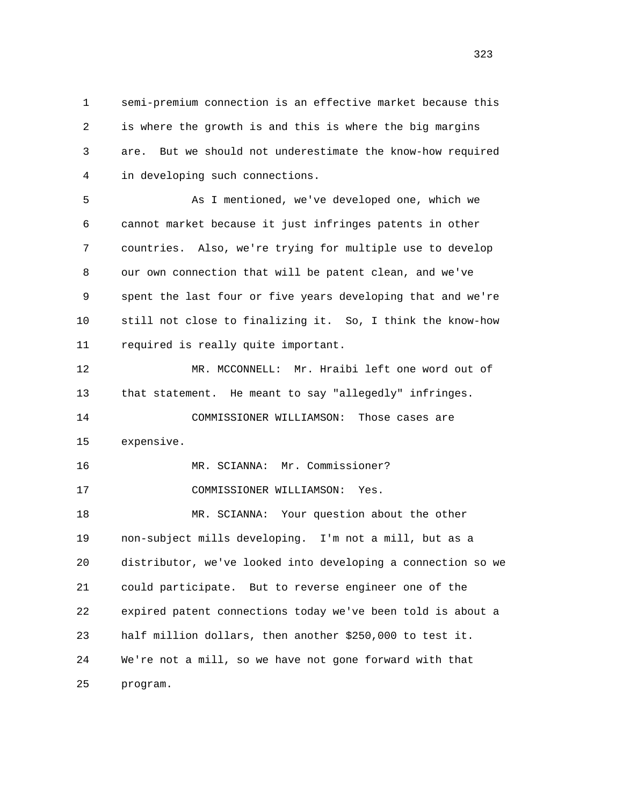1 semi-premium connection is an effective market because this 2 is where the growth is and this is where the big margins 3 are. But we should not underestimate the know-how required 4 in developing such connections.

 5 As I mentioned, we've developed one, which we 6 cannot market because it just infringes patents in other 7 countries. Also, we're trying for multiple use to develop 8 our own connection that will be patent clean, and we've 9 spent the last four or five years developing that and we're 10 still not close to finalizing it. So, I think the know-how 11 required is really quite important.

 12 MR. MCCONNELL: Mr. Hraibi left one word out of 13 that statement. He meant to say "allegedly" infringes. 14 COMMISSIONER WILLIAMSON: Those cases are 15 expensive.

 16 MR. SCIANNA: Mr. Commissioner? 17 COMMISSIONER WILLIAMSON: Yes.

 18 MR. SCIANNA: Your question about the other 19 non-subject mills developing. I'm not a mill, but as a 20 distributor, we've looked into developing a connection so we 21 could participate. But to reverse engineer one of the 22 expired patent connections today we've been told is about a 23 half million dollars, then another \$250,000 to test it. 24 We're not a mill, so we have not gone forward with that 25 program.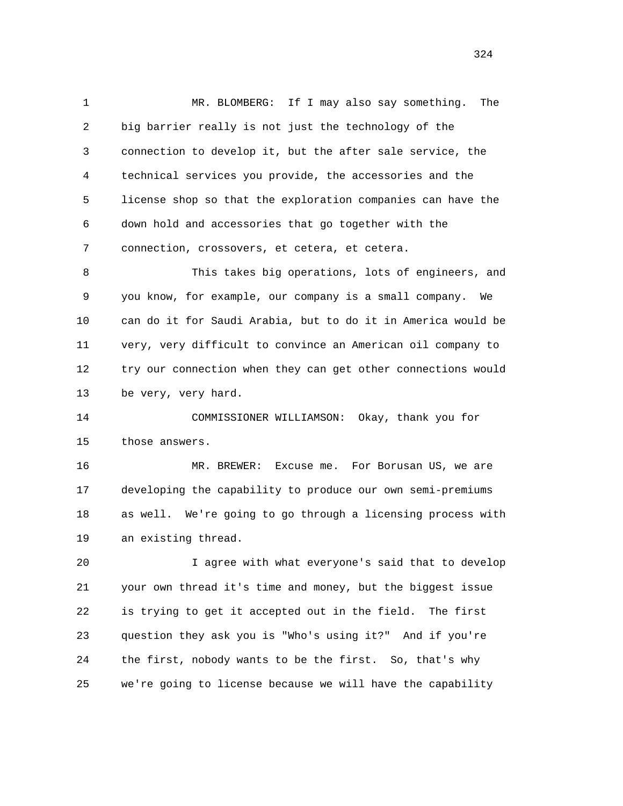1 MR. BLOMBERG: If I may also say something. The 2 big barrier really is not just the technology of the 3 connection to develop it, but the after sale service, the 4 technical services you provide, the accessories and the 5 license shop so that the exploration companies can have the 6 down hold and accessories that go together with the 7 connection, crossovers, et cetera, et cetera.

 8 This takes big operations, lots of engineers, and 9 you know, for example, our company is a small company. We 10 can do it for Saudi Arabia, but to do it in America would be 11 very, very difficult to convince an American oil company to 12 try our connection when they can get other connections would 13 be very, very hard.

 14 COMMISSIONER WILLIAMSON: Okay, thank you for 15 those answers.

 16 MR. BREWER: Excuse me. For Borusan US, we are 17 developing the capability to produce our own semi-premiums 18 as well. We're going to go through a licensing process with 19 an existing thread.

 20 I agree with what everyone's said that to develop 21 your own thread it's time and money, but the biggest issue 22 is trying to get it accepted out in the field. The first 23 question they ask you is "Who's using it?" And if you're 24 the first, nobody wants to be the first. So, that's why 25 we're going to license because we will have the capability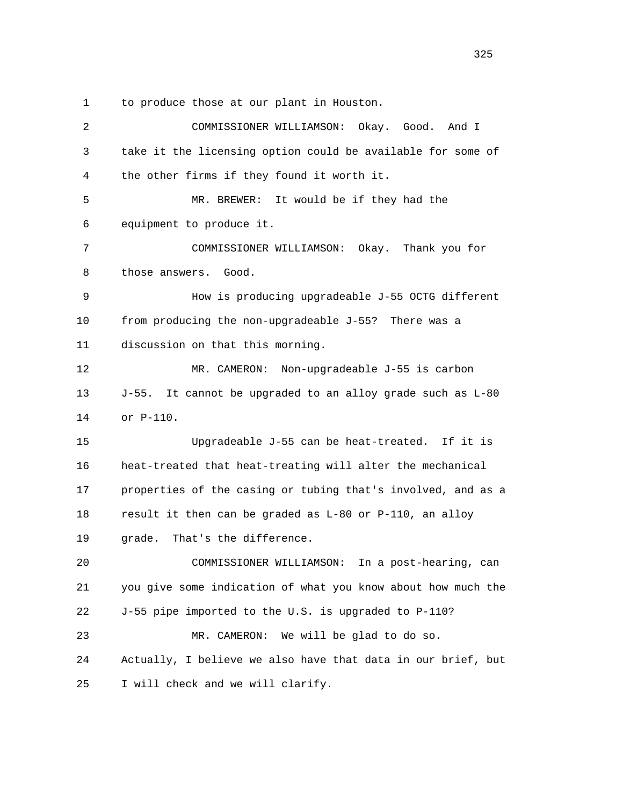1 to produce those at our plant in Houston.

| 2  | COMMISSIONER WILLIAMSON:<br>Okay. Good.<br>And I                 |
|----|------------------------------------------------------------------|
| 3  | take it the licensing option could be available for some of      |
| 4  | the other firms if they found it worth it.                       |
| 5  | It would be if they had the<br>MR. BREWER:                       |
| 6  | equipment to produce it.                                         |
| 7  | COMMISSIONER WILLIAMSON: Okay. Thank you for                     |
| 8  | those answers.<br>Good.                                          |
| 9  | How is producing upgradeable J-55 OCTG different                 |
| 10 | from producing the non-upgradeable J-55? There was a             |
| 11 | discussion on that this morning.                                 |
| 12 | Non-upgradeable J-55 is carbon<br>MR. CAMERON:                   |
| 13 | $J-55$ .<br>It cannot be upgraded to an alloy grade such as L-80 |
| 14 | or P-110.                                                        |
| 15 | Upgradeable J-55 can be heat-treated. If it is                   |
| 16 | heat-treated that heat-treating will alter the mechanical        |
| 17 | properties of the casing or tubing that's involved, and as a     |
| 18 | result it then can be graded as L-80 or P-110, an alloy          |
| 19 | That's the difference.<br>grade.                                 |
| 20 | In a post-hearing, can<br>COMMISSIONER WILLIAMSON:               |
| 21 | you give some indication of what you know about how much the     |
| 22 | J-55 pipe imported to the U.S. is upgraded to P-110?             |
| 23 | MR. CAMERON:<br>We will be glad to do so.                        |
| 24 | Actually, I believe we also have that data in our brief, but     |
| 25 | I will check and we will clarify.                                |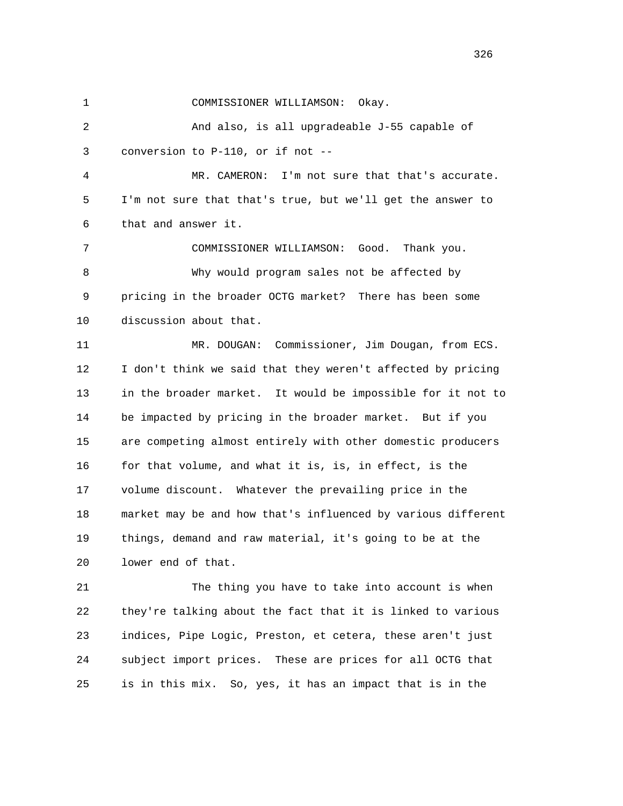1 COMMISSIONER WILLIAMSON: Okay.

 2 And also, is all upgradeable J-55 capable of 3 conversion to P-110, or if not --

 4 MR. CAMERON: I'm not sure that that's accurate. 5 I'm not sure that that's true, but we'll get the answer to 6 that and answer it.

 7 COMMISSIONER WILLIAMSON: Good. Thank you. 8 Why would program sales not be affected by 9 pricing in the broader OCTG market? There has been some 10 discussion about that.

 11 MR. DOUGAN: Commissioner, Jim Dougan, from ECS. 12 I don't think we said that they weren't affected by pricing 13 in the broader market. It would be impossible for it not to 14 be impacted by pricing in the broader market. But if you 15 are competing almost entirely with other domestic producers 16 for that volume, and what it is, is, in effect, is the 17 volume discount. Whatever the prevailing price in the 18 market may be and how that's influenced by various different 19 things, demand and raw material, it's going to be at the 20 lower end of that.

 21 The thing you have to take into account is when 22 they're talking about the fact that it is linked to various 23 indices, Pipe Logic, Preston, et cetera, these aren't just 24 subject import prices. These are prices for all OCTG that 25 is in this mix. So, yes, it has an impact that is in the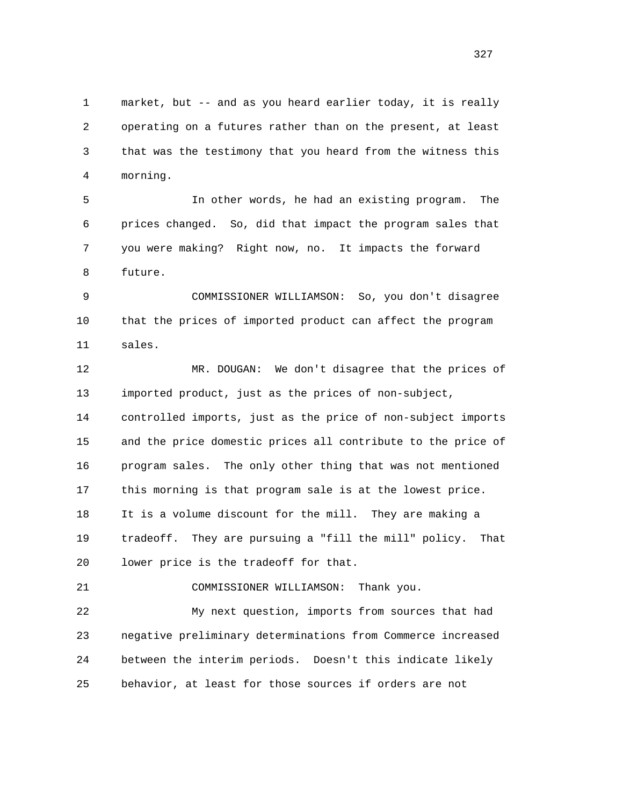1 market, but -- and as you heard earlier today, it is really 2 operating on a futures rather than on the present, at least 3 that was the testimony that you heard from the witness this 4 morning.

 5 In other words, he had an existing program. The 6 prices changed. So, did that impact the program sales that 7 you were making? Right now, no. It impacts the forward 8 future.

 9 COMMISSIONER WILLIAMSON: So, you don't disagree 10 that the prices of imported product can affect the program 11 sales.

 12 MR. DOUGAN: We don't disagree that the prices of 13 imported product, just as the prices of non-subject, 14 controlled imports, just as the price of non-subject imports 15 and the price domestic prices all contribute to the price of 16 program sales. The only other thing that was not mentioned 17 this morning is that program sale is at the lowest price. 18 It is a volume discount for the mill. They are making a 19 tradeoff. They are pursuing a "fill the mill" policy. That 20 lower price is the tradeoff for that.

21 COMMISSIONER WILLIAMSON: Thank you.

 22 My next question, imports from sources that had 23 negative preliminary determinations from Commerce increased 24 between the interim periods. Doesn't this indicate likely 25 behavior, at least for those sources if orders are not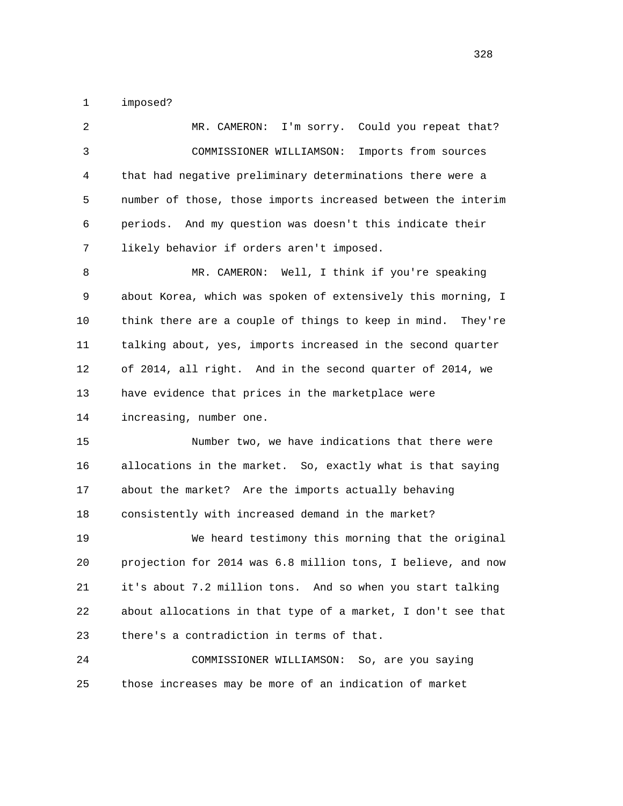1 imposed?

| $\overline{2}$ | MR. CAMERON:<br>I'm sorry. Could you repeat that?              |
|----------------|----------------------------------------------------------------|
| 3              | COMMISSIONER WILLIAMSON:<br>Imports from sources               |
| 4              | that had negative preliminary determinations there were a      |
| 5              | number of those, those imports increased between the interim   |
| 6              | periods. And my question was doesn't this indicate their       |
| 7              | likely behavior if orders aren't imposed.                      |
| 8              | MR. CAMERON: Well, I think if you're speaking                  |
| 9              | about Korea, which was spoken of extensively this morning, I   |
| 10             | think there are a couple of things to keep in mind.<br>They're |
| 11             | talking about, yes, imports increased in the second quarter    |
| 12             | of 2014, all right. And in the second quarter of 2014, we      |
| 13             | have evidence that prices in the marketplace were              |
| 14             | increasing, number one.                                        |
| 15             | Number two, we have indications that there were                |
| 16             | allocations in the market. So, exactly what is that saying     |
| 17             | about the market? Are the imports actually behaving            |
| 18             | consistently with increased demand in the market?              |
| 19             | We heard testimony this morning that the original              |
| 20             | projection for 2014 was 6.8 million tons, I believe, and now   |
| 21             | it's about 7.2 million tons. And so when you start talking     |
| 22             | about allocations in that type of a market, I don't see that   |
| 23             | there's a contradiction in terms of that.                      |
| 24             | COMMISSIONER WILLIAMSON: So, are you saying                    |
| 25             | those increases may be more of an indication of market         |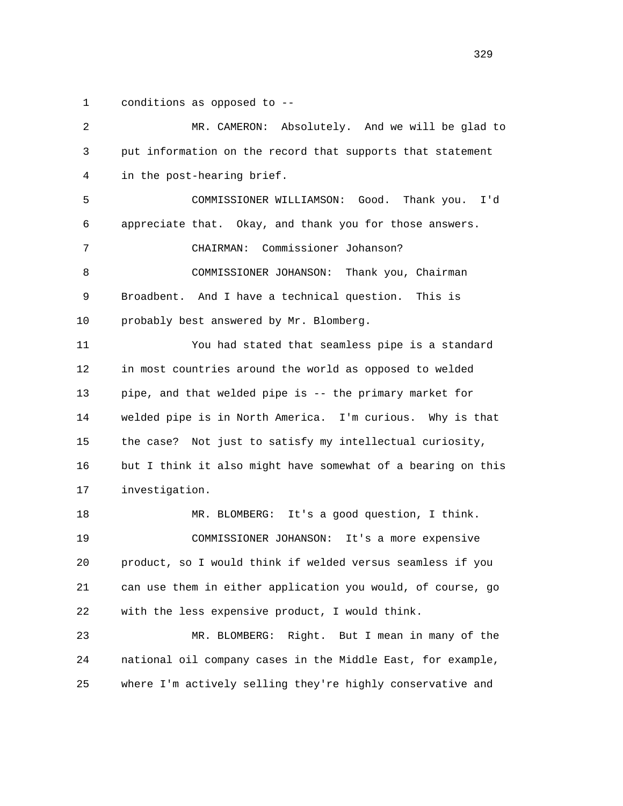1 conditions as opposed to --

 2 MR. CAMERON: Absolutely. And we will be glad to 3 put information on the record that supports that statement 4 in the post-hearing brief. 5 COMMISSIONER WILLIAMSON: Good. Thank you. I'd 6 appreciate that. Okay, and thank you for those answers. 7 CHAIRMAN: Commissioner Johanson? 8 COMMISSIONER JOHANSON: Thank you, Chairman 9 Broadbent. And I have a technical question. This is 10 probably best answered by Mr. Blomberg. 11 You had stated that seamless pipe is a standard 12 in most countries around the world as opposed to welded 13 pipe, and that welded pipe is -- the primary market for 14 welded pipe is in North America. I'm curious. Why is that 15 the case? Not just to satisfy my intellectual curiosity, 16 but I think it also might have somewhat of a bearing on this 17 investigation. 18 MR. BLOMBERG: It's a good question, I think. 19 COMMISSIONER JOHANSON: It's a more expensive 20 product, so I would think if welded versus seamless if you 21 can use them in either application you would, of course, go 22 with the less expensive product, I would think. 23 MR. BLOMBERG: Right. But I mean in many of the 24 national oil company cases in the Middle East, for example, 25 where I'm actively selling they're highly conservative and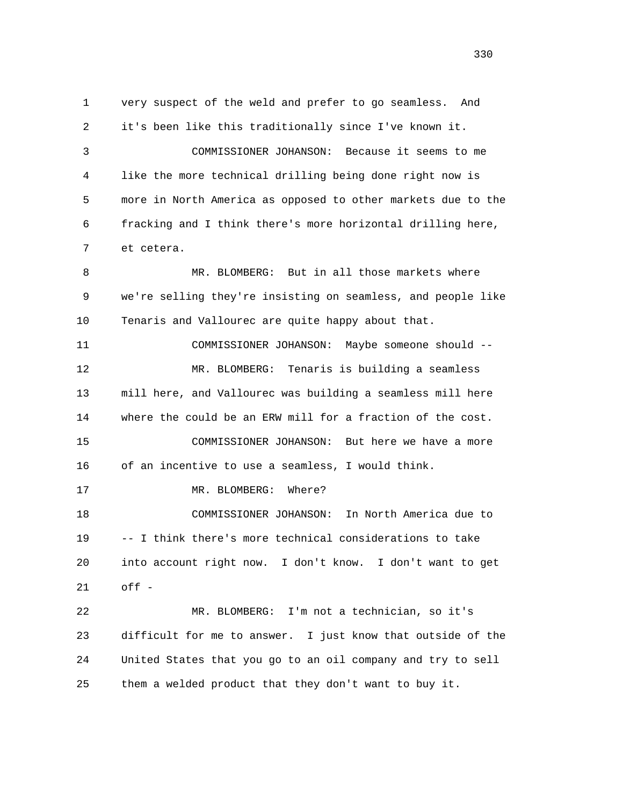1 very suspect of the weld and prefer to go seamless. And 2 it's been like this traditionally since I've known it. 3 COMMISSIONER JOHANSON: Because it seems to me 4 like the more technical drilling being done right now is 5 more in North America as opposed to other markets due to the 6 fracking and I think there's more horizontal drilling here, 7 et cetera. 8 MR. BLOMBERG: But in all those markets where 9 we're selling they're insisting on seamless, and people like 10 Tenaris and Vallourec are quite happy about that. 11 COMMISSIONER JOHANSON: Maybe someone should -- 12 MR. BLOMBERG: Tenaris is building a seamless 13 mill here, and Vallourec was building a seamless mill here 14 where the could be an ERW mill for a fraction of the cost. 15 COMMISSIONER JOHANSON: But here we have a more 16 of an incentive to use a seamless, I would think. 17 MR. BLOMBERG: Where? 18 COMMISSIONER JOHANSON: In North America due to 19 -- I think there's more technical considerations to take 20 into account right now. I don't know. I don't want to get 21 off - 22 MR. BLOMBERG: I'm not a technician, so it's 23 difficult for me to answer. I just know that outside of the 24 United States that you go to an oil company and try to sell 25 them a welded product that they don't want to buy it.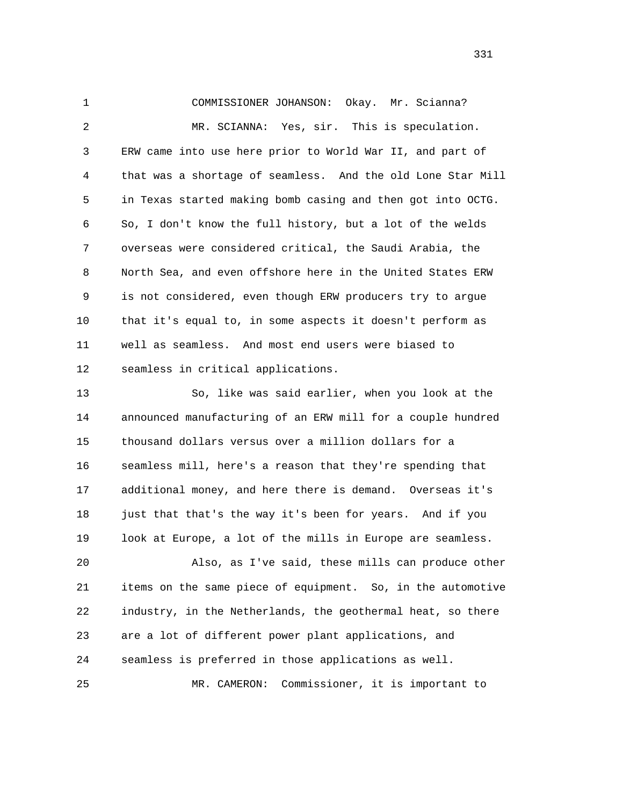1 COMMISSIONER JOHANSON: Okay. Mr. Scianna? 2 MR. SCIANNA: Yes, sir. This is speculation. 3 ERW came into use here prior to World War II, and part of 4 that was a shortage of seamless. And the old Lone Star Mill 5 in Texas started making bomb casing and then got into OCTG. 6 So, I don't know the full history, but a lot of the welds 7 overseas were considered critical, the Saudi Arabia, the 8 North Sea, and even offshore here in the United States ERW 9 is not considered, even though ERW producers try to argue 10 that it's equal to, in some aspects it doesn't perform as 11 well as seamless. And most end users were biased to 12 seamless in critical applications.

 13 So, like was said earlier, when you look at the 14 announced manufacturing of an ERW mill for a couple hundred 15 thousand dollars versus over a million dollars for a 16 seamless mill, here's a reason that they're spending that 17 additional money, and here there is demand. Overseas it's 18 just that that's the way it's been for years. And if you 19 look at Europe, a lot of the mills in Europe are seamless.

 20 Also, as I've said, these mills can produce other 21 items on the same piece of equipment. So, in the automotive 22 industry, in the Netherlands, the geothermal heat, so there 23 are a lot of different power plant applications, and 24 seamless is preferred in those applications as well. 25 MR. CAMERON: Commissioner, it is important to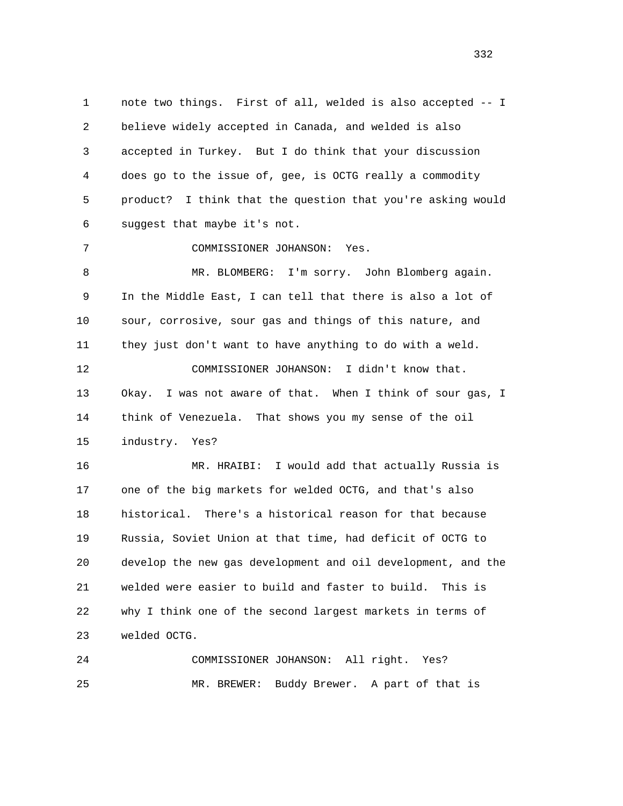1 note two things. First of all, welded is also accepted -- I 2 believe widely accepted in Canada, and welded is also 3 accepted in Turkey. But I do think that your discussion 4 does go to the issue of, gee, is OCTG really a commodity 5 product? I think that the question that you're asking would 6 suggest that maybe it's not.

7 COMMISSIONER JOHANSON: Yes.

 8 MR. BLOMBERG: I'm sorry. John Blomberg again. 9 In the Middle East, I can tell that there is also a lot of 10 sour, corrosive, sour gas and things of this nature, and 11 they just don't want to have anything to do with a weld. 12 COMMISSIONER JOHANSON: I didn't know that. 13 Okay. I was not aware of that. When I think of sour gas, I 14 think of Venezuela. That shows you my sense of the oil 15 industry. Yes?

 16 MR. HRAIBI: I would add that actually Russia is 17 one of the big markets for welded OCTG, and that's also 18 historical. There's a historical reason for that because 19 Russia, Soviet Union at that time, had deficit of OCTG to 20 develop the new gas development and oil development, and the 21 welded were easier to build and faster to build. This is 22 why I think one of the second largest markets in terms of 23 welded OCTG.

 24 COMMISSIONER JOHANSON: All right. Yes? 25 MR. BREWER: Buddy Brewer. A part of that is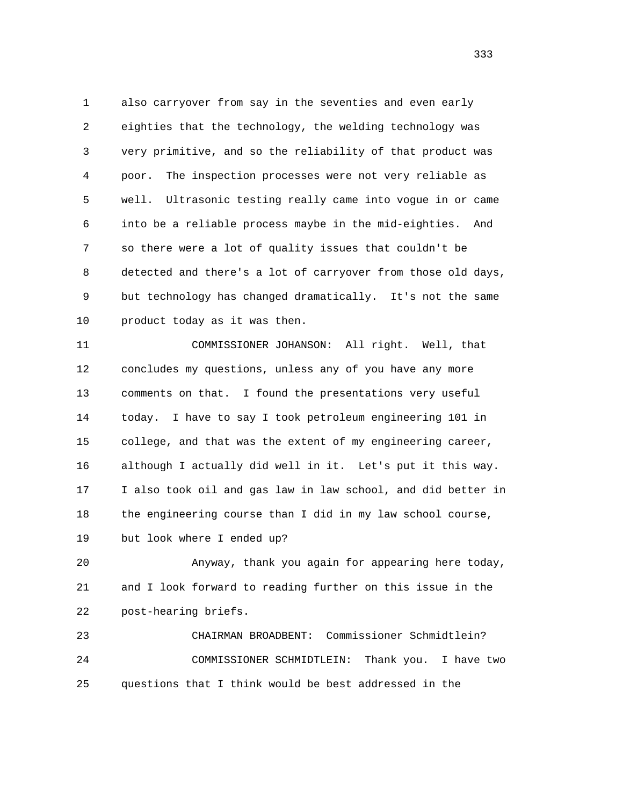1 also carryover from say in the seventies and even early 2 eighties that the technology, the welding technology was 3 very primitive, and so the reliability of that product was 4 poor. The inspection processes were not very reliable as 5 well. Ultrasonic testing really came into vogue in or came 6 into be a reliable process maybe in the mid-eighties. And 7 so there were a lot of quality issues that couldn't be 8 detected and there's a lot of carryover from those old days, 9 but technology has changed dramatically. It's not the same 10 product today as it was then.

 11 COMMISSIONER JOHANSON: All right. Well, that 12 concludes my questions, unless any of you have any more 13 comments on that. I found the presentations very useful 14 today. I have to say I took petroleum engineering 101 in 15 college, and that was the extent of my engineering career, 16 although I actually did well in it. Let's put it this way. 17 I also took oil and gas law in law school, and did better in 18 the engineering course than I did in my law school course, 19 but look where I ended up?

 20 Anyway, thank you again for appearing here today, 21 and I look forward to reading further on this issue in the 22 post-hearing briefs.

 23 CHAIRMAN BROADBENT: Commissioner Schmidtlein? 24 COMMISSIONER SCHMIDTLEIN: Thank you. I have two 25 questions that I think would be best addressed in the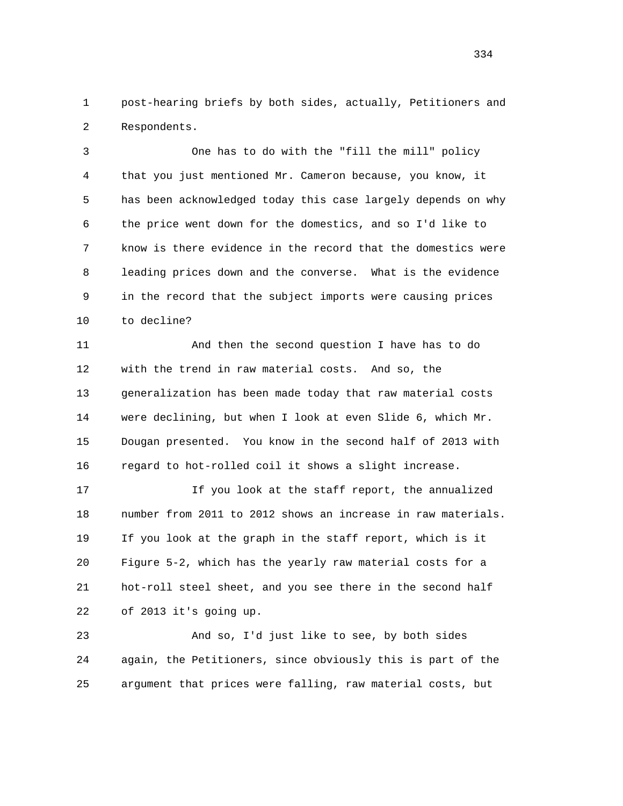1 post-hearing briefs by both sides, actually, Petitioners and 2 Respondents.

 3 One has to do with the "fill the mill" policy 4 that you just mentioned Mr. Cameron because, you know, it 5 has been acknowledged today this case largely depends on why 6 the price went down for the domestics, and so I'd like to 7 know is there evidence in the record that the domestics were 8 leading prices down and the converse. What is the evidence 9 in the record that the subject imports were causing prices 10 to decline?

 11 And then the second question I have has to do 12 with the trend in raw material costs. And so, the 13 generalization has been made today that raw material costs 14 were declining, but when I look at even Slide 6, which Mr. 15 Dougan presented. You know in the second half of 2013 with 16 regard to hot-rolled coil it shows a slight increase.

 17 If you look at the staff report, the annualized 18 number from 2011 to 2012 shows an increase in raw materials. 19 If you look at the graph in the staff report, which is it 20 Figure 5-2, which has the yearly raw material costs for a 21 hot-roll steel sheet, and you see there in the second half 22 of 2013 it's going up.

 23 And so, I'd just like to see, by both sides 24 again, the Petitioners, since obviously this is part of the 25 argument that prices were falling, raw material costs, but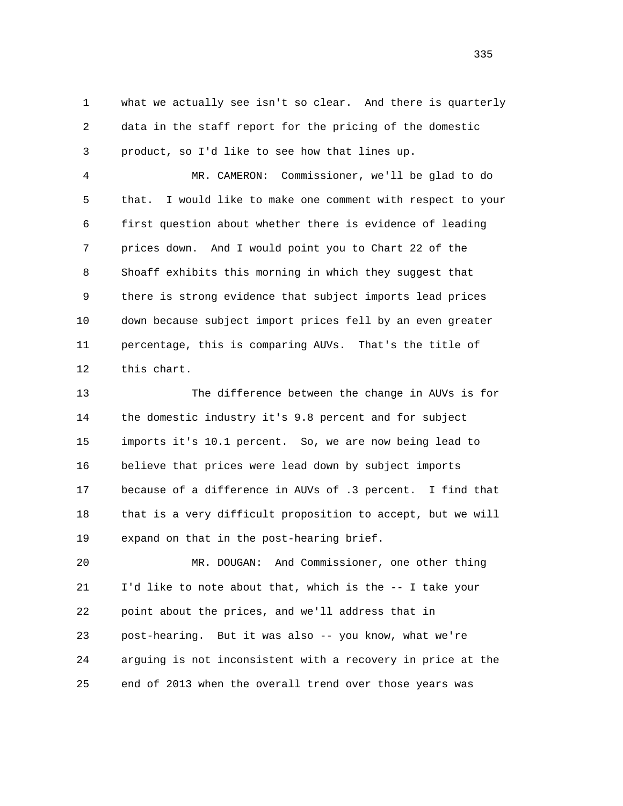1 what we actually see isn't so clear. And there is quarterly 2 data in the staff report for the pricing of the domestic 3 product, so I'd like to see how that lines up.

 4 MR. CAMERON: Commissioner, we'll be glad to do 5 that. I would like to make one comment with respect to your 6 first question about whether there is evidence of leading 7 prices down. And I would point you to Chart 22 of the 8 Shoaff exhibits this morning in which they suggest that 9 there is strong evidence that subject imports lead prices 10 down because subject import prices fell by an even greater 11 percentage, this is comparing AUVs. That's the title of 12 this chart.

 13 The difference between the change in AUVs is for 14 the domestic industry it's 9.8 percent and for subject 15 imports it's 10.1 percent. So, we are now being lead to 16 believe that prices were lead down by subject imports 17 because of a difference in AUVs of .3 percent. I find that 18 that is a very difficult proposition to accept, but we will 19 expand on that in the post-hearing brief.

 20 MR. DOUGAN: And Commissioner, one other thing 21 I'd like to note about that, which is the -- I take your 22 point about the prices, and we'll address that in 23 post-hearing. But it was also -- you know, what we're 24 arguing is not inconsistent with a recovery in price at the 25 end of 2013 when the overall trend over those years was

<u>335</u>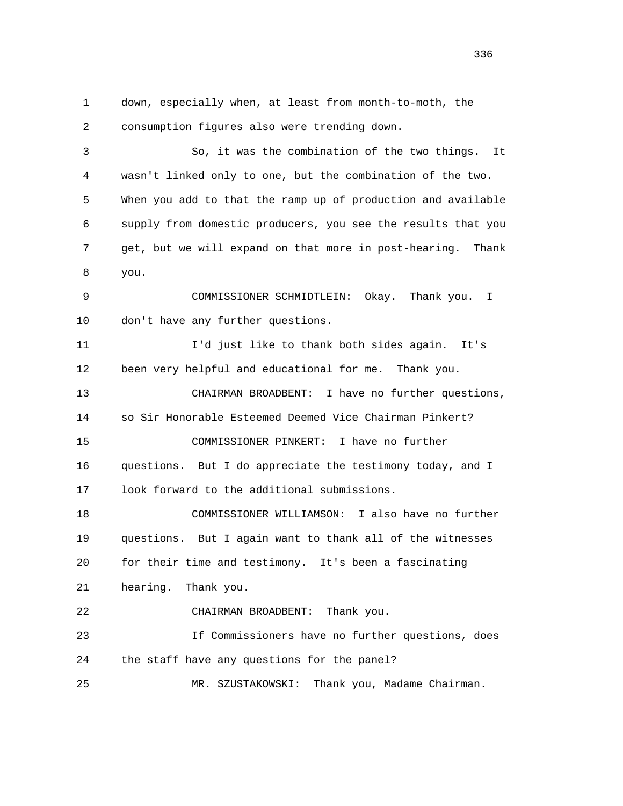1 down, especially when, at least from month-to-moth, the 2 consumption figures also were trending down. 3 So, it was the combination of the two things. It 4 wasn't linked only to one, but the combination of the two. 5 When you add to that the ramp up of production and available 6 supply from domestic producers, you see the results that you 7 get, but we will expand on that more in post-hearing. Thank 8 you. 9 COMMISSIONER SCHMIDTLEIN: Okay. Thank you. I 10 don't have any further questions. 11 I'd just like to thank both sides again. It's 12 been very helpful and educational for me. Thank you. 13 CHAIRMAN BROADBENT: I have no further questions, 14 so Sir Honorable Esteemed Deemed Vice Chairman Pinkert? 15 COMMISSIONER PINKERT: I have no further 16 questions. But I do appreciate the testimony today, and I 17 look forward to the additional submissions. 18 COMMISSIONER WILLIAMSON: I also have no further 19 questions. But I again want to thank all of the witnesses 20 for their time and testimony. It's been a fascinating 21 hearing. Thank you. 22 CHAIRMAN BROADBENT: Thank you. 23 If Commissioners have no further questions, does 24 the staff have any questions for the panel? 25 MR. SZUSTAKOWSKI: Thank you, Madame Chairman.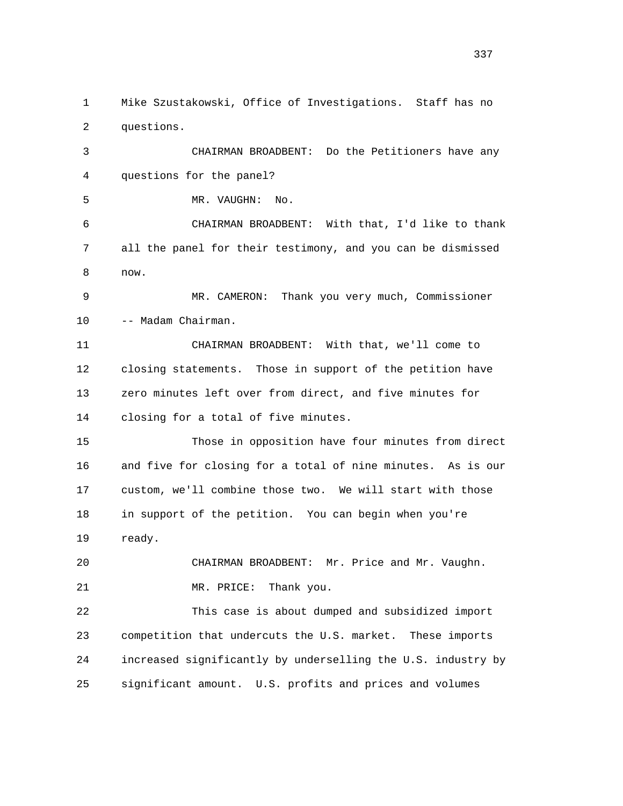1 Mike Szustakowski, Office of Investigations. Staff has no 2 questions.

 3 CHAIRMAN BROADBENT: Do the Petitioners have any 4 questions for the panel?

5 MR. VAUGHN: No.

 6 CHAIRMAN BROADBENT: With that, I'd like to thank 7 all the panel for their testimony, and you can be dismissed 8 now.

 9 MR. CAMERON: Thank you very much, Commissioner 10 -- Madam Chairman.

 11 CHAIRMAN BROADBENT: With that, we'll come to 12 closing statements. Those in support of the petition have 13 zero minutes left over from direct, and five minutes for 14 closing for a total of five minutes.

 15 Those in opposition have four minutes from direct 16 and five for closing for a total of nine minutes. As is our 17 custom, we'll combine those two. We will start with those 18 in support of the petition. You can begin when you're 19 ready.

 20 CHAIRMAN BROADBENT: Mr. Price and Mr. Vaughn. 21 MR. PRICE: Thank you.

 22 This case is about dumped and subsidized import 23 competition that undercuts the U.S. market. These imports 24 increased significantly by underselling the U.S. industry by 25 significant amount. U.S. profits and prices and volumes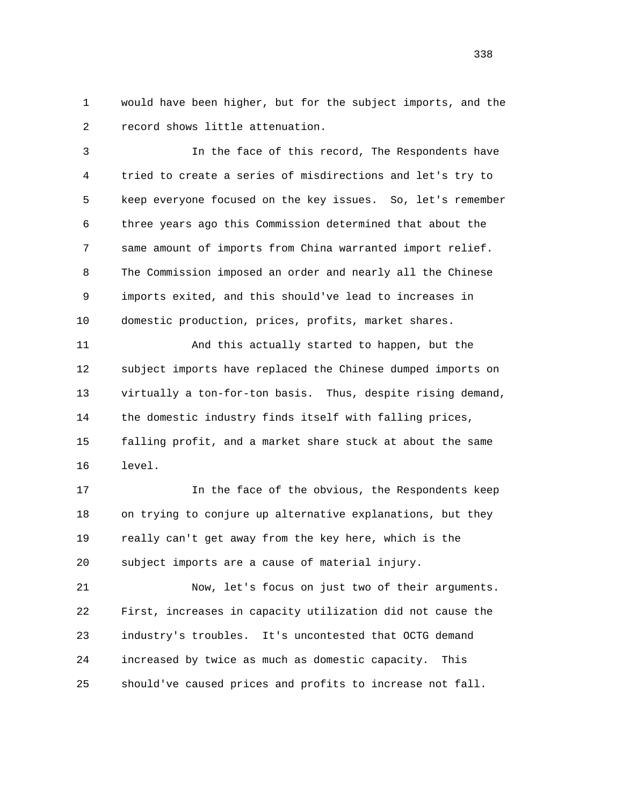1 would have been higher, but for the subject imports, and the 2 record shows little attenuation.

 3 In the face of this record, The Respondents have 4 tried to create a series of misdirections and let's try to 5 keep everyone focused on the key issues. So, let's remember 6 three years ago this Commission determined that about the 7 same amount of imports from China warranted import relief. 8 The Commission imposed an order and nearly all the Chinese 9 imports exited, and this should've lead to increases in 10 domestic production, prices, profits, market shares.

 11 And this actually started to happen, but the 12 subject imports have replaced the Chinese dumped imports on 13 virtually a ton-for-ton basis. Thus, despite rising demand, 14 the domestic industry finds itself with falling prices, 15 falling profit, and a market share stuck at about the same 16 level.

17 17 In the face of the obvious, the Respondents keep 18 on trying to conjure up alternative explanations, but they 19 really can't get away from the key here, which is the 20 subject imports are a cause of material injury.

 21 Now, let's focus on just two of their arguments. 22 First, increases in capacity utilization did not cause the 23 industry's troubles. It's uncontested that OCTG demand 24 increased by twice as much as domestic capacity. This 25 should've caused prices and profits to increase not fall.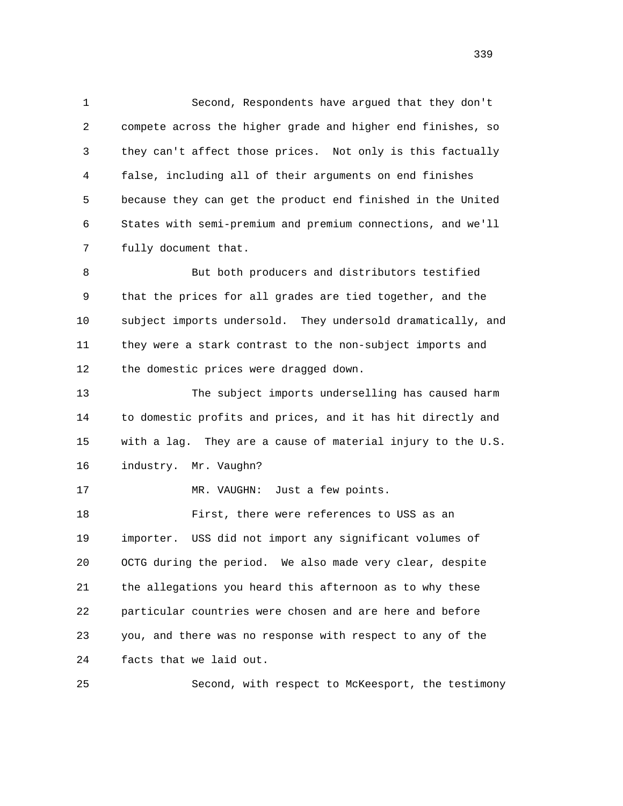1 Second, Respondents have argued that they don't 2 compete across the higher grade and higher end finishes, so 3 they can't affect those prices. Not only is this factually 4 false, including all of their arguments on end finishes 5 because they can get the product end finished in the United 6 States with semi-premium and premium connections, and we'll 7 fully document that.

 8 But both producers and distributors testified 9 that the prices for all grades are tied together, and the 10 subject imports undersold. They undersold dramatically, and 11 they were a stark contrast to the non-subject imports and 12 the domestic prices were dragged down.

 13 The subject imports underselling has caused harm 14 to domestic profits and prices, and it has hit directly and 15 with a lag. They are a cause of material injury to the U.S. 16 industry. Mr. Vaughn?

17 MR. VAUGHN: Just a few points.

 18 First, there were references to USS as an 19 importer. USS did not import any significant volumes of 20 OCTG during the period. We also made very clear, despite 21 the allegations you heard this afternoon as to why these 22 particular countries were chosen and are here and before 23 you, and there was no response with respect to any of the 24 facts that we laid out.

25 Second, with respect to McKeesport, the testimony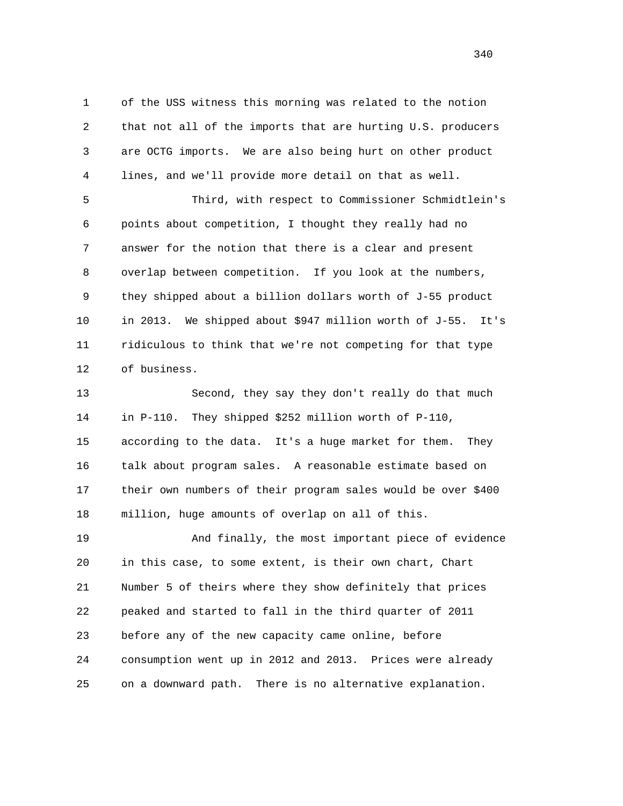1 of the USS witness this morning was related to the notion 2 that not all of the imports that are hurting U.S. producers 3 are OCTG imports. We are also being hurt on other product 4 lines, and we'll provide more detail on that as well.

 5 Third, with respect to Commissioner Schmidtlein's 6 points about competition, I thought they really had no 7 answer for the notion that there is a clear and present 8 overlap between competition. If you look at the numbers, 9 they shipped about a billion dollars worth of J-55 product 10 in 2013. We shipped about \$947 million worth of J-55. It's 11 ridiculous to think that we're not competing for that type 12 of business.

 13 Second, they say they don't really do that much 14 in P-110. They shipped \$252 million worth of P-110, 15 according to the data. It's a huge market for them. They 16 talk about program sales. A reasonable estimate based on 17 their own numbers of their program sales would be over \$400 18 million, huge amounts of overlap on all of this.

 19 And finally, the most important piece of evidence 20 in this case, to some extent, is their own chart, Chart 21 Number 5 of theirs where they show definitely that prices 22 peaked and started to fall in the third quarter of 2011 23 before any of the new capacity came online, before 24 consumption went up in 2012 and 2013. Prices were already 25 on a downward path. There is no alternative explanation.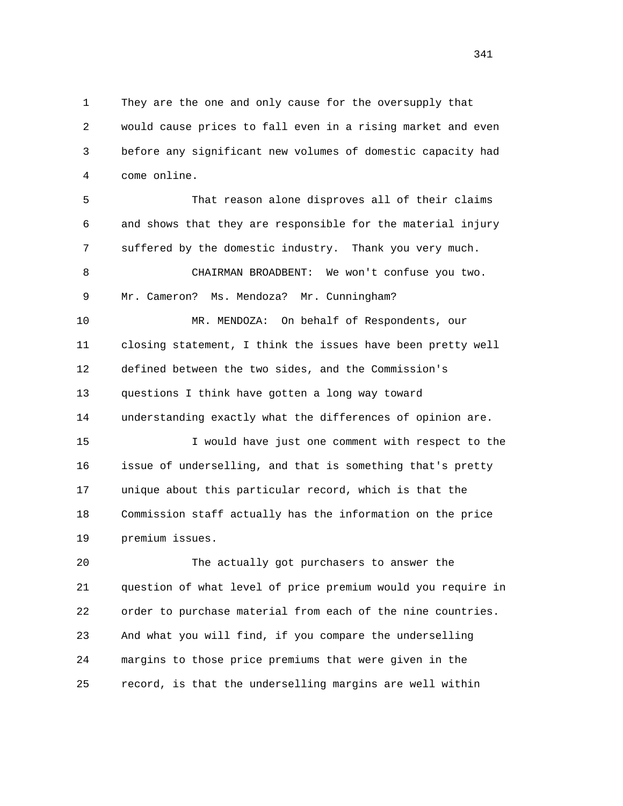1 They are the one and only cause for the oversupply that 2 would cause prices to fall even in a rising market and even 3 before any significant new volumes of domestic capacity had 4 come online.

 5 That reason alone disproves all of their claims 6 and shows that they are responsible for the material injury 7 suffered by the domestic industry. Thank you very much. 8 CHAIRMAN BROADBENT: We won't confuse you two. 9 Mr. Cameron? Ms. Mendoza? Mr. Cunningham? 10 MR. MENDOZA: On behalf of Respondents, our 11 closing statement, I think the issues have been pretty well 12 defined between the two sides, and the Commission's 13 questions I think have gotten a long way toward 14 understanding exactly what the differences of opinion are. 15 I would have just one comment with respect to the 16 issue of underselling, and that is something that's pretty 17 unique about this particular record, which is that the 18 Commission staff actually has the information on the price 19 premium issues.

 20 The actually got purchasers to answer the 21 question of what level of price premium would you require in 22 order to purchase material from each of the nine countries. 23 And what you will find, if you compare the underselling 24 margins to those price premiums that were given in the 25 record, is that the underselling margins are well within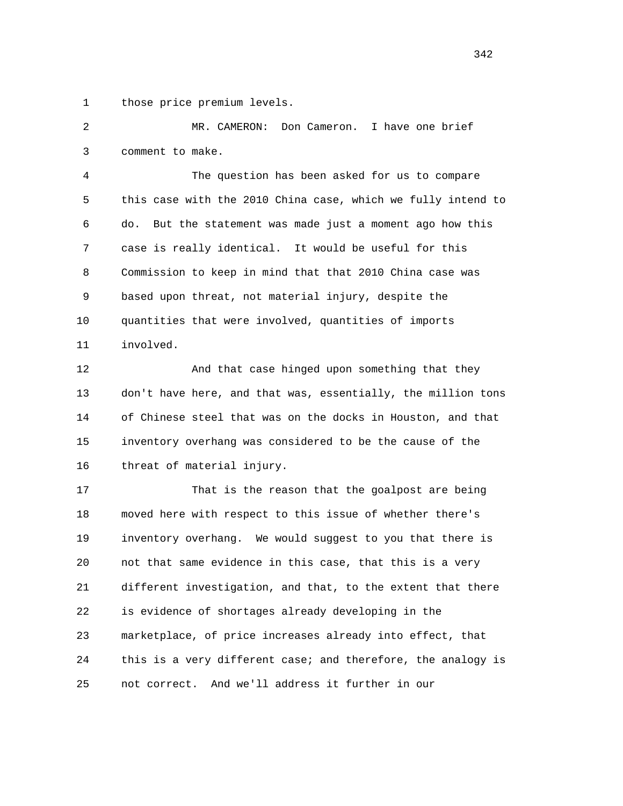1 those price premium levels.

 2 MR. CAMERON: Don Cameron. I have one brief 3 comment to make.

 4 The question has been asked for us to compare 5 this case with the 2010 China case, which we fully intend to 6 do. But the statement was made just a moment ago how this 7 case is really identical. It would be useful for this 8 Commission to keep in mind that that 2010 China case was 9 based upon threat, not material injury, despite the 10 quantities that were involved, quantities of imports 11 involved.

 12 And that case hinged upon something that they 13 don't have here, and that was, essentially, the million tons 14 of Chinese steel that was on the docks in Houston, and that 15 inventory overhang was considered to be the cause of the 16 threat of material injury.

 17 That is the reason that the goalpost are being 18 moved here with respect to this issue of whether there's 19 inventory overhang. We would suggest to you that there is 20 not that same evidence in this case, that this is a very 21 different investigation, and that, to the extent that there 22 is evidence of shortages already developing in the 23 marketplace, of price increases already into effect, that 24 this is a very different case; and therefore, the analogy is 25 not correct. And we'll address it further in our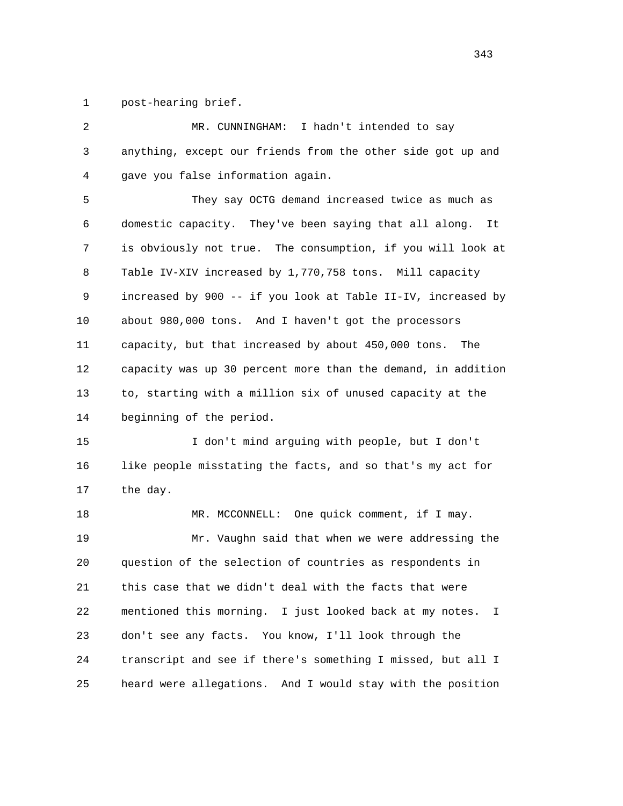1 post-hearing brief.

| $\overline{c}$ | I hadn't intended to say<br>MR. CUNNINGHAM:                      |
|----------------|------------------------------------------------------------------|
| 3              | anything, except our friends from the other side got up and      |
| 4              | gave you false information again.                                |
| 5              | They say OCTG demand increased twice as much as                  |
| 6              | domestic capacity. They've been saying that all along.<br>It     |
| 7              | is obviously not true. The consumption, if you will look at      |
| 8              | Table IV-XIV increased by 1,770,758 tons. Mill capacity          |
| 9              | increased by 900 -- if you look at Table II-IV, increased by     |
| 10             | about 980,000 tons. And I haven't got the processors             |
| 11             | capacity, but that increased by about 450,000 tons.<br>The       |
| 12             | capacity was up 30 percent more than the demand, in addition     |
| 13             | to, starting with a million six of unused capacity at the        |
| 14             | beginning of the period.                                         |
| 15             | I don't mind arguing with people, but I don't                    |
| 16             | like people misstating the facts, and so that's my act for       |
| 17             | the day.                                                         |
| 18             | MR. MCCONNELL: One quick comment, if I may.                      |
| 19             | Mr. Vaughn said that when we were addressing the                 |
| 20             | question of the selection of countries as respondents in         |
| 21             | this case that we didn't deal with the facts that were           |
| 22             | mentioned this morning.<br>I just looked back at my notes.<br>I. |
| 23             | don't see any facts. You know, I'll look through the             |
| 24             | transcript and see if there's something I missed, but all I      |
| 25             | heard were allegations.<br>And I would stay with the position    |